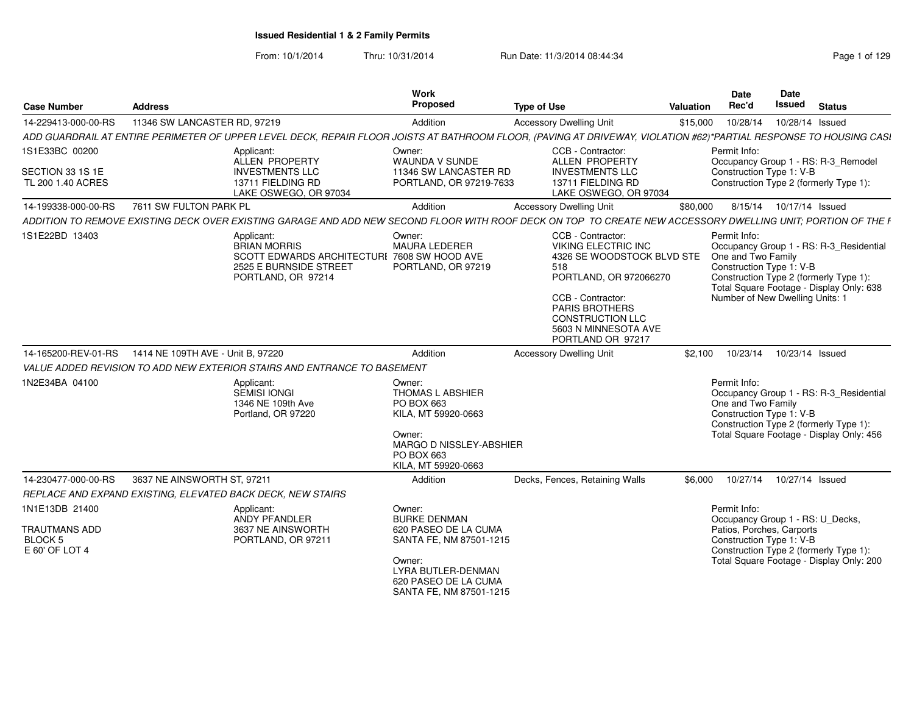| <b>Case Number</b>                                                         | <b>Address</b>                                                                                                                                                     | Work<br><b>Proposed</b>                                                                                                                          | <b>Type of Use</b>                                                                                                                                                                                                                   | <b>Valuation</b> | Date<br>Rec'd                                                                                     | <b>Date</b><br><b>Issued</b> | <b>Status</b>                                                                                                                 |
|----------------------------------------------------------------------------|--------------------------------------------------------------------------------------------------------------------------------------------------------------------|--------------------------------------------------------------------------------------------------------------------------------------------------|--------------------------------------------------------------------------------------------------------------------------------------------------------------------------------------------------------------------------------------|------------------|---------------------------------------------------------------------------------------------------|------------------------------|-------------------------------------------------------------------------------------------------------------------------------|
| 14-229413-000-00-RS                                                        | 11346 SW LANCASTER RD, 97219                                                                                                                                       | Addition                                                                                                                                         | <b>Accessory Dwelling Unit</b>                                                                                                                                                                                                       | \$15,000         | 10/28/14                                                                                          |                              | 10/28/14 Issued                                                                                                               |
|                                                                            | ADD GUARDRAIL AT ENTIRE PERIMETER OF UPPER LEVEL DECK, REPAIR FLOOR JOISTS AT BATHROOM FLOOR, (PAVING AT DRIVEWAY, VIOLATION #62)*PARTIAL RESPONSE TO HOUSING CASI |                                                                                                                                                  |                                                                                                                                                                                                                                      |                  |                                                                                                   |                              |                                                                                                                               |
| 1S1E33BC 00200<br>SECTION 33 1S 1E<br>TL 200 1.40 ACRES                    | Applicant:<br>ALLEN PROPERTY<br><b>INVESTMENTS LLC</b><br>13711 FIELDING RD<br>LAKE OSWEGO, OR 97034                                                               | Owner:<br>WAUNDA V SUNDE<br>11346 SW LANCASTER RD<br>PORTLAND, OR 97219-7633                                                                     | CCB - Contractor:<br>ALLEN PROPERTY<br><b>INVESTMENTS LLC</b><br>13711 FIELDING RD<br>LAKE OSWEGO, OR 97034                                                                                                                          |                  | Permit Info:<br>Construction Type 1: V-B                                                          |                              | Occupancy Group 1 - RS: R-3_Remodel<br>Construction Type 2 (formerly Type 1):                                                 |
| 14-199338-000-00-RS                                                        | 7611 SW FULTON PARK PL                                                                                                                                             | Addition                                                                                                                                         | <b>Accessory Dwelling Unit</b>                                                                                                                                                                                                       | \$80,000         |                                                                                                   |                              | 8/15/14  10/17/14  Issued                                                                                                     |
|                                                                            | ADDITION TO REMOVE EXISTING DECK OVER EXISTING GARAGE AND ADD NEW SECOND FLOOR WITH ROOF DECK ON TOP TO CREATE NEW ACCESSORY DWELLING UNIT; PORTION OF THE F       |                                                                                                                                                  |                                                                                                                                                                                                                                      |                  |                                                                                                   |                              |                                                                                                                               |
| 1S1E22BD 13403                                                             | Applicant:<br><b>BRIAN MORRIS</b><br>SCOTT EDWARDS ARCHITECTURI 7608 SW HOOD AVE<br>2525 E BURNSIDE STREET<br>PORTLAND, OR 97214                                   | Owner:<br><b>MAURA LEDERER</b><br>PORTLAND, OR 97219                                                                                             | CCB - Contractor:<br><b>VIKING ELECTRIC INC</b><br>4326 SE WOODSTOCK BLVD STE<br>518<br>PORTLAND, OR 972066270<br>CCB - Contractor:<br><b>PARIS BROTHERS</b><br><b>CONSTRUCTION LLC</b><br>5603 N MINNESOTA AVE<br>PORTLAND OR 97217 |                  | Permit Info:<br>One and Two Family<br>Construction Type 1: V-B<br>Number of New Dwelling Units: 1 |                              | Occupancy Group 1 - RS: R-3_Residential<br>Construction Type 2 (formerly Type 1):<br>Total Square Footage - Display Only: 638 |
| 14-165200-REV-01-RS                                                        | 1414 NE 109TH AVE - Unit B, 97220                                                                                                                                  | Addition                                                                                                                                         | <b>Accessory Dwelling Unit</b>                                                                                                                                                                                                       | \$2.100          | 10/23/14                                                                                          |                              | 10/23/14 Issued                                                                                                               |
|                                                                            | VALUE ADDED REVISION TO ADD NEW EXTERIOR STAIRS AND ENTRANCE TO BASEMENT                                                                                           |                                                                                                                                                  |                                                                                                                                                                                                                                      |                  |                                                                                                   |                              |                                                                                                                               |
| 1N2E34BA 04100                                                             | Applicant:<br>SEMISI IONGI<br>1346 NE 109th Ave<br>Portland, OR 97220                                                                                              | Owner:<br><b>THOMAS L ABSHIER</b><br>PO BOX 663<br>KILA, MT 59920-0663<br>Owner:<br>MARGO D NISSLEY-ABSHIER<br>PO BOX 663<br>KILA, MT 59920-0663 |                                                                                                                                                                                                                                      |                  | Permit Info:<br>One and Two Family<br>Construction Type 1: V-B                                    |                              | Occupancy Group 1 - RS: R-3_Residential<br>Construction Type 2 (formerly Type 1):<br>Total Square Footage - Display Only: 456 |
| 14-230477-000-00-RS                                                        | 3637 NE AINSWORTH ST, 97211                                                                                                                                        | Addition                                                                                                                                         | Decks, Fences, Retaining Walls                                                                                                                                                                                                       | \$6,000          | 10/27/14                                                                                          |                              | 10/27/14 Issued                                                                                                               |
|                                                                            | REPLACE AND EXPAND EXISTING, ELEVATED BACK DECK, NEW STAIRS                                                                                                        |                                                                                                                                                  |                                                                                                                                                                                                                                      |                  |                                                                                                   |                              |                                                                                                                               |
| 1N1E13DB 21400<br><b>TRAUTMANS ADD</b><br><b>BLOCK 5</b><br>E 60' OF LOT 4 | Applicant:<br>ANDY PFANDLER<br>3637 NE AINSWORTH<br>PORTLAND, OR 97211                                                                                             | Owner:<br><b>BURKE DENMAN</b><br>620 PASEO DE LA CUMA<br>SANTA FE, NM 87501-1215<br>Owner:<br>LYRA BUTLER-DENMAN                                 |                                                                                                                                                                                                                                      |                  | Permit Info:<br>Patios, Porches, Carports<br>Construction Type 1: V-B                             |                              | Occupancy Group 1 - RS: U Decks,<br>Construction Type 2 (formerly Type 1):<br>Total Square Footage - Display Only: 200        |
|                                                                            |                                                                                                                                                                    | 620 PASEO DE LA CUMA<br>SANTA FE, NM 87501-1215                                                                                                  |                                                                                                                                                                                                                                      |                  |                                                                                                   |                              |                                                                                                                               |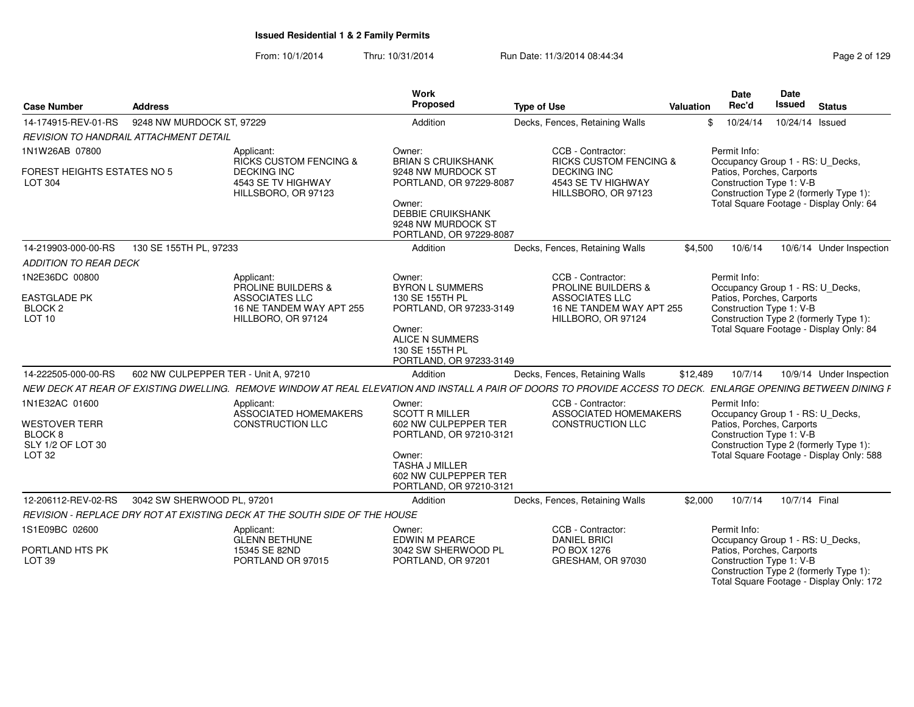| <b>Case Number</b>                                              | <b>Address</b>                         |                                                                            | Work<br>Proposed                                                                                                                     | <b>Type of Use</b>                                                                                                                                             | Valuation | Date<br>Rec'd                                         | Date<br><b>Issued</b> | <b>Status</b>                                                                      |
|-----------------------------------------------------------------|----------------------------------------|----------------------------------------------------------------------------|--------------------------------------------------------------------------------------------------------------------------------------|----------------------------------------------------------------------------------------------------------------------------------------------------------------|-----------|-------------------------------------------------------|-----------------------|------------------------------------------------------------------------------------|
| 14-174915-REV-01-RS                                             | 9248 NW MURDOCK ST, 97229              |                                                                            | Addition                                                                                                                             | Decks, Fences, Retaining Walls                                                                                                                                 | \$        | 10/24/14                                              | 10/24/14 Issued       |                                                                                    |
|                                                                 | REVISION TO HANDRAIL ATTACHMENT DETAIL |                                                                            |                                                                                                                                      |                                                                                                                                                                |           |                                                       |                       |                                                                                    |
| 1N1W26AB 07800                                                  |                                        | Applicant:<br><b>RICKS CUSTOM FENCING &amp;</b>                            | Owner:<br><b>BRIAN S CRUIKSHANK</b>                                                                                                  | CCB - Contractor:<br><b>RICKS CUSTOM FENCING &amp;</b>                                                                                                         |           | Permit Info:<br>Occupancy Group 1 - RS: U_Decks,      |                       |                                                                                    |
| <b>FOREST HEIGHTS ESTATES NO 5</b><br><b>LOT 304</b>            |                                        | <b>DECKING INC</b><br>4543 SE TV HIGHWAY<br>HILLSBORO, OR 97123            | 9248 NW MURDOCK ST<br>PORTLAND, OR 97229-8087<br>Owner:<br><b>DEBBIE CRUIKSHANK</b><br>9248 NW MURDOCK ST<br>PORTLAND, OR 97229-8087 | <b>DECKING INC</b><br>4543 SE TV HIGHWAY<br>HILLSBORO, OR 97123                                                                                                |           | Patios, Porches, Carports<br>Construction Type 1: V-B |                       | Construction Type 2 (formerly Type 1):<br>Total Square Footage - Display Only: 64  |
| 14-219903-000-00-RS                                             | 130 SE 155TH PL, 97233                 |                                                                            | Addition                                                                                                                             | Decks, Fences, Retaining Walls                                                                                                                                 | \$4,500   | 10/6/14                                               |                       | 10/6/14 Under Inspection                                                           |
| <b>ADDITION TO REAR DECK</b>                                    |                                        |                                                                            |                                                                                                                                      |                                                                                                                                                                |           |                                                       |                       |                                                                                    |
| 1N2E36DC 00800                                                  |                                        | Applicant:<br>PROLINE BUILDERS &                                           | Owner:<br><b>BYRON L SUMMERS</b>                                                                                                     | CCB - Contractor:<br><b>PROLINE BUILDERS &amp;</b>                                                                                                             |           | Permit Info:<br>Occupancy Group 1 - RS: U_Decks,      |                       |                                                                                    |
| <b>EASTGLADE PK</b><br>BLOCK <sub>2</sub><br>LOT <sub>10</sub>  |                                        | ASSOCIATES LLC<br>16 NE TANDEM WAY APT 255<br>HILLBORO, OR 97124           | 130 SE 155TH PL<br>PORTLAND, OR 97233-3149<br>Owner:                                                                                 | <b>ASSOCIATES LLC</b><br>16 NE TANDEM WAY APT 255<br>HILLBORO, OR 97124                                                                                        |           | Patios, Porches, Carports<br>Construction Type 1: V-B |                       | Construction Type 2 (formerly Type 1):<br>Total Square Footage - Display Only: 84  |
|                                                                 |                                        |                                                                            | <b>ALICE N SUMMERS</b><br>130 SE 155TH PL<br>PORTLAND, OR 97233-3149                                                                 |                                                                                                                                                                |           |                                                       |                       |                                                                                    |
| 14-222505-000-00-RS                                             | 602 NW CULPEPPER TER - Unit A, 97210   |                                                                            | Addition                                                                                                                             | Decks, Fences, Retaining Walls                                                                                                                                 | \$12,489  | 10/7/14                                               |                       | 10/9/14 Under Inspection                                                           |
|                                                                 |                                        |                                                                            |                                                                                                                                      | NEW DECK AT REAR OF EXISTING DWELLING. REMOVE WINDOW AT REAL ELEVATION AND INSTALL A PAIR OF DOORS TO PROVIDE ACCESS TO DECK. ENLARGE OPENING BETWEEN DINING F |           |                                                       |                       |                                                                                    |
| 1N1E32AC 01600                                                  |                                        | Applicant:<br>ASSOCIATED HOMEMAKERS                                        | Owner:<br><b>SCOTT R MILLER</b>                                                                                                      | CCB - Contractor:<br>ASSOCIATED HOMEMAKERS                                                                                                                     |           | Permit Info:<br>Occupancy Group 1 - RS: U_Decks,      |                       |                                                                                    |
| <b>WESTOVER TERR</b><br>BLOCK <sub>8</sub><br>SLY 1/2 OF LOT 30 |                                        | <b>CONSTRUCTION LLC</b>                                                    | 602 NW CULPEPPER TER<br>PORTLAND, OR 97210-3121                                                                                      | CONSTRUCTION LLC                                                                                                                                               |           | Patios, Porches, Carports<br>Construction Type 1: V-B |                       | Construction Type 2 (formerly Type 1):                                             |
| LOT <sub>32</sub>                                               |                                        |                                                                            | Owner:<br><b>TASHA J MILLER</b><br>602 NW CULPEPPER TER<br>PORTLAND, OR 97210-3121                                                   |                                                                                                                                                                |           |                                                       |                       | Total Square Footage - Display Only: 588                                           |
| 12-206112-REV-02-RS                                             | 3042 SW SHERWOOD PL, 97201             |                                                                            | Addition                                                                                                                             | Decks, Fences, Retaining Walls                                                                                                                                 | \$2,000   | 10/7/14                                               | 10/7/14 Final         |                                                                                    |
|                                                                 |                                        | REVISION - REPLACE DRY ROT AT EXISTING DECK AT THE SOUTH SIDE OF THE HOUSE |                                                                                                                                      |                                                                                                                                                                |           |                                                       |                       |                                                                                    |
| 1S1E09BC 02600                                                  |                                        | Applicant:<br><b>GLENN BETHUNE</b>                                         | Owner:<br><b>EDWIN M PEARCE</b>                                                                                                      | CCB - Contractor:<br><b>DANIEL BRICI</b>                                                                                                                       |           | Permit Info:<br>Occupancy Group 1 - RS: U_Decks,      |                       |                                                                                    |
| PORTLAND HTS PK<br><b>LOT 39</b>                                |                                        | 15345 SE 82ND<br>PORTLAND OR 97015                                         | 3042 SW SHERWOOD PL<br>PORTLAND, OR 97201                                                                                            | PO BOX 1276<br>GRESHAM, OR 97030                                                                                                                               |           | Patios, Porches, Carports<br>Construction Type 1: V-B |                       | Construction Type 2 (formerly Type 1):<br>Total Square Footage - Display Only: 172 |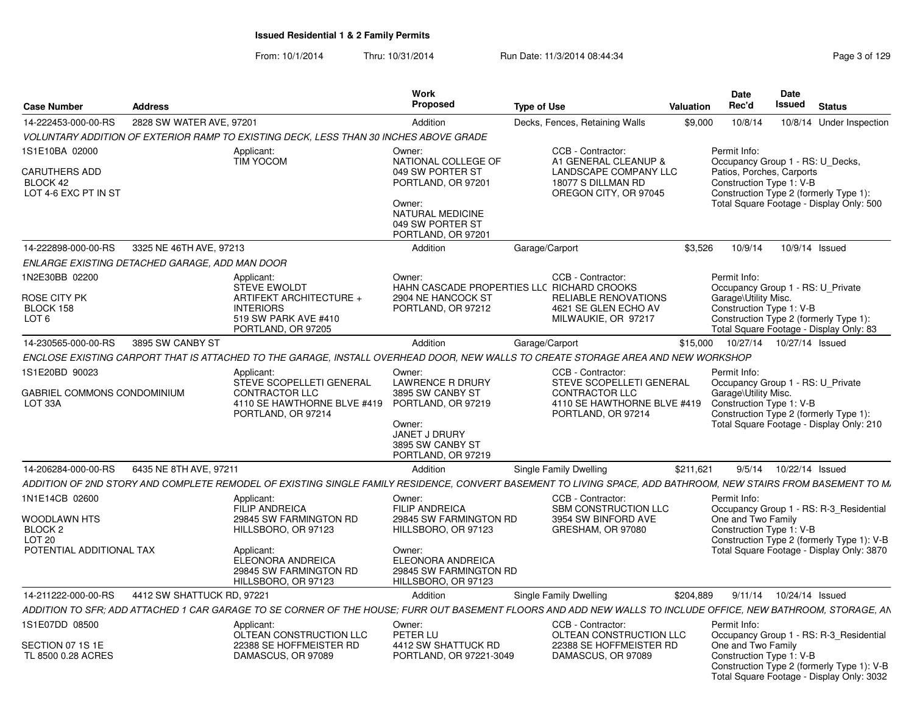| <b>Case Number</b>                                | <b>Address</b>                                 |                                                                                       | Work<br><b>Proposed</b>                                                   | <b>Type of Use</b>                                                                                                                                             | Valuation | Date<br>Rec'd                                         | Date<br><b>Issued</b> Status                                                            |
|---------------------------------------------------|------------------------------------------------|---------------------------------------------------------------------------------------|---------------------------------------------------------------------------|----------------------------------------------------------------------------------------------------------------------------------------------------------------|-----------|-------------------------------------------------------|-----------------------------------------------------------------------------------------|
| 14-222453-000-00-RS                               | 2828 SW WATER AVE, 97201                       |                                                                                       | Addition                                                                  | Decks, Fences, Retaining Walls                                                                                                                                 | \$9.000   | 10/8/14                                               | 10/8/14 Under Inspection                                                                |
|                                                   |                                                | VOLUNTARY ADDITION OF EXTERIOR RAMP TO EXISTING DECK. LESS THAN 30 INCHES ABOVE GRADE |                                                                           |                                                                                                                                                                |           |                                                       |                                                                                         |
| 1S1E10BA 02000                                    |                                                | Applicant:                                                                            | Owner:                                                                    | CCB - Contractor:                                                                                                                                              |           | Permit Info:                                          |                                                                                         |
| CARUTHERS ADD<br>BLOCK 42<br>LOT 4-6 EXC PT IN ST |                                                | <b>TIM YOCOM</b>                                                                      | NATIONAL COLLEGE OF<br>049 SW PORTER ST<br>PORTLAND, OR 97201             | A1 GENERAL CLEANUP &<br>LANDSCAPE COMPANY LLC<br>18077 S DILLMAN RD<br>OREGON CITY, OR 97045                                                                   |           | Patios, Porches, Carports<br>Construction Type 1: V-B | Occupancy Group 1 - RS: U_Decks,<br>Construction Type 2 (formerly Type 1):              |
|                                                   |                                                |                                                                                       | Owner:<br>NATURAL MEDICINE<br>049 SW PORTER ST<br>PORTLAND, OR 97201      |                                                                                                                                                                |           |                                                       | Total Square Footage - Display Only: 500                                                |
|                                                   | 14-222898-000-00-RS 3325 NE 46TH AVE, 97213    |                                                                                       | Addition                                                                  | Garage/Carport                                                                                                                                                 |           |                                                       | \$3.526  10/9/14  10/9/14  Issued                                                       |
|                                                   | ENLARGE EXISTING DETACHED GARAGE, ADD MAN DOOR |                                                                                       |                                                                           |                                                                                                                                                                |           |                                                       |                                                                                         |
| 1N2E30BB 02200                                    |                                                | Applicant:<br><b>STEVE EWOLDT</b>                                                     | Owner:                                                                    | CCB - Contractor:<br>HAHN CASCADE PROPERTIES LLC RICHARD CROOKS                                                                                                |           | Permit Info:                                          | Occupancy Group 1 - RS: U_Private                                                       |
| ROSE CITY PK                                      |                                                | ARTIFEKT ARCHITECTURE +                                                               | 2904 NE HANCOCK ST                                                        | RELIABLE RENOVATIONS                                                                                                                                           |           | Garage\Utility Misc.                                  |                                                                                         |
| BLOCK 158<br>LOT <sub>6</sub>                     |                                                | <b>INTERIORS</b><br>519 SW PARK AVE #410<br>PORTLAND, OR 97205                        | PORTLAND, OR 97212                                                        | 4621 SE GLEN ECHO AV<br>MILWAUKIE, OR 97217                                                                                                                    |           | Construction Type 1: V-B                              | Construction Type 2 (formerly Type 1):<br>Total Square Footage - Display Only: 83       |
| 14-230565-000-00-RS  3895 SW CANBY ST             |                                                |                                                                                       | Addition                                                                  | Garage/Carport                                                                                                                                                 |           |                                                       | \$15,000  10/27/14  10/27/14  Issued                                                    |
|                                                   |                                                |                                                                                       |                                                                           | ENCLOSE EXISTING CARPORT THAT IS ATTACHED TO THE GARAGE, INSTALL OVERHEAD DOOR, NEW WALLS TO CREATE STORAGE AREA AND NEW WORKSHOP                              |           |                                                       |                                                                                         |
| 1S1E20BD 90023                                    |                                                | Applicant:                                                                            | Owner:                                                                    | CCB - Contractor:                                                                                                                                              |           | Permit Info:                                          |                                                                                         |
| GABRIEL COMMONS CONDOMINIUM                       |                                                | STEVE SCOPELLETI GENERAL<br><b>CONTRACTOR LLC</b>                                     | <b>LAWRENCE R DRURY</b><br>3895 SW CANBY ST                               | STEVE SCOPELLETI GENERAL<br><b>CONTRACTOR LLC</b>                                                                                                              |           | Garage\Utility Misc.                                  | Occupancy Group 1 - RS: U Private                                                       |
| LOT 33A                                           |                                                | 4110 SE HAWTHORNE BLVE #419 PORTLAND, OR 97219<br>PORTLAND, OR 97214                  |                                                                           | 4110 SE HAWTHORNE BLVE #419 Construction Type 1: V-B<br>PORTLAND, OR 97214                                                                                     |           |                                                       | Construction Type 2 (formerly Type 1):                                                  |
|                                                   |                                                |                                                                                       | Owner:                                                                    |                                                                                                                                                                |           |                                                       | Total Square Footage - Display Only: 210                                                |
|                                                   |                                                |                                                                                       | JANET J DRURY<br>3895 SW CANBY ST                                         |                                                                                                                                                                |           |                                                       |                                                                                         |
|                                                   |                                                |                                                                                       | PORTLAND, OR 97219                                                        |                                                                                                                                                                |           |                                                       |                                                                                         |
| 14-206284-000-00-RS   6435 NE 8TH AVE, 97211      |                                                |                                                                                       | Addition                                                                  | Single Family Dwelling                                                                                                                                         | \$211.621 |                                                       | 9/5/14  10/22/14  Issued                                                                |
|                                                   |                                                |                                                                                       |                                                                           | ADDITION OF 2ND STORY AND COMPLETE REMODEL OF EXISTING SINGLE FAMILY RESIDENCE, CONVERT BASEMENT TO LIVING SPACE, ADD BATHROOM, NEW STAIRS FROM BASEMENT TO M. |           |                                                       |                                                                                         |
| 1N1E14CB 02600                                    |                                                | Applicant:<br><b>FILIP ANDREICA</b>                                                   | Owner:<br><b>FILIP ANDREICA</b>                                           | CCB - Contractor:<br><b>SBM CONSTRUCTION LLC</b>                                                                                                               |           | Permit Info:                                          | Occupancy Group 1 - RS: R-3_Residential                                                 |
| WOODLAWN HTS                                      |                                                | 29845 SW FARMINGTON RD                                                                | 29845 SW FARMINGTON RD                                                    | 3954 SW BINFORD AVE                                                                                                                                            |           | One and Two Family                                    |                                                                                         |
| BLOCK 2<br>LOT 20                                 |                                                | HILLSBORO, OR 97123                                                                   | HILLSBORO, OR 97123                                                       | GRESHAM, OR 97080                                                                                                                                              |           | Construction Type 1: V-B                              | Construction Type 2 (formerly Type 1): V-B                                              |
| POTENTIAL ADDITIONAL TAX                          |                                                | Applicant:                                                                            | Owner:                                                                    |                                                                                                                                                                |           |                                                       | Total Square Footage - Display Only: 3870                                               |
|                                                   |                                                | ELEONORA ANDREICA<br>29845 SW FARMINGTON RD<br>HILLSBORO, OR 97123                    | <b>ELEONORA ANDREICA</b><br>29845 SW FARMINGTON RD<br>HILLSBORO, OR 97123 |                                                                                                                                                                |           |                                                       |                                                                                         |
| 14-211222-000-00-RS                               | 4412 SW SHATTUCK RD. 9722                      |                                                                                       | Addition                                                                  | Single Family Dwelling                                                                                                                                         | \$204.889 |                                                       | 9/11/14  10/24/14  Issued                                                               |
|                                                   |                                                |                                                                                       |                                                                           | ADDITION TO SFR; ADD ATTACHED 1 CAR GARAGE TO SE CORNER OF THE HOUSE; FURR OUT BASEMENT FLOORS AND ADD NEW WALLS TO INCLUDE OFFICE, NEW BATHROOM, STORAGE, AN  |           |                                                       |                                                                                         |
| 1S1E07DD 08500                                    |                                                | Applicant:                                                                            | Owner:                                                                    | CCB - Contractor:                                                                                                                                              |           | Permit Info:                                          |                                                                                         |
| SECTION 07 1S 1E                                  |                                                | OLTEAN CONSTRUCTION LLC<br>22388 SE HOFFMEISTER RD                                    | PETER LU<br>4412 SW SHATTUCK RD                                           | OLTEAN CONSTRUCTION LLC<br>22388 SE HOFFMEISTER RD                                                                                                             |           | One and Two Family                                    | Occupancy Group 1 - RS: R-3 Residential                                                 |
| TL 8500 0.28 ACRES                                |                                                | DAMASCUS, OR 97089                                                                    | PORTLAND, OR 97221-3049                                                   | DAMASCUS, OR 97089                                                                                                                                             |           | Construction Type 1: V-B                              | Construction Type 2 (formerly Type 1): V-B<br>Total Square Footage - Display Only: 3032 |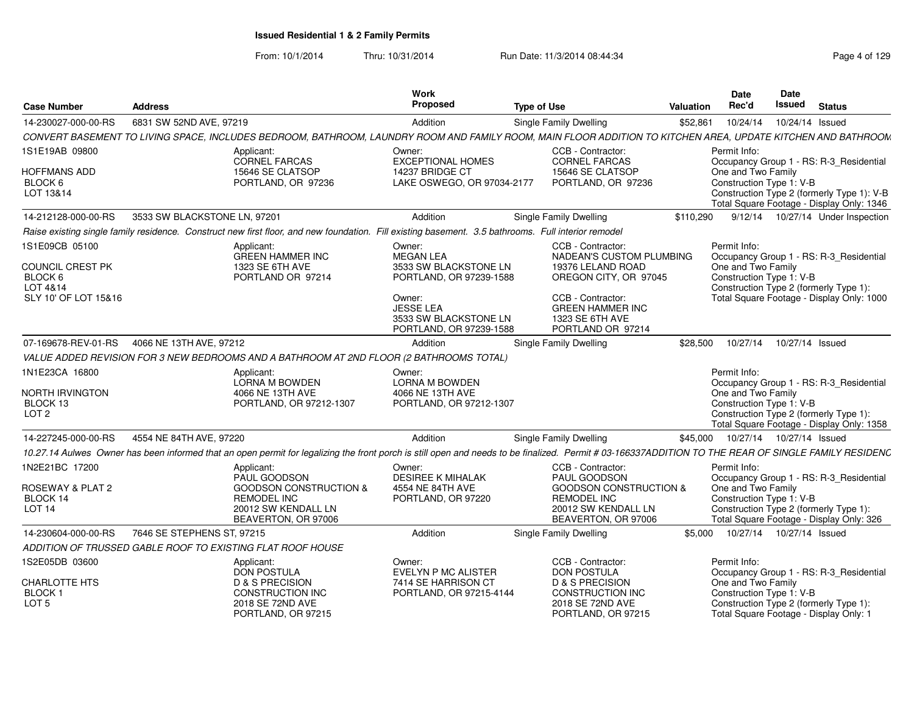|                                        |                                                                                                                                                     |                                             | Work                                                                           |                                                                                                                                                                                                     |           | Date                                           | <b>Date</b>                |                                                                                         |
|----------------------------------------|-----------------------------------------------------------------------------------------------------------------------------------------------------|---------------------------------------------|--------------------------------------------------------------------------------|-----------------------------------------------------------------------------------------------------------------------------------------------------------------------------------------------------|-----------|------------------------------------------------|----------------------------|-----------------------------------------------------------------------------------------|
| <b>Case Number</b>                     | <b>Address</b>                                                                                                                                      |                                             | Proposed                                                                       | <b>Type of Use</b>                                                                                                                                                                                  | Valuation | Rec'd                                          | Issued                     | <b>Status</b>                                                                           |
| 14-230027-000-00-RS                    | 6831 SW 52ND AVE, 97219                                                                                                                             |                                             | Addition                                                                       | <b>Single Family Dwelling</b>                                                                                                                                                                       | \$52,861  | 10/24/14                                       | 10/24/14 Issued            |                                                                                         |
|                                        |                                                                                                                                                     |                                             |                                                                                | CONVERT BASEMENT TO LIVING SPACE, INCLUDES BEDROOM, BATHROOM, LAUNDRY ROOM AND FAMILY ROOM, MAIN FLOOR ADDITION TO KITCHEN AREA, UPDATE KITCHEN AND BATHROOM                                        |           |                                                |                            |                                                                                         |
| 1S1E19AB 09800                         | Applicant:                                                                                                                                          | <b>CORNEL FARCAS</b>                        | Owner:<br><b>EXCEPTIONAL HOMES</b>                                             | CCB - Contractor:<br><b>CORNEL FARCAS</b>                                                                                                                                                           |           | Permit Info:                                   |                            | Occupancy Group 1 - RS: R-3_Residential                                                 |
| HOFFMANS ADD                           |                                                                                                                                                     | 15646 SE CLATSOP                            | 14237 BRIDGE CT                                                                | 15646 SE CLATSOP                                                                                                                                                                                    |           | One and Two Family                             |                            |                                                                                         |
| BLOCK 6<br>LOT 13&14                   |                                                                                                                                                     | PORTLAND, OR 97236                          | LAKE OSWEGO, OR 97034-2177                                                     | PORTLAND, OR 97236                                                                                                                                                                                  |           | Construction Type 1: V-B                       |                            | Construction Type 2 (formerly Type 1): V-B<br>Total Square Footage - Display Only: 1346 |
| 14-212128-000-00-RS                    | 3533 SW BLACKSTONE LN. 97201                                                                                                                        |                                             | Addition                                                                       | Single Family Dwelling                                                                                                                                                                              | \$110,290 |                                                |                            | 9/12/14  10/27/14  Under Inspection                                                     |
|                                        | Raise existing single family residence. Construct new first floor, and new foundation. Fill existing basement. 3.5 bathrooms. Full interior remodel |                                             |                                                                                |                                                                                                                                                                                                     |           |                                                |                            |                                                                                         |
| 1S1E09CB 05100                         | Applicant:                                                                                                                                          |                                             | Owner:                                                                         | CCB - Contractor:                                                                                                                                                                                   |           | Permit Info:                                   |                            |                                                                                         |
|                                        |                                                                                                                                                     | <b>GREEN HAMMER INC</b>                     | <b>MEGAN LEA</b>                                                               | NADEAN'S CUSTOM PLUMBING                                                                                                                                                                            |           |                                                |                            | Occupancy Group 1 - RS: R-3_Residential                                                 |
| COUNCIL CREST PK<br>BLOCK 6            |                                                                                                                                                     | 1323 SE 6TH AVE<br>PORTLAND OR 97214        | 3533 SW BLACKSTONE LN<br>PORTLAND, OR 97239-1588                               | 19376 LELAND ROAD<br>OREGON CITY, OR 97045                                                                                                                                                          |           | One and Two Family<br>Construction Type 1: V-B |                            |                                                                                         |
| LOT 4&14                               |                                                                                                                                                     |                                             |                                                                                |                                                                                                                                                                                                     |           |                                                |                            | Construction Type 2 (formerly Type 1):                                                  |
| SLY 10' OF LOT 15&16                   |                                                                                                                                                     |                                             | Owner:<br><b>JESSE LEA</b><br>3533 SW BLACKSTONE LN<br>PORTLAND, OR 97239-1588 | CCB - Contractor:<br><b>GREEN HAMMER INC</b><br>1323 SE 6TH AVE<br>PORTLAND OR 97214                                                                                                                |           |                                                |                            | Total Square Footage - Display Only: 1000                                               |
| 07-169678-REV-01-RS                    | 4066 NE 13TH AVE, 97212                                                                                                                             |                                             | Addition                                                                       | Single Family Dwelling                                                                                                                                                                              | \$28,500  | 10/27/14                                       | 10/27/14 Issued            |                                                                                         |
|                                        | VALUE ADDED REVISION FOR 3 NEW BEDROOMS AND A BATHROOM AT 2ND FLOOR (2 BATHROOMS TOTAL)                                                             |                                             |                                                                                |                                                                                                                                                                                                     |           |                                                |                            |                                                                                         |
| 1N1E23CA 16800                         | Applicant:                                                                                                                                          |                                             | Owner:                                                                         |                                                                                                                                                                                                     |           | Permit Info:                                   |                            |                                                                                         |
|                                        |                                                                                                                                                     | LORNA M BOWDEN                              | <b>LORNA M BOWDEN</b>                                                          |                                                                                                                                                                                                     |           |                                                |                            | Occupancy Group 1 - RS: R-3 Residential                                                 |
| <b>NORTH IRVINGTON</b>                 |                                                                                                                                                     | 4066 NE 13TH AVE                            | 4066 NE 13TH AVE                                                               |                                                                                                                                                                                                     |           | One and Two Family                             |                            |                                                                                         |
| BLOCK 13<br>LOT <sub>2</sub>           |                                                                                                                                                     | PORTLAND, OR 97212-1307                     | PORTLAND, OR 97212-1307                                                        |                                                                                                                                                                                                     |           | Construction Type 1: V-B                       |                            | Construction Type 2 (formerly Type 1):                                                  |
|                                        |                                                                                                                                                     |                                             |                                                                                |                                                                                                                                                                                                     |           |                                                |                            | Total Square Footage - Display Only: 1358                                               |
| 14-227245-000-00-RS                    | 4554 NE 84TH AVE, 97220                                                                                                                             |                                             | Addition                                                                       | Single Family Dwelling                                                                                                                                                                              |           | \$45,000  10/27/14  10/27/14  Issued           |                            |                                                                                         |
|                                        |                                                                                                                                                     |                                             |                                                                                | 10.27.14 Aulwes Owner has been informed that an open permit for legalizing the front porch is still open and needs to be finalized. Permit #03-166337ADDITION TO THE REAR OF SINGLE FAMILY RESIDENC |           |                                                |                            |                                                                                         |
| 1N2E21BC 17200                         | Applicant:                                                                                                                                          |                                             | Owner:                                                                         | CCB - Contractor:                                                                                                                                                                                   |           | Permit Info:                                   |                            |                                                                                         |
|                                        |                                                                                                                                                     | PAUL GOODSON                                | <b>DESIREE K MIHALAK</b>                                                       | PAUL GOODSON                                                                                                                                                                                        |           |                                                |                            | Occupancy Group 1 - RS: R-3_Residential                                                 |
| ROSEWAY & PLAT 2<br>BLOCK 14           |                                                                                                                                                     | <b>GOODSON CONSTRUCTION &amp;</b>           | 4554 NE 84TH AVE                                                               | <b>GOODSON CONSTRUCTION &amp;</b>                                                                                                                                                                   |           | One and Two Family                             |                            |                                                                                         |
| <b>LOT 14</b>                          |                                                                                                                                                     | <b>REMODEL INC</b><br>20012 SW KENDALL LN   | PORTLAND, OR 97220                                                             | <b>REMODEL INC</b><br>20012 SW KENDALL LN                                                                                                                                                           |           | Construction Type 1: V-B                       |                            | Construction Type 2 (formerly Type 1):                                                  |
|                                        |                                                                                                                                                     | BEAVERTON, OR 97006                         |                                                                                | BEAVERTON, OR 97006                                                                                                                                                                                 |           |                                                |                            | Total Square Footage - Display Only: 326                                                |
| 14-230604-000-00-RS                    | 7646 SE STEPHENS ST, 97215                                                                                                                          |                                             | Addition                                                                       | Single Family Dwelling                                                                                                                                                                              | \$5.000   |                                                | 10/27/14  10/27/14  Issued |                                                                                         |
|                                        | ADDITION OF TRUSSED GABLE ROOF TO EXISTING FLAT ROOF HOUSE                                                                                          |                                             |                                                                                |                                                                                                                                                                                                     |           |                                                |                            |                                                                                         |
| 1S2E05DB 03600                         | Applicant:                                                                                                                                          |                                             | Owner:                                                                         | CCB - Contractor:                                                                                                                                                                                   |           | Permit Info:                                   |                            |                                                                                         |
|                                        |                                                                                                                                                     | <b>DON POSTULA</b>                          | EVELYN P MC ALISTER                                                            | <b>DON POSTULA</b>                                                                                                                                                                                  |           |                                                |                            | Occupancy Group 1 - RS: R-3_Residential                                                 |
| <b>CHARLOTTE HTS</b>                   |                                                                                                                                                     | <b>D &amp; S PRECISION</b>                  | 7414 SE HARRISON CT                                                            | <b>D &amp; S PRECISION</b>                                                                                                                                                                          |           | One and Two Family                             |                            |                                                                                         |
| BLOCK <sub>1</sub><br>LOT <sub>5</sub> |                                                                                                                                                     | <b>CONSTRUCTION INC</b><br>2018 SE 72ND AVE | PORTLAND, OR 97215-4144                                                        | <b>CONSTRUCTION INC</b><br>2018 SE 72ND AVE                                                                                                                                                         |           | Construction Type 1: V-B                       |                            | Construction Type 2 (formerly Type 1):                                                  |
|                                        |                                                                                                                                                     | PORTLAND, OR 97215                          |                                                                                | PORTLAND, OR 97215                                                                                                                                                                                  |           |                                                |                            | Total Square Footage - Display Only: 1                                                  |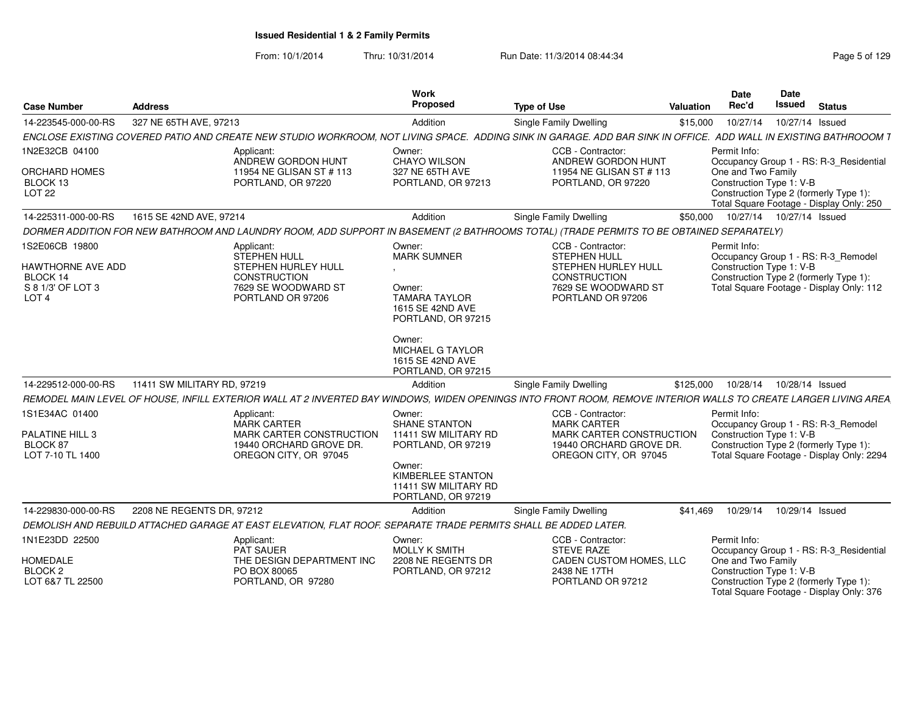| <b>Case Number</b>                                                                       | <b>Address</b>                                                                                                                                                   | <b>Work</b><br>Proposed                                                                                                                                                                 | <b>Type of Use</b>                                                                                                                 | <b>Valuation</b> | <b>Date</b><br>Rec'd                                           | Date<br><b>Issued</b>      | <b>Status</b>                                                                                                                 |
|------------------------------------------------------------------------------------------|------------------------------------------------------------------------------------------------------------------------------------------------------------------|-----------------------------------------------------------------------------------------------------------------------------------------------------------------------------------------|------------------------------------------------------------------------------------------------------------------------------------|------------------|----------------------------------------------------------------|----------------------------|-------------------------------------------------------------------------------------------------------------------------------|
| 14-223545-000-00-RS                                                                      | 327 NE 65TH AVE, 97213                                                                                                                                           | Addition                                                                                                                                                                                | Single Family Dwelling                                                                                                             | \$15,000         | 10/27/14                                                       | 10/27/14 Issued            |                                                                                                                               |
|                                                                                          | ENCLOSE EXISTING COVERED PATIO AND CREATE NEW STUDIO WORKROOM. NOT LIVING SPACE. ADDING SINK IN GARAGE. ADD BAR SINK IN OFFICE. ADD WALL IN EXISTING BATHROOOM T |                                                                                                                                                                                         |                                                                                                                                    |                  |                                                                |                            |                                                                                                                               |
| 1N2E32CB 04100<br><b>ORCHARD HOMES</b><br>BLOCK 13<br><b>LOT 22</b>                      | Applicant:<br>ANDREW GORDON HUNT<br>11954 NE GLISAN ST # 113<br>PORTLAND, OR 97220                                                                               | Owner:<br><b>CHAYO WILSON</b><br>327 NE 65TH AVE<br>PORTLAND, OR 97213                                                                                                                  | <b>CCB - Contractor</b><br>ANDREW GORDON HUNT<br>11954 NE GLISAN ST # 113<br>PORTLAND, OR 97220                                    |                  | Permit Info:<br>One and Two Family<br>Construction Type 1: V-B |                            | Occupancy Group 1 - RS: R-3 Residential<br>Construction Type 2 (formerly Type 1):<br>Total Square Footage - Display Only: 250 |
| 14-225311-000-00-RS                                                                      | 1615 SE 42ND AVE, 97214                                                                                                                                          | Addition                                                                                                                                                                                | Single Family Dwelling                                                                                                             | \$50,000         |                                                                | 10/27/14  10/27/14  Issued |                                                                                                                               |
|                                                                                          | DORMER ADDITION FOR NEW BATHROOM AND LAUNDRY ROOM, ADD SUPPORT IN BASEMENT (2 BATHROOMS TOTAL) (TRADE PERMITS TO BE OBTAINED SEPARATELY)                         |                                                                                                                                                                                         |                                                                                                                                    |                  |                                                                |                            |                                                                                                                               |
| 1S2E06CB 19800<br>HAWTHORNE AVE ADD<br>BLOCK 14<br>S 8 1/3' OF LOT 3<br>LOT <sub>4</sub> | Applicant:<br>STEPHEN HULL<br>STEPHEN HURLEY HULL<br><b>CONSTRUCTION</b><br>7629 SE WOODWARD ST<br>PORTLAND OR 97206                                             | Owner:<br><b>MARK SUMNER</b><br>Owner:<br><b>TAMARA TAYLOR</b><br>1615 SE 42ND AVE<br>PORTLAND, OR 97215<br>Owner:<br><b>MICHAEL G TAYLOR</b><br>1615 SE 42ND AVE<br>PORTLAND, OR 97215 | CCB - Contractor:<br><b>STEPHEN HULL</b><br><b>STEPHEN HURLEY HULL</b><br>CONSTRUCTION<br>7629 SE WOODWARD ST<br>PORTLAND OR 97206 |                  | Permit Info:<br>Construction Type 1: V-B                       |                            | Occupancy Group 1 - RS: R-3 Remodel<br>Construction Type 2 (formerly Type 1):<br>Total Square Footage - Display Only: 112     |
| 14-229512-000-00-RS                                                                      | 11411 SW MILITARY RD, 97219                                                                                                                                      | Addition                                                                                                                                                                                | Single Family Dwelling                                                                                                             | \$125,000        | 10/28/14                                                       | 10/28/14 Issued            |                                                                                                                               |
|                                                                                          | REMODEL MAIN LEVEL OF HOUSE, INFILL EXTERIOR WALL AT 2 INVERTED BAY WINDOWS, WIDEN OPENINGS INTO FRONT ROOM, REMOVE INTERIOR WALLS TO CREATE LARGER LIVING AREA  |                                                                                                                                                                                         |                                                                                                                                    |                  |                                                                |                            |                                                                                                                               |
| 1S1E34AC 01400<br>PALATINE HILL 3<br>BLOCK 87<br>LOT 7-10 TL 1400                        | Applicant:<br><b>MARK CARTER</b><br>MARK CARTER CONSTRUCTION<br>19440 ORCHARD GROVE DR.<br>OREGON CITY, OR 97045                                                 | Owner:<br><b>SHANE STANTON</b><br>11411 SW MILITARY RD<br>PORTLAND, OR 97219<br>Owner:<br><b>KIMBERLEE STANTON</b><br>11411 SW MILITARY RD<br>PORTLAND, OR 97219                        | CCB - Contractor:<br><b>MARK CARTER</b><br>MARK CARTER CONSTRUCTION<br>19440 ORCHARD GROVE DR.<br>OREGON CITY, OR 97045            |                  | Permit Info:<br>Construction Type 1: V-B                       |                            | Occupancy Group 1 - RS: R-3_Remodel<br>Construction Type 2 (formerly Type 1):<br>Total Square Footage - Display Only: 2294    |
| 14-229830-000-00-RS                                                                      | 2208 NE REGENTS DR. 97212                                                                                                                                        | Addition                                                                                                                                                                                | Single Family Dwelling                                                                                                             | \$41.469         | 10/29/14                                                       | 10/29/14 Issued            |                                                                                                                               |
|                                                                                          | DEMOLISH AND REBUILD ATTACHED GARAGE AT EAST ELEVATION. FLAT ROOF. SEPARATE TRADE PERMITS SHALL BE ADDED LATER.                                                  |                                                                                                                                                                                         |                                                                                                                                    |                  |                                                                |                            |                                                                                                                               |
| 1N1E23DD 22500<br><b>HOMEDALE</b><br>BLOCK <sub>2</sub><br>LOT 6&7 TL 22500              | Applicant:<br><b>PAT SAUER</b><br>THE DESIGN DEPARTMENT INC<br>PO BOX 80065<br>PORTLAND, OR 97280                                                                | Owner:<br>MOLLY K SMITH<br>2208 NE REGENTS DR<br>PORTLAND, OR 97212                                                                                                                     | CCB - Contractor:<br><b>STEVE RAZE</b><br>CADEN CUSTOM HOMES, LLC<br>2438 NE 17TH<br>PORTLAND OR 97212                             |                  | Permit Info:<br>One and Two Family<br>Construction Type 1: V-B |                            | Occupancy Group 1 - RS: R-3_Residential<br>Construction Type 2 (formerly Type 1):<br>Total Square Footage - Display Only: 376 |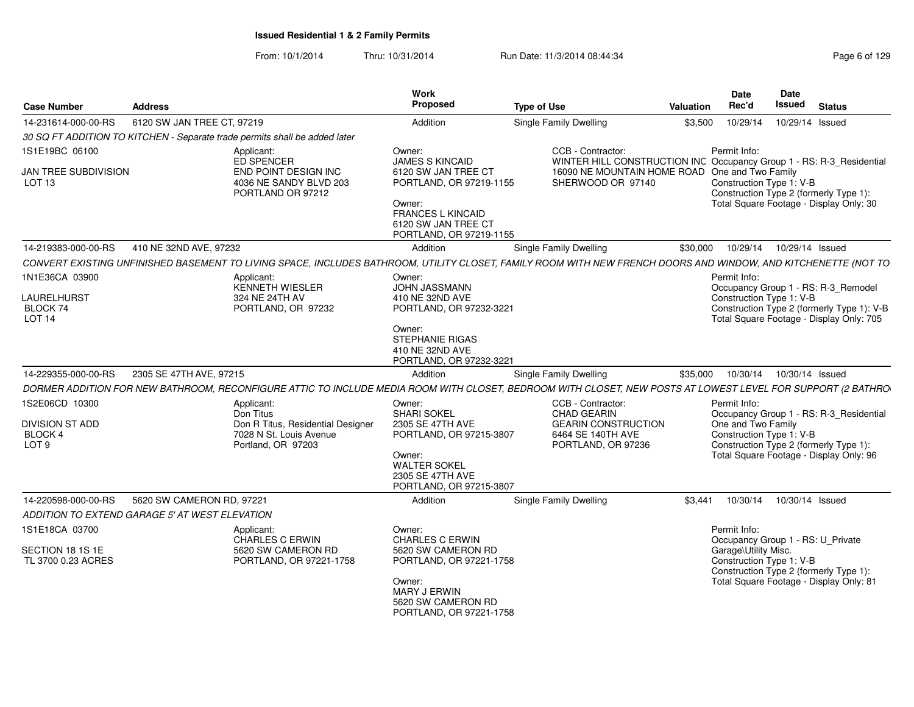|                                                                   |                                                |                                                                                                                                                                | Work                                                                                                                            |                                                                                           |           | <b>Date</b>                                                                                                                 | Date          |                                            |
|-------------------------------------------------------------------|------------------------------------------------|----------------------------------------------------------------------------------------------------------------------------------------------------------------|---------------------------------------------------------------------------------------------------------------------------------|-------------------------------------------------------------------------------------------|-----------|-----------------------------------------------------------------------------------------------------------------------------|---------------|--------------------------------------------|
| <b>Case Number</b>                                                | <b>Address</b>                                 |                                                                                                                                                                | Proposed                                                                                                                        | <b>Type of Use</b>                                                                        | Valuation | Rec'd                                                                                                                       | <b>Issued</b> | <b>Status</b>                              |
| 14-231614-000-00-RS                                               | 6120 SW JAN TREE CT, 97219                     |                                                                                                                                                                | Addition                                                                                                                        | Single Family Dwelling                                                                    | \$3,500   | 10/29/14  10/29/14  Issued                                                                                                  |               |                                            |
|                                                                   |                                                | 30 SQ FT ADDITION TO KITCHEN - Separate trade permits shall be added later                                                                                     |                                                                                                                                 |                                                                                           |           |                                                                                                                             |               |                                            |
| 1S1E19BC 06100                                                    |                                                | Applicant:<br>ED SPENCER                                                                                                                                       | Owner:<br><b>JAMES S KINCAID</b>                                                                                                | CCB - Contractor:<br>WINTER HILL CONSTRUCTION INC Occupancy Group 1 - RS: R-3_Residential |           | Permit Info:                                                                                                                |               |                                            |
| JAN TREE SUBDIVISION<br>LOT <sub>13</sub>                         |                                                | END POINT DESIGN INC<br>4036 NE SANDY BLVD 203<br>PORTLAND OR 97212                                                                                            | 6120 SW JAN TREE CT<br>PORTLAND, OR 97219-1155<br>Owner:<br>FRANCES L KINCAID<br>6120 SW JAN TREE CT<br>PORTLAND, OR 97219-1155 | 16090 NE MOUNTAIN HOME ROAD One and Two Family<br>SHERWOOD OR 97140                       |           | Construction Type 1: V-B<br>Construction Type 2 (formerly Type 1):<br>Total Square Footage - Display Only: 30               |               |                                            |
|                                                                   | 14-219383-000-00-RS 410 NE 32ND AVE, 97232     |                                                                                                                                                                | Addition                                                                                                                        | <b>Single Family Dwelling</b>                                                             |           | \$30,000  10/29/14  10/29/14  Issued                                                                                        |               |                                            |
|                                                                   |                                                | CONVERT EXISTING UNFINISHED BASEMENT TO LIVING SPACE, INCLUDES BATHROOM, UTILITY CLOSET, FAMILY ROOM WITH NEW FRENCH DOORS AND WINDOW, AND KITCHENETTE (NOT TO |                                                                                                                                 |                                                                                           |           |                                                                                                                             |               |                                            |
| 1N1E36CA 03900<br><b>LAURELHURST</b><br>BLOCK 74<br><b>LOT 14</b> |                                                | Applicant:<br>KENNETH WIESLER<br>324 NE 24TH AV<br>PORTLAND, OR 97232                                                                                          | Owner:<br>JOHN JASSMANN<br>410 NE 32ND AVE<br>PORTLAND, OR 97232-3221                                                           |                                                                                           |           | Permit Info:<br>Occupancy Group 1 - RS: R-3_Remodel<br>Construction Type 1: V-B<br>Total Square Footage - Display Only: 705 |               | Construction Type 2 (formerly Type 1): V-B |
|                                                                   |                                                |                                                                                                                                                                | Owner:<br>STEPHANIE RIGAS<br>410 NE 32ND AVE<br>PORTLAND, OR 97232-3221                                                         |                                                                                           |           |                                                                                                                             |               |                                            |
|                                                                   | 14-229355-000-00-RS 2305 SE 47TH AVE, 97215    |                                                                                                                                                                | Addition                                                                                                                        | <b>Single Family Dwelling</b>                                                             | \$35,000  | 10/30/14  10/30/14  Issued                                                                                                  |               |                                            |
|                                                                   |                                                | DORMER ADDITION FOR NEW BATHROOM, RECONFIGURE ATTIC TO INCLUDE MEDIA ROOM WITH CLOSET, BEDROOM WITH CLOSET, NEW POSTS AT LOWEST LEVEL FOR SUPPORT (2 BATHRO    |                                                                                                                                 |                                                                                           |           |                                                                                                                             |               |                                            |
| 1S2E06CD 10300<br><b>DIVISION ST ADD</b>                          |                                                | Applicant:<br>Don Titus                                                                                                                                        | Owner:<br><b>SHARI SOKEL</b><br>2305 SE 47TH AVE                                                                                | CCB - Contractor:<br><b>CHAD GEARIN</b><br><b>GEARIN CONSTRUCTION</b>                     |           | Permit Info:<br>One and Two Family                                                                                          |               | Occupancy Group 1 - RS: R-3_Residential    |
| BLOCK 4<br>LOT <sub>9</sub>                                       |                                                | Don R Titus, Residential Designer<br>7028 N St. Louis Avenue<br>Portland, OR 97203                                                                             | PORTLAND, OR 97215-3807<br>Owner:<br><b>WALTER SOKEL</b><br>2305 SE 47TH AVE<br>PORTLAND, OR 97215-3807                         | 6464 SE 140TH AVE<br>PORTLAND, OR 97236                                                   |           | Construction Type 1: V-B<br>Construction Type 2 (formerly Type 1):<br>Total Square Footage - Display Only: 96               |               |                                            |
|                                                                   | 14-220598-000-00-RS 5620 SW CAMERON RD. 97221  |                                                                                                                                                                | Addition                                                                                                                        | Single Family Dwelling                                                                    | \$3.441   | 10/30/14  10/30/14  Issued                                                                                                  |               |                                            |
|                                                                   | ADDITION TO EXTEND GARAGE 5' AT WEST ELEVATION |                                                                                                                                                                |                                                                                                                                 |                                                                                           |           |                                                                                                                             |               |                                            |
| 1S1E18CA 03700<br>SECTION 18 1S 1E<br>TL 3700 0.23 ACRES          |                                                | Applicant:<br>CHARLES C ERWIN<br>5620 SW CAMERON RD<br>PORTLAND, OR 97221-1758                                                                                 | Owner:<br>CHARLES C ERWIN<br>5620 SW CAMERON RD<br>PORTLAND, OR 97221-1758                                                      |                                                                                           |           | Permit Info:<br>Occupancy Group 1 - RS: U_Private<br>Garage\Utility Misc.<br>Construction Type 1: V-B                       |               |                                            |
|                                                                   |                                                |                                                                                                                                                                | Owner:<br>MARY J ERWIN<br>5620 SW CAMERON RD<br>PORTLAND, OR 97221-1758                                                         |                                                                                           |           | Construction Type 2 (formerly Type 1):<br>Total Square Footage - Display Only: 81                                           |               |                                            |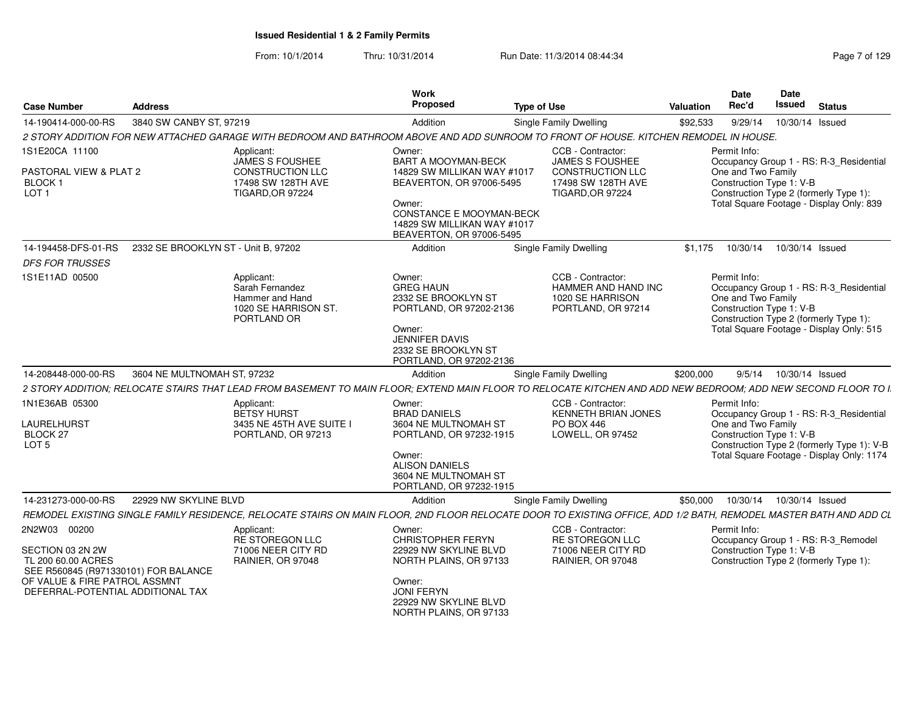| <b>Status</b>                                                                                                                                                     |
|-------------------------------------------------------------------------------------------------------------------------------------------------------------------|
| 10/30/14 Issued                                                                                                                                                   |
|                                                                                                                                                                   |
| Occupancy Group 1 - RS: R-3_Residential                                                                                                                           |
| Construction Type 2 (formerly Type 1):                                                                                                                            |
| Total Square Footage - Display Only: 839                                                                                                                          |
| 10/30/14 Issued                                                                                                                                                   |
| Occupancy Group 1 - RS: R-3_Residential<br>Construction Type 2 (formerly Type 1):<br>Total Square Footage - Display Only: 515                                     |
| 9/5/14  10/30/14  Issued                                                                                                                                          |
| 2 STORY ADDITION: RELOCATE STAIRS THAT LEAD FROM BASEMENT TO MAIN FLOOR: EXTEND MAIN FLOOR TO RELOCATE KITCHEN AND ADD NEW BEDROOM: ADD NEW SECOND FLOOR TO I.    |
| Occupancy Group 1 - RS: R-3_Residential<br>Construction Type 2 (formerly Type 1): V-B<br>Total Square Footage - Display Only: 1174                                |
| 10/30/14  10/30/14  Issued                                                                                                                                        |
| REMODEL EXISTING SINGLE FAMILY RESIDENCE, RELOCATE STAIRS ON MAIN FLOOR, 2ND FLOOR RELOCATE DOOR TO EXISTING OFFICE, ADD 1/2 BATH, REMODEL MASTER BATH AND ADD CL |
| Occupancy Group 1 - RS: R-3_Remodel<br>Construction Type 2 (formerly Type 1):                                                                                     |
|                                                                                                                                                                   |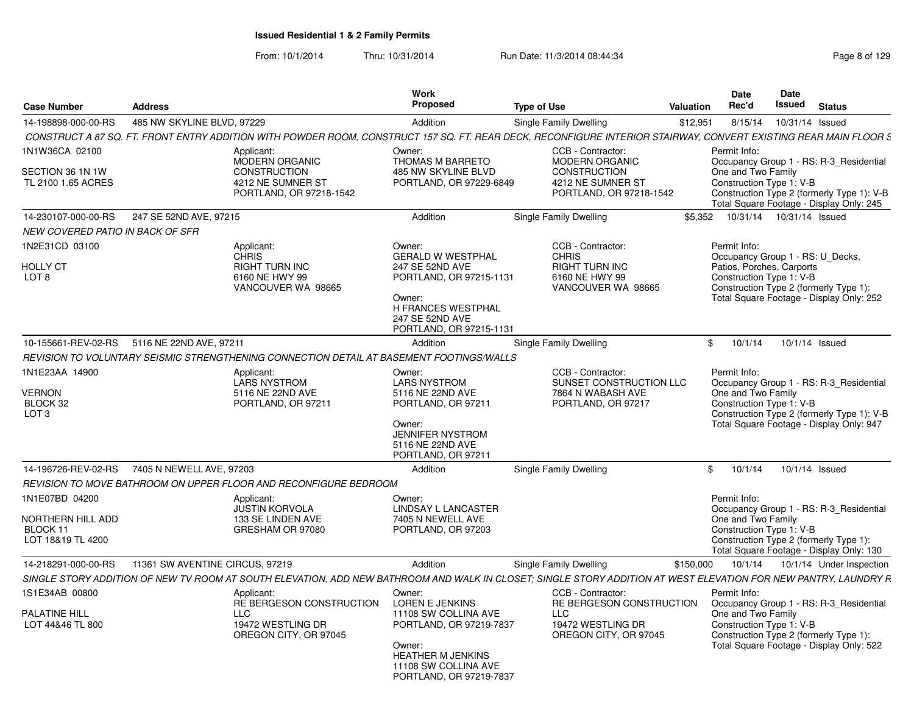| <b>Case Number</b>                                       | <b>Address</b>                                                                                                                                                   | Work<br><b>Proposed</b>                                                      | <b>Type of Use</b>                                                                     | <b>Valuation</b> | <b>Date</b><br>Rec'd                                                                                      | <b>Date</b><br>Issued | <b>Status</b>            |
|----------------------------------------------------------|------------------------------------------------------------------------------------------------------------------------------------------------------------------|------------------------------------------------------------------------------|----------------------------------------------------------------------------------------|------------------|-----------------------------------------------------------------------------------------------------------|-----------------------|--------------------------|
| 14-198898-000-00-RS                                      | 485 NW SKYLINE BLVD, 97229                                                                                                                                       | Addition                                                                     | Single Family Dwelling                                                                 | \$12,951         | 8/15/14                                                                                                   | 10/31/14 Issued       |                          |
|                                                          | CONSTRUCT A 87 SQ. FT. FRONT ENTRY ADDITION WITH POWDER ROOM, CONSTRUCT 157 SQ. FT. REAR DECK, RECONFIGURE INTERIOR STAIRWAY, CONVERT EXISTING REAR MAIN FLOOR S |                                                                              |                                                                                        |                  |                                                                                                           |                       |                          |
| 1N1W36CA 02100<br>SECTION 36 1N 1W<br>TL 2100 1.65 ACRES | Applicant:<br>MODERN ORGANIC<br><b>CONSTRUCTION</b><br>4212 NE SUMNER ST                                                                                         | Owner:<br>THOMAS M BARRETO<br>485 NW SKYLINE BLVD<br>PORTLAND, OR 97229-6849 | CCB - Contractor:<br><b>MODERN ORGANIC</b><br><b>CONSTRUCTION</b><br>4212 NE SUMNER ST |                  | Permit Info:<br>Occupancy Group 1 - RS: R-3 Residential<br>One and Two Family<br>Construction Type 1: V-B |                       |                          |
|                                                          | PORTLAND, OR 97218-1542                                                                                                                                          |                                                                              | PORTLAND, OR 97218-1542                                                                |                  | Construction Type 2 (formerly Type 1): V-B<br>Total Square Footage - Display Only: 245                    |                       |                          |
| 14-230107-000-00-RS                                      | 247 SE 52ND AVE, 97215                                                                                                                                           | Addition                                                                     | Single Family Dwelling                                                                 | \$5.352          | 10/31/14  10/31/14  Issued                                                                                |                       |                          |
| <b>NEW COVERED PATIO IN BACK OF SFR</b>                  |                                                                                                                                                                  |                                                                              |                                                                                        |                  |                                                                                                           |                       |                          |
| 1N2E31CD 03100                                           | Applicant:                                                                                                                                                       | Owner:                                                                       | CCB - Contractor:                                                                      |                  | Permit Info:                                                                                              |                       |                          |
| HOLLY CT                                                 | CHRIS<br><b>RIGHT TURN INC</b>                                                                                                                                   | <b>GERALD W WESTPHAL</b><br>247 SE 52ND AVE                                  | <b>CHRIS</b><br><b>RIGHT TURN INC</b>                                                  |                  | Occupancy Group 1 - RS: U_Decks,<br>Patios, Porches, Carports                                             |                       |                          |
| LOT 8                                                    | 6160 NE HWY 99                                                                                                                                                   | PORTLAND, OR 97215-1131                                                      | 6160 NE HWY 99                                                                         |                  | Construction Type 1: V-B                                                                                  |                       |                          |
|                                                          | VANCOUVER WA 98665                                                                                                                                               | Owner:                                                                       | VANCOUVER WA 98665                                                                     |                  | Construction Type 2 (formerly Type 1):<br>Total Square Footage - Display Only: 252                        |                       |                          |
|                                                          |                                                                                                                                                                  | H FRANCES WESTPHAL                                                           |                                                                                        |                  |                                                                                                           |                       |                          |
|                                                          |                                                                                                                                                                  | 247 SE 52ND AVE<br>PORTLAND, OR 97215-1131                                   |                                                                                        |                  |                                                                                                           |                       |                          |
|                                                          | 10-155661-REV-02-RS 5116 NE 22ND AVE, 97211                                                                                                                      | Addition                                                                     | Single Family Dwelling                                                                 | \$               | 10/1/14                                                                                                   | 10/1/14 Issued        |                          |
|                                                          | REVISION TO VOLUNTARY SEISMIC STRENGTHENING CONNECTION DETAIL AT BASEMENT FOOTINGS/WALLS                                                                         |                                                                              |                                                                                        |                  |                                                                                                           |                       |                          |
| 1N1E23AA 14900                                           | Applicant:                                                                                                                                                       | Owner:                                                                       | CCB - Contractor:                                                                      |                  | Permit Info:                                                                                              |                       |                          |
| <b>VERNON</b>                                            | LARS NYSTROM<br>5116 NE 22ND AVE                                                                                                                                 | <b>LARS NYSTROM</b><br>5116 NE 22ND AVE                                      | SUNSET CONSTRUCTION LLC<br>7864 N WABASH AVE                                           |                  | Occupancy Group 1 - RS: R-3_Residential<br>One and Two Family                                             |                       |                          |
| BLOCK 32                                                 | PORTLAND, OR 97211                                                                                                                                               | PORTLAND, OR 97211                                                           | PORTLAND, OR 97217                                                                     |                  | Construction Type 1: V-B                                                                                  |                       |                          |
| LOT <sub>3</sub>                                         |                                                                                                                                                                  | Owner:                                                                       |                                                                                        |                  | Construction Type 2 (formerly Type 1): V-B<br>Total Square Footage - Display Only: 947                    |                       |                          |
|                                                          |                                                                                                                                                                  | JENNIFER NYSTROM                                                             |                                                                                        |                  |                                                                                                           |                       |                          |
|                                                          |                                                                                                                                                                  | 5116 NE 22ND AVE                                                             |                                                                                        |                  |                                                                                                           |                       |                          |
| 14-196726-REV-02-RS                                      | 7405 N NEWELL AVE, 97203                                                                                                                                         | PORTLAND, OR 97211<br>Addition                                               | Single Family Dwelling                                                                 | \$               | 10/1/14                                                                                                   | 10/1/14 Issued        |                          |
|                                                          | REVISION TO MOVE BATHROOM ON UPPER FLOOR AND RECONFIGURE BEDROOM                                                                                                 |                                                                              |                                                                                        |                  |                                                                                                           |                       |                          |
| 1N1E07BD 04200                                           | Applicant:                                                                                                                                                       | Owner:                                                                       |                                                                                        |                  | Permit Info:                                                                                              |                       |                          |
|                                                          | <b>JUSTIN KORVOLA</b>                                                                                                                                            | LINDSAY L LANCASTER                                                          |                                                                                        |                  | Occupancy Group 1 - RS: R-3_Residential                                                                   |                       |                          |
| NORTHERN HILL ADD                                        | 133 SE LINDEN AVE                                                                                                                                                | 7405 N NEWELL AVE                                                            |                                                                                        |                  | One and Two Family                                                                                        |                       |                          |
| BLOCK 11<br>LOT 18&19 TL 4200                            | GRESHAM OR 97080                                                                                                                                                 | PORTLAND, OR 97203                                                           |                                                                                        |                  | Construction Type 1: V-B<br>Construction Type 2 (formerly Type 1):                                        |                       |                          |
|                                                          |                                                                                                                                                                  |                                                                              |                                                                                        |                  | Total Square Footage - Display Only: 130                                                                  |                       |                          |
| 14-218291-000-00-RS                                      | 11361 SW AVENTINE CIRCUS, 97219                                                                                                                                  | Addition                                                                     | Single Family Dwelling                                                                 | \$150,000        | 10/1/14                                                                                                   |                       | 10/1/14 Under Inspection |
|                                                          | SINGLE STORY ADDITION OF NEW TV ROOM AT SOUTH ELEVATION. ADD NEW BATHROOM AND WALK IN CLOSET: SINGLE STORY ADDITION AT WEST ELEVATION FOR NEW PANTRY, LAUNDRY R  |                                                                              |                                                                                        |                  |                                                                                                           |                       |                          |
| 1S1E34AB 00800                                           | Applicant:<br>RE BERGESON CONSTRUCTION                                                                                                                           | Owner:<br>LOREN E JENKINS                                                    | CCB - Contractor:<br>RE BERGESON CONSTRUCTION                                          |                  | Permit Info:                                                                                              |                       |                          |
| <b>PALATINE HILL</b>                                     | LLC                                                                                                                                                              | 11108 SW COLLINA AVE                                                         | LLC                                                                                    |                  | Occupancy Group 1 - RS: R-3_Residential<br>One and Two Family                                             |                       |                          |
| LOT 44&46 TL 800                                         | 19472 WESTLING DR                                                                                                                                                | PORTLAND, OR 97219-7837                                                      | 19472 WESTLING DR                                                                      |                  | Construction Type 1: V-B                                                                                  |                       |                          |
|                                                          | OREGON CITY, OR 97045                                                                                                                                            | Owner:                                                                       | OREGON CITY, OR 97045                                                                  |                  | Construction Type 2 (formerly Type 1):<br>Total Square Footage - Display Only: 522                        |                       |                          |
|                                                          |                                                                                                                                                                  | <b>HEATHER M JENKINS</b>                                                     |                                                                                        |                  |                                                                                                           |                       |                          |
|                                                          |                                                                                                                                                                  | 11108 SW COLLINA AVE<br>PORTLAND, OR 97219-7837                              |                                                                                        |                  |                                                                                                           |                       |                          |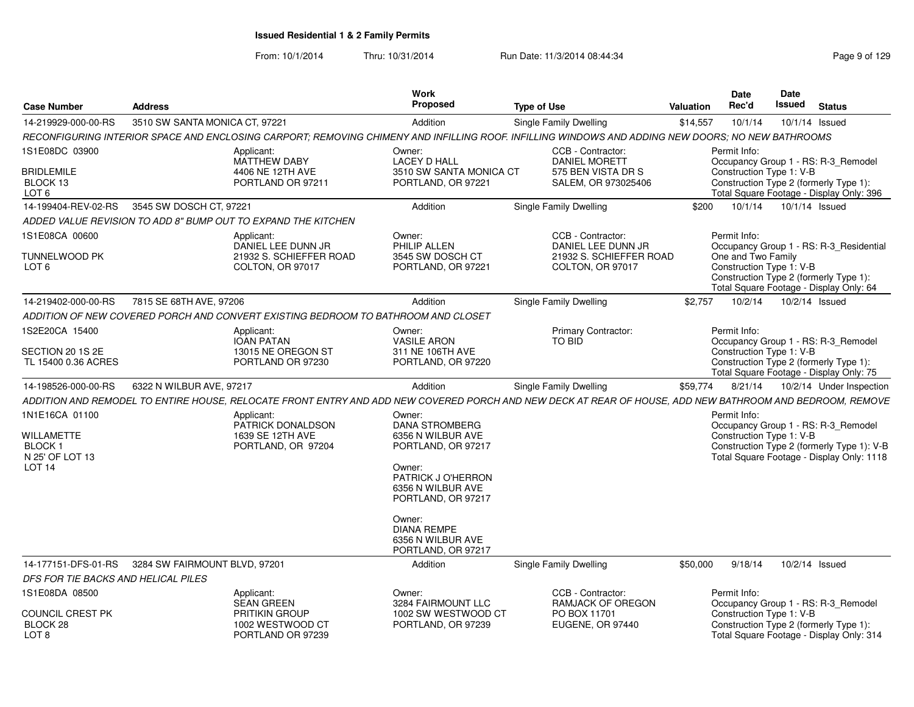| <b>Case Number</b>                                      | <b>Address</b>                 |                                                                                   | Work<br>Proposed                                                        | <b>Type of Use</b>                                                                                                                                       | Valuation | Date<br>Rec'd                                                                                                                       | <b>Date</b><br>Issued    | <b>Status</b> |  |
|---------------------------------------------------------|--------------------------------|-----------------------------------------------------------------------------------|-------------------------------------------------------------------------|----------------------------------------------------------------------------------------------------------------------------------------------------------|-----------|-------------------------------------------------------------------------------------------------------------------------------------|--------------------------|---------------|--|
| 14-219929-000-00-RS                                     | 3510 SW SANTA MONICA CT, 97221 |                                                                                   | Addition                                                                | Single Family Dwelling                                                                                                                                   | \$14,557  | 10/1/14                                                                                                                             | 10/1/14 Issued           |               |  |
|                                                         |                                |                                                                                   |                                                                         | RECONFIGURING INTERIOR SPACE AND ENCLOSING CARPORT; REMOVING CHIMENY AND INFILLING ROOF. INFILLING WINDOWS AND ADDING NEW DOORS; NO NEW BATHROOMS        |           |                                                                                                                                     |                          |               |  |
| 1S1E08DC 03900                                          |                                | Applicant:<br><b>MATTHEW DABY</b>                                                 | Owner:<br><b>LACEY D HALL</b>                                           | CCB - Contractor:<br><b>DANIEL MORETT</b>                                                                                                                |           | Permit Info:<br>Occupancy Group 1 - RS: R-3_Remodel                                                                                 |                          |               |  |
| <b>BRIDLEMILE</b><br>BLOCK 13<br>LOT <sub>6</sub>       |                                | 4406 NE 12TH AVE<br>PORTLAND OR 97211                                             | 3510 SW SANTA MONICA CT<br>PORTLAND, OR 97221                           | 575 BEN VISTA DR S<br>SALEM. OR 973025406                                                                                                                |           | Construction Type 1: V-B<br>Construction Type 2 (formerly Type 1):<br>Total Square Footage - Display Only: 396                      |                          |               |  |
| 14-199404-REV-02-RS                                     | 3545 SW DOSCH CT, 97221        |                                                                                   | Addition                                                                | <b>Single Family Dwelling</b>                                                                                                                            | \$200     | 10/1/14                                                                                                                             | 10/1/14 Issued           |               |  |
|                                                         |                                | ADDED VALUE REVISION TO ADD 8" BUMP OUT TO EXPAND THE KITCHEN                     |                                                                         |                                                                                                                                                          |           |                                                                                                                                     |                          |               |  |
| 1S1E08CA 00600                                          |                                | Applicant:<br>DANIEL LEE DUNN JR                                                  | Owner:<br>PHILIP ALLEN                                                  | CCB - Contractor:<br>DANIEL LEE DUNN JR                                                                                                                  |           | Permit Info:<br>Occupancy Group 1 - RS: R-3 Residential                                                                             |                          |               |  |
| TUNNELWOOD PK<br>LOT <sub>6</sub>                       |                                | 21932 S. SCHIEFFER ROAD<br>COLTON, OR 97017                                       | 3545 SW DOSCH CT<br>PORTLAND, OR 97221                                  | 21932 S. SCHIEFFER ROAD<br>COLTON, OR 97017                                                                                                              |           | One and Two Family<br>Construction Type 1: V-B<br>Construction Type 2 (formerly Type 1):<br>Total Square Footage - Display Only: 64 |                          |               |  |
| 14-219402-000-00-RS                                     | 7815 SE 68TH AVE, 97206        |                                                                                   | Addition                                                                | <b>Single Family Dwelling</b>                                                                                                                            | \$2.757   | 10/2/14                                                                                                                             | 10/2/14 Issued           |               |  |
|                                                         |                                | ADDITION OF NEW COVERED PORCH AND CONVERT EXISTING BEDROOM TO BATHROOM AND CLOSET |                                                                         |                                                                                                                                                          |           |                                                                                                                                     |                          |               |  |
| 1S2E20CA 15400                                          |                                | Applicant:<br>IOAN PATAN                                                          | Owner:<br>VASILE ARON                                                   | <b>Primary Contractor:</b><br>TO BID                                                                                                                     |           | Permit Info:<br>Occupancy Group 1 - RS: R-3_Remodel                                                                                 |                          |               |  |
| SECTION 20 1S 2E<br>TL 15400 0.36 ACRES                 |                                | 13015 NE OREGON ST<br>PORTLAND OR 97230                                           | 311 NE 106TH AVE<br>PORTLAND, OR 97220                                  |                                                                                                                                                          |           | Construction Type 1: V-B<br>Construction Type 2 (formerly Type 1):<br>Total Square Footage - Display Only: 75                       |                          |               |  |
| 14-198526-000-00-RS                                     | 6322 N WILBUR AVE, 97217       |                                                                                   | Addition                                                                | <b>Single Family Dwelling</b>                                                                                                                            | \$59,774  | 8/21/14                                                                                                                             | 10/2/14 Under Inspection |               |  |
|                                                         |                                |                                                                                   |                                                                         | ADDITION AND REMODEL TO ENTIRE HOUSE, RELOCATE FRONT ENTRY AND ADD NEW COVERED PORCH AND NEW DECK AT REAR OF HOUSE, ADD NEW BATHROOM AND BEDROOM, REMOVE |           |                                                                                                                                     |                          |               |  |
| 1N1E16CA 01100                                          |                                | Applicant:<br>PATRICK DONALDSON                                                   | Owner:<br><b>DANA STROMBERG</b>                                         |                                                                                                                                                          |           | Permit Info:<br>Occupancy Group 1 - RS: R-3_Remodel                                                                                 |                          |               |  |
| <b>WILLAMETTE</b><br><b>BLOCK1</b><br>N 25' OF LOT 13   |                                | 1639 SE 12TH AVE<br>PORTLAND, OR 97204                                            | 6356 N WILBUR AVE<br>PORTLAND, OR 97217                                 |                                                                                                                                                          |           | Construction Type 1: V-B<br>Construction Type 2 (formerly Type 1): V-B<br>Total Square Footage - Display Only: 1118                 |                          |               |  |
| <b>LOT 14</b>                                           |                                |                                                                                   | Owner:<br>PATRICK J O'HERRON<br>6356 N WILBUR AVE<br>PORTLAND, OR 97217 |                                                                                                                                                          |           |                                                                                                                                     |                          |               |  |
|                                                         |                                |                                                                                   | Owner:<br><b>DIANA REMPE</b><br>6356 N WILBUR AVE<br>PORTLAND, OR 97217 |                                                                                                                                                          |           |                                                                                                                                     |                          |               |  |
| 14-177151-DFS-01-RS 3284 SW FAIRMOUNT BLVD, 97201       |                                |                                                                                   | Addition                                                                | Single Family Dwelling                                                                                                                                   | \$50,000  | 9/18/14                                                                                                                             | 10/2/14 Issued           |               |  |
| <i>DFS FOR TIE BACKS AND HELICAL PILES</i>              |                                |                                                                                   |                                                                         |                                                                                                                                                          |           |                                                                                                                                     |                          |               |  |
| 1S1E08DA 08500                                          |                                | Applicant:<br><b>SEAN GREEN</b>                                                   | Owner:<br>3284 FAIRMOUNT LLC                                            | CCB - Contractor:<br>RAMJACK OF OREGON                                                                                                                   |           | Permit Info:<br>Occupancy Group 1 - RS: R-3_Remodel                                                                                 |                          |               |  |
| <b>COUNCIL CREST PK</b><br>BLOCK 28<br>LOT <sub>8</sub> |                                | PRITIKIN GROUP<br>1002 WESTWOOD CT<br>PORTLAND OR 97239                           | 1002 SW WESTWOOD CT<br>PORTLAND, OR 97239                               | PO BOX 11701<br>EUGENE, OR 97440                                                                                                                         |           | Construction Type 1: V-B<br>Construction Type 2 (formerly Type 1):<br>Total Square Footage - Display Only: 314                      |                          |               |  |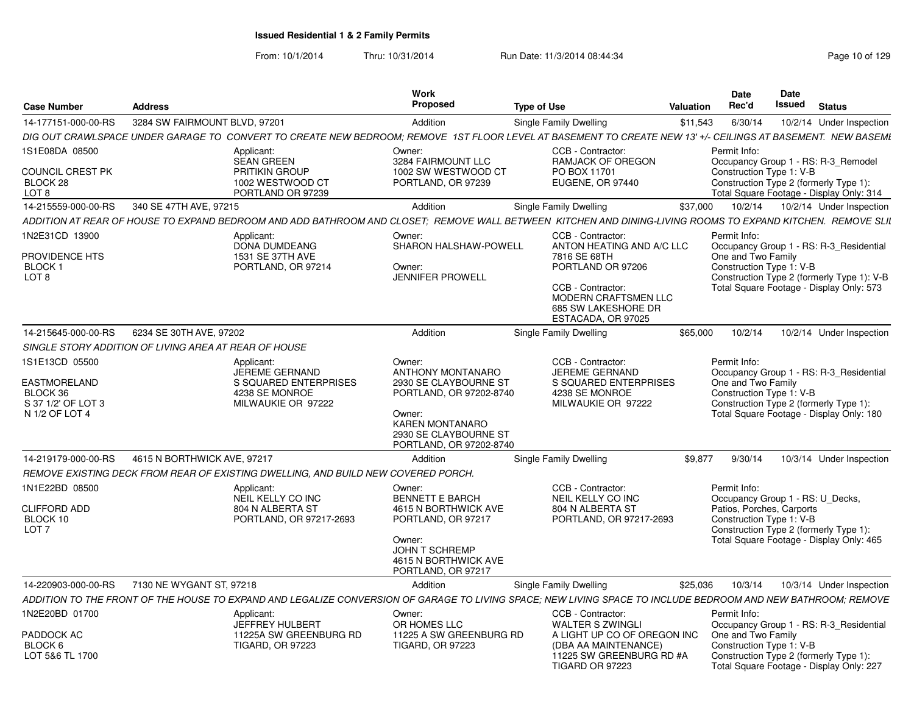|                                      |                                                       |                                                                                   | <b>Work</b><br>Proposed          |                                                                                                                                                              | Date<br>Rec'd       | Date<br><b>Issued</b>                                                                  |
|--------------------------------------|-------------------------------------------------------|-----------------------------------------------------------------------------------|----------------------------------|--------------------------------------------------------------------------------------------------------------------------------------------------------------|---------------------|----------------------------------------------------------------------------------------|
| <b>Case Number</b>                   | Address                                               |                                                                                   |                                  | <b>Type of Use</b>                                                                                                                                           | Valuation           | <b>Status</b>                                                                          |
| 14-177151-000-00-RS                  | 3284 SW FAIRMOUNT BLVD, 97201                         |                                                                                   | Addition                         | Single Family Dwelling                                                                                                                                       | \$11,543<br>6/30/14 | 10/2/14 Under Inspection                                                               |
|                                      |                                                       |                                                                                   |                                  | DIG OUT CRAWLSPACE UNDER GARAGE TO CONVERT TO CREATE NEW BEDROOM; REMOVE 1ST FLOOR LEVEL AT BASEMENT TO CREATE NEW 13' +/- CEILINGS AT BASEMENT. NEW BASEME  |                     |                                                                                        |
| 1S1E08DA 08500                       |                                                       | Applicant:<br><b>SEAN GREEN</b>                                                   | Owner:<br>3284 FAIRMOUNT LLC     | CCB - Contractor:<br>RAMJACK OF OREGON                                                                                                                       | Permit Info:        | Occupancy Group 1 - RS: R-3_Remodel                                                    |
| COUNCIL CREST PK                     |                                                       | <b>PRITIKIN GROUP</b>                                                             | 1002 SW WESTWOOD CT              | PO BOX 11701                                                                                                                                                 |                     | Construction Type 1: V-B                                                               |
| BLOCK 28                             |                                                       | 1002 WESTWOOD CT                                                                  | PORTLAND, OR 97239               | EUGENE, OR 97440                                                                                                                                             |                     | Construction Type 2 (formerly Type 1):                                                 |
| LOT <sub>8</sub>                     |                                                       | PORTLAND OR 97239                                                                 |                                  |                                                                                                                                                              |                     | Total Square Footage - Display Only: 314                                               |
|                                      | 14-215559-000-00-RS 340 SE 47TH AVE, 97215            |                                                                                   | Addition                         | Single Family Dwelling                                                                                                                                       |                     | \$37,000  10/2/14  10/2/14  Under Inspection                                           |
|                                      |                                                       |                                                                                   |                                  | ADDITION AT REAR OF HOUSE TO EXPAND BEDROOM AND ADD BATHROOM AND CLOSET; REMOVE WALL BETWEEN KITCHEN AND DINING-LIVING ROOMS TO EXPAND KITCHEN. REMOVE SLII  |                     |                                                                                        |
| 1N2E31CD 13900                       |                                                       | Applicant:<br><b>DONA DUMDEANG</b>                                                | Owner:<br>SHARON HALSHAW-POWELL  | CCB - Contractor:<br>ANTON HEATING AND A/C LLC                                                                                                               | Permit Info:        | Occupancy Group 1 - RS: R-3_Residential                                                |
| PROVIDENCE HTS                       |                                                       | 1531 SE 37TH AVE                                                                  |                                  | 7816 SE 68TH                                                                                                                                                 | One and Two Family  |                                                                                        |
| <b>BLOCK1</b>                        |                                                       | PORTLAND, OR 97214                                                                | Owner:                           | PORTLAND OR 97206                                                                                                                                            |                     | Construction Type 1: V-B                                                               |
| LOT 8                                |                                                       |                                                                                   | <b>JENNIFER PROWELL</b>          | CCB - Contractor:                                                                                                                                            |                     | Construction Type 2 (formerly Type 1): V-B<br>Total Square Footage - Display Only: 573 |
|                                      |                                                       |                                                                                   |                                  | MODERN CRAFTSMEN LLC                                                                                                                                         |                     |                                                                                        |
|                                      |                                                       |                                                                                   |                                  | 685 SW LAKESHORE DR                                                                                                                                          |                     |                                                                                        |
|                                      |                                                       |                                                                                   |                                  | ESTACADA, OR 97025                                                                                                                                           |                     |                                                                                        |
| 14-215645-000-00-RS                  | 6234 SE 30TH AVE, 97202                               |                                                                                   | Addition                         | <b>Single Family Dwelling</b>                                                                                                                                | \$65,000            | 10/2/14   10/2/14   Under Inspection                                                   |
|                                      | SINGLE STORY ADDITION OF LIVING AREA AT REAR OF HOUSE |                                                                                   |                                  |                                                                                                                                                              |                     |                                                                                        |
| 1S1E13CD 05500                       |                                                       | Applicant:<br>JEREME GERNAND                                                      | Owner:<br>ANTHONY MONTANARO      | CCB - Contractor:<br><b>JEREME GERNAND</b>                                                                                                                   | Permit Info:        | Occupancy Group 1 - RS: R-3_Residential                                                |
| EASTMORELAND                         |                                                       | S SQUARED ENTERPRISES                                                             | 2930 SE CLAYBOURNE ST            | S SQUARED ENTERPRISES                                                                                                                                        | One and Two Family  |                                                                                        |
| BLOCK 36                             |                                                       | 4238 SE MONROE                                                                    | PORTLAND, OR 97202-8740          | 4238 SE MONROE                                                                                                                                               |                     | Construction Type 1: V-B                                                               |
| S 37 1/2' OF LOT 3<br>N 1/2 OF LOT 4 |                                                       | MILWAUKIE OR 97222                                                                | Owner:                           | MILWAUKIE OR 97222                                                                                                                                           |                     | Construction Type 2 (formerly Type 1):<br>Total Square Footage - Display Only: 180     |
|                                      |                                                       |                                                                                   | <b>KAREN MONTANARO</b>           |                                                                                                                                                              |                     |                                                                                        |
|                                      |                                                       |                                                                                   | 2930 SE CLAYBOURNE ST            |                                                                                                                                                              |                     |                                                                                        |
|                                      |                                                       |                                                                                   | PORTLAND, OR 97202-8740          |                                                                                                                                                              |                     |                                                                                        |
|                                      | 14-219179-000-00-RS   4615 N BORTHWICK AVE, 97217     |                                                                                   | Addition                         | <b>Single Family Dwelling</b>                                                                                                                                | \$9,877 9/30/14     | 10/3/14 Under Inspection                                                               |
|                                      |                                                       | REMOVE EXISTING DECK FROM REAR OF EXISTING DWELLING, AND BUILD NEW COVERED PORCH. |                                  |                                                                                                                                                              |                     |                                                                                        |
| 1N1E22BD 08500                       |                                                       | Applicant:<br>NEIL KELLY CO INC                                                   | Owner:<br><b>BENNETT E BARCH</b> | CCB - Contractor:<br>NEIL KELLY CO INC                                                                                                                       | Permit Info:        | Occupancy Group 1 - RS: U_Decks,                                                       |
| <b>CLIFFORD ADD</b>                  |                                                       | 804 N ALBERTA ST                                                                  | 4615 N BORTHWICK AVE             | 804 N ALBERTA ST                                                                                                                                             |                     | Patios, Porches, Carports                                                              |
| BLOCK 10                             |                                                       | PORTLAND, OR 97217-2693                                                           | PORTLAND, OR 97217               | PORTLAND, OR 97217-2693                                                                                                                                      |                     | Construction Type 1: V-B                                                               |
| LOT <sub>7</sub>                     |                                                       |                                                                                   | Owner:                           |                                                                                                                                                              |                     | Construction Type 2 (formerly Type 1):<br>Total Square Footage - Display Only: 465     |
|                                      |                                                       |                                                                                   | JOHN T SCHREMP                   |                                                                                                                                                              |                     |                                                                                        |
|                                      |                                                       |                                                                                   | 4615 N BORTHWICK AVE             |                                                                                                                                                              |                     |                                                                                        |
|                                      |                                                       |                                                                                   | PORTLAND, OR 97217               |                                                                                                                                                              |                     |                                                                                        |
|                                      | 14-220903-000-00-RS 7130 NE WYGANT ST, 97218          |                                                                                   | Addition                         | Single Family Dwelling                                                                                                                                       |                     | \$25,036  10/3/14  10/3/14  Under Inspection                                           |
|                                      |                                                       |                                                                                   |                                  | ADDITION TO THE FRONT OF THE HOUSE TO EXPAND AND LEGALIZE CONVERSION OF GARAGE TO LIVING SPACE; NEW LIVING SPACE TO INCLUDE BEDROOM AND NEW BATHROOM; REMOVE |                     |                                                                                        |
| 1N2E20BD 01700                       |                                                       | Applicant:<br><b>JEFFREY HULBERT</b>                                              | Owner:<br>OR HOMES LLC           | CCB - Contractor:<br>WALTER S ZWINGLI                                                                                                                        | Permit Info:        | Occupancy Group 1 - RS: R-3 Residential                                                |
| PADDOCK AC                           |                                                       | 11225A SW GREENBURG RD                                                            | 11225 A SW GREENBURG RD          | A LIGHT UP CO OF OREGON INC One and Two Family                                                                                                               |                     |                                                                                        |
| BLOCK 6                              |                                                       | <b>TIGARD, OR 97223</b>                                                           | <b>TIGARD, OR 97223</b>          | (DBA AA MAINTENANCE)                                                                                                                                         |                     | Construction Type 1: V-B                                                               |
| LOT 5&6 TL 1700                      |                                                       |                                                                                   |                                  | 11225 SW GREENBURG RD #A<br>TIGARD OR 97223                                                                                                                  |                     | Construction Type 2 (formerly Type 1):<br>Total Square Footage - Display Only: 227     |
|                                      |                                                       |                                                                                   |                                  |                                                                                                                                                              |                     |                                                                                        |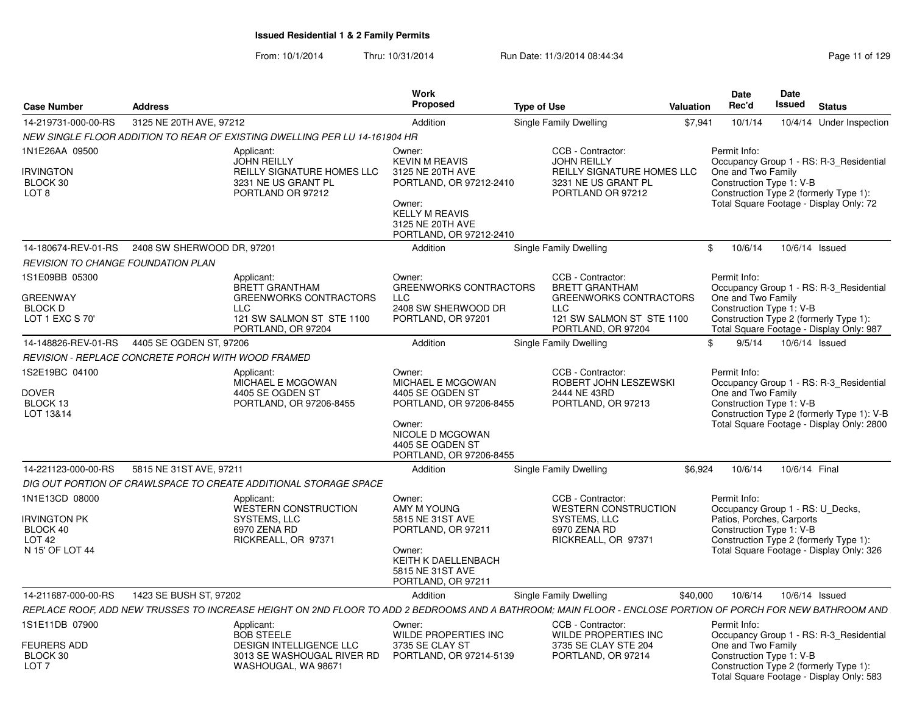| <b>Case Number</b>                                                                 | <b>Address</b>                                     |                                                                                                                                                            | Work<br>Proposed                                                                                                                                          | <b>Type of Use</b>                                                                                                                     | <b>Valuation</b> | <b>Date</b><br>Rec'd                                                                                                                                | Date<br><b>Issued</b> | <b>Status</b>                                                                                                                      |
|------------------------------------------------------------------------------------|----------------------------------------------------|------------------------------------------------------------------------------------------------------------------------------------------------------------|-----------------------------------------------------------------------------------------------------------------------------------------------------------|----------------------------------------------------------------------------------------------------------------------------------------|------------------|-----------------------------------------------------------------------------------------------------------------------------------------------------|-----------------------|------------------------------------------------------------------------------------------------------------------------------------|
| 14-219731-000-00-RS                                                                | 3125 NE 20TH AVE, 97212                            |                                                                                                                                                            | Addition                                                                                                                                                  | <b>Single Family Dwelling</b>                                                                                                          | \$7,941          | 10/1/14                                                                                                                                             |                       | 10/4/14 Under Inspection                                                                                                           |
|                                                                                    |                                                    | NEW SINGLE FLOOR ADDITION TO REAR OF EXISTING DWELLING PER LU 14-161904 HR                                                                                 |                                                                                                                                                           |                                                                                                                                        |                  |                                                                                                                                                     |                       |                                                                                                                                    |
| 1N1E26AA 09500<br><b>IRVINGTON</b><br>BLOCK 30<br>LOT <sub>8</sub>                 |                                                    | Applicant:<br><b>JOHN REILLY</b><br>REILLY SIGNATURE HOMES LLC<br>3231 NE US GRANT PL<br>PORTLAND OR 97212                                                 | Owner:<br><b>KEVIN M REAVIS</b><br>3125 NE 20TH AVE<br>PORTLAND, OR 97212-2410<br>Owner:<br>KELLY M REAVIS<br>3125 NE 20TH AVE<br>PORTLAND, OR 97212-2410 | CCB - Contractor:<br><b>JOHN REILLY</b><br>REILLY SIGNATURE HOMES LLC<br>3231 NE US GRANT PL<br>PORTLAND OR 97212                      |                  | Permit Info:<br>One and Two Family<br>Construction Type 1: V-B<br>Construction Type 2 (formerly Type 1):                                            |                       | Occupancy Group 1 - RS: R-3_Residential<br>Total Square Footage - Display Only: 72                                                 |
| 14-180674-REV-01-RS                                                                | 2408 SW SHERWOOD DR, 97201                         |                                                                                                                                                            | Addition                                                                                                                                                  | <b>Single Family Dwelling</b>                                                                                                          |                  | \$<br>10/6/14                                                                                                                                       | 10/6/14 Issued        |                                                                                                                                    |
| <b>REVISION TO CHANGE FOUNDATION PLAN</b>                                          |                                                    |                                                                                                                                                            |                                                                                                                                                           |                                                                                                                                        |                  |                                                                                                                                                     |                       |                                                                                                                                    |
| 1S1E09BB 05300<br><b>GREENWAY</b><br><b>BLOCK D</b><br>LOT 1 EXC S 70'             |                                                    | Applicant:<br><b>BRETT GRANTHAM</b><br><b>GREENWORKS CONTRACTORS</b><br>LLC.<br>121 SW SALMON ST STE 1100<br>PORTLAND, OR 97204                            | Owner:<br><b>GREENWORKS CONTRACTORS</b><br><b>LLC</b><br>2408 SW SHERWOOD DR<br>PORTLAND, OR 97201                                                        | CCB - Contractor:<br><b>BRETT GRANTHAM</b><br><b>GREENWORKS CONTRACTORS</b><br>LLC.<br>121 SW SALMON ST STE 1100<br>PORTLAND, OR 97204 |                  | Permit Info:<br>One and Two Family<br>Construction Type 1: V-B<br>Construction Type 2 (formerly Type 1):                                            |                       | Occupancy Group 1 - RS: R-3_Residential<br>Total Square Footage - Display Only: 987                                                |
| 14-148826-REV-01-RS                                                                | 4405 SE OGDEN ST, 97206                            |                                                                                                                                                            | Addition                                                                                                                                                  | Single Family Dwelling                                                                                                                 |                  | 9/5/14<br>\$                                                                                                                                        | 10/6/14 Issued        |                                                                                                                                    |
|                                                                                    | REVISION - REPLACE CONCRETE PORCH WITH WOOD FRAMED |                                                                                                                                                            |                                                                                                                                                           |                                                                                                                                        |                  |                                                                                                                                                     |                       |                                                                                                                                    |
| 1S2E19BC 04100<br><b>DOVER</b><br>BLOCK 13<br>LOT 13&14                            |                                                    | Applicant:<br>MICHAEL E MCGOWAN<br>4405 SE OGDEN ST<br>PORTLAND, OR 97206-8455                                                                             | Owner:<br>MICHAEL E MCGOWAN<br>4405 SE OGDEN ST<br>PORTLAND, OR 97206-8455<br>Owner:<br>NICOLE D MCGOWAN<br>4405 SE OGDEN ST<br>PORTLAND, OR 97206-8455   | CCB - Contractor:<br>ROBERT JOHN LESZEWSKI<br>2444 NE 43RD<br>PORTLAND, OR 97213                                                       |                  | Permit Info:<br>One and Two Family<br>Construction Type 1: V-B                                                                                      |                       | Occupancy Group 1 - RS: R-3 Residential<br>Construction Type 2 (formerly Type 1): V-B<br>Total Square Footage - Display Only: 2800 |
| 14-221123-000-00-RS                                                                | 5815 NE 31ST AVE, 97211                            |                                                                                                                                                            | Addition                                                                                                                                                  | Single Family Dwelling                                                                                                                 | \$6.924          | 10/6/14                                                                                                                                             | 10/6/14 Final         |                                                                                                                                    |
|                                                                                    |                                                    | DIG OUT PORTION OF CRAWLSPACE TO CREATE ADDITIONAL STORAGE SPACE                                                                                           |                                                                                                                                                           |                                                                                                                                        |                  |                                                                                                                                                     |                       |                                                                                                                                    |
| 1N1E13CD 08000<br>Irvington PK<br>BLOCK 40<br>LOT <sub>42</sub><br>N 15' OF LOT 44 |                                                    | Applicant:<br><b>WESTERN CONSTRUCTION</b><br><b>SYSTEMS, LLC</b><br>6970 ZENA RD<br>RICKREALL, OR 97371                                                    | Owner:<br>AMY M YOUNG<br>5815 NE 31ST AVE<br>PORTLAND, OR 97211<br>Owner:<br>KEITH K DAELLENBACH<br>5815 NE 31ST AVE<br>PORTLAND, OR 97211                | CCB - Contractor:<br><b>WESTERN CONSTRUCTION</b><br><b>SYSTEMS, LLC</b><br>6970 ZENA RD<br>RICKREALL, OR 97371                         |                  | Permit Info:<br>Occupancy Group 1 - RS: U Decks,<br>Patios, Porches, Carports<br>Construction Type 1: V-B<br>Construction Type 2 (formerly Type 1): |                       | Total Square Footage - Display Only: 326                                                                                           |
| 14-211687-000-00-RS                                                                | 1423 SE BUSH ST, 97202                             |                                                                                                                                                            | Addition                                                                                                                                                  | Single Family Dwelling                                                                                                                 | \$40,000         | 10/6/14                                                                                                                                             | 10/6/14 Issued        |                                                                                                                                    |
|                                                                                    |                                                    | REPLACE ROOF, ADD NEW TRUSSES TO INCREASE HEIGHT ON 2ND FLOOR TO ADD 2 BEDROOMS AND A BATHROOM; MAIN FLOOR - ENCLOSE PORTION OF PORCH FOR NEW BATHROOM AND |                                                                                                                                                           |                                                                                                                                        |                  |                                                                                                                                                     |                       |                                                                                                                                    |
| 1S1E11DB 07900<br><b>FEURERS ADD</b><br>BLOCK 30<br>LOT <sub>7</sub>               |                                                    | Applicant:<br><b>BOB STEELE</b><br><b>DESIGN INTELLIGENCE LLC</b><br>3013 SE WASHOUGAL RIVER RD<br>WASHOUGAL, WA 98671                                     | Owner:<br><b>WILDE PROPERTIES INC</b><br>3735 SE CLAY ST<br>PORTLAND, OR 97214-5139                                                                       | CCB - Contractor:<br>WILDE PROPERTIES INC<br>3735 SE CLAY STE 204<br>PORTLAND, OR 97214                                                |                  | Permit Info:<br>One and Two Family<br>Construction Type 1: V-B<br>Construction Type 2 (formerly Type 1):                                            |                       | Occupancy Group 1 - RS: R-3 Residential<br>Total Square Footage - Display Only: 583                                                |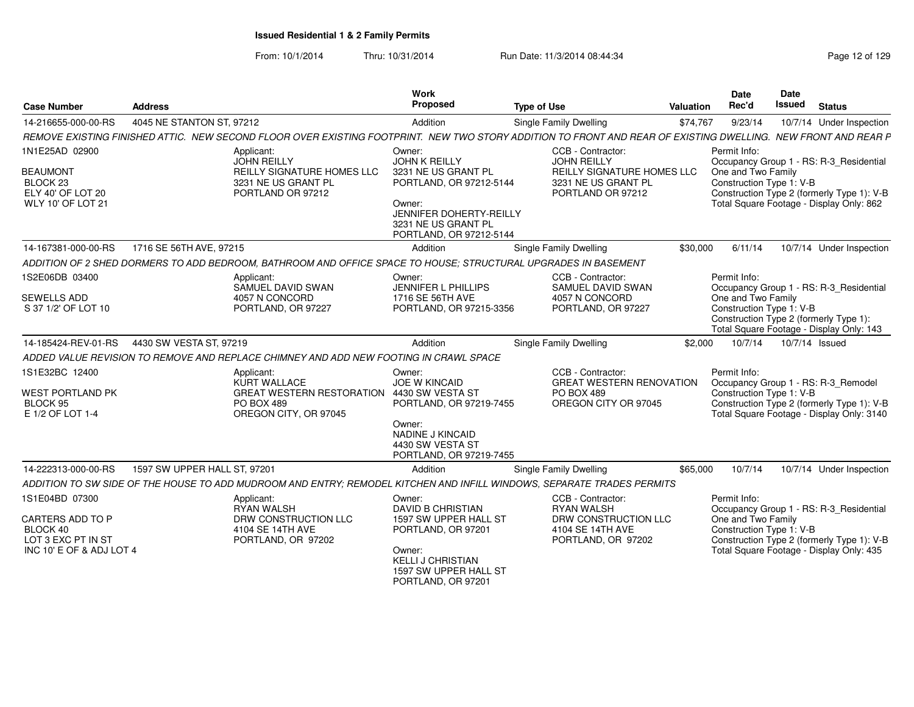| <b>Case Number</b>                                                                                        | <b>Address</b>                                                                        |                                                                                                | Work<br>Proposed                                                                                                                                                       | <b>Type of Use</b>                                                                                                                                            | Valuation | <b>Date</b><br>Rec'd                                           | Date<br><b>Issued</b> | <b>Status</b>                                                                                                                     |
|-----------------------------------------------------------------------------------------------------------|---------------------------------------------------------------------------------------|------------------------------------------------------------------------------------------------|------------------------------------------------------------------------------------------------------------------------------------------------------------------------|---------------------------------------------------------------------------------------------------------------------------------------------------------------|-----------|----------------------------------------------------------------|-----------------------|-----------------------------------------------------------------------------------------------------------------------------------|
| 14-216655-000-00-RS                                                                                       | 4045 NE STANTON ST, 97212                                                             |                                                                                                | Addition                                                                                                                                                               | Single Family Dwelling                                                                                                                                        | \$74,767  | 9/23/14                                                        |                       | 10/7/14 Under Inspection                                                                                                          |
|                                                                                                           |                                                                                       |                                                                                                |                                                                                                                                                                        | REMOVE EXISTING FINISHED ATTIC. NEW SECOND FLOOR OVER EXISTING FOOTPRINT. NEW TWO STORY ADDITION TO FRONT AND REAR OF EXISTING DWELLING. NEW FRONT AND REAR P |           |                                                                |                       |                                                                                                                                   |
| 1N1E25AD 02900<br><b>BEAUMONT</b><br>BLOCK <sub>23</sub><br>ELY 40' OF LOT 20<br><b>WLY 10' OF LOT 21</b> | Applicant:                                                                            | <b>JOHN REILLY</b><br>REILLY SIGNATURE HOMES LLC<br>3231 NE US GRANT PL<br>PORTLAND OR 97212   | Owner:<br><b>JOHN K REILLY</b><br>3231 NE US GRANT PL<br>PORTLAND, OR 97212-5144<br>Owner:<br>JENNIFER DOHERTY-REILLY                                                  | CCB - Contractor:<br><b>JOHN REILLY</b><br>REILLY SIGNATURE HOMES LLC<br>3231 NE US GRANT PL<br>PORTLAND OR 97212                                             |           | Permit Info:<br>One and Two Family<br>Construction Type 1: V-B |                       | Occupancy Group 1 - RS: R-3_Residential<br>Construction Type 2 (formerly Type 1): V-B<br>Total Square Footage - Display Only: 862 |
|                                                                                                           |                                                                                       |                                                                                                | 3231 NE US GRANT PL<br>PORTLAND, OR 97212-5144                                                                                                                         |                                                                                                                                                               |           |                                                                |                       |                                                                                                                                   |
| 14-167381-000-00-RS                                                                                       | 1716 SE 56TH AVE, 97215                                                               |                                                                                                | Addition                                                                                                                                                               | Single Family Dwelling                                                                                                                                        | \$30,000  | 6/11/14                                                        |                       | 10/7/14 Under Inspection                                                                                                          |
|                                                                                                           |                                                                                       |                                                                                                |                                                                                                                                                                        | ADDITION OF 2 SHED DORMERS TO ADD BEDROOM, BATHROOM AND OFFICE SPACE TO HOUSE; STRUCTURAL UPGRADES IN BASEMENT                                                |           |                                                                |                       |                                                                                                                                   |
| 1S2E06DB 03400                                                                                            | Applicant:                                                                            | SAMUEL DAVID SWAN                                                                              | Owner:<br><b>JENNIFER L PHILLIPS</b>                                                                                                                                   | CCB - Contractor:<br>SAMUEL DAVID SWAN                                                                                                                        |           | Permit Info:                                                   |                       | Occupancy Group 1 - RS: R-3_Residential                                                                                           |
| SEWELLS ADD<br>S 37 1/2' OF LOT 10                                                                        |                                                                                       | 4057 N CONCORD<br>PORTLAND, OR 97227                                                           | 1716 SE 56TH AVE<br>PORTLAND, OR 97215-3356                                                                                                                            | 4057 N CONCORD<br>PORTLAND, OR 97227                                                                                                                          |           | One and Two Family<br>Construction Type 1: V-B                 |                       | Construction Type 2 (formerly Type 1):<br>Total Square Footage - Display Only: 143                                                |
| 14-185424-REV-01-RS                                                                                       | 4430 SW VESTA ST, 97219                                                               |                                                                                                | Addition                                                                                                                                                               | <b>Single Family Dwelling</b>                                                                                                                                 | \$2,000   | 10/7/14                                                        |                       | 10/7/14 Issued                                                                                                                    |
|                                                                                                           | ADDED VALUE REVISION TO REMOVE AND REPLACE CHIMNEY AND ADD NEW FOOTING IN CRAWL SPACE |                                                                                                |                                                                                                                                                                        |                                                                                                                                                               |           |                                                                |                       |                                                                                                                                   |
| 1S1E32BC 12400<br><b>WEST PORTLAND PK</b><br>BLOCK 95<br>E 1/2 OF LOT 1-4                                 | Applicant:                                                                            | KURT WALLACE<br><b>GREAT WESTERN RESTORATION</b><br><b>PO BOX 489</b><br>OREGON CITY, OR 97045 | Owner:<br><b>JOE W KINCAID</b><br>4430 SW VESTA ST<br>PORTLAND, OR 97219-7455<br>Owner:<br><b>NADINE J KINCAID</b><br>4430 SW VESTA ST<br>PORTLAND, OR 97219-7455      | CCB - Contractor:<br><b>GREAT WESTERN RENOVATION</b><br><b>PO BOX 489</b><br>OREGON CITY OR 97045                                                             |           | Permit Info:<br>Construction Type 1: V-B                       |                       | Occupancy Group 1 - RS: R-3_Remodel<br>Construction Type 2 (formerly Type 1): V-B<br>Total Square Footage - Display Only: 3140    |
| 14-222313-000-00-RS                                                                                       | 1597 SW UPPER HALL ST, 97201                                                          |                                                                                                | Addition                                                                                                                                                               | <b>Single Family Dwelling</b>                                                                                                                                 | \$65,000  | 10/7/14                                                        |                       | 10/7/14 Under Inspection                                                                                                          |
|                                                                                                           |                                                                                       |                                                                                                |                                                                                                                                                                        | ADDITION TO SW SIDE OF THE HOUSE TO ADD MUDROOM AND ENTRY; REMODEL KITCHEN AND INFILL WINDOWS, SEPARATE TRADES PERMITS                                        |           |                                                                |                       |                                                                                                                                   |
| 1S1E04BD 07300<br>CARTERS ADD TO P<br>BLOCK 40<br>LOT 3 EXC PT IN ST<br>INC 10' E OF & ADJ LOT 4          | Applicant:                                                                            | <b>RYAN WALSH</b><br>DRW CONSTRUCTION LLC<br>4104 SE 14TH AVE<br>PORTLAND, OR 97202            | Owner:<br><b>DAVID B CHRISTIAN</b><br>1597 SW UPPER HALL ST<br>PORTLAND, OR 97201<br>Owner:<br><b>KELLI J CHRISTIAN</b><br>1597 SW UPPER HALL ST<br>PORTLAND, OR 97201 | CCB - Contractor:<br><b>RYAN WALSH</b><br>DRW CONSTRUCTION LLC<br>4104 SE 14TH AVE<br>PORTLAND, OR 97202                                                      |           | Permit Info:<br>One and Two Family<br>Construction Type 1: V-B |                       | Occupancy Group 1 - RS: R-3_Residential<br>Construction Type 2 (formerly Type 1): V-B<br>Total Square Footage - Display Only: 435 |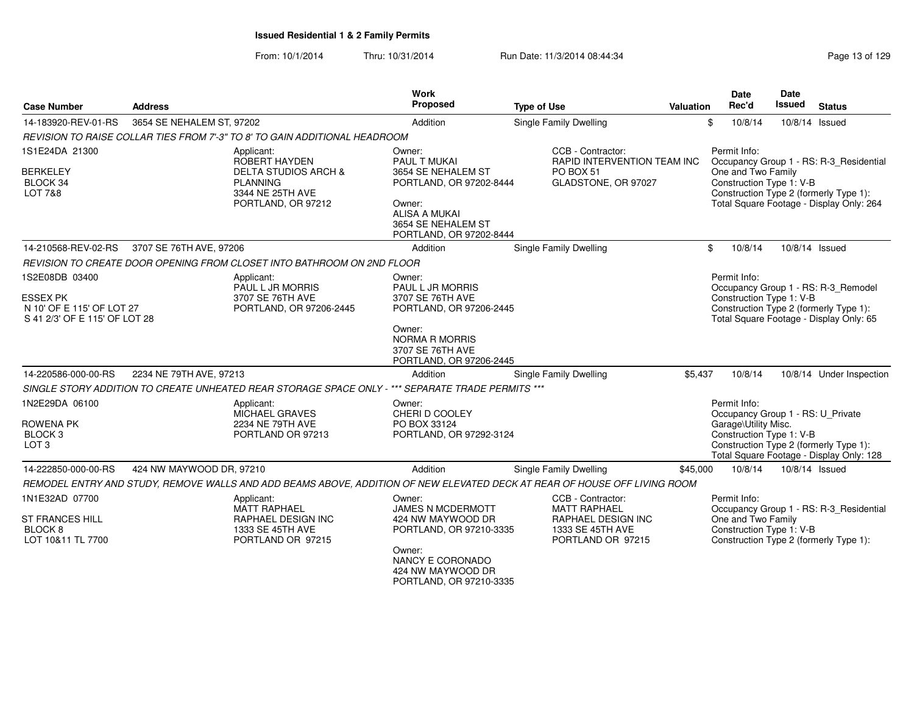| <b>Case Number</b>                                                                              | <b>Address</b>            |                                                                                                                             | Work<br>Proposed                                                                                                                                           | <b>Type of Use</b>                                                                                             | Valuation |              | <b>Date</b><br>Rec'd | Date<br><b>Issued</b>    | <b>Status</b>                                                                                                                 |
|-------------------------------------------------------------------------------------------------|---------------------------|-----------------------------------------------------------------------------------------------------------------------------|------------------------------------------------------------------------------------------------------------------------------------------------------------|----------------------------------------------------------------------------------------------------------------|-----------|--------------|----------------------|--------------------------|-------------------------------------------------------------------------------------------------------------------------------|
| 14-183920-REV-01-RS                                                                             | 3654 SE NEHALEM ST, 97202 |                                                                                                                             | Addition                                                                                                                                                   | Single Family Dwelling                                                                                         |           | \$           | 10/8/14              | 10/8/14 Issued           |                                                                                                                               |
|                                                                                                 |                           | REVISION TO RAISE COLLAR TIES FROM 7'-3" TO 8' TO GAIN ADDITIONAL HEADROOM                                                  |                                                                                                                                                            |                                                                                                                |           |              |                      |                          |                                                                                                                               |
| 1S1E24DA 21300<br><b>BERKELEY</b><br>BLOCK 34<br><b>LOT 7&amp;8</b>                             |                           | Applicant:<br>ROBERT HAYDEN<br><b>DELTA STUDIOS ARCH &amp;</b><br><b>PLANNING</b><br>3344 NE 25TH AVE<br>PORTLAND, OR 97212 | Owner:<br>PAUL T MUKAI<br>3654 SE NEHALEM ST<br>PORTLAND, OR 97202-8444<br>Owner:<br><b>ALISA A MUKAI</b><br>3654 SE NEHALEM ST<br>PORTLAND, OR 97202-8444 | CCB - Contractor:<br>RAPID INTERVENTION TEAM INC<br>PO BOX 51<br>GLADSTONE, OR 97027                           |           | Permit Info: | One and Two Family   | Construction Type 1: V-B | Occupancy Group 1 - RS: R-3_Residential<br>Construction Type 2 (formerly Type 1):<br>Total Square Footage - Display Only: 264 |
| 14-210568-REV-02-RS                                                                             | 3707 SE 76TH AVE, 97206   |                                                                                                                             | Addition                                                                                                                                                   | <b>Single Family Dwelling</b>                                                                                  |           | \$           | 10/8/14              | 10/8/14 Issued           |                                                                                                                               |
|                                                                                                 |                           | REVISION TO CREATE DOOR OPENING FROM CLOSET INTO BATHROOM ON 2ND FLOOR                                                      |                                                                                                                                                            |                                                                                                                |           |              |                      |                          |                                                                                                                               |
| 1S2E08DB 03400<br><b>ESSEX PK</b><br>N 10' OF E 115' OF LOT 27<br>S 41 2/3' OF E 115' OF LOT 28 |                           | Applicant:<br>PAUL L JR MORRIS<br>3707 SE 76TH AVE<br>PORTLAND, OR 97206-2445                                               | Owner:<br>PAUL L JR MORRIS<br>3707 SE 76TH AVE<br>PORTLAND, OR 97206-2445<br>Owner:<br><b>NORMA R MORRIS</b><br>3707 SE 76TH AVE                           |                                                                                                                |           | Permit Info: |                      | Construction Type 1: V-B | Occupancy Group 1 - RS: R-3_Remodel<br>Construction Type 2 (formerly Type 1):<br>Total Square Footage - Display Only: 65      |
| 14-220586-000-00-RS                                                                             | 2234 NE 79TH AVE, 97213   |                                                                                                                             | PORTLAND, OR 97206-2445<br>Addition                                                                                                                        | Single Family Dwelling                                                                                         | \$5,437   |              | 10/8/14              |                          | 10/8/14 Under Inspection                                                                                                      |
|                                                                                                 |                           | SINGLE STORY ADDITION TO CREATE UNHEATED REAR STORAGE SPACE ONLY - *** SEPARATE TRADE PERMITS ***                           |                                                                                                                                                            |                                                                                                                |           |              |                      |                          |                                                                                                                               |
| 1N2E29DA 06100<br><b>ROWENA PK</b><br>BLOCK <sub>3</sub><br>LOT <sub>3</sub>                    |                           | Applicant:<br>MICHAEL GRAVES<br>2234 NE 79TH AVE<br>PORTLAND OR 97213                                                       | Owner:<br>CHERI D COOLEY<br>PO BOX 33124<br>PORTLAND, OR 97292-3124                                                                                        |                                                                                                                |           | Permit Info: | Garage\Utility Misc. | Construction Type 1: V-B | Occupancy Group 1 - RS: U_Private<br>Construction Type 2 (formerly Type 1):<br>Total Square Footage - Display Only: 128       |
| 14-222850-000-00-RS                                                                             | 424 NW MAYWOOD DR, 97210  |                                                                                                                             | Addition                                                                                                                                                   | Single Family Dwelling                                                                                         | \$45,000  |              | 10/8/14              | 10/8/14 Issued           |                                                                                                                               |
|                                                                                                 |                           | REMODEL ENTRY AND STUDY, REMOVE WALLS AND ADD BEAMS ABOVE, ADDITION OF NEW ELEVATED DECK AT REAR OF HOUSE OFF LIVING ROOM   |                                                                                                                                                            |                                                                                                                |           |              |                      |                          |                                                                                                                               |
| 1N1E32AD 07700<br><b>ST FRANCES HILL</b><br>BLOCK 8<br>LOT 10&11 TL 7700                        |                           | Applicant:<br><b>MATT RAPHAEL</b><br><b>RAPHAEL DESIGN INC</b><br>1333 SE 45TH AVE<br>PORTLAND OR 97215                     | Owner:<br>JAMES N MCDERMOTT<br>424 NW MAYWOOD DR<br>PORTLAND, OR 97210-3335<br>Owner:<br>NANCY E CORONADO<br>424 NW MAYWOOD DR<br>PORTLAND, OR 97210-3335  | CCB - Contractor:<br><b>MATT RAPHAEL</b><br><b>RAPHAEL DESIGN INC</b><br>1333 SE 45TH AVE<br>PORTLAND OR 97215 |           | Permit Info: | One and Two Family   | Construction Type 1: V-B | Occupancy Group 1 - RS: R-3 Residential<br>Construction Type 2 (formerly Type 1):                                             |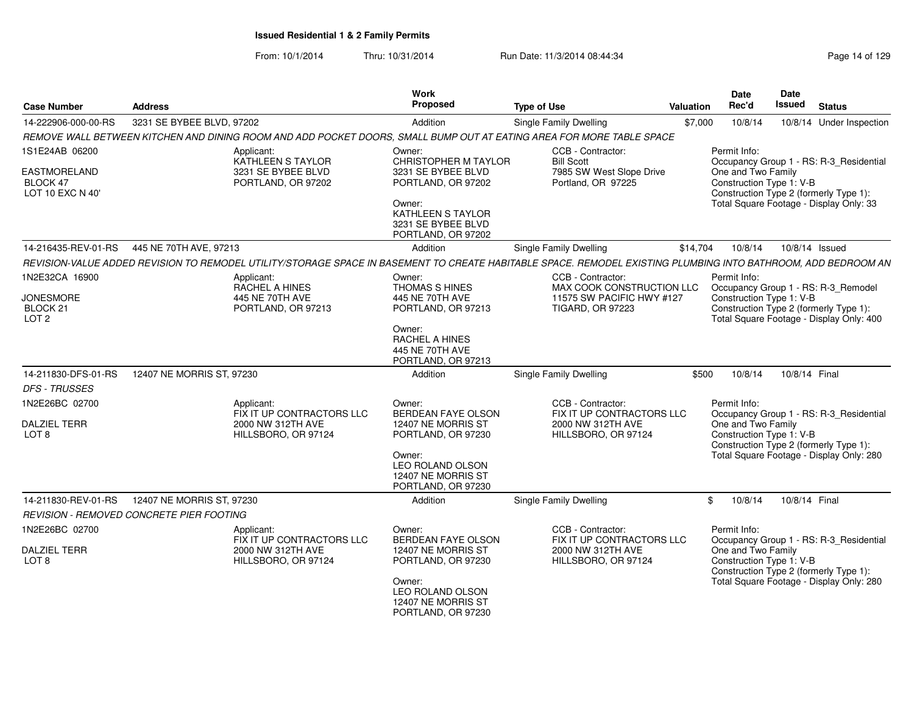| <b>Case Number</b>                               | <b>Address</b>                                                                                                                                                | Work<br>Proposed                                                        | <b>Type of Use</b>                                   | Valuation | <b>Date</b><br>Rec'd | Date<br>Issued<br><b>Status</b>                                                                                |  |
|--------------------------------------------------|---------------------------------------------------------------------------------------------------------------------------------------------------------------|-------------------------------------------------------------------------|------------------------------------------------------|-----------|----------------------|----------------------------------------------------------------------------------------------------------------|--|
| 14-222906-000-00-RS                              | 3231 SE BYBEE BLVD, 97202                                                                                                                                     | Addition                                                                | Single Family Dwelling                               | \$7,000   | 10/8/14              | 10/8/14 Under Inspection                                                                                       |  |
|                                                  | REMOVE WALL BETWEEN KITCHEN AND DINING ROOM AND ADD POCKET DOORS, SMALL BUMP OUT AT EATING AREA FOR MORE TABLE SPACE                                          |                                                                         |                                                      |           |                      |                                                                                                                |  |
| 1S1E24AB 06200                                   | Applicant:<br>KATHLEEN S TAYLOR                                                                                                                               | Owner:<br>CHRISTOPHER M TAYLOR                                          | CCB - Contractor:<br><b>Bill Scott</b>               |           | Permit Info:         | Occupancy Group 1 - RS: R-3_Residential                                                                        |  |
| EASTMORELAND<br>BLOCK 47<br>LOT 10 EXC N 40'     | 3231 SE BYBEE BLVD<br>PORTLAND, OR 97202                                                                                                                      | 3231 SE BYBEE BLVD<br>PORTLAND, OR 97202                                | 7985 SW West Slope Drive<br>Portland, OR 97225       |           | One and Two Family   | Construction Type 1: V-B<br>Construction Type 2 (formerly Type 1):                                             |  |
|                                                  |                                                                                                                                                               | Owner:<br>KATHLEEN S TAYLOR<br>3231 SE BYBEE BLVD<br>PORTLAND, OR 97202 |                                                      |           |                      | Total Square Footage - Display Only: 33                                                                        |  |
| 14-216435-REV-01-RS                              | 445 NE 70TH AVE, 97213                                                                                                                                        | Addition                                                                | Single Family Dwelling                               | \$14,704  | 10/8/14              | 10/8/14 Issued                                                                                                 |  |
|                                                  | REVISION-VALUE ADDED REVISION TO REMODEL UTILITY/STORAGE SPACE IN BASEMENT TO CREATE HABITABLE SPACE. REMODEL EXISTING PLUMBING INTO BATHROOM, ADD BEDROOM AN |                                                                         |                                                      |           |                      |                                                                                                                |  |
| 1N2E32CA 16900                                   | Applicant:<br>RACHEL A HINES                                                                                                                                  | Owner:<br>THOMAS S HINES                                                | CCB - Contractor:<br>MAX COOK CONSTRUCTION LLC       |           | Permit Info:         | Occupancy Group 1 - RS: R-3_Remodel                                                                            |  |
| <b>JONESMORE</b><br>BLOCK 21<br>LOT <sub>2</sub> | 445 NE 70TH AVE<br>PORTLAND, OR 97213                                                                                                                         | 445 NE 70TH AVE<br>PORTLAND, OR 97213                                   | 11575 SW PACIFIC HWY #127<br><b>TIGARD, OR 97223</b> |           |                      | Construction Type 1: V-B<br>Construction Type 2 (formerly Type 1):<br>Total Square Footage - Display Only: 400 |  |
|                                                  |                                                                                                                                                               | Owner:<br>RACHEL A HINES<br>445 NE 70TH AVE<br>PORTLAND, OR 97213       |                                                      |           |                      |                                                                                                                |  |
| 14-211830-DFS-01-RS                              | 12407 NE MORRIS ST. 97230                                                                                                                                     | Addition                                                                | Single Family Dwelling                               | \$500     | 10/8/14              | 10/8/14 Final                                                                                                  |  |
| <b>DFS - TRUSSES</b>                             |                                                                                                                                                               |                                                                         |                                                      |           |                      |                                                                                                                |  |
| 1N2E26BC 02700                                   | Applicant:<br>FIX IT UP CONTRACTORS LLC                                                                                                                       | Owner:<br><b>BERDEAN FAYE OLSON</b>                                     | CCB - Contractor:<br>FIX IT UP CONTRACTORS LLC       |           | Permit Info:         | Occupancy Group 1 - RS: R-3_Residential                                                                        |  |
| <b>DALZIEL TERR</b><br>LOT <sub>8</sub>          | 2000 NW 312TH AVE<br>HILLSBORO, OR 97124                                                                                                                      | 12407 NE MORRIS ST<br>PORTLAND, OR 97230                                | 2000 NW 312TH AVE<br>HILLSBORO, OR 97124             |           | One and Two Family   | Construction Type 1: V-B<br>Construction Type 2 (formerly Type 1):                                             |  |
|                                                  |                                                                                                                                                               | Owner:<br>LEO ROLAND OLSON<br>12407 NE MORRIS ST<br>PORTLAND, OR 97230  |                                                      |           |                      | Total Square Footage - Display Only: 280                                                                       |  |
| 14-211830-REV-01-RS                              | 12407 NE MORRIS ST, 97230                                                                                                                                     | Addition                                                                | Single Family Dwelling                               |           | \$10/8/14            | 10/8/14 Final                                                                                                  |  |
|                                                  | REVISION - REMOVED CONCRETE PIER FOOTING                                                                                                                      |                                                                         |                                                      |           |                      |                                                                                                                |  |
| 1N2E26BC 02700                                   | Applicant:<br>FIX IT UP CONTRACTORS LLC                                                                                                                       | Owner:<br>BERDEAN FAYE OLSON                                            | CCB - Contractor:<br>FIX IT UP CONTRACTORS LLC       |           | Permit Info:         | Occupancy Group 1 - RS: R-3_Residential                                                                        |  |
| <b>DALZIEL TERR</b><br>LOT <sub>8</sub>          | 2000 NW 312TH AVE<br>HILLSBORO, OR 97124                                                                                                                      | 12407 NE MORRIS ST<br>PORTLAND, OR 97230                                | 2000 NW 312TH AVE<br>HILLSBORO, OR 97124             |           | One and Two Family   | Construction Type 1: V-B<br>Construction Type 2 (formerly Type 1):                                             |  |
|                                                  |                                                                                                                                                               | Owner:<br>LEO ROLAND OLSON<br>12407 NE MORRIS ST<br>PORTLAND, OR 97230  |                                                      |           |                      | Total Square Footage - Display Only: 280                                                                       |  |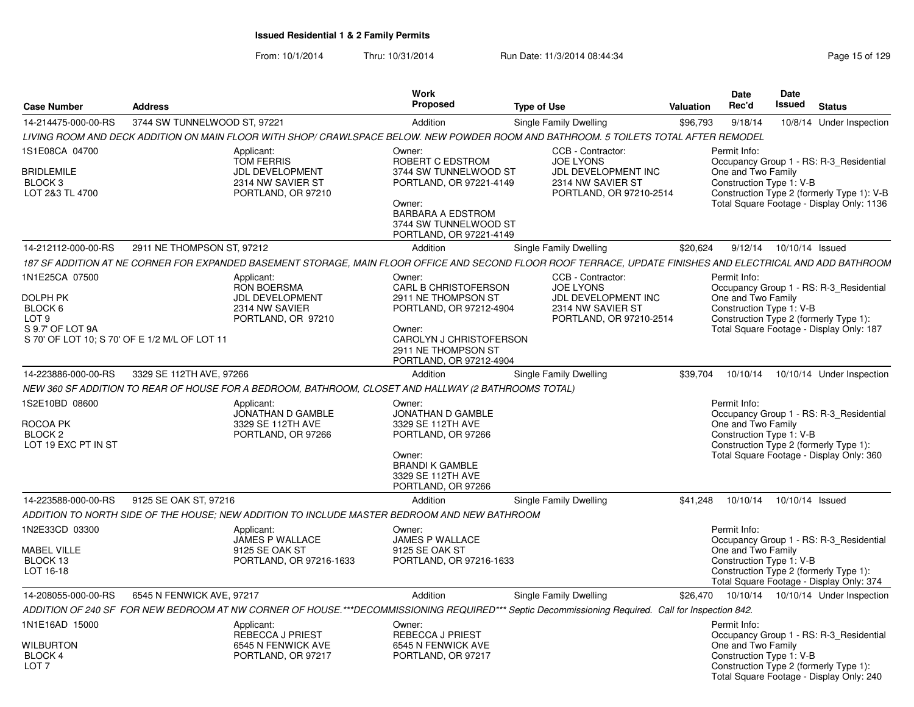| <b>Case Number</b>                                                                                                                    | <b>Address</b>               |                                                                                                      | Work<br>Proposed                                                                                                                                                         | <b>Type of Use</b>                                                                                                                                           | <b>Valuation</b> | Date<br>Rec'd                                                  | <b>Date</b><br>Issued | <b>Status</b>                                                                                                                      |
|---------------------------------------------------------------------------------------------------------------------------------------|------------------------------|------------------------------------------------------------------------------------------------------|--------------------------------------------------------------------------------------------------------------------------------------------------------------------------|--------------------------------------------------------------------------------------------------------------------------------------------------------------|------------------|----------------------------------------------------------------|-----------------------|------------------------------------------------------------------------------------------------------------------------------------|
| 14-214475-000-00-RS                                                                                                                   | 3744 SW TUNNELWOOD ST, 97221 |                                                                                                      | Addition                                                                                                                                                                 | Single Family Dwelling                                                                                                                                       | \$96,793         | 9/18/14                                                        |                       | 10/8/14 Under Inspection                                                                                                           |
|                                                                                                                                       |                              |                                                                                                      |                                                                                                                                                                          | LIVING ROOM AND DECK ADDITION ON MAIN FLOOR WITH SHOP/ CRAWLSPACE BELOW. NEW POWDER ROOM AND BATHROOM. 5 TOILETS TOTAL AFTER REMODEL                         |                  |                                                                |                       |                                                                                                                                    |
| 1S1E08CA 04700<br><b>BRIDLEMILE</b><br>BLOCK <sub>3</sub><br>LOT 2&3 TL 4700                                                          |                              | Applicant:<br><b>TOM FERRIS</b><br><b>JDL DEVELOPMENT</b><br>2314 NW SAVIER ST<br>PORTLAND, OR 97210 | Owner:<br>ROBERT C EDSTROM<br>3744 SW TUNNELWOOD ST<br>PORTLAND, OR 97221-4149<br>Owner:<br><b>BARBARA A EDSTROM</b><br>3744 SW TUNNELWOOD ST<br>PORTLAND, OR 97221-4149 | CCB - Contractor:<br><b>JOE LYONS</b><br><b>JDL DEVELOPMENT INC</b><br>2314 NW SAVIER ST<br>PORTLAND, OR 97210-2514                                          |                  | Permit Info:<br>One and Two Family<br>Construction Type 1: V-B |                       | Occupancy Group 1 - RS: R-3 Residential<br>Construction Type 2 (formerly Type 1): V-B<br>Total Square Footage - Display Only: 1136 |
| 14-212112-000-00-RS                                                                                                                   | 2911 NE THOMPSON ST, 97212   |                                                                                                      | Addition                                                                                                                                                                 | Single Family Dwelling                                                                                                                                       | \$20,624         | 9/12/14                                                        |                       | 10/10/14 Issued                                                                                                                    |
|                                                                                                                                       |                              |                                                                                                      |                                                                                                                                                                          | 187 SF ADDITION AT NE CORNER FOR EXPANDED BASEMENT STORAGE, MAIN FLOOR OFFICE AND SECOND FLOOR ROOF TERRACE, UPDATE FINISHES AND ELECTRICAL AND ADD BATHROOM |                  |                                                                |                       |                                                                                                                                    |
| 1N1E25CA 07500<br><b>DOLPH PK</b><br>BLOCK 6<br>LOT <sub>9</sub><br>S 9.7' OF LOT 9A<br>S 70' OF LOT 10; S 70' OF E 1/2 M/L OF LOT 11 |                              | Applicant:<br><b>RON BOERSMA</b><br><b>JDL DEVELOPMENT</b><br>2314 NW SAVIER<br>PORTLAND, OR 97210   | Owner:<br>CARL B CHRISTOFERSON<br>2911 NE THOMPSON ST<br>PORTLAND, OR 97212-4904<br>Owner:<br>CAROLYN J CHRISTOFERSON<br>2911 NE THOMPSON ST<br>PORTLAND, OR 97212-4904  | CCB - Contractor:<br><b>JOE LYONS</b><br><b>JDL DEVELOPMENT INC</b><br>2314 NW SAVIER ST<br>PORTLAND, OR 97210-2514                                          |                  | Permit Info:<br>One and Two Family<br>Construction Type 1: V-B |                       | Occupancy Group 1 - RS: R-3 Residential<br>Construction Type 2 (formerly Type 1):<br>Total Square Footage - Display Only: 187      |
| 14-223886-000-00-RS                                                                                                                   | 3329 SE 112TH AVE, 97266     |                                                                                                      | Addition                                                                                                                                                                 | Single Family Dwelling                                                                                                                                       | \$39,704         | 10/10/14                                                       |                       | 10/10/14 Under Inspection                                                                                                          |
|                                                                                                                                       |                              | NEW 360 SF ADDITION TO REAR OF HOUSE FOR A BEDROOM, BATHROOM, CLOSET AND HALLWAY (2 BATHROOMS TOTAL) |                                                                                                                                                                          |                                                                                                                                                              |                  |                                                                |                       |                                                                                                                                    |
| 1S2E10BD 08600<br>ROCOA PK<br>BLOCK 2<br>LOT 19 EXC PT IN ST                                                                          |                              | Applicant:<br>JONATHAN D GAMBLE<br>3329 SE 112TH AVE<br>PORTLAND, OR 97266                           | Owner:<br>JONATHAN D GAMBLE<br>3329 SE 112TH AVE<br>PORTLAND, OR 97266<br>Owner:<br><b>BRANDI K GAMBLE</b><br>3329 SE 112TH AVE<br>PORTLAND, OR 97266                    |                                                                                                                                                              |                  | Permit Info:<br>One and Two Family<br>Construction Type 1: V-B |                       | Occupancy Group 1 - RS: R-3_Residential<br>Construction Type 2 (formerly Type 1):<br>Total Square Footage - Display Only: 360      |
| 14-223588-000-00-RS                                                                                                                   | 9125 SE OAK ST, 97216        |                                                                                                      | Addition                                                                                                                                                                 | Single Family Dwelling                                                                                                                                       | \$41.248         | 10/10/14                                                       |                       | 10/10/14 Issued                                                                                                                    |
|                                                                                                                                       |                              | ADDITION TO NORTH SIDE OF THE HOUSE: NEW ADDITION TO INCLUDE MASTER BEDROOM AND NEW BATHROOM         |                                                                                                                                                                          |                                                                                                                                                              |                  |                                                                |                       |                                                                                                                                    |
| 1N2E33CD 03300<br><b>MABEL VILLE</b><br>BLOCK 13<br>LOT 16-18                                                                         |                              | Applicant:<br><b>JAMES P WALLACE</b><br>9125 SE OAK ST<br>PORTLAND, OR 97216-1633                    | Owner:<br><b>JAMES P WALLACE</b><br>9125 SE OAK ST<br>PORTLAND, OR 97216-1633                                                                                            |                                                                                                                                                              |                  | Permit Info:<br>One and Two Family<br>Construction Type 1: V-B |                       | Occupancy Group 1 - RS: R-3 Residential<br>Construction Type 2 (formerly Type 1):<br>Total Square Footage - Display Only: 374      |
| 14-208055-000-00-RS                                                                                                                   | 6545 N FENWICK AVE, 97217    |                                                                                                      | Addition                                                                                                                                                                 | Single Family Dwelling                                                                                                                                       |                  |                                                                |                       | \$26,470  10/10/14  10/10/14  Under Inspection                                                                                     |
|                                                                                                                                       |                              |                                                                                                      |                                                                                                                                                                          | ADDITION OF 240 SF FOR NEW BEDROOM AT NW CORNER OF HOUSE.***DECOMMISSIONING REQUIRED*** Septic Decommissioning Required. Call for Inspection 842.            |                  |                                                                |                       |                                                                                                                                    |
| 1N1E16AD 15000<br>WILBURTON<br>BLOCK 4<br>LOT <sub>7</sub>                                                                            |                              | Applicant:<br><b>REBECCA J PRIEST</b><br>6545 N FENWICK AVE<br>PORTLAND, OR 97217                    | Owner:<br>REBECCA J PRIEST<br>6545 N FENWICK AVE<br>PORTLAND, OR 97217                                                                                                   |                                                                                                                                                              |                  | Permit Info:<br>One and Two Family<br>Construction Type 1: V-B |                       | Occupancy Group 1 - RS: R-3_Residential<br>Construction Type 2 (formerly Type 1):<br>Total Square Footage - Display Only: 240      |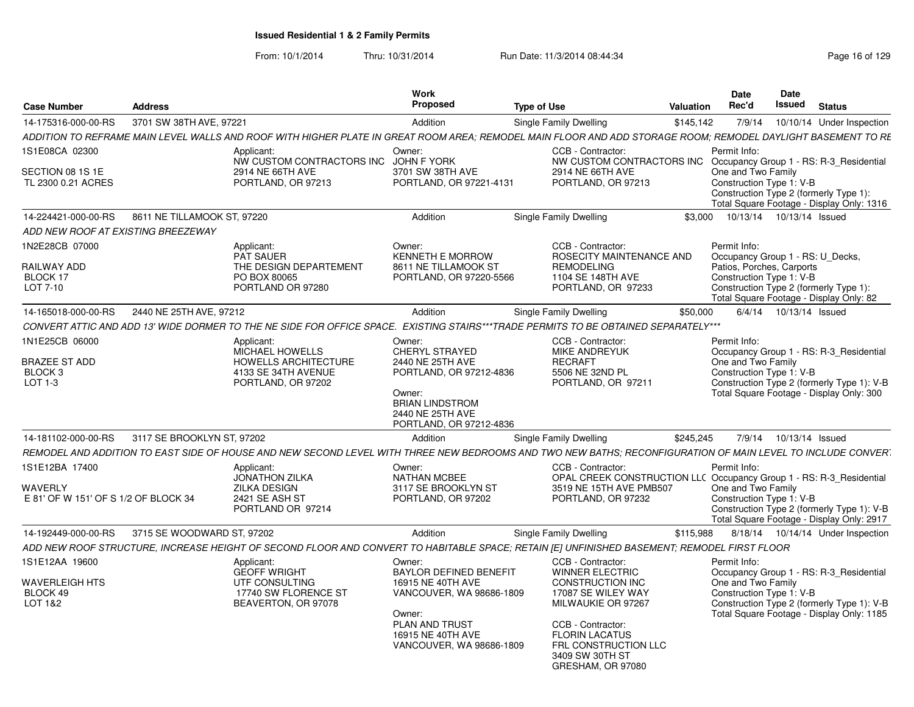| <b>Case Number</b>                                     | <b>Address</b>              |                                                                                                                                                              | Work<br><b>Proposed</b>                                                                                                        | <b>Type of Use</b>                                                                                          | Valuation | <b>Date</b><br>Rec'd                                  | Date<br>Issued | <b>Status</b>                                                                                                         |
|--------------------------------------------------------|-----------------------------|--------------------------------------------------------------------------------------------------------------------------------------------------------------|--------------------------------------------------------------------------------------------------------------------------------|-------------------------------------------------------------------------------------------------------------|-----------|-------------------------------------------------------|----------------|-----------------------------------------------------------------------------------------------------------------------|
| 14-175316-000-00-RS                                    | 3701 SW 38TH AVE, 97221     |                                                                                                                                                              | Addition                                                                                                                       | Single Family Dwelling                                                                                      | \$145,142 | 7/9/14                                                |                | 10/10/14 Under Inspection                                                                                             |
|                                                        |                             | ADDITION TO REFRAME MAIN LEVEL WALLS AND ROOF WITH HIGHER PLATE IN GREAT ROOM AREA: REMODEL MAIN FLOOR AND ADD STORAGE ROOM: REMODEL DAYLIGHT BASEMENT TO RE |                                                                                                                                |                                                                                                             |           |                                                       |                |                                                                                                                       |
| 1S1E08CA 02300                                         |                             | Applicant:                                                                                                                                                   | Owner:                                                                                                                         | CCB - Contractor:                                                                                           |           | Permit Info:                                          |                |                                                                                                                       |
| SECTION 08 1S 1E<br>TL 2300 0.21 ACRES                 |                             | NW CUSTOM CONTRACTORS INC JOHN F YORK<br>2914 NE 66TH AVE<br>PORTLAND, OR 97213                                                                              | 3701 SW 38TH AVE<br>PORTLAND, OR 97221-4131                                                                                    | NW CUSTOM CONTRACTORS INC Occupancy Group 1 - RS: R-3_Residential<br>2914 NE 66TH AVE<br>PORTLAND, OR 97213 |           | One and Two Family<br>Construction Type 1: V-B        |                | Construction Type 2 (formerly Type 1):<br>Total Square Footage - Display Only: 1316                                   |
| 14-224421-000-00-RS                                    | 8611 NE TILLAMOOK ST. 97220 |                                                                                                                                                              | Addition                                                                                                                       | Single Family Dwelling                                                                                      | \$3.000   |                                                       |                | 10/13/14  10/13/14  Issued                                                                                            |
| ADD NEW ROOF AT EXISTING BREEZEWAY                     |                             |                                                                                                                                                              |                                                                                                                                |                                                                                                             |           |                                                       |                |                                                                                                                       |
| 1N2E28CB 07000                                         |                             | Applicant:<br>PAT SAUER                                                                                                                                      | Owner:<br><b>KENNETH E MORROW</b>                                                                                              | CCB - Contractor:<br>ROSECITY MAINTENANCE AND                                                               |           | Permit Info:                                          |                |                                                                                                                       |
| RAILWAY ADD<br>BLOCK 17<br>LOT 7-10                    |                             | THE DESIGN DEPARTEMENT<br>PO BOX 80065<br>PORTLAND OR 97280                                                                                                  | 8611 NE TILLAMOOK ST<br>PORTLAND, OR 97220-5566                                                                                | <b>REMODELING</b><br>1104 SE 148TH AVE<br>PORTLAND, OR 97233                                                |           | Patios, Porches, Carports<br>Construction Type 1: V-B |                | Occupancy Group 1 - RS: U_Decks,<br>Construction Type 2 (formerly Type 1):<br>Total Square Footage - Display Only: 82 |
| 14-165018-000-00-RS                                    | 2440 NE 25TH AVE, 97212     |                                                                                                                                                              | Addition                                                                                                                       | Single Family Dwelling                                                                                      | \$50,000  |                                                       |                | 6/4/14  10/13/14  Issued                                                                                              |
|                                                        |                             | CONVERT ATTIC AND ADD 13' WIDE DORMER TO THE NE SIDE FOR OFFICE SPACE. EXISTING STAIRS***TRADE PERMITS TO BE OBTAINED SEPARATELY***                          |                                                                                                                                |                                                                                                             |           |                                                       |                |                                                                                                                       |
| 1N1E25CB 06000                                         |                             | Applicant:<br>MICHAEL HOWELLS                                                                                                                                | Owner:<br><b>CHERYL STRAYED</b>                                                                                                | CCB - Contractor:<br><b>MIKE ANDREYUK</b>                                                                   |           | Permit Info:                                          |                | Occupancy Group 1 - RS: R-3 Residential                                                                               |
| <b>BRAZEE ST ADD</b><br>BLOCK <sub>3</sub><br>LOT 1-3  |                             | <b>HOWELLS ARCHITECTURE</b><br>4133 SE 34TH AVENUE<br>PORTLAND, OR 97202                                                                                     | 2440 NE 25TH AVE<br>PORTLAND, OR 97212-4836<br>Owner:<br><b>BRIAN LINDSTROM</b><br>2440 NE 25TH AVE<br>PORTLAND, OR 97212-4836 | <b>RECRAFT</b><br>5506 NE 32ND PL<br>PORTLAND, OR 97211                                                     |           | One and Two Family<br>Construction Type 1: V-B        |                | Construction Type 2 (formerly Type 1): V-B<br>Total Square Footage - Display Only: 300                                |
| 14-181102-000-00-RS                                    | 3117 SE BROOKLYN ST, 97202  |                                                                                                                                                              | Addition                                                                                                                       | <b>Single Family Dwelling</b>                                                                               | \$245,245 |                                                       |                | 7/9/14  10/13/14  Issued                                                                                              |
|                                                        |                             | REMODEL AND ADDITION TO EAST SIDE OF HOUSE AND NEW SECOND LEVEL WITH THREE NEW BEDROOMS AND TWO NEW BATHS: RECONFIGURATION OF MAIN LEVEL TO INCLUDE CONVERT  |                                                                                                                                |                                                                                                             |           |                                                       |                |                                                                                                                       |
| 1S1E12BA 17400                                         |                             | Applicant:<br>JONATHON ZILKA                                                                                                                                 | Owner:<br><b>NATHAN MCBEE</b>                                                                                                  | CCB - Contractor:<br>OPAL CREEK CONSTRUCTION LLC Occupancy Group 1 - RS: R-3_Residential                    |           | Permit Info:                                          |                |                                                                                                                       |
| <b>WAVERLY</b><br>E 81' OF W 151' OF S 1/2 OF BLOCK 34 |                             | <b>ZILKA DESIGN</b><br>2421 SE ASH ST<br>PORTLAND OR 97214                                                                                                   | 3117 SE BROOKLYN ST<br>PORTLAND, OR 97202                                                                                      | 3519 NE 15TH AVE PMB507<br>PORTLAND, OR 97232                                                               |           | One and Two Family<br>Construction Type 1: V-B        |                | Construction Type 2 (formerly Type 1): V-B<br>Total Square Footage - Display Only: 2917                               |
| 14-192449-000-00-RS                                    | 3715 SE WOODWARD ST, 97202  |                                                                                                                                                              | Addition                                                                                                                       | Single Family Dwelling                                                                                      | \$115,988 |                                                       |                | 8/18/14  10/14/14  Under Inspection                                                                                   |
|                                                        |                             | ADD NEW ROOF STRUCTURE, INCREASE HEIGHT OF SECOND FLOOR AND CONVERT TO HABITABLE SPACE; RETAIN [E] UNFINISHED BASEMENT; REMODEL FIRST FLOOR                  |                                                                                                                                |                                                                                                             |           |                                                       |                |                                                                                                                       |
| 1S1E12AA 19600                                         |                             | Applicant:<br><b>GEOFF WRIGHT</b>                                                                                                                            | Owner:<br><b>BAYLOR DEFINED BENEFIT</b>                                                                                        | CCB - Contractor:<br><b>WINNER ELECTRIC</b>                                                                 |           | Permit Info:                                          |                | Occupancy Group 1 - RS: R-3_Residential                                                                               |
| <b>WAVERLEIGH HTS</b><br>BLOCK 49<br>LOT 1&2           |                             | UTF CONSULTING<br>17740 SW FLORENCE ST<br>BEAVERTON, OR 97078                                                                                                | 16915 NE 40TH AVE<br>VANCOUVER, WA 98686-1809<br>Owner:                                                                        | <b>CONSTRUCTION INC</b><br>17087 SE WILEY WAY<br>MILWAUKIE OR 97267                                         |           | One and Two Family<br>Construction Type 1: V-B        |                | Construction Type 2 (formerly Type 1): V-B<br>Total Square Footage - Display Only: 1185                               |
|                                                        |                             |                                                                                                                                                              | PLAN AND TRUST<br>16915 NE 40TH AVE<br>VANCOUVER, WA 98686-1809                                                                | CCB - Contractor:<br><b>FLORIN LACATUS</b><br>FRL CONSTRUCTION LLC<br>3409 SW 30TH ST<br>GRESHAM, OR 97080  |           |                                                       |                |                                                                                                                       |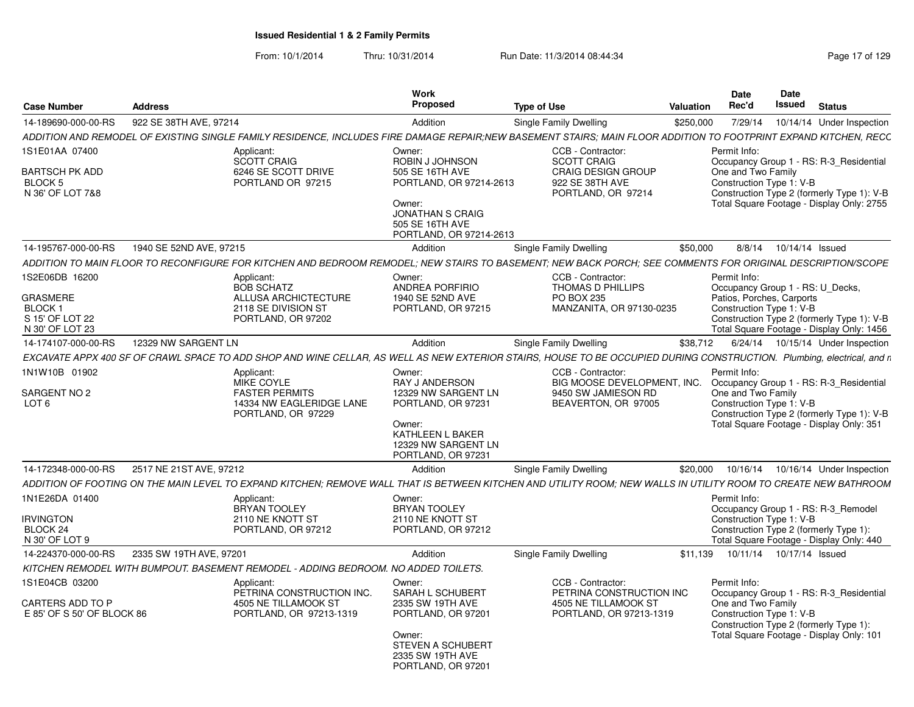| <b>Case Number</b>                                               | <b>Address</b>                                |                                                                                            | Work<br>Proposed                                                                                                                       | <b>Type of Use</b>                                                                                                                                                     | Valuation | Date<br>Rec'd                                                  | <b>Date</b><br>Issued<br><b>Status</b>                                                                                        |
|------------------------------------------------------------------|-----------------------------------------------|--------------------------------------------------------------------------------------------|----------------------------------------------------------------------------------------------------------------------------------------|------------------------------------------------------------------------------------------------------------------------------------------------------------------------|-----------|----------------------------------------------------------------|-------------------------------------------------------------------------------------------------------------------------------|
| 14-189690-000-00-RS                                              | 922 SE 38TH AVE, 97214                        |                                                                                            | Addition                                                                                                                               | Single Family Dwelling                                                                                                                                                 | \$250,000 |                                                                | 7/29/14  10/14/14  Under Inspection                                                                                           |
|                                                                  |                                               |                                                                                            |                                                                                                                                        | ADDITION AND REMODEL OF EXISTING SINGLE FAMILY RESIDENCE, INCLUDES FIRE DAMAGE REPAIR;NEW BASEMENT STAIRS; MAIN FLOOR ADDITION TO FOOTPRINT EXPAND KITCHEN, RECC       |           |                                                                |                                                                                                                               |
| IS1E01AA 07400                                                   |                                               | Applicant:                                                                                 | Owner:                                                                                                                                 | CCB - Contractor:                                                                                                                                                      |           | Permit Info:                                                   |                                                                                                                               |
| <b>BARTSCH PK ADD</b><br>BLOCK 5                                 |                                               | SCOTT CRAIG<br>6246 SE SCOTT DRIVE<br>PORTLAND OR 97215                                    | ROBIN J JOHNSON<br>505 SE 16TH AVE<br>PORTLAND, OR 97214-2613                                                                          | <b>SCOTT CRAIG</b><br>CRAIG DESIGN GROUP<br>922 SE 38TH AVE                                                                                                            |           | One and Two Family<br>Construction Type 1: V-B                 | Occupancy Group 1 - RS: R-3_Residential                                                                                       |
| N 36' OF LOT 7&8                                                 |                                               |                                                                                            | Owner:<br><b>JONATHAN S CRAIG</b><br>505 SE 16TH AVE<br>PORTLAND, OR 97214-2613                                                        | PORTLAND, OR 97214                                                                                                                                                     |           |                                                                | Construction Type 2 (formerly Type 1): V-B<br>Total Square Footage - Display Only: 2755                                       |
| 14-195767-000-00-RS                                              | 1940 SE 52ND AVE, 97215                       |                                                                                            | Addition                                                                                                                               | <b>Single Family Dwelling</b>                                                                                                                                          | \$50,000  |                                                                | 8/8/14  10/14/14  Issued                                                                                                      |
|                                                                  |                                               |                                                                                            |                                                                                                                                        | ADDITION TO MAIN FLOOR TO RECONFIGURE FOR KITCHEN AND BEDROOM REMODEL; NEW STAIRS TO BASEMENT; NEW BACK PORCH; SEE COMMENTS FOR ORIGINAL DESCRIPTION/SCOPE             |           |                                                                |                                                                                                                               |
| S2E06DB 16200                                                    |                                               | Applicant:                                                                                 | Owner:                                                                                                                                 | CCB - Contractor:                                                                                                                                                      |           | Permit Info:                                                   |                                                                                                                               |
| <b>GRASMERE</b><br>BLOCK 1<br>S 15' OF LOT 22<br>N 30' OF LOT 23 |                                               | <b>BOB SCHATZ</b><br>ALLUSA ARCHICTECTURE<br>2118 SE DIVISION ST<br>PORTLAND, OR 97202     | ANDREA PORFIRIO<br>1940 SE 52ND AVE<br>PORTLAND, OR 97215                                                                              | THOMAS D PHILLIPS<br>PO BOX 235<br>MANZANITA, OR 97130-0235                                                                                                            |           | Patios, Porches, Carports<br>Construction Type 1: V-B          | Occupancy Group 1 - RS: U_Decks,<br>Construction Type 2 (formerly Type 1): V-B<br>Total Square Footage - Display Only: 1456   |
| 14-174107-000-00-RS                                              | 12329 NW SARGENT LN                           |                                                                                            | Addition                                                                                                                               | <b>Single Family Dwelling</b>                                                                                                                                          |           |                                                                | \$38,712 6/24/14 10/15/14 Under Inspection                                                                                    |
|                                                                  |                                               |                                                                                            |                                                                                                                                        | EXCAVATE APPX 400 SF OF CRAWL SPACE TO ADD SHOP AND WINE CELLAR, AS WELL AS NEW EXTERIOR STAIRS, HOUSE TO BE OCCUPIED DURING CONSTRUCTION. Plumbing, electrical, and n |           |                                                                |                                                                                                                               |
| 1N1W10B 01902                                                    |                                               | Applicant:                                                                                 | Owner:                                                                                                                                 | CCB - Contractor:                                                                                                                                                      |           | Permit Info:                                                   |                                                                                                                               |
| SARGENT NO 2<br>LOT 6                                            |                                               | MIKE COYLE<br><b>FASTER PERMITS</b><br>14334 NW EAGLERIDGE LANE<br>PORTLAND, OR 97229      | RAY J ANDERSON<br>12329 NW SARGENT LN<br>PORTLAND, OR 97231<br>Owner:<br>KATHLEEN L BAKER<br>12329 NW SARGENT LN<br>PORTLAND, OR 97231 | BIG MOOSE DEVELOPMENT, INC. Occupancy Group 1 - RS: R-3_Residential<br>9450 SW JAMIESON RD<br>BEAVERTON, OR 97005                                                      |           | One and Two Family<br>Construction Type 1: V-B                 | Construction Type 2 (formerly Type 1): V-B<br>Total Square Footage - Display Only: 351                                        |
|                                                                  | 14-172348-000-00-RS   2517 NE 21ST AVE, 97212 |                                                                                            | Addition                                                                                                                               | <b>Single Family Dwelling</b>                                                                                                                                          |           |                                                                | \$20,000  10/16/14  10/16/14  Under Inspection                                                                                |
|                                                                  |                                               |                                                                                            |                                                                                                                                        | ADDITION OF FOOTING ON THE MAIN LEVEL TO EXPAND KITCHEN; REMOVE WALL THAT IS BETWEEN KITCHEN AND UTILITY ROOM; NEW WALLS IN UTILITY ROOM TO CREATE NEW BATHROOM        |           |                                                                |                                                                                                                               |
| 1N1E26DA 01400                                                   |                                               | Applicant:<br>BRYAN TOOLEY                                                                 | Owner:<br>BRYAN TOOLEY                                                                                                                 |                                                                                                                                                                        |           | Permit Info:                                                   | Occupancy Group 1 - RS: R-3 Remodel                                                                                           |
| <b>RVINGTON</b><br>BLOCK 24<br>N 30' OF LOT 9                    |                                               | 2110 NE KNOTT ST<br>PORTLAND, OR 97212                                                     | 2110 NE KNOTT ST<br>PORTLAND, OR 97212                                                                                                 |                                                                                                                                                                        |           | Construction Type 1: V-B                                       | Construction Type 2 (formerly Type 1):<br>Total Square Footage - Display Only: 440                                            |
| 14-224370-000-00-RS                                              | 2335 SW 19TH AVE, 97201                       |                                                                                            | Addition                                                                                                                               | Single Family Dwelling                                                                                                                                                 |           |                                                                | \$11,139  10/11/14  10/17/14  Issued                                                                                          |
|                                                                  |                                               | KITCHEN REMODEL WITH BUMPOUT. BASEMENT REMODEL - ADDING BEDROOM. NO ADDED TOILETS.         |                                                                                                                                        |                                                                                                                                                                        |           |                                                                |                                                                                                                               |
| IS1E04CB 03200<br>CARTERS ADD TO P<br>E 85' OF S 50' OF BLOCK 86 |                                               | Applicant:<br>PETRINA CONSTRUCTION INC.<br>4505 NE TILLAMOOK ST<br>PORTLAND, OR 97213-1319 | Owner:<br><b>SARAH L SCHUBERT</b><br>2335 SW 19TH AVE<br>PORTLAND, OR 97201<br>Owner:<br><b>STEVEN A SCHUBERT</b>                      | CCB - Contractor:<br>PETRINA CONSTRUCTION INC<br>4505 NE TILLAMOOK ST<br>PORTLAND, OR 97213-1319                                                                       |           | Permit Info:<br>One and Two Family<br>Construction Type 1: V-B | Occupancy Group 1 - RS: R-3 Residential<br>Construction Type 2 (formerly Type 1):<br>Total Square Footage - Display Only: 101 |
|                                                                  |                                               |                                                                                            | 2335 SW 19TH AVE<br>PORTLAND, OR 97201                                                                                                 |                                                                                                                                                                        |           |                                                                |                                                                                                                               |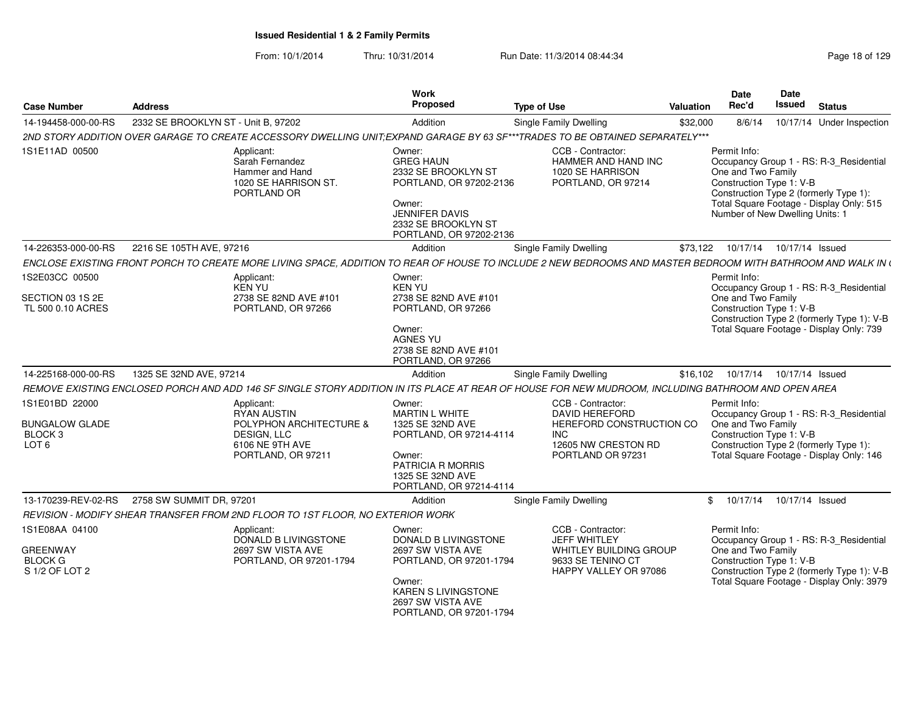| <b>Case Number</b>                                                                | <b>Address</b>                                                                                                                                               |                                                 | <b>Work</b><br>Proposed                                                                                                                                           | <b>Type of Use</b>                                                                                                               | <b>Valuation</b> | Date<br>Rec'd                                                                                                                               | Date<br><b>Issued</b> | <b>Status</b>                                                                                                                      |
|-----------------------------------------------------------------------------------|--------------------------------------------------------------------------------------------------------------------------------------------------------------|-------------------------------------------------|-------------------------------------------------------------------------------------------------------------------------------------------------------------------|----------------------------------------------------------------------------------------------------------------------------------|------------------|---------------------------------------------------------------------------------------------------------------------------------------------|-----------------------|------------------------------------------------------------------------------------------------------------------------------------|
| 14-194458-000-00-RS                                                               | 2332 SE BROOKLYN ST - Unit B, 97202                                                                                                                          |                                                 | Addition                                                                                                                                                          | <b>Single Family Dwelling</b>                                                                                                    | \$32,000         | 8/6/14                                                                                                                                      |                       | 10/17/14 Under Inspection                                                                                                          |
|                                                                                   | 2ND STORY ADDITION OVER GARAGE TO CREATE ACCESSORY DWELLING UNIT:EXPAND GARAGE BY 63 SF***TRADES TO BE OBTAINED SEPARATELY***                                |                                                 |                                                                                                                                                                   |                                                                                                                                  |                  |                                                                                                                                             |                       |                                                                                                                                    |
| 1S1E11AD 00500                                                                    | Applicant:<br>Sarah Fernandez<br>Hammer and Hand<br>PORTLAND OR                                                                                              | 1020 SE HARRISON ST.                            | Owner:<br><b>GREG HAUN</b><br>2332 SE BROOKLYN ST<br>PORTLAND, OR 97202-2136<br>Owner:<br><b>JENNIFER DAVIS</b><br>2332 SE BROOKLYN ST<br>PORTLAND, OR 97202-2136 | CCB - Contractor:<br>HAMMER AND HAND INC<br>1020 SE HARRISON<br>PORTLAND, OR 97214                                               |                  | Permit Info:<br>One and Two Family<br>Construction Type 1: V-B<br>Construction Type 2 (formerly Type 1):<br>Number of New Dwelling Units: 1 |                       | Occupancy Group 1 - RS: R-3_Residential<br>Total Square Footage - Display Only: 515                                                |
| 14-226353-000-00-RS                                                               | 2216 SE 105TH AVE, 97216                                                                                                                                     |                                                 | Addition                                                                                                                                                          | Single Family Dwelling                                                                                                           | \$73,122         | 10/17/14                                                                                                                                    | 10/17/14 Issued       |                                                                                                                                    |
|                                                                                   | ENCLOSE EXISTING FRONT PORCH TO CREATE MORE LIVING SPACE, ADDITION TO REAR OF HOUSE TO INCLUDE 2 NEW BEDROOMS AND MASTER BEDROOM WITH BATHROOM AND WALK IN ( |                                                 |                                                                                                                                                                   |                                                                                                                                  |                  |                                                                                                                                             |                       |                                                                                                                                    |
| 1S2E03CC 00500<br>SECTION 03 1S 2E<br>TL 500 0.10 ACRES                           | Applicant:<br>KEN YU<br>PORTLAND, OR 97266                                                                                                                   | 2738 SE 82ND AVE #101                           | Owner:<br><b>KEN YU</b><br>2738 SE 82ND AVE #101<br>PORTLAND, OR 97266<br>Owner:<br><b>AGNES YU</b><br>2738 SE 82ND AVE #101<br>PORTLAND, OR 97266                |                                                                                                                                  |                  | Permit Info:<br>One and Two Family<br>Construction Type 1: V-B                                                                              |                       | Occupancy Group 1 - RS: R-3_Residential<br>Construction Type 2 (formerly Type 1): V-B<br>Total Square Footage - Display Only: 739  |
| 14-225168-000-00-RS                                                               | 1325 SE 32ND AVE, 97214                                                                                                                                      |                                                 | Addition                                                                                                                                                          | <b>Single Family Dwelling</b>                                                                                                    | \$16,102         | 10/17/14                                                                                                                                    | 10/17/14 Issued       |                                                                                                                                    |
|                                                                                   | REMOVE EXISTING ENCLOSED PORCH AND ADD 146 SF SINGLE STORY ADDITION IN ITS PLACE AT REAR OF HOUSE FOR NEW MUDROOM, INCLUDING BATHROOM AND OPEN AREA          |                                                 |                                                                                                                                                                   |                                                                                                                                  |                  |                                                                                                                                             |                       |                                                                                                                                    |
| 1S1E01BD 22000<br><b>BUNGALOW GLADE</b><br>BLOCK <sub>3</sub><br>LOT <sub>6</sub> | Applicant:<br><b>RYAN AUSTIN</b><br><b>DESIGN, LLC</b><br>6106 NE 9TH AVE<br>PORTLAND, OR 97211                                                              | POLYPHON ARCHITECTURE &                         | Owner:<br><b>MARTIN L WHITE</b><br>1325 SE 32ND AVE<br>PORTLAND, OR 97214-4114<br>Owner:<br>PATRICIA R MORRIS<br>1325 SE 32ND AVE<br>PORTLAND, OR 97214-4114      | CCB - Contractor:<br><b>DAVID HEREFORD</b><br>HEREFORD CONSTRUCTION CO<br><b>INC</b><br>12605 NW CRESTON RD<br>PORTLAND OR 97231 |                  | Permit Info:<br>One and Two Family<br>Construction Type 1: V-B<br>Construction Type 2 (formerly Type 1):                                    |                       | Occupancy Group 1 - RS: R-3_Residential<br>Total Square Footage - Display Only: 146                                                |
| 13-170239-REV-02-RS                                                               | 2758 SW SUMMIT DR, 97201                                                                                                                                     |                                                 | Addition                                                                                                                                                          | Single Family Dwelling                                                                                                           |                  | $\mathbb{S}$<br>10/17/14                                                                                                                    | 10/17/14 Issued       |                                                                                                                                    |
|                                                                                   | REVISION - MODIFY SHEAR TRANSFER FROM 2ND FLOOR TO 1ST FLOOR, NO EXTERIOR WORK                                                                               |                                                 |                                                                                                                                                                   |                                                                                                                                  |                  |                                                                                                                                             |                       |                                                                                                                                    |
| 1S1E08AA 04100<br><b>GREENWAY</b><br><b>BLOCK G</b><br>S 1/2 OF LOT 2             | Applicant:<br>2697 SW VISTA AVE                                                                                                                              | DONALD B LIVINGSTONE<br>PORTLAND, OR 97201-1794 | Owner:<br>DONALD B LIVINGSTONE<br>2697 SW VISTA AVE<br>PORTLAND, OR 97201-1794<br>Owner:<br>KAREN S LIVINGSTONE<br>2697 SW VISTA AVE<br>PORTLAND, OR 97201-1794   | CCB - Contractor:<br><b>JEFF WHITLEY</b><br>WHITLEY BUILDING GROUP<br>9633 SE TENINO CT<br>HAPPY VALLEY OR 97086                 |                  | Permit Info:<br>One and Two Family<br>Construction Type 1: V-B                                                                              |                       | Occupancy Group 1 - RS: R-3_Residential<br>Construction Type 2 (formerly Type 1): V-B<br>Total Square Footage - Display Only: 3979 |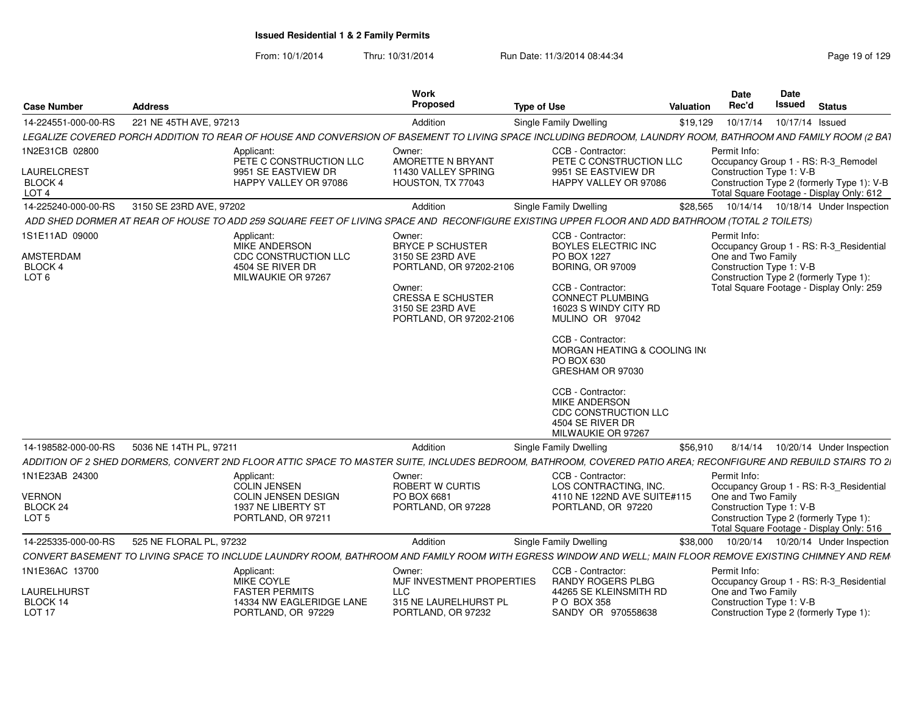| <b>Case Number</b>                                                | <b>Address</b>          |                                                                                                                                                 | <b>Work</b><br>Proposed                                                                                                                                               | <b>Type of Use</b>                                                                                                                                                                                                                                                                                                                                                                   | Valuation | Date<br>Date<br>Rec'd<br>Issued<br><b>Status</b>                                                                                                                                               |
|-------------------------------------------------------------------|-------------------------|-------------------------------------------------------------------------------------------------------------------------------------------------|-----------------------------------------------------------------------------------------------------------------------------------------------------------------------|--------------------------------------------------------------------------------------------------------------------------------------------------------------------------------------------------------------------------------------------------------------------------------------------------------------------------------------------------------------------------------------|-----------|------------------------------------------------------------------------------------------------------------------------------------------------------------------------------------------------|
| 14-224551-000-00-RS                                               | 221 NE 45TH AVE, 97213  |                                                                                                                                                 | Addition                                                                                                                                                              | Single Family Dwelling                                                                                                                                                                                                                                                                                                                                                               |           | \$19,129  10/17/14  10/17/14  Issued                                                                                                                                                           |
|                                                                   |                         |                                                                                                                                                 |                                                                                                                                                                       |                                                                                                                                                                                                                                                                                                                                                                                      |           | LEGALIZE COVERED PORCH ADDITION TO REAR OF HOUSE AND CONVERSION OF BASEMENT TO LIVING SPACE INCLUDING BEDROOM, LAUNDRY ROOM, BATHROOM AND FAMILY ROOM (2 BA1                                   |
| 1N2E31CB 02800<br>LAURELCREST<br>BLOCK 4                          |                         | Applicant:<br>PETE C CONSTRUCTION LLC<br>9951 SE EASTVIEW DR<br>HAPPY VALLEY OR 97086                                                           | Owner:<br><b>AMORETTE N BRYANT</b><br>11430 VALLEY SPRING<br>HOUSTON, TX 77043                                                                                        | CCB - Contractor:<br>PETE C CONSTRUCTION LLC<br>9951 SE EASTVIEW DR<br>HAPPY VALLEY OR 97086                                                                                                                                                                                                                                                                                         |           | Permit Info:<br>Occupancy Group 1 - RS: R-3_Remodel<br>Construction Type 1: V-B<br>Construction Type 2 (formerly Type 1): V-B                                                                  |
| LOT <sub>4</sub>                                                  |                         |                                                                                                                                                 |                                                                                                                                                                       |                                                                                                                                                                                                                                                                                                                                                                                      |           | Total Square Footage - Display Only: 612                                                                                                                                                       |
| 14-225240-000-00-RS 3150 SE 23RD AVE, 97202                       |                         |                                                                                                                                                 | Addition                                                                                                                                                              | Single Family Dwelling                                                                                                                                                                                                                                                                                                                                                               |           | \$28,565  10/14/14  10/18/14  Under Inspection                                                                                                                                                 |
|                                                                   |                         | ADD SHED DORMER AT REAR OF HOUSE TO ADD 259 SQUARE FEET OF LIVING SPACE AND RECONFIGURE EXISTING UPPER FLOOR AND ADD BATHROOM (TOTAL 2 TOILETS) |                                                                                                                                                                       |                                                                                                                                                                                                                                                                                                                                                                                      |           |                                                                                                                                                                                                |
| 1S1E11AD 09000<br><b>AMSTERDAM</b><br>BLOCK 4<br>LOT <sub>6</sub> |                         | Applicant:<br>MIKE ANDERSON<br><b>CDC CONSTRUCTION LLC</b><br>4504 SE RIVER DR<br>MILWAUKIE OR 97267                                            | Owner:<br><b>BRYCE P SCHUSTER</b><br>3150 SE 23RD AVE<br>PORTLAND, OR 97202-2106<br>Owner:<br><b>CRESSA E SCHUSTER</b><br>3150 SE 23RD AVE<br>PORTLAND, OR 97202-2106 | CCB - Contractor:<br>BOYLES ELECTRIC INC<br>PO BOX 1227<br><b>BORING, OR 97009</b><br>CCB - Contractor:<br><b>CONNECT PLUMBING</b><br>16023 S WINDY CITY RD<br>MULINO OR 97042<br>CCB - Contractor:<br>MORGAN HEATING & COOLING INC<br>PO BOX 630<br>GRESHAM OR 97030<br>CCB - Contractor:<br><b>MIKE ANDERSON</b><br>CDC CONSTRUCTION LLC<br>4504 SE RIVER DR<br>MILWAUKIE OR 97267 |           | Permit Info:<br>Occupancy Group 1 - RS: R-3_Residential<br>One and Two Family<br>Construction Type 1: V-B<br>Construction Type 2 (formerly Type 1)<br>Total Square Footage - Display Only: 259 |
|                                                                   |                         |                                                                                                                                                 |                                                                                                                                                                       |                                                                                                                                                                                                                                                                                                                                                                                      |           |                                                                                                                                                                                                |
| 14-198582-000-00-RS 5036 NE 14TH PL, 97211                        |                         |                                                                                                                                                 | Addition                                                                                                                                                              | Single Family Dwelling                                                                                                                                                                                                                                                                                                                                                               |           | \$56,910 8/14/14 10/20/14 Under Inspection                                                                                                                                                     |
|                                                                   |                         |                                                                                                                                                 |                                                                                                                                                                       |                                                                                                                                                                                                                                                                                                                                                                                      |           | ADDITION OF 2 SHED DORMERS, CONVERT 2ND FLOOR ATTIC SPACE TO MASTER SUITE, INCLUDES BEDROOM, BATHROOM, COVERED PATIO AREA; RECONFIGURE AND REBUILD STAIRS TO 21                                |
| 1N1E23AB 24300                                                    |                         | Applicant:<br><b>COLIN JENSEN</b>                                                                                                               | Owner:<br>ROBERT W CURTIS                                                                                                                                             | CCB - Contractor:<br>LOS CONTRACTING, INC.                                                                                                                                                                                                                                                                                                                                           |           | Permit Info:                                                                                                                                                                                   |
| <b>VERNON</b><br>BLOCK <sub>24</sub><br>LOT <sub>5</sub>          |                         | <b>COLIN JENSEN DESIGN</b><br>1937 NE LIBERTY ST<br>PORTLAND, OR 97211                                                                          | PO BOX 6681<br>PORTLAND, OR 97228                                                                                                                                     | 4110 NE 122ND AVE SUITE#115<br>PORTLAND, OR 97220                                                                                                                                                                                                                                                                                                                                    |           | Occupancy Group 1 - RS: R-3_Residential<br>One and Two Family<br>Construction Type 1: V-B<br>Construction Type 2 (formerly Type 1):<br>Total Square Footage - Display Only: 516                |
| 14-225335-000-00-RS                                               | 525 NE FLORAL PL. 97232 |                                                                                                                                                 | Addition                                                                                                                                                              | Single Family Dwelling                                                                                                                                                                                                                                                                                                                                                               |           | \$38,000  10/20/14  10/20/14  Under Inspection                                                                                                                                                 |
|                                                                   |                         |                                                                                                                                                 |                                                                                                                                                                       |                                                                                                                                                                                                                                                                                                                                                                                      |           | CONVERT BASEMENT TO LIVING SPACE TO INCLUDE LAUNDRY ROOM, BATHROOM AND FAMILY ROOM WITH EGRESS WINDOW AND WELL; MAIN FLOOR REMOVE EXISTING CHIMNEY AND REM                                     |
| 1N1E36AC 13700                                                    |                         | Applicant:<br>MIKE COYLE                                                                                                                        | Owner:<br>MJF INVESTMENT PROPERTIES                                                                                                                                   | CCB - Contractor:<br>RANDY ROGERS PLBG                                                                                                                                                                                                                                                                                                                                               |           | Permit Info:<br>Occupancy Group 1 - RS: R-3 Residential                                                                                                                                        |
| LAURELHURST<br>BLOCK 14<br><b>LOT 17</b>                          |                         | <b>FASTER PERMITS</b><br>14334 NW EAGLERIDGE LANE<br>PORTLAND, OR 97229                                                                         | <b>LLC</b><br>315 NE LAURELHURST PL<br>PORTLAND, OR 97232                                                                                                             | 44265 SE KLEINSMITH RD<br>P O BOX 358<br>SANDY OR 970558638                                                                                                                                                                                                                                                                                                                          |           | One and Two Family<br>Construction Type 1: V-B<br>Construction Type 2 (formerly Type 1):                                                                                                       |
|                                                                   |                         |                                                                                                                                                 |                                                                                                                                                                       |                                                                                                                                                                                                                                                                                                                                                                                      |           |                                                                                                                                                                                                |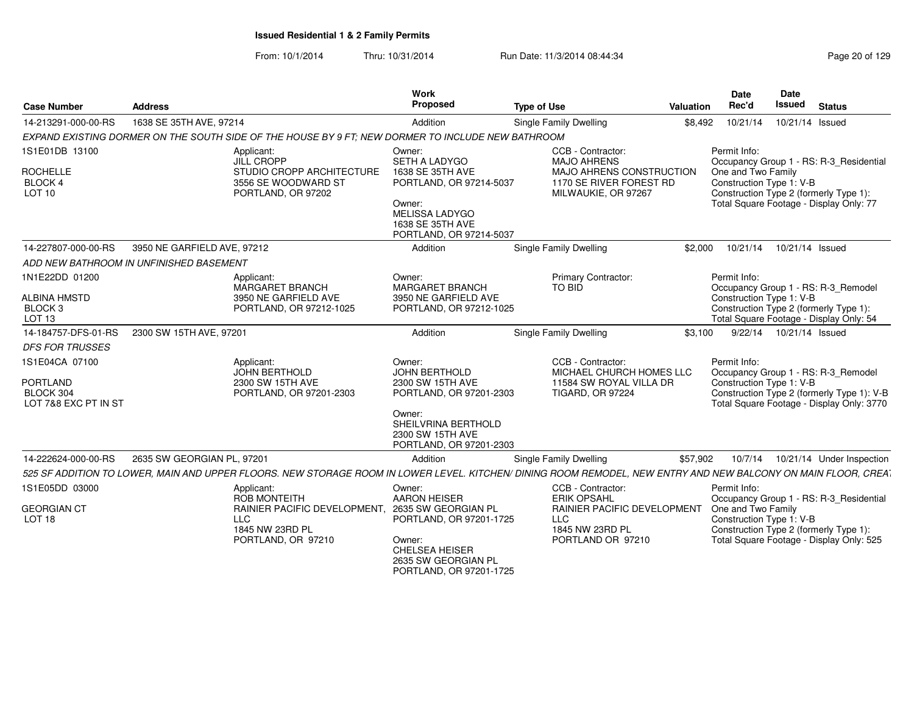| <b>Case Number</b>     | <b>Address</b>                          |                                                                                                   | Work<br>Proposed                               | <b>Type of Use</b>                                                                                                                                             | Valuation | Date<br>Rec'd            | <b>Date</b><br><b>Issued</b> | <b>Status</b>                                                                      |
|------------------------|-----------------------------------------|---------------------------------------------------------------------------------------------------|------------------------------------------------|----------------------------------------------------------------------------------------------------------------------------------------------------------------|-----------|--------------------------|------------------------------|------------------------------------------------------------------------------------|
| 14-213291-000-00-RS    | 1638 SE 35TH AVE, 97214                 |                                                                                                   | Addition                                       | Single Family Dwelling                                                                                                                                         | \$8,492   | 10/21/14                 | 10/21/14 Issued              |                                                                                    |
|                        |                                         | EXPAND EXISTING DORMER ON THE SOUTH SIDE OF THE HOUSE BY 9 FT: NEW DORMER TO INCLUDE NEW BATHROOM |                                                |                                                                                                                                                                |           |                          |                              |                                                                                    |
| 1S1E01DB 13100         |                                         | Applicant:                                                                                        | Owner:                                         | CCB - Contractor:                                                                                                                                              |           | Permit Info:             |                              |                                                                                    |
|                        |                                         | JILL CROPP                                                                                        | SETH A LADYGO                                  | <b>MAJO AHRENS</b>                                                                                                                                             |           |                          |                              | Occupancy Group 1 - RS: R-3 Residential                                            |
| <b>ROCHELLE</b>        |                                         | STUDIO CROPP ARCHITECTURE<br>3556 SE WOODWARD ST                                                  | 1638 SE 35TH AVE<br>PORTLAND, OR 97214-5037    | MAJO AHRENS CONSTRUCTION<br>1170 SE RIVER FOREST RD                                                                                                            |           | One and Two Family       |                              |                                                                                    |
| BLOCK 4<br>LOT 10      |                                         | PORTLAND, OR 97202                                                                                |                                                | MILWAUKIE, OR 97267                                                                                                                                            |           | Construction Type 1: V-B |                              | Construction Type 2 (formerly Type 1):                                             |
|                        |                                         |                                                                                                   | Owner:                                         |                                                                                                                                                                |           |                          |                              | Total Square Footage - Display Only: 77                                            |
|                        |                                         |                                                                                                   | <b>MELISSA LADYGO</b><br>1638 SE 35TH AVE      |                                                                                                                                                                |           |                          |                              |                                                                                    |
|                        |                                         |                                                                                                   | PORTLAND, OR 97214-5037                        |                                                                                                                                                                |           |                          |                              |                                                                                    |
| 14-227807-000-00-RS    | 3950 NE GARFIELD AVE, 97212             |                                                                                                   | Addition                                       | Single Family Dwelling                                                                                                                                         | \$2,000   | 10/21/14                 | 10/21/14 Issued              |                                                                                    |
|                        | ADD NEW BATHROOM IN UNFINISHED BASEMENT |                                                                                                   |                                                |                                                                                                                                                                |           |                          |                              |                                                                                    |
| 1N1E22DD 01200         |                                         | Applicant:                                                                                        | Owner:                                         | <b>Primary Contractor:</b>                                                                                                                                     |           | Permit Info:             |                              |                                                                                    |
| <b>ALBINA HMSTD</b>    |                                         | MARGARET BRANCH<br>3950 NE GARFIELD AVE                                                           | <b>MARGARET BRANCH</b><br>3950 NE GARFIELD AVE | TO BID                                                                                                                                                         |           | Construction Type 1: V-B |                              | Occupancy Group 1 - RS: R-3 Remodel                                                |
| BLOCK <sub>3</sub>     |                                         | PORTLAND, OR 97212-1025                                                                           | PORTLAND, OR 97212-1025                        |                                                                                                                                                                |           |                          |                              | Construction Type 2 (formerly Type 1):                                             |
| LOT 13                 |                                         |                                                                                                   |                                                |                                                                                                                                                                |           |                          |                              | Total Square Footage - Display Only: 54                                            |
| 14-184757-DFS-01-RS    | 2300 SW 15TH AVE, 97201                 |                                                                                                   | Addition                                       | <b>Single Family Dwelling</b>                                                                                                                                  | \$3.100   |                          | 9/22/14  10/21/14  Issued    |                                                                                    |
| <b>DFS FOR TRUSSES</b> |                                         |                                                                                                   |                                                |                                                                                                                                                                |           |                          |                              |                                                                                    |
| 1S1E04CA 07100         |                                         | Applicant:                                                                                        | Owner:                                         | CCB - Contractor:                                                                                                                                              |           | Permit Info:             |                              |                                                                                    |
| PORTLAND               |                                         | JOHN BERTHOLD<br>2300 SW 15TH AVE                                                                 | JOHN BERTHOLD<br>2300 SW 15TH AVE              | MICHAEL CHURCH HOMES LLC<br>11584 SW ROYAL VILLA DR                                                                                                            |           | Construction Type 1: V-B |                              | Occupancy Group 1 - RS: R-3_Remodel                                                |
| BLOCK 304              |                                         | PORTLAND, OR 97201-2303                                                                           | PORTLAND, OR 97201-2303                        | <b>TIGARD, OR 97224</b>                                                                                                                                        |           |                          |                              | Construction Type 2 (formerly Type 1): V-B                                         |
| LOT 7&8 EXC PT IN ST   |                                         |                                                                                                   |                                                |                                                                                                                                                                |           |                          |                              | Total Square Footage - Display Only: 3770                                          |
|                        |                                         |                                                                                                   | Owner:<br>SHEILVRINA BERTHOLD                  |                                                                                                                                                                |           |                          |                              |                                                                                    |
|                        |                                         |                                                                                                   | 2300 SW 15TH AVE                               |                                                                                                                                                                |           |                          |                              |                                                                                    |
|                        |                                         |                                                                                                   | PORTLAND, OR 97201-2303                        |                                                                                                                                                                |           |                          |                              |                                                                                    |
| 14-222624-000-00-RS    | 2635 SW GEORGIAN PL. 97201              |                                                                                                   | Addition                                       | <b>Single Family Dwelling</b>                                                                                                                                  | \$57,902  | 10/7/14                  |                              | 10/21/14 Under Inspection                                                          |
|                        |                                         |                                                                                                   |                                                | 525 SF ADDITION TO LOWER. MAIN AND UPPER FLOORS, NEW STORAGE ROOM IN LOWER LEVEL, KITCHEN/ DINING ROOM REMODEL, NEW ENTRY AND NEW BALCONY ON MAIN FLOOR, CREAT |           |                          |                              |                                                                                    |
| 1S1E05DD 03000         |                                         | Applicant:<br>ROB MONTEITH                                                                        | Owner:<br><b>AARON HEISER</b>                  | CCB - Contractor<br><b>ERIK OPSAHL</b>                                                                                                                         |           | Permit Info:             |                              | Occupancy Group 1 - RS: R-3_Residential                                            |
| <b>GEORGIAN CT</b>     |                                         | <b>RAINIER PACIFIC DEVELOPMENT.</b>                                                               | 2635 SW GEORGIAN PL                            | RAINIER PACIFIC DEVELOPMENT                                                                                                                                    |           | One and Two Family       |                              |                                                                                    |
| LOT <sub>18</sub>      | <b>LLC</b>                              |                                                                                                   | PORTLAND, OR 97201-1725                        | <b>LLC</b>                                                                                                                                                     |           | Construction Type 1: V-B |                              |                                                                                    |
|                        |                                         | 1845 NW 23RD PL<br>PORTLAND, OR 97210                                                             |                                                | 1845 NW 23RD PL<br>PORTLAND OR 97210                                                                                                                           |           |                          |                              | Construction Type 2 (formerly Type 1):<br>Total Square Footage - Display Only: 525 |
|                        |                                         |                                                                                                   | Owner:<br><b>CHELSEA HEISER</b>                |                                                                                                                                                                |           |                          |                              |                                                                                    |
|                        |                                         |                                                                                                   | 2635 SW GEORGIAN PL                            |                                                                                                                                                                |           |                          |                              |                                                                                    |
|                        |                                         |                                                                                                   | PORTLAND, OR 97201-1725                        |                                                                                                                                                                |           |                          |                              |                                                                                    |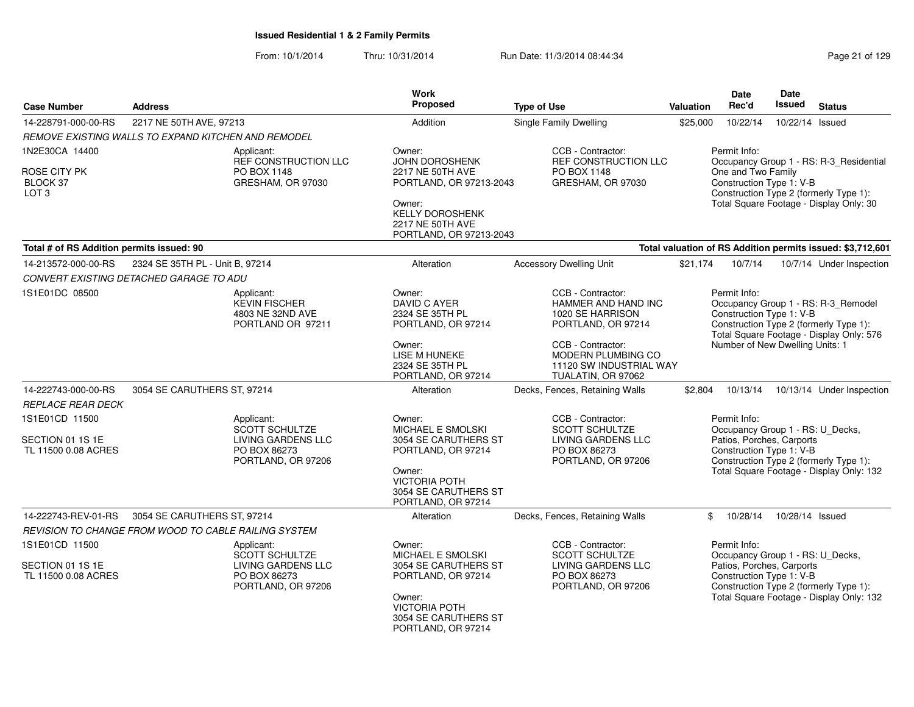| <b>Case Number</b>                                        | <b>Address</b>                                                                                         | Work<br>Proposed                                                                                                                                                  | <b>Type of Use</b>                                                                                                                                       | <b>Valuation</b> | <b>Date</b><br>Rec'd                                                                                      | <b>Date</b><br><b>Issued</b> | <b>Status</b>                                                                                                                |
|-----------------------------------------------------------|--------------------------------------------------------------------------------------------------------|-------------------------------------------------------------------------------------------------------------------------------------------------------------------|----------------------------------------------------------------------------------------------------------------------------------------------------------|------------------|-----------------------------------------------------------------------------------------------------------|------------------------------|------------------------------------------------------------------------------------------------------------------------------|
| 14-228791-000-00-RS                                       | 2217 NE 50TH AVE, 97213                                                                                | Addition                                                                                                                                                          | <b>Single Family Dwelling</b>                                                                                                                            | \$25,000         | 10/22/14                                                                                                  | 10/22/14 Issued              |                                                                                                                              |
|                                                           | REMOVE EXISTING WALLS TO EXPAND KITCHEN AND REMODEL                                                    |                                                                                                                                                                   |                                                                                                                                                          |                  |                                                                                                           |                              |                                                                                                                              |
| 1N2E30CA 14400                                            | Applicant:                                                                                             | Owner:                                                                                                                                                            | CCB - Contractor:                                                                                                                                        |                  | Permit Info:                                                                                              |                              |                                                                                                                              |
| ROSE CITY PK<br>BLOCK 37<br>LOT <sub>3</sub>              | PO BOX 1148<br>GRESHAM, OR 97030                                                                       | REF CONSTRUCTION LLC<br>JOHN DOROSHENK<br>2217 NE 50TH AVE<br>PORTLAND, OR 97213-2043<br>Owner:<br>KELLY DOROSHENK<br>2217 NE 50TH AVE<br>PORTLAND, OR 97213-2043 | REF CONSTRUCTION LLC<br>PO BOX 1148<br>GRESHAM, OR 97030                                                                                                 |                  | One and Two Family<br>Construction Type 1: V-B                                                            |                              | Occupancy Group 1 - RS: R-3_Residential<br>Construction Type 2 (formerly Type 1):<br>Total Square Footage - Display Only: 30 |
| Total # of RS Addition permits issued: 90                 |                                                                                                        |                                                                                                                                                                   |                                                                                                                                                          |                  |                                                                                                           |                              | Total valuation of RS Addition permits issued: \$3,712,601                                                                   |
| 14-213572-000-00-RS                                       | 2324 SE 35TH PL - Unit B, 97214                                                                        | Alteration                                                                                                                                                        | <b>Accessory Dwelling Unit</b>                                                                                                                           | \$21,174         | 10/7/14                                                                                                   |                              | 10/7/14 Under Inspection                                                                                                     |
|                                                           | CONVERT EXISTING DETACHED GARAGE TO ADU                                                                |                                                                                                                                                                   |                                                                                                                                                          |                  |                                                                                                           |                              |                                                                                                                              |
| 1S1E01DC 08500                                            | Applicant:<br><b>KEVIN FISCHER</b><br>4803 NE 32ND AVE<br>PORTLAND OR 97211                            | Owner:<br>DAVID C AYER<br>2324 SE 35TH PL<br>PORTLAND, OR 97214<br>Owner:<br><b>LISE M HUNEKE</b><br>2324 SE 35TH PL                                              | CCB - Contractor:<br>HAMMER AND HAND INC<br>1020 SE HARRISON<br>PORTLAND, OR 97214<br>CCB - Contractor:<br>MODERN PLUMBING CO<br>11120 SW INDUSTRIAL WAY |                  | Permit Info:<br>Construction Type 1: V-B<br>Number of New Dwelling Units: 1                               |                              | Occupancy Group 1 - RS: R-3_Remodel<br>Construction Type 2 (formerly Type 1):<br>Total Square Footage - Display Only: 576    |
|                                                           |                                                                                                        | PORTLAND, OR 97214                                                                                                                                                | TUALATIN, OR 97062                                                                                                                                       |                  |                                                                                                           |                              |                                                                                                                              |
| 14-222743-000-00-RS                                       | 3054 SE CARUTHERS ST, 97214                                                                            | Alteration                                                                                                                                                        | Decks, Fences, Retaining Walls                                                                                                                           | \$2,804          | 10/13/14                                                                                                  |                              | 10/13/14 Under Inspection                                                                                                    |
| <b>REPLACE REAR DECK</b>                                  |                                                                                                        |                                                                                                                                                                   |                                                                                                                                                          |                  |                                                                                                           |                              |                                                                                                                              |
| 1S1E01CD 11500<br>SECTION 01 1S 1E<br>TL 11500 0.08 ACRES | Applicant:<br><b>SCOTT SCHULTZE</b><br><b>LIVING GARDENS LLC</b><br>PO BOX 86273<br>PORTLAND, OR 97206 | Owner:<br>MICHAEL E SMOLSKI<br>3054 SE CARUTHERS ST<br>PORTLAND, OR 97214<br>Owner:<br><b>VICTORIA POTH</b><br>3054 SE CARUTHERS ST<br>PORTLAND, OR 97214         | CCB - Contractor:<br>SCOTT SCHULTZE<br><b>LIVING GARDENS LLC</b><br>PO BOX 86273<br>PORTLAND, OR 97206                                                   |                  | Permit Info:<br>Occupancy Group 1 - RS: U_Decks,<br>Patios, Porches, Carports<br>Construction Type 1: V-B |                              | Construction Type 2 (formerly Type 1):<br>Total Square Footage - Display Only: 132                                           |
| 14-222743-REV-01-RS                                       | 3054 SE CARUTHERS ST, 97214                                                                            | Alteration                                                                                                                                                        | Decks, Fences, Retaining Walls                                                                                                                           | \$               | 10/28/14                                                                                                  | 10/28/14 Issued              |                                                                                                                              |
|                                                           | REVISION TO CHANGE FROM WOOD TO CABLE RAILING SYSTEM                                                   |                                                                                                                                                                   |                                                                                                                                                          |                  |                                                                                                           |                              |                                                                                                                              |
| 1S1E01CD 11500<br>SECTION 01 1S 1E<br>TL 11500 0.08 ACRES | Applicant:<br><b>SCOTT SCHULTZE</b><br>LIVING GARDENS LLC<br>PO BOX 86273<br>PORTLAND, OR 97206        | Owner:<br>MICHAEL E SMOLSKI<br>3054 SE CARUTHERS ST<br>PORTLAND, OR 97214<br>Owner:<br><b>VICTORIA POTH</b><br>3054 SE CARUTHERS ST<br>PORTLAND, OR 97214         | CCB - Contractor:<br>SCOTT SCHULTZE<br><b>LIVING GARDENS LLC</b><br>PO BOX 86273<br>PORTLAND, OR 97206                                                   |                  | Permit Info:<br>Occupancy Group 1 - RS: U_Decks,<br>Patios, Porches, Carports<br>Construction Type 1: V-B |                              | Construction Type 2 (formerly Type 1):<br>Total Square Footage - Display Only: 132                                           |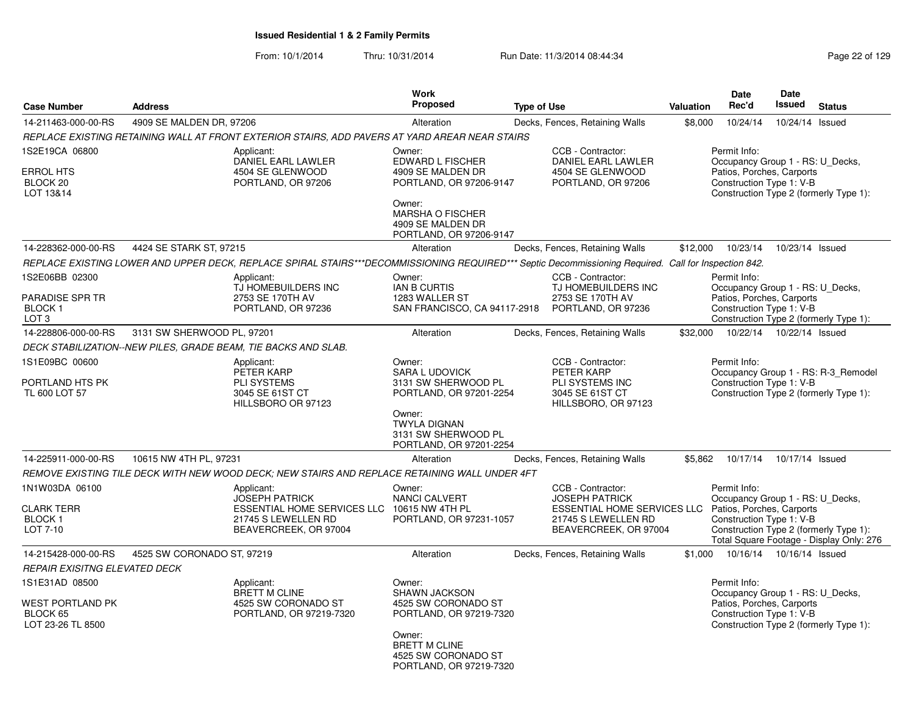| <b>Case Number</b>                                                          | <b>Address</b>             |                                                                                                                                                      | <b>Work</b><br>Proposed                                                                                                                                              | <b>Type of Use</b> |                                                                                                                                  | Valuation | Date<br>Rec'd                                                                                                                                       | <b>Date</b><br><b>Issued</b> | <b>Status</b>                                                                 |
|-----------------------------------------------------------------------------|----------------------------|------------------------------------------------------------------------------------------------------------------------------------------------------|----------------------------------------------------------------------------------------------------------------------------------------------------------------------|--------------------|----------------------------------------------------------------------------------------------------------------------------------|-----------|-----------------------------------------------------------------------------------------------------------------------------------------------------|------------------------------|-------------------------------------------------------------------------------|
| 14-211463-000-00-RS                                                         | 4909 SE MALDEN DR, 97206   |                                                                                                                                                      | Alteration                                                                                                                                                           |                    | Decks, Fences, Retaining Walls                                                                                                   | \$8,000   | 10/24/14                                                                                                                                            | 10/24/14 Issued              |                                                                               |
|                                                                             |                            | REPLACE EXISTING RETAINING WALL AT FRONT EXTERIOR STAIRS, ADD PAVERS AT YARD AREAR NEAR STAIRS                                                       |                                                                                                                                                                      |                    |                                                                                                                                  |           |                                                                                                                                                     |                              |                                                                               |
| 1S2E19CA 06800<br><b>ERROL HTS</b><br>BLOCK 20<br>LOT 13&14                 |                            | Applicant:<br>DANIEL EARL LAWLER<br>4504 SE GLENWOOD<br>PORTLAND, OR 97206                                                                           | Owner:<br>EDWARD L FISCHER<br>4909 SE MALDEN DR<br>PORTLAND, OR 97206-9147<br>Owner:<br><b>MARSHA O FISCHER</b><br>4909 SE MALDEN DR<br>PORTLAND, OR 97206-9147      |                    | CCB - Contractor:<br>DANIEL EARL LAWLER<br>4504 SE GLENWOOD<br>PORTLAND, OR 97206                                                |           | Permit Info:<br>Occupancy Group 1 - RS: U_Decks,<br>Patios, Porches, Carports<br>Construction Type 1: V-B                                           |                              | Construction Type 2 (formerly Type 1):                                        |
| 14-228362-000-00-RS                                                         | 4424 SE STARK ST, 97215    |                                                                                                                                                      | Alteration                                                                                                                                                           |                    | Decks, Fences, Retaining Walls                                                                                                   | \$12,000  | 10/23/14                                                                                                                                            | 10/23/14 Issued              |                                                                               |
|                                                                             |                            | REPLACE EXISTING LOWER AND UPPER DECK, REPLACE SPIRAL STAIRS***DECOMMISSIONING REQUIRED*** Septic Decommissioning Required. Call for Inspection 842. |                                                                                                                                                                      |                    |                                                                                                                                  |           |                                                                                                                                                     |                              |                                                                               |
| 1S2E06BB 02300<br>PARADISE SPR TR<br>BLOCK <sub>1</sub><br>LOT <sub>3</sub> |                            | Applicant:<br>TJ HOMEBUILDERS INC<br>2753 SE 170TH AV<br>PORTLAND, OR 97236                                                                          | Owner:<br><b>IAN B CURTIS</b><br>1283 WALLER ST<br>SAN FRANCISCO, CA 94117-2918 PORTLAND, OR 97236                                                                   |                    | CCB - Contractor:<br>TJ HOMEBUILDERS INC<br>2753 SE 170TH AV                                                                     |           | Permit Info:<br>Occupancy Group 1 - RS: U_Decks,<br>Patios, Porches, Carports<br>Construction Type 1: V-B<br>Construction Type 2 (formerly Type 1): |                              |                                                                               |
| 14-228806-000-00-RS                                                         | 3131 SW SHERWOOD PL, 97201 |                                                                                                                                                      | Alteration                                                                                                                                                           |                    | Decks, Fences, Retaining Walls                                                                                                   | \$32,000  | 10/22/14  10/22/14  Issued                                                                                                                          |                              |                                                                               |
|                                                                             |                            | DECK STABILIZATION--NEW PILES, GRADE BEAM, TIE BACKS AND SLAB.                                                                                       |                                                                                                                                                                      |                    |                                                                                                                                  |           |                                                                                                                                                     |                              |                                                                               |
| 1S1E09BC 00600<br>PORTLAND HTS PK<br>TL 600 LOT 57                          |                            | Applicant:<br>PETER KARP<br>PLI SYSTEMS<br>3045 SE 61ST CT<br>HILLSBORO OR 97123                                                                     | Owner:<br><b>SARA L UDOVICK</b><br>3131 SW SHERWOOD PL<br>PORTLAND, OR 97201-2254<br>Owner:<br><b>TWYLA DIGNAN</b><br>3131 SW SHERWOOD PL                            |                    | CCB - Contractor:<br>PETER KARP<br>PLI SYSTEMS INC<br>3045 SE 61ST CT<br>HILLSBORO, OR 97123                                     |           | Permit Info:<br>Construction Type 1: V-B                                                                                                            |                              | Occupancy Group 1 - RS: R-3_Remodel<br>Construction Type 2 (formerly Type 1): |
|                                                                             |                            |                                                                                                                                                      | PORTLAND, OR 97201-2254                                                                                                                                              |                    |                                                                                                                                  |           |                                                                                                                                                     |                              |                                                                               |
| 14-225911-000-00-RS                                                         | 10615 NW 4TH PL, 97231     | REMOVE EXISTING TILE DECK WITH NEW WOOD DECK: NEW STAIRS AND REPLACE RETAINING WALL UNDER 4FT                                                        | Alteration                                                                                                                                                           |                    | Decks, Fences, Retaining Walls                                                                                                   | \$5,862   | 10/17/14                                                                                                                                            | 10/17/14 Issued              |                                                                               |
| 1N1W03DA 06100<br><b>CLARK TERR</b><br><b>BLOCK1</b><br>LOT 7-10            |                            | Applicant:<br><b>JOSEPH PATRICK</b><br>ESSENTIAL HOME SERVICES LLC 10615 NW 4TH PL<br>21745 S LEWELLEN RD<br>BEAVERCREEK, OR 97004                   | Owner:<br><b>NANCI CALVERT</b><br>PORTLAND, OR 97231-1057                                                                                                            |                    | CCB - Contractor:<br><b>JOSEPH PATRICK</b><br><b>ESSENTIAL HOME SERVICES LLC</b><br>21745 S LEWELLEN RD<br>BEAVERCREEK, OR 97004 |           | Permit Info:<br>Occupancy Group 1 - RS: U Decks,<br>Patios, Porches, Carports<br>Construction Type 1: V-B<br>Construction Type 2 (formerly Type 1): |                              | Total Square Footage - Display Only: 276                                      |
| 14-215428-000-00-RS                                                         | 4525 SW CORONADO ST, 97219 |                                                                                                                                                      | Alteration                                                                                                                                                           |                    | Decks, Fences, Retaining Walls                                                                                                   |           | \$1,000  10/16/14  10/16/14  Issued                                                                                                                 |                              |                                                                               |
| REPAIR EXISITNG ELEVATED DECK                                               |                            |                                                                                                                                                      |                                                                                                                                                                      |                    |                                                                                                                                  |           |                                                                                                                                                     |                              |                                                                               |
| 1S1E31AD 08500<br>WEST PORTLAND PK<br>BLOCK 65<br>LOT 23-26 TL 8500         |                            | Applicant:<br><b>BRETT M CLINE</b><br>4525 SW CORONADO ST<br>PORTLAND, OR 97219-7320                                                                 | Owner:<br><b>SHAWN JACKSON</b><br>4525 SW CORONADO ST<br>PORTLAND, OR 97219-7320<br>Owner:<br><b>BRETT M CLINE</b><br>4525 SW CORONADO ST<br>PORTLAND, OR 97219-7320 |                    |                                                                                                                                  |           | Permit Info:<br>Occupancy Group 1 - RS: U Decks,<br>Patios, Porches, Carports<br>Construction Type 1: V-B<br>Construction Type 2 (formerly Type 1): |                              |                                                                               |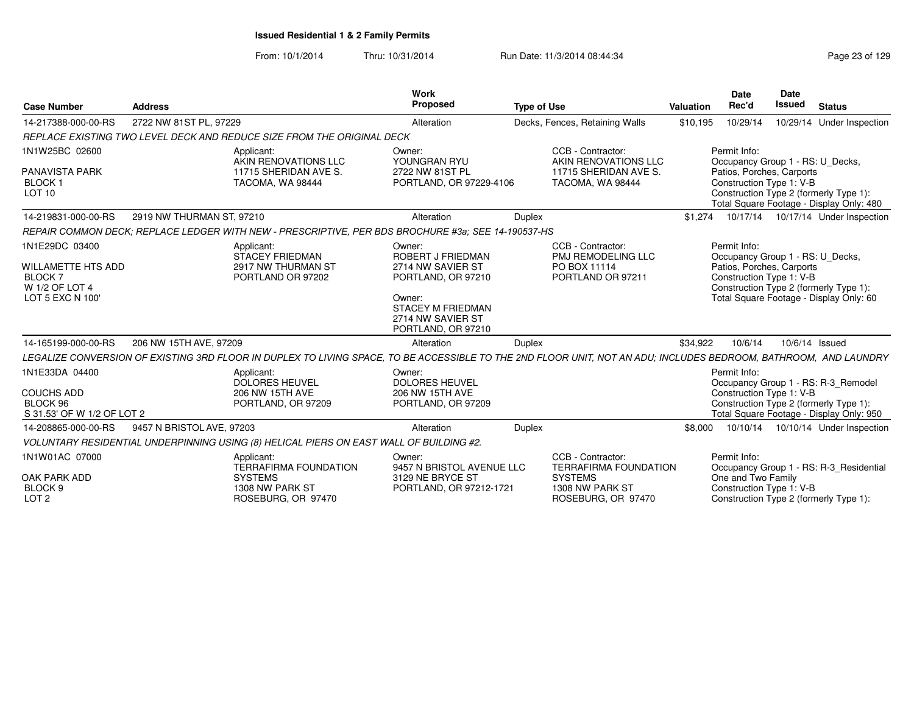| <b>Case Number</b>                                                                 | <b>Address</b>            |                                                                                                                                                                  | <b>Work</b><br>Proposed                                                                             | <b>Type of Use</b> |                                                                                        | Valuation | <b>Date</b><br>Rec'd                                                                                      | <b>Date</b><br><b>Issued</b> | <b>Status</b>                                                                                                             |
|------------------------------------------------------------------------------------|---------------------------|------------------------------------------------------------------------------------------------------------------------------------------------------------------|-----------------------------------------------------------------------------------------------------|--------------------|----------------------------------------------------------------------------------------|-----------|-----------------------------------------------------------------------------------------------------------|------------------------------|---------------------------------------------------------------------------------------------------------------------------|
| 14-217388-000-00-RS                                                                | 2722 NW 81ST PL, 97229    |                                                                                                                                                                  | Alteration                                                                                          |                    | Decks, Fences, Retaining Walls                                                         | \$10,195  | 10/29/14                                                                                                  |                              | 10/29/14 Under Inspection                                                                                                 |
|                                                                                    |                           | REPLACE EXISTING TWO LEVEL DECK AND REDUCE SIZE FROM THE ORIGINAL DECK                                                                                           |                                                                                                     |                    |                                                                                        |           |                                                                                                           |                              |                                                                                                                           |
| 1N1W25BC 02600<br><b>PANAVISTA PARK</b><br>BLOCK <sub>1</sub><br>LOT <sub>10</sub> |                           | Applicant:<br>AKIN RENOVATIONS LLC<br>11715 SHERIDAN AVE S.<br>TACOMA, WA 98444                                                                                  | Owner:<br>YOUNGRAN RYU<br>2722 NW 81ST PL<br>PORTLAND, OR 97229-4106                                |                    | CCB - Contractor:<br>AKIN RENOVATIONS LLC<br>11715 SHERIDAN AVE S.<br>TACOMA, WA 98444 |           | Permit Info:<br>Occupancy Group 1 - RS: U_Decks,<br>Patios, Porches, Carports<br>Construction Type 1: V-B |                              | Construction Type 2 (formerly Type 1):<br>Total Square Footage - Display Only: 480                                        |
| 14-219831-000-00-RS                                                                | 2919 NW THURMAN ST, 97210 |                                                                                                                                                                  | Alteration                                                                                          | <b>Duplex</b>      |                                                                                        | \$1,274   |                                                                                                           |                              | 10/17/14  10/17/14  Under Inspection                                                                                      |
|                                                                                    |                           | REPAIR COMMON DECK: REPLACE LEDGER WITH NEW - PRESCRIPTIVE. PER BDS BROCHURE #3a: SEE 14-190537-HS                                                               |                                                                                                     |                    |                                                                                        |           |                                                                                                           |                              |                                                                                                                           |
| 1N1E29DC 03400<br><b>WILLAMETTE HTS ADD</b>                                        |                           | Applicant:<br>STACEY FRIEDMAN<br>2917 NW THURMAN ST                                                                                                              | Owner:<br>ROBERT J FRIEDMAN<br>2714 NW SAVIER ST                                                    |                    | CCB - Contractor:<br><b>PMJ REMODELING LLC</b><br>PO BOX 11114                         |           | Permit Info:<br>Occupancy Group 1 - RS: U_Decks,<br>Patios, Porches, Carports                             |                              |                                                                                                                           |
| <b>BLOCK7</b><br>W 1/2 OF LOT 4<br>LOT 5 EXC N 100'                                |                           | PORTLAND OR 97202                                                                                                                                                | PORTLAND, OR 97210<br>Owner:<br><b>STACEY M FRIEDMAN</b><br>2714 NW SAVIER ST<br>PORTLAND, OR 97210 |                    | PORTLAND OR 97211                                                                      |           | Construction Type 1: V-B                                                                                  |                              | Construction Type 2 (formerly Type 1):<br>Total Square Footage - Display Only: 60                                         |
| 14-165199-000-00-RS                                                                | 206 NW 15TH AVE, 97209    |                                                                                                                                                                  | Alteration                                                                                          | Duplex             |                                                                                        | \$34,922  | 10/6/14                                                                                                   | 10/6/14 Issued               |                                                                                                                           |
|                                                                                    |                           | LEGALIZE CONVERSION OF EXISTING 3RD FLOOR IN DUPLEX TO LIVING SPACE, TO BE ACCESSIBLE TO THE 2ND FLOOR UNIT, NOT AN ADU; INCLUDES BEDROOM, BATHROOM, AND LAUNDRY |                                                                                                     |                    |                                                                                        |           |                                                                                                           |                              |                                                                                                                           |
| 1N1E33DA 04400<br><b>COUCHS ADD</b><br>BLOCK 96<br>S 31.53' OF W 1/2 OF LOT 2      |                           | Applicant:<br><b>DOLORES HEUVEL</b><br>206 NW 15TH AVE<br>PORTLAND, OR 97209                                                                                     | Owner:<br><b>DOLORES HEUVEL</b><br>206 NW 15TH AVE<br>PORTLAND, OR 97209                            |                    |                                                                                        |           | Permit Info:<br>Construction Type 1: V-B                                                                  |                              | Occupancy Group 1 - RS: R-3_Remodel<br>Construction Type 2 (formerly Type 1):<br>Total Square Footage - Display Only: 950 |
| 14-208865-000-00-RS                                                                | 9457 N BRISTOL AVE, 97203 |                                                                                                                                                                  | Alteration                                                                                          | Duplex             |                                                                                        | \$8,000   | 10/10/14                                                                                                  |                              | 10/10/14 Under Inspection                                                                                                 |
|                                                                                    |                           | VOLUNTARY RESIDENTIAL UNDERPINNING USING (8) HELICAL PIERS ON EAST WALL OF BUILDING #2.                                                                          |                                                                                                     |                    |                                                                                        |           |                                                                                                           |                              |                                                                                                                           |
| 1N1W01AC 07000                                                                     |                           | Applicant:<br><b>TERRAFIRMA FOUNDATION</b>                                                                                                                       | Owner:<br>9457 N BRISTOL AVENUE LLC                                                                 |                    | CCB - Contractor:<br><b>TERRAFIRMA FOUNDATION</b>                                      |           | Permit Info:                                                                                              |                              | Occupancy Group 1 - RS: R-3_Residential                                                                                   |
| OAK PARK ADD<br>BLOCK <sub>9</sub><br>LOT <sub>2</sub>                             |                           | <b>SYSTEMS</b><br>1308 NW PARK ST<br>ROSEBURG, OR 97470                                                                                                          | 3129 NE BRYCE ST<br>PORTLAND, OR 97212-1721                                                         |                    | <b>SYSTEMS</b><br>1308 NW PARK ST<br>ROSEBURG, OR 97470                                |           | One and Two Family<br>Construction Type 1: V-B                                                            |                              | Construction Type 2 (formerly Type 1):                                                                                    |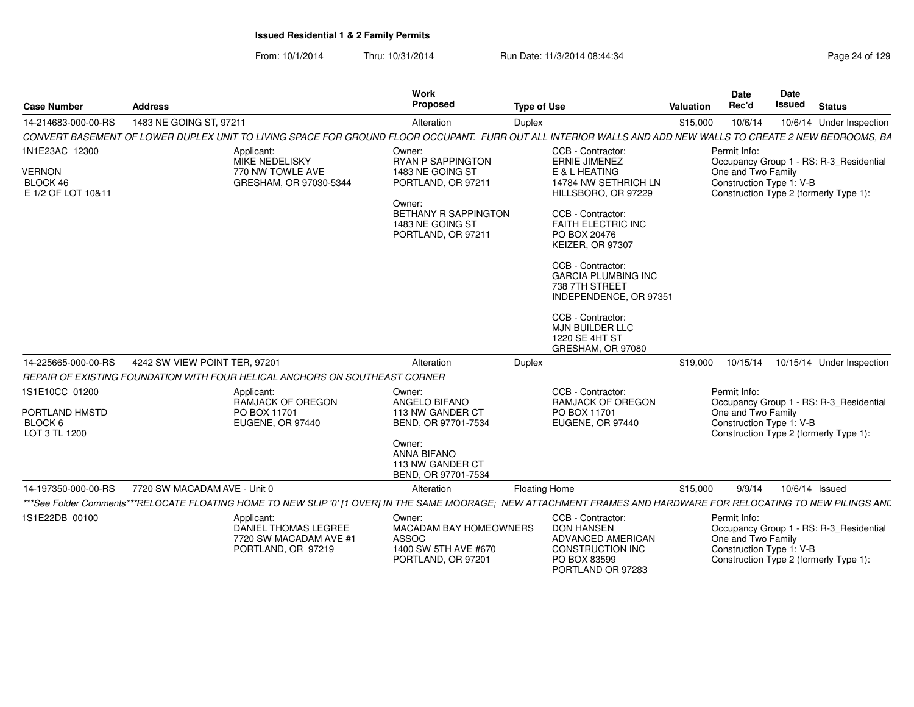| <b>Case Number</b>                                                | <b>Address</b>                                                                                                                                                     |                                                                             | Work<br>Proposed                                                                                                                                         | <b>Type of Use</b>   |                                                                                                                                                                                                                                                                                                                                                                               | Valuation | Date<br>Rec'd                                                  | Date<br><b>Issued</b> | <b>Status</b>                                                                     |
|-------------------------------------------------------------------|--------------------------------------------------------------------------------------------------------------------------------------------------------------------|-----------------------------------------------------------------------------|----------------------------------------------------------------------------------------------------------------------------------------------------------|----------------------|-------------------------------------------------------------------------------------------------------------------------------------------------------------------------------------------------------------------------------------------------------------------------------------------------------------------------------------------------------------------------------|-----------|----------------------------------------------------------------|-----------------------|-----------------------------------------------------------------------------------|
| 14-214683-000-00-RS                                               | 1483 NE GOING ST, 97211                                                                                                                                            |                                                                             | Alteration                                                                                                                                               | <b>Duplex</b>        |                                                                                                                                                                                                                                                                                                                                                                               | \$15,000  | 10/6/14                                                        |                       | 10/6/14 Under Inspection                                                          |
|                                                                   | CONVERT BASEMENT OF LOWER DUPLEX UNIT TO LIVING SPACE FOR GROUND FLOOR OCCUPANT. FURR OUT ALL INTERIOR WALLS AND ADD NEW WALLS TO CREATE 2 NEW BEDROOMS, BA        |                                                                             |                                                                                                                                                          |                      |                                                                                                                                                                                                                                                                                                                                                                               |           |                                                                |                       |                                                                                   |
| 1N1E23AC 12300<br><b>VERNON</b><br>BLOCK 46<br>E 1/2 OF LOT 10&11 | Applicant:                                                                                                                                                         | MIKE NEDELISKY<br>770 NW TOWLE AVE<br>GRESHAM, OR 97030-5344                | Owner:<br><b>RYAN P SAPPINGTON</b><br>1483 NE GOING ST<br>PORTLAND, OR 97211<br>Owner:<br>BETHANY R SAPPINGTON<br>1483 NE GOING ST<br>PORTLAND, OR 97211 |                      | CCB - Contractor:<br><b>ERNIE JIMENEZ</b><br>E & L HEATING<br>14784 NW SETHRICH LN<br>HILLSBORO, OR 97229<br>CCB - Contractor:<br><b>FAITH ELECTRIC INC</b><br>PO BOX 20476<br>KEIZER, OR 97307<br>CCB - Contractor:<br><b>GARCIA PLUMBING INC</b><br>738 7TH STREET<br>INDEPENDENCE, OR 97351<br>CCB - Contractor:<br>MJN BUILDER LLC<br>1220 SE 4HT ST<br>GRESHAM, OR 97080 |           | Permit Info:<br>One and Two Family<br>Construction Type 1: V-B |                       | Occupancy Group 1 - RS: R-3_Residential<br>Construction Type 2 (formerly Type 1): |
| 14-225665-000-00-RS                                               | 4242 SW VIEW POINT TER. 97201                                                                                                                                      |                                                                             | Alteration                                                                                                                                               | <b>Duplex</b>        |                                                                                                                                                                                                                                                                                                                                                                               | \$19,000  | 10/15/14                                                       |                       | 10/15/14 Under Inspection                                                         |
|                                                                   | REPAIR OF EXISTING FOUNDATION WITH FOUR HELICAL ANCHORS ON SOUTHEAST CORNER                                                                                        |                                                                             |                                                                                                                                                          |                      |                                                                                                                                                                                                                                                                                                                                                                               |           |                                                                |                       |                                                                                   |
| 1S1E10CC 01200<br>PORTLAND HMSTD<br>BLOCK 6<br>LOT 3 TL 1200      | Applicant:                                                                                                                                                         | <b>RAMJACK OF OREGON</b><br>PO BOX 11701<br>EUGENE, OR 97440                | Owner:<br>ANGELO BIFANO<br>113 NW GANDER CT<br>BEND, OR 97701-7534<br>Owner:<br><b>ANNA BIFANO</b><br>113 NW GANDER CT<br>BEND, OR 97701-7534            |                      | CCB - Contractor:<br><b>RAMJACK OF OREGON</b><br>PO BOX 11701<br>EUGENE, OR 97440                                                                                                                                                                                                                                                                                             |           | Permit Info:<br>One and Two Family<br>Construction Type 1: V-B |                       | Occupancy Group 1 - RS: R-3_Residential<br>Construction Type 2 (formerly Type 1): |
| 14-197350-000-00-RS                                               | 7720 SW MACADAM AVE - Unit 0                                                                                                                                       |                                                                             | Alteration                                                                                                                                               | <b>Floating Home</b> |                                                                                                                                                                                                                                                                                                                                                                               | \$15,000  | 9/9/14                                                         | 10/6/14 Issued        |                                                                                   |
|                                                                   | ***See Folder Comments***RELOCATE FLOATING HOME TO NEW SLIP '0' [1 OVER] IN THE SAME MOORAGE; NEW ATTACHMENT FRAMES AND HARDWARE FOR RELOCATING TO NEW PILINGS ANL |                                                                             |                                                                                                                                                          |                      |                                                                                                                                                                                                                                                                                                                                                                               |           |                                                                |                       |                                                                                   |
| 1S1E22DB 00100                                                    | Applicant:                                                                                                                                                         | <b>DANIEL THOMAS LEGREE</b><br>7720 SW MACADAM AVE #1<br>PORTLAND, OR 97219 | Owner:<br><b>MACADAM BAY HOMEOWNERS</b><br><b>ASSOC</b><br>1400 SW 5TH AVE #670<br>PORTLAND, OR 97201                                                    |                      | CCB - Contractor:<br><b>DON HANSEN</b><br>ADVANCED AMERICAN<br>CONSTRUCTION INC<br>PO BOX 83599<br>PORTLAND OR 97283                                                                                                                                                                                                                                                          |           | Permit Info:<br>One and Two Family<br>Construction Type 1: V-B |                       | Occupancy Group 1 - RS: R-3_Residential<br>Construction Type 2 (formerly Type 1): |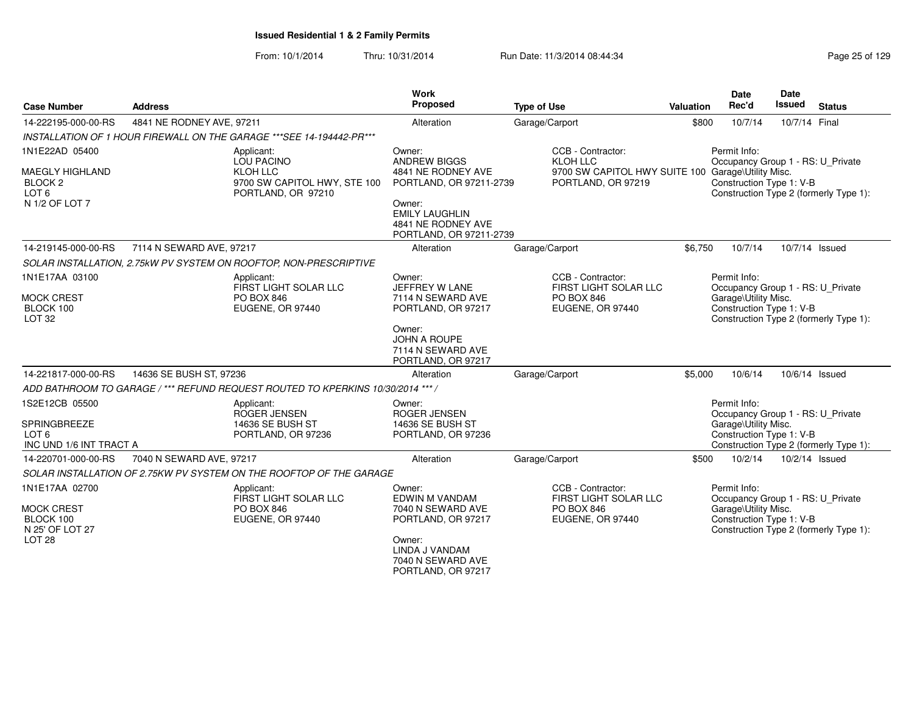| <b>Case Number</b>                                                                            | <b>Address</b>            |                                                                                                          | <b>Work</b><br>Proposed                                                                                                                                            | <b>Type of Use</b>                                                                                        | <b>Valuation</b> | <b>Date</b><br>Rec'd                                                                                  | <b>Date</b><br>Issued | <b>Status</b>                          |
|-----------------------------------------------------------------------------------------------|---------------------------|----------------------------------------------------------------------------------------------------------|--------------------------------------------------------------------------------------------------------------------------------------------------------------------|-----------------------------------------------------------------------------------------------------------|------------------|-------------------------------------------------------------------------------------------------------|-----------------------|----------------------------------------|
| 14-222195-000-00-RS                                                                           | 4841 NE RODNEY AVE, 97211 |                                                                                                          | Alteration                                                                                                                                                         | Garage/Carport                                                                                            | \$800            | 10/7/14                                                                                               | 10/7/14 Final         |                                        |
|                                                                                               |                           | INSTALLATION OF 1 HOUR FIREWALL ON THE GARAGE *** SEE 14-194442-PR ***                                   |                                                                                                                                                                    |                                                                                                           |                  |                                                                                                       |                       |                                        |
| 1N1E22AD 05400<br>MAEGLY HIGHLAND<br>BLOCK <sub>2</sub><br>LOT <sub>6</sub><br>N 1/2 OF LOT 7 |                           | Applicant:<br><b>LOU PACINO</b><br><b>KLOH LLC</b><br>9700 SW CAPITOL HWY, STE 100<br>PORTLAND, OR 97210 | Owner:<br><b>ANDREW BIGGS</b><br>4841 NE RODNEY AVE<br>PORTLAND, OR 97211-2739<br>Owner:<br><b>EMILY LAUGHLIN</b><br>4841 NE RODNEY AVE<br>PORTLAND, OR 97211-2739 | CCB - Contractor:<br>KLOH LLC<br>9700 SW CAPITOL HWY SUITE 100 Garage\Utility Misc.<br>PORTLAND, OR 97219 |                  | Permit Info:<br>Occupancy Group 1 - RS: U_Private<br>Construction Type 1: V-B                         |                       | Construction Type 2 (formerly Type 1): |
| 14-219145-000-00-RS                                                                           | 7114 N SEWARD AVE, 97217  |                                                                                                          | Alteration                                                                                                                                                         | Garage/Carport                                                                                            | \$6,750          | 10/7/14                                                                                               |                       | 10/7/14 Issued                         |
|                                                                                               |                           | SOLAR INSTALLATION, 2.75kW PV SYSTEM ON ROOFTOP, NON-PRESCRIPTIVE                                        |                                                                                                                                                                    |                                                                                                           |                  |                                                                                                       |                       |                                        |
| 1N1E17AA 03100<br><b>MOCK CREST</b><br>BLOCK 100<br>LOT <sub>32</sub>                         |                           | Applicant:<br>FIRST LIGHT SOLAR LLC<br>PO BOX 846<br>EUGENE, OR 97440                                    | Owner:<br>JEFFREY W LANE<br>7114 N SEWARD AVE<br>PORTLAND, OR 97217<br>Owner:<br><b>JOHN A ROUPE</b><br>7114 N SEWARD AVE<br>PORTLAND, OR 97217                    | CCB - Contractor:<br>FIRST LIGHT SOLAR LLC<br><b>PO BOX 846</b><br>EUGENE, OR 97440                       |                  | Permit Info:<br>Occupancy Group 1 - RS: U_Private<br>Garage\Utility Misc.<br>Construction Type 1: V-B |                       | Construction Type 2 (formerly Type 1): |
| 14-221817-000-00-RS                                                                           | 14636 SE BUSH ST, 97236   |                                                                                                          | Alteration                                                                                                                                                         | Garage/Carport                                                                                            | \$5,000          | 10/6/14                                                                                               |                       | 10/6/14 Issued                         |
|                                                                                               |                           | ADD BATHROOM TO GARAGE / *** REFUND REQUEST ROUTED TO KPERKINS 10/30/2014 *** /                          |                                                                                                                                                                    |                                                                                                           |                  |                                                                                                       |                       |                                        |
| 1S2E12CB 05500<br>SPRINGBREEZE<br>LOT <sub>6</sub><br>INC UND 1/6 INT TRACT A                 |                           | Applicant:<br>ROGER JENSEN<br>14636 SE BUSH ST<br>PORTLAND, OR 97236                                     | Owner:<br><b>ROGER JENSEN</b><br>14636 SE BUSH ST<br>PORTLAND, OR 97236                                                                                            |                                                                                                           |                  | Permit Info:<br>Occupancy Group 1 - RS: U_Private<br>Garage\Utility Misc.<br>Construction Type 1: V-B |                       | Construction Type 2 (formerly Type 1): |
| 14-220701-000-00-RS                                                                           | 7040 N SEWARD AVE, 97217  |                                                                                                          | Alteration                                                                                                                                                         | Garage/Carport                                                                                            | \$500            | 10/2/14                                                                                               |                       | 10/2/14 Issued                         |
|                                                                                               |                           | SOLAR INSTALLATION OF 2.75KW PV SYSTEM ON THE ROOFTOP OF THE GARAGE                                      |                                                                                                                                                                    |                                                                                                           |                  |                                                                                                       |                       |                                        |
| 1N1E17AA 02700<br><b>MOCK CREST</b><br>BLOCK 100<br>N 25' OF LOT 27<br>LOT <sub>28</sub>      |                           | Applicant:<br>FIRST LIGHT SOLAR LLC<br>PO BOX 846<br>EUGENE, OR 97440                                    | Owner:<br>EDWIN M VANDAM<br>7040 N SEWARD AVE<br>PORTLAND, OR 97217<br>Owner:<br>LINDA J VANDAM<br>7040 N SEWARD AVE<br>PORTLAND, OR 97217                         | CCB - Contractor:<br>FIRST LIGHT SOLAR LLC<br><b>PO BOX 846</b><br>EUGENE, OR 97440                       |                  | Permit Info:<br>Occupancy Group 1 - RS: U Private<br>Garage\Utility Misc.<br>Construction Type 1: V-B |                       | Construction Type 2 (formerly Type 1): |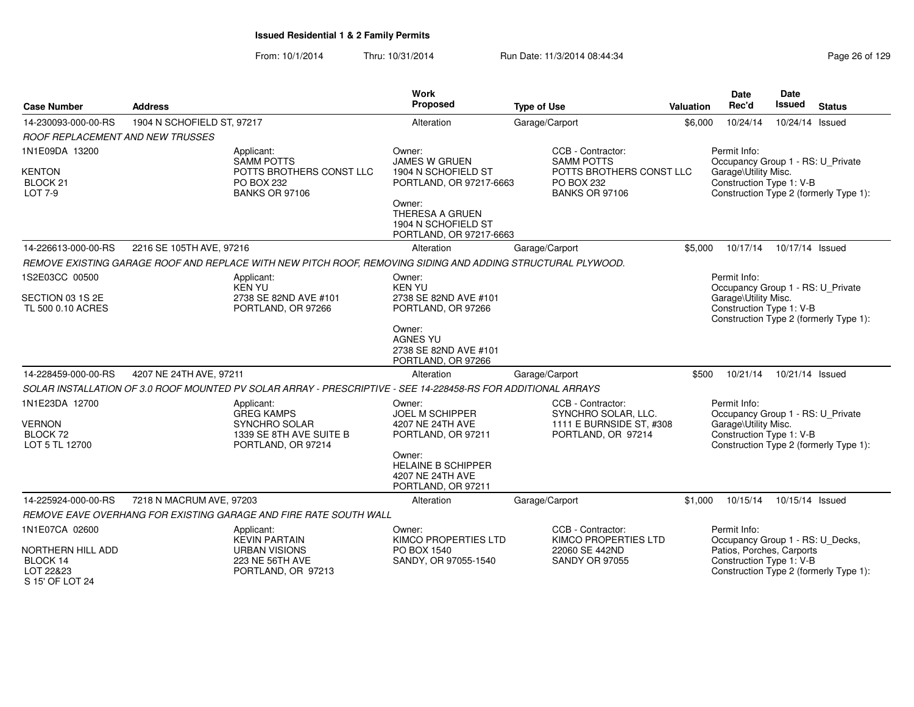|                                                               |                            |                                                                                                               | <b>Work</b><br>Proposed                                                            |                                                                 |           | <b>Date</b><br>Rec'd                                  | Date<br><b>Issued</b> |                                        |
|---------------------------------------------------------------|----------------------------|---------------------------------------------------------------------------------------------------------------|------------------------------------------------------------------------------------|-----------------------------------------------------------------|-----------|-------------------------------------------------------|-----------------------|----------------------------------------|
| <b>Case Number</b>                                            | <b>Address</b>             |                                                                                                               |                                                                                    | <b>Type of Use</b>                                              | Valuation |                                                       |                       | <b>Status</b>                          |
| 14-230093-000-00-RS                                           | 1904 N SCHOFIELD ST, 97217 |                                                                                                               | Alteration                                                                         | Garage/Carport                                                  | \$6,000   | 10/24/14                                              | 10/24/14 Issued       |                                        |
| <b>ROOF REPLACEMENT AND NEW TRUSSES</b>                       |                            |                                                                                                               |                                                                                    |                                                                 |           |                                                       |                       |                                        |
| 1N1E09DA 13200                                                |                            | Applicant:<br><b>SAMM POTTS</b>                                                                               | Owner:<br><b>JAMES W GRUEN</b>                                                     | CCB - Contractor:<br><b>SAMM POTTS</b>                          |           | Permit Info:<br>Occupancy Group 1 - RS: U_Private     |                       |                                        |
| <b>KENTON</b><br>BLOCK <sub>21</sub><br>LOT 7-9               |                            | POTTS BROTHERS CONST LLC<br>PO BOX 232<br><b>BANKS OR 97106</b>                                               | 1904 N SCHOFIELD ST<br>PORTLAND, OR 97217-6663                                     | POTTS BROTHERS CONST LLC<br>PO BOX 232<br><b>BANKS OR 97106</b> |           | Garage\Utility Misc.<br>Construction Type 1: V-B      |                       | Construction Type 2 (formerly Type 1): |
|                                                               |                            |                                                                                                               | Owner:<br><b>THERESA A GRUEN</b><br>1904 N SCHOFIELD ST<br>PORTLAND, OR 97217-6663 |                                                                 |           |                                                       |                       |                                        |
| 14-226613-000-00-RS                                           | 2216 SE 105TH AVE, 97216   |                                                                                                               | Alteration                                                                         | Garage/Carport                                                  | \$5.000   | 10/17/14                                              | 10/17/14 Issued       |                                        |
|                                                               |                            | REMOVE EXISTING GARAGE ROOF AND REPLACE WITH NEW PITCH ROOF, REMOVING SIDING AND ADDING STRUCTURAL PLYWOOD.   |                                                                                    |                                                                 |           |                                                       |                       |                                        |
| 1S2E03CC 00500                                                |                            | Applicant:<br>KEN YU                                                                                          | Owner:<br><b>KEN YU</b>                                                            |                                                                 |           | Permit Info:<br>Occupancy Group 1 - RS: U_Private     |                       |                                        |
| SECTION 03 1S 2E<br>TL 500 0.10 ACRES                         |                            | 2738 SE 82ND AVE #101<br>PORTLAND, OR 97266                                                                   | 2738 SE 82ND AVE #101<br>PORTLAND, OR 97266                                        |                                                                 |           | Garage\Utility Misc.<br>Construction Type 1: V-B      |                       | Construction Type 2 (formerly Type 1): |
|                                                               |                            |                                                                                                               | Owner:<br><b>AGNES YU</b><br>2738 SE 82ND AVE #101<br>PORTLAND, OR 97266           |                                                                 |           |                                                       |                       |                                        |
| 14-228459-000-00-RS                                           | 4207 NE 24TH AVE, 97211    |                                                                                                               | Alteration                                                                         | Garage/Carport                                                  | \$500     | 10/21/14                                              | 10/21/14 Issued       |                                        |
|                                                               |                            | SOLAR INSTALLATION OF 3.0 ROOF MOUNTED PV SOLAR ARRAY - PRESCRIPTIVE - SEE 14-228458-RS FOR ADDITIONAL ARRAYS |                                                                                    |                                                                 |           |                                                       |                       |                                        |
| 1N1E23DA 12700                                                |                            | Applicant:<br><b>GREG KAMPS</b>                                                                               | Owner:<br><b>JOEL M SCHIPPER</b>                                                   | CCB - Contractor:<br>SYNCHRO SOLAR, LLC.                        |           | Permit Info:<br>Occupancy Group 1 - RS: U_Private     |                       |                                        |
| <b>VERNON</b><br>BLOCK 72<br>LOT 5 TL 12700                   |                            | <b>SYNCHRO SOLAR</b><br>1339 SE 8TH AVE SUITE B<br>PORTLAND, OR 97214                                         | 4207 NE 24TH AVE<br>PORTLAND, OR 97211                                             | 1111 E BURNSIDE ST, #308<br>PORTLAND, OR 97214                  |           | Garage\Utility Misc.<br>Construction Type 1: V-B      |                       | Construction Type 2 (formerly Type 1): |
|                                                               |                            |                                                                                                               | Owner:<br><b>HELAINE B SCHIPPER</b><br>4207 NE 24TH AVE<br>PORTLAND, OR 97211      |                                                                 |           |                                                       |                       |                                        |
| 14-225924-000-00-RS                                           | 7218 N MACRUM AVE, 97203   |                                                                                                               | Alteration                                                                         | Garage/Carport                                                  | \$1,000   | 10/15/14                                              | 10/15/14 Issued       |                                        |
|                                                               |                            | REMOVE EAVE OVERHANG FOR EXISTING GARAGE AND FIRE RATE SOUTH WALL                                             |                                                                                    |                                                                 |           |                                                       |                       |                                        |
| 1N1E07CA 02600                                                |                            | Applicant:<br><b>KEVIN PARTAIN</b>                                                                            | Owner:<br>KIMCO PROPERTIES LTD                                                     | CCB - Contractor:<br>KIMCO PROPERTIES LTD                       |           | Permit Info:<br>Occupancy Group 1 - RS: U_Decks,      |                       |                                        |
| NORTHERN HILL ADD<br>BLOCK 14<br>LOT 22&23<br>S 15' OF LOT 24 |                            | <b>URBAN VISIONS</b><br>223 NE 56TH AVE<br>PORTLAND, OR 97213                                                 | PO BOX 1540<br>SANDY, OR 97055-1540                                                | 22060 SE 442ND<br><b>SANDY OR 97055</b>                         |           | Patios, Porches, Carports<br>Construction Type 1: V-B |                       | Construction Type 2 (formerly Type 1): |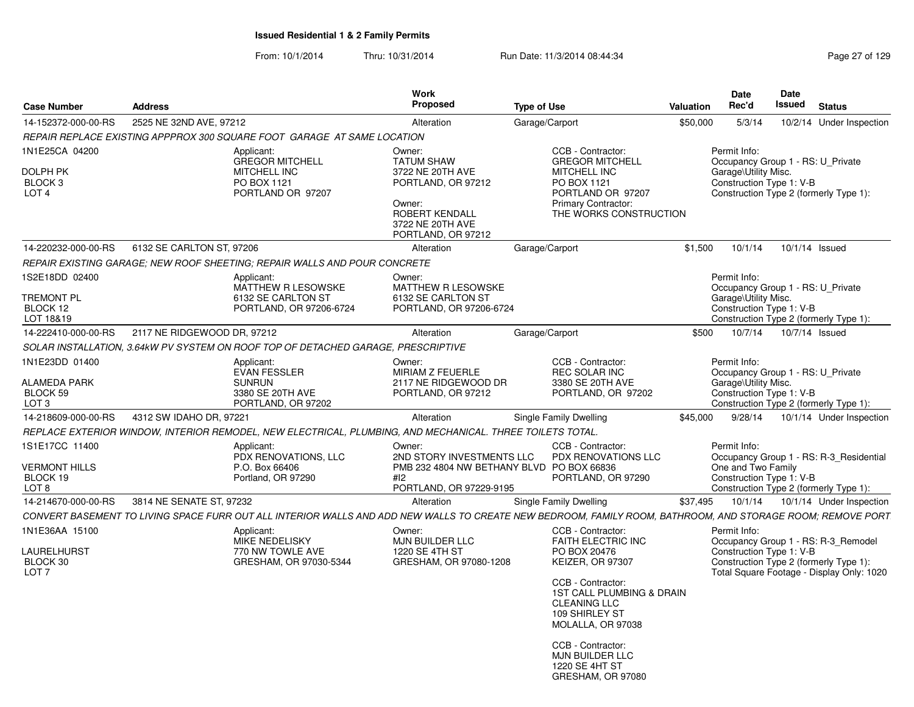| <b>Case Number</b>                                    | <b>Address</b>              |                                                                                   | <b>Work</b><br>Proposed                                                                                   | <b>Type of Use</b>                                                                                                                                                              | Valuation | <b>Date</b><br>Rec'd                                             | Date<br>Issued | <b>Status</b>                                                                       |
|-------------------------------------------------------|-----------------------------|-----------------------------------------------------------------------------------|-----------------------------------------------------------------------------------------------------------|---------------------------------------------------------------------------------------------------------------------------------------------------------------------------------|-----------|------------------------------------------------------------------|----------------|-------------------------------------------------------------------------------------|
| 14-152372-000-00-RS                                   | 2525 NE 32ND AVE, 97212     |                                                                                   | Alteration                                                                                                | Garage/Carport                                                                                                                                                                  | \$50,000  | 5/3/14                                                           |                | 10/2/14 Under Inspection                                                            |
|                                                       |                             | REPAIR REPLACE EXISTING APPPROX 300 SQUARE FOOT GARAGE AT SAME LOCATION           |                                                                                                           |                                                                                                                                                                                 |           |                                                                  |                |                                                                                     |
| 1N1E25CA 04200<br>DOLPH PK                            |                             | Applicant:<br><b>GREGOR MITCHELL</b><br><b>MITCHELL INC</b>                       | Owner:<br><b>TATUM SHAW</b><br>3722 NE 20TH AVE                                                           | CCB - Contractor:<br><b>GREGOR MITCHELL</b><br>MITCHELL INC                                                                                                                     |           | Permit Info:<br>Garage\Utility Misc.                             |                | Occupancy Group 1 - RS: U Private                                                   |
| BLOCK 3<br>LOT <sub>4</sub>                           |                             | PO BOX 1121<br>PORTLAND OR 97207                                                  | PORTLAND, OR 97212<br>Owner:<br><b>ROBERT KENDALL</b><br>3722 NE 20TH AVE<br>PORTLAND, OR 97212           | PO BOX 1121<br>PORTLAND OR 97207<br><b>Primary Contractor:</b><br>THE WORKS CONSTRUCTION                                                                                        |           | Construction Type 1: V-B                                         |                | Construction Type 2 (formerly Type 1):                                              |
| 14-220232-000-00-RS                                   | 6132 SE CARLTON ST, 97206   |                                                                                   | Alteration                                                                                                | Garage/Carport                                                                                                                                                                  | \$1.500   | 10/1/14                                                          |                | 10/1/14 Issued                                                                      |
|                                                       |                             | REPAIR EXISTING GARAGE: NEW ROOF SHEETING: REPAIR WALLS AND POUR CONCRETE         |                                                                                                           |                                                                                                                                                                                 |           |                                                                  |                |                                                                                     |
| 1S2E18DD 02400<br>TREMONT PL<br>BLOCK 12<br>LOT 18&19 |                             | Applicant:<br>MATTHEW R LESOWSKE<br>6132 SE CARLTON ST<br>PORTLAND, OR 97206-6724 | Owner:<br>MATTHEW R LESOWSKE<br>6132 SE CARLTON ST<br>PORTLAND, OR 97206-6724                             |                                                                                                                                                                                 |           | Permit Info:<br>Garage\Utility Misc.<br>Construction Type 1: V-B |                | Occupancy Group 1 - RS: U Private<br>Construction Type 2 (formerly Type 1):         |
| 14-222410-000-00-RS                                   | 2117 NE RIDGEWOOD DR, 97212 |                                                                                   | Alteration                                                                                                | Garage/Carport                                                                                                                                                                  | \$500     | 10/7/14                                                          |                | 10/7/14 Issued                                                                      |
|                                                       |                             | SOLAR INSTALLATION, 3.64kW PV SYSTEM ON ROOF TOP OF DETACHED GARAGE, PRESCRIPTIVE |                                                                                                           |                                                                                                                                                                                 |           |                                                                  |                |                                                                                     |
| 1N1E23DD 01400<br><b>ALAMEDA PARK</b>                 |                             | Applicant:<br><b>EVAN FESSLER</b><br><b>SUNRUN</b>                                | Owner:<br>MIRIAM Z FEUERLE<br>2117 NE RIDGEWOOD DR                                                        | CCB - Contractor:<br><b>REC SOLAR INC</b><br>3380 SE 20TH AVE                                                                                                                   |           | Permit Info:<br>Garage\Utility Misc.                             |                | Occupancy Group 1 - RS: U_Private                                                   |
| BLOCK 59<br>LOT <sub>3</sub>                          |                             | 3380 SE 20TH AVE<br>PORTLAND, OR 97202                                            | PORTLAND, OR 97212                                                                                        | PORTLAND, OR 97202                                                                                                                                                              |           | Construction Type 1: V-B                                         |                | Construction Type 2 (formerly Type 1):                                              |
| 14-218609-000-00-RS                                   | 4312 SW IDAHO DR, 97221     |                                                                                   | Alteration                                                                                                | Single Family Dwelling                                                                                                                                                          | \$45.000  |                                                                  |                | 9/28/14 10/1/14 Under Inspection                                                    |
|                                                       |                             |                                                                                   | REPLACE EXTERIOR WINDOW, INTERIOR REMODEL, NEW ELECTRICAL, PLUMBING, AND MECHANICAL. THREE TOILETS TOTAL. |                                                                                                                                                                                 |           |                                                                  |                |                                                                                     |
| 1S1E17CC 11400<br><b>VERMONT HILLS</b>                |                             | Applicant:<br>PDX RENOVATIONS, LLC<br>P.O. Box 66406                              | Owner:<br>2ND STORY INVESTMENTS LLC<br>PMB 232 4804 NW BETHANY BLVD PO BOX 66836                          | CCB - Contractor:<br>PDX RENOVATIONS LLC                                                                                                                                        |           | Permit Info:<br>One and Two Family                               |                | Occupancy Group 1 - RS: R-3_Residential                                             |
| BLOCK 19<br>LOT 8                                     |                             | Portland, OR 97290                                                                | #12<br>PORTLAND, OR 97229-9195                                                                            | PORTLAND, OR 97290                                                                                                                                                              |           | Construction Type 1: V-B                                         |                | Construction Type 2 (formerly Type 1):                                              |
| 14-214670-000-00-RS                                   | 3814 NE SENATE ST, 97232    |                                                                                   | Alteration                                                                                                | Single Family Dwelling                                                                                                                                                          | \$37,495  |                                                                  |                | 10/1/14  10/1/14  Under Inspection                                                  |
|                                                       |                             |                                                                                   |                                                                                                           | CONVERT BASEMENT TO LIVING SPACE FURR OUT ALL INTERIOR WALLS AND ADD NEW WALLS TO CREATE NEW BEDROOM, FAMILY ROOM, BATHROOM, AND STORAGE ROOM; REMOVE PORT                      |           |                                                                  |                |                                                                                     |
| 1N1E36AA 15100<br>LAURELHURST                         |                             | Applicant:<br><b>MIKE NEDELISKY</b><br>770 NW TOWLE AVE                           | Owner:<br><b>MJN BUILDER LLC</b><br>1220 SE 4TH ST                                                        | CCB - Contractor:<br><b>FAITH ELECTRIC INC</b><br>PO BOX 20476                                                                                                                  |           | Permit Info:<br>Construction Type 1: V-B                         |                | Occupancy Group 1 - RS: R-3_Remodel                                                 |
| BLOCK 30<br>LOT <sub>7</sub>                          |                             | GRESHAM, OR 97030-5344                                                            | GRESHAM, OR 97080-1208                                                                                    | <b>KEIZER, OR 97307</b><br>CCB - Contractor:<br>1ST CALL PLUMBING & DRAIN<br><b>CLEANING LLC</b><br>109 SHIRLEY ST<br>MOLALLA, OR 97038<br>CCB - Contractor:<br>MJN BUILDER LLC |           |                                                                  |                | Construction Type 2 (formerly Type 1):<br>Total Square Footage - Display Only: 1020 |
|                                                       |                             |                                                                                   |                                                                                                           | 1220 SE 4HT ST<br>GRESHAM, OR 97080                                                                                                                                             |           |                                                                  |                |                                                                                     |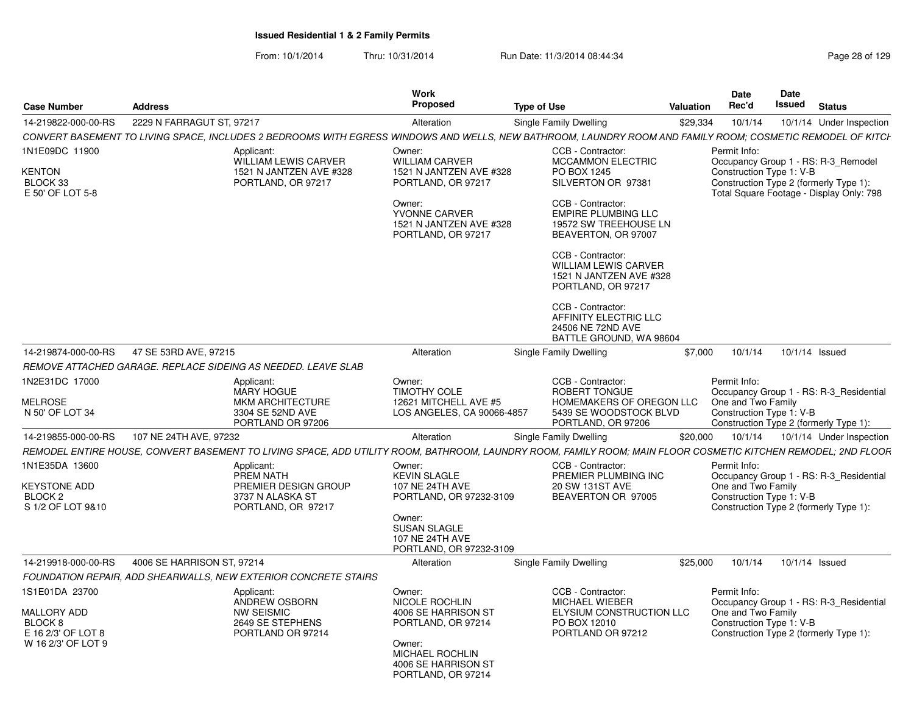| <b>Case Number</b>                                                                          | <b>Address</b>                                                                                                                                                | Work<br>Proposed                                                                                                                                             | <b>Type of Use</b>                                                                                                                                                                              | Valuation | Date<br>Rec'd                                                  | <b>Date</b><br>Issued | <b>Status</b>                                                                                                             |  |
|---------------------------------------------------------------------------------------------|---------------------------------------------------------------------------------------------------------------------------------------------------------------|--------------------------------------------------------------------------------------------------------------------------------------------------------------|-------------------------------------------------------------------------------------------------------------------------------------------------------------------------------------------------|-----------|----------------------------------------------------------------|-----------------------|---------------------------------------------------------------------------------------------------------------------------|--|
| 14-219822-000-00-RS                                                                         | 2229 N FARRAGUT ST. 97217                                                                                                                                     | Alteration                                                                                                                                                   | Single Family Dwelling                                                                                                                                                                          | \$29,334  | 10/1/14                                                        |                       | 10/1/14 Under Inspection                                                                                                  |  |
|                                                                                             | CONVERT BASEMENT TO LIVING SPACE, INCLUDES 2 BEDROOMS WITH EGRESS WINDOWS AND WELLS, NEW BATHROOM, LAUNDRY ROOM AND FAMILY ROOM; COSMETIC REMODEL OF KITCH    |                                                                                                                                                              |                                                                                                                                                                                                 |           |                                                                |                       |                                                                                                                           |  |
| 1N1E09DC 11900<br><b>KENTON</b><br>BLOCK 33<br>E 50' OF LOT 5-8                             | Applicant:<br>WILLIAM LEWIS CARVER<br>1521 N JANTZEN AVE #328<br>PORTLAND, OR 97217                                                                           | Owner:<br><b>WILLIAM CARVER</b><br>1521 N JANTZEN AVE #328<br>PORTLAND, OR 97217<br>Owner:<br>YVONNE CARVER<br>1521 N JANTZEN AVE #328<br>PORTLAND, OR 97217 | CCB - Contractor:<br><b>MCCAMMON ELECTRIC</b><br>PO BOX 1245<br>SILVERTON OR 97381<br>CCB - Contractor:<br><b>EMPIRE PLUMBING LLC</b><br>19572 SW TREEHOUSE LN<br>BEAVERTON, OR 97007           |           | Permit Info:<br>Construction Type 1: V-B                       |                       | Occupancy Group 1 - RS: R-3 Remodel<br>Construction Type 2 (formerly Type 1):<br>Total Square Footage - Display Only: 798 |  |
|                                                                                             |                                                                                                                                                               |                                                                                                                                                              | CCB - Contractor:<br><b>WILLIAM LEWIS CARVER</b><br>1521 N JANTZEN AVE #328<br>PORTLAND, OR 97217<br>CCB - Contractor:<br>AFFINITY ELECTRIC LLC<br>24506 NE 72ND AVE<br>BATTLE GROUND, WA 98604 |           |                                                                |                       |                                                                                                                           |  |
| 14-219874-000-00-RS                                                                         | 47 SE 53RD AVE, 97215                                                                                                                                         | Alteration                                                                                                                                                   | Single Family Dwelling                                                                                                                                                                          | \$7.000   | 10/1/14                                                        |                       | 10/1/14 Issued                                                                                                            |  |
|                                                                                             | REMOVE ATTACHED GARAGE. REPLACE SIDEING AS NEEDED. LEAVE SLAB                                                                                                 |                                                                                                                                                              |                                                                                                                                                                                                 |           |                                                                |                       |                                                                                                                           |  |
| 1N2E31DC 17000<br><b>MELROSE</b><br>N 50' OF LOT 34                                         | Applicant:<br><b>MARY HOGUE</b><br>MKM ARCHITECTURE<br>3304 SE 52ND AVE<br>PORTLAND OR 97206                                                                  | Owner:<br><b>TIMOTHY COLE</b><br>12621 MITCHELL AVE #5<br>LOS ANGELES, CA 90066-4857                                                                         | CCB - Contractor:<br>ROBERT TONGUE<br>HOMEMAKERS OF OREGON LLC<br>5439 SE WOODSTOCK BLVD<br>PORTLAND, OR 97206                                                                                  |           | Permit Info:<br>One and Two Family<br>Construction Type 1: V-B |                       | Occupancy Group 1 - RS: R-3 Residential<br>Construction Type 2 (formerly Type 1):                                         |  |
| 14-219855-000-00-RS                                                                         | 107 NE 24TH AVE, 97232                                                                                                                                        | Alteration                                                                                                                                                   | Single Family Dwelling                                                                                                                                                                          | \$20.000  | 10/1/14                                                        |                       | 10/1/14 Under Inspection                                                                                                  |  |
|                                                                                             | REMODEL ENTIRE HOUSE, CONVERT BASEMENT TO LIVING SPACE, ADD UTILITY ROOM, BATHROOM, LAUNDRY ROOM, FAMILY ROOM; MAIN FLOOR COSMETIC KITCHEN REMODEL; 2ND FLOOR |                                                                                                                                                              |                                                                                                                                                                                                 |           |                                                                |                       |                                                                                                                           |  |
| 1N1E35DA 13600<br><b>KEYSTONE ADD</b><br><b>BLOCK 2</b>                                     | Applicant:<br>PREM NATH<br>PREMIER DESIGN GROUP<br>3737 N ALASKA ST                                                                                           | Owner:<br>KEVIN SLAGLE<br>107 NE 24TH AVE<br>PORTLAND, OR 97232-3109                                                                                         | CCB - Contractor:<br>PREMIER PLUMBING INC<br>20 SW 131ST AVE<br>BEAVERTON OR 97005                                                                                                              |           | Permit Info:<br>One and Two Family<br>Construction Type 1: V-B |                       | Occupancy Group 1 - RS: R-3 Residential                                                                                   |  |
| S 1/2 OF LOT 9&10                                                                           | PORTLAND, OR 97217                                                                                                                                            | Owner:<br>SUSAN SLAGLE<br>107 NE 24TH AVE<br>PORTLAND, OR 97232-3109                                                                                         |                                                                                                                                                                                                 |           |                                                                |                       | Construction Type 2 (formerly Type 1):                                                                                    |  |
| 14-219918-000-00-RS                                                                         | 4006 SE HARRISON ST, 97214                                                                                                                                    | Alteration                                                                                                                                                   | Single Family Dwelling                                                                                                                                                                          | \$25,000  | 10/1/14                                                        |                       | 10/1/14 Issued                                                                                                            |  |
|                                                                                             | <b>FOUNDATION REPAIR. ADD SHEARWALLS, NEW EXTERIOR CONCRETE STAIRS</b>                                                                                        |                                                                                                                                                              |                                                                                                                                                                                                 |           |                                                                |                       |                                                                                                                           |  |
| 1S1E01DA 23700<br><b>MALLORY ADD</b><br>BLOCK 8<br>E 16 2/3' OF LOT 8<br>W 16 2/3' OF LOT 9 | Applicant:<br>ANDREW OSBORN<br><b>NW SEISMIC</b><br>2649 SE STEPHENS<br>PORTLAND OR 97214                                                                     | Owner:<br>NICOLE ROCHLIN<br>4006 SE HARRISON ST<br>PORTLAND, OR 97214<br>Owner:<br>MICHAEL ROCHLIN<br>4006 SE HARRISON ST<br>PORTLAND, OR 97214              | CCB - Contractor:<br>MICHAEL WIEBER<br>ELYSIUM CONSTRUCTION LLC<br>PO BOX 12010<br>PORTLAND OR 97212                                                                                            |           | Permit Info:<br>One and Two Family<br>Construction Type 1: V-B |                       | Occupancy Group 1 - RS: R-3 Residential<br>Construction Type 2 (formerly Type 1):                                         |  |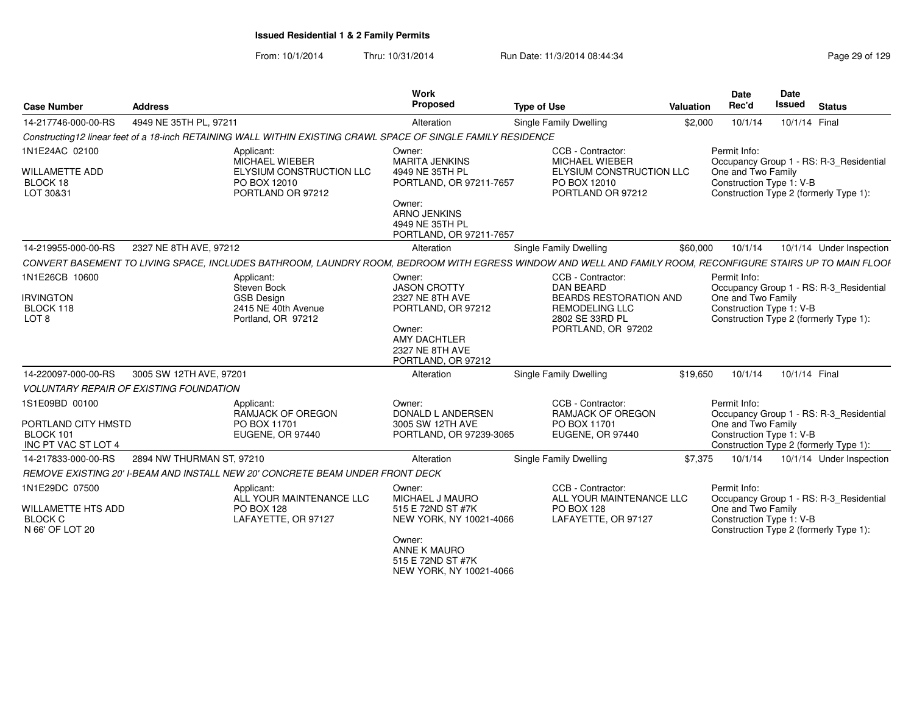| <b>Case Number</b>                                                        | <b>Address</b>                                 |                                                                                                               | Work<br><b>Proposed</b>                                                                                                                                      | <b>Type of Use</b>                                                                                                                                          | Valuation | Date<br>Rec'd                                                                                            | Date<br>Issued | <b>Status</b>                                                                     |
|---------------------------------------------------------------------------|------------------------------------------------|---------------------------------------------------------------------------------------------------------------|--------------------------------------------------------------------------------------------------------------------------------------------------------------|-------------------------------------------------------------------------------------------------------------------------------------------------------------|-----------|----------------------------------------------------------------------------------------------------------|----------------|-----------------------------------------------------------------------------------|
| 14-217746-000-00-RS                                                       | 4949 NE 35TH PL, 97211                         |                                                                                                               | Alteration                                                                                                                                                   | Single Family Dwelling                                                                                                                                      | \$2,000   | 10/1/14                                                                                                  | 10/1/14 Final  |                                                                                   |
|                                                                           |                                                | Constructing12 linear feet of a 18-inch RETAINING WALL WITHIN EXISTING CRAWL SPACE OF SINGLE FAMILY RESIDENCE |                                                                                                                                                              |                                                                                                                                                             |           |                                                                                                          |                |                                                                                   |
| 1N1E24AC 02100<br><b>WILLAMETTE ADD</b><br>BLOCK 18<br>LOT 30&31          |                                                | Applicant:<br>MICHAEL WIEBER<br>ELYSIUM CONSTRUCTION LLC<br>PO BOX 12010<br>PORTLAND OR 97212                 | Owner:<br><b>MARITA JENKINS</b><br>4949 NE 35TH PL<br>PORTLAND, OR 97211-7657<br>Owner:<br><b>ARNO JENKINS</b><br>4949 NE 35TH PL<br>PORTLAND, OR 97211-7657 | CCB - Contractor:<br><b>MICHAEL WIEBER</b><br>ELYSIUM CONSTRUCTION LLC<br>PO BOX 12010<br>PORTLAND OR 97212                                                 |           | Permit Info:<br>One and Two Family<br>Construction Type 1: V-B<br>Construction Type 2 (formerly Type 1): |                | Occupancy Group 1 - RS: R-3 Residential                                           |
| 14-219955-000-00-RS                                                       | 2327 NE 8TH AVE, 97212                         |                                                                                                               | Alteration                                                                                                                                                   | Single Family Dwelling                                                                                                                                      | \$60,000  | 10/1/14                                                                                                  |                | 10/1/14 Under Inspection                                                          |
|                                                                           |                                                |                                                                                                               |                                                                                                                                                              | CONVERT BASEMENT TO LIVING SPACE, INCLUDES BATHROOM, LAUNDRY ROOM, BEDROOM WITH EGRESS WINDOW AND WELL AND FAMILY ROOM, RECONFIGURE STAIRS UP TO MAIN FLOOF |           |                                                                                                          |                |                                                                                   |
| 1N1E26CB 10600<br><b>IRVINGTON</b><br>BLOCK 118<br>LOT <sub>8</sub>       |                                                | Applicant:<br>Steven Bock<br><b>GSB Design</b><br>2415 NE 40th Avenue<br>Portland, OR 97212                   | Owner:<br><b>JASON CROTTY</b><br>2327 NE 8TH AVE<br>PORTLAND, OR 97212<br>Owner:<br><b>AMY DACHTLER</b><br>2327 NE 8TH AVE<br>PORTLAND, OR 97212             | CCB - Contractor:<br><b>DAN BEARD</b><br><b>BEARDS RESTORATION AND</b><br><b>REMODELING LLC</b><br>2802 SE 33RD PL<br>PORTLAND, OR 97202                    |           | Permit Info:<br>One and Two Family<br>Construction Type 1: V-B<br>Construction Type 2 (formerly Type 1): |                | Occupancy Group 1 - RS: R-3 Residential                                           |
| 14-220097-000-00-RS                                                       | 3005 SW 12TH AVE, 97201                        |                                                                                                               | Alteration                                                                                                                                                   | <b>Single Family Dwelling</b>                                                                                                                               | \$19,650  | 10/1/14                                                                                                  | 10/1/14 Final  |                                                                                   |
|                                                                           | <b>VOLUNTARY REPAIR OF EXISTING FOUNDATION</b> |                                                                                                               |                                                                                                                                                              |                                                                                                                                                             |           |                                                                                                          |                |                                                                                   |
| 1S1E09BD 00100<br>PORTLAND CITY HMSTD<br>BLOCK 101<br>INC PT VAC ST LOT 4 |                                                | Applicant:<br>RAMJACK OF OREGON<br>PO BOX 11701<br>EUGENE, OR 97440                                           | Owner:<br>DONALD L ANDERSEN<br>3005 SW 12TH AVE<br>PORTLAND, OR 97239-3065                                                                                   | CCB - Contractor:<br><b>RAMJACK OF OREGON</b><br>PO BOX 11701<br>EUGENE, OR 97440                                                                           |           | Permit Info:<br>One and Two Family<br>Construction Type 1: V-B                                           |                | Occupancy Group 1 - RS: R-3_Residential<br>Construction Type 2 (formerly Type 1): |
| 14-217833-000-00-RS                                                       | 2894 NW THURMAN ST, 97210                      |                                                                                                               | Alteration                                                                                                                                                   | Single Family Dwelling                                                                                                                                      | \$7.375   | 10/1/14                                                                                                  |                | 10/1/14 Under Inspection                                                          |
|                                                                           |                                                | REMOVE EXISTING 20' I-BEAM AND INSTALL NEW 20' CONCRETE BEAM UNDER FRONT DECK                                 |                                                                                                                                                              |                                                                                                                                                             |           |                                                                                                          |                |                                                                                   |
| 1N1E29DC 07500<br>WILLAMETTE HTS ADD<br><b>BLOCK C</b><br>N 66' OF LOT 20 |                                                | Applicant:<br>ALL YOUR MAINTENANCE LLC<br><b>PO BOX 128</b><br>LAFAYETTE, OR 97127                            | Owner:<br>MICHAEL J MAURO<br>515 E 72ND ST #7K<br>NEW YORK, NY 10021-4066<br>Owner:<br>ANNE K MAURO<br>515 E 72ND ST #7K<br>NEW YORK, NY 10021-4066          | CCB - Contractor:<br>ALL YOUR MAINTENANCE LLC<br>PO BOX 128<br>LAFAYETTE, OR 97127                                                                          |           | Permit Info:<br>One and Two Family<br>Construction Type 1: V-B<br>Construction Type 2 (formerly Type 1): |                | Occupancy Group 1 - RS: R-3_Residential                                           |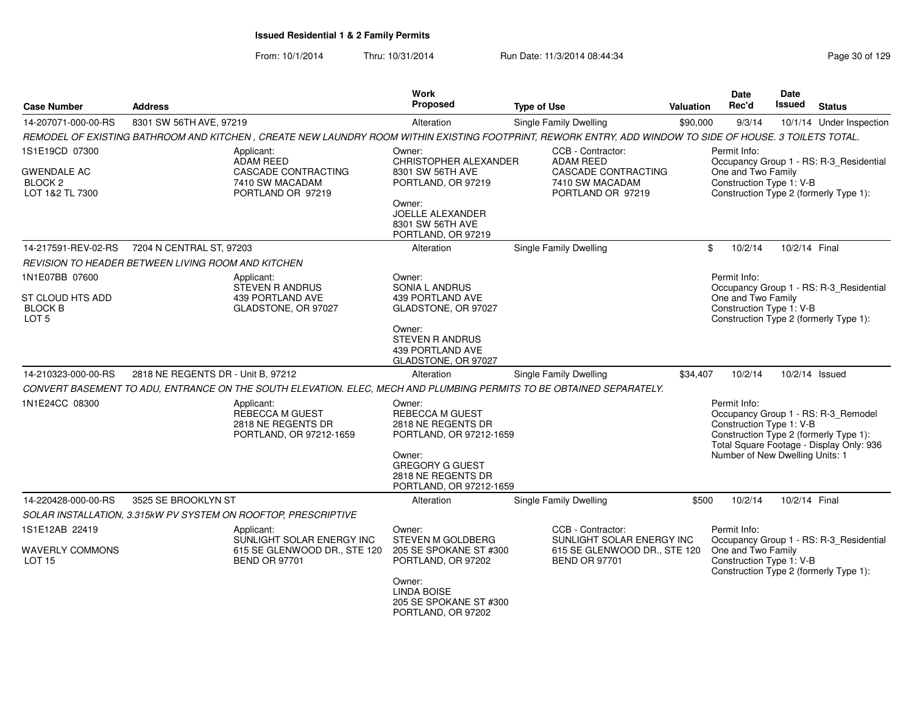| <b>Case Number</b>                                          | <b>Address</b>                                                                                                                                           | Work<br><b>Proposed</b>                                                           | <b>Type of Use</b>                                          | Valuation | <b>Date</b><br>Rec'd                                                                     | Date<br><b>Issued</b> | <b>Status</b>                                                                   |
|-------------------------------------------------------------|----------------------------------------------------------------------------------------------------------------------------------------------------------|-----------------------------------------------------------------------------------|-------------------------------------------------------------|-----------|------------------------------------------------------------------------------------------|-----------------------|---------------------------------------------------------------------------------|
| 14-207071-000-00-RS                                         | 8301 SW 56TH AVE, 97219                                                                                                                                  | Alteration                                                                        | Single Family Dwelling                                      | \$90,000  | 9/3/14                                                                                   |                       | 10/1/14 Under Inspection                                                        |
|                                                             | REMODEL OF EXISTING BATHROOM AND KITCHEN, CREATE NEW LAUNDRY ROOM WITHIN EXISTING FOOTPRINT, REWORK ENTRY, ADD WINDOW TO SIDE OF HOUSE. 3 TOILETS TOTAL. |                                                                                   |                                                             |           |                                                                                          |                       |                                                                                 |
| 1S1E19CD 07300                                              | Applicant:<br><b>ADAM REED</b>                                                                                                                           | Owner:<br>CHRISTOPHER ALEXANDER                                                   | CCB - Contractor:<br><b>ADAM REED</b>                       |           | Permit Info:                                                                             |                       | Occupancy Group 1 - RS: R-3_Residential                                         |
| <b>GWENDALE AC</b><br>BLOCK <sub>2</sub><br>LOT 1&2 TL 7300 | CASCADE CONTRACTING<br>7410 SW MACADAM<br>PORTLAND OR 97219                                                                                              | 8301 SW 56TH AVE<br>PORTLAND, OR 97219                                            | CASCADE CONTRACTING<br>7410 SW MACADAM<br>PORTLAND OR 97219 |           | One and Two Family<br>Construction Type 1: V-B<br>Construction Type 2 (formerly Type 1): |                       |                                                                                 |
|                                                             |                                                                                                                                                          | Owner:<br><b>JOELLE ALEXANDER</b><br>8301 SW 56TH AVE<br>PORTLAND, OR 97219       |                                                             |           |                                                                                          |                       |                                                                                 |
| 14-217591-REV-02-RS                                         | 7204 N CENTRAL ST, 97203                                                                                                                                 | Alteration                                                                        | <b>Single Family Dwelling</b>                               |           | \$<br>10/2/14                                                                            | 10/2/14 Final         |                                                                                 |
|                                                             | REVISION TO HEADER BETWEEN LIVING ROOM AND KITCHEN                                                                                                       |                                                                                   |                                                             |           |                                                                                          |                       |                                                                                 |
| 1N1E07BB 07600<br>ST CLOUD HTS ADD                          | Applicant:<br><b>STEVEN R ANDRUS</b><br>439 PORTLAND AVE                                                                                                 | Owner:<br>SONIA L ANDRUS<br>439 PORTLAND AVE                                      |                                                             |           | Permit Info:<br>One and Two Family                                                       |                       | Occupancy Group 1 - RS: R-3_Residential                                         |
| <b>BLOCK B</b><br>LOT <sub>5</sub>                          | GLADSTONE, OR 97027                                                                                                                                      | GLADSTONE, OR 97027                                                               |                                                             |           | Construction Type 1: V-B<br>Construction Type 2 (formerly Type 1):                       |                       |                                                                                 |
|                                                             |                                                                                                                                                          | Owner:<br>STEVEN R ANDRUS<br>439 PORTLAND AVE<br>GLADSTONE, OR 97027              |                                                             |           |                                                                                          |                       |                                                                                 |
| 14-210323-000-00-RS                                         | 2818 NE REGENTS DR - Unit B, 97212                                                                                                                       | Alteration                                                                        | Single Family Dwelling                                      | \$34,407  | 10/2/14                                                                                  | 10/2/14 Issued        |                                                                                 |
|                                                             | CONVERT BASEMENT TO ADU, ENTRANCE ON THE SOUTH ELEVATION. ELEC, MECH AND PLUMBING PERMITS TO BE OBTAINED SEPARATELY.                                     |                                                                                   |                                                             |           |                                                                                          |                       |                                                                                 |
| 1N1E24CC 08300                                              | Applicant:<br>REBECCA M GUEST<br>2818 NE REGENTS DR<br>PORTLAND, OR 97212-1659                                                                           | Owner:<br><b>REBECCA M GUEST</b><br>2818 NE REGENTS DR<br>PORTLAND, OR 97212-1659 |                                                             |           | Permit Info:<br>Construction Type 1: V-B<br>Construction Type 2 (formerly Type 1):       |                       | Occupancy Group 1 - RS: R-3_Remodel<br>Total Square Footage - Display Only: 936 |
|                                                             |                                                                                                                                                          | Owner:<br><b>GREGORY G GUEST</b><br>2818 NE REGENTS DR<br>PORTLAND, OR 97212-1659 |                                                             |           | Number of New Dwelling Units: 1                                                          |                       |                                                                                 |
| 14-220428-000-00-RS                                         | 3525 SE BROOKLYN ST                                                                                                                                      | Alteration                                                                        | Single Family Dwelling                                      | \$500     | 10/2/14                                                                                  | 10/2/14 Final         |                                                                                 |
|                                                             | SOLAR INSTALLATION, 3.315kW PV SYSTEM ON ROOFTOP, PRESCRIPTIVE                                                                                           |                                                                                   |                                                             |           |                                                                                          |                       |                                                                                 |
| 1S1E12AB 22419                                              | Applicant:<br>SUNLIGHT SOLAR ENERGY INC                                                                                                                  | Owner:<br>STEVEN M GOLDBERG                                                       | CCB - Contractor:<br>SUNLIGHT SOLAR ENERGY INC              |           | Permit Info:                                                                             |                       | Occupancy Group 1 - RS: R-3_Residential                                         |
| <b>WAVERLY COMMONS</b><br><b>LOT 15</b>                     | 615 SE GLENWOOD DR., STE 120<br><b>BEND OR 97701</b>                                                                                                     | 205 SE SPOKANE ST #300<br>PORTLAND, OR 97202                                      | 615 SE GLENWOOD DR., STE 120<br><b>BEND OR 97701</b>        |           | One and Two Family<br>Construction Type 1: V-B<br>Construction Type 2 (formerly Type 1): |                       |                                                                                 |
|                                                             |                                                                                                                                                          | Owner:<br><b>LINDA BOISE</b><br>205 SE SPOKANE ST #300<br>PORTLAND, OR 97202      |                                                             |           |                                                                                          |                       |                                                                                 |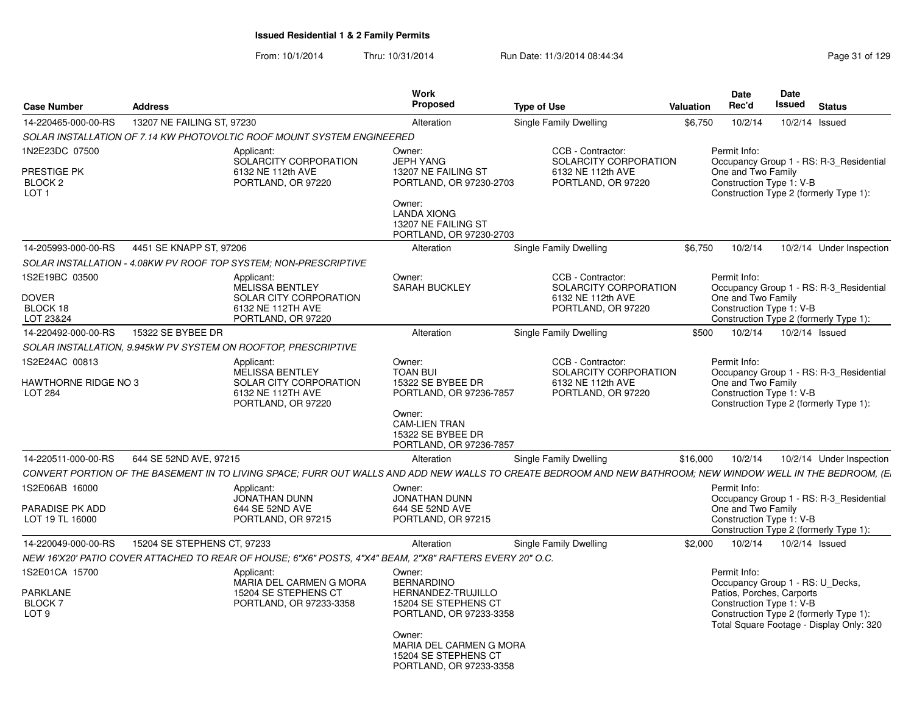|                                                                         |                             |                                                                                                                                                              | <b>Work</b><br>Proposed                                                                                                                                        |                    |                                                                                       |           | <b>Date</b><br>Rec'd               | <b>Date</b><br>Issued                                 |                                                                                                                        |
|-------------------------------------------------------------------------|-----------------------------|--------------------------------------------------------------------------------------------------------------------------------------------------------------|----------------------------------------------------------------------------------------------------------------------------------------------------------------|--------------------|---------------------------------------------------------------------------------------|-----------|------------------------------------|-------------------------------------------------------|------------------------------------------------------------------------------------------------------------------------|
| <b>Case Number</b>                                                      | <b>Address</b>              |                                                                                                                                                              |                                                                                                                                                                | <b>Type of Use</b> |                                                                                       | Valuation |                                    |                                                       | <b>Status</b>                                                                                                          |
| 14-220465-000-00-RS                                                     | 13207 NE FAILING ST, 97230  |                                                                                                                                                              | Alteration                                                                                                                                                     |                    | Single Family Dwelling                                                                | \$6,750   | 10/2/14                            |                                                       | 10/2/14 Issued                                                                                                         |
|                                                                         |                             | SOLAR INSTALLATION OF 7.14 KW PHOTOVOLTIC ROOF MOUNT SYSTEM ENGINEERED                                                                                       |                                                                                                                                                                |                    |                                                                                       |           |                                    |                                                       |                                                                                                                        |
| 1N2E23DC 07500<br>PRESTIGE PK<br>BLOCK <sub>2</sub><br>LOT <sub>1</sub> |                             | Applicant:<br>SOLARCITY CORPORATION<br>6132 NE 112th AVE<br>PORTLAND, OR 97220                                                                               | Owner:<br><b>JEPH YANG</b><br>13207 NE FAILING ST<br>PORTLAND, OR 97230-2703<br>Owner:<br><b>LANDA XIONG</b><br>13207 NE FAILING ST<br>PORTLAND, OR 97230-2703 |                    | CCB - Contractor:<br>SOLARCITY CORPORATION<br>6132 NE 112th AVE<br>PORTLAND, OR 97220 |           | Permit Info:<br>One and Two Family | Construction Type 1: V-B                              | Occupancy Group 1 - RS: R-3 Residential<br>Construction Type 2 (formerly Type 1):                                      |
| 14-205993-000-00-RS                                                     | 4451 SE KNAPP ST, 97206     |                                                                                                                                                              | Alteration                                                                                                                                                     |                    | Single Family Dwelling                                                                | \$6,750   | 10/2/14                            |                                                       | 10/2/14 Under Inspection                                                                                               |
|                                                                         |                             | SOLAR INSTALLATION - 4.08KW PV ROOF TOP SYSTEM; NON-PRESCRIPTIVE                                                                                             |                                                                                                                                                                |                    |                                                                                       |           |                                    |                                                       |                                                                                                                        |
| 1S2E19BC 03500<br><b>DOVER</b><br>BLOCK 18<br>LOT 23&24                 |                             | Applicant:<br><b>MELISSA BENTLEY</b><br>SOLAR CITY CORPORATION<br>6132 NE 112TH AVE<br>PORTLAND, OR 97220                                                    | Owner:<br><b>SARAH BUCKLEY</b>                                                                                                                                 |                    | CCB - Contractor:<br>SOLARCITY CORPORATION<br>6132 NE 112th AVE<br>PORTLAND, OR 97220 |           | Permit Info:<br>One and Two Family | Construction Type 1: V-B                              | Occupancy Group 1 - RS: R-3_Residential<br>Construction Type 2 (formerly Type 1):                                      |
| 14-220492-000-00-RS                                                     | 15322 SE BYBEE DR           |                                                                                                                                                              | Alteration                                                                                                                                                     |                    | Single Family Dwelling                                                                | \$500     | 10/2/14                            |                                                       | 10/2/14 Issued                                                                                                         |
|                                                                         |                             | SOLAR INSTALLATION, 9.945kW PV SYSTEM ON ROOFTOP, PRESCRIPTIVE                                                                                               |                                                                                                                                                                |                    |                                                                                       |           |                                    |                                                       |                                                                                                                        |
| 1S2E24AC 00813<br><b>HAWTHORNE RIDGE NO 3</b><br><b>LOT 284</b>         |                             | Applicant:<br><b>MELISSA BENTLEY</b><br><b>SOLAR CITY CORPORATION</b><br>6132 NE 112TH AVE<br>PORTLAND, OR 97220                                             | Owner:<br><b>TOAN BUI</b><br>15322 SE BYBEE DR<br>PORTLAND, OR 97236-7857<br>Owner:                                                                            |                    | CCB - Contractor:<br>SOLARCITY CORPORATION<br>6132 NE 112th AVE<br>PORTLAND, OR 97220 |           | Permit Info:<br>One and Two Family | Construction Type 1: V-B                              | Occupancy Group 1 - RS: R-3 Residential<br>Construction Type 2 (formerly Type 1):                                      |
|                                                                         |                             |                                                                                                                                                              | <b>CAM-LIEN TRAN</b><br>15322 SE BYBEE DR<br>PORTLAND, OR 97236-7857                                                                                           |                    |                                                                                       |           |                                    |                                                       |                                                                                                                        |
| 14-220511-000-00-RS                                                     | 644 SE 52ND AVE, 97215      |                                                                                                                                                              | Alteration                                                                                                                                                     |                    | Single Family Dwelling                                                                | \$16,000  | 10/2/14                            |                                                       | 10/2/14 Under Inspection                                                                                               |
| 1S2E06AB 16000                                                          |                             | CONVERT PORTION OF THE BASEMENT IN TO LIVING SPACE; FURR OUT WALLS AND ADD NEW WALLS TO CREATE BEDROOM AND NEW BATHROOM; NEW WINDOW WELL IN THE BEDROOM, (E. |                                                                                                                                                                |                    |                                                                                       |           | Permit Info:                       |                                                       |                                                                                                                        |
| PARADISE PK ADD<br>LOT 19 TL 16000                                      |                             | Applicant:<br><b>JONATHAN DUNN</b><br>644 SE 52ND AVE<br>PORTLAND, OR 97215                                                                                  | Owner:<br><b>JONATHAN DUNN</b><br>644 SE 52ND AVE<br>PORTLAND, OR 97215                                                                                        |                    |                                                                                       |           | One and Two Family                 | Construction Type 1: V-B                              | Occupancy Group 1 - RS: R-3 Residential<br>Construction Type 2 (formerly Type 1):                                      |
| 14-220049-000-00-RS                                                     | 15204 SE STEPHENS CT, 97233 |                                                                                                                                                              | Alteration                                                                                                                                                     |                    | <b>Single Family Dwelling</b>                                                         | \$2,000   | 10/2/14                            |                                                       | 10/2/14 Issued                                                                                                         |
|                                                                         |                             | NEW 16'X20' PATIO COVER ATTACHED TO REAR OF HOUSE; 6"X6" POSTS, 4"X4" BEAM, 2"X8" RAFTERS EVERY 20" O.C.                                                     |                                                                                                                                                                |                    |                                                                                       |           |                                    |                                                       |                                                                                                                        |
| 1S2E01CA 15700                                                          |                             | Applicant:                                                                                                                                                   | Owner:                                                                                                                                                         |                    |                                                                                       |           | Permit Info:                       |                                                       |                                                                                                                        |
| PARKLANE<br>BLOCK 7<br>LOT <sub>9</sub>                                 |                             | MARIA DEL CARMEN G MORA<br>15204 SE STEPHENS CT<br>PORTLAND, OR 97233-3358                                                                                   | <b>BERNARDINO</b><br>HERNANDEZ-TRUJILLO<br>15204 SE STEPHENS CT<br>PORTLAND, OR 97233-3358                                                                     |                    |                                                                                       |           |                                    | Patios, Porches, Carports<br>Construction Type 1: V-B | Occupancy Group 1 - RS: U Decks,<br>Construction Type 2 (formerly Type 1):<br>Total Square Footage - Display Only: 320 |
|                                                                         |                             |                                                                                                                                                              | Owner:<br>MARIA DEL CARMEN G MORA<br>15204 SE STEPHENS CT<br>PORTLAND, OR 97233-3358                                                                           |                    |                                                                                       |           |                                    |                                                       |                                                                                                                        |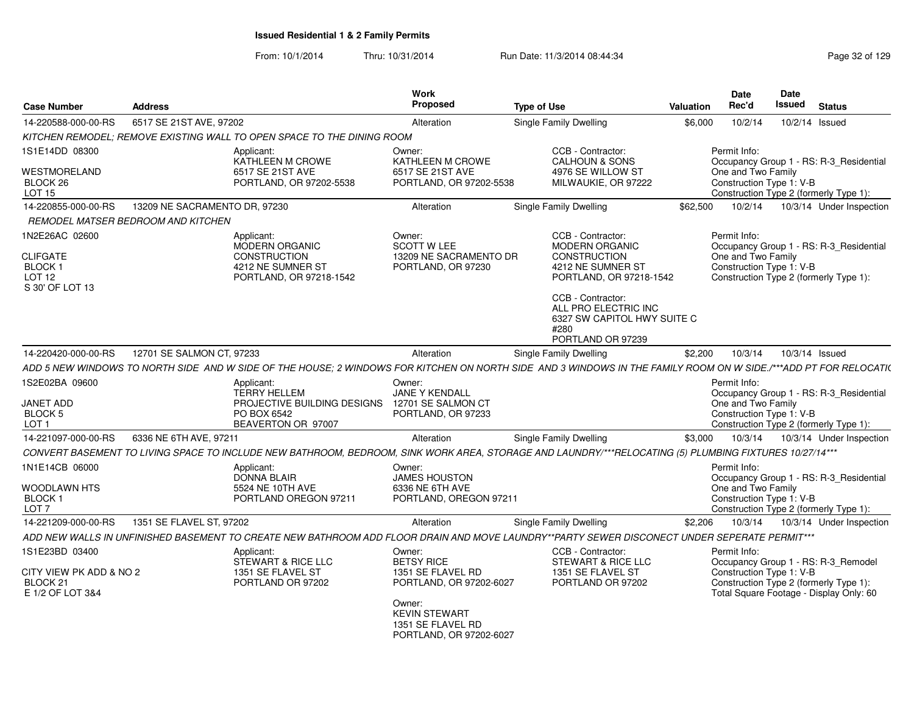| <b>Case Number</b>                                                              | <b>Address</b>                     |                                                                                                                                                                    | <b>Work</b><br>Proposed                                                        | <b>Type of Use</b>                                                                                                | Valuation | <b>Date</b><br>Rec'd                                           | Date<br>Issued | <b>Status</b>                                                                     |
|---------------------------------------------------------------------------------|------------------------------------|--------------------------------------------------------------------------------------------------------------------------------------------------------------------|--------------------------------------------------------------------------------|-------------------------------------------------------------------------------------------------------------------|-----------|----------------------------------------------------------------|----------------|-----------------------------------------------------------------------------------|
| 14-220588-000-00-RS                                                             | 6517 SE 21ST AVE, 97202            |                                                                                                                                                                    | Alteration                                                                     | Single Family Dwelling                                                                                            | \$6.000   | 10/2/14                                                        |                | 10/2/14 Issued                                                                    |
|                                                                                 |                                    | KITCHEN REMODEL; REMOVE EXISTING WALL TO OPEN SPACE TO THE DINING ROOM                                                                                             |                                                                                |                                                                                                                   |           |                                                                |                |                                                                                   |
| 1S1E14DD 08300<br>WESTMORELAND                                                  |                                    | Applicant:<br>KATHLEEN M CROWE<br>6517 SE 21ST AVE                                                                                                                 | Owner:<br>KATHLEEN M CROWE<br>6517 SE 21ST AVE                                 | CCB - Contractor:<br><b>CALHOUN &amp; SONS</b><br>4976 SE WILLOW ST                                               |           | Permit Info:<br>One and Two Family                             |                | Occupancy Group 1 - RS: R-3 Residential                                           |
| BLOCK 26<br>LOT <sub>15</sub>                                                   |                                    | PORTLAND, OR 97202-5538                                                                                                                                            | PORTLAND, OR 97202-5538                                                        | MILWAUKIE, OR 97222                                                                                               |           | Construction Type 1: V-B                                       |                | Construction Type 2 (formerly Type 1):                                            |
| 14-220855-000-00-RS                                                             | 13209 NE SACRAMENTO DR, 97230      |                                                                                                                                                                    | Alteration                                                                     | Single Family Dwelling                                                                                            | \$62,500  | 10/2/14                                                        |                | 10/3/14 Under Inspection                                                          |
|                                                                                 | REMODEL MATSER BEDROOM AND KITCHEN |                                                                                                                                                                    |                                                                                |                                                                                                                   |           |                                                                |                |                                                                                   |
| 1N2E26AC 02600<br><b>CLIFGATE</b><br><b>BLOCK1</b><br>LOT 12<br>S 30' OF LOT 13 |                                    | Applicant:<br>MODERN ORGANIC<br><b>CONSTRUCTION</b><br>4212 NE SUMNER ST<br>PORTLAND, OR 97218-1542                                                                | Owner:<br><b>SCOTT W LEE</b><br>13209 NE SACRAMENTO DR<br>PORTLAND, OR 97230   | CCB - Contractor:<br><b>MODERN ORGANIC</b><br><b>CONSTRUCTION</b><br>4212 NE SUMNER ST<br>PORTLAND, OR 97218-1542 |           | Permit Info:<br>One and Two Family<br>Construction Type 1: V-B |                | Occupancy Group 1 - RS: R-3 Residential<br>Construction Type 2 (formerly Type 1): |
|                                                                                 |                                    |                                                                                                                                                                    |                                                                                | CCB - Contractor:<br>ALL PRO ELECTRIC INC<br>6327 SW CAPITOL HWY SUITE C<br>#280<br>PORTLAND OR 97239             |           |                                                                |                |                                                                                   |
| 14-220420-000-00-RS                                                             | 12701 SE SALMON CT, 97233          |                                                                                                                                                                    | Alteration                                                                     | Single Family Dwelling                                                                                            | \$2,200   | 10/3/14                                                        |                | 10/3/14 Issued                                                                    |
|                                                                                 |                                    | ADD 5 NEW WINDOWS TO NORTH SIDE  AND W SIDE OF THE HOUSE: 2 WINDOWS FOR KITCHEN ON NORTH SIDE  AND 3 WINDOWS IN THE FAMILY ROOM ON W SIDE./***ADD PT FOR RELOCATI( |                                                                                |                                                                                                                   |           |                                                                |                |                                                                                   |
| 1S2E02BA 09600                                                                  |                                    | Applicant:                                                                                                                                                         | Owner:                                                                         |                                                                                                                   |           | Permit Info:                                                   |                |                                                                                   |
| <b>JANET ADD</b>                                                                |                                    | <b>TERRY HELLEM</b><br>PROJECTIVE BUILDING DESIGNS                                                                                                                 | <b>JANE Y KENDALL</b><br>12701 SE SALMON CT                                    |                                                                                                                   |           | One and Two Family                                             |                | Occupancy Group 1 - RS: R-3_Residential                                           |
| BLOCK 5                                                                         |                                    | PO BOX 6542                                                                                                                                                        | PORTLAND, OR 97233                                                             |                                                                                                                   |           | Construction Type 1: V-B                                       |                |                                                                                   |
| LOT <sub>1</sub>                                                                |                                    | BEAVERTON OR 97007                                                                                                                                                 |                                                                                |                                                                                                                   |           |                                                                |                | Construction Type 2 (formerly Type 1):                                            |
| 14-221097-000-00-RS                                                             | 6336 NE 6TH AVE, 97211             |                                                                                                                                                                    | Alteration                                                                     | <b>Single Family Dwelling</b>                                                                                     | \$3.000   | 10/3/14                                                        |                | 10/3/14 Under Inspection                                                          |
|                                                                                 |                                    | CONVERT BASEMENT TO LIVING SPACE TO INCLUDE NEW BATHROOM, BEDROOM, SINK WORK AREA, STORAGE AND LAUNDRY/***RELOCATING (5) PLUMBING FIXTURES 10/27/14***             |                                                                                |                                                                                                                   |           |                                                                |                |                                                                                   |
| 1N1E14CB 06000                                                                  |                                    | Applicant:<br><b>DONNA BLAIR</b>                                                                                                                                   | Owner:<br><b>JAMES HOUSTON</b>                                                 |                                                                                                                   |           | Permit Info:                                                   |                | Occupancy Group 1 - RS: R-3_Residential                                           |
| WOODLAWN HTS                                                                    |                                    | 5524 NE 10TH AVE                                                                                                                                                   | 6336 NE 6TH AVE                                                                |                                                                                                                   |           | One and Two Family                                             |                |                                                                                   |
| BLOCK <sub>1</sub><br>LOT <sub>7</sub>                                          |                                    | PORTLAND OREGON 97211                                                                                                                                              | PORTLAND, OREGON 97211                                                         |                                                                                                                   |           | Construction Type 1: V-B                                       |                | Construction Type 2 (formerly Type 1):                                            |
| 14-221209-000-00-RS                                                             | 1351 SE FLAVEL ST, 97202           |                                                                                                                                                                    | Alteration                                                                     | Single Family Dwelling                                                                                            | \$2,206   | 10/3/14                                                        |                | 10/3/14 Under Inspection                                                          |
|                                                                                 |                                    | ADD NEW WALLS IN UNFINISHED BASEMENT TO CREATE NEW BATHROOM ADD FLOOR DRAIN AND MOVE LAUNDRY**PARTY SEWER DISCONECT UNDER SEPERATE PERMIT***                       |                                                                                |                                                                                                                   |           |                                                                |                |                                                                                   |
| 1S1E23BD 03400                                                                  |                                    | Applicant:                                                                                                                                                         | Owner:                                                                         | CCB - Contractor:                                                                                                 |           | Permit Info:                                                   |                |                                                                                   |
|                                                                                 |                                    | STEWART & RICE LLC                                                                                                                                                 | <b>BETSY RICE</b>                                                              | <b>STEWART &amp; RICE LLC</b>                                                                                     |           |                                                                |                | Occupancy Group 1 - RS: R-3_Remodel                                               |
| CITY VIEW PK ADD & NO 2<br>BLOCK <sub>21</sub><br>E 1/2 OF LOT 3&4              |                                    | 1351 SE FLAVEL ST<br>PORTLAND OR 97202                                                                                                                             | 1351 SE FLAVEL RD<br>PORTLAND, OR 97202-6027                                   | 1351 SE FLAVEL ST<br>PORTLAND OR 97202                                                                            |           | Construction Type 1: V-B                                       |                | Construction Type 2 (formerly Type 1):<br>Total Square Footage - Display Only: 60 |
|                                                                                 |                                    |                                                                                                                                                                    | Owner:<br><b>KEVIN STEWART</b><br>1351 SE FLAVEL RD<br>PORTLAND, OR 97202-6027 |                                                                                                                   |           |                                                                |                |                                                                                   |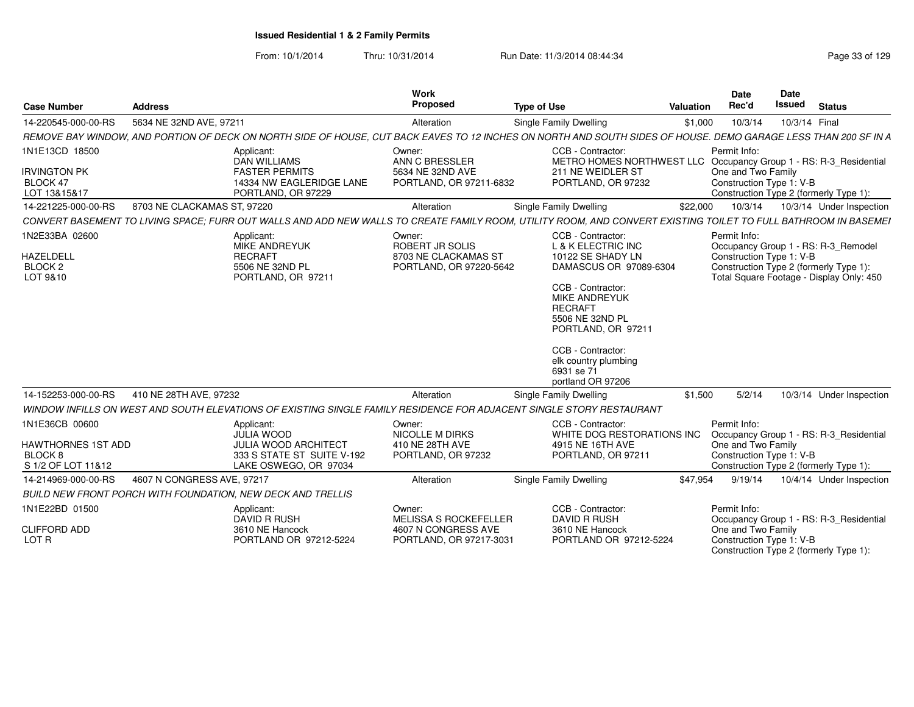| <b>Address</b><br><b>Case Number</b>                                             |                                                                                                                                                                 | <b>Work</b><br>Proposed                                                                  | <b>Type of Use</b>                                                                                                                                                                                                                                                             | Valuation | <b>Date</b><br>Rec'd                                                                                     | Date<br><b>Issued</b> | <b>Status</b>                                                                   |
|----------------------------------------------------------------------------------|-----------------------------------------------------------------------------------------------------------------------------------------------------------------|------------------------------------------------------------------------------------------|--------------------------------------------------------------------------------------------------------------------------------------------------------------------------------------------------------------------------------------------------------------------------------|-----------|----------------------------------------------------------------------------------------------------------|-----------------------|---------------------------------------------------------------------------------|
| 14-220545-000-00-RS                                                              | 5634 NE 32ND AVE, 97211                                                                                                                                         | Alteration                                                                               | Single Family Dwelling                                                                                                                                                                                                                                                         | \$1,000   | 10/3/14                                                                                                  | 10/3/14 Final         |                                                                                 |
|                                                                                  | REMOVE BAY WINDOW, AND PORTION OF DECK ON NORTH SIDE OF HOUSE, CUT BACK EAVES TO 12 INCHES ON NORTH AND SOUTH SIDES OF HOUSE. DEMO GARAGE LESS THAN 200 SF IN A |                                                                                          |                                                                                                                                                                                                                                                                                |           |                                                                                                          |                       |                                                                                 |
| 1N1E13CD 18500<br><b>IRVINGTON PK</b><br>BLOCK 47<br>LOT 13&15&17                | Applicant:<br><b>DAN WILLIAMS</b><br><b>FASTER PERMITS</b><br>14334 NW EAGLERIDGE LANE<br>PORTLAND, OR 97229                                                    | Owner:<br>ANN C BRESSLER<br>5634 NE 32ND AVE<br>PORTLAND, OR 97211-6832                  | CCB - Contractor:<br>METRO HOMES NORTHWEST LLC Occupancy Group 1 - RS: R-3_Residential<br>211 NE WEIDLER ST<br>PORTLAND, OR 97232                                                                                                                                              |           | Permit Info:<br>One and Two Family<br>Construction Type 1: V-B                                           |                       | Construction Type 2 (formerly Type 1):                                          |
| 14-221225-000-00-RS                                                              | 8703 NE CLACKAMAS ST, 97220                                                                                                                                     | Alteration                                                                               | Single Family Dwelling                                                                                                                                                                                                                                                         | \$22,000  | 10/3/14                                                                                                  |                       | 10/3/14 Under Inspection                                                        |
|                                                                                  | CONVERT BASEMENT TO LIVING SPACE; FURR OUT WALLS AND ADD NEW WALLS TO CREATE FAMILY ROOM, UTILITY ROOM, AND CONVERT EXISTING TOILET TO FULL BATHROOM IN BASEMEI |                                                                                          |                                                                                                                                                                                                                                                                                |           |                                                                                                          |                       |                                                                                 |
| 1N2E33BA 02600<br><b>HAZELDELL</b><br>BLOCK <sub>2</sub><br>LOT 9&10             | Applicant:<br>MIKE ANDREYUK<br><b>RECRAFT</b><br>5506 NE 32ND PL<br>PORTLAND, OR 97211                                                                          | Owner:<br>ROBERT JR SOLIS<br>8703 NE CLACKAMAS ST<br>PORTLAND, OR 97220-5642             | CCB - Contractor:<br>L & K ELECTRIC INC<br>10122 SE SHADY LN<br>DAMASCUS OR 97089-6304<br>CCB - Contractor:<br><b>MIKE ANDREYUK</b><br><b>RECRAFT</b><br>5506 NE 32ND PL<br>PORTLAND, OR 97211<br>CCB - Contractor:<br>elk country plumbing<br>6931 se 71<br>portland OR 97206 |           | Permit Info:<br>Construction Type 1: V-B<br>Construction Type 2 (formerly Type 1):                       |                       | Occupancy Group 1 - RS: R-3 Remodel<br>Total Square Footage - Display Only: 450 |
| 14-152253-000-00-RS                                                              | 410 NE 28TH AVE, 97232                                                                                                                                          | Alteration                                                                               | Single Family Dwelling                                                                                                                                                                                                                                                         | \$1,500   | 5/2/14                                                                                                   |                       | 10/3/14 Under Inspection                                                        |
|                                                                                  | WINDOW INFILLS ON WEST AND SOUTH ELEVATIONS OF EXISTING SINGLE FAMILY RESIDENCE FOR ADJACENT SINGLE STORY RESTAURANT                                            |                                                                                          |                                                                                                                                                                                                                                                                                |           |                                                                                                          |                       |                                                                                 |
| 1N1E36CB 00600<br>HAWTHORNES 1ST ADD<br>BLOCK <sub>8</sub><br>S 1/2 OF LOT 11&12 | Applicant:<br><b>JULIA WOOD</b><br><b>JULIA WOOD ARCHITECT</b><br>333 S STATE ST SUITE V-192<br>LAKE OSWEGO, OR 97034                                           | Owner:<br><b>NICOLLE M DIRKS</b><br>410 NE 28TH AVE<br>PORTLAND, OR 97232                | CCB - Contractor:<br>WHITE DOG RESTORATIONS INC<br>4915 NE 16TH AVE<br>PORTLAND, OR 97211                                                                                                                                                                                      |           | Permit Info:<br>One and Two Family<br>Construction Type 1: V-B<br>Construction Type 2 (formerly Type 1): |                       | Occupancy Group 1 - RS: R-3 Residential                                         |
| 14-214969-000-00-RS                                                              | 4607 N CONGRESS AVE, 97217                                                                                                                                      | Alteration                                                                               | Single Family Dwelling                                                                                                                                                                                                                                                         | \$47,954  | 9/19/14                                                                                                  |                       | 10/4/14 Under Inspection                                                        |
|                                                                                  | <b>BUILD NEW FRONT PORCH WITH FOUNDATION. NEW DECK AND TRELLIS</b>                                                                                              |                                                                                          |                                                                                                                                                                                                                                                                                |           |                                                                                                          |                       |                                                                                 |
| 1N1E22BD 01500<br><b>CLIFFORD ADD</b><br>LOT R                                   | Applicant:<br>DAVID R RUSH<br>3610 NE Hancock<br>PORTLAND OR 97212-5224                                                                                         | Owner:<br><b>MELISSA S ROCKEFELLER</b><br>4607 N CONGRESS AVE<br>PORTLAND, OR 97217-3031 | CCB - Contractor:<br><b>DAVID R RUSH</b><br>3610 NE Hancock<br>PORTLAND OR 97212-5224                                                                                                                                                                                          |           | Permit Info:<br>One and Two Family<br>Construction Type 1: V-B<br>Construction Type 2 (formerly Type 1): |                       | Occupancy Group 1 - RS: R-3_Residential                                         |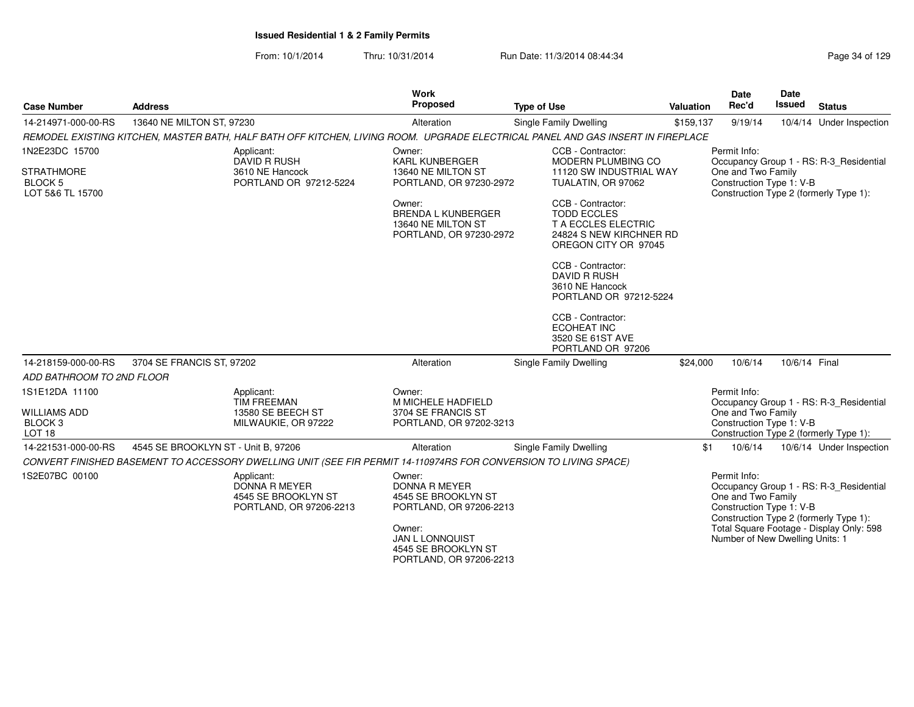| <b>Case Number</b>                                                               | <b>Address</b>                                                                                                                  | <b>Work</b><br>Proposed                                                                                                                                                | <b>Type of Use</b>                                                                                                                                                                                                                                                                                                                                                                                | Valuation | Date<br>Rec'd                                                                                                                               | Date<br><b>Issued</b> | <b>Status</b>                                                                       |
|----------------------------------------------------------------------------------|---------------------------------------------------------------------------------------------------------------------------------|------------------------------------------------------------------------------------------------------------------------------------------------------------------------|---------------------------------------------------------------------------------------------------------------------------------------------------------------------------------------------------------------------------------------------------------------------------------------------------------------------------------------------------------------------------------------------------|-----------|---------------------------------------------------------------------------------------------------------------------------------------------|-----------------------|-------------------------------------------------------------------------------------|
| 14-214971-000-00-RS                                                              | 13640 NE MILTON ST, 97230                                                                                                       | Alteration                                                                                                                                                             | Single Family Dwelling                                                                                                                                                                                                                                                                                                                                                                            | \$159,137 | 9/19/14                                                                                                                                     |                       | 10/4/14 Under Inspection                                                            |
|                                                                                  | REMODEL EXISTING KITCHEN, MASTER BATH, HALF BATH OFF KITCHEN, LIVING ROOM. UPGRADE ELECTRICAL PANEL AND GAS INSERT IN FIREPLACE |                                                                                                                                                                        |                                                                                                                                                                                                                                                                                                                                                                                                   |           |                                                                                                                                             |                       |                                                                                     |
| 1N2E23DC 15700<br><b>STRATHMORE</b><br><b>BLOCK 5</b><br>LOT 5&6 TL 15700        | Applicant:<br><b>DAVID R RUSH</b><br>3610 NE Hancock<br>PORTLAND OR 97212-5224                                                  | Owner:<br><b>KARL KUNBERGER</b><br>13640 NE MILTON ST<br>PORTLAND, OR 97230-2972<br>Owner:<br>BRENDA L KUNBERGER<br>13640 NE MILTON ST<br>PORTLAND, OR 97230-2972      | CCB - Contractor:<br><b>MODERN PLUMBING CO</b><br>11120 SW INDUSTRIAL WAY<br>TUALATIN, OR 97062<br>CCB - Contractor:<br><b>TODD ECCLES</b><br>T A ECCLES ELECTRIC<br>24824 S NEW KIRCHNER RD<br>OREGON CITY OR 97045<br>CCB - Contractor:<br><b>DAVID R RUSH</b><br>3610 NE Hancock<br>PORTLAND OR 97212-5224<br>CCB - Contractor:<br><b>ECOHEAT INC</b><br>3520 SE 61ST AVE<br>PORTLAND OR 97206 |           | Permit Info:<br>One and Two Family<br>Construction Type 1: V-B<br>Construction Type 2 (formerly Type 1):                                    |                       | Occupancy Group 1 - RS: R-3_Residential                                             |
| 14-218159-000-00-RS                                                              | 3704 SE FRANCIS ST, 97202                                                                                                       | Alteration                                                                                                                                                             | Single Family Dwelling                                                                                                                                                                                                                                                                                                                                                                            | \$24,000  | 10/6/14                                                                                                                                     | 10/6/14 Final         |                                                                                     |
| ADD BATHROOM TO 2ND FLOOR                                                        |                                                                                                                                 |                                                                                                                                                                        |                                                                                                                                                                                                                                                                                                                                                                                                   |           |                                                                                                                                             |                       |                                                                                     |
| 1S1E12DA 11100<br><b>WILLIAMS ADD</b><br>BLOCK <sub>3</sub><br>LOT <sub>18</sub> | Applicant:<br><b>TIM FREEMAN</b><br>13580 SE BEECH ST<br>MILWAUKIE, OR 97222                                                    | Owner:<br>M MICHELE HADFIELD<br>3704 SE FRANCIS ST<br>PORTLAND, OR 97202-3213                                                                                          |                                                                                                                                                                                                                                                                                                                                                                                                   |           | Permit Info:<br>One and Two Family<br>Construction Type 1: V-B<br>Construction Type 2 (formerly Type 1):                                    |                       | Occupancy Group 1 - RS: R-3_Residential                                             |
| 14-221531-000-00-RS                                                              | 4545 SE BROOKLYN ST - Unit B, 97206                                                                                             | Alteration                                                                                                                                                             | Single Family Dwelling                                                                                                                                                                                                                                                                                                                                                                            | \$1       | 10/6/14                                                                                                                                     |                       | 10/6/14 Under Inspection                                                            |
|                                                                                  | CONVERT FINISHED BASEMENT TO ACCESSORY DWELLING UNIT (SEE FIR PERMIT 14-110974RS FOR CONVERSION TO LIVING SPACE)                |                                                                                                                                                                        |                                                                                                                                                                                                                                                                                                                                                                                                   |           |                                                                                                                                             |                       |                                                                                     |
| 1S2E07BC 00100                                                                   | Applicant:<br><b>DONNA R MEYER</b><br>4545 SE BROOKLYN ST<br>PORTLAND, OR 97206-2213                                            | Owner:<br><b>DONNA R MEYER</b><br>4545 SE BROOKLYN ST<br>PORTLAND, OR 97206-2213<br>Owner:<br><b>JAN L LONNQUIST</b><br>4545 SE BROOKLYN ST<br>PORTLAND, OR 97206-2213 |                                                                                                                                                                                                                                                                                                                                                                                                   |           | Permit Info:<br>One and Two Family<br>Construction Type 1: V-B<br>Construction Type 2 (formerly Type 1):<br>Number of New Dwelling Units: 1 |                       | Occupancy Group 1 - RS: R-3_Residential<br>Total Square Footage - Display Only: 598 |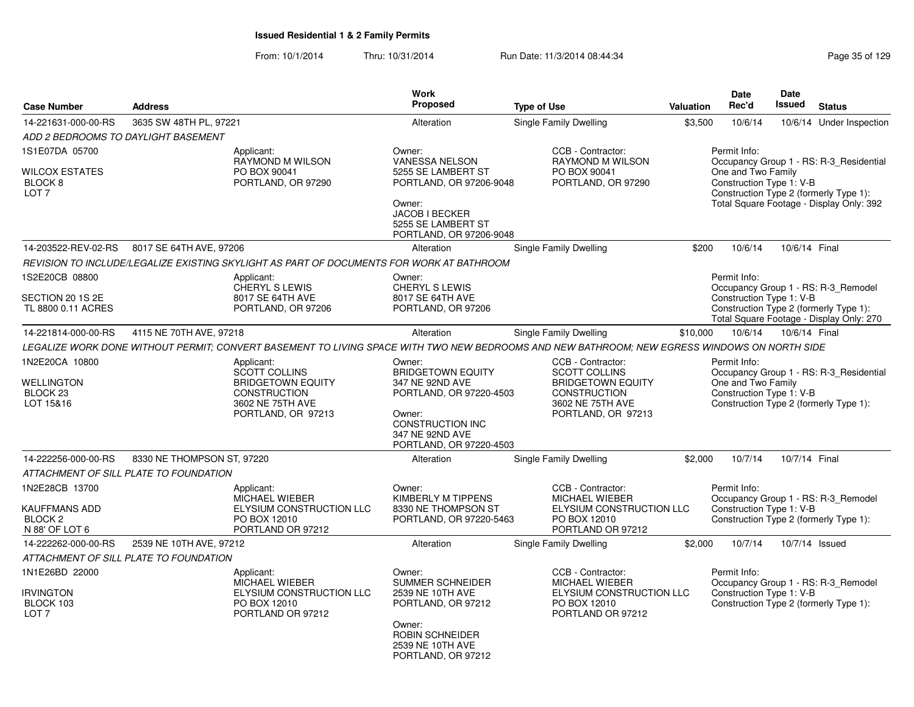|                                                   |                                        |                                                                                                                                              | Work                                                                       |                                                                         |           | <b>Date</b>                                    | Date          |                                                                                    |
|---------------------------------------------------|----------------------------------------|----------------------------------------------------------------------------------------------------------------------------------------------|----------------------------------------------------------------------------|-------------------------------------------------------------------------|-----------|------------------------------------------------|---------------|------------------------------------------------------------------------------------|
| <b>Case Number</b>                                | <b>Address</b>                         |                                                                                                                                              | <b>Proposed</b>                                                            | <b>Type of Use</b>                                                      | Valuation | Rec'd                                          | Issued        | <b>Status</b>                                                                      |
| 14-221631-000-00-RS                               | 3635 SW 48TH PL, 97221                 |                                                                                                                                              | Alteration                                                                 | <b>Single Family Dwelling</b>                                           | \$3,500   | 10/6/14                                        |               | 10/6/14 Under Inspection                                                           |
|                                                   | ADD 2 BEDROOMS TO DAYLIGHT BASEMENT    |                                                                                                                                              |                                                                            |                                                                         |           |                                                |               |                                                                                    |
| 1S1E07DA 05700<br>WILCOX ESTATES                  |                                        | Applicant:<br><b>RAYMOND M WILSON</b><br>PO BOX 90041                                                                                        | Owner:<br><b>VANESSA NELSON</b><br>5255 SE LAMBERT ST                      | CCB - Contractor:<br><b>RAYMOND M WILSON</b><br>PO BOX 90041            |           | Permit Info:<br>One and Two Family             |               | Occupancy Group 1 - RS: R-3 Residential                                            |
| BLOCK <sub>8</sub><br>LOT <sub>7</sub>            |                                        | PORTLAND, OR 97290                                                                                                                           | PORTLAND, OR 97206-9048<br>Owner:                                          | PORTLAND, OR 97290                                                      |           | Construction Type 1: V-B                       |               | Construction Type 2 (formerly Type 1):                                             |
|                                                   |                                        |                                                                                                                                              | JACOB I BECKER<br>5255 SE LAMBERT ST<br>PORTLAND, OR 97206-9048            |                                                                         |           |                                                |               | Total Square Footage - Display Only: 392                                           |
| 14-203522-REV-02-RS                               | 8017 SE 64TH AVE, 97206                |                                                                                                                                              | Alteration                                                                 | <b>Single Family Dwelling</b>                                           | \$200     | 10/6/14                                        | 10/6/14 Final |                                                                                    |
|                                                   |                                        | REVISION TO INCLUDE/LEGALIZE EXISTING SKYLIGHT AS PART OF DOCUMENTS FOR WORK AT BATHROOM                                                     |                                                                            |                                                                         |           |                                                |               |                                                                                    |
| 1S2E20CB 08800                                    |                                        | Applicant:<br>CHERYL S LEWIS                                                                                                                 | Owner:<br><b>CHERYL S LEWIS</b>                                            |                                                                         |           | Permit Info:                                   |               | Occupancy Group 1 - RS: R-3_Remodel                                                |
| SECTION 20 1S 2E<br>TL 8800 0.11 ACRES            |                                        | 8017 SE 64TH AVE<br>PORTLAND, OR 97206                                                                                                       | 8017 SE 64TH AVE<br>PORTLAND, OR 97206                                     |                                                                         |           | Construction Type 1: V-B                       |               | Construction Type 2 (formerly Type 1):<br>Total Square Footage - Display Only: 270 |
| 14-221814-000-00-RS                               | 4115 NE 70TH AVE, 97218                |                                                                                                                                              | Alteration                                                                 | <b>Single Family Dwelling</b>                                           | \$10,000  | 10/6/14                                        | 10/6/14 Final |                                                                                    |
|                                                   |                                        | LEGALIZE WORK DONE WITHOUT PERMIT: CONVERT BASEMENT TO LIVING SPACE WITH TWO NEW BEDROOMS AND NEW BATHROOM: NEW EGRESS WINDOWS ON NORTH SIDE |                                                                            |                                                                         |           |                                                |               |                                                                                    |
| 1N2E20CA 10800                                    |                                        | Applicant:                                                                                                                                   | Owner:                                                                     | CCB - Contractor:                                                       |           | Permit Info:                                   |               |                                                                                    |
| <b>WELLINGTON</b><br>BLOCK <sub>23</sub>          |                                        | <b>SCOTT COLLINS</b><br><b>BRIDGETOWN EQUITY</b><br><b>CONSTRUCTION</b>                                                                      | <b>BRIDGETOWN EQUITY</b><br>347 NE 92ND AVE<br>PORTLAND, OR 97220-4503     | <b>SCOTT COLLINS</b><br><b>BRIDGETOWN EQUITY</b><br><b>CONSTRUCTION</b> |           | One and Two Family<br>Construction Type 1: V-B |               | Occupancy Group 1 - RS: R-3_Residential                                            |
| LOT 15&16                                         |                                        | 3602 NE 75TH AVE<br>PORTLAND, OR 97213                                                                                                       | Owner:<br>CONSTRUCTION INC<br>347 NE 92ND AVE<br>PORTLAND, OR 97220-4503   | 3602 NE 75TH AVE<br>PORTLAND, OR 97213                                  |           |                                                |               | Construction Type 2 (formerly Type 1):                                             |
| 14-222256-000-00-RS                               | 8330 NE THOMPSON ST, 97220             |                                                                                                                                              | Alteration                                                                 | Single Family Dwelling                                                  | \$2,000   | 10/7/14                                        | 10/7/14 Final |                                                                                    |
|                                                   | ATTACHMENT OF SILL PLATE TO FOUNDATION |                                                                                                                                              |                                                                            |                                                                         |           |                                                |               |                                                                                    |
| 1N2E28CB 13700                                    |                                        | Applicant:<br>MICHAEL WIEBER                                                                                                                 | Owner:<br>KIMBERLY M TIPPENS                                               | CCB - Contractor:<br>MICHAEL WIEBER                                     |           | Permit Info:                                   |               | Occupancy Group 1 - RS: R-3_Remodel                                                |
| KAUFFMANS ADD<br><b>BLOCK 2</b>                   |                                        | ELYSIUM CONSTRUCTION LLC<br>PO BOX 12010                                                                                                     | 8330 NE THOMPSON ST<br>PORTLAND, OR 97220-5463                             | ELYSIUM CONSTRUCTION LLC<br>PO BOX 12010                                |           | Construction Type 1: V-B                       |               | Construction Type 2 (formerly Type 1):                                             |
| N 88' OF LOT 6                                    |                                        | PORTLAND OR 97212                                                                                                                            |                                                                            | PORTLAND OR 97212                                                       |           |                                                |               |                                                                                    |
| 14-222262-000-00-RS                               | 2539 NE 10TH AVE, 97212                |                                                                                                                                              | Alteration                                                                 | <b>Single Family Dwelling</b>                                           | \$2,000   | 10/7/14                                        |               | 10/7/14 Issued                                                                     |
|                                                   | ATTACHMENT OF SILL PLATE TO FOUNDATION |                                                                                                                                              |                                                                            |                                                                         |           |                                                |               |                                                                                    |
| 1N1E26BD 22000                                    |                                        | Applicant:<br>MICHAEL WIEBER                                                                                                                 | Owner:<br>SUMMER SCHNEIDER                                                 | CCB - Contractor:<br>MICHAEL WIEBER                                     |           | Permit Info:                                   |               | Occupancy Group 1 - RS: R-3_Remodel                                                |
| <b>IRVINGTON</b><br>BLOCK 103<br>LOT <sub>7</sub> |                                        | ELYSIUM CONSTRUCTION LLC<br>PO BOX 12010<br>PORTLAND OR 97212                                                                                | 2539 NE 10TH AVE<br>PORTLAND, OR 97212                                     | ELYSIUM CONSTRUCTION LLC<br>PO BOX 12010<br>PORTLAND OR 97212           |           | Construction Type 1: V-B                       |               | Construction Type 2 (formerly Type 1):                                             |
|                                                   |                                        |                                                                                                                                              | Owner:<br><b>ROBIN SCHNEIDER</b><br>2539 NE 10TH AVE<br>PORTLAND, OR 97212 |                                                                         |           |                                                |               |                                                                                    |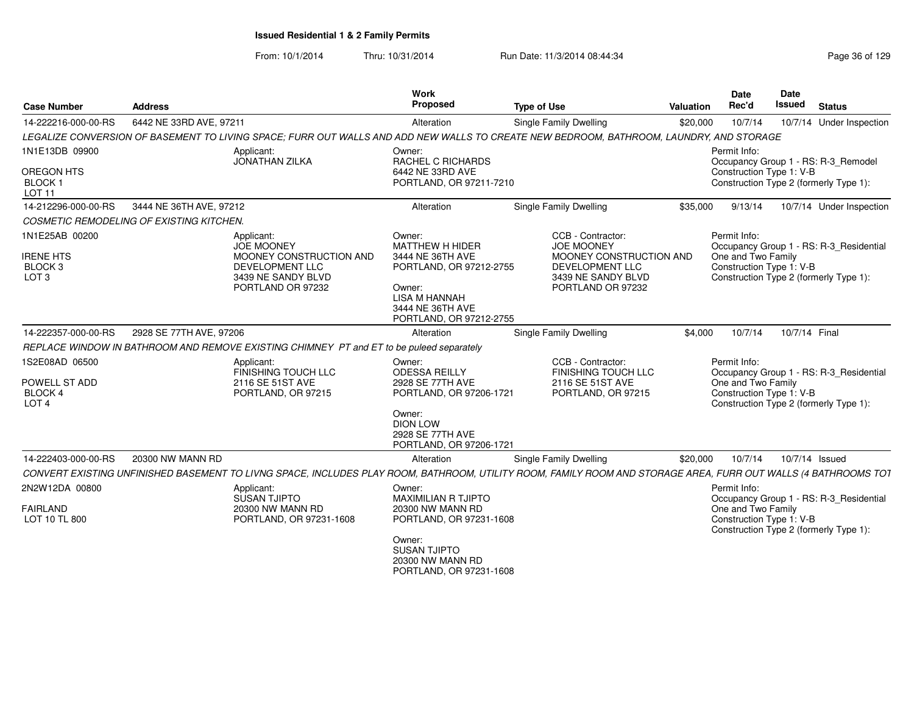| <b>Case Number</b>                                                           | <b>Address</b>                                                                                                                                                 | Work<br>Proposed                                                                                                                                                 | <b>Type of Use</b>                                                                                                              | <b>Valuation</b>                                                   | <b>Date</b><br>Rec'd                                           | Date<br><b>Issued</b>                  | <b>Status</b>                           |
|------------------------------------------------------------------------------|----------------------------------------------------------------------------------------------------------------------------------------------------------------|------------------------------------------------------------------------------------------------------------------------------------------------------------------|---------------------------------------------------------------------------------------------------------------------------------|--------------------------------------------------------------------|----------------------------------------------------------------|----------------------------------------|-----------------------------------------|
| 14-222216-000-00-RS                                                          | 6442 NE 33RD AVE, 97211                                                                                                                                        | Alteration                                                                                                                                                       | <b>Single Family Dwelling</b>                                                                                                   | \$20,000                                                           | 10/7/14                                                        |                                        | 10/7/14 Under Inspection                |
|                                                                              | LEGALIZE CONVERSION OF BASEMENT TO LIVING SPACE; FURR OUT WALLS AND ADD NEW WALLS TO CREATE NEW BEDROOM, BATHROOM, LAUNDRY, AND STORAGE                        |                                                                                                                                                                  |                                                                                                                                 |                                                                    |                                                                |                                        |                                         |
| 1N1E13DB 09900                                                               | Applicant:<br><b>JONATHAN ZILKA</b>                                                                                                                            | Owner:<br>RACHEL C RICHARDS                                                                                                                                      |                                                                                                                                 |                                                                    | Permit Info:                                                   |                                        | Occupancy Group 1 - RS: R-3_Remodel     |
| <b>OREGON HTS</b><br>BLOCK <sub>1</sub><br>LOT <sub>11</sub>                 |                                                                                                                                                                | 6442 NE 33RD AVE<br>PORTLAND, OR 97211-7210                                                                                                                      |                                                                                                                                 | Construction Type 1: V-B<br>Construction Type 2 (formerly Type 1): |                                                                |                                        |                                         |
| 14-212296-000-00-RS                                                          | 3444 NE 36TH AVE, 97212                                                                                                                                        | Alteration                                                                                                                                                       | Single Family Dwelling                                                                                                          | \$35,000                                                           | 9/13/14                                                        |                                        | 10/7/14 Under Inspection                |
|                                                                              | COSMETIC REMODELING OF EXISTING KITCHEN.                                                                                                                       |                                                                                                                                                                  |                                                                                                                                 |                                                                    |                                                                |                                        |                                         |
| 1N1E25AB 00200<br><b>IRENE HTS</b><br>BLOCK <sub>3</sub><br>LOT <sub>3</sub> | Applicant:<br><b>JOE MOONEY</b><br>MOONEY CONSTRUCTION AND<br>DEVELOPMENT LLC<br>3439 NE SANDY BLVD<br>PORTLAND OR 97232                                       | Owner:<br><b>MATTHEW H HIDER</b><br>3444 NE 36TH AVE<br>PORTLAND, OR 97212-2755<br>Owner:<br><b>LISA M HANNAH</b><br>3444 NE 36TH AVE<br>PORTLAND, OR 97212-2755 | CCB - Contractor:<br><b>JOE MOONEY</b><br>MOONEY CONSTRUCTION AND<br>DEVELOPMENT LLC<br>3439 NE SANDY BLVD<br>PORTLAND OR 97232 |                                                                    | Permit Info:<br>One and Two Family<br>Construction Type 1: V-B | Construction Type 2 (formerly Type 1): | Occupancy Group 1 - RS: R-3_Residential |
| 14-222357-000-00-RS                                                          | 2928 SE 77TH AVE, 97206                                                                                                                                        | Alteration                                                                                                                                                       | <b>Single Family Dwelling</b>                                                                                                   | \$4,000                                                            | 10/7/14                                                        | 10/7/14 Final                          |                                         |
|                                                                              | REPLACE WINDOW IN BATHROOM AND REMOVE EXISTING CHIMNEY PT and ET to be puleed separately                                                                       |                                                                                                                                                                  |                                                                                                                                 |                                                                    |                                                                |                                        |                                         |
| 1S2E08AD 06500<br>POWELL ST ADD<br><b>BLOCK4</b><br>LOT <sub>4</sub>         | Applicant:<br><b>FINISHING TOUCH LLC</b><br>2116 SE 51ST AVE<br>PORTLAND, OR 97215                                                                             | Owner:<br><b>ODESSA REILLY</b><br>2928 SE 77TH AVE<br>PORTLAND, OR 97206-1721<br>Owner:<br><b>DION LOW</b><br>2928 SE 77TH AVE<br>PORTLAND, OR 97206-1721        | CCB - Contractor:<br><b>FINISHING TOUCH LLC</b><br>2116 SE 51ST AVE<br>PORTLAND, OR 97215                                       |                                                                    | Permit Info:<br>One and Two Family<br>Construction Type 1: V-B | Construction Type 2 (formerly Type 1): | Occupancy Group 1 - RS: R-3_Residential |
| 14-222403-000-00-RS                                                          | 20300 NW MANN RD                                                                                                                                               | Alteration                                                                                                                                                       | Single Family Dwelling                                                                                                          | \$20,000                                                           | 10/7/14                                                        | 10/7/14 Issued                         |                                         |
|                                                                              | CONVERT EXISTING UNFINISHED BASEMENT TO LIVNG SPACE, INCLUDES PLAY ROOM, BATHROOM, UTILITY ROOM, FAMILY ROOM AND STORAGE AREA, FURR OUT WALLS (4 BATHROOMS TOT |                                                                                                                                                                  |                                                                                                                                 |                                                                    |                                                                |                                        |                                         |
| 2N2W12DA 00800                                                               | Applicant:<br>SUSAN TJIPTO                                                                                                                                     | Owner:<br><b>MAXIMILIAN R TJIPTO</b>                                                                                                                             |                                                                                                                                 |                                                                    | Permit Info:                                                   |                                        | Occupancy Group 1 - RS: R-3_Residential |
| <b>FAIRLAND</b><br>LOT 10 TL 800                                             | 20300 NW MANN RD<br>PORTLAND, OR 97231-1608                                                                                                                    | 20300 NW MANN RD<br>PORTLAND, OR 97231-1608                                                                                                                      |                                                                                                                                 |                                                                    | One and Two Family<br>Construction Type 1: V-B                 | Construction Type 2 (formerly Type 1): |                                         |
|                                                                              |                                                                                                                                                                | Owner:<br><b>SUSAN TJIPTO</b><br>20300 NW MANN RD<br>PORTLAND, OR 97231-1608                                                                                     |                                                                                                                                 |                                                                    |                                                                |                                        |                                         |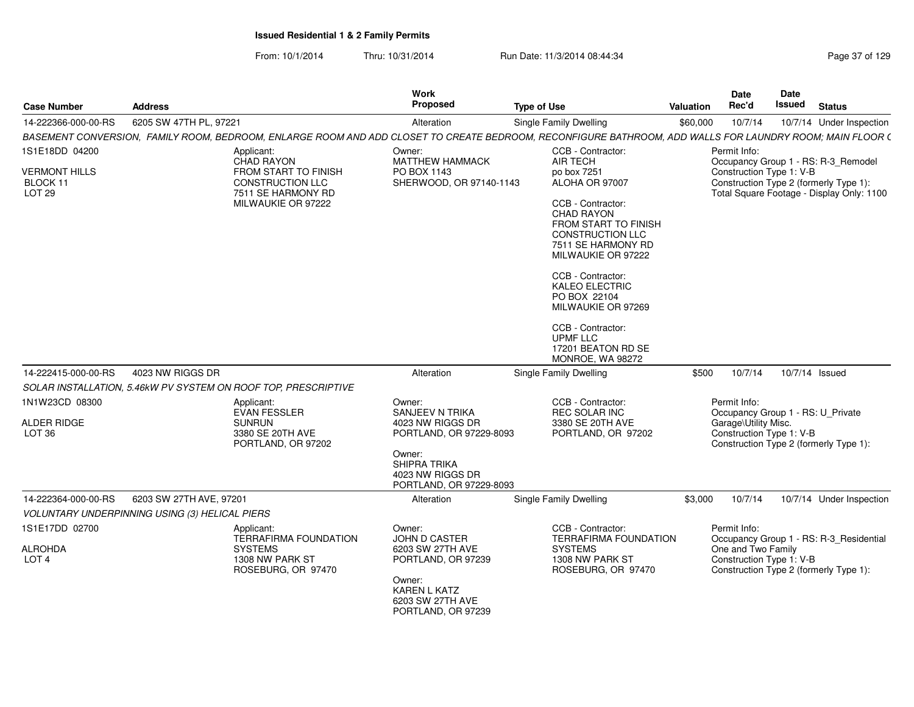From: 10/1/2014Thru: 10/31/2014 Run Date: 11/3/2014 08:44:34

| Page 37 of 129 |  |
|----------------|--|
|----------------|--|

| <b>Case Number</b>                                   | <b>Address</b>          |                                                                                                | Work<br><b>Proposed</b>                                                                                         | <b>Type of Use</b>                                                                                                                                                                                                                                                       | Date<br>Rec'd<br>Valuation           | Date<br>Issued<br><b>Status</b>                                                                                                     |
|------------------------------------------------------|-------------------------|------------------------------------------------------------------------------------------------|-----------------------------------------------------------------------------------------------------------------|--------------------------------------------------------------------------------------------------------------------------------------------------------------------------------------------------------------------------------------------------------------------------|--------------------------------------|-------------------------------------------------------------------------------------------------------------------------------------|
| 14-222366-000-00-RS                                  | 6205 SW 47TH PL, 97221  |                                                                                                | Alteration                                                                                                      | <b>Single Family Dwelling</b>                                                                                                                                                                                                                                            | \$60,000<br>10/7/14                  | 10/7/14 Under Inspection                                                                                                            |
|                                                      |                         |                                                                                                |                                                                                                                 | BASEMENT CONVERSION, FAMILY ROOM, BEDROOM, ENLARGE ROOM AND ADD CLOSET TO CREATE BEDROOM, RECONFIGURE BATHROOM, ADD WALLS FOR LAUNDRY ROOM; MAIN FLOOR (                                                                                                                 |                                      |                                                                                                                                     |
| 1S1E18DD 04200                                       |                         | Applicant:<br>CHAD RAYON                                                                       | Owner:<br>MATTHEW HAMMACK                                                                                       | CCB - Contractor:<br>AIR TECH                                                                                                                                                                                                                                            | Permit Info:                         | Occupancy Group 1 - RS: R-3_Remodel                                                                                                 |
| <b>VERMONT HILLS</b><br>BLOCK 11<br><b>LOT 29</b>    |                         | FROM START TO FINISH<br>CONSTRUCTION LLC<br>7511 SE HARMONY RD<br>MILWAUKIE OR 97222           | PO BOX 1143<br>SHERWOOD, OR 97140-1143                                                                          | po box 7251<br>ALOHA OR 97007<br>CCB - Contractor:<br><b>CHAD RAYON</b><br>FROM START TO FINISH<br><b>CONSTRUCTION LLC</b><br>7511 SE HARMONY RD<br>MILWAUKIE OR 97222<br>CCB - Contractor:<br>KALEO ELECTRIC<br>PO BOX 22104<br>MILWAUKIE OR 97269<br>CCB - Contractor: |                                      | Construction Type 1: V-B<br>Construction Type 2 (formerly Type 1):<br>Total Square Footage - Display Only: 1100                     |
| 14-222415-000-00-RS  4023 NW RIGGS DR                |                         |                                                                                                | Alteration                                                                                                      | UPMF LLC<br>17201 BEATON RD SE<br>MONROE, WA 98272<br><b>Single Family Dwelling</b>                                                                                                                                                                                      |                                      | \$500  10/7/14  10/7/14  Issued                                                                                                     |
|                                                      |                         | SOLAR INSTALLATION, 5.46kW PV SYSTEM ON ROOF TOP, PRESCRIPTIVE                                 |                                                                                                                 |                                                                                                                                                                                                                                                                          |                                      |                                                                                                                                     |
| 1N1W23CD 08300<br><b>ALDER RIDGE</b>                 |                         | Applicant:<br>EVAN FESSLER<br><b>SUNRUN</b>                                                    | Owner:<br>SANJEEV N TRIKA<br>4023 NW RIGGS DR                                                                   | CCB - Contractor:<br>REC SOLAR INC<br>3380 SE 20TH AVE                                                                                                                                                                                                                   | Permit Info:<br>Garage\Utility Misc. | Occupancy Group 1 - RS: U_Private                                                                                                   |
| LOT 36                                               |                         | 3380 SE 20TH AVE<br>PORTLAND, OR 97202                                                         | PORTLAND, OR 97229-8093<br>Owner:<br>SHIPRA TRIKA<br>4023 NW RIGGS DR<br>PORTLAND, OR 97229-8093                | PORTLAND, OR 97202                                                                                                                                                                                                                                                       |                                      | Construction Type 1: V-B<br>Construction Type 2 (formerly Type 1):                                                                  |
| 14-222364-000-00-RS                                  | 6203 SW 27TH AVE, 97201 |                                                                                                | Alteration                                                                                                      | Single Family Dwelling                                                                                                                                                                                                                                                   | \$3,000<br>10/7/14                   | 10/7/14 Under Inspection                                                                                                            |
| VOLUNTARY UNDERPINNING USING (3) HELICAL PIERS       |                         |                                                                                                |                                                                                                                 |                                                                                                                                                                                                                                                                          |                                      |                                                                                                                                     |
| 1S1E17DD 02700<br><b>ALROHDA</b><br>LOT <sub>4</sub> |                         | Applicant:<br><b>TERRAFIRMA FOUNDATION</b><br>SYSTEMS<br>1308 NW PARK ST<br>ROSEBURG, OR 97470 | Owner:<br>JOHN D CASTER<br>6203 SW 27TH AVE<br>PORTLAND, OR 97239<br>Owner:<br>KAREN L KATZ<br>6203 SW 27TH AVE | CCB - Contractor:<br><b>TERRAFIRMA FOUNDATION</b><br><b>SYSTEMS</b><br>1308 NW PARK ST<br>ROSEBURG, OR 97470                                                                                                                                                             | Permit Info:                         | Occupancy Group 1 - RS: R-3_Residential<br>One and Two Family<br>Construction Type 1: V-B<br>Construction Type 2 (formerly Type 1): |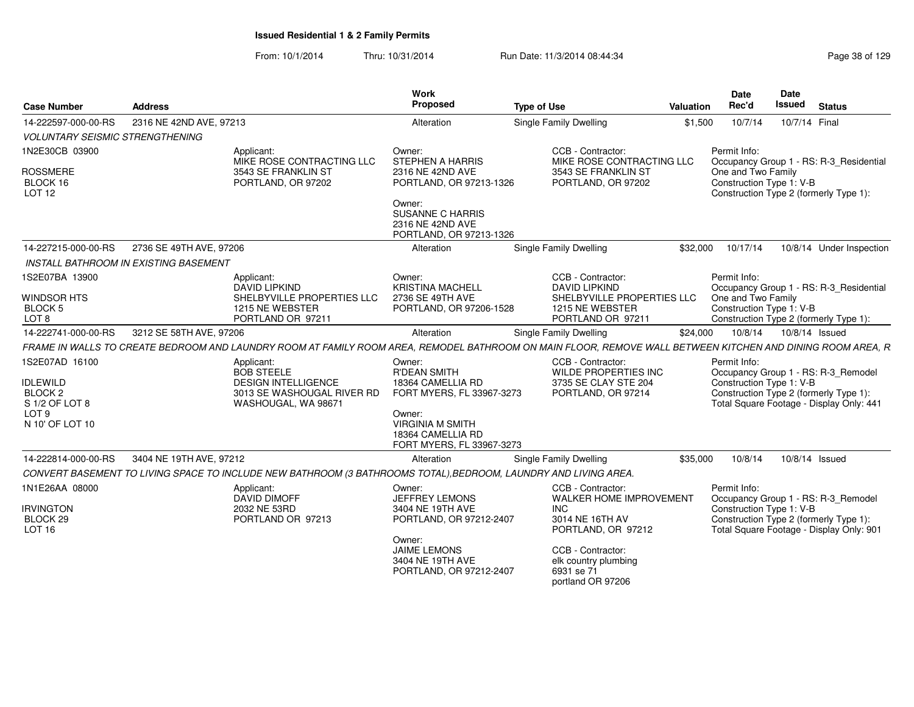| <b>Case Number</b>                                      | <b>Address</b>                        |                                                                                                                                                            | Work<br>Proposed                                                                           | <b>Type of Use</b>                                                                          | Valuation | <b>Date</b><br>Rec'd                                                                                                                                | Date<br><b>Issued</b> | <b>Status</b>            |  |
|---------------------------------------------------------|---------------------------------------|------------------------------------------------------------------------------------------------------------------------------------------------------------|--------------------------------------------------------------------------------------------|---------------------------------------------------------------------------------------------|-----------|-----------------------------------------------------------------------------------------------------------------------------------------------------|-----------------------|--------------------------|--|
| 14-222597-000-00-RS                                     | 2316 NE 42ND AVE, 97213               |                                                                                                                                                            | Alteration                                                                                 | <b>Single Family Dwelling</b>                                                               | \$1,500   | 10/7/14                                                                                                                                             | 10/7/14 Final         |                          |  |
| <b>VOLUNTARY SEISMIC STRENGTHENING</b>                  |                                       |                                                                                                                                                            |                                                                                            |                                                                                             |           |                                                                                                                                                     |                       |                          |  |
| 1N2E30CB 03900<br>ROSSMERE<br>BLOCK 16<br><b>LOT 12</b> |                                       | Applicant:<br>MIKE ROSE CONTRACTING LLC<br>3543 SE FRANKLIN ST<br>PORTLAND, OR 97202                                                                       | Owner:<br><b>STEPHEN A HARRIS</b><br>2316 NE 42ND AVE<br>PORTLAND, OR 97213-1326<br>Owner: | CCB - Contractor:<br>MIKE ROSE CONTRACTING LLC<br>3543 SE FRANKLIN ST<br>PORTLAND, OR 97202 |           | Permit Info:<br>Occupancy Group 1 - RS: R-3_Residential<br>One and Two Family<br>Construction Type 1: V-B<br>Construction Type 2 (formerly Type 1): |                       |                          |  |
|                                                         |                                       |                                                                                                                                                            | <b>SUSANNE C HARRIS</b><br>2316 NE 42ND AVE<br>PORTLAND, OR 97213-1326                     |                                                                                             |           |                                                                                                                                                     |                       |                          |  |
| 14-227215-000-00-RS                                     | 2736 SE 49TH AVE, 97206               |                                                                                                                                                            | Alteration                                                                                 | <b>Single Family Dwelling</b>                                                               | \$32,000  | 10/17/14                                                                                                                                            |                       | 10/8/14 Under Inspection |  |
|                                                         | INSTALL BATHROOM IN EXISTING BASEMENT |                                                                                                                                                            |                                                                                            |                                                                                             |           |                                                                                                                                                     |                       |                          |  |
| 1S2E07BA 13900                                          |                                       | Applicant:<br><b>DAVID LIPKIND</b>                                                                                                                         | Owner:<br><b>KRISTINA MACHELL</b>                                                          | CCB - Contractor:<br>DAVID LIPKIND                                                          |           | Permit Info:<br>Occupancy Group 1 - RS: R-3 Residential                                                                                             |                       |                          |  |
| WINDSOR HTS<br>BLOCK 5<br>LOT <sub>8</sub>              |                                       | SHELBYVILLE PROPERTIES LLC<br>1215 NE WEBSTER<br>PORTLAND OR 97211                                                                                         | 2736 SE 49TH AVE<br>PORTLAND, OR 97206-1528                                                | SHELBYVILLE PROPERTIES LLC<br>1215 NE WEBSTER<br>PORTLAND OR 97211                          |           | One and Two Family<br>Construction Type 1: V-B<br>Construction Type 2 (formerly Type 1):                                                            |                       |                          |  |
| 14-222741-000-00-RS                                     | 3212 SE 58TH AVE, 97206               |                                                                                                                                                            | Alteration                                                                                 | Single Family Dwelling                                                                      | \$24,000  | 10/8/14                                                                                                                                             | 10/8/14 Issued        |                          |  |
|                                                         |                                       | FRAME IN WALLS TO CREATE BEDROOM AND LAUNDRY ROOM AT FAMILY ROOM AREA, REMODEL BATHROOM ON MAIN FLOOR, REMOVE WALL BETWEEN KITCHEN AND DINING ROOM AREA, R |                                                                                            |                                                                                             |           |                                                                                                                                                     |                       |                          |  |
| 1S2E07AD 16100                                          |                                       | Applicant:                                                                                                                                                 | Owner:                                                                                     | CCB - Contractor:                                                                           |           | Permit Info:                                                                                                                                        |                       |                          |  |
|                                                         |                                       | <b>BOB STEELE</b>                                                                                                                                          | <b>R'DEAN SMITH</b>                                                                        | WILDE PROPERTIES INC                                                                        |           | Occupancy Group 1 - RS: R-3_Remodel                                                                                                                 |                       |                          |  |
| <b>IDLEWILD</b>                                         |                                       | <b>DESIGN INTELLIGENCE</b>                                                                                                                                 | 18364 CAMELLIA RD                                                                          | 3735 SE CLAY STE 204                                                                        |           | Construction Type 1: V-B                                                                                                                            |                       |                          |  |
| BLOCK <sub>2</sub><br>S 1/2 OF LOT 8                    |                                       | 3013 SE WASHOUGAL RIVER RD<br>WASHOUGAL, WA 98671                                                                                                          | FORT MYERS, FL 33967-3273                                                                  | PORTLAND, OR 97214                                                                          |           | Construction Type 2 (formerly Type 1):<br>Total Square Footage - Display Only: 441                                                                  |                       |                          |  |
| LOT <sub>9</sub>                                        |                                       |                                                                                                                                                            | Owner:                                                                                     |                                                                                             |           |                                                                                                                                                     |                       |                          |  |
| N 10' OF LOT 10                                         |                                       |                                                                                                                                                            | <b>VIRGINIA M SMITH</b><br>18364 CAMELLIA RD<br>FORT MYERS, FL 33967-3273                  |                                                                                             |           |                                                                                                                                                     |                       |                          |  |
| 14-222814-000-00-RS                                     | 3404 NE 19TH AVE, 97212               |                                                                                                                                                            | Alteration                                                                                 | Single Family Dwelling                                                                      | \$35,000  | 10/8/14                                                                                                                                             |                       | 10/8/14 Issued           |  |
|                                                         |                                       | CONVERT BASEMENT TO LIVING SPACE TO INCLUDE NEW BATHROOM (3 BATHROOMS TOTAL), BEDROOM, LAUNDRY AND LIVING AREA.                                            |                                                                                            |                                                                                             |           |                                                                                                                                                     |                       |                          |  |
| 1N1E26AA 08000                                          |                                       | Applicant:                                                                                                                                                 | Owner:                                                                                     | CCB - Contractor:                                                                           |           | Permit Info:                                                                                                                                        |                       |                          |  |
|                                                         |                                       | <b>DAVID DIMOFF</b>                                                                                                                                        | JEFFREY LEMONS                                                                             | WALKER HOME IMPROVEMENT                                                                     |           | Occupancy Group 1 - RS: R-3_Remodel                                                                                                                 |                       |                          |  |
| <b>IRVINGTON</b><br>BLOCK 29<br><b>LOT 16</b>           |                                       | 2032 NE 53RD<br>PORTLAND OR 97213                                                                                                                          | 3404 NE 19TH AVE<br>PORTLAND, OR 97212-2407                                                | <b>INC</b><br>3014 NE 16TH AV<br>PORTLAND, OR 97212                                         |           | Construction Type 1: V-B<br>Construction Type 2 (formerly Type 1):<br>Total Square Footage - Display Only: 901                                      |                       |                          |  |
|                                                         |                                       |                                                                                                                                                            | Owner:<br><b>JAIME LEMONS</b><br>3404 NE 19TH AVE<br>PORTLAND, OR 97212-2407               | CCB - Contractor:<br>elk country plumbing<br>6931 se 71<br>portland OR 97206                |           |                                                                                                                                                     |                       |                          |  |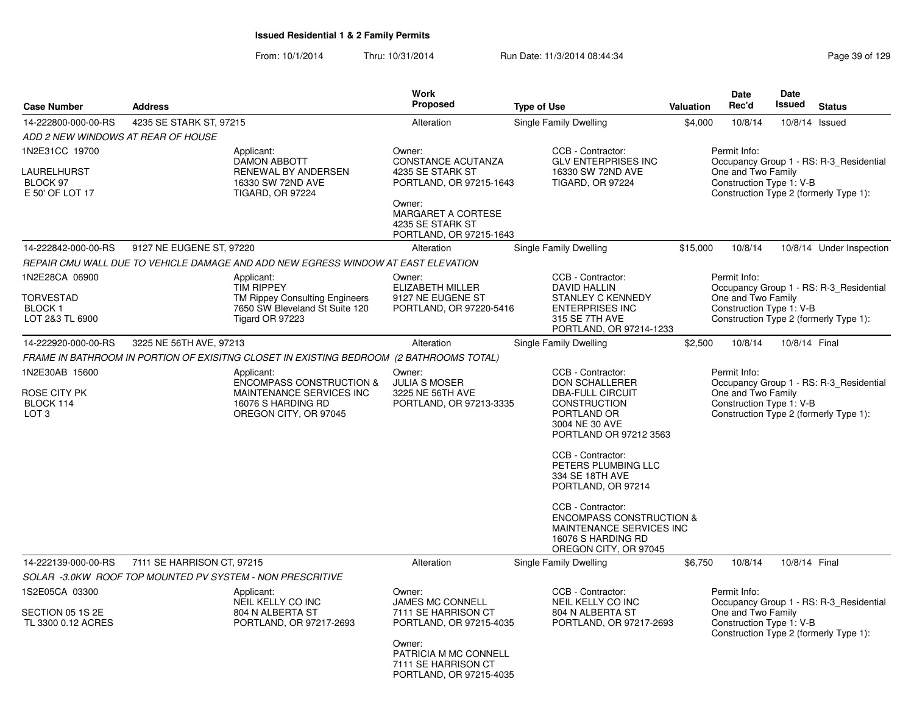|                                                                        |                            |                                                                                                                               | <b>Work</b>                                                                                                                                                |                                                                                                                                                                                                                                                                                                                                                                                     |                  | <b>Date</b>                                                    | <b>Date</b>   |                                                                                   |
|------------------------------------------------------------------------|----------------------------|-------------------------------------------------------------------------------------------------------------------------------|------------------------------------------------------------------------------------------------------------------------------------------------------------|-------------------------------------------------------------------------------------------------------------------------------------------------------------------------------------------------------------------------------------------------------------------------------------------------------------------------------------------------------------------------------------|------------------|----------------------------------------------------------------|---------------|-----------------------------------------------------------------------------------|
| <b>Case Number</b>                                                     | <b>Address</b>             |                                                                                                                               | <b>Proposed</b>                                                                                                                                            | <b>Type of Use</b>                                                                                                                                                                                                                                                                                                                                                                  | <b>Valuation</b> | Rec'd                                                          | <b>Issued</b> | <b>Status</b>                                                                     |
| 14-222800-000-00-RS                                                    | 4235 SE STARK ST, 97215    |                                                                                                                               | Alteration                                                                                                                                                 | Single Family Dwelling                                                                                                                                                                                                                                                                                                                                                              | \$4,000          | 10/8/14                                                        |               | 10/8/14 Issued                                                                    |
| ADD 2 NEW WINDOWS AT REAR OF HOUSE                                     |                            |                                                                                                                               |                                                                                                                                                            |                                                                                                                                                                                                                                                                                                                                                                                     |                  |                                                                |               |                                                                                   |
| 1N2E31CC 19700<br>LAURELHURST<br>BLOCK 97<br>E 50' OF LOT 17           |                            | Applicant:<br><b>DAMON ABBOTT</b><br>RENEWAL BY ANDERSEN<br>16330 SW 72ND AVE<br><b>TIGARD, OR 97224</b>                      | Owner:<br>CONSTANCE ACUTANZA<br>4235 SE STARK ST<br>PORTLAND, OR 97215-1643<br>Owner:<br>MARGARET A CORTESE<br>4235 SE STARK ST<br>PORTLAND, OR 97215-1643 | CCB - Contractor:<br><b>GLV ENTERPRISES INC</b><br>16330 SW 72ND AVE<br><b>TIGARD, OR 97224</b>                                                                                                                                                                                                                                                                                     |                  | Permit Info:<br>One and Two Family<br>Construction Type 1: V-B |               | Occupancy Group 1 - RS: R-3_Residential<br>Construction Type 2 (formerly Type 1): |
| 14-222842-000-00-RS                                                    | 9127 NE EUGENE ST, 97220   |                                                                                                                               | Alteration                                                                                                                                                 | Single Family Dwelling                                                                                                                                                                                                                                                                                                                                                              | \$15,000         | 10/8/14                                                        |               | 10/8/14 Under Inspection                                                          |
|                                                                        |                            | REPAIR CMU WALL DUE TO VEHICLE DAMAGE AND ADD NEW EGRESS WINDOW AT EAST ELEVATION                                             |                                                                                                                                                            |                                                                                                                                                                                                                                                                                                                                                                                     |                  |                                                                |               |                                                                                   |
| 1N2E28CA 06900<br><b>TORVESTAD</b><br><b>BLOCK1</b><br>LOT 2&3 TL 6900 |                            | Applicant:<br><b>TIM RIPPEY</b><br><b>TM Rippey Consulting Engineers</b><br>7650 SW Bleveland St Suite 120<br>Tigard OR 97223 | Owner:<br><b>ELIZABETH MILLER</b><br>9127 NE EUGENE ST<br>PORTLAND, OR 97220-5416                                                                          | CCB - Contractor:<br>DAVID HALLIN<br><b>STANLEY C KENNEDY</b><br><b>ENTERPRISES INC</b><br>315 SE 7TH AVE<br>PORTLAND, OR 97214-1233                                                                                                                                                                                                                                                |                  | Permit Info:<br>One and Two Family<br>Construction Type 1: V-B |               | Occupancy Group 1 - RS: R-3 Residential<br>Construction Type 2 (formerly Type 1): |
| 14-222920-000-00-RS                                                    | 3225 NE 56TH AVE, 97213    |                                                                                                                               | Alteration                                                                                                                                                 | Single Family Dwelling                                                                                                                                                                                                                                                                                                                                                              | \$2,500          | 10/8/14                                                        | 10/8/14 Final |                                                                                   |
|                                                                        |                            | FRAME IN BATHROOM IN PORTION OF EXISITNG CLOSET IN EXISTING BEDROOM (2 BATHROOMS TOTAL)                                       |                                                                                                                                                            |                                                                                                                                                                                                                                                                                                                                                                                     |                  |                                                                |               |                                                                                   |
| 1N2E30AB 15600<br>ROSE CITY PK<br>BLOCK 114<br>LOT <sub>3</sub>        |                            | Applicant:<br>ENCOMPASS CONSTRUCTION &<br>MAINTENANCE SERVICES INC<br>16076 S HARDING RD<br>OREGON CITY, OR 97045             | Owner:<br><b>JULIA S MOSER</b><br>3225 NE 56TH AVE<br>PORTLAND, OR 97213-3335                                                                              | CCB - Contractor:<br><b>DON SCHALLERER</b><br><b>DBA-FULL CIRCUIT</b><br><b>CONSTRUCTION</b><br>PORTLAND OR<br>3004 NE 30 AVE<br>PORTLAND OR 97212 3563<br>CCB - Contractor:<br>PETERS PLUMBING LLC<br>334 SE 18TH AVE<br>PORTLAND, OR 97214<br>CCB - Contractor:<br><b>ENCOMPASS CONSTRUCTION &amp;</b><br>MAINTENANCE SERVICES INC<br>16076 S HARDING RD<br>OREGON CITY, OR 97045 |                  | Permit Info:<br>One and Two Family<br>Construction Type 1: V-B |               | Occupancy Group 1 - RS: R-3_Residential<br>Construction Type 2 (formerly Type 1): |
| 14-222139-000-00-RS                                                    | 7111 SE HARRISON CT, 97215 |                                                                                                                               | Alteration                                                                                                                                                 | Single Family Dwelling                                                                                                                                                                                                                                                                                                                                                              | \$6,750          | 10/8/14                                                        | 10/8/14 Final |                                                                                   |
|                                                                        |                            | SOLAR -3.0KW ROOF TOP MOUNTED PV SYSTEM - NON PRESCRITIVE                                                                     |                                                                                                                                                            |                                                                                                                                                                                                                                                                                                                                                                                     |                  |                                                                |               |                                                                                   |
| 1S2E05CA 03300<br>SECTION 05 1S 2E<br>TL 3300 0.12 ACRES               |                            | Applicant:<br>NEIL KELLY CO INC<br>804 N ALBERTA ST<br>PORTLAND, OR 97217-2693                                                | Owner:<br><b>JAMES MC CONNELL</b><br>7111 SE HARRISON CT<br>PORTLAND, OR 97215-4035                                                                        | CCB - Contractor:<br>NEIL KELLY CO INC<br>804 N ALBERTA ST<br>PORTLAND, OR 97217-2693                                                                                                                                                                                                                                                                                               |                  | Permit Info:<br>One and Two Family<br>Construction Type 1: V-B |               | Occupancy Group 1 - RS: R-3_Residential<br>Construction Type 2 (formerly Type 1): |
|                                                                        |                            |                                                                                                                               | Owner:<br>PATRICIA M MC CONNELL<br>7111 SE HARRISON CT<br>PORTLAND, OR 97215-4035                                                                          |                                                                                                                                                                                                                                                                                                                                                                                     |                  |                                                                |               |                                                                                   |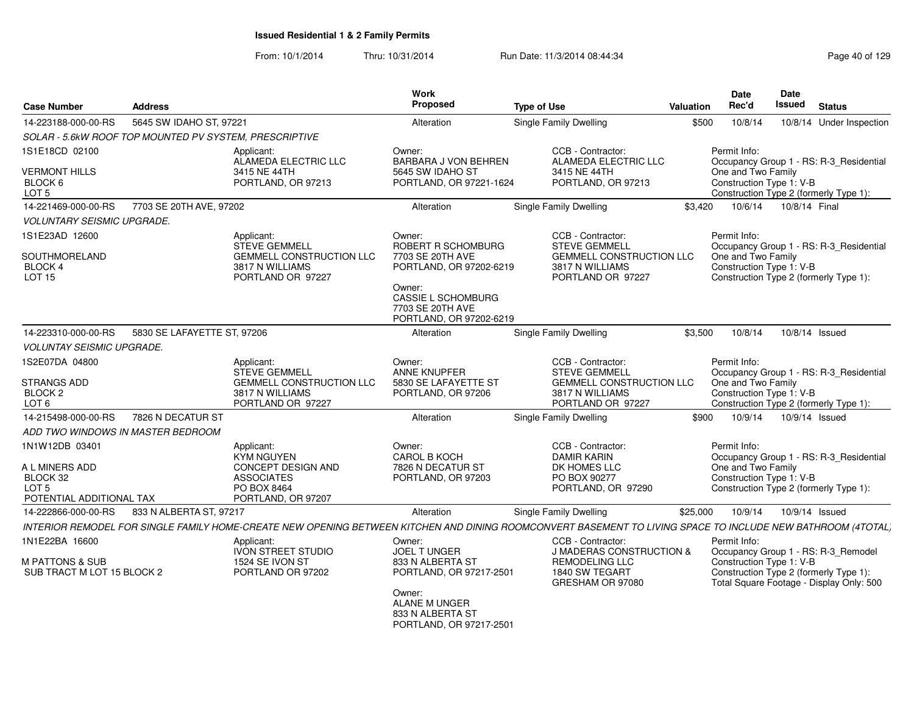| <b>Case Number</b>                                                                | <b>Address</b>              |                                                                                                                                                             | Work<br>Proposed                                                                                                                                           | <b>Type of Use</b>                                                                                                   | <b>Valuation</b> | Date<br>Rec'd                                                                                            | Date<br>Issued | <b>Status</b>                                                                     |
|-----------------------------------------------------------------------------------|-----------------------------|-------------------------------------------------------------------------------------------------------------------------------------------------------------|------------------------------------------------------------------------------------------------------------------------------------------------------------|----------------------------------------------------------------------------------------------------------------------|------------------|----------------------------------------------------------------------------------------------------------|----------------|-----------------------------------------------------------------------------------|
| 14-223188-000-00-RS                                                               | 5645 SW IDAHO ST, 97221     |                                                                                                                                                             | Alteration                                                                                                                                                 | <b>Single Family Dwelling</b>                                                                                        | \$500            | 10/8/14                                                                                                  |                | 10/8/14 Under Inspection                                                          |
| SOLAR - 5.6kW ROOF TOP MOUNTED PV SYSTEM, PRESCRIPTIVE                            |                             |                                                                                                                                                             |                                                                                                                                                            |                                                                                                                      |                  |                                                                                                          |                |                                                                                   |
| 1S1E18CD 02100<br><b>VERMONT HILLS</b><br>BLOCK 6                                 |                             | Applicant:<br>ALAMEDA ELECTRIC LLC<br>3415 NE 44TH<br>PORTLAND, OR 97213                                                                                    | Owner:<br>BARBARA J VON BEHREN<br>5645 SW IDAHO ST<br>PORTLAND, OR 97221-1624                                                                              | CCB - Contractor:<br>ALAMEDA ELECTRIC LLC<br>3415 NE 44TH<br>PORTLAND, OR 97213                                      |                  | Permit Info:<br>One and Two Family<br>Construction Type 1: V-B                                           |                | Occupancy Group 1 - RS: R-3_Residential                                           |
| LOT <sub>5</sub>                                                                  |                             |                                                                                                                                                             |                                                                                                                                                            |                                                                                                                      |                  |                                                                                                          |                | Construction Type 2 (formerly Type 1):                                            |
| 14-221469-000-00-RS                                                               | 7703 SE 20TH AVE, 97202     |                                                                                                                                                             | Alteration                                                                                                                                                 | <b>Single Family Dwelling</b>                                                                                        | \$3,420          | 10/6/14                                                                                                  | 10/8/14 Final  |                                                                                   |
| <b>VOLUNTARY SEISMIC UPGRADE.</b>                                                 |                             |                                                                                                                                                             |                                                                                                                                                            |                                                                                                                      |                  |                                                                                                          |                |                                                                                   |
| 1S1E23AD 12600<br>SOUTHMORELAND<br>BLOCK 4<br>LOT 15                              |                             | Applicant:<br><b>STEVE GEMMELL</b><br><b>GEMMELL CONSTRUCTION LLC</b><br>3817 N WILLIAMS<br>PORTLAND OR 97227                                               | Owner:<br>ROBERT R SCHOMBURG<br>7703 SE 20TH AVE<br>PORTLAND, OR 97202-6219<br>Owner:<br>CASSIE L SCHOMBURG<br>7703 SE 20TH AVE<br>PORTLAND, OR 97202-6219 | CCB - Contractor:<br><b>STEVE GEMMELL</b><br><b>GEMMELL CONSTRUCTION LLC</b><br>3817 N WILLIAMS<br>PORTLAND OR 97227 |                  | Permit Info:<br>One and Two Family<br>Construction Type 1: V-B<br>Construction Type 2 (formerly Type 1): |                | Occupancy Group 1 - RS: R-3_Residential                                           |
| 14-223310-000-00-RS                                                               | 5830 SE LAFAYETTE ST, 97206 |                                                                                                                                                             | Alteration                                                                                                                                                 | <b>Single Family Dwelling</b>                                                                                        | \$3,500          | 10/8/14                                                                                                  | 10/8/14 Issued |                                                                                   |
| <b>VOLUNTAY SEISMIC UPGRADE.</b>                                                  |                             |                                                                                                                                                             |                                                                                                                                                            |                                                                                                                      |                  |                                                                                                          |                |                                                                                   |
| 1S2E07DA 04800<br>STRANGS ADD<br>BLOCK <sub>2</sub><br>LOT <sub>6</sub>           |                             | Applicant:<br><b>STEVE GEMMELL</b><br><b>GEMMELL CONSTRUCTION LLC</b><br>3817 N WILLIAMS<br>PORTLAND OR 97227                                               | Owner:<br><b>ANNE KNUPFER</b><br>5830 SE LAFAYETTE ST<br>PORTLAND, OR 97206                                                                                | CCB - Contractor:<br><b>STEVE GEMMELL</b><br><b>GEMMELL CONSTRUCTION LLC</b><br>3817 N WILLIAMS<br>PORTLAND OR 97227 |                  | Permit Info:<br>One and Two Family<br>Construction Type 1: V-B                                           |                | Occupancy Group 1 - RS: R-3_Residential<br>Construction Type 2 (formerly Type 1): |
| 14-215498-000-00-RS                                                               | 7826 N DECATUR ST           |                                                                                                                                                             | Alteration                                                                                                                                                 | <b>Single Family Dwelling</b>                                                                                        | \$900            | 10/9/14                                                                                                  |                | 10/9/14 Issued                                                                    |
| ADD TWO WINDOWS IN MASTER BEDROOM                                                 |                             |                                                                                                                                                             |                                                                                                                                                            |                                                                                                                      |                  |                                                                                                          |                |                                                                                   |
| 1N1W12DB 03401<br>A L MINERS ADD<br>BLOCK 32<br>LOT 5<br>POTENTIAL ADDITIONAL TAX |                             | Applicant:<br><b>KYM NGUYEN</b><br><b>CONCEPT DESIGN AND</b><br><b>ASSOCIATES</b><br>PO BOX 8464<br>PORTLAND, OR 97207                                      | Owner:<br><b>CAROL B KOCH</b><br>7826 N DECATUR ST<br>PORTLAND, OR 97203                                                                                   | CCB - Contractor:<br><b>DAMIR KARIN</b><br>DK HOMES LLC<br>PO BOX 90277<br>PORTLAND, OR 97290                        |                  | Permit Info:<br>One and Two Family<br>Construction Type 1: V-B<br>Construction Type 2 (formerly Type 1): |                | Occupancy Group 1 - RS: R-3_Residential                                           |
| 14-222866-000-00-RS                                                               | 833 N ALBERTA ST, 97217     |                                                                                                                                                             | Alteration                                                                                                                                                 | <b>Single Family Dwelling</b>                                                                                        | \$25,000         | 10/9/14                                                                                                  |                | 10/9/14 Issued                                                                    |
|                                                                                   |                             | INTERIOR REMODEL FOR SINGLE FAMILY HOME-CREATE NEW OPENING BETWEEN KITCHEN AND DINING ROOMCONVERT BASEMENT TO LIVING SPACE TO INCLUDE NEW BATHROOM (4TOTAL) |                                                                                                                                                            |                                                                                                                      |                  |                                                                                                          |                |                                                                                   |
| 1N1E22BA 16600<br><b>M PATTONS &amp; SUB</b><br>SUB TRACT M LOT 15 BLOCK 2        |                             | Applicant:<br>IVON STREET STUDIO<br>1524 SE IVON ST<br>PORTLAND OR 97202                                                                                    | Owner:<br>JOEL TUNGER<br>833 N ALBERTA ST<br>PORTLAND, OR 97217-2501<br>Owner:<br>ALANE M UNGER<br>833 N ALBERTA ST<br>PORTLAND, OR 97217-2501             | CCB - Contractor:<br>J MADERAS CONSTRUCTION &<br><b>REMODELING LLC</b><br>1840 SW TEGART<br>GRESHAM OR 97080         |                  | Permit Info:<br>Construction Type 1: V-B<br>Construction Type 2 (formerly Type 1):                       |                | Occupancy Group 1 - RS: R-3_Remodel<br>Total Square Footage - Display Only: 500   |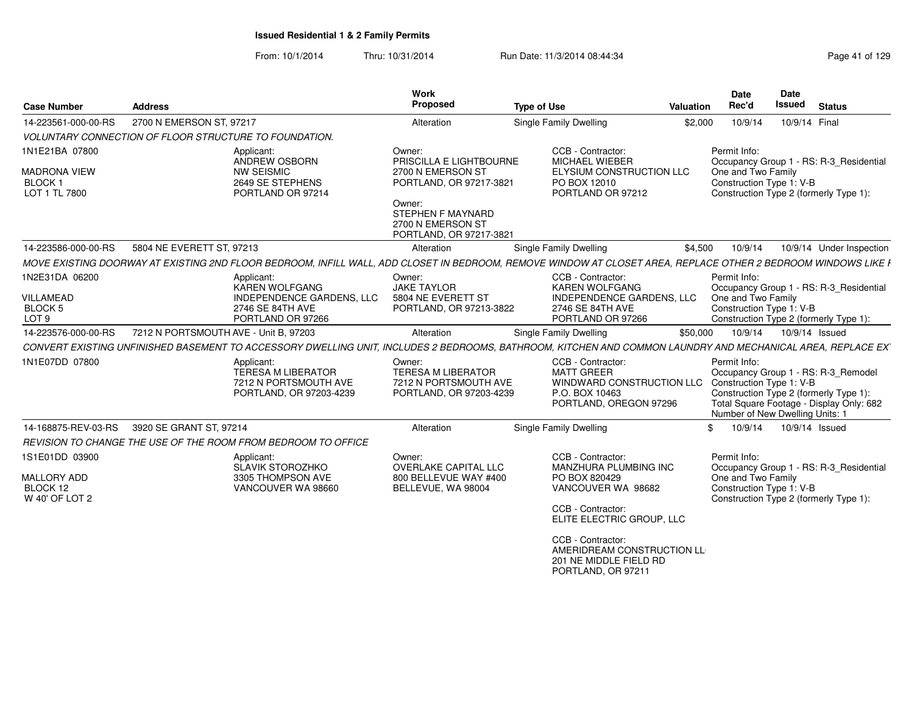| <b>Case Number</b>                                                      | <b>Address</b>                                                                                                                                                | Work<br>Proposed                                                                                                                                                        | <b>Type of Use</b>                                                                                                      | Valuation | Date<br>Rec'd                      | <b>Date</b><br><b>Issued</b>                                | <b>Status</b>                                                                                                             |
|-------------------------------------------------------------------------|---------------------------------------------------------------------------------------------------------------------------------------------------------------|-------------------------------------------------------------------------------------------------------------------------------------------------------------------------|-------------------------------------------------------------------------------------------------------------------------|-----------|------------------------------------|-------------------------------------------------------------|---------------------------------------------------------------------------------------------------------------------------|
| 14-223561-000-00-RS                                                     | 2700 N EMERSON ST, 97217                                                                                                                                      | Alteration                                                                                                                                                              | <b>Single Family Dwelling</b>                                                                                           | \$2,000   | 10/9/14                            | 10/9/14 Final                                               |                                                                                                                           |
|                                                                         | <b>VOLUNTARY CONNECTION OF FLOOR STRUCTURE TO FOUNDATION.</b>                                                                                                 |                                                                                                                                                                         |                                                                                                                         |           |                                    |                                                             |                                                                                                                           |
| 1N1E21BA 07800<br><b>MADRONA VIEW</b><br><b>BLOCK1</b><br>LOT 1 TL 7800 | Applicant:<br>ANDREW OSBORN<br><b>NW SEISMIC</b><br>2649 SE STEPHENS<br>PORTLAND OR 97214                                                                     | Owner:<br>PRISCILLA E LIGHTBOURNE<br>2700 N EMERSON ST<br>PORTLAND, OR 97217-3821<br>Owner:<br><b>STEPHEN F MAYNARD</b><br>2700 N EMERSON ST<br>PORTLAND, OR 97217-3821 | CCB - Contractor:<br>MICHAEL WIEBER<br><b>ELYSIUM CONSTRUCTION LLC</b><br>PO BOX 12010<br>PORTLAND OR 97212             |           | Permit Info:<br>One and Two Family | Construction Type 1: V-B                                    | Occupancy Group 1 - RS: R-3_Residential<br>Construction Type 2 (formerly Type 1):                                         |
| 14-223586-000-00-RS                                                     | 5804 NE EVERETT ST. 97213                                                                                                                                     | Alteration                                                                                                                                                              | Single Family Dwelling                                                                                                  | \$4,500   | 10/9/14                            |                                                             | 10/9/14 Under Inspection                                                                                                  |
|                                                                         | MOVE EXISTING DOORWAY AT EXISTING 2ND FLOOR BEDROOM. INFILL WALL, ADD CLOSET IN BEDROOM. REMOVE WINDOW AT CLOSET AREA, REPLACE OTHER 2 BEDROOM WINDOWS LIKE I |                                                                                                                                                                         |                                                                                                                         |           |                                    |                                                             |                                                                                                                           |
| 1N2E31DA 06200<br><b>VILLAMEAD</b><br>BLOCK 5<br>LOT <sub>9</sub>       | Applicant:<br><b>KAREN WOLFGANG</b><br><b>INDEPENDENCE GARDENS, LLC</b><br>2746 SE 84TH AVE<br>PORTLAND OR 97266                                              | Owner:<br><b>JAKE TAYLOR</b><br>5804 NE EVERETT ST<br>PORTLAND, OR 97213-3822                                                                                           | CCB - Contractor:<br><b>KAREN WOLFGANG</b><br><b>INDEPENDENCE GARDENS, LLC</b><br>2746 SE 84TH AVE<br>PORTLAND OR 97266 |           | Permit Info:<br>One and Two Family | Construction Type 1: V-B                                    | Occupancy Group 1 - RS: R-3 Residential<br>Construction Type 2 (formerly Type 1):                                         |
| 14-223576-000-00-RS                                                     | 7212 N PORTSMOUTH AVE - Unit B, 97203                                                                                                                         | Alteration                                                                                                                                                              | Single Family Dwelling                                                                                                  | \$50,000  | 10/9/14                            | 10/9/14 Issued                                              |                                                                                                                           |
|                                                                         | CONVERT EXISTING UNFINISHED BASEMENT TO ACCESSORY DWELLING UNIT, INCLUDES 2 BEDROOMS, BATHROOM, KITCHEN AND COMMON LAUNDRY AND MECHANICAL AREA, REPLACE EX    |                                                                                                                                                                         |                                                                                                                         |           |                                    |                                                             |                                                                                                                           |
| 1N1E07DD 07800                                                          | Applicant:<br><b>TERESA M LIBERATOR</b><br>7212 N PORTSMOUTH AVE<br>PORTLAND, OR 97203-4239                                                                   | Owner:<br><b>TERESA M LIBERATOR</b><br>7212 N PORTSMOUTH AVE<br>PORTLAND, OR 97203-4239                                                                                 | CCB - Contractor:<br><b>MATT GREER</b><br>WINDWARD CONSTRUCTION LLC<br>P.O. BOX 10463<br>PORTLAND, OREGON 97296         |           | Permit Info:                       | Construction Type 1: V-B<br>Number of New Dwelling Units: 1 | Occupancy Group 1 - RS: R-3_Remodel<br>Construction Type 2 (formerly Type 1):<br>Total Square Footage - Display Only: 682 |
| 14-168875-REV-03-RS                                                     | 3920 SE GRANT ST, 97214                                                                                                                                       | Alteration                                                                                                                                                              | <b>Single Family Dwelling</b>                                                                                           | \$        | 10/9/14                            | 10/9/14 Issued                                              |                                                                                                                           |
|                                                                         | REVISION TO CHANGE THE USE OF THE ROOM FROM BEDROOM TO OFFICE                                                                                                 |                                                                                                                                                                         |                                                                                                                         |           |                                    |                                                             |                                                                                                                           |
| 1S1E01DD 03900                                                          | Applicant:<br>SLAVIK STOROZHKO                                                                                                                                | Owner:<br>OVERLAKE CAPITAL LLC                                                                                                                                          | CCB - Contractor:<br>MANZHURA PLUMBING INC                                                                              |           | Permit Info:                       |                                                             | Occupancy Group 1 - RS: R-3 Residential                                                                                   |
| <b>MALLORY ADD</b><br>BLOCK 12<br>W 40' OF LOT 2                        | 3305 THOMPSON AVE<br>VANCOUVER WA 98660                                                                                                                       | 800 BELLEVUE WAY #400<br>BELLEVUE, WA 98004                                                                                                                             | PO BOX 820429<br>VANCOUVER WA 98682<br>CCB - Contractor:<br>ELITE ELECTRIC GROUP, LLC                                   |           | One and Two Family                 | Construction Type 1: V-B                                    | Construction Type 2 (formerly Type 1):                                                                                    |
|                                                                         |                                                                                                                                                               |                                                                                                                                                                         | CCB - Contractor:<br>AMERIDREAM CONSTRUCTION LL<br>201 NE MIDDLE FIELD RD<br>PORTLAND, OR 97211                         |           |                                    |                                                             |                                                                                                                           |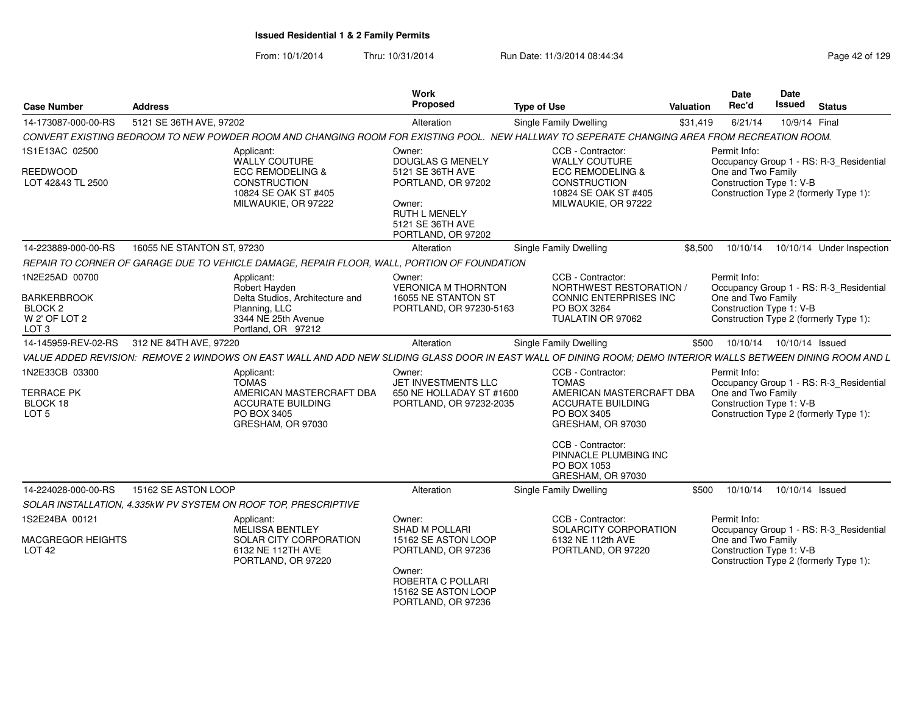| <b>Case Number</b>                                                                              | <b>Address</b>                                                                                                                                                | Work<br>Proposed                                                                                                                               | <b>Type of Use</b>                                                                                                                                                                                              | <b>Valuation</b> | Date<br>Rec'd                                                  | Date<br>Issued             | <b>Status</b>                                                                     |
|-------------------------------------------------------------------------------------------------|---------------------------------------------------------------------------------------------------------------------------------------------------------------|------------------------------------------------------------------------------------------------------------------------------------------------|-----------------------------------------------------------------------------------------------------------------------------------------------------------------------------------------------------------------|------------------|----------------------------------------------------------------|----------------------------|-----------------------------------------------------------------------------------|
| 14-173087-000-00-RS                                                                             | 5121 SE 36TH AVE, 97202                                                                                                                                       | Alteration                                                                                                                                     | Single Family Dwelling                                                                                                                                                                                          | \$31,419         | 6/21/14                                                        |                            | 10/9/14 Final                                                                     |
|                                                                                                 | CONVERT EXISTING BEDROOM TO NEW POWDER ROOM AND CHANGING ROOM FOR EXISTING POOL. NEW HALLWAY TO SEPERATE CHANGING AREA FROM RECREATION ROOM.                  |                                                                                                                                                |                                                                                                                                                                                                                 |                  |                                                                |                            |                                                                                   |
| 1S1E13AC 02500                                                                                  | Applicant:<br>WALLY COUTURE                                                                                                                                   | Owner:<br><b>DOUGLAS G MENELY</b>                                                                                                              | CCB - Contractor:<br><b>WALLY COUTURE</b>                                                                                                                                                                       |                  | Permit Info:                                                   |                            | Occupancy Group 1 - RS: R-3 Residential                                           |
| <b>REEDWOOD</b><br>LOT 42&43 TL 2500                                                            | <b>ECC REMODELING &amp;</b><br><b>CONSTRUCTION</b><br>10824 SE OAK ST #405<br>MILWAUKIE, OR 97222                                                             | 5121 SE 36TH AVE<br>PORTLAND, OR 97202<br>Owner:<br><b>RUTH L MENELY</b><br>5121 SE 36TH AVE<br>PORTLAND, OR 97202                             | <b>ECC REMODELING &amp;</b><br>CONSTRUCTION<br>10824 SE OAK ST #405<br>MILWAUKIE, OR 97222                                                                                                                      |                  | One and Two Family<br>Construction Type 1: V-B                 |                            | Construction Type 2 (formerly Type 1):                                            |
| 14-223889-000-00-RS                                                                             | 16055 NE STANTON ST, 97230                                                                                                                                    | Alteration                                                                                                                                     | Single Family Dwelling                                                                                                                                                                                          | \$8,500          | 10/10/14                                                       |                            | 10/10/14 Under Inspection                                                         |
|                                                                                                 | REPAIR TO CORNER OF GARAGE DUE TO VEHICLE DAMAGE, REPAIR FLOOR, WALL, PORTION OF FOUNDATION                                                                   |                                                                                                                                                |                                                                                                                                                                                                                 |                  |                                                                |                            |                                                                                   |
| 1N2E25AD 00700<br><b>BARKERBROOK</b><br>BLOCK <sub>2</sub><br>W 2' OF LOT 2<br>LOT <sub>3</sub> | Applicant:<br>Robert Hayden<br>Delta Studios, Architecture and<br>Planning, LLC<br>3344 NE 25th Avenue<br>Portland, OR 97212                                  | Owner:<br><b>VERONICA M THORNTON</b><br>16055 NE STANTON ST<br>PORTLAND, OR 97230-5163                                                         | CCB - Contractor:<br>NORTHWEST RESTORATION /<br><b>CONNIC ENTERPRISES INC</b><br>PO BOX 3264<br>TUALATIN OR 97062                                                                                               |                  | Permit Info:<br>One and Two Family<br>Construction Type 1: V-B |                            | Occupancy Group 1 - RS: R-3_Residential<br>Construction Type 2 (formerly Type 1): |
| 14-145959-REV-02-RS                                                                             | 312 NE 84TH AVE, 97220                                                                                                                                        | Alteration                                                                                                                                     | Single Family Dwelling                                                                                                                                                                                          | \$500            |                                                                | 10/10/14  10/10/14  Issued |                                                                                   |
|                                                                                                 | VALUE ADDED REVISION: REMOVE 2 WINDOWS ON EAST WALL AND ADD NEW SLIDING GLASS DOOR IN EAST WALL OF DINING ROOM; DEMO INTERIOR WALLS BETWEEN DINING ROOM AND L |                                                                                                                                                |                                                                                                                                                                                                                 |                  |                                                                |                            |                                                                                   |
| 1N2E33CB 03300<br><b>TERRACE PK</b><br>BLOCK 18<br>LOT <sub>5</sub>                             | Applicant:<br><b>TOMAS</b><br>AMERICAN MASTERCRAFT DBA<br><b>ACCURATE BUILDING</b><br>PO BOX 3405<br>GRESHAM, OR 97030                                        | Owner:<br>JET INVESTMENTS LLC<br>650 NE HOLLADAY ST #1600<br>PORTLAND, OR 97232-2035                                                           | CCB - Contractor:<br><b>TOMAS</b><br>AMERICAN MASTERCRAFT DBA<br><b>ACCURATE BUILDING</b><br>PO BOX 3405<br>GRESHAM, OR 97030<br>CCB - Contractor:<br>PINNACLE PLUMBING INC<br>PO BOX 1053<br>GRESHAM, OR 97030 |                  | Permit Info:<br>One and Two Family<br>Construction Type 1: V-B |                            | Occupancy Group 1 - RS: R-3 Residential<br>Construction Type 2 (formerly Type 1): |
| 14-224028-000-00-RS                                                                             | 15162 SE ASTON LOOP                                                                                                                                           | Alteration                                                                                                                                     | Single Family Dwelling                                                                                                                                                                                          | \$500            | 10/10/14                                                       |                            | 10/10/14 Issued                                                                   |
|                                                                                                 | SOLAR INSTALLATION, 4.335kW PV SYSTEM ON ROOF TOP, PRESCRIPTIVE                                                                                               |                                                                                                                                                |                                                                                                                                                                                                                 |                  |                                                                |                            |                                                                                   |
| 1S2E24BA 00121                                                                                  | Applicant:                                                                                                                                                    | Owner:                                                                                                                                         | CCB - Contractor:                                                                                                                                                                                               |                  | Permit Info:                                                   |                            |                                                                                   |
| MACGREGOR HEIGHTS<br><b>LOT 42</b>                                                              | MELISSA BENTLEY<br>SOLAR CITY CORPORATION<br>6132 NE 112TH AVE<br>PORTLAND, OR 97220                                                                          | <b>SHAD M POLLARI</b><br>15162 SE ASTON LOOP<br>PORTLAND, OR 97236<br>Owner:<br>ROBERTA C POLLARI<br>15162 SE ASTON LOOP<br>PORTLAND, OR 97236 | SOLARCITY CORPORATION<br>6132 NE 112th AVE<br>PORTLAND, OR 97220                                                                                                                                                |                  | One and Two Family<br>Construction Type 1: V-B                 |                            | Occupancy Group 1 - RS: R-3_Residential<br>Construction Type 2 (formerly Type 1): |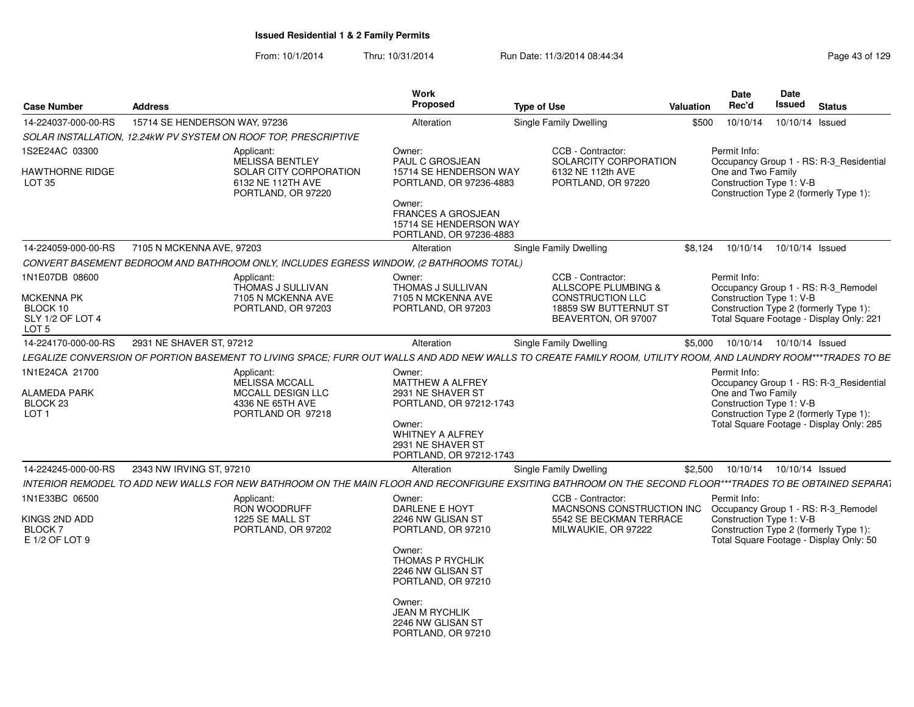| <b>Case Number</b>                                                               | <b>Address</b>                |                                                                                                                                                                | Work<br><b>Proposed</b>                                                                           | <b>Type of Use</b>            |                                                                                                  | Valuation | Date<br>Rec'd                                                                                            | <b>Date</b><br>Issued      | <b>Status</b>                                                                                                                 |
|----------------------------------------------------------------------------------|-------------------------------|----------------------------------------------------------------------------------------------------------------------------------------------------------------|---------------------------------------------------------------------------------------------------|-------------------------------|--------------------------------------------------------------------------------------------------|-----------|----------------------------------------------------------------------------------------------------------|----------------------------|-------------------------------------------------------------------------------------------------------------------------------|
| 14-224037-000-00-RS                                                              | 15714 SE HENDERSON WAY, 97236 |                                                                                                                                                                | Alteration                                                                                        | Single Family Dwelling        |                                                                                                  | \$500     | 10/10/14                                                                                                 | 10/10/14 Issued            |                                                                                                                               |
|                                                                                  |                               | SOLAR INSTALLATION, 12.24kW PV SYSTEM ON ROOF TOP, PRESCRIPTIVE                                                                                                |                                                                                                   |                               |                                                                                                  |           |                                                                                                          |                            |                                                                                                                               |
| 1S2E24AC 03300<br><b>HAWTHORNE RIDGE</b><br><b>LOT 35</b>                        |                               | Applicant:<br><b>MELISSA BENTLEY</b><br>SOLAR CITY CORPORATION<br>6132 NE 112TH AVE<br>PORTLAND, OR 97220                                                      | Owner:<br><b>PAUL C GROSJEAN</b><br>15714 SE HENDERSON WAY<br>PORTLAND, OR 97236-4883<br>Owner:   |                               | CCB - Contractor:<br>SOLARCITY CORPORATION<br>6132 NE 112th AVE<br>PORTLAND, OR 97220            |           | Permit Info:<br>One and Two Family<br>Construction Type 1: V-B<br>Construction Type 2 (formerly Type 1): |                            | Occupancy Group 1 - RS: R-3 Residential                                                                                       |
|                                                                                  |                               |                                                                                                                                                                | <b>FRANCES A GROSJEAN</b><br>15714 SE HENDERSON WAY<br>PORTLAND, OR 97236-4883                    |                               |                                                                                                  |           |                                                                                                          |                            |                                                                                                                               |
| 14-224059-000-00-RS                                                              | 7105 N MCKENNA AVE, 97203     |                                                                                                                                                                | Alteration                                                                                        | Single Family Dwelling        |                                                                                                  | \$8,124   | 10/10/14                                                                                                 | 10/10/14 Issued            |                                                                                                                               |
|                                                                                  |                               | CONVERT BASEMENT BEDROOM AND BATHROOM ONLY, INCLUDES EGRESS WINDOW, (2 BATHROOMS TOTAL)                                                                        |                                                                                                   |                               |                                                                                                  |           |                                                                                                          |                            |                                                                                                                               |
| 1N1E07DB 08600<br><b>MCKENNA PK</b>                                              |                               | Applicant:<br>THOMAS J SULLIVAN<br>7105 N MCKENNA AVE                                                                                                          | Owner:<br>THOMAS J SULLIVAN<br>7105 N MCKENNA AVE                                                 |                               | CCB - Contractor:<br>ALLSCOPE PLUMBING &<br><b>CONSTRUCTION LLC</b>                              |           | Permit Info:<br>Construction Type 1: V-B                                                                 |                            | Occupancy Group 1 - RS: R-3_Remodel                                                                                           |
| BLOCK 10<br>SLY 1/2 OF LOT 4<br>LOT 5                                            |                               | PORTLAND, OR 97203                                                                                                                                             | PORTLAND, OR 97203                                                                                |                               | 18859 SW BUTTERNUT ST<br>BEAVERTON, OR 97007                                                     |           | Construction Type 2 (formerly Type 1):                                                                   |                            | Total Square Footage - Display Only: 221                                                                                      |
| 14-224170-000-00-RS                                                              | 2931 NE SHAVER ST, 97212      |                                                                                                                                                                | Alteration                                                                                        | <b>Single Family Dwelling</b> |                                                                                                  | \$5,000   |                                                                                                          | 10/10/14  10/10/14  Issued |                                                                                                                               |
|                                                                                  |                               | LEGALIZE CONVERSION OF PORTION BASEMENT TO LIVING SPACE: FURR OUT WALLS AND ADD NEW WALLS TO CREATE FAMILY ROOM, UTILITY ROOM, AND LAUNDRY ROOM***TRADES TO BE |                                                                                                   |                               |                                                                                                  |           |                                                                                                          |                            |                                                                                                                               |
| 1N1E24CA 21700<br><b>ALAMEDA PARK</b><br>BLOCK <sub>23</sub><br>LOT <sub>1</sub> |                               | Applicant:<br>MELISSA MCCALL<br><b>MCCALL DESIGN LLC</b><br>4336 NE 65TH AVE<br>PORTLAND OR 97218                                                              | Owner:<br>MATTHEW A ALFREY<br>2931 NE SHAVER ST<br>PORTLAND, OR 97212-1743<br>Owner:              |                               |                                                                                                  |           | Permit Info:<br>One and Two Family<br>Construction Type 1: V-B                                           |                            | Occupancy Group 1 - RS: R-3 Residential<br>Construction Type 2 (formerly Type 1):<br>Total Square Footage - Display Only: 285 |
|                                                                                  |                               |                                                                                                                                                                | <b>WHITNEY A ALFREY</b><br>2931 NE SHAVER ST<br>PORTLAND, OR 97212-1743                           |                               |                                                                                                  |           |                                                                                                          |                            |                                                                                                                               |
| 14-224245-000-00-RS                                                              | 2343 NW IRVING ST, 97210      |                                                                                                                                                                | Alteration                                                                                        | Single Family Dwelling        |                                                                                                  | \$2,500   | 10/10/14                                                                                                 | 10/10/14 Issued            |                                                                                                                               |
|                                                                                  |                               | INTERIOR REMODEL TO ADD NEW WALLS FOR NEW BATHROOM ON THE MAIN FLOOR AND RECONFIGURE EXSITING BATHROOM ON THE SECOND FLOOR***TRADES TO BE OBTAINED SEPARA1     |                                                                                                   |                               |                                                                                                  |           |                                                                                                          |                            |                                                                                                                               |
| 1N1E33BC 06500<br>KINGS 2ND ADD<br>BLOCK <sub>7</sub><br>E 1/2 OF LOT 9          |                               | Applicant:<br><b>RON WOODRUFF</b><br>1225 SE MALL ST<br>PORTLAND, OR 97202                                                                                     | Owner:<br>DARLENE E HOYT<br>2246 NW GLISAN ST<br>PORTLAND, OR 97210<br>Owner:<br>THOMAS P RYCHLIK |                               | CCB - Contractor:<br>MACNSONS CONSTRUCTION INC<br>5542 SE BECKMAN TERRACE<br>MILWAUKIE, OR 97222 |           | Permit Info:<br>Construction Type 1: V-B                                                                 |                            | Occupancy Group 1 - RS: R-3_Remodel<br>Construction Type 2 (formerly Type 1):<br>Total Square Footage - Display Only: 50      |
|                                                                                  |                               |                                                                                                                                                                | 2246 NW GLISAN ST<br>PORTLAND, OR 97210<br>Owner:<br><b>JEAN M RYCHLIK</b><br>2246 NW GLISAN ST   |                               |                                                                                                  |           |                                                                                                          |                            |                                                                                                                               |
|                                                                                  |                               |                                                                                                                                                                | PORTLAND, OR 97210                                                                                |                               |                                                                                                  |           |                                                                                                          |                            |                                                                                                                               |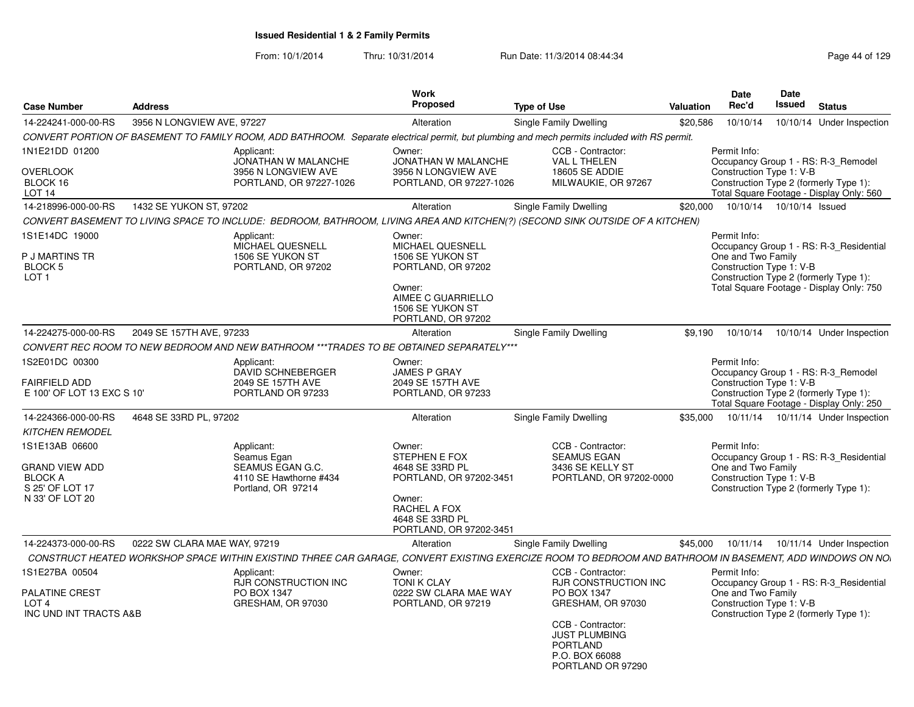| <b>Case Number</b>                                                                       | <b>Address</b>                                                                                                                                           | Work<br><b>Proposed</b>                                                                                                                              | <b>Type of Use</b>                                                                                                                                                                   | Valuation | <b>Date</b><br>Rec'd                                           | Date<br>Issued             | <b>Status</b>                                                                                                                 |
|------------------------------------------------------------------------------------------|----------------------------------------------------------------------------------------------------------------------------------------------------------|------------------------------------------------------------------------------------------------------------------------------------------------------|--------------------------------------------------------------------------------------------------------------------------------------------------------------------------------------|-----------|----------------------------------------------------------------|----------------------------|-------------------------------------------------------------------------------------------------------------------------------|
| 14-224241-000-00-RS                                                                      | 3956 N LONGVIEW AVE, 97227                                                                                                                               | Alteration                                                                                                                                           | Single Family Dwelling                                                                                                                                                               | \$20,586  | 10/10/14                                                       |                            | 10/10/14 Under Inspection                                                                                                     |
|                                                                                          | CONVERT PORTION OF BASEMENT TO FAMILY ROOM, ADD BATHROOM. Separate electrical permit, but plumbing and mech permits included with RS permit.             |                                                                                                                                                      |                                                                                                                                                                                      |           |                                                                |                            |                                                                                                                               |
| 1N1E21DD 01200<br><b>OVERLOOK</b><br>BLOCK 16                                            | Applicant:<br>JONATHAN W MALANCHE<br>3956 N LONGVIEW AVE<br>PORTLAND, OR 97227-1026                                                                      | Owner:<br>JONATHAN W MALANCHE<br>3956 N LONGVIEW AVE<br>PORTLAND, OR 97227-1026                                                                      | CCB - Contractor:<br><b>VAL L THELEN</b><br>18605 SE ADDIE<br>MILWAUKIE, OR 97267                                                                                                    |           | Permit Info:<br>Construction Type 1: V-B                       |                            | Occupancy Group 1 - RS: R-3 Remodel<br>Construction Type 2 (formerly Type 1):                                                 |
| LOT <sub>14</sub>                                                                        |                                                                                                                                                          |                                                                                                                                                      |                                                                                                                                                                                      |           |                                                                |                            | Total Square Footage - Display Only: 560                                                                                      |
| 14-218996-000-00-RS                                                                      | 1432 SE YUKON ST. 97202                                                                                                                                  | Alteration                                                                                                                                           | Single Family Dwelling                                                                                                                                                               | \$20,000  |                                                                | 10/10/14  10/10/14  Issued |                                                                                                                               |
|                                                                                          | CONVERT BASEMENT TO LIVING SPACE TO INCLUDE: BEDROOM, BATHROOM, LIVING AREA AND KITCHEN(?) (SECOND SINK OUTSIDE OF A KITCHEN)                            |                                                                                                                                                      |                                                                                                                                                                                      |           |                                                                |                            |                                                                                                                               |
| 1S1E14DC 19000<br>P J MARTINS TR<br>BLOCK <sub>5</sub><br>LOT <sub>1</sub>               | Applicant:<br>MICHAEL QUESNELL<br>1506 SE YUKON ST<br>PORTLAND, OR 97202                                                                                 | Owner:<br>MICHAEL QUESNELL<br>1506 SE YUKON ST<br>PORTLAND, OR 97202<br>Owner:<br>AIMEE C GUARRIELLO<br>1506 SE YUKON ST<br>PORTLAND, OR 97202       |                                                                                                                                                                                      |           | Permit Info:<br>One and Two Family<br>Construction Type 1: V-B |                            | Occupancy Group 1 - RS: R-3 Residential<br>Construction Type 2 (formerly Type 1):<br>Total Square Footage - Display Only: 750 |
| 14-224275-000-00-RS                                                                      | 2049 SE 157TH AVE, 97233                                                                                                                                 | Alteration                                                                                                                                           | <b>Single Family Dwelling</b>                                                                                                                                                        | \$9,190   | 10/10/14                                                       |                            | 10/10/14 Under Inspection                                                                                                     |
|                                                                                          | CONVERT REC ROOM TO NEW BEDROOM AND NEW BATHROOM ***TRADES TO BE OBTAINED SEPARATELY***                                                                  |                                                                                                                                                      |                                                                                                                                                                                      |           |                                                                |                            |                                                                                                                               |
| 1S2E01DC 00300<br>FAIRFIELD ADD<br>E 100' OF LOT 13 EXC S 10'                            | Applicant:<br>DAVID SCHNEBERGER<br>2049 SE 157TH AVE<br>PORTLAND OR 97233                                                                                | Owner:<br><b>JAMES P GRAY</b><br>2049 SE 157TH AVE<br>PORTLAND, OR 97233                                                                             |                                                                                                                                                                                      |           | Permit Info:<br>Construction Type 1: V-B                       |                            | Occupancy Group 1 - RS: R-3_Remodel<br>Construction Type 2 (formerly Type 1):<br>Total Square Footage - Display Only: 250     |
| 14-224366-000-00-RS                                                                      | 4648 SE 33RD PL, 97202                                                                                                                                   | Alteration                                                                                                                                           | Single Family Dwelling                                                                                                                                                               | \$35,000  | 10/11/14                                                       |                            | 10/11/14 Under Inspection                                                                                                     |
| <b>KITCHEN REMODEL</b>                                                                   |                                                                                                                                                          |                                                                                                                                                      |                                                                                                                                                                                      |           |                                                                |                            |                                                                                                                               |
| 1S1E13AB 06600<br>GRAND VIEW ADD<br><b>BLOCK A</b><br>S 25' OF LOT 17<br>N 33' OF LOT 20 | Applicant:<br>Seamus Egan<br>SEAMUS EGAN G.C.<br>4110 SE Hawthorne #434<br>Portland, OR 97214                                                            | Owner:<br><b>STEPHEN E FOX</b><br>4648 SE 33RD PL<br>PORTLAND, OR 97202-3451<br>Owner:<br>RACHEL A FOX<br>4648 SE 33RD PL<br>PORTLAND, OR 97202-3451 | CCB - Contractor:<br><b>SEAMUS EGAN</b><br>3436 SE KELLY ST<br>PORTLAND, OR 97202-0000                                                                                               |           | Permit Info:<br>One and Two Family<br>Construction Type 1: V-B |                            | Occupancy Group 1 - RS: R-3_Residential<br>Construction Type 2 (formerly Type 1):                                             |
| 14-224373-000-00-RS                                                                      | 0222 SW CLARA MAE WAY, 97219                                                                                                                             | Alteration                                                                                                                                           | Single Family Dwelling                                                                                                                                                               | \$45,000  | 10/11/14                                                       |                            | 10/11/14 Under Inspection                                                                                                     |
|                                                                                          | CONSTRUCT HEATED WORKSHOP SPACE WITHIN EXISTIND THREE CAR GARAGE, CONVERT EXISTING EXERCIZE ROOM TO BEDROOM AND BATHROOM IN BASEMENT, ADD WINDOWS ON NO. |                                                                                                                                                      |                                                                                                                                                                                      |           |                                                                |                            |                                                                                                                               |
| 1S1E27BA 00504<br><b>PALATINE CREST</b><br>LOT <sub>4</sub><br>INC UND INT TRACTS A&B    | Applicant:<br><b>RJR CONSTRUCTION INC</b><br>PO BOX 1347<br>GRESHAM, OR 97030                                                                            | Owner:<br><b>TONI K CLAY</b><br>0222 SW CLARA MAE WAY<br>PORTLAND, OR 97219                                                                          | CCB - Contractor:<br><b>RJR CONSTRUCTION INC</b><br>PO BOX 1347<br>GRESHAM, OR 97030<br>CCB - Contractor:<br><b>JUST PLUMBING</b><br>PORTLAND<br>P.O. BOX 66088<br>PORTLAND OR 97290 |           | Permit Info:<br>One and Two Family<br>Construction Type 1: V-B |                            | Occupancy Group 1 - RS: R-3 Residential<br>Construction Type 2 (formerly Type 1):                                             |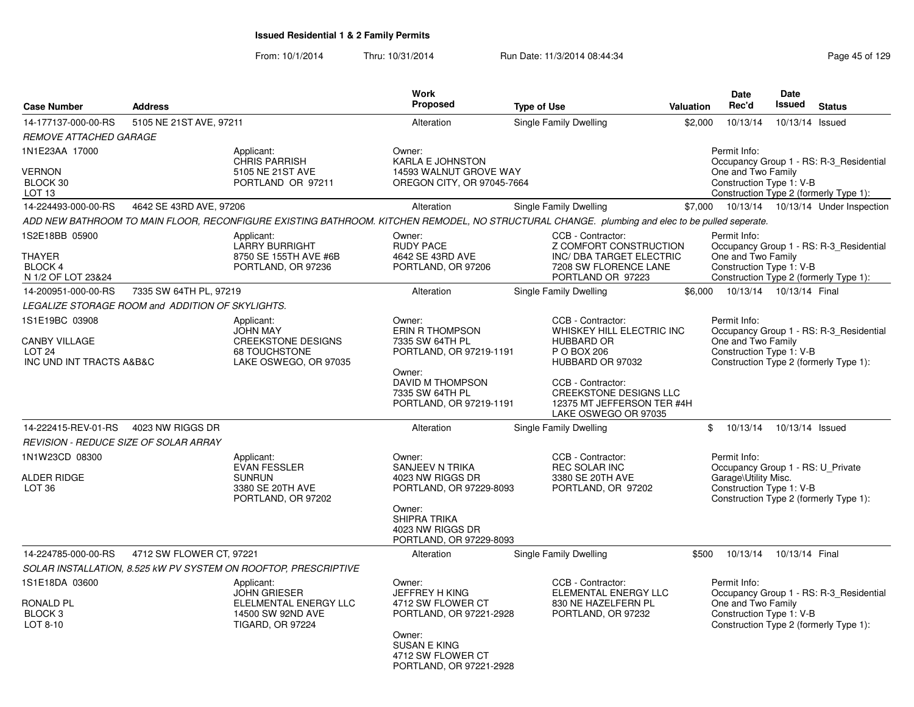| <b>Case Number</b>                                                                      | <b>Address</b>                                   |                                                                                                                                                | <b>Work</b><br>Proposed                                                                                                                                          | <b>Type of Use</b>                                                                                                                                                                                                 | <b>Valuation</b> | Date<br>Rec'd                                                                                         | Date<br><b>Issued</b>      | <b>Status</b>                                                                     |
|-----------------------------------------------------------------------------------------|--------------------------------------------------|------------------------------------------------------------------------------------------------------------------------------------------------|------------------------------------------------------------------------------------------------------------------------------------------------------------------|--------------------------------------------------------------------------------------------------------------------------------------------------------------------------------------------------------------------|------------------|-------------------------------------------------------------------------------------------------------|----------------------------|-----------------------------------------------------------------------------------|
| 14-177137-000-00-RS                                                                     | 5105 NE 21ST AVE, 97211                          |                                                                                                                                                | Alteration                                                                                                                                                       | Single Family Dwelling                                                                                                                                                                                             | \$2,000          | 10/13/14                                                                                              | 10/13/14 Issued            |                                                                                   |
| <b>REMOVE ATTACHED GARAGE</b>                                                           |                                                  |                                                                                                                                                |                                                                                                                                                                  |                                                                                                                                                                                                                    |                  |                                                                                                       |                            |                                                                                   |
| 1N1E23AA 17000<br><b>VERNON</b><br>BLOCK 30<br>LOT <sub>13</sub>                        |                                                  | Applicant:<br><b>CHRIS PARRISH</b><br>5105 NE 21ST AVE<br>PORTLAND OR 97211                                                                    | Owner:<br><b>KARLA E JOHNSTON</b><br>14593 WALNUT GROVE WAY<br>OREGON CITY, OR 97045-7664                                                                        |                                                                                                                                                                                                                    |                  | Permit Info:<br>One and Two Family<br>Construction Type 1: V-B                                        |                            | Occupancy Group 1 - RS: R-3 Residential<br>Construction Type 2 (formerly Type 1): |
| 14-224493-000-00-RS                                                                     | 4642 SE 43RD AVE, 97206                          |                                                                                                                                                | Alteration                                                                                                                                                       | Single Family Dwelling                                                                                                                                                                                             |                  |                                                                                                       |                            | \$7,000 10/13/14 10/13/14 Under Inspection                                        |
|                                                                                         |                                                  | ADD NEW BATHROOM TO MAIN FLOOR, RECONFIGURE EXISTING BATHROOM. KITCHEN REMODEL, NO STRUCTURAL CHANGE. plumbing and elec to be pulled seperate. |                                                                                                                                                                  |                                                                                                                                                                                                                    |                  |                                                                                                       |                            |                                                                                   |
| 1S2E18BB 05900<br><b>THAYER</b><br>BLOCK 4<br>N 1/2 OF LOT 23&24                        |                                                  | Applicant:<br><b>LARRY BURRIGHT</b><br>8750 SE 155TH AVE #6B<br>PORTLAND, OR 97236                                                             | Owner:<br><b>RUDY PACE</b><br>4642 SE 43RD AVE<br>PORTLAND, OR 97206                                                                                             | CCB - Contractor:<br>Z COMFORT CONSTRUCTION<br>INC/ DBA TARGET ELECTRIC<br>7208 SW FLORENCE LANE<br>PORTLAND OR 97223                                                                                              |                  | Permit Info:<br>One and Two Family<br>Construction Type 1: V-B                                        |                            | Occupancy Group 1 - RS: R-3 Residential<br>Construction Type 2 (formerly Type 1): |
| 14-200951-000-00-RS                                                                     | 7335 SW 64TH PL, 97219                           |                                                                                                                                                | Alteration                                                                                                                                                       | Single Family Dwelling                                                                                                                                                                                             |                  | \$6,000  10/13/14  10/13/14  Final                                                                    |                            |                                                                                   |
|                                                                                         | LEGALIZE STORAGE ROOM and ADDITION OF SKYLIGHTS. |                                                                                                                                                |                                                                                                                                                                  |                                                                                                                                                                                                                    |                  |                                                                                                       |                            |                                                                                   |
| 1S1E19BC 03908<br><b>CANBY VILLAGE</b><br>LOT <sub>24</sub><br>INC UND INT TRACTS A&B&C |                                                  | Applicant:<br><b>JOHN MAY</b><br><b>CREEKSTONE DESIGNS</b><br>68 TOUCHSTONE<br>LAKE OSWEGO, OR 97035                                           | Owner:<br><b>ERIN R THOMPSON</b><br>7335 SW 64TH PL<br>PORTLAND, OR 97219-1191<br>Owner:<br>DAVID M THOMPSON<br>7335 SW 64TH PL<br>PORTLAND, OR 97219-1191       | CCB - Contractor:<br>WHISKEY HILL ELECTRIC INC<br><b>HUBBARD OR</b><br>P O BOX 206<br>HUBBARD OR 97032<br>CCB - Contractor:<br><b>CREEKSTONE DESIGNS LLC</b><br>12375 MT JEFFERSON TER #4H<br>LAKE OSWEGO OR 97035 |                  | Permit Info:<br>One and Two Family<br>Construction Type 1: V-B                                        |                            | Occupancy Group 1 - RS: R-3_Residential<br>Construction Type 2 (formerly Type 1): |
| 14-222415-REV-01-RS                                                                     | 4023 NW RIGGS DR                                 |                                                                                                                                                | Alteration                                                                                                                                                       | Single Family Dwelling                                                                                                                                                                                             |                  | \$                                                                                                    | 10/13/14  10/13/14  Issued |                                                                                   |
|                                                                                         | REVISION - REDUCE SIZE OF SOLAR ARRAY            |                                                                                                                                                |                                                                                                                                                                  |                                                                                                                                                                                                                    |                  |                                                                                                       |                            |                                                                                   |
| 1N1W23CD 08300<br><b>ALDER RIDGE</b><br>LOT <sub>36</sub>                               |                                                  | Applicant:<br><b>EVAN FESSLER</b><br><b>SUNRUN</b><br>3380 SE 20TH AVE<br>PORTLAND, OR 97202                                                   | Owner:<br><b>SANJEEV N TRIKA</b><br>4023 NW RIGGS DR<br>PORTLAND, OR 97229-8093<br>Owner:<br><b>SHIPRA TRIKA</b><br>4023 NW RIGGS DR<br>PORTLAND, OR 97229-8093  | CCB - Contractor:<br><b>REC SOLAR INC</b><br>3380 SE 20TH AVE<br>PORTLAND, OR 97202                                                                                                                                |                  | Permit Info:<br>Occupancy Group 1 - RS: U Private<br>Garage\Utility Misc.<br>Construction Type 1: V-B |                            | Construction Type 2 (formerly Type 1):                                            |
| 14-224785-000-00-RS                                                                     | 4712 SW FLOWER CT, 97221                         |                                                                                                                                                | Alteration                                                                                                                                                       | Single Family Dwelling                                                                                                                                                                                             | \$500            | 10/13/14                                                                                              | 10/13/14 Final             |                                                                                   |
|                                                                                         |                                                  | SOLAR INSTALLATION, 8.525 kW PV SYSTEM ON ROOFTOP, PRESCRIPTIVE                                                                                |                                                                                                                                                                  |                                                                                                                                                                                                                    |                  |                                                                                                       |                            |                                                                                   |
| 1S1E18DA 03600<br>RONALD PL<br>BLOCK 3<br>LOT 8-10                                      |                                                  | Applicant:<br><b>JOHN GRIESER</b><br>ELELMENTAL ENERGY LLC<br>14500 SW 92ND AVE<br><b>TIGARD, OR 97224</b>                                     | Owner:<br><b>JEFFREY H KING</b><br>4712 SW FLOWER CT<br>PORTLAND, OR 97221-2928<br>Owner:<br><b>SUSAN E KING</b><br>4712 SW FLOWER CT<br>PORTLAND, OR 97221-2928 | CCB - Contractor:<br>ELEMENTAL ENERGY LLC<br>830 NE HAZELFERN PL<br>PORTLAND, OR 97232                                                                                                                             |                  | Permit Info:<br>One and Two Family<br>Construction Type 1: V-B                                        |                            | Occupancy Group 1 - RS: R-3 Residential<br>Construction Type 2 (formerly Type 1): |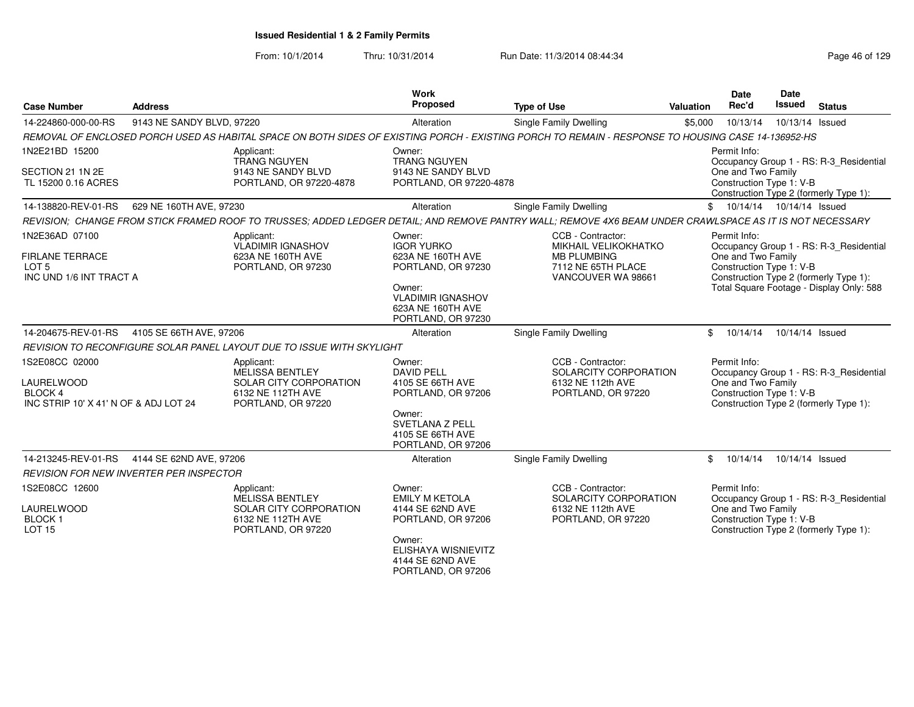From: 10/1/2014

| <b>Case Number</b>                                                                      | <b>Address</b>            |                                                                                                           | Work<br>Proposed                                                                                                                                    | <b>Type of Use</b>                                                                                                                                       | Valuation  | Date<br>Rec'd                                                  | <b>Date</b><br><b>Issued</b> | <b>Status</b>                                                                     |
|-----------------------------------------------------------------------------------------|---------------------------|-----------------------------------------------------------------------------------------------------------|-----------------------------------------------------------------------------------------------------------------------------------------------------|----------------------------------------------------------------------------------------------------------------------------------------------------------|------------|----------------------------------------------------------------|------------------------------|-----------------------------------------------------------------------------------|
| 14-224860-000-00-RS                                                                     | 9143 NE SANDY BLVD, 97220 |                                                                                                           | Alteration                                                                                                                                          | Single Family Dwelling                                                                                                                                   | \$5,000    | 10/13/14                                                       | 10/13/14 Issued              |                                                                                   |
|                                                                                         |                           |                                                                                                           |                                                                                                                                                     | REMOVAL OF ENCLOSED PORCH USED AS HABITAL SPACE ON BOTH SIDES OF EXISTING PORCH - EXISTING PORCH TO REMAIN - RESPONSE TO HOUSING CASE 14-136952-HS       |            |                                                                |                              |                                                                                   |
| 1N2E21BD 15200                                                                          |                           | Applicant:                                                                                                | Owner:                                                                                                                                              |                                                                                                                                                          |            | Permit Info:                                                   |                              |                                                                                   |
| SECTION 21 1N 2E<br>TL 15200 0.16 ACRES                                                 |                           | <b>TRANG NGUYEN</b><br>9143 NE SANDY BLVD<br>PORTLAND, OR 97220-4878                                      | <b>TRANG NGUYEN</b><br>9143 NE SANDY BLVD<br>PORTLAND, OR 97220-4878                                                                                |                                                                                                                                                          |            | One and Two Family<br>Construction Type 1: V-B                 |                              | Occupancy Group 1 - RS: R-3_Residential<br>Construction Type 2 (formerly Type 1): |
| 14-138820-REV-01-RS                                                                     | 629 NE 160TH AVE, 97230   |                                                                                                           | Alteration                                                                                                                                          | Single Family Dwelling                                                                                                                                   | $^{\circ}$ | 10/14/14  10/14/14  Issued                                     |                              |                                                                                   |
|                                                                                         |                           |                                                                                                           |                                                                                                                                                     | REVISION; CHANGE FROM STICK FRAMED ROOF TO TRUSSES; ADDED LEDGER DETAIL; AND REMOVE PANTRY WALL; REMOVE 4X6 BEAM UNDER CRAWLSPACE AS IT IS NOT NECESSARY |            |                                                                |                              |                                                                                   |
| 1N2E36AD 07100<br><b>FIRLANE TERRACE</b><br>LOT <sub>5</sub><br>INC UND 1/6 INT TRACT A |                           | Applicant:<br><b>VLADIMIR IGNASHOV</b><br>623A NE 160TH AVE<br>PORTLAND, OR 97230                         | Owner:<br><b>IGOR YURKO</b><br>623A NE 160TH AVE<br>PORTLAND, OR 97230                                                                              | CCB - Contractor:<br><b>MIKHAIL VELIKOKHATKO</b><br><b>MB PLUMBING</b><br>7112 NE 65TH PLACE<br>VANCOUVER WA 98661                                       |            | Permit Info:<br>One and Two Family<br>Construction Type 1: V-B |                              | Occupancy Group 1 - RS: R-3_Residential<br>Construction Type 2 (formerly Type 1): |
|                                                                                         |                           |                                                                                                           | Owner:<br><b>VLADIMIR IGNASHOV</b><br>623A NE 160TH AVE<br>PORTLAND, OR 97230                                                                       |                                                                                                                                                          |            |                                                                |                              | Total Square Footage - Display Only: 588                                          |
| 14-204675-REV-01-RS                                                                     | 4105 SE 66TH AVE, 97206   |                                                                                                           | Alteration                                                                                                                                          | <b>Single Family Dwelling</b>                                                                                                                            | \$         | 10/14/14                                                       | 10/14/14 Issued              |                                                                                   |
|                                                                                         |                           | REVISION TO RECONFIGURE SOLAR PANEL LAYOUT DUE TO ISSUE WITH SKYLIGHT                                     |                                                                                                                                                     |                                                                                                                                                          |            |                                                                |                              |                                                                                   |
| 1S2E08CC 02000<br>LAURELWOOD<br>BLOCK 4<br>INC STRIP 10' X 41' N OF & ADJ LOT 24        |                           | Applicant:<br><b>MELISSA BENTLEY</b><br>SOLAR CITY CORPORATION<br>6132 NE 112TH AVE<br>PORTLAND, OR 97220 | Owner:<br><b>DAVID PELL</b><br>4105 SE 66TH AVE<br>PORTLAND, OR 97206<br>Owner:<br><b>SVETLANA Z PELL</b><br>4105 SE 66TH AVE<br>PORTLAND, OR 97206 | CCB - Contractor:<br>SOLARCITY CORPORATION<br>6132 NE 112th AVE<br>PORTLAND, OR 97220                                                                    |            | Permit Info:<br>One and Two Family<br>Construction Type 1: V-B |                              | Occupancy Group 1 - RS: R-3_Residential<br>Construction Type 2 (formerly Type 1): |
| 14-213245-REV-01-RS                                                                     | 4144 SE 62ND AVE, 97206   |                                                                                                           | Alteration                                                                                                                                          | Single Family Dwelling                                                                                                                                   | \$         | 10/14/14                                                       | 10/14/14 Issued              |                                                                                   |
| <b>REVISION FOR NEW INVERTER PER INSPECTOR</b>                                          |                           |                                                                                                           |                                                                                                                                                     |                                                                                                                                                          |            |                                                                |                              |                                                                                   |
| 1S2E08CC 12600<br>LAURELWOOD<br><b>BLOCK1</b><br><b>LOT 15</b>                          |                           | Applicant:<br><b>MELISSA BENTLEY</b><br>SOLAR CITY CORPORATION<br>6132 NE 112TH AVE<br>PORTLAND, OR 97220 | Owner:<br><b>EMILY M KETOLA</b><br>4144 SE 62ND AVE<br>PORTLAND, OR 97206<br>Owner:<br>ELISHAYA WISNIEVITZ<br>4144 SE 62ND AVE                      | CCB - Contractor:<br>SOLARCITY CORPORATION<br>6132 NE 112th AVE<br>PORTLAND, OR 97220                                                                    |            | Permit Info:<br>One and Two Family<br>Construction Type 1: V-B |                              | Occupancy Group 1 - RS: R-3_Residential<br>Construction Type 2 (formerly Type 1): |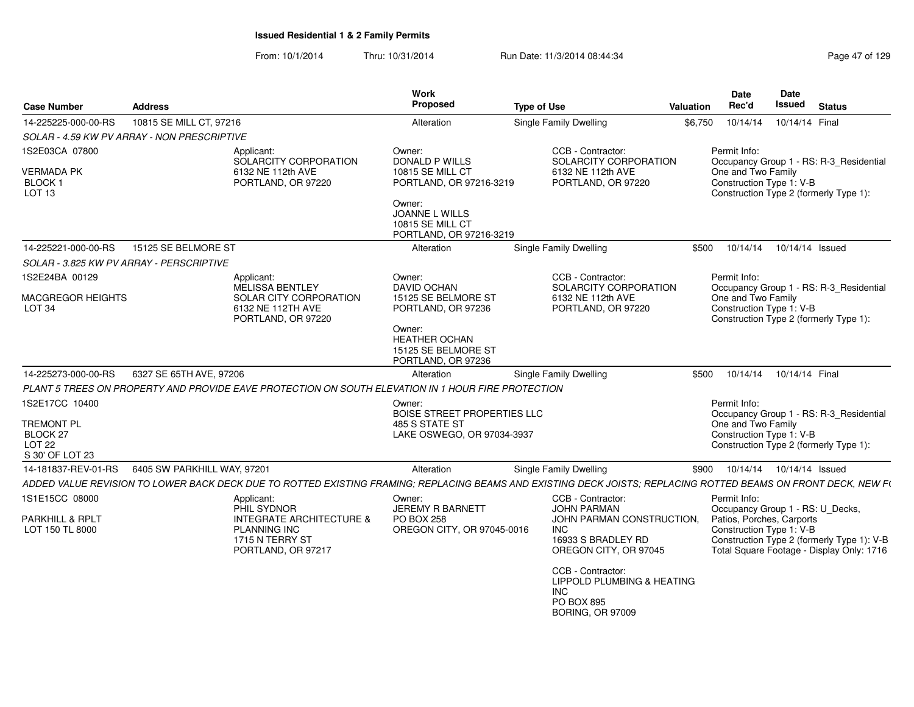| <b>Case Number</b>                                                                                 | <b>Address</b>              |                                                                                                     | Work<br>Proposed                                                                      | <b>Type of Use</b>                                                                                                                                             | <b>Valuation</b> | <b>Date</b><br>Rec'd                                           | Date<br><b>Issued</b> | <b>Status</b>                                                                           |
|----------------------------------------------------------------------------------------------------|-----------------------------|-----------------------------------------------------------------------------------------------------|---------------------------------------------------------------------------------------|----------------------------------------------------------------------------------------------------------------------------------------------------------------|------------------|----------------------------------------------------------------|-----------------------|-----------------------------------------------------------------------------------------|
| 14-225225-000-00-RS                                                                                | 10815 SE MILL CT, 97216     |                                                                                                     | Alteration                                                                            | <b>Single Family Dwelling</b>                                                                                                                                  | \$6.750          | 10/14/14                                                       | 10/14/14 Final        |                                                                                         |
| SOLAR - 4.59 KW PV ARRAY - NON PRESCRIPTIVE                                                        |                             |                                                                                                     |                                                                                       |                                                                                                                                                                |                  |                                                                |                       |                                                                                         |
| 1S2E03CA 07800<br><b>VERMADA PK</b><br>BLOCK 1<br>LOT <sub>13</sub>                                |                             | Applicant:<br>SOLARCITY CORPORATION<br>6132 NE 112th AVE<br>PORTLAND, OR 97220                      | Owner:<br>DONALD P WILLS<br>10815 SE MILL CT<br>PORTLAND, OR 97216-3219<br>Owner:     | CCB - Contractor:<br>SOLARCITY CORPORATION<br>6132 NE 112th AVE<br>PORTLAND, OR 97220                                                                          |                  | Permit Info:<br>One and Two Family<br>Construction Type 1: V-B |                       | Occupancy Group 1 - RS: R-3_Residential<br>Construction Type 2 (formerly Type 1):       |
|                                                                                                    |                             |                                                                                                     | JOANNE L WILLS<br>10815 SE MILL CT<br>PORTLAND, OR 97216-3219                         |                                                                                                                                                                |                  |                                                                |                       |                                                                                         |
| 14-225221-000-00-RS                                                                                | 15125 SE BELMORE ST         |                                                                                                     | Alteration                                                                            | <b>Single Family Dwelling</b>                                                                                                                                  | \$500            | 10/14/14                                                       | 10/14/14 Issued       |                                                                                         |
| SOLAR - 3.825 KW PV ARRAY - PERSCRIPTIVE                                                           |                             |                                                                                                     |                                                                                       |                                                                                                                                                                |                  |                                                                |                       |                                                                                         |
| 1S2E24BA 00129<br><b>MACGREGOR HEIGHTS</b><br>LOT <sub>34</sub>                                    |                             | Applicant:<br>MELISSA BENTLEY<br>SOLAR CITY CORPORATION<br>6132 NE 112TH AVE<br>PORTLAND, OR 97220  | Owner:<br>DAVID OCHAN<br>15125 SE BELMORE ST<br>PORTLAND, OR 97236                    | CCB - Contractor:<br>SOLARCITY CORPORATION<br>6132 NE 112th AVE<br>PORTLAND, OR 97220                                                                          |                  | Permit Info:<br>One and Two Family<br>Construction Type 1: V-B |                       | Occupancy Group 1 - RS: R-3_Residential<br>Construction Type 2 (formerly Type 1):       |
|                                                                                                    |                             |                                                                                                     | Owner:<br><b>HEATHER OCHAN</b><br>15125 SE BELMORE ST<br>PORTLAND, OR 97236           |                                                                                                                                                                |                  |                                                                |                       |                                                                                         |
| 14-225273-000-00-RS                                                                                | 6327 SE 65TH AVE, 97206     |                                                                                                     | Alteration                                                                            | <b>Single Family Dwelling</b>                                                                                                                                  | \$500            | 10/14/14                                                       | 10/14/14 Final        |                                                                                         |
|                                                                                                    |                             | PLANT 5 TREES ON PROPERTY AND PROVIDE EAVE PROTECTION ON SOUTH ELEVATION IN 1 HOUR FIRE PROTECTION  |                                                                                       |                                                                                                                                                                |                  |                                                                |                       |                                                                                         |
| 1S2E17CC 10400<br><b>TREMONT PL</b><br>BLOCK <sub>27</sub><br>LOT <sub>22</sub><br>S 30' OF LOT 23 |                             |                                                                                                     | Owner:<br>BOISE STREET PROPERTIES LLC<br>485 S STATE ST<br>LAKE OSWEGO, OR 97034-3937 |                                                                                                                                                                |                  | Permit Info:<br>One and Two Family<br>Construction Type 1: V-B |                       | Occupancy Group 1 - RS: R-3 Residential<br>Construction Type 2 (formerly Type 1):       |
| 14-181837-REV-01-RS                                                                                | 6405 SW PARKHILL WAY, 97201 |                                                                                                     | Alteration                                                                            | Single Family Dwelling                                                                                                                                         | \$900            | 10/14/14  10/14/14  Issued                                     |                       |                                                                                         |
|                                                                                                    |                             |                                                                                                     |                                                                                       | ADDED VALUE REVISION TO LOWER BACK DECK DUE TO ROTTED EXISTING FRAMING; REPLACING BEAMS AND EXISTING DECK JOISTS; REPLACING ROTTED BEAMS ON FRONT DECK, NEW F( |                  |                                                                |                       |                                                                                         |
| 1S1E15CC 08000                                                                                     |                             | Applicant:<br>PHIL SYDNOR                                                                           | Owner:<br><b>JEREMY R BARNETT</b>                                                     | CCB - Contractor:<br><b>JOHN PARMAN</b>                                                                                                                        |                  | Permit Info:<br>Occupancy Group 1 - RS: U_Decks,               |                       |                                                                                         |
| PARKHILL & RPLT<br>LOT 150 TL 8000                                                                 |                             | <b>INTEGRATE ARCHITECTURE &amp;</b><br><b>PLANNING INC</b><br>1715 N TERRY ST<br>PORTLAND, OR 97217 | <b>PO BOX 258</b><br>OREGON CITY, OR 97045-0016                                       | JOHN PARMAN CONSTRUCTION,<br><b>INC</b><br>16933 S BRADLEY RD<br>OREGON CITY, OR 97045                                                                         |                  | Patios, Porches, Carports<br>Construction Type 1: V-B          |                       | Construction Type 2 (formerly Type 1): V-B<br>Total Square Footage - Display Only: 1716 |
|                                                                                                    |                             |                                                                                                     |                                                                                       | CCB - Contractor:<br>LIPPOLD PLUMBING & HEATING<br><b>INC</b><br>PO BOX 895<br><b>BORING, OR 97009</b>                                                         |                  |                                                                |                       |                                                                                         |
|                                                                                                    |                             |                                                                                                     |                                                                                       |                                                                                                                                                                |                  |                                                                |                       |                                                                                         |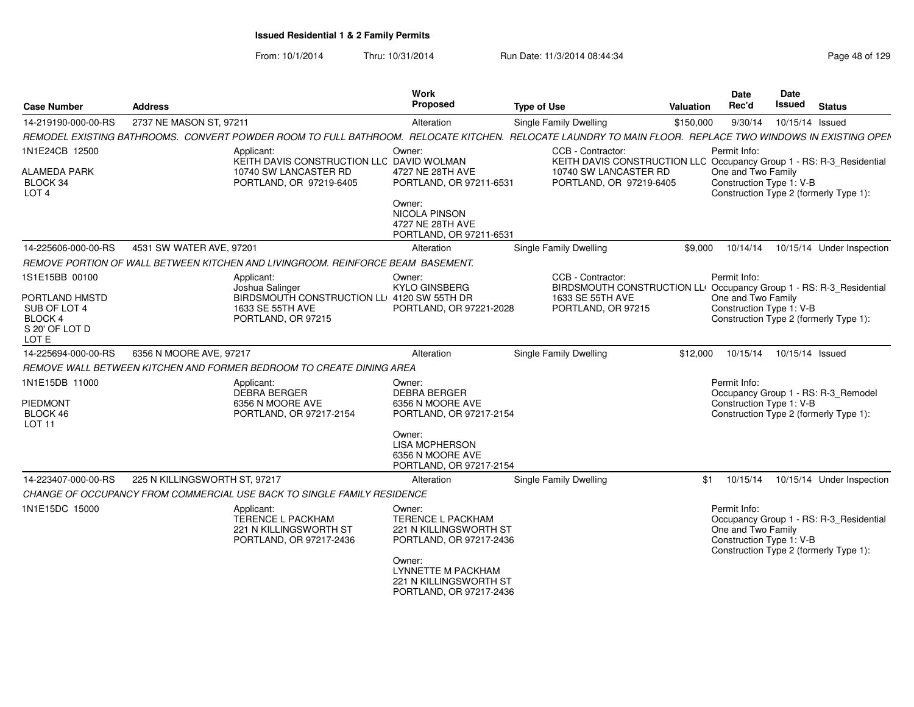| <b>Case Number</b>                                                   | <b>Address</b>                |                                                                                                                                                          | <b>Work</b><br><b>Proposed</b>                                                           | <b>Type of Use</b>                                                                        | <b>Valuation</b> | <b>Date</b><br>Rec'd                                           | <b>Date</b><br>Issued | <b>Status</b>                                                                     |
|----------------------------------------------------------------------|-------------------------------|----------------------------------------------------------------------------------------------------------------------------------------------------------|------------------------------------------------------------------------------------------|-------------------------------------------------------------------------------------------|------------------|----------------------------------------------------------------|-----------------------|-----------------------------------------------------------------------------------|
| 14-219190-000-00-RS                                                  | 2737 NE MASON ST, 97211       |                                                                                                                                                          | Alteration                                                                               | <b>Single Family Dwelling</b>                                                             | \$150,000        | 9/30/14                                                        | 10/15/14 Issued       |                                                                                   |
|                                                                      |                               | REMODEL EXISTING BATHROOMS. CONVERT POWDER ROOM TO FULL BATHROOM. RELOCATE KITCHEN. RELOCATE LAUNDRY TO MAIN FLOOR. REPLACE TWO WINDOWS IN EXISTING OPEN |                                                                                          |                                                                                           |                  |                                                                |                       |                                                                                   |
| 1N1E24CB 12500                                                       |                               | Applicant:<br>KEITH DAVIS CONSTRUCTION LLC DAVID WOLMAN                                                                                                  | Owner:                                                                                   | CCB - Contractor:<br>KEITH DAVIS CONSTRUCTION LLC Occupancy Group 1 - RS: R-3_Residential |                  | Permit Info:                                                   |                       |                                                                                   |
| <b>ALAMEDA PARK</b><br>BLOCK 34<br>LOT <sub>4</sub>                  |                               | 10740 SW LANCASTER RD<br>PORTLAND, OR 97219-6405                                                                                                         | 4727 NE 28TH AVE<br>PORTLAND, OR 97211-6531                                              | 10740 SW LANCASTER RD<br>PORTLAND, OR 97219-6405                                          |                  | One and Two Family<br>Construction Type 1: V-B                 |                       | Construction Type 2 (formerly Type 1):                                            |
|                                                                      |                               |                                                                                                                                                          | Owner:<br><b>NICOLA PINSON</b><br>4727 NE 28TH AVE<br>PORTLAND, OR 97211-6531            |                                                                                           |                  |                                                                |                       |                                                                                   |
| 14-225606-000-00-RS                                                  | 4531 SW WATER AVE, 97201      |                                                                                                                                                          | Alteration                                                                               | <b>Single Family Dwelling</b>                                                             | \$9,000          | 10/14/14                                                       |                       | 10/15/14 Under Inspection                                                         |
|                                                                      |                               | REMOVE PORTION OF WALL BETWEEN KITCHEN AND LIVINGROOM. REINFORCE BEAM BASEMENT.                                                                          |                                                                                          |                                                                                           |                  |                                                                |                       |                                                                                   |
| 1S1E15BB 00100                                                       |                               | Applicant:<br>Joshua Salinger                                                                                                                            | Owner:<br><b>KYLO GINSBERG</b>                                                           | CCB - Contractor:<br>BIRDSMOUTH CONSTRUCTION LLI Occupancy Group 1 - RS: R-3_Residential  |                  | Permit Info:                                                   |                       |                                                                                   |
| PORTLAND HMSTD<br>SUB OF LOT 4<br>BLOCK 4<br>S 20' OF LOT D<br>LOT E |                               | BIRDSMOUTH CONSTRUCTION LL 4120 SW 55TH DR<br>1633 SE 55TH AVE<br>PORTLAND, OR 97215                                                                     | PORTLAND, OR 97221-2028                                                                  | 1633 SE 55TH AVE<br>PORTLAND, OR 97215                                                    |                  | One and Two Family<br>Construction Type 1: V-B                 |                       | Construction Type 2 (formerly Type 1):                                            |
| 14-225694-000-00-RS                                                  | 6356 N MOORE AVE, 97217       |                                                                                                                                                          | Alteration                                                                               | <b>Single Family Dwelling</b>                                                             | \$12,000         | 10/15/14                                                       | 10/15/14 Issued       |                                                                                   |
|                                                                      |                               | REMOVE WALL BETWEEN KITCHEN AND FORMER BEDROOM TO CREATE DINING AREA                                                                                     |                                                                                          |                                                                                           |                  |                                                                |                       |                                                                                   |
| 1N1E15DB 11000                                                       |                               | Applicant:<br><b>DEBRA BERGER</b>                                                                                                                        | Owner:<br><b>DEBRA BERGER</b>                                                            |                                                                                           |                  | Permit Info:                                                   |                       | Occupancy Group 1 - RS: R-3 Remodel                                               |
| <b>PIEDMONT</b>                                                      |                               | 6356 N MOORE AVE                                                                                                                                         | 6356 N MOORE AVE                                                                         |                                                                                           |                  | Construction Type 1: V-B                                       |                       |                                                                                   |
| BLOCK 46<br><b>LOT 11</b>                                            |                               | PORTLAND, OR 97217-2154                                                                                                                                  | PORTLAND, OR 97217-2154                                                                  |                                                                                           |                  |                                                                |                       | Construction Type 2 (formerly Type 1):                                            |
|                                                                      |                               |                                                                                                                                                          | Owner:<br><b>LISA MCPHERSON</b><br>6356 N MOORE AVE<br>PORTLAND, OR 97217-2154           |                                                                                           |                  |                                                                |                       |                                                                                   |
| 14-223407-000-00-RS                                                  | 225 N KILLINGSWORTH ST, 97217 |                                                                                                                                                          | Alteration                                                                               | <b>Single Family Dwelling</b>                                                             | \$1              | 10/15/14                                                       |                       | 10/15/14 Under Inspection                                                         |
|                                                                      |                               | CHANGE OF OCCUPANCY FROM COMMERCIAL USE BACK TO SINGLE FAMILY RESIDENCE                                                                                  |                                                                                          |                                                                                           |                  |                                                                |                       |                                                                                   |
| 1N1E15DC 15000                                                       |                               | Applicant:<br><b>TERENCE L PACKHAM</b><br>221 N KILLINGSWORTH ST<br>PORTLAND, OR 97217-2436                                                              | Owner:<br><b>TERENCE L PACKHAM</b><br>221 N KILLINGSWORTH ST<br>PORTLAND, OR 97217-2436  |                                                                                           |                  | Permit Info:<br>One and Two Family<br>Construction Type 1: V-B |                       | Occupancy Group 1 - RS: R-3 Residential<br>Construction Type 2 (formerly Type 1): |
|                                                                      |                               |                                                                                                                                                          | Owner:<br><b>LYNNETTE M PACKHAM</b><br>221 N KILLINGSWORTH ST<br>PORTLAND, OR 97217-2436 |                                                                                           |                  |                                                                |                       |                                                                                   |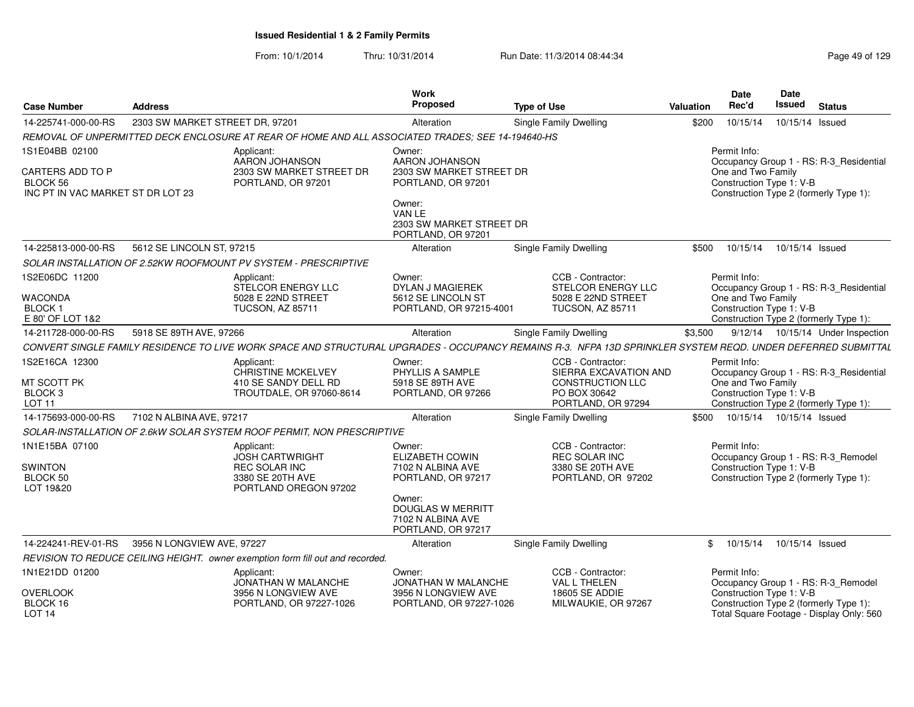| <b>Case Number</b>                                                   | <b>Address</b>                                                                                                                                               | <b>Work</b><br><b>Proposed</b>                                                | <b>Type of Use</b>                                                                                   | Date<br>Rec'd<br><b>Valuation</b>    | Date<br><b>Issued</b>                                              | <b>Status</b>                                                                     |
|----------------------------------------------------------------------|--------------------------------------------------------------------------------------------------------------------------------------------------------------|-------------------------------------------------------------------------------|------------------------------------------------------------------------------------------------------|--------------------------------------|--------------------------------------------------------------------|-----------------------------------------------------------------------------------|
| 14-225741-000-00-RS                                                  | 2303 SW MARKET STREET DR. 97201                                                                                                                              | Alteration                                                                    | Single Family Dwelling                                                                               | 10/15/14<br>\$200<br>10/15/14 Issued |                                                                    |                                                                                   |
|                                                                      | REMOVAL OF UNPERMITTED DECK ENCLOSURE AT REAR OF HOME AND ALL ASSOCIATED TRADES: SEE 14-194640-HS                                                            |                                                                               |                                                                                                      |                                      |                                                                    |                                                                                   |
| 1S1E04BB 02100<br>CARTERS ADD TO P                                   | Applicant:<br>AARON JOHANSON<br>2303 SW MARKET STREET DR                                                                                                     | Owner:<br><b>AARON JOHANSON</b><br>2303 SW MARKET STREET DR                   |                                                                                                      | Permit Info:                         | One and Two Family                                                 | Occupancy Group 1 - RS: R-3 Residential                                           |
| BLOCK 56<br>INC PT IN VAC MARKET ST DR LOT 23                        | PORTLAND, OR 97201                                                                                                                                           | PORTLAND, OR 97201                                                            |                                                                                                      |                                      | Construction Type 1: V-B<br>Construction Type 2 (formerly Type 1): |                                                                                   |
|                                                                      |                                                                                                                                                              | Owner:<br>VAN LE<br>2303 SW MARKET STREET DR<br>PORTLAND, OR 97201            |                                                                                                      |                                      |                                                                    |                                                                                   |
| 14-225813-000-00-RS                                                  | 5612 SE LINCOLN ST, 97215                                                                                                                                    | Alteration                                                                    | <b>Single Family Dwelling</b>                                                                        | \$500<br>10/15/14                    | 10/15/14 Issued                                                    |                                                                                   |
|                                                                      | SOLAR INSTALLATION OF 2.52KW ROOFMOUNT PV SYSTEM - PRESCRIPTIVE                                                                                              |                                                                               |                                                                                                      |                                      |                                                                    |                                                                                   |
| 1S2E06DC 11200                                                       | Applicant:<br>STELCOR ENERGY LLC                                                                                                                             | Owner:<br><b>DYLAN J MAGIEREK</b>                                             | CCB - Contractor:<br><b>STELCOR ENERGY LLC</b>                                                       | Permit Info:                         |                                                                    | Occupancy Group 1 - RS: R-3_Residential                                           |
| <b>WACONDA</b><br>BLOCK 1<br>E 80' OF LOT 1&2                        | 5028 E 22ND STREET<br><b>TUCSON, AZ 85711</b>                                                                                                                | 5612 SE LINCOLN ST<br>PORTLAND, OR 97215-4001                                 | 5028 E 22ND STREET<br><b>TUCSON, AZ 85711</b>                                                        |                                      | One and Two Family<br>Construction Type 1: V-B                     | Construction Type 2 (formerly Type 1):                                            |
| 14-211728-000-00-RS                                                  | 5918 SE 89TH AVE, 97266                                                                                                                                      | Alteration                                                                    | Single Family Dwelling                                                                               | \$3,500                              |                                                                    | 9/12/14  10/15/14  Under Inspection                                               |
|                                                                      | CONVERT SINGLE FAMILY RESIDENCE TO LIVE WORK SPACE AND STRUCTURAL UPGRADES - OCCUPANCY REMAINS R-3. NFPA 13D SPRINKLER SYSTEM REQD. UNDER DEFERRED SUBMITTAL |                                                                               |                                                                                                      |                                      |                                                                    |                                                                                   |
| 1S2E16CA 12300<br>MT SCOTT PK<br>BLOCK <sub>3</sub><br><b>LOT 11</b> | Applicant:<br><b>CHRISTINE MCKELVEY</b><br>410 SE SANDY DELL RD<br>TROUTDALE, OR 97060-8614                                                                  | Owner:<br>PHYLLIS A SAMPLE<br>5918 SE 89TH AVE<br>PORTLAND, OR 97266          | CCB - Contractor:<br>SIERRA EXCAVATION AND<br>CONSTRUCTION LLC<br>PO BOX 30642<br>PORTLAND, OR 97294 | Permit Info:                         | One and Two Family<br>Construction Type 1: V-B                     | Occupancy Group 1 - RS: R-3_Residential<br>Construction Type 2 (formerly Type 1): |
| 14-175693-000-00-RS                                                  | 7102 N ALBINA AVE, 97217                                                                                                                                     | Alteration                                                                    | Single Family Dwelling                                                                               | \$500                                | 10/15/14  10/15/14  Issued                                         |                                                                                   |
|                                                                      | SOLAR-INSTALLATION OF 2.6kW SOLAR SYSTEM ROOF PERMIT, NON PRESCRIPTIVE                                                                                       |                                                                               |                                                                                                      |                                      |                                                                    |                                                                                   |
| 1N1E15BA 07100<br><b>SWINTON</b><br>BLOCK 50<br>LOT 19&20            | Applicant:<br><b>JOSH CARTWRIGHT</b><br><b>REC SOLAR INC</b><br>3380 SE 20TH AVE<br>PORTLAND OREGON 97202                                                    | Owner:<br><b>ELIZABETH COWIN</b><br>7102 N ALBINA AVE<br>PORTLAND, OR 97217   | CCB - Contractor:<br><b>REC SOLAR INC</b><br>3380 SE 20TH AVE<br>PORTLAND, OR 97202                  | Permit Info:                         | Construction Type 1: V-B<br>Construction Type 2 (formerly Type 1): | Occupancy Group 1 - RS: R-3 Remodel                                               |
|                                                                      |                                                                                                                                                              | Owner:<br><b>DOUGLAS W MERRITT</b><br>7102 N ALBINA AVE<br>PORTLAND, OR 97217 |                                                                                                      |                                      |                                                                    |                                                                                   |
| 14-224241-REV-01-RS                                                  | 3956 N LONGVIEW AVE, 97227                                                                                                                                   | Alteration                                                                    | Single Family Dwelling                                                                               | 10/15/14<br>\$                       | 10/15/14 Issued                                                    |                                                                                   |
|                                                                      | REVISION TO REDUCE CEILING HEIGHT. owner exemption form fill out and recorded.                                                                               |                                                                               |                                                                                                      |                                      |                                                                    |                                                                                   |
| 1N1E21DD 01200                                                       | Applicant:<br>JONATHAN W MALANCHE                                                                                                                            | Owner:<br>JONATHAN W MALANCHE                                                 | CCB - Contractor:<br>VAL L THELEN                                                                    | Permit Info:                         |                                                                    | Occupancy Group 1 - RS: R-3_Remodel                                               |
| <b>OVERLOOK</b><br>BLOCK 16<br>LOT <sub>14</sub>                     | 3956 N LONGVIEW AVE<br>PORTLAND, OR 97227-1026                                                                                                               | 3956 N LONGVIEW AVE<br>PORTLAND, OR 97227-1026                                | <b>18605 SE ADDIE</b><br>MILWAUKIE, OR 97267                                                         |                                      | Construction Type 1: V-B<br>Construction Type 2 (formerly Type 1): | Total Square Footage - Display Only: 560                                          |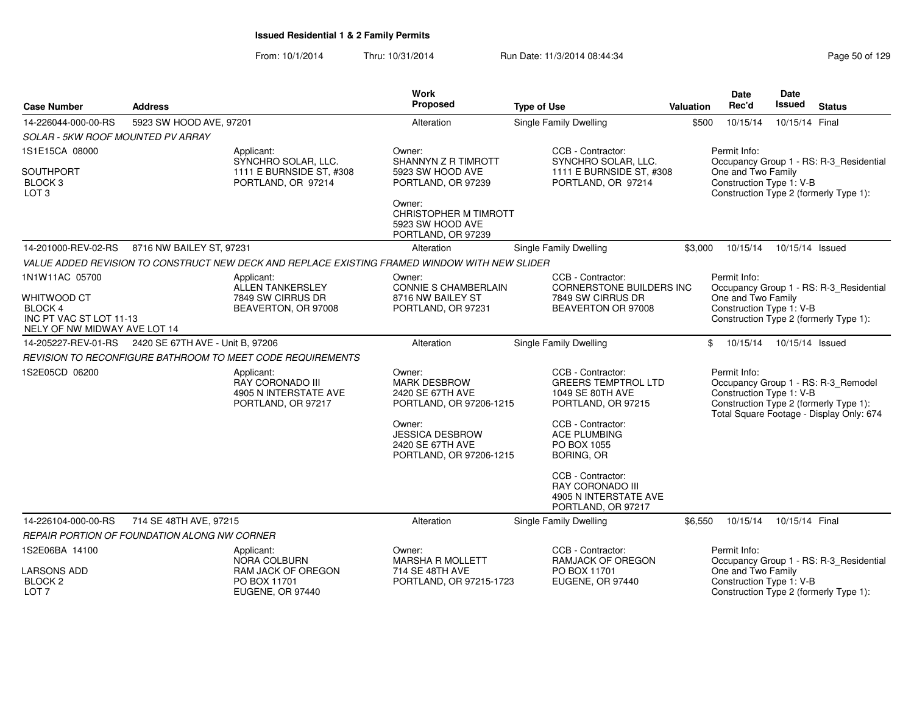| <b>Case Number</b>                                                                | <b>Address</b>                               |                                                                                               | <b>Work</b><br>Proposed                                                         | <b>Type of Use</b>                                                                          | Valuation | <b>Date</b><br>Rec'd                                                                                     | Date<br><b>Issued</b> | <b>Status</b>                                                                                                             |
|-----------------------------------------------------------------------------------|----------------------------------------------|-----------------------------------------------------------------------------------------------|---------------------------------------------------------------------------------|---------------------------------------------------------------------------------------------|-----------|----------------------------------------------------------------------------------------------------------|-----------------------|---------------------------------------------------------------------------------------------------------------------------|
| 14-226044-000-00-RS                                                               | 5923 SW HOOD AVE, 97201                      |                                                                                               | Alteration                                                                      | Single Family Dwelling                                                                      | \$500     | 10/15/14                                                                                                 | 10/15/14 Final        |                                                                                                                           |
| SOLAR - 5KW ROOF MOUNTED PV ARRAY                                                 |                                              |                                                                                               |                                                                                 |                                                                                             |           |                                                                                                          |                       |                                                                                                                           |
| 1S1E15CA 08000<br>SOUTHPORT<br>BLOCK <sub>3</sub><br>LOT <sub>3</sub>             |                                              | Applicant:<br>SYNCHRO SOLAR, LLC.<br>1111 E BURNSIDE ST, #308<br>PORTLAND, OR 97214           | Owner:<br>SHANNYN Z R TIMROTT<br>5923 SW HOOD AVE<br>PORTLAND, OR 97239         | CCB - Contractor:<br>SYNCHRO SOLAR, LLC.<br>1111 E BURNSIDE ST, #308<br>PORTLAND, OR 97214  |           | Permit Info:<br>One and Two Family<br>Construction Type 1: V-B<br>Construction Type 2 (formerly Type 1): |                       | Occupancy Group 1 - RS: R-3_Residential                                                                                   |
|                                                                                   |                                              |                                                                                               | Owner:<br>CHRISTOPHER M TIMROTT<br>5923 SW HOOD AVE<br>PORTLAND, OR 97239       |                                                                                             |           |                                                                                                          |                       |                                                                                                                           |
| 14-201000-REV-02-RS                                                               | 8716 NW BAILEY ST, 97231                     |                                                                                               | Alteration                                                                      | Single Family Dwelling                                                                      | \$3.000   | 10/15/14                                                                                                 | 10/15/14 Issued       |                                                                                                                           |
|                                                                                   |                                              | VALUE ADDED REVISION TO CONSTRUCT NEW DECK AND REPLACE EXISTING FRAMED WINDOW WITH NEW SLIDER |                                                                                 |                                                                                             |           |                                                                                                          |                       |                                                                                                                           |
| 1N1W11AC 05700                                                                    |                                              | Applicant:<br>ALLEN TANKERSLEY                                                                | Owner:<br><b>CONNIE S CHAMBERLAIN</b>                                           | CCB - Contractor:<br><b>CORNERSTONE BUILDERS INC</b>                                        |           | Permit Info:                                                                                             |                       | Occupancy Group 1 - RS: R-3_Residential                                                                                   |
| WHITWOOD CT<br>BLOCK 4<br>INC PT VAC ST LOT 11-13<br>NELY OF NW MIDWAY AVE LOT 14 |                                              | 7849 SW CIRRUS DR<br>BEAVERTON, OR 97008                                                      | 8716 NW BAILEY ST<br>PORTLAND, OR 97231                                         | 7849 SW CIRRUS DR<br>BEAVERTON OR 97008                                                     |           | One and Two Family<br>Construction Type 1: V-B<br>Construction Type 2 (formerly Type 1):                 |                       |                                                                                                                           |
| 14-205227-REV-01-RS                                                               | 2420 SE 67TH AVE - Unit B. 97206             |                                                                                               | Alteration                                                                      | <b>Single Family Dwelling</b>                                                               |           | 10/15/14<br>\$                                                                                           | 10/15/14 Issued       |                                                                                                                           |
|                                                                                   |                                              | REVISION TO RECONFIGURE BATHROOM TO MEET CODE REQUIREMENTS                                    |                                                                                 |                                                                                             |           |                                                                                                          |                       |                                                                                                                           |
| 1S2E05CD 06200                                                                    |                                              | Applicant:<br>RAY CORONADO III<br>4905 N INTERSTATE AVE<br>PORTLAND, OR 97217                 | Owner:<br><b>MARK DESBROW</b><br>2420 SE 67TH AVE<br>PORTLAND, OR 97206-1215    | CCB - Contractor:<br><b>GREERS TEMPTROL LTD</b><br>1049 SE 80TH AVE<br>PORTLAND, OR 97215   |           | Permit Info:<br>Construction Type 1: V-B                                                                 |                       | Occupancy Group 1 - RS: R-3_Remodel<br>Construction Type 2 (formerly Type 1):<br>Total Square Footage - Display Only: 674 |
|                                                                                   |                                              |                                                                                               | Owner:<br><b>JESSICA DESBROW</b><br>2420 SE 67TH AVE<br>PORTLAND, OR 97206-1215 | CCB - Contractor:<br><b>ACE PLUMBING</b><br>PO BOX 1055<br><b>BORING, OR</b>                |           |                                                                                                          |                       |                                                                                                                           |
|                                                                                   |                                              |                                                                                               |                                                                                 | CCB - Contractor:<br><b>RAY CORONADO III</b><br>4905 N INTERSTATE AVE<br>PORTLAND, OR 97217 |           |                                                                                                          |                       |                                                                                                                           |
| 14-226104-000-00-RS                                                               | 714 SE 48TH AVE, 97215                       |                                                                                               | Alteration                                                                      | Single Family Dwelling                                                                      | \$6,550   | 10/15/14                                                                                                 | 10/15/14 Final        |                                                                                                                           |
|                                                                                   | REPAIR PORTION OF FOUNDATION ALONG NW CORNER |                                                                                               |                                                                                 |                                                                                             |           |                                                                                                          |                       |                                                                                                                           |
| 1S2E06BA 14100                                                                    |                                              | Applicant:<br>NORA COLBURN                                                                    | Owner:<br><b>MARSHA R MOLLETT</b>                                               | CCB - Contractor:<br>RAMJACK OF OREGON                                                      |           | Permit Info:                                                                                             |                       | Occupancy Group 1 - RS: R-3_Residential                                                                                   |
| <b>LARSONS ADD</b><br><b>BLOCK 2</b><br>LOT <sub>7</sub>                          |                                              | RAM JACK OF OREGON<br>PO BOX 11701<br>EUGENE, OR 97440                                        | 714 SE 48TH AVE<br>PORTLAND, OR 97215-1723                                      | PO BOX 11701<br>EUGENE, OR 97440                                                            |           | One and Two Family<br>Construction Type 1: V-B<br>Construction Type 2 (formerly Type 1):                 |                       |                                                                                                                           |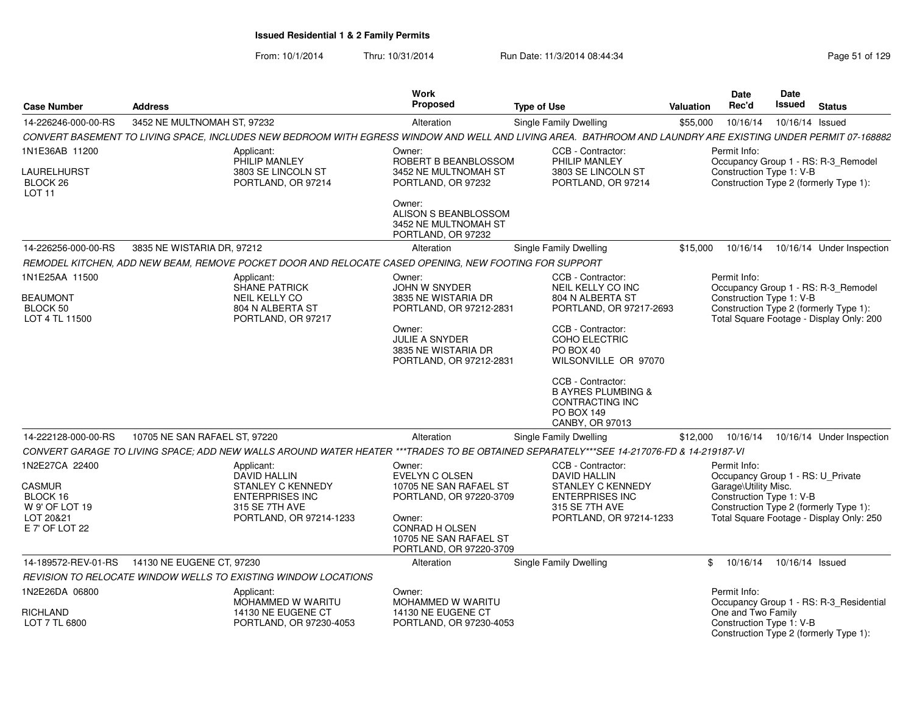| <b>Case Number</b>                                  | <b>Address</b>                                                                                                                                               | Work<br>Proposed                                                                     | <b>Type of Use</b>                                                                                            | <b>Valuation</b> | <b>Date</b><br>Rec'd | <b>Date</b><br>Issued                                                                                          | <b>Status</b> |
|-----------------------------------------------------|--------------------------------------------------------------------------------------------------------------------------------------------------------------|--------------------------------------------------------------------------------------|---------------------------------------------------------------------------------------------------------------|------------------|----------------------|----------------------------------------------------------------------------------------------------------------|---------------|
| 14-226246-000-00-RS                                 | 3452 NE MULTNOMAH ST, 97232                                                                                                                                  | Alteration                                                                           | Single Family Dwelling                                                                                        | \$55,000         | 10/16/14             | 10/16/14 Issued                                                                                                |               |
|                                                     | CONVERT BASEMENT TO LIVING SPACE, INCLUDES NEW BEDROOM WITH EGRESS WINDOW AND WELL AND LIVING AREA. BATHROOM AND LAUNDRY ARE EXISTING UNDER PERMIT 07-168882 |                                                                                      |                                                                                                               |                  |                      |                                                                                                                |               |
| 1N1E36AB 11200                                      | Applicant:<br>PHILIP MANLEY                                                                                                                                  | Owner:<br>ROBERT B BEANBLOSSOM                                                       | CCB - Contractor:<br>PHILIP MANLEY                                                                            |                  | Permit Info:         | Occupancy Group 1 - RS: R-3_Remodel                                                                            |               |
| <b>LAURELHURST</b><br>BLOCK 26<br>LOT <sub>11</sub> | 3803 SE LINCOLN ST<br>PORTLAND, OR 97214                                                                                                                     | 3452 NE MULTNOMAH ST<br>PORTLAND, OR 97232                                           | 3803 SE LINCOLN ST<br>PORTLAND, OR 97214                                                                      |                  |                      | Construction Type 1: V-B<br>Construction Type 2 (formerly Type 1):                                             |               |
|                                                     |                                                                                                                                                              | Owner:<br>ALISON S BEANBLOSSOM<br>3452 NE MULTNOMAH ST<br>PORTLAND, OR 97232         |                                                                                                               |                  |                      |                                                                                                                |               |
| 14-226256-000-00-RS                                 | 3835 NE WISTARIA DR. 97212                                                                                                                                   | Alteration                                                                           | <b>Single Family Dwelling</b>                                                                                 | \$15.000         | 10/16/14             | 10/16/14 Under Inspection                                                                                      |               |
|                                                     | REMODEL KITCHEN, ADD NEW BEAM, REMOVE POCKET DOOR AND RELOCATE CASED OPENING, NEW FOOTING FOR SUPPORT                                                        |                                                                                      |                                                                                                               |                  |                      |                                                                                                                |               |
| 1N1E25AA 11500                                      | Applicant:<br><b>SHANE PATRICK</b>                                                                                                                           | Owner:<br>JOHN W SNYDER                                                              | CCB - Contractor:<br>NEIL KELLY CO INC                                                                        |                  | Permit Info:         | Occupancy Group 1 - RS: R-3 Remodel                                                                            |               |
| <b>BEAUMONT</b><br>BLOCK 50<br>LOT 4 TL 11500       | <b>NEIL KELLY CO</b><br>804 N ALBERTA ST<br>PORTLAND, OR 97217                                                                                               | 3835 NE WISTARIA DR<br>PORTLAND, OR 97212-2831                                       | 804 N ALBERTA ST<br>PORTLAND, OR 97217-2693                                                                   |                  |                      | Construction Type 1: V-B<br>Construction Type 2 (formerly Type 1):<br>Total Square Footage - Display Only: 200 |               |
|                                                     |                                                                                                                                                              | Owner:<br>JULIE A SNYDER<br>3835 NE WISTARIA DR<br>PORTLAND, OR 97212-2831           | CCB - Contractor:<br>COHO ELECTRIC<br>PO BOX 40<br>WILSONVILLE OR 97070                                       |                  |                      |                                                                                                                |               |
|                                                     |                                                                                                                                                              |                                                                                      | CCB - Contractor:<br><b>B AYRES PLUMBING &amp;</b><br>CONTRACTING INC<br><b>PO BOX 149</b><br>CANBY, OR 97013 |                  |                      |                                                                                                                |               |
| 14-222128-000-00-RS                                 | 10705 NE SAN RAFAEL ST, 97220                                                                                                                                | Alteration                                                                           | <b>Single Family Dwelling</b>                                                                                 | \$12,000         |                      | 10/16/14  10/16/14  Under Inspection                                                                           |               |
|                                                     | CONVERT GARAGE TO LIVING SPACE; ADD NEW WALLS AROUND WATER HEATER ***TRADES TO BE OBTAINED SEPARATELY***SEE 14-217076-FD & 14-219187-VI                      |                                                                                      |                                                                                                               |                  |                      |                                                                                                                |               |
| 1N2E27CA 22400                                      | Applicant:<br><b>DAVID HALLIN</b>                                                                                                                            | Owner:<br><b>EVELYN C OLSEN</b>                                                      | CCB - Contractor:<br><b>DAVID HALLIN</b>                                                                      |                  | Permit Info:         | Occupancy Group 1 - RS: U Private                                                                              |               |
| <b>CASMUR</b><br>BLOCK 16<br>W 9' OF LOT 19         | <b>STANLEY C KENNEDY</b><br><b>ENTERPRISES INC</b><br>315 SE 7TH AVE                                                                                         | 10705 NE SAN RAFAEL ST<br>PORTLAND, OR 97220-3709                                    | <b>STANLEY C KENNEDY</b><br><b>ENTERPRISES INC</b><br>315 SE 7TH AVE                                          |                  | Garage\Utility Misc. | Construction Type 1: V-B<br>Construction Type 2 (formerly Type 1):                                             |               |
| LOT 20&21<br>E 7' OF LOT 22                         | PORTLAND, OR 97214-1233                                                                                                                                      | Owner:<br><b>CONRAD H OLSEN</b><br>10705 NE SAN RAFAEL ST<br>PORTLAND, OR 97220-3709 | PORTLAND, OR 97214-1233                                                                                       |                  |                      | Total Square Footage - Display Only: 250                                                                       |               |
| 14-189572-REV-01-RS                                 | 14130 NE EUGENE CT. 97230                                                                                                                                    | Alteration                                                                           | Single Family Dwelling                                                                                        |                  |                      | \$ 10/16/14 10/16/14 Issued                                                                                    |               |
|                                                     | REVISION TO RELOCATE WINDOW WELLS TO EXISTING WINDOW LOCATIONS                                                                                               |                                                                                      |                                                                                                               |                  |                      |                                                                                                                |               |
| 1N2E26DA 06800                                      | Applicant:<br>MOHAMMED W WARITU                                                                                                                              | Owner:<br>MOHAMMED W WARITU                                                          |                                                                                                               |                  | Permit Info:         | Occupancy Group 1 - RS: R-3 Residential                                                                        |               |
| RICHLAND<br>LOT 7 TL 6800                           | 14130 NE EUGENE CT<br>PORTLAND, OR 97230-4053                                                                                                                | 14130 NE EUGENE CT<br>PORTLAND, OR 97230-4053                                        |                                                                                                               |                  | One and Two Family   | Construction Type 1: V-B<br>Construction Type 2 (formerly Type 1):                                             |               |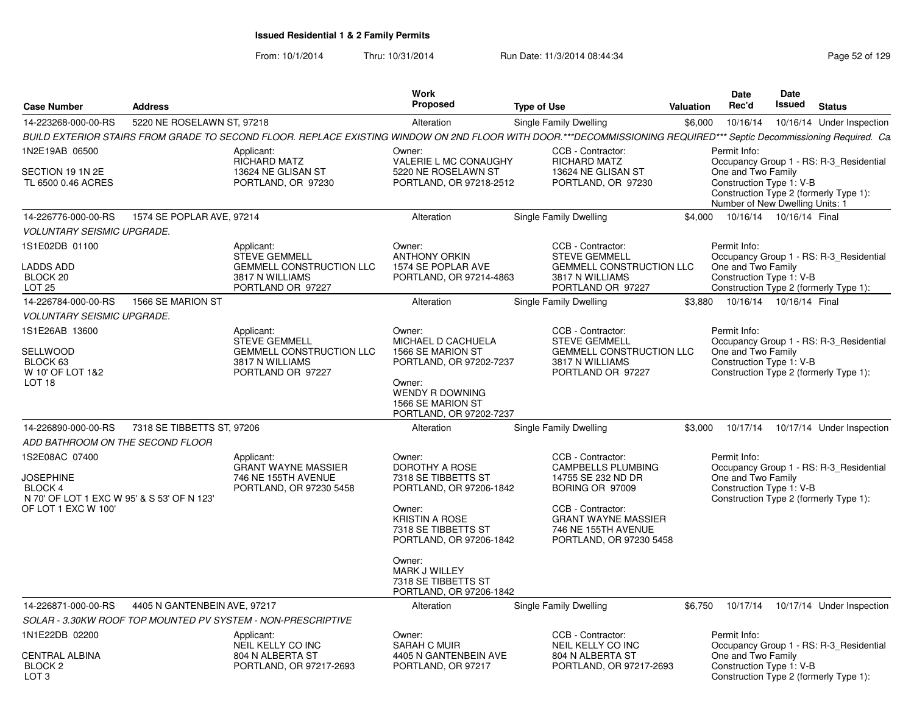| <b>Case Number</b><br><b>Address</b>                                                                                                                   |                                                                                                               | Work<br>Proposed                                                                                                                                                    | <b>Type of Use</b>                                                                                                                                                                           | Valuation | <b>Date</b><br>Rec'd                                                                              | Date<br><b>Issued</b>     | <b>Status</b>                                                                     |
|--------------------------------------------------------------------------------------------------------------------------------------------------------|---------------------------------------------------------------------------------------------------------------|---------------------------------------------------------------------------------------------------------------------------------------------------------------------|----------------------------------------------------------------------------------------------------------------------------------------------------------------------------------------------|-----------|---------------------------------------------------------------------------------------------------|---------------------------|-----------------------------------------------------------------------------------|
| 14-223268-000-00-RS                                                                                                                                    | 5220 NE ROSELAWN ST, 97218                                                                                    | Alteration                                                                                                                                                          | Single Family Dwelling                                                                                                                                                                       | \$6,000   | 10/16/14                                                                                          |                           | 10/16/14 Under Inspection                                                         |
|                                                                                                                                                        |                                                                                                               | BUILD EXTERIOR STAIRS FROM GRADE TO SECOND FLOOR. REPLACE EXISTING WINDOW ON 2ND FLOOR WITH DOOR.***DECOMMISSIONING REQUIRED*** Septic Decommissioning Required. Ca |                                                                                                                                                                                              |           |                                                                                                   |                           |                                                                                   |
| 1N2E19AB 06500<br>SECTION 19 1N 2E<br>TL 6500 0.46 ACRES                                                                                               | Applicant:<br><b>RICHARD MATZ</b><br>13624 NE GLISAN ST<br>PORTLAND, OR 97230                                 | Owner:<br><b>VALERIE L MC CONAUGHY</b><br>5220 NE ROSELAWN ST<br>PORTLAND, OR 97218-2512                                                                            | CCB - Contractor:<br><b>RICHARD MATZ</b><br>13624 NE GLISAN ST<br>PORTLAND, OR 97230                                                                                                         |           | Permit Info:<br>One and Two Family<br>Construction Type 1: V-B<br>Number of New Dwelling Units: 1 |                           | Occupancy Group 1 - RS: R-3_Residential<br>Construction Type 2 (formerly Type 1): |
| 14-226776-000-00-RS                                                                                                                                    | 1574 SE POPLAR AVE, 97214                                                                                     | Alteration                                                                                                                                                          | Single Family Dwelling                                                                                                                                                                       | \$4.000   |                                                                                                   | 10/16/14  10/16/14  Final |                                                                                   |
| <b>VOLUNTARY SEISMIC UPGRADE.</b>                                                                                                                      |                                                                                                               |                                                                                                                                                                     |                                                                                                                                                                                              |           |                                                                                                   |                           |                                                                                   |
| 1S1E02DB 01100<br><b>LADDS ADD</b><br>BLOCK <sub>20</sub><br>LOT <sub>25</sub>                                                                         | Applicant:<br><b>STEVE GEMMELL</b><br><b>GEMMELL CONSTRUCTION LLC</b><br>3817 N WILLIAMS<br>PORTLAND OR 97227 | Owner:<br><b>ANTHONY ORKIN</b><br>1574 SE POPLAR AVE<br>PORTLAND, OR 97214-4863                                                                                     | CCB - Contractor:<br><b>STEVE GEMMELL</b><br><b>GEMMELL CONSTRUCTION LLC</b><br>3817 N WILLIAMS<br>PORTLAND OR 97227                                                                         |           | Permit Info:<br>One and Two Family<br>Construction Type 1: V-B                                    |                           | Occupancy Group 1 - RS: R-3 Residential<br>Construction Type 2 (formerly Type 1): |
| 14-226784-000-00-RS                                                                                                                                    | 1566 SE MARION ST                                                                                             | Alteration                                                                                                                                                          | Single Family Dwelling                                                                                                                                                                       | \$3,880   |                                                                                                   | 10/16/14  10/16/14  Final |                                                                                   |
| <b>VOLUNTARY SEISMIC UPGRADE.</b>                                                                                                                      |                                                                                                               |                                                                                                                                                                     |                                                                                                                                                                                              |           |                                                                                                   |                           |                                                                                   |
| 1S1E26AB 13600<br>SELLWOOD<br>BLOCK 63<br>W 10' OF LOT 1&2<br>LOT 18                                                                                   | Applicant:<br><b>STEVE GEMMELL</b><br><b>GEMMELL CONSTRUCTION LLC</b><br>3817 N WILLIAMS<br>PORTLAND OR 97227 | Owner:<br>MICHAEL D CACHUELA<br>1566 SE MARION ST<br>PORTLAND, OR 97202-7237<br>Owner:<br><b>WENDY R DOWNING</b>                                                    | CCB - Contractor:<br><b>STEVE GEMMELL</b><br>GEMMELL CONSTRUCTION LLC<br>3817 N WILLIAMS<br>PORTLAND OR 97227                                                                                |           | Permit Info:<br>One and Two Family<br>Construction Type 1: V-B                                    |                           | Occupancy Group 1 - RS: R-3 Residential<br>Construction Type 2 (formerly Type 1): |
|                                                                                                                                                        |                                                                                                               | 1566 SE MARION ST<br>PORTLAND, OR 97202-7237                                                                                                                        |                                                                                                                                                                                              |           |                                                                                                   |                           |                                                                                   |
| 14-226890-000-00-RS                                                                                                                                    | 7318 SE TIBBETTS ST, 97206                                                                                    | Alteration                                                                                                                                                          | Single Family Dwelling                                                                                                                                                                       | \$3,000   | 10/17/14                                                                                          |                           | 10/17/14 Under Inspection                                                         |
| ADD BATHROOM ON THE SECOND FLOOR<br>1S2E08AC 07400<br><b>JOSEPHINE</b><br>BLOCK 4<br>N 70' OF LOT 1 EXC W 95' & S 53' OF N 123'<br>OF LOT 1 EXC W 100' | Applicant:<br><b>GRANT WAYNE MASSIER</b><br>746 NE 155TH AVENUE<br>PORTLAND, OR 97230 5458                    | Owner:<br>DOROTHY A ROSE<br>7318 SE TIBBETTS ST<br>PORTLAND, OR 97206-1842<br>Owner:<br><b>KRISTIN A ROSE</b><br>7318 SE TIBBETTS ST<br>PORTLAND, OR 97206-1842     | CCB - Contractor:<br><b>CAMPBELLS PLUMBING</b><br>14755 SE 232 ND DR<br>BORING OR 97009<br>CCB - Contractor:<br><b>GRANT WAYNE MASSIER</b><br>746 NE 155TH AVENUE<br>PORTLAND, OR 97230 5458 |           | Permit Info:<br>One and Two Family<br>Construction Type 1: V-B                                    |                           | Occupancy Group 1 - RS: R-3 Residential<br>Construction Type 2 (formerly Type 1): |
|                                                                                                                                                        |                                                                                                               | Owner:<br>MARK J WILLEY<br>7318 SE TIBBETTS ST<br>PORTLAND, OR 97206-1842                                                                                           |                                                                                                                                                                                              |           |                                                                                                   |                           |                                                                                   |
| 14-226871-000-00-RS                                                                                                                                    | 4405 N GANTENBEIN AVE, 97217                                                                                  | Alteration                                                                                                                                                          | Single Family Dwelling                                                                                                                                                                       | \$6,750   | 10/17/14                                                                                          |                           | 10/17/14 Under Inspection                                                         |
|                                                                                                                                                        | SOLAR - 3.30KW ROOF TOP MOUNTED PV SYSTEM - NON-PRESCRIPTIVE                                                  |                                                                                                                                                                     |                                                                                                                                                                                              |           |                                                                                                   |                           |                                                                                   |
| 1N1E22DB 02200<br><b>CENTRAL ALBINA</b><br>BLOCK <sub>2</sub><br>LOT <sub>3</sub>                                                                      | Applicant:<br>NEIL KELLY CO INC<br>804 N ALBERTA ST<br>PORTLAND, OR 97217-2693                                | Owner:<br>SARAH C MUIR<br>4405 N GANTENBEIN AVE<br>PORTLAND, OR 97217                                                                                               | CCB - Contractor:<br>NEIL KELLY CO INC<br>804 N ALBERTA ST<br>PORTLAND, OR 97217-2693                                                                                                        |           | Permit Info:<br>One and Two Family<br>Construction Type 1: V-B                                    |                           | Occupancy Group 1 - RS: R-3 Residential<br>Construction Type 2 (formerly Type 1): |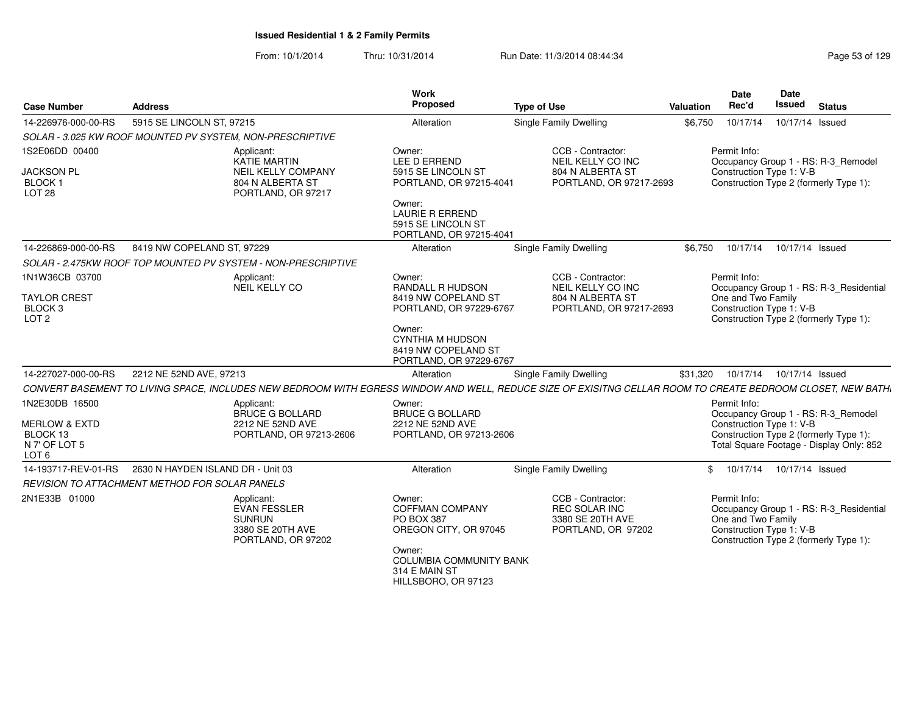| <b>Case Number</b>                                              | <b>Address</b>                                                                                                                                              |                                                                     | Work<br>Proposed                                                                    | <b>Type of Use</b>                                                                    | <b>Valuation</b> | Date<br>Rec'd                                                                                            | Date<br><b>Issued</b>      | <b>Status</b>                            |
|-----------------------------------------------------------------|-------------------------------------------------------------------------------------------------------------------------------------------------------------|---------------------------------------------------------------------|-------------------------------------------------------------------------------------|---------------------------------------------------------------------------------------|------------------|----------------------------------------------------------------------------------------------------------|----------------------------|------------------------------------------|
| 14-226976-000-00-RS                                             | 5915 SE LINCOLN ST, 97215                                                                                                                                   |                                                                     | Alteration                                                                          | Single Family Dwelling                                                                | \$6,750          | 10/17/14                                                                                                 | 10/17/14 Issued            |                                          |
|                                                                 | SOLAR - 3.025 KW ROOF MOUNTED PV SYSTEM. NON-PRESCRIPTIVE                                                                                                   |                                                                     |                                                                                     |                                                                                       |                  |                                                                                                          |                            |                                          |
| 1S2E06DD 00400<br><b>JACKSON PL</b><br>BLOCK 1<br><b>LOT 28</b> | Applicant:<br><b>KATIE MARTIN</b>                                                                                                                           | <b>NEIL KELLY COMPANY</b><br>804 N ALBERTA ST<br>PORTLAND, OR 97217 | Owner:<br>LEE D ERREND<br>5915 SE LINCOLN ST<br>PORTLAND, OR 97215-4041             | CCB - Contractor:<br>NEIL KELLY CO INC<br>804 N ALBERTA ST<br>PORTLAND, OR 97217-2693 |                  | Permit Info:<br>Construction Type 1: V-B<br>Construction Type 2 (formerly Type 1):                       |                            | Occupancy Group 1 - RS: R-3_Remodel      |
|                                                                 |                                                                                                                                                             |                                                                     | Owner:<br><b>LAURIE R ERREND</b><br>5915 SE LINCOLN ST<br>PORTLAND, OR 97215-4041   |                                                                                       |                  |                                                                                                          |                            |                                          |
| 14-226869-000-00-RS                                             | 8419 NW COPELAND ST, 97229                                                                                                                                  |                                                                     | Alteration                                                                          | Single Family Dwelling                                                                | \$6.750          |                                                                                                          | 10/17/14  10/17/14  Issued |                                          |
|                                                                 | SOLAR - 2.475KW ROOF TOP MOUNTED PV SYSTEM - NON-PRESCRIPTIVE                                                                                               |                                                                     |                                                                                     |                                                                                       |                  |                                                                                                          |                            |                                          |
| 1N1W36CB 03700                                                  | Applicant:<br>NEIL KELLY CO                                                                                                                                 |                                                                     | Owner:<br><b>RANDALL R HUDSON</b>                                                   | CCB - Contractor:<br>NEIL KELLY CO INC                                                |                  | Permit Info:                                                                                             |                            | Occupancy Group 1 - RS: R-3_Residential  |
| <b>TAYLOR CREST</b><br>BLOCK 3<br>LOT <sub>2</sub>              |                                                                                                                                                             |                                                                     | 8419 NW COPELAND ST<br>PORTLAND, OR 97229-6767                                      | 804 N ALBERTA ST<br>PORTLAND, OR 97217-2693                                           |                  | One and Two Family<br>Construction Type 1: V-B<br>Construction Type 2 (formerly Type 1):                 |                            |                                          |
|                                                                 |                                                                                                                                                             |                                                                     | Owner:<br><b>CYNTHIA M HUDSON</b><br>8419 NW COPELAND ST<br>PORTLAND, OR 97229-6767 |                                                                                       |                  |                                                                                                          |                            |                                          |
| 14-227027-000-00-RS                                             | 2212 NE 52ND AVE, 97213                                                                                                                                     |                                                                     | Alteration                                                                          | Single Family Dwelling                                                                | \$31,320         |                                                                                                          | 10/17/14  10/17/14  Issued |                                          |
|                                                                 | CONVERT BASEMENT TO LIVING SPACE, INCLUDES NEW BEDROOM WITH EGRESS WINDOW AND WELL, REDUCE SIZE OF EXISITNG CELLAR ROOM TO CREATE BEDROOM CLOSET, NEW BATH. |                                                                     |                                                                                     |                                                                                       |                  |                                                                                                          |                            |                                          |
| 1N2E30DB 16500                                                  | Applicant:                                                                                                                                                  | <b>BRUCE G BOLLARD</b>                                              | Owner:<br><b>BRUCE G BOLLARD</b>                                                    |                                                                                       |                  | Permit Info:                                                                                             |                            | Occupancy Group 1 - RS: R-3_Remodel      |
| <b>MERLOW &amp; EXTD</b>                                        |                                                                                                                                                             | 2212 NE 52ND AVE                                                    | 2212 NE 52ND AVE                                                                    |                                                                                       |                  | Construction Type 1: V-B                                                                                 |                            |                                          |
| BLOCK 13<br>N 7' OF LOT 5<br>LOT <sub>6</sub>                   |                                                                                                                                                             | PORTLAND, OR 97213-2606                                             | PORTLAND, OR 97213-2606                                                             |                                                                                       |                  | Construction Type 2 (formerly Type 1):                                                                   |                            | Total Square Footage - Display Only: 852 |
| 14-193717-REV-01-RS                                             | 2630 N HAYDEN ISLAND DR - Unit 03                                                                                                                           |                                                                     | Alteration                                                                          | <b>Single Family Dwelling</b>                                                         |                  | \$ 10/17/14 10/17/14 Issued                                                                              |                            |                                          |
|                                                                 | <b>REVISION TO ATTACHMENT METHOD FOR SOLAR PANELS</b>                                                                                                       |                                                                     |                                                                                     |                                                                                       |                  |                                                                                                          |                            |                                          |
| 2N1E33B 01000                                                   | Applicant:<br><b>EVAN FESSLER</b><br><b>SUNRUN</b>                                                                                                          | 3380 SE 20TH AVE<br>PORTLAND, OR 97202                              | Owner:<br><b>COFFMAN COMPANY</b><br>PO BOX 387<br>OREGON CITY, OR 97045<br>Owner:   | CCB - Contractor:<br>REC SOLAR INC<br>3380 SE 20TH AVE<br>PORTLAND, OR 97202          |                  | Permit Info:<br>One and Two Family<br>Construction Type 1: V-B<br>Construction Type 2 (formerly Type 1): |                            | Occupancy Group 1 - RS: R-3_Residential  |
|                                                                 |                                                                                                                                                             |                                                                     | <b>COLUMBIA COMMUNITY BANK</b><br>314 E MAIN ST<br>HILLSBORO, OR 97123              |                                                                                       |                  |                                                                                                          |                            |                                          |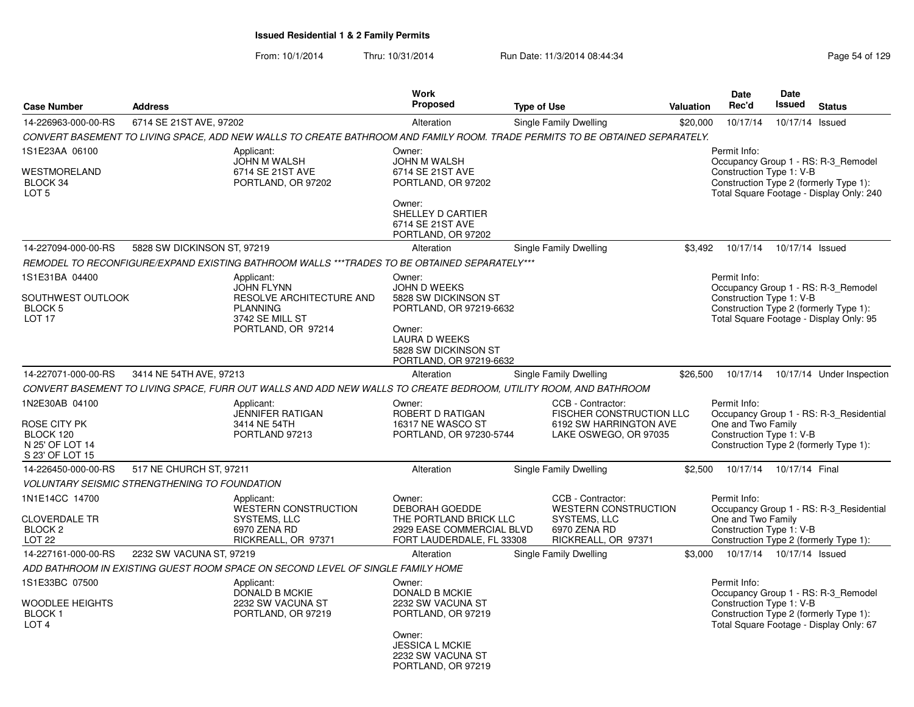| <b>Case Number</b>                                                                | <b>Address</b>                                       |                                                                                                                              | <b>Work</b><br>Proposed                                                                                                                                        | <b>Type of Use</b> |                                                                                                         | Valuation | Date<br>Rec'd                                                  | Date<br><b>Issued</b>      | <b>Status</b>                                                                                                             |
|-----------------------------------------------------------------------------------|------------------------------------------------------|------------------------------------------------------------------------------------------------------------------------------|----------------------------------------------------------------------------------------------------------------------------------------------------------------|--------------------|---------------------------------------------------------------------------------------------------------|-----------|----------------------------------------------------------------|----------------------------|---------------------------------------------------------------------------------------------------------------------------|
| 14-226963-000-00-RS                                                               | 6714 SE 21ST AVE, 97202                              |                                                                                                                              | Alteration                                                                                                                                                     |                    | Single Family Dwelling                                                                                  | \$20,000  | 10/17/14                                                       | 10/17/14 Issued            |                                                                                                                           |
|                                                                                   |                                                      | CONVERT BASEMENT TO LIVING SPACE, ADD NEW WALLS TO CREATE BATHROOM AND FAMILY ROOM. TRADE PERMITS TO BE OBTAINED SEPARATELY. |                                                                                                                                                                |                    |                                                                                                         |           |                                                                |                            |                                                                                                                           |
| 1S1E23AA 06100<br>WESTMORELAND<br>BLOCK 34<br>LOT <sub>5</sub>                    |                                                      | Applicant:<br><b>JOHN M WALSH</b><br>6714 SE 21ST AVE<br>PORTLAND, OR 97202                                                  | Owner:<br><b>JOHN M WALSH</b><br>6714 SE 21ST AVE<br>PORTLAND, OR 97202<br>Owner:<br>SHELLEY D CARTIER<br>6714 SE 21ST AVE<br>PORTLAND, OR 97202               |                    |                                                                                                         |           | Permit Info:<br>Construction Type 1: V-B                       |                            | Occupancy Group 1 - RS: R-3_Remodel<br>Construction Type 2 (formerly Type 1):<br>Total Square Footage - Display Only: 240 |
| 14-227094-000-00-RS                                                               | 5828 SW DICKINSON ST, 97219                          |                                                                                                                              | Alteration                                                                                                                                                     |                    | Single Family Dwelling                                                                                  | \$3,492   | 10/17/14                                                       | 10/17/14 Issued            |                                                                                                                           |
|                                                                                   |                                                      | REMODEL TO RECONFIGURE/EXPAND EXISTING BATHROOM WALLS ***TRADES TO BE OBTAINED SEPARATELY***                                 |                                                                                                                                                                |                    |                                                                                                         |           |                                                                |                            |                                                                                                                           |
| 1S1E31BA 04400<br>SOUTHWEST OUTLOOK<br>BLOCK 5<br><b>LOT 17</b>                   |                                                      | Applicant:<br><b>JOHN FLYNN</b><br>RESOLVE ARCHITECTURE AND<br><b>PLANNING</b><br>3742 SE MILL ST<br>PORTLAND, OR 97214      | Owner:<br><b>JOHN D WEEKS</b><br>5828 SW DICKINSON ST<br>PORTLAND, OR 97219-6632<br>Owner:<br>LAURA D WEEKS<br>5828 SW DICKINSON ST<br>PORTLAND, OR 97219-6632 |                    |                                                                                                         |           | Permit Info:<br>Construction Type 1: V-B                       |                            | Occupancy Group 1 - RS: R-3 Remodel<br>Construction Type 2 (formerly Type 1):<br>Total Square Footage - Display Only: 95  |
| 14-227071-000-00-RS                                                               | 3414 NE 54TH AVE, 97213                              |                                                                                                                              | Alteration                                                                                                                                                     |                    | Single Family Dwelling                                                                                  | \$26,500  | 10/17/14                                                       |                            | 10/17/14 Under Inspection                                                                                                 |
|                                                                                   |                                                      | CONVERT BASEMENT TO LIVING SPACE, FURR OUT WALLS AND ADD NEW WALLS TO CREATE BEDROOM, UTILITY ROOM, AND BATHROOM             |                                                                                                                                                                |                    |                                                                                                         |           |                                                                |                            |                                                                                                                           |
| 1N2E30AB 04100<br>ROSE CITY PK<br>BLOCK 120<br>N 25' OF LOT 14<br>S 23' OF LOT 15 |                                                      | Applicant:<br><b>JENNIFER RATIGAN</b><br>3414 NE 54TH<br>PORTLAND 97213                                                      | Owner:<br>ROBERT D RATIGAN<br>16317 NE WASCO ST<br>PORTLAND, OR 97230-5744                                                                                     |                    | CCB - Contractor:<br>FISCHER CONSTRUCTION LLC<br>6192 SW HARRINGTON AVE<br>LAKE OSWEGO, OR 97035        |           | Permit Info:<br>One and Two Family<br>Construction Type 1: V-B |                            | Occupancy Group 1 - RS: R-3 Residential<br>Construction Type 2 (formerly Type 1):                                         |
| 14-226450-000-00-RS                                                               | 517 NE CHURCH ST, 97211                              |                                                                                                                              | Alteration                                                                                                                                                     |                    | Single Family Dwelling                                                                                  | \$2,500   |                                                                | 10/17/14  10/17/14  Final  |                                                                                                                           |
|                                                                                   | <b>VOLUNTARY SEISMIC STRENGTHENING TO FOUNDATION</b> |                                                                                                                              |                                                                                                                                                                |                    |                                                                                                         |           |                                                                |                            |                                                                                                                           |
| 1N1E14CC 14700<br>CLOVERDALE TR<br>BLOCK 2<br>LOT <sub>22</sub>                   |                                                      | Applicant:<br><b>WESTERN CONSTRUCTION</b><br>SYSTEMS, LLC<br>6970 ZENA RD<br>RICKREALL, OR 97371                             | Owner:<br><b>DEBORAH GOEDDE</b><br>THE PORTLAND BRICK LLC<br>2929 EASE COMMERCIAL BLVD<br>FORT LAUDERDALE, FL 33308                                            |                    | CCB - Contractor:<br><b>WESTERN CONSTRUCTION</b><br>SYSTEMS, LLC<br>6970 ZENA RD<br>RICKREALL, OR 97371 |           | Permit Info:<br>One and Two Family<br>Construction Type 1: V-B |                            | Occupancy Group 1 - RS: R-3_Residential<br>Construction Type 2 (formerly Type 1):                                         |
| 14-227161-000-00-RS                                                               | 2232 SW VACUNA ST, 97219                             |                                                                                                                              | Alteration                                                                                                                                                     |                    | Single Family Dwelling                                                                                  | \$3,000   |                                                                | 10/17/14  10/17/14  Issued |                                                                                                                           |
|                                                                                   |                                                      | ADD BATHROOM IN EXISTING GUEST ROOM SPACE ON SECOND LEVEL OF SINGLE FAMILY HOME                                              |                                                                                                                                                                |                    |                                                                                                         |           |                                                                |                            |                                                                                                                           |
| 1S1E33BC 07500<br>WOODLEE HEIGHTS<br><b>BLOCK1</b><br>LOT <sub>4</sub>            |                                                      | Applicant:<br>DONALD B MCKIE<br>2232 SW VACUNA ST<br>PORTLAND, OR 97219                                                      | Owner:<br>DONALD B MCKIE<br>2232 SW VACUNA ST<br>PORTLAND, OR 97219<br>Owner:<br><b>JESSICA L MCKIE</b><br>2232 SW VACUNA ST<br>PORTLAND, OR 97219             |                    |                                                                                                         |           | Permit Info:<br>Construction Type 1: V-B                       |                            | Occupancy Group 1 - RS: R-3 Remodel<br>Construction Type 2 (formerly Type 1):<br>Total Square Footage - Display Only: 67  |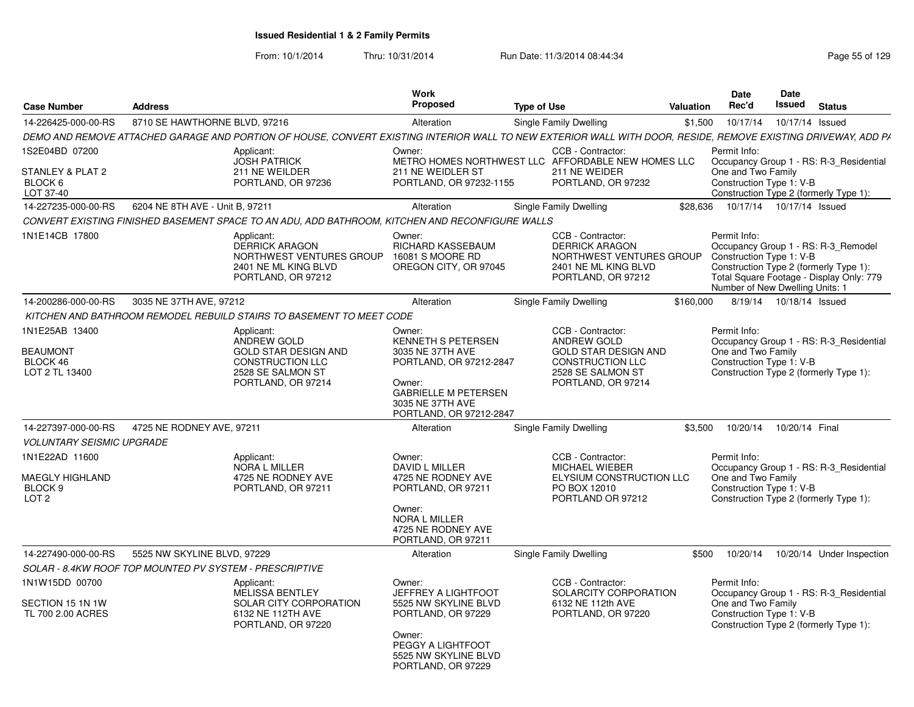| <b>Case Number</b>                                                                                                                           | <b>Address</b>                  |                                                                                                                                                               | Work<br><b>Proposed</b>                                                                                                                                                                                              | <b>Type of Use</b>                                                                                                                                                                                     | <b>Valuation</b> | Date<br>Rec'd                                                                              | <b>Date</b><br>Issued      | <b>Status</b>                                                                                                                |
|----------------------------------------------------------------------------------------------------------------------------------------------|---------------------------------|---------------------------------------------------------------------------------------------------------------------------------------------------------------|----------------------------------------------------------------------------------------------------------------------------------------------------------------------------------------------------------------------|--------------------------------------------------------------------------------------------------------------------------------------------------------------------------------------------------------|------------------|--------------------------------------------------------------------------------------------|----------------------------|------------------------------------------------------------------------------------------------------------------------------|
| 14-226425-000-00-RS                                                                                                                          | 8710 SE HAWTHORNE BLVD, 97216   |                                                                                                                                                               | Alteration                                                                                                                                                                                                           | Single Family Dwelling                                                                                                                                                                                 | \$1,500          | 10/17/14                                                                                   | 10/17/14 Issued            |                                                                                                                              |
|                                                                                                                                              |                                 | DEMO AND REMOVE ATTACHED GARAGE AND PORTION OF HOUSE, CONVERT EXISTING INTERIOR WALL TO NEW EXTERIOR WALL WITH DOOR, RESIDE, REMOVE EXISTING DRIVEWAY, ADD PA |                                                                                                                                                                                                                      |                                                                                                                                                                                                        |                  |                                                                                            |                            |                                                                                                                              |
| 1S2E04BD 07200<br>STANLEY & PLAT 2<br>BLOCK 6<br>LOT 37-40                                                                                   |                                 | Applicant:<br><b>JOSH PATRICK</b><br>211 NE WEILDER<br>PORTLAND, OR 97236                                                                                     | Owner:<br>211 NE WEIDLER ST<br>PORTLAND, OR 97232-1155                                                                                                                                                               | CCB - Contractor:<br>METRO HOMES NORTHWEST LLC AFFORDABLE NEW HOMES LLC<br>211 NE WEIDER<br>PORTLAND, OR 97232                                                                                         |                  | Permit Info:<br>One and Two Family<br>Construction Type 1: V-B                             |                            | Occupancy Group 1 - RS: R-3 Residential<br>Construction Type 2 (formerly Type 1):                                            |
| 14-227235-000-00-RS                                                                                                                          | 6204 NE 8TH AVE - Unit B, 97211 |                                                                                                                                                               | Alteration                                                                                                                                                                                                           | Single Family Dwelling                                                                                                                                                                                 | \$28.636         |                                                                                            | 10/17/14  10/17/14  Issued |                                                                                                                              |
|                                                                                                                                              |                                 | CONVERT EXISTING FINISHED BASEMENT SPACE TO AN ADU, ADD BATHROOM, KITCHEN AND RECONFIGURE WALLS                                                               |                                                                                                                                                                                                                      |                                                                                                                                                                                                        |                  |                                                                                            |                            |                                                                                                                              |
| 1N1E14CB 17800                                                                                                                               |                                 | Applicant:<br><b>DERRICK ARAGON</b><br>NORTHWEST VENTURES GROUP<br>2401 NE ML KING BLVD<br>PORTLAND, OR 97212                                                 | Owner:<br>RICHARD KASSEBAUM<br>16081 S MOORE RD<br>OREGON CITY, OR 97045                                                                                                                                             | CCB - Contractor:<br><b>DERRICK ARAGON</b><br>NORTHWEST VENTURES GROUP<br>2401 NE ML KING BLVD<br>PORTLAND, OR 97212                                                                                   |                  | Permit Info:<br>Construction Type 1: V-B<br>Number of New Dwelling Units: 1                |                            | Occupancy Group 1 - RS: R-3_Remodel<br>Construction Type 2 (formerly Type 1):<br>Total Square Footage - Display Only: 779    |
| 14-200286-000-00-RS                                                                                                                          | 3035 NE 37TH AVE, 97212         |                                                                                                                                                               | Alteration                                                                                                                                                                                                           | Single Family Dwelling                                                                                                                                                                                 | \$160.000        |                                                                                            | 8/19/14  10/18/14  Issued  |                                                                                                                              |
|                                                                                                                                              |                                 | KITCHEN AND BATHROOM REMODEL REBUILD STAIRS TO BASEMENT TO MEET CODE                                                                                          |                                                                                                                                                                                                                      |                                                                                                                                                                                                        |                  |                                                                                            |                            |                                                                                                                              |
| 1N1E25AB 13400<br><b>BEAUMONT</b><br>BLOCK 46<br>LOT 2 TL 13400<br>14-227397-000-00-RS<br><b>VOLUNTARY SEISMIC UPGRADE</b><br>1N1E22AD 11600 | 4725 NE RODNEY AVE, 97211       | Applicant:<br>ANDREW GOLD<br><b>GOLD STAR DESIGN AND</b><br><b>CONSTRUCTION LLC</b><br>2528 SE SALMON ST<br>PORTLAND, OR 97214<br>Applicant:<br>NORA L MILLER | Owner:<br><b>KENNETH S PETERSEN</b><br>3035 NE 37TH AVE<br>PORTLAND, OR 97212-2847<br>Owner:<br><b>GABRIELLE M PETERSEN</b><br>3035 NE 37TH AVE<br>PORTLAND, OR 97212-2847<br>Alteration<br>Owner:<br>DAVID L MILLER | CCB - Contractor:<br>ANDREW GOLD<br><b>GOLD STAR DESIGN AND</b><br><b>CONSTRUCTION LLC</b><br>2528 SE SALMON ST<br>PORTLAND, OR 97214<br>Single Family Dwelling<br>CCB - Contractor:<br>MICHAEL WIEBER | \$3,500          | Permit Info:<br>One and Two Family<br>Construction Type 1: V-B<br>10/20/14<br>Permit Info: | 10/20/14 Final             | Occupancy Group 1 - RS: R-3_Residential<br>Construction Type 2 (formerly Type 1):<br>Occupancy Group 1 - RS: R-3 Residential |
| MAEGLY HIGHLAND<br>BLOCK 9<br>LOT <sub>2</sub>                                                                                               |                                 | 4725 NE RODNEY AVE<br>PORTLAND, OR 97211                                                                                                                      | 4725 NE RODNEY AVE<br>PORTLAND, OR 97211<br>Owner:<br><b>NORA L MILLER</b><br>4725 NE RODNEY AVE<br>PORTLAND, OR 97211                                                                                               | ELYSIUM CONSTRUCTION LLC<br>PO BOX 12010<br>PORTLAND OR 97212                                                                                                                                          |                  | One and Two Family<br>Construction Type 1: V-B                                             |                            | Construction Type 2 (formerly Type 1):                                                                                       |
| 14-227490-000-00-RS                                                                                                                          | 5525 NW SKYLINE BLVD, 97229     |                                                                                                                                                               | Alteration                                                                                                                                                                                                           | Single Family Dwelling                                                                                                                                                                                 | \$500            | 10/20/14                                                                                   |                            | 10/20/14 Under Inspection                                                                                                    |
| SOLAR - 8.4KW ROOF TOP MOUNTED PV SYSTEM - PRESCRIPTIVE                                                                                      |                                 |                                                                                                                                                               |                                                                                                                                                                                                                      |                                                                                                                                                                                                        |                  |                                                                                            |                            |                                                                                                                              |
| 1N1W15DD 00700<br>SECTION 15 1N 1W<br>TL 700 2.00 ACRES                                                                                      |                                 | Applicant:<br><b>MELISSA BENTLEY</b><br>SOLAR CITY CORPORATION<br>6132 NE 112TH AVE<br>PORTLAND, OR 97220                                                     | Owner:<br>JEFFREY A LIGHTFOOT<br>5525 NW SKYLINE BLVD<br>PORTLAND, OR 97229<br>Owner:<br>PEGGY A LIGHTFOOT<br>5525 NW SKYLINE BLVD<br>PORTLAND, OR 97229                                                             | CCB - Contractor:<br>SOLARCITY CORPORATION<br>6132 NE 112th AVE<br>PORTLAND, OR 97220                                                                                                                  |                  | Permit Info:<br>One and Two Family<br>Construction Type 1: V-B                             |                            | Occupancy Group 1 - RS: R-3 Residential<br>Construction Type 2 (formerly Type 1):                                            |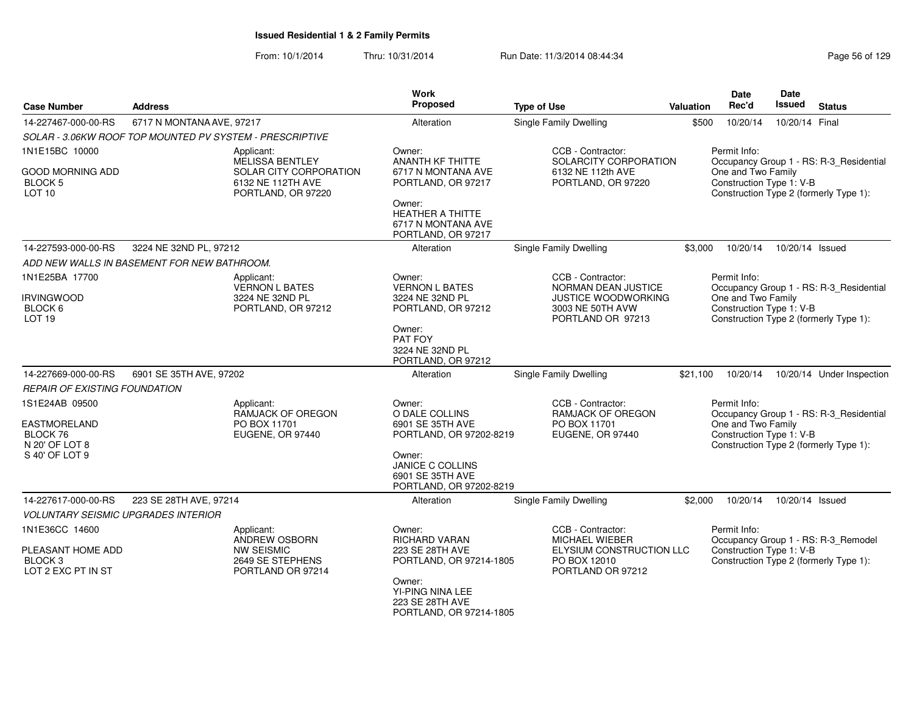| <b>Case Number</b>                                                                    | <b>Address</b>                              |                                                                                                    | Work<br><b>Proposed</b>                                                                                                                                  | <b>Type of Use</b>                                                                                       | <b>Valuation</b> | Date<br>Rec'd                                                  | Date<br><b>Issued</b> | <b>Status</b>                                                                     |
|---------------------------------------------------------------------------------------|---------------------------------------------|----------------------------------------------------------------------------------------------------|----------------------------------------------------------------------------------------------------------------------------------------------------------|----------------------------------------------------------------------------------------------------------|------------------|----------------------------------------------------------------|-----------------------|-----------------------------------------------------------------------------------|
| 14-227467-000-00-RS                                                                   | 6717 N MONTANA AVE, 97217                   |                                                                                                    | Alteration                                                                                                                                               | Single Family Dwelling                                                                                   | \$500            | 10/20/14                                                       | 10/20/14 Final        |                                                                                   |
|                                                                                       |                                             | SOLAR - 3.06KW ROOF TOP MOUNTED PV SYSTEM - PRESCRIPTIVE                                           |                                                                                                                                                          |                                                                                                          |                  |                                                                |                       |                                                                                   |
| 1N1E15BC 10000<br>GOOD MORNING ADD<br><b>BLOCK 5</b><br>LOT <sub>10</sub>             |                                             | Applicant:<br>MELISSA BENTLEY<br>SOLAR CITY CORPORATION<br>6132 NE 112TH AVE<br>PORTLAND, OR 97220 | Owner:<br><b>ANANTH KF THITTE</b><br>6717 N MONTANA AVE<br>PORTLAND, OR 97217<br>Owner:<br>HEATHER A THITTE<br>6717 N MONTANA AVE<br>PORTLAND, OR 97217  | CCB - Contractor:<br>SOLARCITY CORPORATION<br>6132 NE 112th AVE<br>PORTLAND, OR 97220                    |                  | Permit Info:<br>One and Two Family<br>Construction Type 1: V-B |                       | Occupancy Group 1 - RS: R-3_Residential<br>Construction Type 2 (formerly Type 1): |
| 14-227593-000-00-RS                                                                   | 3224 NE 32ND PL, 97212                      |                                                                                                    | Alteration                                                                                                                                               | Single Family Dwelling                                                                                   | \$3,000          | 10/20/14                                                       | 10/20/14 Issued       |                                                                                   |
|                                                                                       | ADD NEW WALLS IN BASEMENT FOR NEW BATHROOM. |                                                                                                    |                                                                                                                                                          |                                                                                                          |                  |                                                                |                       |                                                                                   |
| 1N1E25BA 17700<br><b>IRVINGWOOD</b><br>BLOCK 6<br>LOT <sub>19</sub>                   |                                             | Applicant:<br><b>VERNON L BATES</b><br>3224 NE 32ND PL<br>PORTLAND, OR 97212                       | Owner:<br><b>VERNON L BATES</b><br>3224 NE 32ND PL<br>PORTLAND, OR 97212<br>Owner:<br>PAT FOY<br>3224 NE 32ND PL<br>PORTLAND, OR 97212                   | CCB - Contractor:<br>NORMAN DEAN JUSTICE<br>JUSTICE WOODWORKING<br>3003 NE 50TH AVW<br>PORTLAND OR 97213 |                  | Permit Info:<br>One and Two Family<br>Construction Type 1: V-B |                       | Occupancy Group 1 - RS: R-3_Residential<br>Construction Type 2 (formerly Type 1): |
| 14-227669-000-00-RS                                                                   | 6901 SE 35TH AVE, 97202                     |                                                                                                    | Alteration                                                                                                                                               | Single Family Dwelling                                                                                   | \$21,100         | 10/20/14                                                       |                       | 10/20/14 Under Inspection                                                         |
| <b>REPAIR OF EXISTING FOUNDATION</b>                                                  |                                             |                                                                                                    |                                                                                                                                                          |                                                                                                          |                  |                                                                |                       |                                                                                   |
| 1S1E24AB 09500<br><b>EASTMORELAND</b><br>BLOCK 76<br>N 20' OF LOT 8<br>S 40' OF LOT 9 |                                             | Applicant:<br>RAMJACK OF OREGON<br>PO BOX 11701<br>EUGENE, OR 97440                                | Owner:<br>O DALE COLLINS<br>6901 SE 35TH AVE<br>PORTLAND, OR 97202-8219<br>Owner:<br>JANICE C COLLINS<br>6901 SE 35TH AVE<br>PORTLAND, OR 97202-8219     | CCB - Contractor:<br><b>RAMJACK OF OREGON</b><br>PO BOX 11701<br>EUGENE, OR 97440                        |                  | Permit Info:<br>One and Two Family<br>Construction Type 1: V-B |                       | Occupancy Group 1 - RS: R-3_Residential<br>Construction Type 2 (formerly Type 1): |
| 14-227617-000-00-RS                                                                   | 223 SE 28TH AVE, 97214                      |                                                                                                    | Alteration                                                                                                                                               | Single Family Dwelling                                                                                   | \$2,000          | 10/20/14                                                       | 10/20/14 Issued       |                                                                                   |
| 1N1E36CC 14600<br>PLEASANT HOME ADD<br>BLOCK <sub>3</sub><br>LOT 2 EXC PT IN ST       | <b>VOLUNTARY SEISMIC UPGRADES INTERIOR</b>  | Applicant:<br>ANDREW OSBORN<br><b>NW SEISMIC</b><br>2649 SE STEPHENS<br>PORTLAND OR 97214          | Owner:<br><b>RICHARD VARAN</b><br>223 SE 28TH AVE<br>PORTLAND, OR 97214-1805<br>Owner:<br>YI-PING NINA LEE<br>223 SE 28TH AVE<br>PORTLAND, OR 97214-1805 | CCB - Contractor:<br>MICHAEL WIEBER<br>ELYSIUM CONSTRUCTION LLC<br>PO BOX 12010<br>PORTLAND OR 97212     |                  | Permit Info:<br>Construction Type 1: V-B                       |                       | Occupancy Group 1 - RS: R-3_Remodel<br>Construction Type 2 (formerly Type 1):     |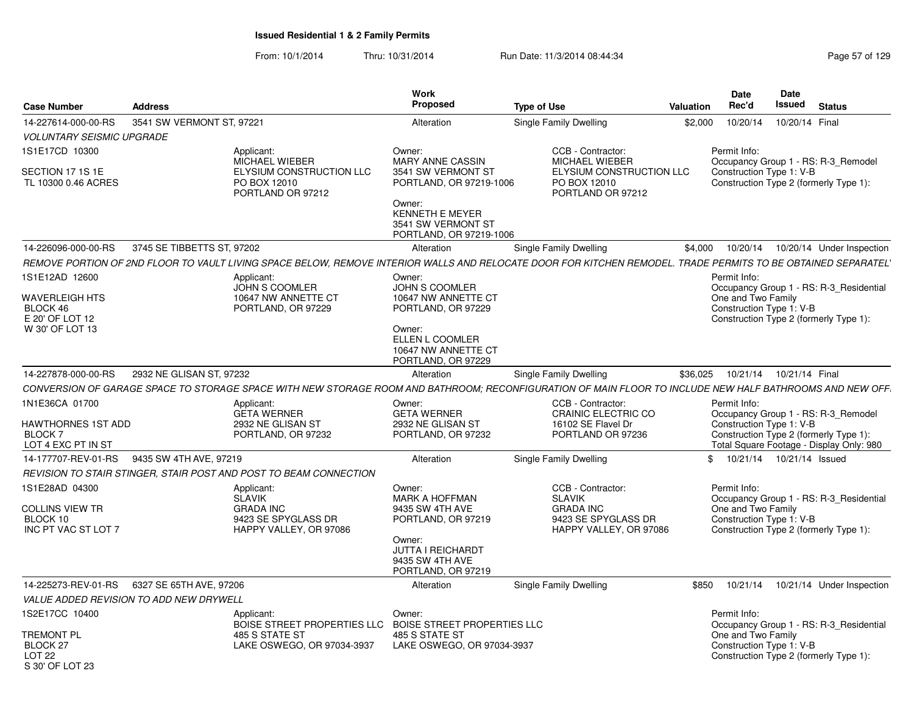| <b>Case Number</b>                                                          | <b>Address</b>                          |                                                                                                                                                               | <b>Work</b><br><b>Proposed</b>                                                                                                                          | <b>Type of Use</b>                                                                                      | <b>Valuation</b> | Date<br>Rec'd                                                  | Date<br><b>Issued</b> | <b>Status</b>                                                                                                             |
|-----------------------------------------------------------------------------|-----------------------------------------|---------------------------------------------------------------------------------------------------------------------------------------------------------------|---------------------------------------------------------------------------------------------------------------------------------------------------------|---------------------------------------------------------------------------------------------------------|------------------|----------------------------------------------------------------|-----------------------|---------------------------------------------------------------------------------------------------------------------------|
| 14-227614-000-00-RS                                                         | 3541 SW VERMONT ST, 97221               |                                                                                                                                                               | Alteration                                                                                                                                              | Single Family Dwelling                                                                                  | \$2,000          | 10/20/14                                                       | 10/20/14 Final        |                                                                                                                           |
| <b>VOLUNTARY SEISMIC UPGRADE</b>                                            |                                         |                                                                                                                                                               |                                                                                                                                                         |                                                                                                         |                  |                                                                |                       |                                                                                                                           |
| 1S1E17CD 10300                                                              |                                         | Applicant:                                                                                                                                                    | Owner:                                                                                                                                                  | CCB - Contractor:                                                                                       |                  | Permit Info:                                                   |                       |                                                                                                                           |
| SECTION 17 1S 1E<br>TL 10300 0.46 ACRES                                     |                                         | <b>MICHAEL WIEBER</b><br>ELYSIUM CONSTRUCTION LLC<br>PO BOX 12010<br>PORTLAND OR 97212                                                                        | <b>MARY ANNE CASSIN</b><br>3541 SW VERMONT ST<br>PORTLAND, OR 97219-1006                                                                                | MICHAEL WIEBER<br>ELYSIUM CONSTRUCTION LLC<br>PO BOX 12010<br>PORTLAND OR 97212                         |                  | Construction Type 1: V-B                                       |                       | Occupancy Group 1 - RS: R-3 Remodel<br>Construction Type 2 (formerly Type 1):                                             |
|                                                                             |                                         |                                                                                                                                                               | Owner:<br><b>KENNETH E MEYER</b><br>3541 SW VERMONT ST<br>PORTLAND, OR 97219-1006                                                                       |                                                                                                         |                  |                                                                |                       |                                                                                                                           |
| 14-226096-000-00-RS                                                         | 3745 SE TIBBETTS ST, 97202              |                                                                                                                                                               | Alteration                                                                                                                                              | <b>Single Family Dwelling</b>                                                                           | \$4,000          | 10/20/14                                                       |                       | 10/20/14 Under Inspection                                                                                                 |
|                                                                             |                                         | REMOVE PORTION OF 2ND FLOOR TO VAULT LIVING SPACE BELOW. REMOVE INTERIOR WALLS AND RELOCATE DOOR FOR KITCHEN REMODEL. TRADE PERMITS TO BE OBTAINED SEPARATEL' |                                                                                                                                                         |                                                                                                         |                  |                                                                |                       |                                                                                                                           |
| 1S1E12AD 12600                                                              |                                         | Applicant:                                                                                                                                                    | Owner:                                                                                                                                                  |                                                                                                         |                  | Permit Info:                                                   |                       |                                                                                                                           |
| <b>WAVERLEIGH HTS</b><br>BLOCK 46<br>E 20' OF LOT 12<br>W 30' OF LOT 13     |                                         | <b>JOHN S COOMLER</b><br>10647 NW ANNETTE CT<br>PORTLAND, OR 97229                                                                                            | <b>JOHN S COOMLER</b><br>10647 NW ANNETTE CT<br>PORTLAND, OR 97229<br>Owner:<br>ELLEN L COOMLER<br>10647 NW ANNETTE CT                                  |                                                                                                         |                  | One and Two Family<br>Construction Type 1: V-B                 |                       | Occupancy Group 1 - RS: R-3_Residential<br>Construction Type 2 (formerly Type 1):                                         |
|                                                                             |                                         |                                                                                                                                                               | PORTLAND, OR 97229                                                                                                                                      |                                                                                                         |                  |                                                                |                       |                                                                                                                           |
| 14-227878-000-00-RS                                                         | 2932 NE GLISAN ST, 97232                |                                                                                                                                                               | Alteration                                                                                                                                              | Single Family Dwelling                                                                                  | \$36,025         | 10/21/14                                                       | 10/21/14 Final        |                                                                                                                           |
|                                                                             |                                         | CONVERSION OF GARAGE SPACE TO STORAGE SPACE WITH NEW STORAGE ROOM AND BATHROOM; RECONFIGURATION OF MAIN FLOOR TO INCLUDE NEW HALF BATHROOMS AND NEW OFF.      |                                                                                                                                                         |                                                                                                         |                  |                                                                |                       |                                                                                                                           |
| 1N1E36CA 01700<br>HAWTHORNES 1ST ADD<br><b>BLOCK7</b><br>LOT 4 EXC PT IN ST |                                         | Applicant:<br><b>GETA WERNER</b><br>2932 NE GLISAN ST<br>PORTLAND, OR 97232                                                                                   | Owner:<br><b>GETA WERNER</b><br>2932 NE GLISAN ST<br>PORTLAND, OR 97232                                                                                 | CCB - Contractor:<br>CRAINIC ELECTRIC CO<br>16102 SE Flavel Dr<br>PORTLAND OR 97236                     |                  | Permit Info:<br>Construction Type 1: V-B                       |                       | Occupancy Group 1 - RS: R-3_Remodel<br>Construction Type 2 (formerly Type 1):<br>Total Square Footage - Display Only: 980 |
| 14-177707-REV-01-RS                                                         | 9435 SW 4TH AVE, 97219                  |                                                                                                                                                               | Alteration                                                                                                                                              | Single Family Dwelling                                                                                  |                  | 10/21/14  10/21/14  Issued<br>\$                               |                       |                                                                                                                           |
|                                                                             |                                         | REVISION TO STAIR STINGER, STAIR POST AND POST TO BEAM CONNECTION                                                                                             |                                                                                                                                                         |                                                                                                         |                  |                                                                |                       |                                                                                                                           |
| 1S1E28AD 04300<br><b>COLLINS VIEW TR</b><br>BLOCK 10<br>INC PT VAC ST LOT 7 |                                         | Applicant:<br><b>SLAVIK</b><br><b>GRADA INC</b><br>9423 SE SPYGLASS DR<br>HAPPY VALLEY, OR 97086                                                              | Owner:<br><b>MARK A HOFFMAN</b><br>9435 SW 4TH AVE<br>PORTLAND, OR 97219<br>Owner:<br><b>JUTTA I REICHARDT</b><br>9435 SW 4TH AVE<br>PORTLAND, OR 97219 | CCB - Contractor:<br><b>SLAVIK</b><br><b>GRADA INC</b><br>9423 SE SPYGLASS DR<br>HAPPY VALLEY, OR 97086 |                  | Permit Info:<br>One and Two Family<br>Construction Type 1: V-B |                       | Occupancy Group 1 - RS: R-3_Residential<br>Construction Type 2 (formerly Type 1):                                         |
| 14-225273-REV-01-RS                                                         | 6327 SE 65TH AVE, 97206                 |                                                                                                                                                               | Alteration                                                                                                                                              | Single Family Dwelling                                                                                  | \$850            | 10/21/14                                                       |                       | 10/21/14 Under Inspection                                                                                                 |
|                                                                             | VALUE ADDED REVISION TO ADD NEW DRYWELL |                                                                                                                                                               |                                                                                                                                                         |                                                                                                         |                  |                                                                |                       |                                                                                                                           |
| 1S2E17CC 10400                                                              |                                         | Applicant:                                                                                                                                                    | Owner:                                                                                                                                                  |                                                                                                         |                  | Permit Info:                                                   |                       |                                                                                                                           |
| Tremont Pl<br>BLOCK <sub>27</sub><br>LOT <sub>22</sub><br>S 30' OF LOT 23   |                                         | BOISE STREET PROPERTIES LLC BOISE STREET PROPERTIES LLC<br>485 S STATE ST<br>LAKE OSWEGO, OR 97034-3937                                                       | 485 S STATE ST<br>LAKE OSWEGO, OR 97034-3937                                                                                                            |                                                                                                         |                  | One and Two Family<br>Construction Type 1: V-B                 |                       | Occupancy Group 1 - RS: R-3_Residential<br>Construction Type 2 (formerly Type 1):                                         |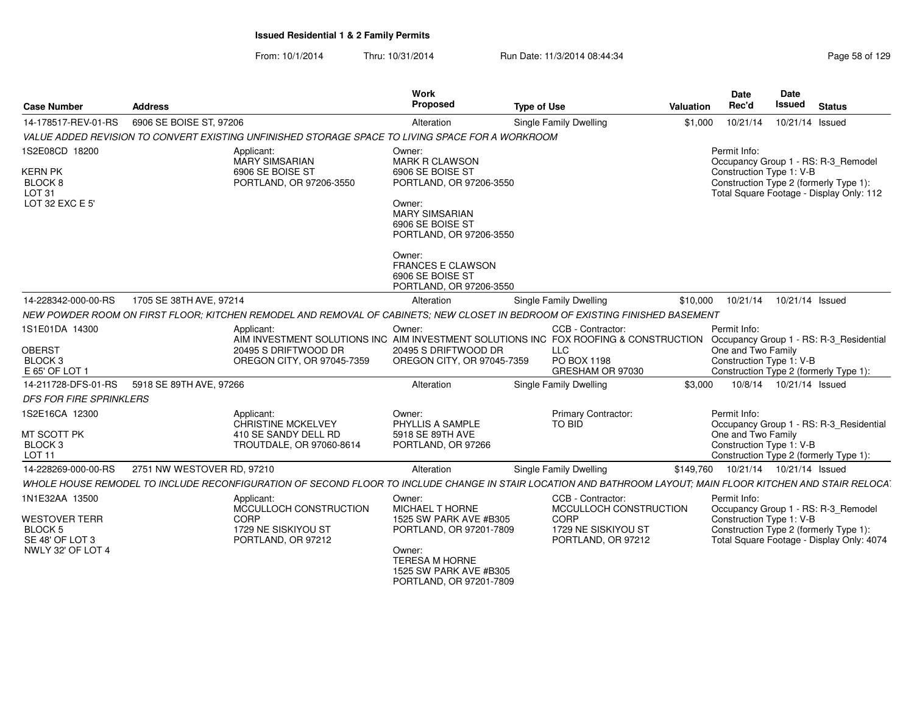| <b>Case Number</b>                                                                                   | <b>Address</b>                              |                                                                                                                                                             | Work<br>Proposed                                                                                                                                                 | <b>Type of Use</b>                                                                               | Date<br>Rec'd<br>Valuation         | Date<br>Issued             | <b>Status</b>                                                                                                              |
|------------------------------------------------------------------------------------------------------|---------------------------------------------|-------------------------------------------------------------------------------------------------------------------------------------------------------------|------------------------------------------------------------------------------------------------------------------------------------------------------------------|--------------------------------------------------------------------------------------------------|------------------------------------|----------------------------|----------------------------------------------------------------------------------------------------------------------------|
| 14-178517-REV-01-RS                                                                                  | 6906 SE BOISE ST, 97206                     |                                                                                                                                                             | Alteration                                                                                                                                                       | Single Family Dwelling                                                                           | \$1,000                            | 10/21/14  10/21/14  Issued |                                                                                                                            |
|                                                                                                      |                                             | VALUE ADDED REVISION TO CONVERT EXISTING UNFINISHED STORAGE SPACE TO LIVING SPACE FOR A WORKROOM                                                            |                                                                                                                                                                  |                                                                                                  |                                    |                            |                                                                                                                            |
| 1S2E08CD 18200<br><b>KERN PK</b><br>BLOCK <sub>8</sub><br>LOT 31<br>LOT 32 EXC E 5'                  |                                             | Applicant:<br>MARY SIMSARIAN<br>6906 SE BOISE ST<br>PORTLAND, OR 97206-3550                                                                                 | Owner:<br><b>MARK R CLAWSON</b><br>6906 SE BOISE ST<br>PORTLAND, OR 97206-3550<br>Owner:<br><b>MARY SIMSARIAN</b><br>6906 SE BOISE ST<br>PORTLAND, OR 97206-3550 |                                                                                                  | Permit Info:                       | Construction Type 1: V-B   | Occupancy Group 1 - RS: R-3_Remodel<br>Construction Type 2 (formerly Type 1):<br>Total Square Footage - Display Only: 112  |
|                                                                                                      |                                             |                                                                                                                                                             | Owner:<br><b>FRANCES E CLAWSON</b><br>6906 SE BOISE ST<br>PORTLAND, OR 97206-3550                                                                                |                                                                                                  |                                    |                            |                                                                                                                            |
| 14-228342-000-00-RS                                                                                  | 1705 SE 38TH AVE, 97214                     |                                                                                                                                                             | Alteration                                                                                                                                                       | Single Family Dwelling                                                                           | \$10.000                           | 10/21/14  10/21/14  Issued |                                                                                                                            |
|                                                                                                      |                                             | NEW POWDER ROOM ON FIRST FLOOR; KITCHEN REMODEL AND REMOVAL OF CABINETS; NEW CLOSET IN BEDROOM OF EXISTING FINISHED BASEMENT                                |                                                                                                                                                                  |                                                                                                  |                                    |                            |                                                                                                                            |
| 1S1E01DA 14300<br><b>OBERST</b><br>BLOCK <sub>3</sub><br>E 65' OF LOT 1                              |                                             | Applicant:<br>AIM INVESTMENT SOLUTIONS INC AIM INVESTMENT SOLUTIONS INC FOX ROOFING & CONSTRUCTION<br>20495 S DRIFTWOOD DR<br>OREGON CITY, OR 97045-7359    | Owner:<br>20495 S DRIFTWOOD DR<br>OREGON CITY, OR 97045-7359                                                                                                     | CCB - Contractor:<br>LLC<br>PO BOX 1198<br>GRESHAM OR 97030                                      | Permit Info:<br>One and Two Family | Construction Type 1: V-B   | Occupancy Group 1 - RS: R-3_Residential<br>Construction Type 2 (formerly Type 1):                                          |
|                                                                                                      | 14-211728-DFS-01-RS 5918 SE 89TH AVE, 97266 |                                                                                                                                                             | Alteration                                                                                                                                                       | <b>Single Family Dwelling</b>                                                                    | \$3.000                            | 10/8/14  10/21/14  Issued  |                                                                                                                            |
| DFS FOR FIRE SPRINKLERS                                                                              |                                             |                                                                                                                                                             |                                                                                                                                                                  |                                                                                                  |                                    |                            |                                                                                                                            |
| 1S2E16CA 12300<br>MT SCOTT PK<br><b>BLOCK 3</b><br><b>LOT 11</b>                                     |                                             | Applicant:<br>CHRISTINE MCKELVEY<br>410 SE SANDY DELL RD<br>TROUTDALE, OR 97060-8614                                                                        | Owner:<br>PHYLLIS A SAMPLE<br>5918 SE 89TH AVE<br>PORTLAND, OR 97266                                                                                             | <b>Primary Contractor:</b><br>TO BID                                                             | Permit Info:<br>One and Two Family | Construction Type 1: V-B   | Occupancy Group 1 - RS: R-3_Residential<br>Construction Type 2 (formerly Type 1):                                          |
| 14-228269-000-00-RS                                                                                  | 2751 NW WESTOVER RD. 97210                  |                                                                                                                                                             | Alteration                                                                                                                                                       | Single Family Dwelling                                                                           | \$149,760                          | 10/21/14  10/21/14  Issued |                                                                                                                            |
|                                                                                                      |                                             | WHOLE HOUSE REMODEL TO INCLUDE RECONFIGURATION OF SECOND FLOOR TO INCLUDE CHANGE IN STAIR LOCATION AND BATHROOM LAYOUT; MAIN FLOOR KITCHEN AND STAIR RELOCA |                                                                                                                                                                  |                                                                                                  |                                    |                            |                                                                                                                            |
| 1N1E32AA 13500<br><b>WESTOVER TERR</b><br>BLOCK <sub>5</sub><br>SE 48' OF LOT 3<br>NWLY 32' OF LOT 4 |                                             | Applicant:<br>MCCULLOCH CONSTRUCTION<br>CORP<br>1729 NE SISKIYOU ST<br>PORTLAND, OR 97212                                                                   | Owner:<br><b>MICHAEL T HORNE</b><br>1525 SW PARK AVE #B305<br>PORTLAND, OR 97201-7809<br>Owner:                                                                  | CCB - Contractor:<br>MCCULLOCH CONSTRUCTION<br>CORP<br>1729 NE SISKIYOU ST<br>PORTLAND, OR 97212 | Permit Info:                       | Construction Type 1: V-B   | Occupancy Group 1 - RS: R-3_Remodel<br>Construction Type 2 (formerly Type 1):<br>Total Square Footage - Display Only: 4074 |
|                                                                                                      |                                             |                                                                                                                                                             | TERESA M HORNE<br>1525 SW PARK AVE #B305<br>PORTLAND, OR 97201-7809                                                                                              |                                                                                                  |                                    |                            |                                                                                                                            |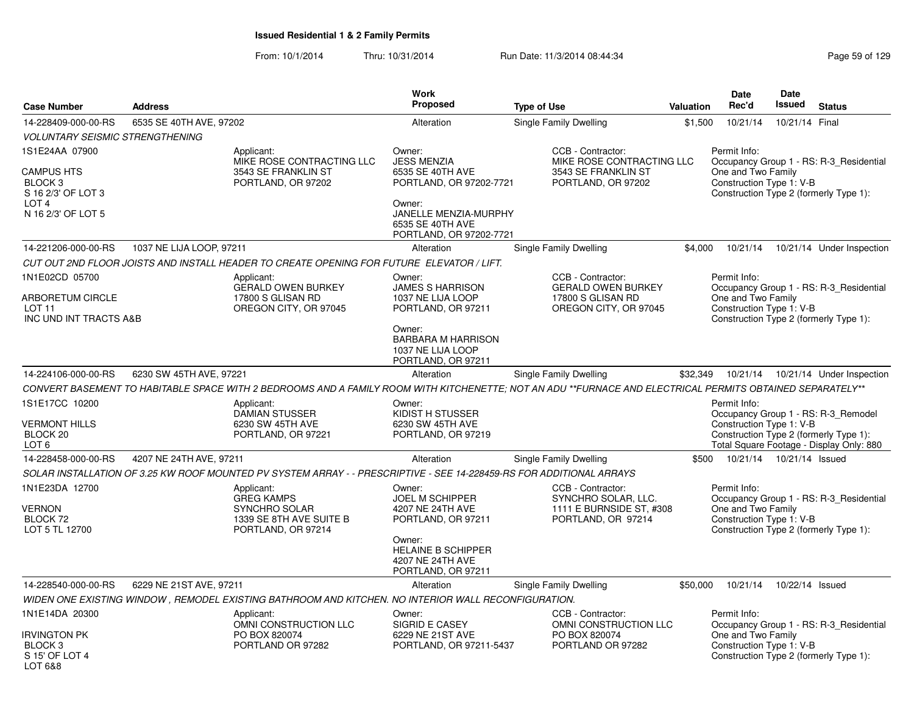|                                                                                          |                          |                                                                                                                                                           | <b>Work</b>                                                                                                                                          |                                                                                              |           | Date                                                           | Date            |                                                                                                                           |
|------------------------------------------------------------------------------------------|--------------------------|-----------------------------------------------------------------------------------------------------------------------------------------------------------|------------------------------------------------------------------------------------------------------------------------------------------------------|----------------------------------------------------------------------------------------------|-----------|----------------------------------------------------------------|-----------------|---------------------------------------------------------------------------------------------------------------------------|
| Case Number                                                                              | <b>Address</b>           |                                                                                                                                                           | <b>Proposed</b>                                                                                                                                      | <b>Type of Use</b>                                                                           | Valuation | Rec'd                                                          | <b>Issued</b>   | <b>Status</b>                                                                                                             |
| 14-228409-000-00-RS                                                                      | 6535 SE 40TH AVE, 97202  |                                                                                                                                                           | Alteration                                                                                                                                           | Single Family Dwelling                                                                       | \$1,500   | 10/21/14                                                       | 10/21/14 Final  |                                                                                                                           |
| <b>VOLUNTARY SEISMIC STRENGTHENING</b>                                                   |                          |                                                                                                                                                           |                                                                                                                                                      |                                                                                              |           |                                                                |                 |                                                                                                                           |
| IS1E24AA 07900<br><b>CAMPUS HTS</b><br>BLOCK <sub>3</sub><br>S 16 2/3' OF LOT 3          |                          | Applicant:<br>MIKE ROSE CONTRACTING LLC<br>3543 SE FRANKLIN ST<br>PORTLAND, OR 97202                                                                      | Owner:<br><b>JESS MENZIA</b><br>6535 SE 40TH AVE<br>PORTLAND, OR 97202-7721                                                                          | CCB - Contractor:<br>MIKE ROSE CONTRACTING LLC<br>3543 SE FRANKLIN ST<br>PORTLAND, OR 97202  |           | Permit Info:<br>One and Two Family<br>Construction Type 1: V-B |                 | Occupancy Group 1 - RS: R-3 Residential<br>Construction Type 2 (formerly Type 1):                                         |
| LOT 4<br>N 16 2/3' OF LOT 5                                                              |                          |                                                                                                                                                           | Owner:<br>JANELLE MENZIA-MURPHY<br>6535 SE 40TH AVE<br>PORTLAND, OR 97202-7721                                                                       |                                                                                              |           |                                                                |                 |                                                                                                                           |
| 14-221206-000-00-RS                                                                      | 1037 NE LIJA LOOP, 97211 |                                                                                                                                                           | Alteration                                                                                                                                           | Single Family Dwelling                                                                       | \$4,000   | 10/21/14                                                       |                 | 10/21/14 Under Inspection                                                                                                 |
|                                                                                          |                          | CUT OUT 2ND FLOOR JOISTS AND INSTALL HEADER TO CREATE OPENING FOR FUTURE ELEVATOR / LIFT.                                                                 |                                                                                                                                                      |                                                                                              |           |                                                                |                 |                                                                                                                           |
| 1N1E02CD 05700<br><b>ARBORETUM CIRCLE</b><br>LOT <sub>11</sub><br>INC UND INT TRACTS A&B |                          | Applicant:<br><b>GERALD OWEN BURKEY</b><br>17800 S GLISAN RD<br>OREGON CITY, OR 97045                                                                     | Owner:<br><b>JAMES S HARRISON</b><br>1037 NE LIJA LOOP<br>PORTLAND, OR 97211<br>Owner:                                                               | CCB - Contractor:<br><b>GERALD OWEN BURKEY</b><br>17800 S GLISAN RD<br>OREGON CITY, OR 97045 |           | Permit Info:<br>One and Two Family<br>Construction Type 1: V-B |                 | Occupancy Group 1 - RS: R-3 Residential<br>Construction Type 2 (formerly Type 1):                                         |
|                                                                                          |                          |                                                                                                                                                           | <b>BARBARA M HARRISON</b><br>1037 NE LIJA LOOP<br>PORTLAND, OR 97211                                                                                 |                                                                                              |           |                                                                |                 |                                                                                                                           |
| 14-224106-000-00-RS                                                                      | 6230 SW 45TH AVE, 97221  |                                                                                                                                                           | Alteration                                                                                                                                           | <b>Single Family Dwelling</b>                                                                | \$32,349  | 10/21/14                                                       |                 | 10/21/14 Under Inspection                                                                                                 |
|                                                                                          |                          | CONVERT BASEMENT TO HABITABLE SPACE WITH 2 BEDROOMS AND A FAMILY ROOM WITH KITCHENETTE; NOT AN ADU **FURNACE AND ELECTRICAL PERMITS OBTAINED SEPARATELY** |                                                                                                                                                      |                                                                                              |           |                                                                |                 |                                                                                                                           |
| 1S1E17CC 10200<br>VERMONT HILLS<br>BLOCK <sub>20</sub><br>LOT 6                          |                          | Applicant:<br><b>DAMIAN STUSSER</b><br>6230 SW 45TH AVE<br>PORTLAND, OR 97221                                                                             | Owner:<br>KIDIST H STUSSER<br>6230 SW 45TH AVE<br>PORTLAND, OR 97219                                                                                 |                                                                                              |           | Permit Info:<br>Construction Type 1: V-B                       |                 | Occupancy Group 1 - RS: R-3_Remodel<br>Construction Type 2 (formerly Type 1):<br>Total Square Footage - Display Only: 880 |
| 14-228458-000-00-RS                                                                      | 4207 NE 24TH AVE, 97211  |                                                                                                                                                           | Alteration                                                                                                                                           | <b>Single Family Dwelling</b>                                                                | \$500     | 10/21/14                                                       | 10/21/14 Issued |                                                                                                                           |
|                                                                                          |                          | SOLAR INSTALLATION OF 3.25 KW ROOF MOUNTED PV SYSTEM ARRAY - - PRESCRIPTIVE - SEE 14-228459-RS FOR ADDITIONAL ARRAYS                                      |                                                                                                                                                      |                                                                                              |           |                                                                |                 |                                                                                                                           |
| 1N1E23DA 12700<br><b>VERNON</b><br>BLOCK 72<br>LOT 5 TL 12700                            |                          | Applicant:<br><b>GREG KAMPS</b><br>SYNCHRO SOLAR<br>1339 SE 8TH AVE SUITE B<br>PORTLAND, OR 97214                                                         | Owner:<br>JOEL M SCHIPPER<br>4207 NE 24TH AVE<br>PORTLAND, OR 97211<br>Owner:<br><b>HELAINE B SCHIPPER</b><br>4207 NE 24TH AVE<br>PORTLAND, OR 97211 | CCB - Contractor:<br>SYNCHRO SOLAR, LLC.<br>1111 E BURNSIDE ST, #308<br>PORTLAND, OR 97214   |           | Permit Info:<br>One and Two Family<br>Construction Type 1: V-B |                 | Occupancy Group 1 - RS: R-3 Residential<br>Construction Type 2 (formerly Type 1):                                         |
| 14-228540-000-00-RS                                                                      | 6229 NE 21ST AVE, 97211  |                                                                                                                                                           | Alteration                                                                                                                                           | <b>Single Family Dwelling</b>                                                                | \$50,000  | 10/21/14                                                       | 10/22/14 Issued |                                                                                                                           |
|                                                                                          |                          | WIDEN ONE EXISTING WINDOW, REMODEL EXISTING BATHROOM AND KITCHEN. NO INTERIOR WALL RECONFIGURATION.                                                       |                                                                                                                                                      |                                                                                              |           |                                                                |                 |                                                                                                                           |
| 1N1E14DA 20300                                                                           |                          | Applicant:                                                                                                                                                | Owner:                                                                                                                                               | CCB - Contractor:                                                                            |           | Permit Info:                                                   |                 |                                                                                                                           |
| <b>IRVINGTON PK</b><br>BLOCK <sub>3</sub><br>S 15' OF LOT 4<br>LOT 6&8                   |                          | OMNI CONSTRUCTION LLC<br>PO BOX 820074<br>PORTLAND OR 97282                                                                                               | SIGRID E CASEY<br>6229 NE 21ST AVE<br>PORTLAND, OR 97211-5437                                                                                        | OMNI CONSTRUCTION LLC<br>PO BOX 820074<br>PORTLAND OR 97282                                  |           | One and Two Family<br>Construction Type 1: V-B                 |                 | Occupancy Group 1 - RS: R-3 Residential<br>Construction Type 2 (formerly Type 1):                                         |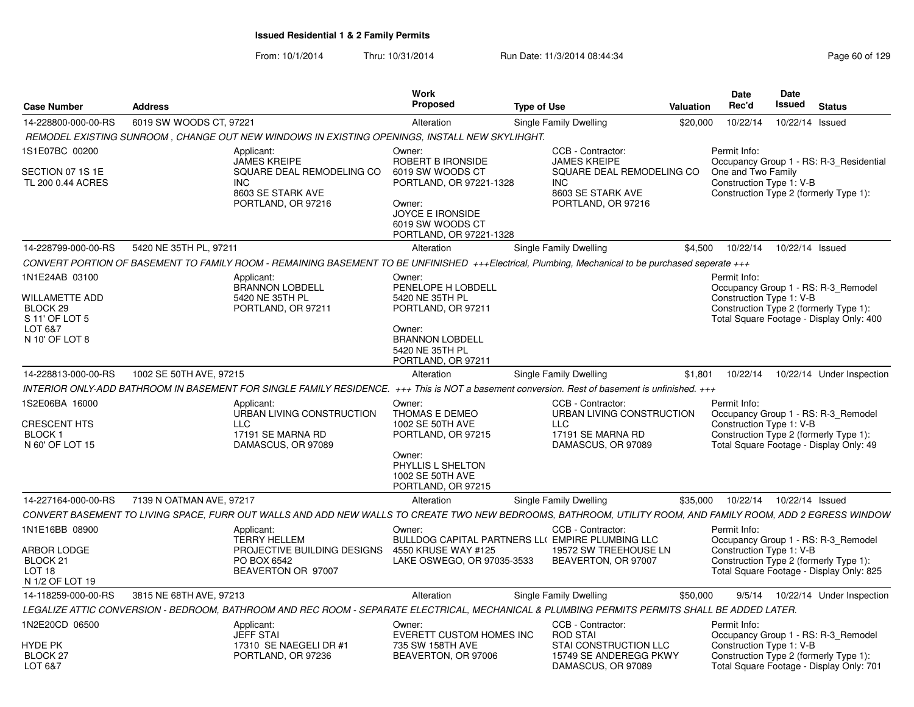| <b>Case Number</b>                                                                                            | <b>Address</b>           |                                                                                                                                                             | Work<br>Proposed                                                                                                                                               | <b>Type of Use</b>                                                                                                             | Valuation | Date<br>Rec'd                                                                                            | <b>Date</b><br>Issued      | <b>Status</b>                                                                   |
|---------------------------------------------------------------------------------------------------------------|--------------------------|-------------------------------------------------------------------------------------------------------------------------------------------------------------|----------------------------------------------------------------------------------------------------------------------------------------------------------------|--------------------------------------------------------------------------------------------------------------------------------|-----------|----------------------------------------------------------------------------------------------------------|----------------------------|---------------------------------------------------------------------------------|
| 14-228800-000-00-RS                                                                                           | 6019 SW WOODS CT, 97221  |                                                                                                                                                             | Alteration                                                                                                                                                     | Single Family Dwelling                                                                                                         | \$20,000  | 10/22/14                                                                                                 | 10/22/14 Issued            |                                                                                 |
|                                                                                                               |                          | REMODEL EXISTING SUNROOM, CHANGE OUT NEW WINDOWS IN EXISTING OPENINGS, INSTALL NEW SKYLIHGHT.                                                               |                                                                                                                                                                |                                                                                                                                |           |                                                                                                          |                            |                                                                                 |
| 1S1E07BC 00200<br>SECTION 07 1S 1E<br>TL 200 0.44 ACRES                                                       | <b>INC</b>               | Applicant:<br><b>JAMES KREIPE</b><br>SQUARE DEAL REMODELING CO<br>8603 SE STARK AVE<br>PORTLAND, OR 97216                                                   | Owner:<br>ROBERT B IRONSIDE<br>6019 SW WOODS CT<br>PORTLAND, OR 97221-1328<br>Owner:<br><b>JOYCE E IRONSIDE</b><br>6019 SW WOODS CT<br>PORTLAND, OR 97221-1328 | CCB - Contractor:<br><b>JAMES KREIPE</b><br>SQUARE DEAL REMODELING CO<br><b>INC</b><br>8603 SE STARK AVE<br>PORTLAND, OR 97216 |           | Permit Info:<br>One and Two Family<br>Construction Type 1: V-B<br>Construction Type 2 (formerly Type 1): |                            | Occupancy Group 1 - RS: R-3_Residential                                         |
| 14-228799-000-00-RS                                                                                           | 5420 NE 35TH PL, 97211   |                                                                                                                                                             | Alteration                                                                                                                                                     | Single Family Dwelling                                                                                                         | \$4.500   | 10/22/14                                                                                                 | 10/22/14 Issued            |                                                                                 |
|                                                                                                               |                          | CONVERT PORTION OF BASEMENT TO FAMILY ROOM - REMAINING BASEMENT TO BE UNFINISHED +++Electrical, Plumbing, Mechanical to be purchased seperate +++           |                                                                                                                                                                |                                                                                                                                |           |                                                                                                          |                            |                                                                                 |
| 1N1E24AB 03100<br><b>WILLAMETTE ADD</b><br>BLOCK <sub>29</sub><br>S 11' OF LOT 5<br>LOT 6&7<br>N 10' OF LOT 8 |                          | Applicant:<br><b>BRANNON LOBDELL</b><br>5420 NE 35TH PL<br>PORTLAND, OR 97211                                                                               | Owner:<br>PENELOPE H LOBDELL<br>5420 NE 35TH PL<br>PORTLAND, OR 97211<br>Owner:<br><b>BRANNON LOBDELL</b><br>5420 NE 35TH PL<br>PORTLAND, OR 97211             |                                                                                                                                |           | Permit Info:<br>Construction Type 1: V-B<br>Construction Type 2 (formerly Type 1):                       |                            | Occupancy Group 1 - RS: R-3 Remodel<br>Total Square Footage - Display Only: 400 |
| 14-228813-000-00-RS                                                                                           | 1002 SE 50TH AVE, 97215  |                                                                                                                                                             | Alteration                                                                                                                                                     | Single Family Dwelling                                                                                                         | \$1,801   | 10/22/14                                                                                                 |                            | 10/22/14 Under Inspection                                                       |
|                                                                                                               |                          | INTERIOR ONLY-ADD BATHROOM IN BASEMENT FOR SINGLE FAMILY RESIDENCE. +++ This is NOT a basement conversion. Rest of basement is unfinished. +++              |                                                                                                                                                                |                                                                                                                                |           |                                                                                                          |                            |                                                                                 |
| 1S2E06BA 16000<br><b>CRESCENT HTS</b><br>BLOCK <sub>1</sub><br>N 60' OF LOT 15                                | <b>LLC</b>               | Applicant:<br>URBAN LIVING CONSTRUCTION<br>17191 SE MARNA RD<br>DAMASCUS, OR 97089                                                                          | Owner:<br>THOMAS E DEMEO<br>1002 SE 50TH AVE<br>PORTLAND, OR 97215<br>Owner:<br>PHYLLIS L SHELTON<br>1002 SE 50TH AVE<br>PORTLAND, OR 97215                    | CCB - Contractor:<br>URBAN LIVING CONSTRUCTION<br>LLC<br>17191 SE MARNA RD<br>DAMASCUS, OR 97089                               |           | Permit Info:<br>Construction Type 1: V-B<br>Construction Type 2 (formerly Type 1):                       |                            | Occupancy Group 1 - RS: R-3 Remodel<br>Total Square Footage - Display Only: 49  |
| 14-227164-000-00-RS                                                                                           | 7139 N OATMAN AVE, 97217 |                                                                                                                                                             | Alteration                                                                                                                                                     | Single Family Dwelling                                                                                                         | \$35,000  |                                                                                                          | 10/22/14  10/22/14  Issued |                                                                                 |
|                                                                                                               |                          | CONVERT BASEMENT TO LIVING SPACE, FURR OUT WALLS AND ADD NEW WALLS TO CREATE TWO NEW BEDROOMS, BATHROOM, UTILITY ROOM, AND FAMILY ROOM, ADD 2 EGRESS WINDOW |                                                                                                                                                                |                                                                                                                                |           |                                                                                                          |                            |                                                                                 |
| 1N1E16BB 08900<br>ARBOR LODGE<br>BLOCK <sub>21</sub><br>LOT 18<br>N 1/2 OF LOT 19                             |                          | Applicant:<br><b>TERRY HELLEM</b><br>PROJECTIVE BUILDING DESIGNS<br>PO BOX 6542<br>BEAVERTON OR 97007                                                       | Owner:<br>4550 KRUSE WAY #125<br>LAKE OSWEGO, OR 97035-3533                                                                                                    | CCB - Contractor:<br>BULLDOG CAPITAL PARTNERS LLI EMPIRE PLUMBING LLC<br>19572 SW TREEHOUSE LN<br>BEAVERTON, OR 97007          |           | Permit Info:<br>Construction Type 1: V-B<br>Construction Type 2 (formerly Type 1):                       |                            | Occupancy Group 1 - RS: R-3_Remodel<br>Total Square Footage - Display Only: 825 |
| 14-118259-000-00-RS                                                                                           | 3815 NE 68TH AVE, 97213  |                                                                                                                                                             | Alteration                                                                                                                                                     | <b>Single Family Dwelling</b>                                                                                                  | \$50,000  | 9/5/14                                                                                                   |                            | 10/22/14 Under Inspection                                                       |
|                                                                                                               |                          | LEGALIZE ATTIC CONVERSION - BEDROOM, BATHROOM AND REC ROOM - SEPARATE ELECTRICAL, MECHANICAL & PLUMBING PERMITS PERMITS SHALL BE ADDED LATER.               |                                                                                                                                                                |                                                                                                                                |           |                                                                                                          |                            |                                                                                 |
| 1N2E20CD 06500<br>HYDE PK                                                                                     |                          | Applicant:<br><b>JEFF STAI</b><br>17310 SE NAEGELI DR #1                                                                                                    | Owner:<br>EVERETT CUSTOM HOMES INC<br>735 SW 158TH AVE                                                                                                         | CCB - Contractor:<br><b>ROD STAI</b><br><b>STAI CONSTRUCTION LLC</b>                                                           |           | Permit Info:<br>Construction Type 1: V-B                                                                 |                            | Occupancy Group 1 - RS: R-3_Remodel                                             |
| <b>BLOCK 27</b><br>LOT 6&7                                                                                    |                          | PORTLAND, OR 97236                                                                                                                                          | BEAVERTON, OR 97006                                                                                                                                            | 15749 SE ANDEREGG PKWY<br>DAMASCUS, OR 97089                                                                                   |           | Construction Type 2 (formerly Type 1):                                                                   |                            | Total Square Footage - Display Only: 701                                        |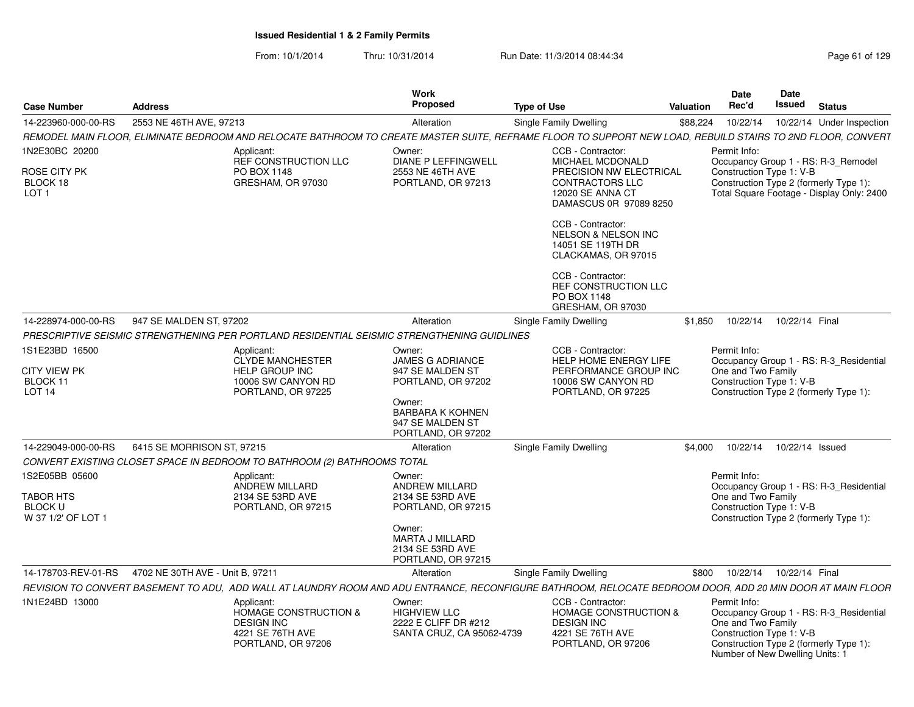| <b>Case Number</b>                                                  | <b>Address</b>                   |                                                                                                               | <b>Work</b><br>Proposed                                                             | <b>Type of Use</b>                                                                                                                                                                                                                                                                                      | Valuation | <b>Date</b><br>Rec'd                                                                              | <b>Date</b><br>Issued      | <b>Status</b>                                                                                                              |
|---------------------------------------------------------------------|----------------------------------|---------------------------------------------------------------------------------------------------------------|-------------------------------------------------------------------------------------|---------------------------------------------------------------------------------------------------------------------------------------------------------------------------------------------------------------------------------------------------------------------------------------------------------|-----------|---------------------------------------------------------------------------------------------------|----------------------------|----------------------------------------------------------------------------------------------------------------------------|
| 14-223960-000-00-RS                                                 | 2553 NE 46TH AVE, 97213          |                                                                                                               | Alteration                                                                          | Single Family Dwelling                                                                                                                                                                                                                                                                                  | \$88,224  | 10/22/14                                                                                          |                            | 10/22/14 Under Inspection                                                                                                  |
|                                                                     |                                  |                                                                                                               |                                                                                     | REMODEL MAIN FLOOR, ELIMINATE BEDROOM AND RELOCATE BATHROOM TO CREATE MASTER SUITE, REFRAME FLOOR TO SUPPORT NEW LOAD, REBUILD STAIRS TO 2ND FLOOR, CONVERT                                                                                                                                             |           |                                                                                                   |                            |                                                                                                                            |
| 1N2E30BC 20200<br>ROSE CITY PK<br>BLOCK 18<br>LOT <sub>1</sub>      |                                  | Applicant:<br>REF CONSTRUCTION LLC<br>PO BOX 1148<br>GRESHAM, OR 97030                                        | Owner:<br>DIANE P LEFFINGWELL<br>2553 NE 46TH AVE<br>PORTLAND, OR 97213             | CCB - Contractor:<br>MICHAEL MCDONALD<br>PRECISION NW ELECTRICAL<br><b>CONTRACTORS LLC</b><br>12020 SE ANNA CT<br>DAMASCUS 0R 97089 8250<br>CCB - Contractor:<br><b>NELSON &amp; NELSON INC</b><br>14051 SE 119TH DR<br>CLACKAMAS, OR 97015<br>CCB - Contractor:<br>REF CONSTRUCTION LLC<br>PO BOX 1148 |           | Permit Info:<br>Construction Type 1: V-B                                                          |                            | Occupancy Group 1 - RS: R-3_Remodel<br>Construction Type 2 (formerly Type 1):<br>Total Square Footage - Display Only: 2400 |
|                                                                     |                                  |                                                                                                               |                                                                                     | GRESHAM, OR 97030                                                                                                                                                                                                                                                                                       |           |                                                                                                   |                            |                                                                                                                            |
| 14-228974-000-00-RS                                                 | 947 SE MALDEN ST, 97202          |                                                                                                               | Alteration                                                                          | Single Family Dwelling                                                                                                                                                                                                                                                                                  | \$1,850   |                                                                                                   | 10/22/14  10/22/14  Final  |                                                                                                                            |
|                                                                     |                                  | PRESCRIPTIVE SEISMIC STRENGTHENING PER PORTLAND RESIDENTIAL SEISMIC STRENGTHENING GUIDLINES                   |                                                                                     |                                                                                                                                                                                                                                                                                                         |           |                                                                                                   |                            |                                                                                                                            |
| 1S1E23BD 16500<br>CITY VIEW PK<br>BLOCK 11<br><b>LOT 14</b>         |                                  | Applicant:<br>CLYDE MANCHESTER<br><b>HELP GROUP INC</b><br>10006 SW CANYON RD<br>PORTLAND, OR 97225           | Owner:<br><b>JAMES G ADRIANCE</b><br>947 SE MALDEN ST<br>PORTLAND, OR 97202         | CCB - Contractor:<br>HELP HOME ENERGY LIFE<br>PERFORMANCE GROUP INC<br>10006 SW CANYON RD<br>PORTLAND, OR 97225                                                                                                                                                                                         |           | Permit Info:<br>One and Two Family<br>Construction Type 1: V-B                                    |                            | Occupancy Group 1 - RS: R-3 Residential<br>Construction Type 2 (formerly Type 1):                                          |
|                                                                     |                                  |                                                                                                               | Owner:<br><b>BARBARA K KOHNEN</b><br>947 SE MALDEN ST<br>PORTLAND, OR 97202         |                                                                                                                                                                                                                                                                                                         |           |                                                                                                   |                            |                                                                                                                            |
| 14-229049-000-00-RS                                                 | 6415 SE MORRISON ST, 97215       |                                                                                                               | Alteration                                                                          | <b>Single Family Dwelling</b>                                                                                                                                                                                                                                                                           | \$4.000   |                                                                                                   | 10/22/14  10/22/14  Issued |                                                                                                                            |
|                                                                     |                                  | CONVERT EXISTING CLOSET SPACE IN BEDROOM TO BATHROOM (2) BATHROOMS TOTAL                                      |                                                                                     |                                                                                                                                                                                                                                                                                                         |           |                                                                                                   |                            |                                                                                                                            |
| 1S2E05BB 05600<br>TABOR HTS<br><b>BLOCK U</b><br>W 37 1/2' OF LOT 1 |                                  | Applicant:<br><b>ANDREW MILLARD</b><br>2134 SE 53RD AVE<br>PORTLAND, OR 97215                                 | Owner:<br><b>ANDREW MILLARD</b><br>2134 SE 53RD AVE<br>PORTLAND, OR 97215<br>Owner: |                                                                                                                                                                                                                                                                                                         |           | Permit Info:<br>One and Two Family<br>Construction Type 1: V-B                                    |                            | Occupancy Group 1 - RS: R-3 Residential<br>Construction Type 2 (formerly Type 1):                                          |
|                                                                     |                                  |                                                                                                               | <b>MARTA J MILLARD</b><br>2134 SE 53RD AVE<br>PORTLAND, OR 97215                    |                                                                                                                                                                                                                                                                                                         |           |                                                                                                   |                            |                                                                                                                            |
| 14-178703-REV-01-RS                                                 | 4702 NE 30TH AVE - Unit B. 97211 |                                                                                                               | Alteration                                                                          | <b>Single Family Dwelling</b>                                                                                                                                                                                                                                                                           | \$800     |                                                                                                   | 10/22/14  10/22/14  Final  |                                                                                                                            |
|                                                                     |                                  |                                                                                                               |                                                                                     | REVISION TO CONVERT BASEMENT TO ADU, ADD WALL AT LAUNDRY ROOM AND ADU ENTRANCE, RECONFIGURE BATHROOM, RELOCATE BEDROOM DOOR, ADD 20 MIN DOOR AT MAIN FLOOR                                                                                                                                              |           |                                                                                                   |                            |                                                                                                                            |
| 1N1E24BD 13000                                                      |                                  | Applicant:<br><b>HOMAGE CONSTRUCTION &amp;</b><br><b>DESIGN INC</b><br>4221 SE 76TH AVE<br>PORTLAND, OR 97206 | Owner:<br><b>HIGHVIEW LLC</b><br>2222 E CLIFF DR #212<br>SANTA CRUZ, CA 95062-4739  | CCB - Contractor:<br><b>HOMAGE CONSTRUCTION &amp;</b><br><b>DESIGN INC</b><br>4221 SE 76TH AVE<br>PORTLAND, OR 97206                                                                                                                                                                                    |           | Permit Info:<br>One and Two Family<br>Construction Type 1: V-B<br>Number of New Dwelling Units: 1 |                            | Occupancy Group 1 - RS: R-3_Residential<br>Construction Type 2 (formerly Type 1):                                          |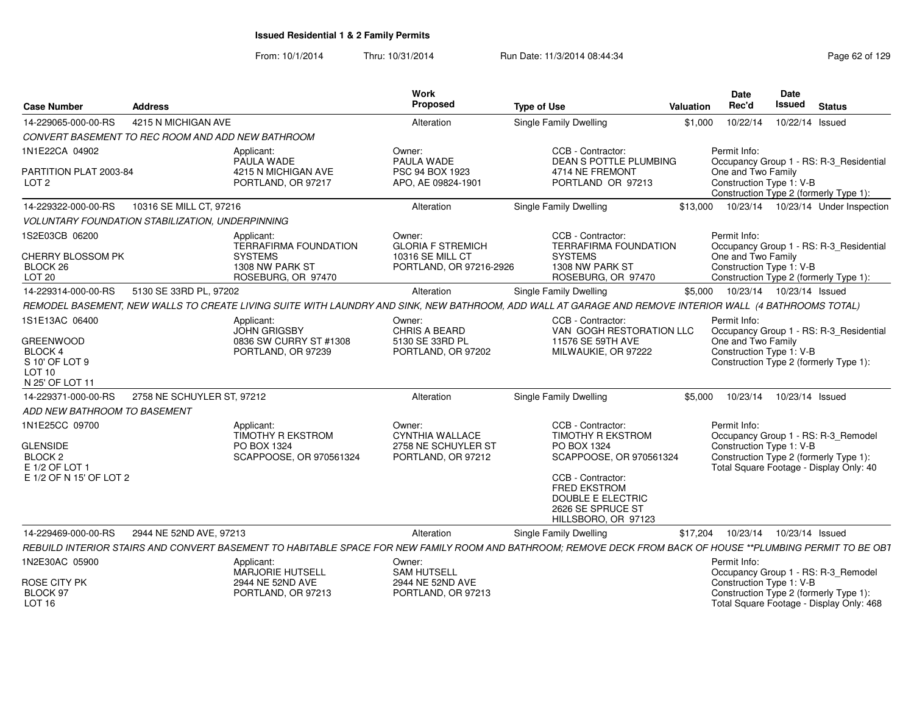| <b>Case Number</b>                                                                        | <b>Address</b>                                          |                                                                                  | Work<br>Proposed                                                              | <b>Type of Use</b>                                                                                                                                           | Valuation | <b>Date</b><br>Rec'd                           | Date<br>Issued             | <b>Status</b>                                                                                                            |
|-------------------------------------------------------------------------------------------|---------------------------------------------------------|----------------------------------------------------------------------------------|-------------------------------------------------------------------------------|--------------------------------------------------------------------------------------------------------------------------------------------------------------|-----------|------------------------------------------------|----------------------------|--------------------------------------------------------------------------------------------------------------------------|
| 14-229065-000-00-RS                                                                       | 4215 N MICHIGAN AVE                                     |                                                                                  | Alteration                                                                    | <b>Single Family Dwelling</b>                                                                                                                                | \$1,000   | 10/22/14                                       | 10/22/14 Issued            |                                                                                                                          |
|                                                                                           | CONVERT BASEMENT TO REC ROOM AND ADD NEW BATHROOM       |                                                                                  |                                                                               |                                                                                                                                                              |           |                                                |                            |                                                                                                                          |
| 1N1E22CA 04902                                                                            |                                                         | Applicant:<br>PAULA WADE                                                         | Owner:<br>PAULA WADE                                                          | CCB - Contractor:<br><b>DEAN S POTTLE PLUMBING</b>                                                                                                           |           | Permit Info:                                   |                            | Occupancy Group 1 - RS: R-3 Residential                                                                                  |
| PARTITION PLAT 2003-84<br>LOT <sub>2</sub>                                                |                                                         | 4215 N MICHIGAN AVE<br>PORTLAND, OR 97217                                        | PSC 94 BOX 1923<br>APO, AE 09824-1901                                         | 4714 NE FREMONT<br>PORTLAND OR 97213                                                                                                                         |           | One and Two Family<br>Construction Type 1: V-B |                            | Construction Type 2 (formerly Type 1):                                                                                   |
| 14-229322-000-00-RS                                                                       | 10316 SE MILL CT, 97216                                 |                                                                                  | Alteration                                                                    | Single Family Dwelling                                                                                                                                       | \$13,000  |                                                |                            | 10/23/14  10/23/14  Under Inspection                                                                                     |
|                                                                                           | <b>VOLUNTARY FOUNDATION STABILIZATION, UNDERPINNING</b> |                                                                                  |                                                                               |                                                                                                                                                              |           |                                                |                            |                                                                                                                          |
| 1S2E03CB 06200                                                                            |                                                         | Applicant:<br><b>TERRAFIRMA FOUNDATION</b>                                       | Owner:<br><b>GLORIA F STREMICH</b>                                            | CCB - Contractor:<br><b>TERRAFIRMA FOUNDATION</b>                                                                                                            |           | Permit Info:                                   |                            | Occupancy Group 1 - RS: R-3_Residential                                                                                  |
| CHERRY BLOSSOM PK<br>BLOCK 26<br><b>LOT 20</b>                                            |                                                         | <b>SYSTEMS</b><br>1308 NW PARK ST<br>ROSEBURG, OR 97470                          | 10316 SE MILL CT<br>PORTLAND, OR 97216-2926                                   | <b>SYSTEMS</b><br>1308 NW PARK ST<br>ROSEBURG, OR 97470                                                                                                      |           | One and Two Family<br>Construction Type 1: V-B |                            | Construction Type 2 (formerly Type 1):                                                                                   |
| 14-229314-000-00-RS                                                                       | 5130 SE 33RD PL, 97202                                  |                                                                                  | Alteration                                                                    | Single Family Dwelling                                                                                                                                       | \$5,000   |                                                | 10/23/14  10/23/14  Issued |                                                                                                                          |
|                                                                                           |                                                         |                                                                                  |                                                                               | REMODEL BASEMENT, NEW WALLS TO CREATE LIVING SUITE WITH LAUNDRY AND SINK, NEW BATHROOM, ADD WALL AT GARAGE AND REMOVE INTERIOR WALL (4 BATHROOMS TOTAL)      |           |                                                |                            |                                                                                                                          |
| 1S1E13AC 06400                                                                            |                                                         | Applicant:<br><b>JOHN GRIGSBY</b>                                                | Owner:<br><b>CHRIS A BEARD</b>                                                | CCB - Contractor:<br>VAN GOGH RESTORATION LLC                                                                                                                |           | Permit Info:                                   |                            | Occupancy Group 1 - RS: R-3_Residential                                                                                  |
| <b>GREENWOOD</b><br>BLOCK 4<br>S 10' OF LOT 9<br>LOT <sub>10</sub><br>N 25' OF LOT 11     |                                                         | 0836 SW CURRY ST #1308<br>PORTLAND, OR 97239                                     | 5130 SE 33RD PL<br>PORTLAND, OR 97202                                         | 11576 SE 59TH AVE<br>MILWAUKIE, OR 97222                                                                                                                     |           | One and Two Family<br>Construction Type 1: V-B |                            | Construction Type 2 (formerly Type 1):                                                                                   |
| 14-229371-000-00-RS                                                                       | 2758 NE SCHUYLER ST, 97212                              |                                                                                  | Alteration                                                                    | <b>Single Family Dwelling</b>                                                                                                                                | \$5,000   | 10/23/14                                       | 10/23/14 Issued            |                                                                                                                          |
| ADD NEW BATHROOM TO BASEMENT                                                              |                                                         |                                                                                  |                                                                               |                                                                                                                                                              |           |                                                |                            |                                                                                                                          |
| 1N1E25CC 09700<br><b>GLENSIDE</b><br>BLOCK 2<br>E 1/2 OF LOT 1<br>E 1/2 OF N 15' OF LOT 2 |                                                         | Applicant:<br><b>TIMOTHY R EKSTROM</b><br>PO BOX 1324<br>SCAPPOOSE, OR 970561324 | Owner:<br><b>CYNTHIA WALLACE</b><br>2758 NE SCHUYLER ST<br>PORTLAND, OR 97212 | CCB - Contractor:<br><b>TIMOTHY R EKSTROM</b><br>PO BOX 1324<br>SCAPPOOSE, OR 970561324<br>CCB - Contractor:                                                 |           | Permit Info:<br>Construction Type 1: V-B       |                            | Occupancy Group 1 - RS: R-3_Remodel<br>Construction Type 2 (formerly Type 1):<br>Total Square Footage - Display Only: 40 |
|                                                                                           |                                                         |                                                                                  |                                                                               | <b>FRED EKSTROM</b><br>DOUBLE E ELECTRIC<br>2626 SE SPRUCE ST<br>HILLSBORO, OR 97123                                                                         |           |                                                |                            |                                                                                                                          |
| 14-229469-000-00-RS                                                                       | 2944 NE 52ND AVE, 97213                                 |                                                                                  | Alteration                                                                    | Single Family Dwelling                                                                                                                                       | \$17,204  | 10/23/14                                       | 10/23/14 Issued            |                                                                                                                          |
|                                                                                           |                                                         |                                                                                  |                                                                               | REBUILD INTERIOR STAIRS AND CONVERT BASEMENT TO HABITABLE SPACE FOR NEW FAMILY ROOM AND BATHROOM; REMOVE DECK FROM BACK OF HOUSE **PLUMBING PERMIT TO BE OBT |           |                                                |                            |                                                                                                                          |
| 1N2E30AC 05900                                                                            |                                                         | Applicant:<br><b>MARJORIE HUTSELL</b>                                            | Owner:<br><b>SAM HUTSELL</b>                                                  |                                                                                                                                                              |           | Permit Info:                                   |                            | Occupancy Group 1 - RS: R-3_Remodel                                                                                      |
| ROSE CITY PK<br>BLOCK 97<br><b>LOT 16</b>                                                 |                                                         | 2944 NE 52ND AVE<br>PORTLAND, OR 97213                                           | 2944 NE 52ND AVE<br>PORTLAND, OR 97213                                        |                                                                                                                                                              |           | Construction Type 1: V-B                       |                            | Construction Type 2 (formerly Type 1):<br>Total Square Footage - Display Only: 468                                       |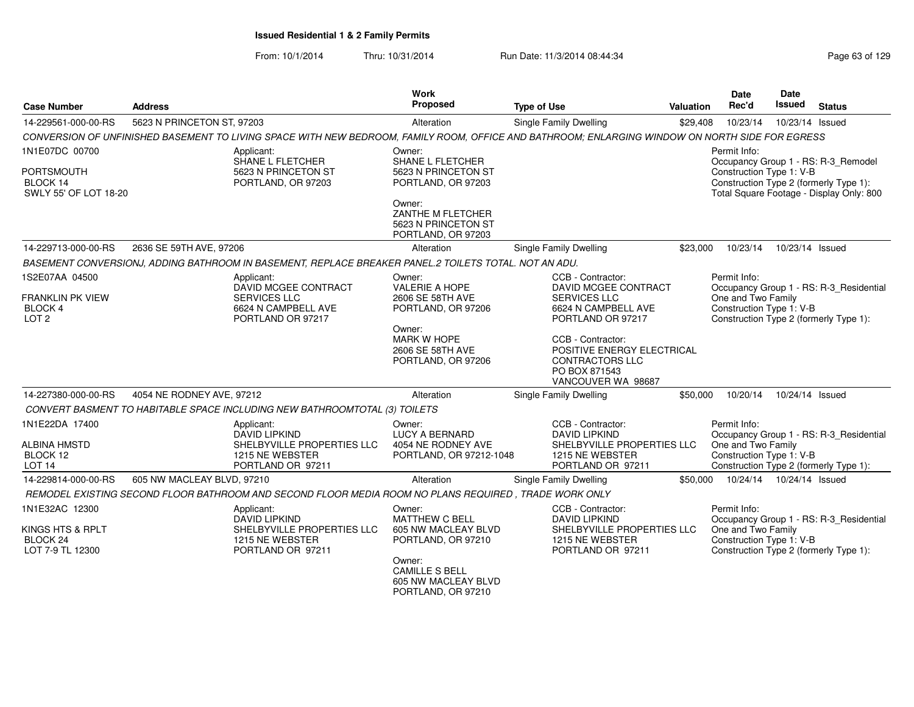From: 10/1/2014Thru: 10/31/2014 Run Date: 11/3/2014 08:44:34 Research 2010 Rage 63 of 129

| <b>Case Number</b>                                     | <b>Address</b>                                                                                                                                  | <b>Work</b><br>Proposed                                                      | <b>Type of Use</b>                                                                                               | <b>Valuation</b> | <b>Date</b><br>Rec'd                           | <b>Date</b><br>Issued | <b>Status</b>                                                                      |
|--------------------------------------------------------|-------------------------------------------------------------------------------------------------------------------------------------------------|------------------------------------------------------------------------------|------------------------------------------------------------------------------------------------------------------|------------------|------------------------------------------------|-----------------------|------------------------------------------------------------------------------------|
| 14-229561-000-00-RS                                    | 5623 N PRINCETON ST, 97203                                                                                                                      | Alteration                                                                   | Single Family Dwelling                                                                                           | \$29,408         | 10/23/14                                       | 10/23/14 Issued       |                                                                                    |
|                                                        | CONVERSION OF UNFINISHED BASEMENT TO LIVING SPACE WITH NEW BEDROOM, FAMILY ROOM, OFFICE AND BATHROOM; ENLARGING WINDOW ON NORTH SIDE FOR EGRESS |                                                                              |                                                                                                                  |                  |                                                |                       |                                                                                    |
| 1N1E07DC 00700                                         | Applicant:<br>SHANE L FLETCHER                                                                                                                  | Owner:<br><b>SHANE L FLETCHER</b>                                            |                                                                                                                  |                  | Permit Info:                                   |                       | Occupancy Group 1 - RS: R-3_Remodel                                                |
| <b>PORTSMOUTH</b><br>BLOCK 14<br>SWLY 55' OF LOT 18-20 | 5623 N PRINCETON ST<br>PORTLAND, OR 97203                                                                                                       | 5623 N PRINCETON ST<br>PORTLAND, OR 97203                                    |                                                                                                                  |                  | Construction Type 1: V-B                       |                       | Construction Type 2 (formerly Type 1):<br>Total Square Footage - Display Only: 800 |
|                                                        |                                                                                                                                                 | Owner:<br>ZANTHE M FLETCHER<br>5623 N PRINCETON ST<br>PORTLAND, OR 97203     |                                                                                                                  |                  |                                                |                       |                                                                                    |
| 14-229713-000-00-RS                                    | 2636 SE 59TH AVE, 97206                                                                                                                         | Alteration                                                                   | Single Family Dwelling                                                                                           | \$23,000         | 10/23/14                                       | 10/23/14 Issued       |                                                                                    |
|                                                        | BASEMENT CONVERSIONJ, ADDING BATHROOM IN BASEMENT, REPLACE BREAKER PANEL.2 TOILETS TOTAL. NOT AN ADU.                                           |                                                                              |                                                                                                                  |                  |                                                |                       |                                                                                    |
| 1S2E07AA 04500                                         | Applicant:<br>DAVID MCGEE CONTRACT                                                                                                              | Owner:<br><b>VALERIE A HOPE</b>                                              | CCB - Contractor:<br>DAVID MCGEE CONTRACT                                                                        |                  | Permit Info:                                   |                       | Occupancy Group 1 - RS: R-3_Residential                                            |
| <b>FRANKLIN PK VIEW</b><br>BLOCK 4<br>LOT <sub>2</sub> | <b>SERVICES LLC</b><br>6624 N CAMPBELL AVE<br>PORTLAND OR 97217                                                                                 | 2606 SE 58TH AVE<br>PORTLAND, OR 97206                                       | <b>SERVICES LLC</b><br>6624 N CAMPBELL AVE<br>PORTLAND OR 97217                                                  |                  | One and Two Family<br>Construction Type 1: V-B |                       | Construction Type 2 (formerly Type 1):                                             |
|                                                        |                                                                                                                                                 | Owner:<br><b>MARK W HOPE</b><br>2606 SE 58TH AVE<br>PORTLAND, OR 97206       | CCB - Contractor:<br>POSITIVE ENERGY ELECTRICAL<br><b>CONTRACTORS LLC</b><br>PO BOX 871543<br>VANCOUVER WA 98687 |                  |                                                |                       |                                                                                    |
| 14-227380-000-00-RS                                    | 4054 NE RODNEY AVE, 97212                                                                                                                       | Alteration                                                                   | <b>Single Family Dwelling</b>                                                                                    | \$50,000         | 10/20/14                                       | 10/24/14 Issued       |                                                                                    |
|                                                        | CONVERT BASMENT TO HABITABLE SPACE INCLUDING NEW BATHROOMTOTAL (3) TOILETS                                                                      |                                                                              |                                                                                                                  |                  |                                                |                       |                                                                                    |
| 1N1E22DA 17400                                         | Applicant:<br>DAVID LIPKIND                                                                                                                     | Owner:<br><b>LUCY A BERNARD</b>                                              | CCB - Contractor:<br><b>DAVID LIPKIND</b>                                                                        |                  | Permit Info:                                   |                       | Occupancy Group 1 - RS: R-3_Residential                                            |
| <b>ALBINA HMSTD</b><br>BLOCK 12<br>LOT <sub>14</sub>   | SHELBYVILLE PROPERTIES LLC<br>1215 NE WEBSTER<br>PORTLAND OR 97211                                                                              | 4054 NE RODNEY AVE<br>PORTLAND, OR 97212-1048                                | SHELBYVILLE PROPERTIES LLC<br>1215 NE WEBSTER<br>PORTLAND OR 97211                                               |                  | One and Two Family<br>Construction Type 1: V-B |                       | Construction Type 2 (formerly Type 1):                                             |
| 14-229814-000-00-RS                                    | 605 NW MACLEAY BLVD, 97210                                                                                                                      | Alteration                                                                   | Single Family Dwelling                                                                                           | \$50,000         | 10/24/14  10/24/14  Issued                     |                       |                                                                                    |
|                                                        | REMODEL EXISTING SECOND FLOOR BATHROOM AND SECOND FLOOR MEDIA ROOM NO PLANS REQUIRED, TRADE WORK ONLY                                           |                                                                              |                                                                                                                  |                  |                                                |                       |                                                                                    |
| 1N1E32AC 12300                                         | Applicant:<br><b>DAVID LIPKIND</b>                                                                                                              | Owner:<br><b>MATTHEW C BELL</b>                                              | CCB - Contractor:<br><b>DAVID LIPKIND</b>                                                                        |                  | Permit Info:                                   |                       | Occupancy Group 1 - RS: R-3_Residential                                            |
| KINGS HTS & RPLT<br>BLOCK 24<br>LOT 7-9 TL 12300       | SHELBYVILLE PROPERTIES LLC<br>1215 NE WEBSTER<br>PORTLAND OR 97211                                                                              | 605 NW MACLEAY BLVD<br>PORTLAND, OR 97210                                    | SHELBYVILLE PROPERTIES LLC<br>1215 NE WEBSTER<br>PORTLAND OR 97211                                               |                  | One and Two Family<br>Construction Type 1: V-B |                       | Construction Type 2 (formerly Type 1):                                             |
|                                                        |                                                                                                                                                 | Owner:<br><b>CAMILLE S BELL</b><br>605 NW MACLEAY BLVD<br>PORTLAND, OR 97210 |                                                                                                                  |                  |                                                |                       |                                                                                    |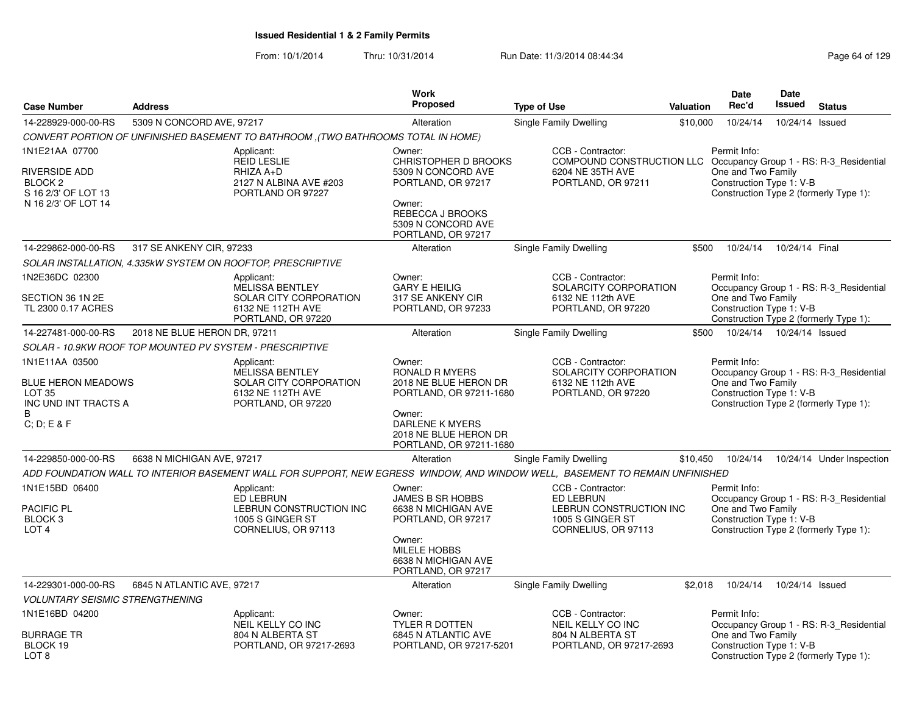|                                                                                                               |                              |                                                                                                                              | <b>Work</b>                                                                                                                                                                 |                                                                                                                                  |           | Date                                                           | Date            |                                                                                   |
|---------------------------------------------------------------------------------------------------------------|------------------------------|------------------------------------------------------------------------------------------------------------------------------|-----------------------------------------------------------------------------------------------------------------------------------------------------------------------------|----------------------------------------------------------------------------------------------------------------------------------|-----------|----------------------------------------------------------------|-----------------|-----------------------------------------------------------------------------------|
| <b>Case Number</b>                                                                                            | <b>Address</b>               |                                                                                                                              | <b>Proposed</b>                                                                                                                                                             | <b>Type of Use</b>                                                                                                               | Valuation | Rec'd                                                          | Issued          | <b>Status</b>                                                                     |
| 14-228929-000-00-RS                                                                                           | 5309 N CONCORD AVE, 97217    |                                                                                                                              | Alteration                                                                                                                                                                  | Single Family Dwelling                                                                                                           | \$10,000  | 10/24/14                                                       | 10/24/14 Issued |                                                                                   |
|                                                                                                               |                              | CONVERT PORTION OF UNFINISHED BASEMENT TO BATHROOM ,(TWO BATHROOMS TOTAL IN HOME)                                            |                                                                                                                                                                             |                                                                                                                                  |           |                                                                |                 |                                                                                   |
| 1N1E21AA 07700<br><b>RIVERSIDE ADD</b><br>BLOCK <sub>2</sub><br>S 16 2/3' OF LOT 13<br>N 16 2/3' OF LOT 14    |                              | Applicant:<br><b>REID LESLIE</b><br>RHIZA A+D<br>2127 N ALBINA AVE #203<br>PORTLAND OR 97227                                 | Owner:<br>CHRISTOPHER D BROOKS<br>5309 N CONCORD AVE<br>PORTLAND, OR 97217<br>Owner:<br>REBECCA J BROOKS<br>5309 N CONCORD AVE<br>PORTLAND, OR 97217                        | CCB - Contractor:<br>COMPOUND CONSTRUCTION LLC Occupancy Group 1 - RS: R-3_Residential<br>6204 NE 35TH AVE<br>PORTLAND, OR 97211 |           | Permit Info:<br>One and Two Family<br>Construction Type 1: V-B |                 | Construction Type 2 (formerly Type 1):                                            |
| 14-229862-000-00-RS                                                                                           | 317 SE ANKENY CIR, 97233     |                                                                                                                              | Alteration                                                                                                                                                                  | Single Family Dwelling                                                                                                           | \$500     | 10/24/14                                                       | 10/24/14 Final  |                                                                                   |
|                                                                                                               |                              | SOLAR INSTALLATION, 4.335kW SYSTEM ON ROOFTOP, PRESCRIPTIVE                                                                  |                                                                                                                                                                             |                                                                                                                                  |           |                                                                |                 |                                                                                   |
| 1N2E36DC 02300<br>SECTION 36 1N 2E<br>TL 2300 0.17 ACRES                                                      |                              | Applicant:<br><b>MELISSA BENTLEY</b><br>SOLAR CITY CORPORATION<br>6132 NE 112TH AVE<br>PORTLAND, OR 97220                    | Owner:<br><b>GARY E HEILIG</b><br>317 SE ANKENY CIR<br>PORTLAND, OR 97233                                                                                                   | CCB - Contractor:<br>SOLARCITY CORPORATION<br>6132 NE 112th AVE<br>PORTLAND, OR 97220                                            |           | Permit Info:<br>One and Two Family<br>Construction Type 1: V-B |                 | Occupancy Group 1 - RS: R-3_Residential<br>Construction Type 2 (formerly Type 1): |
| 14-227481-000-00-RS                                                                                           | 2018 NE BLUE HERON DR, 97211 |                                                                                                                              | Alteration                                                                                                                                                                  | Single Family Dwelling                                                                                                           | \$500     | 10/24/14  10/24/14  Issued                                     |                 |                                                                                   |
|                                                                                                               |                              | SOLAR - 10.9KW ROOF TOP MOUNTED PV SYSTEM - PRESCRIPTIVE                                                                     |                                                                                                                                                                             |                                                                                                                                  |           |                                                                |                 |                                                                                   |
| 1N1E11AA 03500<br><b>BLUE HERON MEADOWS</b><br>LOT <sub>35</sub><br>INC UND INT TRACTS A<br>B.<br>C; D; E & F |                              | Applicant:<br><b>MELISSA BENTLEY</b><br>SOLAR CITY CORPORATION<br>6132 NE 112TH AVE<br>PORTLAND, OR 97220                    | Owner:<br><b>RONALD R MYERS</b><br>2018 NE BLUE HERON DR<br>PORTLAND, OR 97211-1680<br>Owner:<br><b>DARLENE K MYERS</b><br>2018 NE BLUE HERON DR<br>PORTLAND, OR 97211-1680 | CCB - Contractor:<br>SOLARCITY CORPORATION<br>6132 NE 112th AVE<br>PORTLAND, OR 97220                                            |           | Permit Info:<br>One and Two Family<br>Construction Type 1: V-B |                 | Occupancy Group 1 - RS: R-3 Residential<br>Construction Type 2 (formerly Type 1): |
| 14-229850-000-00-RS                                                                                           | 6638 N MICHIGAN AVE, 97217   |                                                                                                                              | Alteration                                                                                                                                                                  | Single Family Dwelling                                                                                                           | \$10,450  | 10/24/14                                                       |                 | 10/24/14 Under Inspection                                                         |
|                                                                                                               |                              | ADD FOUNDATION WALL TO INTERIOR BASEMENT WALL FOR SUPPORT, NEW EGRESS WINDOW, AND WINDOW WELL, BASEMENT TO REMAIN UNFINISHED |                                                                                                                                                                             |                                                                                                                                  |           |                                                                |                 |                                                                                   |
| 1N1E15BD 06400<br><b>PACIFIC PL</b><br>BLOCK <sub>3</sub><br>LOT <sub>4</sub>                                 |                              | Applicant:<br>ED LEBRUN<br>LEBRUN CONSTRUCTION INC<br>1005 S GINGER ST<br>CORNELIUS, OR 97113                                | Owner:<br><b>JAMES B SR HOBBS</b><br>6638 N MICHIGAN AVE<br>PORTLAND, OR 97217<br>Owner:<br><b>MILELE HOBBS</b><br>6638 N MICHIGAN AVE<br>PORTLAND, OR 97217                | CCB - Contractor:<br><b>ED LEBRUN</b><br>LEBRUN CONSTRUCTION INC<br>1005 S GINGER ST<br>CORNELIUS, OR 97113                      |           | Permit Info:<br>One and Two Family<br>Construction Type 1: V-B |                 | Occupancy Group 1 - RS: R-3_Residential<br>Construction Type 2 (formerly Type 1): |
| 14-229301-000-00-RS                                                                                           | 6845 N ATLANTIC AVE, 97217   |                                                                                                                              | Alteration                                                                                                                                                                  | Single Family Dwelling                                                                                                           | \$2,018   | 10/24/14                                                       | 10/24/14 Issued |                                                                                   |
| <b>VOLUNTARY SEISMIC STRENGTHENING</b>                                                                        |                              |                                                                                                                              |                                                                                                                                                                             |                                                                                                                                  |           |                                                                |                 |                                                                                   |
| 1N1E16BD 04200<br><b>BURRAGE TR</b><br>BLOCK 19                                                               |                              | Applicant:<br>NEIL KELLY CO INC<br>804 N ALBERTA ST<br>PORTLAND, OR 97217-2693                                               | Owner:<br><b>TYLER R DOTTEN</b><br>6845 N ATLANTIC AVE<br>PORTLAND, OR 97217-5201                                                                                           | CCB - Contractor:<br>NEIL KELLY CO INC<br>804 N ALBERTA ST<br>PORTLAND, OR 97217-2693                                            |           | Permit Info:<br>One and Two Family<br>Construction Type 1: V-B |                 | Occupancy Group 1 - RS: R-3_Residential                                           |
| LOT <sub>8</sub>                                                                                              |                              |                                                                                                                              |                                                                                                                                                                             |                                                                                                                                  |           |                                                                |                 | Construction Type 2 (formerly Type 1):                                            |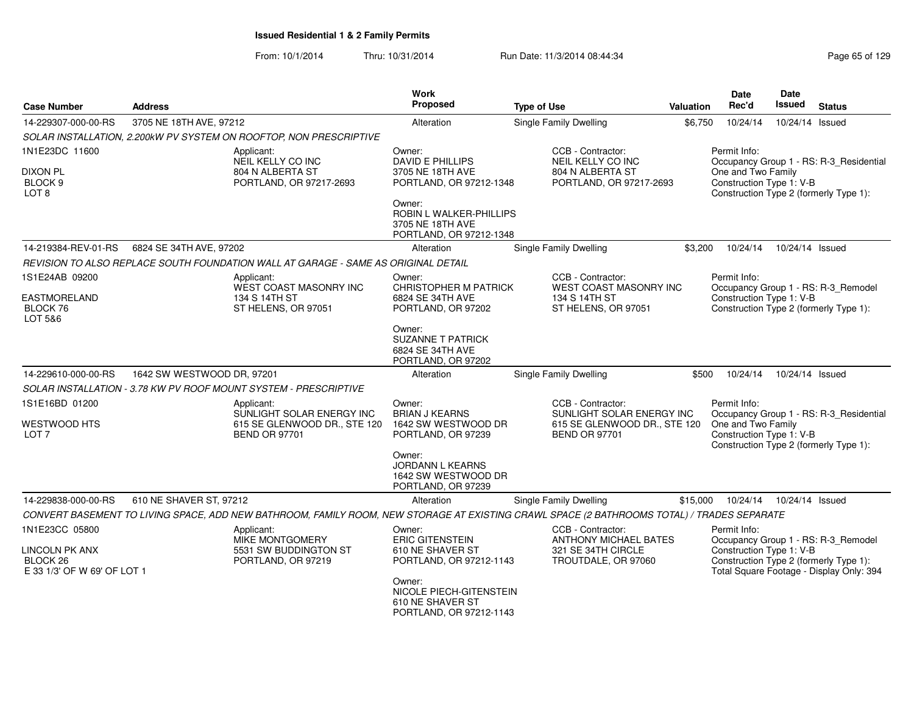| <b>Case Number</b>                | <b>Address</b>             |                                                                                                                                            | <b>Work</b><br>Proposed                     | <b>Type of Use</b>                             | <b>Valuation</b> | Date<br>Rec'd            | Date<br>Issued             | <b>Status</b>                            |
|-----------------------------------|----------------------------|--------------------------------------------------------------------------------------------------------------------------------------------|---------------------------------------------|------------------------------------------------|------------------|--------------------------|----------------------------|------------------------------------------|
| 14-229307-000-00-RS               | 3705 NE 18TH AVE, 97212    |                                                                                                                                            | Alteration                                  | Single Family Dwelling                         |                  | 10/24/14                 | 10/24/14 Issued            |                                          |
|                                   |                            |                                                                                                                                            |                                             |                                                | \$6,750          |                          |                            |                                          |
| 1N1E23DC 11600                    |                            | SOLAR INSTALLATION, 2.200kW PV SYSTEM ON ROOFTOP, NON PRESCRIPTIVE                                                                         | Owner:                                      | CCB - Contractor:                              |                  | Permit Info:             |                            |                                          |
|                                   |                            | Applicant:<br>NEIL KELLY CO INC                                                                                                            | DAVID E PHILLIPS                            | NEIL KELLY CO INC                              |                  |                          |                            | Occupancy Group 1 - RS: R-3_Residential  |
| <b>DIXON PL</b>                   |                            | 804 N ALBERTA ST                                                                                                                           | 3705 NE 18TH AVE                            | 804 N ALBERTA ST                               |                  | One and Two Family       |                            |                                          |
| BLOCK 9<br>LOT <sub>8</sub>       |                            | PORTLAND, OR 97217-2693                                                                                                                    | PORTLAND, OR 97212-1348                     | PORTLAND, OR 97217-2693                        |                  | Construction Type 1: V-B |                            | Construction Type 2 (formerly Type 1):   |
|                                   |                            |                                                                                                                                            | Owner:                                      |                                                |                  |                          |                            |                                          |
|                                   |                            |                                                                                                                                            | ROBIN L WALKER-PHILLIPS<br>3705 NE 18TH AVE |                                                |                  |                          |                            |                                          |
|                                   |                            |                                                                                                                                            | PORTLAND, OR 97212-1348                     |                                                |                  |                          |                            |                                          |
| 14-219384-REV-01-RS               | 6824 SE 34TH AVE, 97202    |                                                                                                                                            | Alteration                                  | Single Family Dwelling                         | \$3.200          | 10/24/14                 | 10/24/14 Issued            |                                          |
|                                   |                            | REVISION TO ALSO REPLACE SOUTH FOUNDATION WALL AT GARAGE - SAME AS ORIGINAL DETAIL                                                         |                                             |                                                |                  |                          |                            |                                          |
| 1S1E24AB 09200                    |                            | Applicant:                                                                                                                                 | Owner:                                      | CCB - Contractor:                              |                  | Permit Info:             |                            |                                          |
|                                   |                            | WEST COAST MASONRY INC                                                                                                                     | <b>CHRISTOPHER M PATRICK</b>                | WEST COAST MASONRY INC                         |                  |                          |                            | Occupancy Group 1 - RS: R-3_Remodel      |
| <b>EASTMORELAND</b><br>BLOCK 76   |                            | 134 S 14TH ST<br>ST HELENS, OR 97051                                                                                                       | 6824 SE 34TH AVE<br>PORTLAND, OR 97202      | 134 S 14TH ST<br>ST HELENS, OR 97051           |                  | Construction Type 1: V-B |                            | Construction Type 2 (formerly Type 1):   |
| LOT 5&6                           |                            |                                                                                                                                            |                                             |                                                |                  |                          |                            |                                          |
|                                   |                            |                                                                                                                                            | Owner:<br><b>SUZANNE T PATRICK</b>          |                                                |                  |                          |                            |                                          |
|                                   |                            |                                                                                                                                            | 6824 SE 34TH AVE                            |                                                |                  |                          |                            |                                          |
|                                   |                            |                                                                                                                                            | PORTLAND, OR 97202                          |                                                |                  |                          |                            |                                          |
| 14-229610-000-00-RS               | 1642 SW WESTWOOD DR, 97201 |                                                                                                                                            | Alteration                                  | <b>Single Family Dwelling</b>                  | \$500            | 10/24/14                 | 10/24/14 Issued            |                                          |
|                                   |                            | SOLAR INSTALLATION - 3.78 KW PV ROOF MOUNT SYSTEM - PRESCRIPTIVE                                                                           |                                             |                                                |                  |                          |                            |                                          |
| 1S1E16BD 01200                    |                            | Applicant:<br>SUNLIGHT SOLAR ENERGY INC                                                                                                    | Owner:<br><b>BRIAN J KEARNS</b>             | CCB - Contractor:<br>SUNLIGHT SOLAR ENERGY INC |                  | Permit Info:             |                            | Occupancy Group 1 - RS: R-3 Residential  |
| <b>WESTWOOD HTS</b>               |                            | 615 SE GLENWOOD DR., STE 120                                                                                                               | 1642 SW WESTWOOD DR                         | 615 SE GLENWOOD DR., STE 120                   |                  | One and Two Family       |                            |                                          |
| LOT <sub>7</sub>                  |                            | <b>BEND OR 97701</b>                                                                                                                       | PORTLAND, OR 97239                          | <b>BEND OR 97701</b>                           |                  | Construction Type 1: V-B |                            |                                          |
|                                   |                            |                                                                                                                                            | Owner:                                      |                                                |                  |                          |                            | Construction Type 2 (formerly Type 1):   |
|                                   |                            |                                                                                                                                            | <b>JORDANN L KEARNS</b>                     |                                                |                  |                          |                            |                                          |
|                                   |                            |                                                                                                                                            | 1642 SW WESTWOOD DR<br>PORTLAND, OR 97239   |                                                |                  |                          |                            |                                          |
| 14-229838-000-00-RS               | 610 NE SHAVER ST, 97212    |                                                                                                                                            | Alteration                                  | <b>Single Family Dwelling</b>                  | \$15,000         |                          | 10/24/14  10/24/14  Issued |                                          |
|                                   |                            | CONVERT BASEMENT TO LIVING SPACE, ADD NEW BATHROOM, FAMILY ROOM, NEW STORAGE AT EXISTING CRAWL SPACE (2 BATHROOMS TOTAL) / TRADES SEPARATE |                                             |                                                |                  |                          |                            |                                          |
| 1N1E23CC 05800                    |                            | Applicant:                                                                                                                                 | Owner:                                      | CCB - Contractor:                              |                  | Permit Info:             |                            |                                          |
|                                   |                            | <b>MIKE MONTGOMERY</b>                                                                                                                     | <b>ERIC GITENSTEIN</b>                      | <b>ANTHONY MICHAEL BATES</b>                   |                  |                          |                            | Occupancy Group 1 - RS: R-3_Remodel      |
| <b>LINCOLN PK ANX</b><br>BLOCK 26 |                            | 5531 SW BUDDINGTON ST<br>PORTLAND, OR 97219                                                                                                | 610 NE SHAVER ST<br>PORTLAND, OR 97212-1143 | 321 SE 34TH CIRCLE<br>TROUTDALE, OR 97060      |                  | Construction Type 1: V-B |                            | Construction Type 2 (formerly Type 1):   |
| E 33 1/3' OF W 69' OF LOT 1       |                            |                                                                                                                                            |                                             |                                                |                  |                          |                            | Total Square Footage - Display Only: 394 |
|                                   |                            |                                                                                                                                            | Owner:                                      |                                                |                  |                          |                            |                                          |
|                                   |                            |                                                                                                                                            | NICOLE PIECH-GITENSTEIN<br>610 NE SHAVER ST |                                                |                  |                          |                            |                                          |
|                                   |                            |                                                                                                                                            | PORTLAND, OR 97212-1143                     |                                                |                  |                          |                            |                                          |
|                                   |                            |                                                                                                                                            |                                             |                                                |                  |                          |                            |                                          |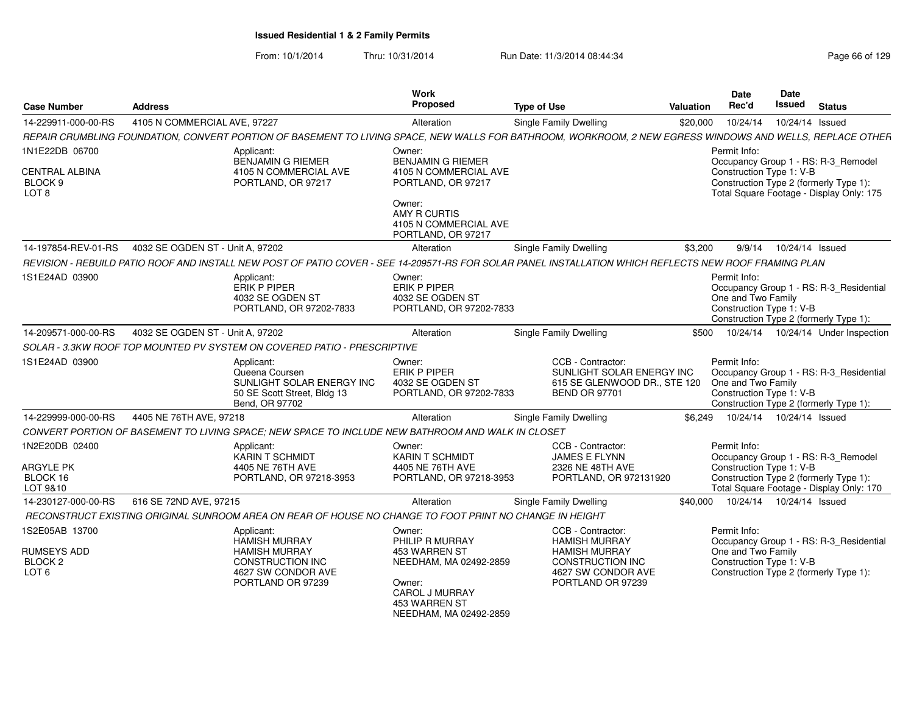| <b>Case Number</b>                                                  | <b>Address</b>                   |                                                                                                                                                           | Work<br><b>Proposed</b>                                                                                                                            | <b>Type of Use</b> |                                                                                                                                  | Valuation | Date<br>Rec'd                                                  | Date<br>Issued  | <b>Status</b>                                                                                                             |
|---------------------------------------------------------------------|----------------------------------|-----------------------------------------------------------------------------------------------------------------------------------------------------------|----------------------------------------------------------------------------------------------------------------------------------------------------|--------------------|----------------------------------------------------------------------------------------------------------------------------------|-----------|----------------------------------------------------------------|-----------------|---------------------------------------------------------------------------------------------------------------------------|
| 14-229911-000-00-RS                                                 | 4105 N COMMERCIAL AVE, 97227     |                                                                                                                                                           | Alteration                                                                                                                                         |                    | <b>Single Family Dwelling</b>                                                                                                    | \$20,000  | 10/24/14                                                       | 10/24/14 Issued |                                                                                                                           |
|                                                                     |                                  | REPAIR CRUMBLING FOUNDATION, CONVERT PORTION OF BASEMENT TO LIVING SPACE, NEW WALLS FOR BATHROOM, WORKROOM, 2 NEW EGRESS WINDOWS AND WELLS, REPLACE OTHER |                                                                                                                                                    |                    |                                                                                                                                  |           |                                                                |                 |                                                                                                                           |
| 1N1E22DB 06700                                                      |                                  | Applicant:                                                                                                                                                | Owner:                                                                                                                                             |                    |                                                                                                                                  |           | Permit Info:                                                   |                 |                                                                                                                           |
| <b>CENTRAL ALBINA</b><br>BLOCK 9<br>LOT <sub>8</sub>                |                                  | BENJAMIN G RIEMER<br>4105 N COMMERCIAL AVE<br>PORTLAND, OR 97217                                                                                          | <b>BENJAMIN G RIEMER</b><br>4105 N COMMERCIAL AVE<br>PORTLAND, OR 97217                                                                            |                    |                                                                                                                                  |           | Construction Type 1: V-B                                       |                 | Occupancy Group 1 - RS: R-3_Remodel<br>Construction Type 2 (formerly Type 1):<br>Total Square Footage - Display Only: 175 |
|                                                                     |                                  |                                                                                                                                                           | Owner:<br>AMY R CURTIS<br>4105 N COMMERCIAL AVE<br>PORTLAND, OR 97217                                                                              |                    |                                                                                                                                  |           |                                                                |                 |                                                                                                                           |
| 14-197854-REV-01-RS                                                 | 4032 SE OGDEN ST - Unit A, 97202 |                                                                                                                                                           | Alteration                                                                                                                                         |                    | <b>Single Family Dwelling</b>                                                                                                    | \$3,200   | 9/9/14                                                         | 10/24/14 Issued |                                                                                                                           |
|                                                                     |                                  | REVISION - REBUILD PATIO ROOF AND INSTALL NEW POST OF PATIO COVER - SEE 14-209571-RS FOR SOLAR PANEL INSTALLATION WHICH REFLECTS NEW ROOF FRAMING PLAN    |                                                                                                                                                    |                    |                                                                                                                                  |           |                                                                |                 |                                                                                                                           |
| 1S1E24AD 03900                                                      |                                  | Applicant:<br><b>ERIK P PIPER</b><br>4032 SE OGDEN ST<br>PORTLAND, OR 97202-7833                                                                          | Owner:<br><b>ERIK P PIPER</b><br>4032 SE OGDEN ST<br>PORTLAND, OR 97202-7833                                                                       |                    |                                                                                                                                  |           | Permit Info:<br>One and Two Family<br>Construction Type 1: V-B |                 | Occupancy Group 1 - RS: R-3_Residential<br>Construction Type 2 (formerly Type 1):                                         |
| 14-209571-000-00-RS                                                 | 4032 SE OGDEN ST - Unit A. 97202 |                                                                                                                                                           | Alteration                                                                                                                                         |                    | <b>Single Family Dwelling</b>                                                                                                    | \$500     |                                                                |                 | 10/24/14  10/24/14  Under Inspection                                                                                      |
|                                                                     |                                  | SOLAR - 3.3KW ROOF TOP MOUNTED PV SYSTEM ON COVERED PATIO - PRESCRIPTIVE                                                                                  |                                                                                                                                                    |                    |                                                                                                                                  |           |                                                                |                 |                                                                                                                           |
| 1S1E24AD 03900                                                      |                                  | Applicant:<br>Queena Coursen<br>SUNLIGHT SOLAR ENERGY INC<br>50 SE Scott Street, Bldg 13<br>Bend, OR 97702                                                | Owner:<br>ERIK P PIPER<br>4032 SE OGDEN ST<br>PORTLAND, OR 97202-7833                                                                              |                    | CCB - Contractor:<br>SUNLIGHT SOLAR ENERGY INC<br>615 SE GLENWOOD DR., STE 120<br><b>BEND OR 97701</b>                           |           | Permit Info:<br>One and Two Family<br>Construction Type 1: V-B |                 | Occupancy Group 1 - RS: R-3_Residential<br>Construction Type 2 (formerly Type 1):                                         |
| 14-229999-000-00-RS                                                 | 4405 NE 76TH AVE, 97218          |                                                                                                                                                           | Alteration                                                                                                                                         |                    | Single Family Dwelling                                                                                                           | \$6.249   | 10/24/14  10/24/14  Issued                                     |                 |                                                                                                                           |
|                                                                     |                                  | CONVERT PORTION OF BASEMENT TO LIVING SPACE; NEW SPACE TO INCLUDE NEW BATHROOM AND WALK IN CLOSET                                                         |                                                                                                                                                    |                    |                                                                                                                                  |           |                                                                |                 |                                                                                                                           |
| 1N2E20DB 02400<br><b>ARGYLE PK</b>                                  |                                  | Applicant:<br><b>KARIN T SCHMIDT</b><br>4405 NE 76TH AVE                                                                                                  | Owner:<br><b>KARIN T SCHMIDT</b><br>4405 NE 76TH AVE                                                                                               |                    | CCB - Contractor:<br><b>JAMES E FLYNN</b><br>2326 NE 48TH AVE                                                                    |           | Permit Info:<br>Construction Type 1: V-B                       |                 | Occupancy Group 1 - RS: R-3_Remodel                                                                                       |
| BLOCK 16<br>LOT 9&10                                                |                                  | PORTLAND, OR 97218-3953                                                                                                                                   | PORTLAND, OR 97218-3953                                                                                                                            |                    | PORTLAND, OR 972131920                                                                                                           |           |                                                                |                 | Construction Type 2 (formerly Type 1):<br>Total Square Footage - Display Only: 170                                        |
| 14-230127-000-00-RS                                                 | 616 SE 72ND AVE, 97215           |                                                                                                                                                           | Alteration                                                                                                                                         |                    | Single Family Dwelling                                                                                                           | \$40,000  | 10/24/14  10/24/14  Issued                                     |                 |                                                                                                                           |
|                                                                     |                                  | RECONSTRUCT EXISTING ORIGINAL SUNROOM AREA ON REAR OF HOUSE NO CHANGE TO FOOT PRINT NO CHANGE IN HEIGHT                                                   |                                                                                                                                                    |                    |                                                                                                                                  |           |                                                                |                 |                                                                                                                           |
| 1S2E05AB 13700<br><b>RUMSEYS ADD</b><br>BLOCK 2<br>LOT <sub>6</sub> |                                  | Applicant:<br><b>HAMISH MURRAY</b><br><b>HAMISH MURRAY</b><br>CONSTRUCTION INC<br>4627 SW CONDOR AVE<br>PORTLAND OR 97239                                 | Owner:<br>PHILIP R MURRAY<br>453 WARREN ST<br>NEEDHAM, MA 02492-2859<br>Owner:<br><b>CAROL J MURRAY</b><br>453 WARREN ST<br>NEEDHAM, MA 02492-2859 |                    | CCB - Contractor:<br><b>HAMISH MURRAY</b><br><b>HAMISH MURRAY</b><br>CONSTRUCTION INC<br>4627 SW CONDOR AVE<br>PORTLAND OR 97239 |           | Permit Info:<br>One and Two Family<br>Construction Type 1: V-B |                 | Occupancy Group 1 - RS: R-3_Residential<br>Construction Type 2 (formerly Type 1):                                         |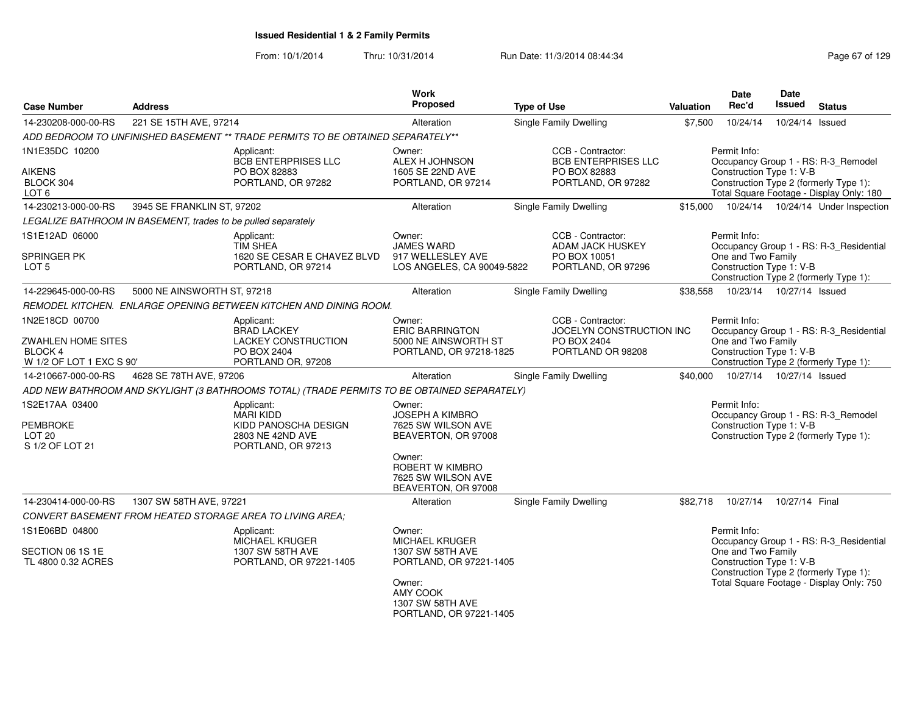| <b>Case Number</b>                                                      | <b>Address</b>                                                |                                                                                             | <b>Work</b><br><b>Proposed</b>                                         | <b>Type of Use</b>                              | <b>Valuation</b> | Date<br>Rec'd                                  | Date<br><b>Issued</b> | <b>Status</b>                                                                      |
|-------------------------------------------------------------------------|---------------------------------------------------------------|---------------------------------------------------------------------------------------------|------------------------------------------------------------------------|-------------------------------------------------|------------------|------------------------------------------------|-----------------------|------------------------------------------------------------------------------------|
| 14-230208-000-00-RS                                                     | 221 SE 15TH AVE, 97214                                        |                                                                                             | Alteration                                                             | Single Family Dwelling                          | \$7,500          | 10/24/14                                       | 10/24/14 Issued       |                                                                                    |
|                                                                         |                                                               | ADD BEDROOM TO UNFINISHED BASEMENT ** TRADE PERMITS TO BE OBTAINED SEPARATELY**             |                                                                        |                                                 |                  |                                                |                       |                                                                                    |
| 1N1E35DC 10200                                                          |                                                               | Applicant:<br><b>BCB ENTERPRISES LLC</b>                                                    | Owner:<br>ALEX H JOHNSON                                               | CCB - Contractor:<br><b>BCB ENTERPRISES LLC</b> |                  | Permit Info:                                   |                       | Occupancy Group 1 - RS: R-3_Remodel                                                |
| <b>AIKENS</b><br>BLOCK 304<br>LOT <sub>6</sub>                          |                                                               | PO BOX 82883<br>PORTLAND, OR 97282                                                          | 1605 SE 22ND AVE<br>PORTLAND, OR 97214                                 | PO BOX 82883<br>PORTLAND, OR 97282              |                  | Construction Type 1: V-B                       |                       | Construction Type 2 (formerly Type 1):<br>Total Square Footage - Display Only: 180 |
| 14-230213-000-00-RS                                                     | 3945 SE FRANKLIN ST, 97202                                    |                                                                                             | Alteration                                                             | Single Family Dwelling                          | \$15,000         |                                                |                       | 10/24/14  10/24/14  Under Inspection                                               |
|                                                                         | LEGALIZE BATHROOM IN BASEMENT, trades to be pulled separately |                                                                                             |                                                                        |                                                 |                  |                                                |                       |                                                                                    |
| 1S1E12AD 06000                                                          |                                                               | Applicant:<br><b>TIM SHEA</b>                                                               | Owner:<br><b>JAMES WARD</b>                                            | CCB - Contractor:<br>ADAM JACK HUSKEY           |                  | Permit Info:                                   |                       | Occupancy Group 1 - RS: R-3_Residential                                            |
| SPRINGER PK<br>LOT 5                                                    |                                                               | 1620 SE CESAR E CHAVEZ BLVD<br>PORTLAND, OR 97214                                           | 917 WELLESLEY AVE<br>LOS ANGELES, CA 90049-5822                        | PO BOX 10051<br>PORTLAND, OR 97296              |                  | One and Two Family<br>Construction Type 1: V-B |                       | Construction Type 2 (formerly Type 1):                                             |
| 14-229645-000-00-RS                                                     | 5000 NE AINSWORTH ST, 97218                                   |                                                                                             | Alteration                                                             | Single Family Dwelling                          | \$38,558         | 10/23/14  10/27/14  Issued                     |                       |                                                                                    |
|                                                                         |                                                               | REMODEL KITCHEN. ENLARGE OPENING BETWEEN KITCHEN AND DINING ROOM.                           |                                                                        |                                                 |                  |                                                |                       |                                                                                    |
| 1N2E18CD 00700                                                          |                                                               | Applicant:<br><b>BRAD LACKEY</b>                                                            | Owner:<br><b>ERIC BARRINGTON</b>                                       | CCB - Contractor:<br>JOCELYN CONSTRUCTION INC   |                  | Permit Info:                                   |                       | Occupancy Group 1 - RS: R-3_Residential                                            |
| <b>ZWAHLEN HOME SITES</b><br><b>BLOCK 4</b><br>W 1/2 OF LOT 1 EXC S 90' |                                                               | <b>LACKEY CONSTRUCTION</b><br>PO BOX 2404<br>PORTLAND OR, 97208                             | 5000 NE AINSWORTH ST<br>PORTLAND, OR 97218-1825                        | PO BOX 2404<br>PORTLAND OR 98208                |                  | One and Two Family<br>Construction Type 1: V-B |                       | Construction Type 2 (formerly Type 1):                                             |
| 14-210667-000-00-RS                                                     | 4628 SE 78TH AVE, 97206                                       |                                                                                             | Alteration                                                             | Single Family Dwelling                          | \$40,000         | 10/27/14  10/27/14  Issued                     |                       |                                                                                    |
|                                                                         |                                                               | ADD NEW BATHROOM AND SKYLIGHT (3 BATHROOMS TOTAL) (TRADE PERMITS TO BE OBTAINED SEPARATELY) |                                                                        |                                                 |                  |                                                |                       |                                                                                    |
| 1S2E17AA 03400                                                          |                                                               | Applicant:<br><b>MARI KIDD</b>                                                              | Owner:<br><b>JOSEPH A KIMBRO</b>                                       |                                                 |                  | Permit Info:                                   |                       | Occupancy Group 1 - RS: R-3_Remodel                                                |
| PEMBROKE<br>LOT <sub>20</sub><br>S 1/2 OF LOT 21                        |                                                               | KIDD PANOSCHA DESIGN<br>2803 NE 42ND AVE<br>PORTLAND, OR 97213                              | 7625 SW WILSON AVE<br>BEAVERTON, OR 97008                              |                                                 |                  | Construction Type 1: V-B                       |                       | Construction Type 2 (formerly Type 1):                                             |
|                                                                         |                                                               |                                                                                             | Owner:<br>ROBERT W KIMBRO<br>7625 SW WILSON AVE<br>BEAVERTON, OR 97008 |                                                 |                  |                                                |                       |                                                                                    |
| 14-230414-000-00-RS                                                     | 1307 SW 58TH AVE, 97221                                       |                                                                                             | Alteration                                                             | Single Family Dwelling                          | \$82,718         | 10/27/14                                       | 10/27/14 Final        |                                                                                    |
|                                                                         |                                                               | CONVERT BASEMENT FROM HEATED STORAGE AREA TO LIVING AREA;                                   |                                                                        |                                                 |                  |                                                |                       |                                                                                    |
| 1S1E06BD 04800                                                          |                                                               | Applicant:<br><b>MICHAEL KRUGER</b>                                                         | Owner:<br><b>MICHAEL KRUGER</b>                                        |                                                 |                  | Permit Info:                                   |                       | Occupancy Group 1 - RS: R-3 Residential                                            |
| SECTION 06 1S 1E<br>TL 4800 0.32 ACRES                                  |                                                               | 1307 SW 58TH AVE<br>PORTLAND, OR 97221-1405                                                 | 1307 SW 58TH AVE<br>PORTLAND, OR 97221-1405                            |                                                 |                  | One and Two Family<br>Construction Type 1: V-B |                       | Construction Type 2 (formerly Type 1):                                             |
|                                                                         |                                                               |                                                                                             | Owner:<br>AMY COOK<br>1307 SW 58TH AVE<br>PORTLAND, OR 97221-1405      |                                                 |                  |                                                |                       | Total Square Footage - Display Only: 750                                           |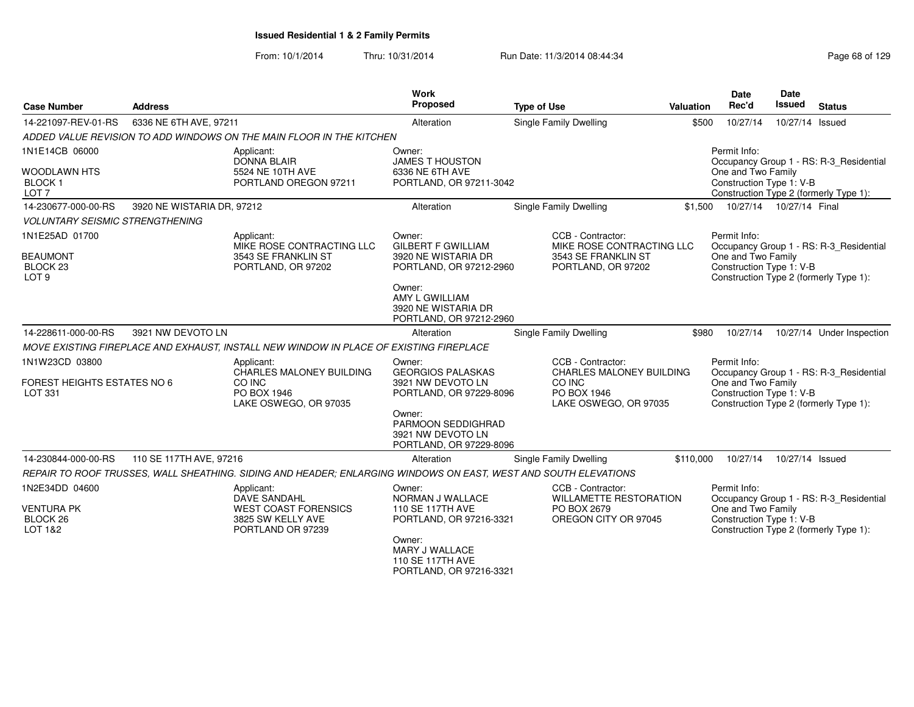| <b>Case Number</b>                                                           | <b>Address</b>             |                                                                                                                 | <b>Work</b><br>Proposed                                                                                                                                             | <b>Type of Use</b>                                                                                     | <b>Valuation</b> | <b>Date</b><br>Rec'd                                           | <b>Date</b><br><b>Issued</b> | <b>Status</b>                                                                     |
|------------------------------------------------------------------------------|----------------------------|-----------------------------------------------------------------------------------------------------------------|---------------------------------------------------------------------------------------------------------------------------------------------------------------------|--------------------------------------------------------------------------------------------------------|------------------|----------------------------------------------------------------|------------------------------|-----------------------------------------------------------------------------------|
| 14-221097-REV-01-RS                                                          | 6336 NE 6TH AVE, 97211     |                                                                                                                 | Alteration                                                                                                                                                          | Single Family Dwelling                                                                                 | \$500            | 10/27/14                                                       | 10/27/14 Issued              |                                                                                   |
|                                                                              |                            | ADDED VALUE REVISION TO ADD WINDOWS ON THE MAIN FLOOR IN THE KITCHEN                                            |                                                                                                                                                                     |                                                                                                        |                  |                                                                |                              |                                                                                   |
| 1N1E14CB 06000<br><b>WOODLAWN HTS</b><br><b>BLOCK1</b><br>LOT <sub>7</sub>   |                            | Applicant:<br><b>DONNA BLAIR</b><br>5524 NE 10TH AVE<br>PORTLAND OREGON 97211                                   | Owner:<br><b>JAMES T HOUSTON</b><br>6336 NE 6TH AVE<br>PORTLAND, OR 97211-3042                                                                                      |                                                                                                        |                  | Permit Info:<br>One and Two Family<br>Construction Type 1: V-B |                              | Occupancy Group 1 - RS: R-3 Residential<br>Construction Type 2 (formerly Type 1): |
| 14-230677-000-00-RS                                                          | 3920 NE WISTARIA DR, 97212 |                                                                                                                 | Alteration                                                                                                                                                          | Single Family Dwelling                                                                                 | \$1,500          | 10/27/14  10/27/14  Final                                      |                              |                                                                                   |
| <b>VOLUNTARY SEISMIC STRENGTHENING</b>                                       |                            |                                                                                                                 |                                                                                                                                                                     |                                                                                                        |                  |                                                                |                              |                                                                                   |
| 1N1E25AD 01700<br><b>BEAUMONT</b><br>BLOCK <sub>23</sub><br>LOT <sub>9</sub> |                            | Applicant:<br>MIKE ROSE CONTRACTING LLC<br>3543 SE FRANKLIN ST<br>PORTLAND, OR 97202                            | Owner:<br><b>GILBERT F GWILLIAM</b><br>3920 NE WISTARIA DR<br>PORTLAND, OR 97212-2960<br>Owner:<br>AMY L GWILLIAM<br>3920 NE WISTARIA DR<br>PORTLAND, OR 97212-2960 | CCB - Contractor:<br>MIKE ROSE CONTRACTING LLC<br>3543 SE FRANKLIN ST<br>PORTLAND, OR 97202            |                  | Permit Info:<br>One and Two Family<br>Construction Type 1: V-B |                              | Occupancy Group 1 - RS: R-3_Residential<br>Construction Type 2 (formerly Type 1): |
| 14-228611-000-00-RS                                                          | 3921 NW DEVOTO LN          |                                                                                                                 | Alteration                                                                                                                                                          | <b>Single Family Dwelling</b>                                                                          | \$980            | 10/27/14                                                       |                              | 10/27/14 Under Inspection                                                         |
|                                                                              |                            | MOVE EXISTING FIREPLACE AND EXHAUST, INSTALL NEW WINDOW IN PLACE OF EXISTING FIREPLACE                          |                                                                                                                                                                     |                                                                                                        |                  |                                                                |                              |                                                                                   |
| 1N1W23CD 03800<br><b>FOREST HEIGHTS ESTATES NO 6</b><br>LOT 331              |                            | Applicant:<br><b>CHARLES MALONEY BUILDING</b><br>CO INC<br>PO BOX 1946<br>LAKE OSWEGO, OR 97035                 | Owner:<br><b>GEORGIOS PALASKAS</b><br>3921 NW DEVOTO LN<br>PORTLAND, OR 97229-8096<br>Owner:<br>PARMOON SEDDIGHRAD<br>3921 NW DEVOTO LN<br>PORTLAND, OR 97229-8096  | CCB - Contractor:<br><b>CHARLES MALONEY BUILDING</b><br>CO INC<br>PO BOX 1946<br>LAKE OSWEGO, OR 97035 |                  | Permit Info:<br>One and Two Family<br>Construction Type 1: V-B |                              | Occupancy Group 1 - RS: R-3_Residential<br>Construction Type 2 (formerly Type 1): |
| 14-230844-000-00-RS                                                          | 110 SE 117TH AVE, 97216    |                                                                                                                 | Alteration                                                                                                                                                          | <b>Single Family Dwelling</b>                                                                          | \$110,000        | 10/27/14                                                       | 10/27/14 Issued              |                                                                                   |
|                                                                              |                            | REPAIR TO ROOF TRUSSES, WALL SHEATHING. SIDING AND HEADER; ENLARGING WINDOWS ON EAST, WEST AND SOUTH ELEVATIONS |                                                                                                                                                                     |                                                                                                        |                  |                                                                |                              |                                                                                   |
| 1N2E34DD 04600<br><b>VENTURA PK</b><br>BLOCK <sub>26</sub><br>LOT 1&2        |                            | Applicant:<br>DAVE SANDAHL<br><b>WEST COAST FORENSICS</b><br>3825 SW KELLY AVE<br>PORTLAND OR 97239             | Owner:<br>NORMAN J WALLACE<br>110 SE 117TH AVE<br>PORTLAND, OR 97216-3321<br>Owner:<br>MARY J WALLACE<br>110 SE 117TH AVE<br>PORTLAND, OR 97216-3321                | CCB - Contractor:<br><b>WILLAMETTE RESTORATION</b><br>PO BOX 2679<br>OREGON CITY OR 97045              |                  | Permit Info:<br>One and Two Family<br>Construction Type 1: V-B |                              | Occupancy Group 1 - RS: R-3_Residential<br>Construction Type 2 (formerly Type 1): |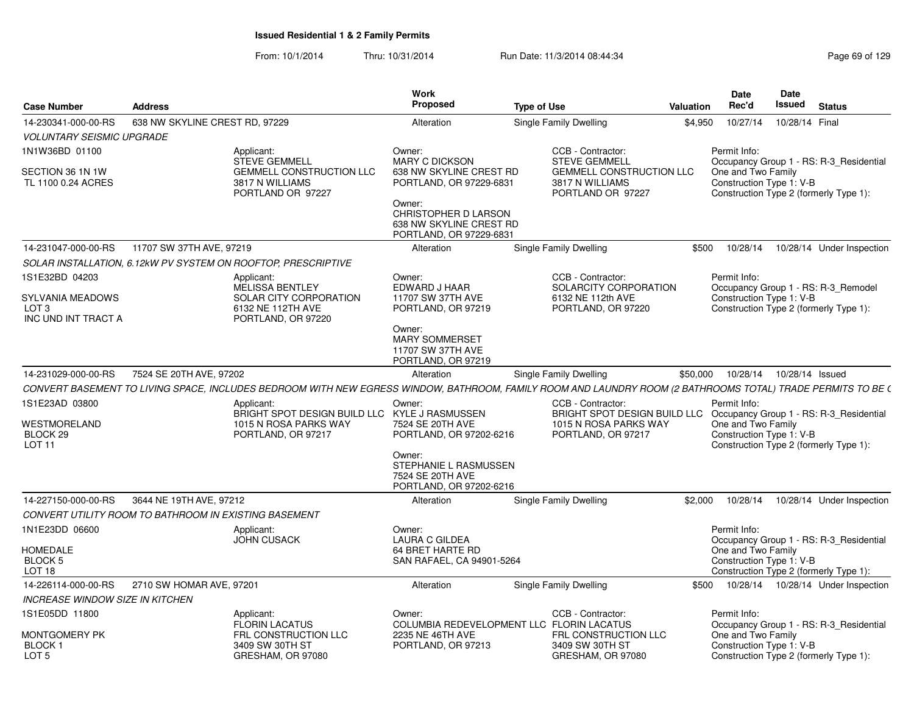| <b>Case Number</b>                                                            | <b>Address</b>                 |                                                                                                                                                                            | <b>Work</b><br>Proposed                                                                                                                            | <b>Type of Use</b> |                                                                                                                                          | Valuation | <b>Date</b><br>Rec'd                                           | Date<br>Issued  | <b>Status</b>                                                                     |
|-------------------------------------------------------------------------------|--------------------------------|----------------------------------------------------------------------------------------------------------------------------------------------------------------------------|----------------------------------------------------------------------------------------------------------------------------------------------------|--------------------|------------------------------------------------------------------------------------------------------------------------------------------|-----------|----------------------------------------------------------------|-----------------|-----------------------------------------------------------------------------------|
| 14-230341-000-00-RS                                                           | 638 NW SKYLINE CREST RD, 97229 |                                                                                                                                                                            | Alteration                                                                                                                                         |                    | Single Family Dwelling                                                                                                                   | \$4,950   | 10/27/14                                                       | 10/28/14 Final  |                                                                                   |
| <b>VOLUNTARY SEISMIC UPGRADE</b>                                              |                                |                                                                                                                                                                            |                                                                                                                                                    |                    |                                                                                                                                          |           |                                                                |                 |                                                                                   |
| 1N1W36BD 01100<br>SECTION 36 1N 1W<br>TL 1100 0.24 ACRES                      |                                | Applicant:<br><b>STEVE GEMMELL</b><br><b>GEMMELL CONSTRUCTION LLC</b><br>3817 N WILLIAMS<br>PORTLAND OR 97227                                                              | Owner:<br><b>MARY C DICKSON</b><br>638 NW SKYLINE CREST RD<br>PORTLAND, OR 97229-6831<br>Owner:<br>CHRISTOPHER D LARSON<br>638 NW SKYLINE CREST RD |                    | CCB - Contractor:<br><b>STEVE GEMMELL</b><br><b>GEMMELL CONSTRUCTION LLC</b><br>3817 N WILLIAMS<br>PORTLAND OR 97227                     |           | Permit Info:<br>One and Two Family<br>Construction Type 1: V-B |                 | Occupancy Group 1 - RS: R-3_Residential<br>Construction Type 2 (formerly Type 1): |
| 14-231047-000-00-RS                                                           | 11707 SW 37TH AVE, 97219       |                                                                                                                                                                            | PORTLAND, OR 97229-6831<br>Alteration                                                                                                              |                    | Single Family Dwelling                                                                                                                   | \$500     | 10/28/14                                                       |                 | 10/28/14 Under Inspection                                                         |
|                                                                               |                                |                                                                                                                                                                            |                                                                                                                                                    |                    |                                                                                                                                          |           |                                                                |                 |                                                                                   |
| 1S1E32BD 04203<br>SYLVANIA MEADOWS<br>LOT <sub>3</sub><br>INC UND INT TRACT A |                                | SOLAR INSTALLATION, 6.12kW PV SYSTEM ON ROOFTOP, PRESCRIPTIVE<br>Applicant:<br><b>MELISSA BENTLEY</b><br>SOLAR CITY CORPORATION<br>6132 NE 112TH AVE<br>PORTLAND, OR 97220 | Owner:<br>EDWARD J HAAR<br>11707 SW 37TH AVE<br>PORTLAND, OR 97219<br>Owner:<br><b>MARY SOMMERSET</b><br>11707 SW 37TH AVE<br>PORTLAND, OR 97219   |                    | CCB - Contractor:<br>SOLARCITY CORPORATION<br>6132 NE 112th AVE<br>PORTLAND, OR 97220                                                    |           | Permit Info:<br>Construction Type 1: V-B                       |                 | Occupancy Group 1 - RS: R-3_Remodel<br>Construction Type 2 (formerly Type 1):     |
| 14-231029-000-00-RS                                                           | 7524 SE 20TH AVE, 97202        |                                                                                                                                                                            | Alteration                                                                                                                                         |                    | Single Family Dwelling                                                                                                                   | \$50,000  | 10/28/14                                                       | 10/28/14 Issued |                                                                                   |
|                                                                               |                                | CONVERT BASEMENT TO LIVING SPACE, INCLUDES BEDROOM WITH NEW EGRESS WINDOW, BATHROOM, FAMILY ROOM AND LAUNDRY ROOM (2 BATHROOMS TOTAL) TRADE PERMITS TO BE (                |                                                                                                                                                    |                    |                                                                                                                                          |           |                                                                |                 |                                                                                   |
| 1S1E23AD 03800<br><b>WESTMORELAND</b><br>BLOCK 29<br><b>LOT 11</b>            |                                | Applicant:<br>BRIGHT SPOT DESIGN BUILD LLC KYLE J RASMUSSEN<br>1015 N ROSA PARKS WAY<br>PORTLAND, OR 97217                                                                 | Owner:<br>7524 SE 20TH AVE<br>PORTLAND, OR 97202-6216<br>Owner:<br>STEPHANIE L RASMUSSEN<br>7524 SE 20TH AVE<br>PORTLAND, OR 97202-6216            |                    | CCB - Contractor:<br>BRIGHT SPOT DESIGN BUILD LLC Occupancy Group 1 - RS: R-3_Residential<br>1015 N ROSA PARKS WAY<br>PORTLAND, OR 97217 |           | Permit Info:<br>One and Two Family<br>Construction Type 1: V-B |                 | Construction Type 2 (formerly Type 1):                                            |
| 14-227150-000-00-RS                                                           | 3644 NE 19TH AVE, 97212        |                                                                                                                                                                            | Alteration                                                                                                                                         |                    | Single Family Dwelling                                                                                                                   | \$2,000   | 10/28/14                                                       |                 | 10/28/14 Under Inspection                                                         |
| CONVERT UTILITY ROOM TO BATHROOM IN EXISTING BASEMENT                         |                                |                                                                                                                                                                            |                                                                                                                                                    |                    |                                                                                                                                          |           |                                                                |                 |                                                                                   |
| 1N1E23DD 06600<br>HOMEDALE<br>BLOCK 5<br>LOT 18                               |                                | Applicant:<br><b>JOHN CUSACK</b>                                                                                                                                           | Owner:<br><b>LAURA C GILDEA</b><br>64 BRET HARTE RD<br>SAN RAFAEL, CA 94901-5264                                                                   |                    |                                                                                                                                          |           | Permit Info:<br>One and Two Family<br>Construction Type 1: V-B |                 | Occupancy Group 1 - RS: R-3_Residential<br>Construction Type 2 (formerly Type 1): |
| 14-226114-000-00-RS                                                           | 2710 SW HOMAR AVE, 97201       |                                                                                                                                                                            | Alteration                                                                                                                                         |                    | Single Family Dwelling                                                                                                                   | \$500     |                                                                |                 | 10/28/14  10/28/14  Under Inspection                                              |
| <b>INCREASE WINDOW SIZE IN KITCHEN</b>                                        |                                |                                                                                                                                                                            |                                                                                                                                                    |                    |                                                                                                                                          |           |                                                                |                 |                                                                                   |
| 1S1E05DD 11800<br>Montgomery PK<br>BLOCK 1<br>LOT <sub>5</sub>                |                                | Applicant:<br><b>FLORIN LACATUS</b><br>FRL CONSTRUCTION LLC<br>3409 SW 30TH ST<br>GRESHAM, OR 97080                                                                        | Owner:<br>COLUMBIA REDEVELOPMENT LLC FLORIN LACATUS<br>2235 NE 46TH AVE<br>PORTLAND, OR 97213                                                      |                    | CCB - Contractor:<br>FRL CONSTRUCTION LLC<br>3409 SW 30TH ST<br>GRESHAM, OR 97080                                                        |           | Permit Info:<br>One and Two Family<br>Construction Type 1: V-B |                 | Occupancy Group 1 - RS: R-3_Residential<br>Construction Type 2 (formerly Type 1): |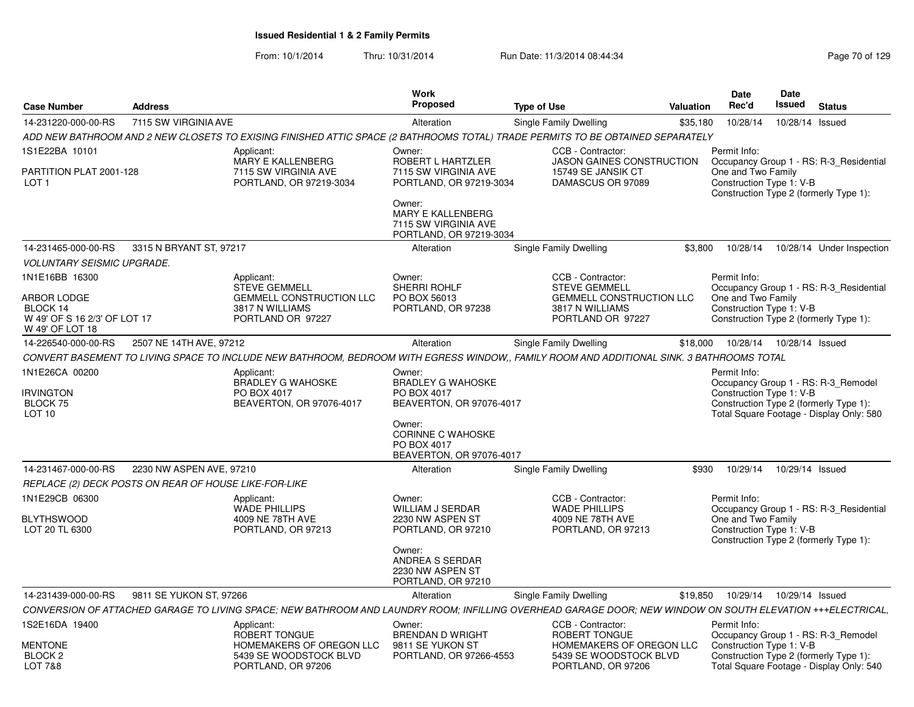|                                                                                              |                          |                                                                                                                                                            | Work                                                                                                       |                                                                                                                      |                  | <b>Date</b>                                                    | Date                       |                                                                                                                           |
|----------------------------------------------------------------------------------------------|--------------------------|------------------------------------------------------------------------------------------------------------------------------------------------------------|------------------------------------------------------------------------------------------------------------|----------------------------------------------------------------------------------------------------------------------|------------------|----------------------------------------------------------------|----------------------------|---------------------------------------------------------------------------------------------------------------------------|
| <b>Case Number</b>                                                                           | <b>Address</b>           |                                                                                                                                                            | <b>Proposed</b>                                                                                            | <b>Type of Use</b>                                                                                                   | <b>Valuation</b> | Rec'd                                                          | Issued                     | <b>Status</b>                                                                                                             |
| 14-231220-000-00-RS                                                                          | 7115 SW VIRGINIA AVE     |                                                                                                                                                            | Alteration                                                                                                 | Single Family Dwelling                                                                                               | \$35,180         | 10/28/14                                                       | 10/28/14 Issued            |                                                                                                                           |
|                                                                                              |                          | ADD NEW BATHROOM AND 2 NEW CLOSETS TO EXISING FINISHED ATTIC SPACE (2 BATHROOMS TOTAL) TRADE PERMITS TO BE OBTAINED SEPARATELY                             |                                                                                                            |                                                                                                                      |                  |                                                                |                            |                                                                                                                           |
| 1S1E22BA 10101                                                                               |                          | Applicant:                                                                                                                                                 | Owner:                                                                                                     | CCB - Contractor:                                                                                                    |                  | Permit Info:                                                   |                            |                                                                                                                           |
| PARTITION PLAT 2001-128<br>LOT <sub>1</sub>                                                  |                          | MARY E KALLENBERG<br>7115 SW VIRGINIA AVE<br>PORTLAND, OR 97219-3034                                                                                       | ROBERT L HARTZLER<br>7115 SW VIRGINIA AVE<br>PORTLAND, OR 97219-3034<br>Owner:<br><b>MARY E KALLENBERG</b> | <b>JASON GAINES CONSTRUCTION</b><br>15749 SE JANSIK CT<br>DAMASCUS OR 97089                                          |                  | One and Two Family<br>Construction Type 1: V-B                 |                            | Occupancy Group 1 - RS: R-3 Residential<br>Construction Type 2 (formerly Type 1):                                         |
|                                                                                              |                          |                                                                                                                                                            | 7115 SW VIRGINIA AVE<br>PORTLAND, OR 97219-3034                                                            |                                                                                                                      |                  |                                                                |                            |                                                                                                                           |
| 14-231465-000-00-RS                                                                          | 3315 N BRYANT ST, 97217  |                                                                                                                                                            | Alteration                                                                                                 | Single Family Dwelling                                                                                               | \$3,800          | 10/28/14                                                       |                            | 10/28/14 Under Inspection                                                                                                 |
| <b>VOLUNTARY SEISMIC UPGRADE.</b>                                                            |                          |                                                                                                                                                            |                                                                                                            |                                                                                                                      |                  |                                                                |                            |                                                                                                                           |
| 1N1E16BB 16300<br>ARBOR LODGE<br>BLOCK 14<br>W 49' OF S 16 2/3' OF LOT 17<br>W 49' OF LOT 18 |                          | Applicant:<br><b>STEVE GEMMELL</b><br><b>GEMMELL CONSTRUCTION LLC</b><br>3817 N WILLIAMS<br>PORTLAND OR 97227                                              | Owner:<br>SHERRI ROHLF<br>PO BOX 56013<br>PORTLAND, OR 97238                                               | CCB - Contractor:<br><b>STEVE GEMMELL</b><br><b>GEMMELL CONSTRUCTION LLC</b><br>3817 N WILLIAMS<br>PORTLAND OR 97227 |                  | Permit Info:<br>One and Two Family<br>Construction Type 1: V-B |                            | Occupancy Group 1 - RS: R-3 Residential<br>Construction Type 2 (formerly Type 1):                                         |
| 14-226540-000-00-RS                                                                          | 2507 NE 14TH AVE, 97212  |                                                                                                                                                            | Alteration                                                                                                 | Single Family Dwelling                                                                                               | \$18,000         |                                                                | 10/28/14  10/28/14  Issued |                                                                                                                           |
|                                                                                              |                          | CONVERT BASEMENT TO LIVING SPACE TO INCLUDE NEW BATHROOM. BEDROOM WITH EGRESS WINDOW FAMILY ROOM AND ADDITIONAL SINK. 3 BATHROOMS TOTAL                    |                                                                                                            |                                                                                                                      |                  |                                                                |                            |                                                                                                                           |
| 1N1E26CA 00200<br><b>IRVINGTON</b><br><b>BLOCK 75</b><br>LOT 10                              |                          | Applicant:<br><b>BRADLEY G WAHOSKE</b><br>PO BOX 4017<br>BEAVERTON, OR 97076-4017                                                                          | Owner:<br><b>BRADLEY G WAHOSKE</b><br>PO BOX 4017<br>BEAVERTON, OR 97076-4017<br>Owner:                    |                                                                                                                      |                  | Permit Info:<br>Construction Type 1: V-B                       |                            | Occupancy Group 1 - RS: R-3 Remodel<br>Construction Type 2 (formerly Type 1):<br>Total Square Footage - Display Only: 580 |
|                                                                                              |                          |                                                                                                                                                            | <b>CORINNE C WAHOSKE</b><br>PO BOX 4017<br>BEAVERTON, OR 97076-4017                                        |                                                                                                                      |                  |                                                                |                            |                                                                                                                           |
| 14-231467-000-00-RS                                                                          | 2230 NW ASPEN AVE, 97210 |                                                                                                                                                            | Alteration                                                                                                 | Single Family Dwelling                                                                                               | \$930            | 10/29/14                                                       | 10/29/14 Issued            |                                                                                                                           |
| REPLACE (2) DECK POSTS ON REAR OF HOUSE LIKE-FOR-LIKE                                        |                          |                                                                                                                                                            |                                                                                                            |                                                                                                                      |                  |                                                                |                            |                                                                                                                           |
| 1N1E29CB 06300<br><b>BLYTHSWOOD</b><br>LOT 20 TL 6300                                        |                          | Applicant:<br><b>WADE PHILLIPS</b><br>4009 NE 78TH AVE<br>PORTLAND, OR 97213                                                                               | Owner:<br><b>WILLIAM J SERDAR</b><br>2230 NW ASPEN ST<br>PORTLAND, OR 97210                                | CCB - Contractor:<br><b>WADE PHILLIPS</b><br>4009 NE 78TH AVE<br>PORTLAND, OR 97213                                  |                  | Permit Info:<br>One and Two Family<br>Construction Type 1: V-B |                            | Occupancy Group 1 - RS: R-3 Residential<br>Construction Type 2 (formerly Type 1):                                         |
|                                                                                              |                          |                                                                                                                                                            | Owner:<br>ANDREA S SERDAR<br>2230 NW ASPEN ST<br>PORTLAND, OR 97210                                        |                                                                                                                      |                  |                                                                |                            |                                                                                                                           |
| 14-231439-000-00-RS                                                                          | 9811 SE YUKON ST, 97266  |                                                                                                                                                            | Alteration                                                                                                 | Single Family Dwelling                                                                                               | \$19,850         | 10/29/14                                                       | 10/29/14 Issued            |                                                                                                                           |
|                                                                                              |                          | CONVERSION OF ATTACHED GARAGE TO LIVING SPACE; NEW BATHROOM AND LAUNDRY ROOM; INFILLING OVERHEAD GARAGE DOOR; NEW WINDOW ON SOUTH ELEVATION +++ELECTRICAL. |                                                                                                            |                                                                                                                      |                  |                                                                |                            |                                                                                                                           |
| 1S2E16DA 19400                                                                               |                          | Applicant:<br>ROBERT TONGUE                                                                                                                                | Owner:<br><b>BRENDAN D WRIGHT</b>                                                                          | CCB - Contractor:<br>ROBERT TONGUE                                                                                   |                  | Permit Info:                                                   |                            | Occupancy Group 1 - RS: R-3 Remodel                                                                                       |
| <b>MENTONE</b><br>BLOCK <sub>2</sub><br><b>LOT 7&amp;8</b>                                   |                          | HOMEMAKERS OF OREGON LLC<br>5439 SE WOODSTOCK BLVD<br>PORTLAND, OR 97206                                                                                   | 9811 SE YUKON ST<br>PORTLAND, OR 97266-4553                                                                | HOMEMAKERS OF OREGON LLC<br>5439 SE WOODSTOCK BLVD<br>PORTLAND, OR 97206                                             |                  | Construction Type 1: V-B                                       |                            | Construction Type 2 (formerly Type 1):<br>Total Square Footage - Display Only: 540                                        |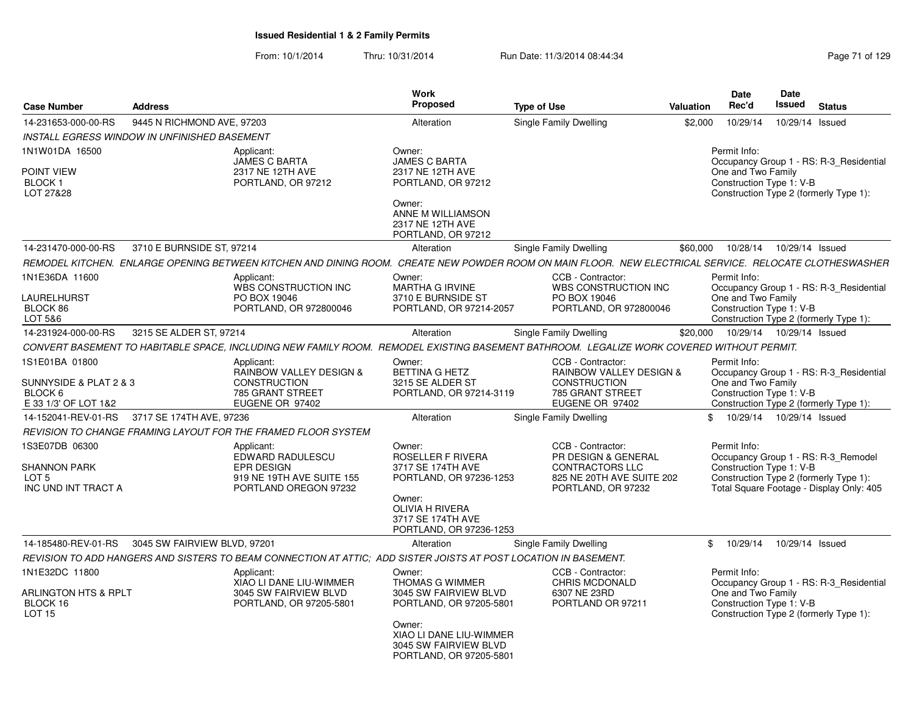| <b>Case Number</b>                                                                     | <b>Address</b>                                      |                                                                                                                                                        | <b>Work</b><br><b>Proposed</b>                                                                                                                                                | <b>Type of Use</b> |                                                                                                                       | <b>Valuation</b> | <b>Date</b><br>Rec'd                                           | <b>Date</b><br>Issued      | <b>Status</b>                                                                                                             |
|----------------------------------------------------------------------------------------|-----------------------------------------------------|--------------------------------------------------------------------------------------------------------------------------------------------------------|-------------------------------------------------------------------------------------------------------------------------------------------------------------------------------|--------------------|-----------------------------------------------------------------------------------------------------------------------|------------------|----------------------------------------------------------------|----------------------------|---------------------------------------------------------------------------------------------------------------------------|
| 14-231653-000-00-RS                                                                    | 9445 N RICHMOND AVE, 97203                          |                                                                                                                                                        | Alteration                                                                                                                                                                    |                    | Single Family Dwelling                                                                                                | \$2,000          | 10/29/14                                                       | 10/29/14 Issued            |                                                                                                                           |
|                                                                                        | <b>INSTALL EGRESS WINDOW IN UNFINISHED BASEMENT</b> |                                                                                                                                                        |                                                                                                                                                                               |                    |                                                                                                                       |                  |                                                                |                            |                                                                                                                           |
| 1N1W01DA 16500<br>POINT VIEW<br>BLOCK 1<br>LOT 27&28                                   |                                                     | Applicant:<br><b>JAMES C BARTA</b><br>2317 NE 12TH AVE<br>PORTLAND, OR 97212                                                                           | Owner:<br><b>JAMES C BARTA</b><br>2317 NE 12TH AVE<br>PORTLAND, OR 97212<br>Owner:<br>ANNE M WILLIAMSON<br>2317 NE 12TH AVE<br>PORTLAND, OR 97212                             |                    |                                                                                                                       |                  | Permit Info:<br>One and Two Family<br>Construction Type 1: V-B |                            | Occupancy Group 1 - RS: R-3_Residential<br>Construction Type 2 (formerly Type 1):                                         |
| 14-231470-000-00-RS                                                                    | 3710 E BURNSIDE ST, 97214                           |                                                                                                                                                        | Alteration                                                                                                                                                                    |                    | Single Family Dwelling                                                                                                | \$60,000         | 10/28/14                                                       | 10/29/14 Issued            |                                                                                                                           |
|                                                                                        |                                                     | REMODEL KITCHEN. ENLARGE OPENING BETWEEN KITCHEN AND DINING ROOM. CREATE NEW POWDER ROOM ON MAIN FLOOR. NEW ELECTRICAL SERVICE. RELOCATE CLOTHESWASHER |                                                                                                                                                                               |                    |                                                                                                                       |                  |                                                                |                            |                                                                                                                           |
| 1N1E36DA 11600<br>LAURELHURST<br>BLOCK 86<br>LOT 5&6                                   |                                                     | Applicant:<br>WBS CONSTRUCTION INC<br>PO BOX 19046<br>PORTLAND, OR 972800046                                                                           | Owner:<br><b>MARTHA G IRVINE</b><br>3710 E BURNSIDE ST<br>PORTLAND, OR 97214-2057                                                                                             |                    | CCB - Contractor:<br>WBS CONSTRUCTION INC<br>PO BOX 19046<br>PORTLAND, OR 972800046                                   |                  | Permit Info:<br>One and Two Family<br>Construction Type 1: V-B |                            | Occupancy Group 1 - RS: R-3_Residential<br>Construction Type 2 (formerly Type 1):                                         |
| 14-231924-000-00-RS                                                                    | 3215 SE ALDER ST, 97214                             |                                                                                                                                                        | Alteration                                                                                                                                                                    |                    | Single Family Dwelling                                                                                                | \$20,000         |                                                                | 10/29/14  10/29/14  Issued |                                                                                                                           |
|                                                                                        |                                                     | CONVERT BASEMENT TO HABITABLE SPACE, INCLUDING NEW FAMILY ROOM. REMODEL EXISTING BASEMENT BATHROOM. LEGALIZE WORK COVERED WITHOUT PERMIT.              |                                                                                                                                                                               |                    |                                                                                                                       |                  |                                                                |                            |                                                                                                                           |
| 1S1E01BA 01800<br>SUNNYSIDE & PLAT 2 & 3<br>BLOCK <sub>6</sub><br>E 33 1/3' OF LOT 1&2 |                                                     | Applicant:<br><b>RAINBOW VALLEY DESIGN &amp;</b><br><b>CONSTRUCTION</b><br>785 GRANT STREET<br>EUGENE OR 97402                                         | Owner:<br>BETTINA G HETZ<br>3215 SE ALDER ST<br>PORTLAND, OR 97214-3119                                                                                                       |                    | CCB - Contractor:<br><b>RAINBOW VALLEY DESIGN &amp;</b><br><b>CONSTRUCTION</b><br>785 GRANT STREET<br>EUGENE OR 97402 |                  | Permit Info:<br>One and Two Family<br>Construction Type 1: V-B |                            | Occupancy Group 1 - RS: R-3_Residential<br>Construction Type 2 (formerly Type 1):                                         |
| 14-152041-REV-01-RS                                                                    | 3717 SE 174TH AVE, 97236                            |                                                                                                                                                        | Alteration                                                                                                                                                                    |                    | Single Family Dwelling                                                                                                |                  | \$.                                                            | 10/29/14  10/29/14  Issued |                                                                                                                           |
|                                                                                        |                                                     | REVISION TO CHANGE FRAMING LAYOUT FOR THE FRAMED FLOOR SYSTEM                                                                                          |                                                                                                                                                                               |                    |                                                                                                                       |                  |                                                                |                            |                                                                                                                           |
| 1S3E07DB 06300<br><b>SHANNON PARK</b><br>LOT <sub>5</sub><br>INC UND INT TRACT A       |                                                     | Applicant:<br><b>EDWARD RADULESCU</b><br><b>EPR DESIGN</b><br>919 NE 19TH AVE SUITE 155<br>PORTLAND OREGON 97232                                       | Owner:<br><b>ROSELLER F RIVERA</b><br>3717 SE 174TH AVE<br>PORTLAND, OR 97236-1253<br>Owner:<br><b>OLIVIA H RIVERA</b><br>3717 SE 174TH AVE<br>PORTLAND, OR 97236-1253        |                    | CCB - Contractor:<br>PR DESIGN & GENERAL<br><b>CONTRACTORS LLC</b><br>825 NE 20TH AVE SUITE 202<br>PORTLAND, OR 97232 |                  | Permit Info:<br>Construction Type 1: V-B                       |                            | Occupancy Group 1 - RS: R-3 Remodel<br>Construction Type 2 (formerly Type 1):<br>Total Square Footage - Display Only: 405 |
| 14-185480-REV-01-RS                                                                    | 3045 SW FAIRVIEW BLVD, 97201                        |                                                                                                                                                        | Alteration                                                                                                                                                                    |                    | Single Family Dwelling                                                                                                |                  | \$<br>10/29/14                                                 | 10/29/14 Issued            |                                                                                                                           |
|                                                                                        |                                                     | REVISION TO ADD HANGERS AND SISTERS TO BEAM CONNECTION AT ATTIC:  ADD SISTER JOISTS AT POST LOCATION IN BASEMENT.                                      |                                                                                                                                                                               |                    |                                                                                                                       |                  |                                                                |                            |                                                                                                                           |
| 1N1E32DC 11800<br>ARLINGTON HTS & RPLT<br>BLOCK 16<br>LOT <sub>15</sub>                |                                                     | Applicant:<br>XIAO LI DANE LIU-WIMMER<br>3045 SW FAIRVIEW BLVD<br>PORTLAND, OR 97205-5801                                                              | Owner:<br><b>THOMAS G WIMMER</b><br>3045 SW FAIRVIEW BLVD<br>PORTLAND, OR 97205-5801<br>Owner:<br>XIAO LI DANE LIU-WIMMER<br>3045 SW FAIRVIEW BLVD<br>PORTLAND, OR 97205-5801 |                    | CCB - Contractor:<br><b>CHRIS MCDONALD</b><br>6307 NE 23RD<br>PORTLAND OR 97211                                       |                  | Permit Info:<br>One and Two Family<br>Construction Type 1: V-B |                            | Occupancy Group 1 - RS: R-3 Residential<br>Construction Type 2 (formerly Type 1):                                         |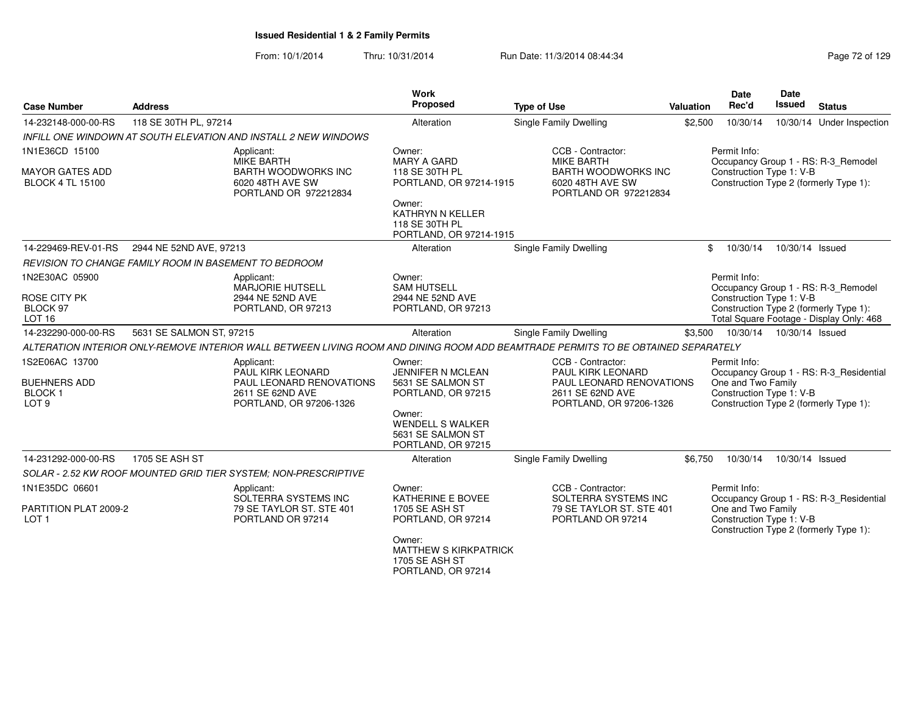| <b>Case Number</b>                                                         | <b>Address</b>                                                         |                                                                                                            | Work<br>Proposed                                                                 | <b>Type of Use</b>                                                                                                                | Valuation | <b>Date</b><br>Rec'd                                                                                     | <b>Date</b><br>Issued | <b>Status</b>                            |
|----------------------------------------------------------------------------|------------------------------------------------------------------------|------------------------------------------------------------------------------------------------------------|----------------------------------------------------------------------------------|-----------------------------------------------------------------------------------------------------------------------------------|-----------|----------------------------------------------------------------------------------------------------------|-----------------------|------------------------------------------|
| 14-232148-000-00-RS                                                        | 118 SE 30TH PL, 97214                                                  |                                                                                                            | Alteration                                                                       | Single Family Dwelling                                                                                                            | \$2,500   | 10/30/14                                                                                                 |                       | 10/30/14 Under Inspection                |
|                                                                            | <b>INFILL ONE WINDOWN AT SOUTH ELEVATION AND INSTALL 2 NEW WINDOWS</b> |                                                                                                            |                                                                                  |                                                                                                                                   |           |                                                                                                          |                       |                                          |
| 1N1E36CD 15100                                                             |                                                                        | Applicant:<br><b>MIKE BARTH</b>                                                                            | Owner:<br><b>MARY A GARD</b>                                                     | CCB - Contractor:<br><b>MIKE BARTH</b>                                                                                            |           | Permit Info:                                                                                             |                       |                                          |
| <b>MAYOR GATES ADD</b><br><b>BLOCK 4 TL 15100</b>                          |                                                                        | <b>BARTH WOODWORKS INC</b><br>6020 48TH AVE SW<br>PORTLAND OR 972212834                                    | 118 SE 30TH PL<br>PORTLAND, OR 97214-1915                                        | <b>BARTH WOODWORKS INC</b><br>6020 48TH AVE SW<br>PORTLAND OR 972212834                                                           |           | Construction Type 1: V-B<br>Construction Type 2 (formerly Type 1):                                       |                       | Occupancy Group 1 - RS: R-3_Remodel      |
|                                                                            |                                                                        |                                                                                                            | Owner:<br>KATHRYN N KELLER<br>118 SE 30TH PL<br>PORTLAND, OR 97214-1915          |                                                                                                                                   |           |                                                                                                          |                       |                                          |
| 14-229469-REV-01-RS                                                        | 2944 NE 52ND AVE, 97213                                                |                                                                                                            | Alteration                                                                       | Single Family Dwelling                                                                                                            |           | \$<br>10/30/14                                                                                           | 10/30/14 Issued       |                                          |
|                                                                            | REVISION TO CHANGE FAMILY ROOM IN BASEMENT TO BEDROOM                  |                                                                                                            |                                                                                  |                                                                                                                                   |           |                                                                                                          |                       |                                          |
| 1N2E30AC 05900                                                             |                                                                        | Applicant:<br><b>MARJORIE HUTSELL</b>                                                                      | Owner:<br><b>SAM HUTSELL</b>                                                     |                                                                                                                                   |           | Permit Info:                                                                                             |                       | Occupancy Group 1 - RS: R-3_Remodel      |
| ROSE CITY PK<br>BLOCK 97<br><b>LOT 16</b>                                  |                                                                        | 2944 NE 52ND AVE<br>PORTLAND, OR 97213                                                                     | 2944 NE 52ND AVE<br>PORTLAND, OR 97213                                           |                                                                                                                                   |           | Construction Type 1: V-B<br>Construction Type 2 (formerly Type 1):                                       |                       | Total Square Footage - Display Only: 468 |
| 14-232290-000-00-RS                                                        | 5631 SE SALMON ST, 97215                                               |                                                                                                            | Alteration                                                                       | Single Family Dwelling                                                                                                            | \$3,500   | 10/30/14                                                                                                 | 10/30/14 Issued       |                                          |
|                                                                            |                                                                        |                                                                                                            |                                                                                  | ALTERATION INTERIOR ONLY-REMOVE INTERIOR WALL BETWEEN LIVING ROOM AND DINING ROOM ADD BEAMTRADE PERMITS TO BE OBTAINED SEPARATELY |           |                                                                                                          |                       |                                          |
| 1S2E06AC 13700<br><b>BUEHNERS ADD</b><br><b>BLOCK1</b><br>LOT <sub>9</sub> |                                                                        | Applicant:<br>PAUL KIRK LEONARD<br>PAUL LEONARD RENOVATIONS<br>2611 SE 62ND AVE<br>PORTLAND, OR 97206-1326 | Owner:<br>JENNIFER N MCLEAN<br>5631 SE SALMON ST<br>PORTLAND, OR 97215<br>Owner: | CCB - Contractor:<br>PAUL KIRK LEONARD<br>PAUL LEONARD RENOVATIONS<br>2611 SE 62ND AVE<br>PORTLAND, OR 97206-1326                 |           | Permit Info:<br>One and Two Family<br>Construction Type 1: V-B<br>Construction Type 2 (formerly Type 1): |                       | Occupancy Group 1 - RS: R-3_Residential  |
|                                                                            |                                                                        |                                                                                                            | <b>WENDELL S WALKER</b><br>5631 SE SALMON ST<br>PORTLAND, OR 97215               |                                                                                                                                   |           |                                                                                                          |                       |                                          |
| 14-231292-000-00-RS                                                        | 1705 SE ASH ST                                                         |                                                                                                            | Alteration                                                                       | Single Family Dwelling                                                                                                            | \$6,750   | 10/30/14                                                                                                 | 10/30/14 Issued       |                                          |
|                                                                            | SOLAR - 2.52 KW ROOF MOUNTED GRID TIER SYSTEM; NON-PRESCRIPTIVE        |                                                                                                            |                                                                                  |                                                                                                                                   |           |                                                                                                          |                       |                                          |
| 1N1E35DC 06601                                                             |                                                                        | Applicant:<br>SOLTERRA SYSTEMS INC                                                                         | Owner:<br>KATHERINE E BOVEE                                                      | CCB - Contractor:<br>SOLTERRA SYSTEMS INC                                                                                         |           | Permit Info:                                                                                             |                       | Occupancy Group 1 - RS: R-3_Residential  |
| PARTITION PLAT 2009-2<br>LOT <sub>1</sub>                                  |                                                                        | 79 SE TAYLOR ST. STE 401<br>PORTLAND OR 97214                                                              | 1705 SE ASH ST<br>PORTLAND, OR 97214                                             | 79 SE TAYLOR ST. STE 401<br>PORTLAND OR 97214                                                                                     |           | One and Two Family<br>Construction Type 1: V-B<br>Construction Type 2 (formerly Type 1):                 |                       |                                          |
|                                                                            |                                                                        |                                                                                                            | Owner:<br><b>MATTHEW S KIRKPATRICK</b><br>1705 SE ASH ST<br>PORTLAND, OR 97214   |                                                                                                                                   |           |                                                                                                          |                       |                                          |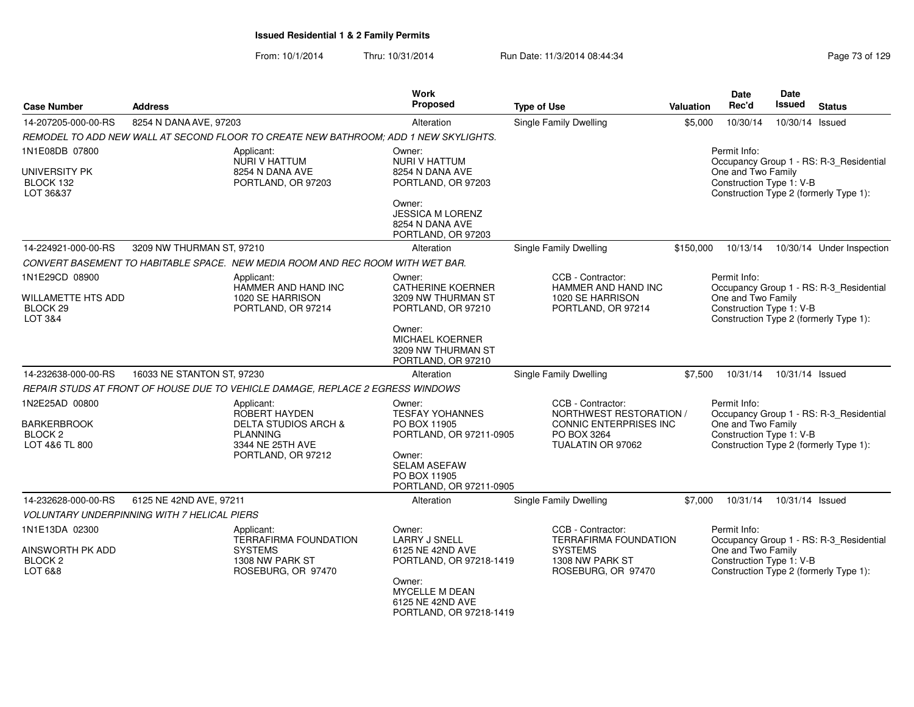| <b>Case Number</b>                                         | <b>Address</b>                                                                       | Work<br>Proposed                                                               | <b>Type of Use</b>                                                | Valuation | <b>Date</b><br>Rec'd                           | Date<br><b>Issued</b> | <b>Status</b>                           |
|------------------------------------------------------------|--------------------------------------------------------------------------------------|--------------------------------------------------------------------------------|-------------------------------------------------------------------|-----------|------------------------------------------------|-----------------------|-----------------------------------------|
| 14-207205-000-00-RS                                        | 8254 N DANA AVE, 97203                                                               | Alteration                                                                     | <b>Single Family Dwelling</b>                                     | \$5,000   | 10/30/14                                       | 10/30/14 Issued       |                                         |
|                                                            | REMODEL TO ADD NEW WALL AT SECOND FLOOR TO CREATE NEW BATHROOM; ADD 1 NEW SKYLIGHTS. |                                                                                |                                                                   |           |                                                |                       |                                         |
| 1N1E08DB 07800                                             | Applicant:<br>NURI V HATTUM                                                          | Owner:<br><b>NURI V HATTUM</b>                                                 |                                                                   |           | Permit Info:                                   |                       | Occupancy Group 1 - RS: R-3 Residential |
| UNIVERSITY PK<br>BLOCK 132<br>LOT 36&37                    | 8254 N DANA AVE<br>PORTLAND, OR 97203                                                | 8254 N DANA AVE<br>PORTLAND, OR 97203                                          |                                                                   |           | One and Two Family<br>Construction Type 1: V-B |                       | Construction Type 2 (formerly Type 1):  |
|                                                            |                                                                                      | Owner:<br><b>JESSICA M LORENZ</b><br>8254 N DANA AVE<br>PORTLAND, OR 97203     |                                                                   |           |                                                |                       |                                         |
| 14-224921-000-00-RS                                        | 3209 NW THURMAN ST, 97210                                                            | Alteration                                                                     | Single Family Dwelling                                            | \$150,000 | 10/13/14                                       |                       | 10/30/14 Under Inspection               |
|                                                            | CONVERT BASEMENT TO HABITABLE SPACE. NEW MEDIA ROOM AND REC ROOM WITH WET BAR.       |                                                                                |                                                                   |           |                                                |                       |                                         |
| 1N1E29CD 08900                                             | Applicant:<br>HAMMER AND HAND INC                                                    | Owner:<br><b>CATHERINE KOERNER</b>                                             | CCB - Contractor:<br>HAMMER AND HAND INC                          |           | Permit Info:                                   |                       | Occupancy Group 1 - RS: R-3_Residential |
| <b>WILLAMETTE HTS ADD</b><br>BLOCK 29<br>LOT 3&4           | 1020 SE HARRISON<br>PORTLAND, OR 97214                                               | 3209 NW THURMAN ST<br>PORTLAND, OR 97210                                       | 1020 SE HARRISON<br>PORTLAND, OR 97214                            |           | One and Two Family<br>Construction Type 1: V-B |                       | Construction Type 2 (formerly Type 1):  |
|                                                            |                                                                                      | Owner:<br><b>MICHAEL KOERNER</b><br>3209 NW THURMAN ST<br>PORTLAND, OR 97210   |                                                                   |           |                                                |                       |                                         |
| 14-232638-000-00-RS                                        | 16033 NE STANTON ST, 97230                                                           | Alteration                                                                     | Single Family Dwelling                                            | \$7,500   | 10/31/14                                       | 10/31/14 Issued       |                                         |
|                                                            | REPAIR STUDS AT FRONT OF HOUSE DUE TO VEHICLE DAMAGE, REPLACE 2 EGRESS WINDOWS       |                                                                                |                                                                   |           |                                                |                       |                                         |
| 1N2E25AD 00800                                             | Applicant:<br>ROBERT HAYDEN                                                          | Owner:<br><b>TESFAY YOHANNES</b>                                               | CCB - Contractor:<br>NORTHWEST RESTORATION /                      |           | Permit Info:                                   |                       | Occupancy Group 1 - RS: R-3_Residential |
| <b>BARKERBROOK</b><br>BLOCK <sub>2</sub><br>LOT 4&6 TL 800 | <b>DELTA STUDIOS ARCH &amp;</b><br><b>PLANNING</b><br>3344 NE 25TH AVE               | PO BOX 11905<br>PORTLAND, OR 97211-0905                                        | <b>CONNIC ENTERPRISES INC</b><br>PO BOX 3264<br>TUALATIN OR 97062 |           | One and Two Family<br>Construction Type 1: V-B |                       | Construction Type 2 (formerly Type 1):  |
|                                                            | PORTLAND, OR 97212                                                                   | Owner:<br><b>SELAM ASEFAW</b><br>PO BOX 11905<br>PORTLAND, OR 97211-0905       |                                                                   |           |                                                |                       |                                         |
| 14-232628-000-00-RS                                        | 6125 NE 42ND AVE, 97211                                                              | Alteration                                                                     | Single Family Dwelling                                            | \$7,000   | 10/31/14                                       | 10/31/14 Issued       |                                         |
|                                                            | VOLUNTARY UNDERPINNING WITH 7 HELICAL PIERS                                          |                                                                                |                                                                   |           |                                                |                       |                                         |
| 1N1E13DA 02300                                             | Applicant:<br><b>TERRAFIRMA FOUNDATION</b>                                           | Owner:<br><b>LARRY J SNELL</b>                                                 | CCB - Contractor:<br><b>TERRAFIRMA FOUNDATION</b>                 |           | Permit Info:                                   |                       | Occupancy Group 1 - RS: R-3_Residential |
| AINSWORTH PK ADD<br>BLOCK <sub>2</sub><br>LOT 6&8          | <b>SYSTEMS</b><br>1308 NW PARK ST<br>ROSEBURG, OR 97470                              | 6125 NE 42ND AVE<br>PORTLAND, OR 97218-1419                                    | <b>SYSTEMS</b><br>1308 NW PARK ST<br>ROSEBURG, OR 97470           |           | One and Two Family<br>Construction Type 1: V-B |                       | Construction Type 2 (formerly Type 1):  |
|                                                            |                                                                                      | Owner:<br><b>MYCELLE M DEAN</b><br>6125 NE 42ND AVE<br>PORTLAND, OR 97218-1419 |                                                                   |           |                                                |                       |                                         |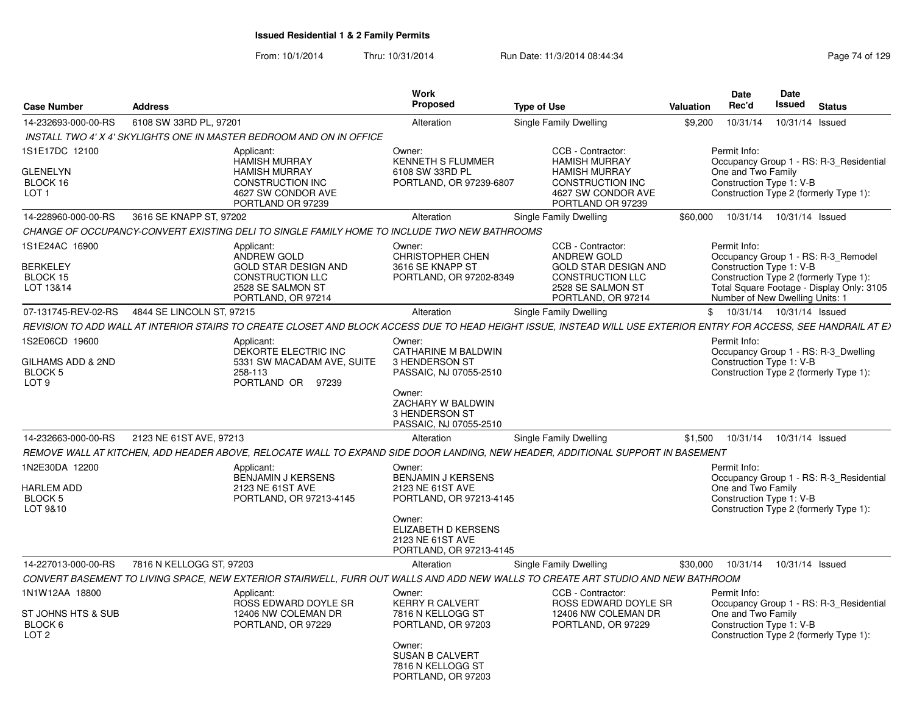| <b>Case Number</b>                                                             | <b>Address</b>                                                                                                                                                     | <b>Work</b><br><b>Proposed</b>                                                      | <b>Type of Use</b>                                                                                              | Date<br>Rec'd<br>Valuation | <b>Date</b><br>Issued                                          | <b>Status</b>                                                                                                              |
|--------------------------------------------------------------------------------|--------------------------------------------------------------------------------------------------------------------------------------------------------------------|-------------------------------------------------------------------------------------|-----------------------------------------------------------------------------------------------------------------|----------------------------|----------------------------------------------------------------|----------------------------------------------------------------------------------------------------------------------------|
| 14-232693-000-00-RS                                                            | 6108 SW 33RD PL, 97201                                                                                                                                             | Alteration                                                                          | Single Family Dwelling                                                                                          | \$9,200                    | 10/31/14                                                       | 10/31/14 Issued                                                                                                            |
|                                                                                | INSTALL TWO 4' X 4' SKYLIGHTS ONE IN MASTER BEDROOM AND ON IN OFFICE                                                                                               |                                                                                     |                                                                                                                 |                            |                                                                |                                                                                                                            |
| 1S1E17DC 12100<br><b>GLENELYN</b>                                              | Applicant:<br><b>HAMISH MURRAY</b><br><b>HAMISH MURRAY</b>                                                                                                         | Owner:<br><b>KENNETH S FLUMMER</b><br>6108 SW 33RD PL                               | CCB - Contractor:<br><b>HAMISH MURRAY</b><br><b>HAMISH MURRAY</b>                                               | Permit Info:               | One and Two Family                                             | Occupancy Group 1 - RS: R-3_Residential                                                                                    |
| BLOCK 16<br>LOT <sub>1</sub>                                                   | <b>CONSTRUCTION INC</b><br>4627 SW CONDOR AVE<br>PORTLAND OR 97239                                                                                                 | PORTLAND, OR 97239-6807                                                             | <b>CONSTRUCTION INC</b><br>4627 SW CONDOR AVE<br>PORTLAND OR 97239                                              |                            | Construction Type 1: V-B                                       | Construction Type 2 (formerly Type 1):                                                                                     |
| 14-228960-000-00-RS                                                            | 3616 SE KNAPP ST, 97202                                                                                                                                            | Alteration                                                                          | Single Family Dwelling                                                                                          | \$60,000                   | 10/31/14                                                       | 10/31/14 Issued                                                                                                            |
|                                                                                | CHANGE OF OCCUPANCY-CONVERT EXISTING DELI TO SINGLE FAMILY HOME TO INCLUDE TWO NEW BATHROOMS                                                                       |                                                                                     |                                                                                                                 |                            |                                                                |                                                                                                                            |
| 1S1E24AC 16900<br><b>BERKELEY</b><br>BLOCK 15<br>LOT 13&14                     | Applicant:<br>ANDREW GOLD<br><b>GOLD STAR DESIGN AND</b><br><b>CONSTRUCTION LLC</b><br>2528 SE SALMON ST                                                           | Owner:<br><b>CHRISTOPHER CHEN</b><br>3616 SE KNAPP ST<br>PORTLAND, OR 97202-8349    | CCB - Contractor:<br>ANDREW GOLD<br><b>GOLD STAR DESIGN AND</b><br><b>CONSTRUCTION LLC</b><br>2528 SE SALMON ST | Permit Info:               | Construction Type 1: V-B                                       | Occupancy Group 1 - RS: R-3 Remodel<br>Construction Type 2 (formerly Type 1):<br>Total Square Footage - Display Only: 3105 |
| 07-131745-REV-02-RS                                                            | PORTLAND, OR 97214<br>4844 SE LINCOLN ST, 97215                                                                                                                    | Alteration                                                                          | PORTLAND, OR 97214<br>Single Family Dwelling                                                                    |                            | Number of New Dwelling Units: 1<br>\$ 10/31/14 10/31/14 Issued |                                                                                                                            |
|                                                                                | REVISION TO ADD WALL AT INTERIOR STAIRS TO CREATE CLOSET AND BLOCK ACCESS DUE TO HEAD HEIGHT ISSUE, INSTEAD WILL USE EXTERIOR ENTRY FOR ACCESS, SEE HANDRAIL AT EX |                                                                                     |                                                                                                                 |                            |                                                                |                                                                                                                            |
| 1S2E06CD 19600                                                                 | Applicant:                                                                                                                                                         | Owner:                                                                              |                                                                                                                 | Permit Info:               |                                                                |                                                                                                                            |
| GILHAMS ADD & 2ND<br><b>BLOCK 5</b><br>LOT <sub>9</sub>                        | DEKORTE ELECTRIC INC<br>5331 SW MACADAM AVE, SUITE<br>258-113<br>PORTLAND OR 97239                                                                                 | CATHARINE M BALDWIN<br>3 HENDERSON ST<br>PASSAIC, NJ 07055-2510                     |                                                                                                                 |                            | Construction Type 1: V-B                                       | Occupancy Group 1 - RS: R-3_Dwelling<br>Construction Type 2 (formerly Type 1):                                             |
|                                                                                |                                                                                                                                                                    | Owner:<br>ZACHARY W BALDWIN<br>3 HENDERSON ST<br>PASSAIC, NJ 07055-2510             |                                                                                                                 |                            |                                                                |                                                                                                                            |
| 14-232663-000-00-RS                                                            | 2123 NE 61ST AVE, 97213                                                                                                                                            | Alteration                                                                          | Single Family Dwelling                                                                                          | \$1,500                    | 10/31/14                                                       | 10/31/14 Issued                                                                                                            |
|                                                                                | REMOVE WALL AT KITCHEN, ADD HEADER ABOVE, RELOCATE WALL TO EXPAND SIDE DOOR LANDING, NEW HEADER, ADDITIONAL SUPPORT IN BASEMENT                                    |                                                                                     |                                                                                                                 |                            |                                                                |                                                                                                                            |
| 1N2E30DA 12200<br>HARLEM ADD                                                   | Applicant:<br><b>BENJAMIN J KERSENS</b><br>2123 NE 61ST AVE                                                                                                        | Owner:<br><b>BENJAMIN J KERSENS</b><br>2123 NE 61ST AVE                             |                                                                                                                 | Permit Info:               | One and Two Family                                             | Occupancy Group 1 - RS: R-3_Residential                                                                                    |
| <b>BLOCK 5</b><br>LOT 9&10                                                     | PORTLAND, OR 97213-4145                                                                                                                                            | PORTLAND, OR 97213-4145                                                             |                                                                                                                 |                            | Construction Type 1: V-B                                       | Construction Type 2 (formerly Type 1):                                                                                     |
|                                                                                |                                                                                                                                                                    | Owner:<br><b>ELIZABETH D KERSENS</b><br>2123 NE 61ST AVE<br>PORTLAND, OR 97213-4145 |                                                                                                                 |                            |                                                                |                                                                                                                            |
| 14-227013-000-00-RS                                                            | 7816 N KELLOGG ST, 97203                                                                                                                                           | Alteration                                                                          | Single Family Dwelling                                                                                          | \$30,000                   | 10/31/14                                                       | 10/31/14 Issued                                                                                                            |
|                                                                                | CONVERT BASEMENT TO LIVING SPACE, NEW EXTERIOR STAIRWELL, FURR OUT WALLS AND ADD NEW WALLS TO CREATE ART STUDIO AND NEW BATHROOM                                   |                                                                                     |                                                                                                                 |                            |                                                                |                                                                                                                            |
| 1N1W12AA 18800<br>ST JOHNS HTS & SUB<br>BLOCK <sub>6</sub><br>LOT <sub>2</sub> | Applicant:<br>ROSS EDWARD DOYLE SR<br>12406 NW COLEMAN DR<br>PORTLAND, OR 97229                                                                                    | Owner:<br><b>KERRY R CALVERT</b><br>7816 N KELLOGG ST<br>PORTLAND, OR 97203         | CCB - Contractor:<br>ROSS EDWARD DOYLE SR<br>12406 NW COLEMAN DR<br>PORTLAND, OR 97229                          | Permit Info:               | One and Two Family<br>Construction Type 1: V-B                 | Occupancy Group 1 - RS: R-3 Residential<br>Construction Type 2 (formerly Type 1):                                          |
|                                                                                |                                                                                                                                                                    | Owner:<br><b>SUSAN B CALVERT</b><br>7816 N KELLOGG ST<br>PORTLAND, OR 97203         |                                                                                                                 |                            |                                                                |                                                                                                                            |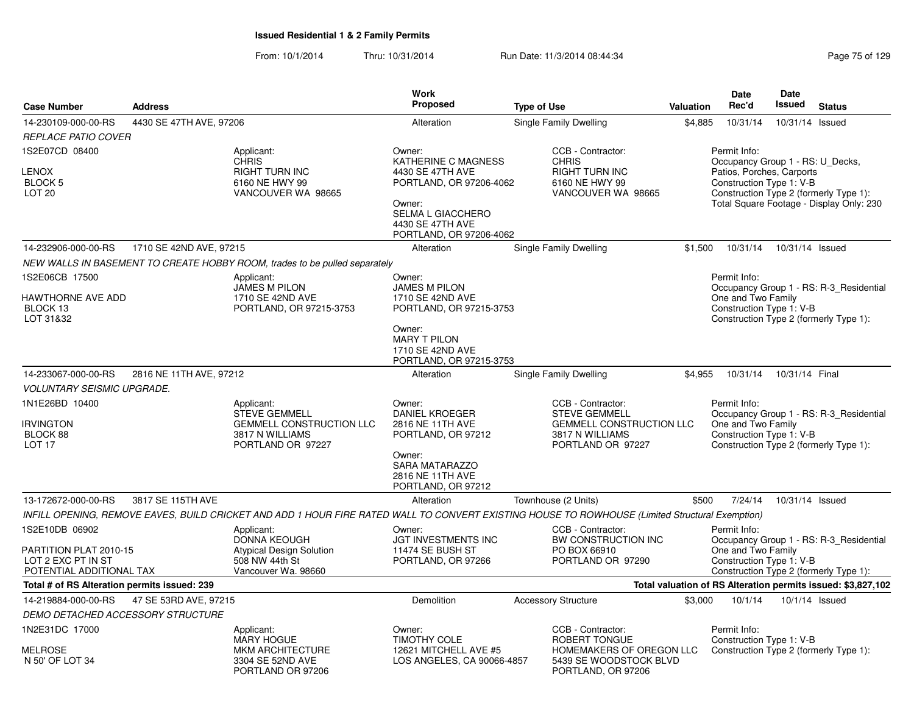|                                                                                            |                         |                                                                                                                                                 | <b>Work</b>                                                                                                                                                       |                                                                                                                      |           | <b>Date</b>                                                                                               | <b>Date</b>     |                                                                                    |
|--------------------------------------------------------------------------------------------|-------------------------|-------------------------------------------------------------------------------------------------------------------------------------------------|-------------------------------------------------------------------------------------------------------------------------------------------------------------------|----------------------------------------------------------------------------------------------------------------------|-----------|-----------------------------------------------------------------------------------------------------------|-----------------|------------------------------------------------------------------------------------|
| <b>Case Number</b>                                                                         | <b>Address</b>          |                                                                                                                                                 | <b>Proposed</b>                                                                                                                                                   | <b>Type of Use</b>                                                                                                   | Valuation | Rec'd                                                                                                     | <b>Issued</b>   | <b>Status</b>                                                                      |
| 14-230109-000-00-RS                                                                        | 4430 SE 47TH AVE, 97206 |                                                                                                                                                 | Alteration                                                                                                                                                        | Single Family Dwelling                                                                                               | \$4,885   | 10/31/14                                                                                                  | 10/31/14 Issued |                                                                                    |
| <b>REPLACE PATIO COVER</b>                                                                 |                         |                                                                                                                                                 |                                                                                                                                                                   |                                                                                                                      |           |                                                                                                           |                 |                                                                                    |
| 1S2E07CD 08400<br><b>LENOX</b><br><b>BLOCK 5</b><br>LOT <sub>20</sub>                      |                         | Applicant:<br><b>CHRIS</b><br><b>RIGHT TURN INC</b><br>6160 NE HWY 99<br>VANCOUVER WA 98665                                                     | Owner:<br>KATHERINE C MAGNESS<br>4430 SE 47TH AVE<br>PORTLAND, OR 97206-4062<br>Owner:<br><b>SELMA L GIACCHERO</b><br>4430 SE 47TH AVE<br>PORTLAND, OR 97206-4062 | CCB - Contractor:<br><b>CHRIS</b><br>RIGHT TURN INC<br>6160 NE HWY 99<br>VANCOUVER WA 98665                          |           | Permit Info:<br>Occupancy Group 1 - RS: U_Decks,<br>Patios, Porches, Carports<br>Construction Type 1: V-B |                 | Construction Type 2 (formerly Type 1):<br>Total Square Footage - Display Only: 230 |
| 14-232906-000-00-RS                                                                        | 1710 SE 42ND AVE, 97215 |                                                                                                                                                 | Alteration                                                                                                                                                        | Single Family Dwelling                                                                                               | \$1.500   | 10/31/14                                                                                                  | 10/31/14 Issued |                                                                                    |
|                                                                                            |                         | NEW WALLS IN BASEMENT TO CREATE HOBBY ROOM, trades to be pulled separately                                                                      |                                                                                                                                                                   |                                                                                                                      |           |                                                                                                           |                 |                                                                                    |
| 1S2E06CB 17500<br><b>HAWTHORNE AVE ADD</b><br>BLOCK 13<br>LOT 31&32                        |                         | Applicant:<br><b>JAMES M PILON</b><br>1710 SE 42ND AVE<br>PORTLAND, OR 97215-3753                                                               | Owner:<br><b>JAMES M PILON</b><br>1710 SE 42ND AVE<br>PORTLAND, OR 97215-3753<br>Owner:<br><b>MARY T PILON</b><br>1710 SE 42ND AVE<br>PORTLAND, OR 97215-3753     |                                                                                                                      |           | Permit Info:<br>One and Two Family<br>Construction Type 1: V-B                                            |                 | Occupancy Group 1 - RS: R-3 Residential<br>Construction Type 2 (formerly Type 1):  |
| 14-233067-000-00-RS                                                                        | 2816 NE 11TH AVE, 97212 |                                                                                                                                                 | Alteration                                                                                                                                                        | Single Family Dwelling                                                                                               | \$4,955   | 10/31/14                                                                                                  | 10/31/14 Final  |                                                                                    |
| <b>VOLUNTARY SEISMIC UPGRADE.</b>                                                          |                         |                                                                                                                                                 |                                                                                                                                                                   |                                                                                                                      |           |                                                                                                           |                 |                                                                                    |
| 1N1E26BD 10400<br><b>IRVINGTON</b><br>BLOCK 88<br>LOT <sub>17</sub>                        |                         | Applicant:<br><b>STEVE GEMMELL</b><br><b>GEMMELL CONSTRUCTION LLC</b><br>3817 N WILLIAMS<br>PORTLAND OR 97227                                   | Owner:<br><b>DANIEL KROEGER</b><br>2816 NE 11TH AVE<br>PORTLAND, OR 97212<br>Owner:<br>SARA MATARAZZO<br>2816 NE 11TH AVE<br>PORTLAND, OR 97212                   | CCB - Contractor:<br><b>STEVE GEMMELL</b><br><b>GEMMELL CONSTRUCTION LLC</b><br>3817 N WILLIAMS<br>PORTLAND OR 97227 |           | Permit Info:<br>One and Two Family<br>Construction Type 1: V-B                                            |                 | Occupancy Group 1 - RS: R-3 Residential<br>Construction Type 2 (formerly Type 1):  |
| 13-172672-000-00-RS                                                                        | 3817 SE 115TH AVE       |                                                                                                                                                 | Alteration                                                                                                                                                        | Townhouse (2 Units)                                                                                                  | \$500     | 7/24/14                                                                                                   | 10/31/14 Issued |                                                                                    |
|                                                                                            |                         | INFILL OPENING, REMOVE EAVES, BUILD CRICKET AND ADD 1 HOUR FIRE RATED WALL TO CONVERT EXISTING HOUSE TO ROWHOUSE (Limited Structural Exemption) |                                                                                                                                                                   |                                                                                                                      |           |                                                                                                           |                 |                                                                                    |
| 1S2E10DB 06902<br>PARTITION PLAT 2010-15<br>LOT 2 EXC PT IN ST<br>POTENTIAL ADDITIONAL TAX |                         | Applicant:<br><b>DONNA KEOUGH</b><br><b>Atypical Design Solution</b><br>508 NW 44th St<br>Vancouver Wa. 98660                                   | Owner:<br>JGT INVESTMENTS INC<br>11474 SE BUSH ST<br>PORTLAND, OR 97266                                                                                           | CCB - Contractor:<br>BW CONSTRUCTION INC<br>PO BOX 66910<br>PORTLAND OR 97290                                        |           | Permit Info:<br>One and Two Family<br>Construction Type 1: V-B                                            |                 | Occupancy Group 1 - RS: R-3_Residential<br>Construction Type 2 (formerly Type 1):  |
| Total # of RS Alteration permits issued: 239                                               |                         |                                                                                                                                                 |                                                                                                                                                                   |                                                                                                                      |           |                                                                                                           |                 | Total valuation of RS Alteration permits issued: \$3,827,102                       |
| 14-219884-000-00-RS                                                                        | 47 SE 53RD AVE, 97215   |                                                                                                                                                 | Demolition                                                                                                                                                        | <b>Accessory Structure</b>                                                                                           | \$3.000   | 10/1/14                                                                                                   |                 | 10/1/14 Issued                                                                     |
| DEMO DETACHED ACCESSORY STRUCTURE                                                          |                         |                                                                                                                                                 |                                                                                                                                                                   |                                                                                                                      |           |                                                                                                           |                 |                                                                                    |
| 1N2E31DC 17000<br><b>MELROSE</b><br>N 50' OF LOT 34                                        |                         | Applicant:<br><b>MARY HOGUE</b><br><b>MKM ARCHITECTURE</b><br>3304 SE 52ND AVE<br>PORTLAND OR 97206                                             | Owner:<br>TIMOTHY COLE<br>12621 MITCHELL AVE #5<br>LOS ANGELES, CA 90066-4857                                                                                     | CCB - Contractor:<br>ROBERT TONGUE<br>HOMEMAKERS OF OREGON LLC<br>5439 SE WOODSTOCK BLVD<br>PORTLAND, OR 97206       |           | Permit Info:<br>Construction Type 1: V-B                                                                  |                 | Construction Type 2 (formerly Type 1):                                             |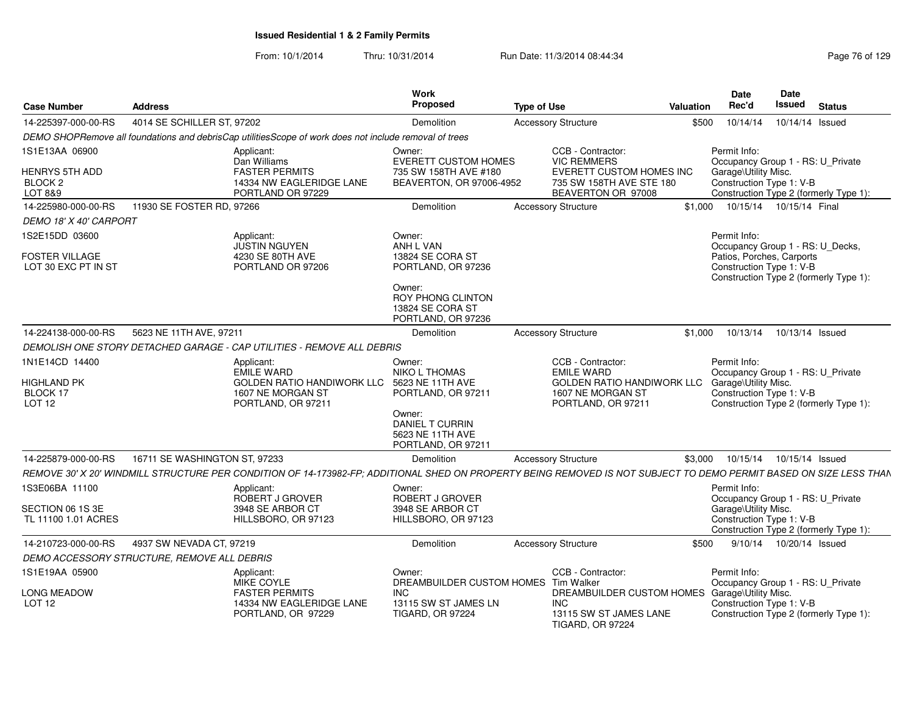| <b>Case Number</b>                                                                  | <b>Address</b>                              |                                                                                                                                                                    | Work<br><b>Proposed</b>                                                                                                                | <b>Type of Use</b> |                                                                                                                       | Valuation | <b>Date</b><br>Rec'd                                                  | <b>Date</b><br>Issued | <b>Status</b>                                                               |
|-------------------------------------------------------------------------------------|---------------------------------------------|--------------------------------------------------------------------------------------------------------------------------------------------------------------------|----------------------------------------------------------------------------------------------------------------------------------------|--------------------|-----------------------------------------------------------------------------------------------------------------------|-----------|-----------------------------------------------------------------------|-----------------------|-----------------------------------------------------------------------------|
| 14-225397-000-00-RS                                                                 | 4014 SE SCHILLER ST, 97202                  |                                                                                                                                                                    | Demolition                                                                                                                             |                    | <b>Accessory Structure</b>                                                                                            | \$500     | 10/14/14                                                              |                       | 10/14/14 Issued                                                             |
|                                                                                     |                                             | DEMO SHOPRemove all foundations and debrisCap utilitiesScope of work does not include removal of trees                                                             |                                                                                                                                        |                    |                                                                                                                       |           |                                                                       |                       |                                                                             |
| 1S1E13AA 06900<br><b>HENRYS 5TH ADD</b><br>BLOCK <sub>2</sub><br><b>LOT 8&amp;9</b> |                                             | Applicant:<br>Dan Williams<br><b>FASTER PERMITS</b><br>14334 NW EAGLERIDGE LANE<br>PORTLAND OR 97229                                                               | Owner:<br><b>EVERETT CUSTOM HOMES</b><br>735 SW 158TH AVE #180<br>BEAVERTON, OR 97006-4952                                             |                    | CCB - Contractor:<br><b>VIC REMMERS</b><br>EVERETT CUSTOM HOMES INC<br>735 SW 158TH AVE STE 180<br>BEAVERTON OR 97008 |           | Permit Info:<br>Garage\Utility Misc.<br>Construction Type 1: V-B      |                       | Occupancy Group 1 - RS: U_Private<br>Construction Type 2 (formerly Type 1): |
| 14-225980-000-00-RS                                                                 | 11930 SE FOSTER RD, 97266                   |                                                                                                                                                                    | Demolition                                                                                                                             |                    | <b>Accessory Structure</b>                                                                                            | \$1.000   | 10/15/14  10/15/14  Final                                             |                       |                                                                             |
| DEMO 18' X 40' CARPORT                                                              |                                             |                                                                                                                                                                    |                                                                                                                                        |                    |                                                                                                                       |           |                                                                       |                       |                                                                             |
| 1S2E15DD 03600<br><b>FOSTER VILLAGE</b><br>LOT 30 EXC PT IN ST                      |                                             | Applicant:<br><b>JUSTIN NGUYEN</b><br>4230 SE 80TH AVE<br>PORTLAND OR 97206                                                                                        | Owner:<br>ANH L VAN<br>13824 SE CORA ST<br>PORTLAND, OR 97236<br>Owner:<br>ROY PHONG CLINTON<br>13824 SE CORA ST<br>PORTLAND, OR 97236 |                    |                                                                                                                       |           | Permit Info:<br>Patios, Porches, Carports<br>Construction Type 1: V-B |                       | Occupancy Group 1 - RS: U_Decks,<br>Construction Type 2 (formerly Type 1):  |
| 14-224138-000-00-RS                                                                 | 5623 NE 11TH AVE, 97211                     |                                                                                                                                                                    | Demolition                                                                                                                             |                    | <b>Accessory Structure</b>                                                                                            | \$1.000   | 10/13/14                                                              |                       | 10/13/14 Issued                                                             |
|                                                                                     |                                             | DEMOLISH ONE STORY DETACHED GARAGE - CAP UTILITIES - REMOVE ALL DEBRIS                                                                                             |                                                                                                                                        |                    |                                                                                                                       |           |                                                                       |                       |                                                                             |
| 1N1E14CD 14400                                                                      |                                             | Applicant:                                                                                                                                                         | Owner:                                                                                                                                 |                    | CCB - Contractor:                                                                                                     |           | Permit Info:                                                          |                       |                                                                             |
| <b>HIGHLAND PK</b><br>BLOCK 17<br>LOT 12                                            |                                             | <b>EMILE WARD</b><br><b>GOLDEN RATIO HANDIWORK LLC</b><br>1607 NE MORGAN ST<br>PORTLAND, OR 97211                                                                  | NIKO L THOMAS<br>5623 NE 11TH AVE<br>PORTLAND, OR 97211<br>Owner:<br><b>DANIEL T CURRIN</b><br>5623 NE 11TH AVE<br>PORTLAND, OR 97211  |                    | <b>EMILE WARD</b><br>GOLDEN RATIO HANDIWORK LLC Garage\Utility Misc.<br>1607 NE MORGAN ST<br>PORTLAND, OR 97211       |           | Construction Type 1: V-B                                              |                       | Occupancy Group 1 - RS: U_Private<br>Construction Type 2 (formerly Type 1): |
| 14-225879-000-00-RS                                                                 | 16711 SE WASHINGTON ST, 97233               |                                                                                                                                                                    | Demolition                                                                                                                             |                    | <b>Accessory Structure</b>                                                                                            |           | \$3,000  10/15/14  10/15/14  Issued                                   |                       |                                                                             |
|                                                                                     |                                             | REMOVE 30' X 20' WINDMILL STRUCTURE PER CONDITION OF 14-173982-FP: ADDITIONAL SHED ON PROPERTY BEING REMOVED IS NOT SUBJECT TO DEMO PERMIT BASED ON SIZE LESS THAN |                                                                                                                                        |                    |                                                                                                                       |           |                                                                       |                       |                                                                             |
| 1S3E06BA 11100<br>SECTION 06 1S 3E                                                  |                                             | Applicant<br>ROBERT J GROVER<br>3948 SE ARBOR CT                                                                                                                   | Owner:<br>ROBERT J GROVER<br>3948 SE ARBOR CT                                                                                          |                    |                                                                                                                       |           | Permit Info:<br>Garage\Utility Misc.                                  |                       | Occupancy Group 1 - RS: U_Private                                           |
| TL 11100 1.01 ACRES                                                                 |                                             | HILLSBORO, OR 97123                                                                                                                                                | HILLSBORO, OR 97123                                                                                                                    |                    |                                                                                                                       |           | Construction Type 1: V-B                                              |                       | Construction Type 2 (formerly Type 1):                                      |
| 14-210723-000-00-RS                                                                 | 4937 SW NEVADA CT, 97219                    |                                                                                                                                                                    | Demolition                                                                                                                             |                    | <b>Accessory Structure</b>                                                                                            | \$500     | 9/10/14                                                               |                       | 10/20/14 Issued                                                             |
|                                                                                     | DEMO ACCESSORY STRUCTURE. REMOVE ALL DEBRIS |                                                                                                                                                                    |                                                                                                                                        |                    |                                                                                                                       |           |                                                                       |                       |                                                                             |
| 1S1E19AA 05900                                                                      |                                             | Applicant:<br>MIKE COYLE                                                                                                                                           | Owner:<br>DREAMBUILDER CUSTOM HOMES Tim Walker                                                                                         |                    | CCB - Contractor:                                                                                                     |           | Permit Info:                                                          |                       | Occupancy Group 1 - RS: U_Private                                           |
| <b>LONG MEADOW</b><br>LOT 12                                                        |                                             | <b>FASTER PERMITS</b><br>14334 NW EAGLERIDGE LANE<br>PORTLAND, OR 97229                                                                                            | INC.<br>13115 SW ST JAMES LN<br><b>TIGARD, OR 97224</b>                                                                                |                    | DREAMBUILDER CUSTOM HOMES Garage\Utility Misc.<br><b>INC</b><br>13115 SW ST JAMES LANE<br><b>TIGARD, OR 97224</b>     |           | Construction Type 1: V-B                                              |                       | Construction Type 2 (formerly Type 1):                                      |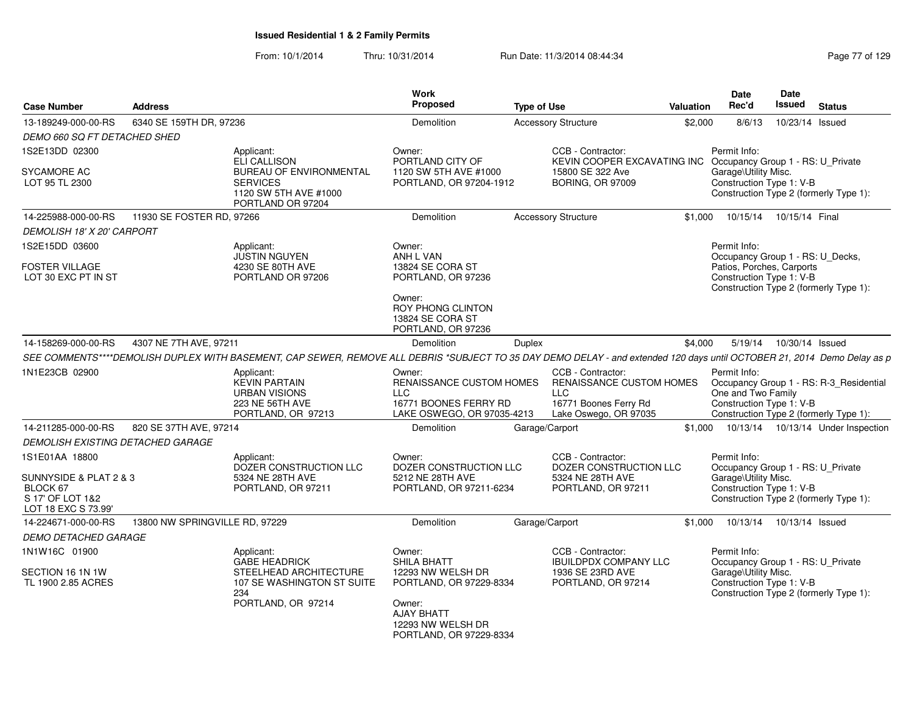|                                                                               | <b>Address</b>                 |                                                                                                                                                                          | Work<br>Proposed                                                                                     | <b>Type of Use</b> |                                                                                                 | <b>Valuation</b> | <b>Date</b><br>Rec'd                                                                  | Date<br><b>Issued</b>      | <b>Status</b>                                                                     |
|-------------------------------------------------------------------------------|--------------------------------|--------------------------------------------------------------------------------------------------------------------------------------------------------------------------|------------------------------------------------------------------------------------------------------|--------------------|-------------------------------------------------------------------------------------------------|------------------|---------------------------------------------------------------------------------------|----------------------------|-----------------------------------------------------------------------------------|
| <b>Case Number</b>                                                            |                                |                                                                                                                                                                          |                                                                                                      |                    |                                                                                                 |                  |                                                                                       |                            |                                                                                   |
| 13-189249-000-00-RS                                                           | 6340 SE 159TH DR, 97236        |                                                                                                                                                                          | Demolition                                                                                           |                    | <b>Accessory Structure</b>                                                                      | \$2,000          | 8/6/13                                                                                |                            | 10/23/14 Issued                                                                   |
| DEMO 660 SQ FT DETACHED SHED                                                  |                                |                                                                                                                                                                          |                                                                                                      |                    | CCB - Contractor:                                                                               |                  | Permit Info:                                                                          |                            |                                                                                   |
| 1S2E13DD 02300                                                                |                                | Applicant:<br><b>ELI CALLISON</b>                                                                                                                                        | Owner:<br>PORTLAND CITY OF                                                                           |                    | KEVIN COOPER EXCAVATING INC                                                                     |                  | Occupancy Group 1 - RS: U Private                                                     |                            |                                                                                   |
| <b>SYCAMORE AC</b>                                                            |                                | BUREAU OF ENVIRONMENTAL                                                                                                                                                  | 1120 SW 5TH AVE #1000                                                                                |                    | 15800 SE 322 Ave                                                                                |                  | Garage\Utility Misc.                                                                  |                            |                                                                                   |
| LOT 95 TL 2300                                                                |                                | <b>SERVICES</b><br>1120 SW 5TH AVE #1000<br>PORTLAND OR 97204                                                                                                            | PORTLAND, OR 97204-1912                                                                              |                    | <b>BORING, OR 97009</b>                                                                         |                  | Construction Type 1: V-B                                                              |                            | Construction Type 2 (formerly Type 1):                                            |
| 14-225988-000-00-RS                                                           | 11930 SE FOSTER RD, 97266      |                                                                                                                                                                          | Demolition                                                                                           |                    | <b>Accessory Structure</b>                                                                      | \$1,000          |                                                                                       | 10/15/14  10/15/14  Final  |                                                                                   |
| DEMOLISH 18' X 20' CARPORT                                                    |                                |                                                                                                                                                                          |                                                                                                      |                    |                                                                                                 |                  |                                                                                       |                            |                                                                                   |
| 1S2E15DD 03600                                                                |                                | Applicant:                                                                                                                                                               | Owner:                                                                                               |                    |                                                                                                 |                  | Permit Info:                                                                          |                            |                                                                                   |
| <b>FOSTER VILLAGE</b>                                                         |                                | <b>JUSTIN NGUYEN</b><br>4230 SE 80TH AVE                                                                                                                                 | ANH L VAN<br>13824 SE CORA ST                                                                        |                    |                                                                                                 |                  | Occupancy Group 1 - RS: U_Decks,<br>Patios, Porches, Carports                         |                            |                                                                                   |
| LOT 30 EXC PT IN ST                                                           |                                | PORTLAND OR 97206                                                                                                                                                        | PORTLAND, OR 97236                                                                                   |                    |                                                                                                 |                  | Construction Type 1: V-B                                                              |                            | Construction Type 2 (formerly Type 1):                                            |
|                                                                               |                                |                                                                                                                                                                          | Owner:<br><b>ROY PHONG CLINTON</b><br>13824 SE CORA ST                                               |                    |                                                                                                 |                  |                                                                                       |                            |                                                                                   |
| 14-158269-000-00-RS                                                           | 4307 NE 7TH AVE, 97211         |                                                                                                                                                                          | PORTLAND, OR 97236<br>Demolition                                                                     | Duplex             |                                                                                                 | \$4,000          |                                                                                       | 5/19/14  10/30/14  Issued  |                                                                                   |
|                                                                               |                                | SEE COMMENTS****DEMOLISH DUPLEX WITH BASEMENT, CAP SEWER, REMOVE ALL DEBRIS *SUBJECT TO 35 DAY DEMO DELAY - and extended 120 days until OCTOBER 21, 2014 Demo Delay as p |                                                                                                      |                    |                                                                                                 |                  |                                                                                       |                            |                                                                                   |
| 1N1E23CB 02900                                                                |                                | Applicant:                                                                                                                                                               | Owner:                                                                                               |                    | CCB - Contractor:                                                                               |                  | Permit Info:                                                                          |                            |                                                                                   |
|                                                                               |                                | <b>KEVIN PARTAIN</b><br><b>URBAN VISIONS</b><br>223 NE 56TH AVE<br>PORTLAND, OR 97213                                                                                    | <b>RENAISSANCE CUSTOM HOMES</b><br><b>LLC</b><br>16771 BOONES FERRY RD<br>LAKE OSWEGO, OR 97035-4213 |                    | <b>RENAISSANCE CUSTOM HOMES</b><br><b>LLC</b><br>16771 Boones Ferry Rd<br>Lake Oswego, OR 97035 |                  | One and Two Family<br>Construction Type 1: V-B                                        |                            | Occupancy Group 1 - RS: R-3_Residential<br>Construction Type 2 (formerly Type 1): |
| 14-211285-000-00-RS                                                           | 820 SE 37TH AVE, 97214         |                                                                                                                                                                          | Demolition                                                                                           |                    | Garage/Carport                                                                                  |                  |                                                                                       |                            | \$1,000  10/13/14  10/13/14  Under Inspection                                     |
| <b>DEMOLISH EXISTING DETACHED GARAGE</b>                                      |                                |                                                                                                                                                                          |                                                                                                      |                    |                                                                                                 |                  |                                                                                       |                            |                                                                                   |
| 1S1E01AA 18800                                                                |                                | Applicant:<br>DOZER CONSTRUCTION LLC                                                                                                                                     | Owner:<br>DOZER CONSTRUCTION LLC                                                                     |                    | CCB - Contractor:<br>DOZER CONSTRUCTION LLC                                                     |                  | Permit Info:<br>Occupancy Group 1 - RS: U_Private                                     |                            |                                                                                   |
| SUNNYSIDE & PLAT 2 & 3<br>BLOCK 67<br>S 17' OF LOT 1&2<br>LOT 18 EXC S 73.99' |                                | 5324 NE 28TH AVE<br>PORTLAND, OR 97211                                                                                                                                   | 5212 NE 28TH AVE<br>PORTLAND, OR 97211-6234                                                          |                    | 5324 NE 28TH AVE<br>PORTLAND, OR 97211                                                          |                  | Garage\Utility Misc.<br>Construction Type 1: V-B                                      |                            | Construction Type 2 (formerly Type 1):                                            |
| 14-224671-000-00-RS                                                           | 13800 NW SPRINGVILLE RD, 97229 |                                                                                                                                                                          | Demolition                                                                                           |                    | Garage/Carport                                                                                  | \$1.000          |                                                                                       | 10/13/14  10/13/14  Issued |                                                                                   |
| <b>DEMO DETACHED GARAGE</b>                                                   |                                |                                                                                                                                                                          |                                                                                                      |                    |                                                                                                 |                  |                                                                                       |                            |                                                                                   |
| 1N1W16C 01900                                                                 |                                | Applicant:                                                                                                                                                               | Owner:                                                                                               |                    | CCB - Contractor:                                                                               |                  | Permit Info:                                                                          |                            |                                                                                   |
| SECTION 16 1N 1W<br>TL 1900 2.85 ACRES                                        |                                | <b>GABE HEADRICK</b><br>STEELHEAD ARCHITECTURE<br>107 SE WASHINGTON ST SUITE<br>234                                                                                      | SHILA BHATT<br>12293 NW WELSH DR<br>PORTLAND, OR 97229-8334                                          |                    | <b>IBUILDPDX COMPANY LLC</b><br>1936 SE 23RD AVE<br>PORTLAND, OR 97214                          |                  | Occupancy Group 1 - RS: U_Private<br>Garage\Utility Misc.<br>Construction Type 1: V-B |                            | Construction Type 2 (formerly Type 1):                                            |
|                                                                               |                                | PORTLAND, OR 97214                                                                                                                                                       | Owner:<br>AJAY BHATT<br>12293 NW WELSH DR<br>PORTLAND, OR 97229-8334                                 |                    |                                                                                                 |                  |                                                                                       |                            |                                                                                   |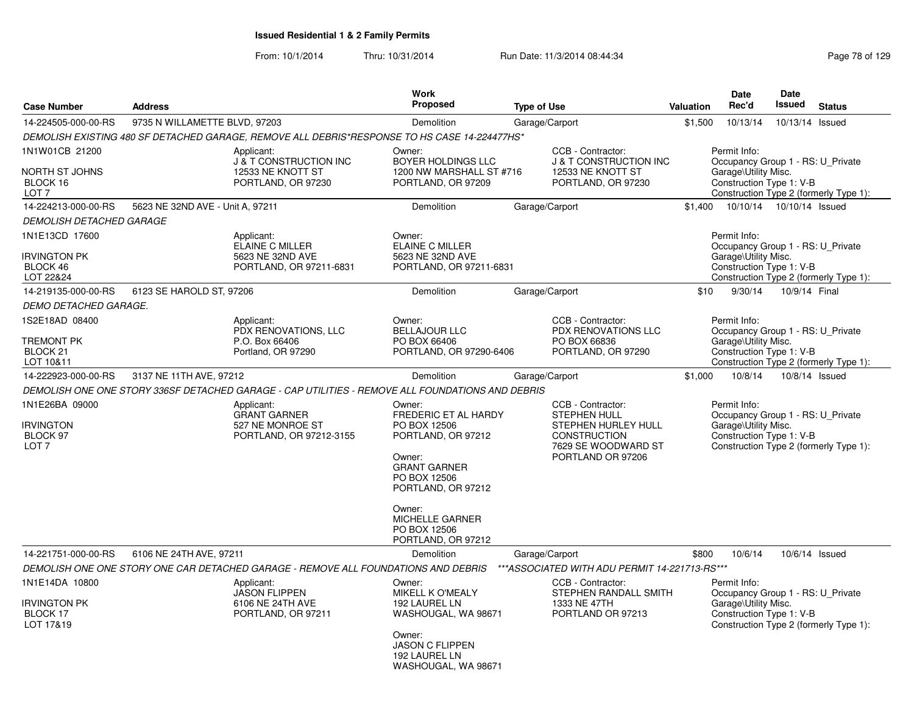From: 10/1/2014

|                                 |                                                                                            |                                                                                                                                                                                           |                                                                                                                                    |                                                                                                                                                                                                                                                                                                                                         | Date                                                                    |                                                                                                                                         |                                                                                                                                                                                                                                                                                                                                                                                                                                                                                                                                                                                                                                                                                                                                                                                                                   |
|---------------------------------|--------------------------------------------------------------------------------------------|-------------------------------------------------------------------------------------------------------------------------------------------------------------------------------------------|------------------------------------------------------------------------------------------------------------------------------------|-----------------------------------------------------------------------------------------------------------------------------------------------------------------------------------------------------------------------------------------------------------------------------------------------------------------------------------------|-------------------------------------------------------------------------|-----------------------------------------------------------------------------------------------------------------------------------------|-------------------------------------------------------------------------------------------------------------------------------------------------------------------------------------------------------------------------------------------------------------------------------------------------------------------------------------------------------------------------------------------------------------------------------------------------------------------------------------------------------------------------------------------------------------------------------------------------------------------------------------------------------------------------------------------------------------------------------------------------------------------------------------------------------------------|
|                                 |                                                                                            |                                                                                                                                                                                           |                                                                                                                                    |                                                                                                                                                                                                                                                                                                                                         |                                                                         |                                                                                                                                         | <b>Status</b>                                                                                                                                                                                                                                                                                                                                                                                                                                                                                                                                                                                                                                                                                                                                                                                                     |
|                                 |                                                                                            | Demolition                                                                                                                                                                                | Garage/Carport                                                                                                                     | \$1,500                                                                                                                                                                                                                                                                                                                                 | 10/13/14                                                                |                                                                                                                                         |                                                                                                                                                                                                                                                                                                                                                                                                                                                                                                                                                                                                                                                                                                                                                                                                                   |
|                                 |                                                                                            |                                                                                                                                                                                           |                                                                                                                                    |                                                                                                                                                                                                                                                                                                                                         |                                                                         |                                                                                                                                         |                                                                                                                                                                                                                                                                                                                                                                                                                                                                                                                                                                                                                                                                                                                                                                                                                   |
|                                 | Applicant:<br><b>J &amp; T CONSTRUCTION INC</b><br>12533 NE KNOTT ST<br>PORTLAND, OR 97230 | Owner:<br>BOYER HOLDINGS LLC<br>PORTLAND, OR 97209                                                                                                                                        | CCB - Contractor:<br>12533 NE KNOTT ST<br>PORTLAND, OR 97230                                                                       |                                                                                                                                                                                                                                                                                                                                         |                                                                         |                                                                                                                                         |                                                                                                                                                                                                                                                                                                                                                                                                                                                                                                                                                                                                                                                                                                                                                                                                                   |
|                                 |                                                                                            | <b>Demolition</b>                                                                                                                                                                         | Garage/Carport                                                                                                                     | \$1.400                                                                                                                                                                                                                                                                                                                                 |                                                                         |                                                                                                                                         |                                                                                                                                                                                                                                                                                                                                                                                                                                                                                                                                                                                                                                                                                                                                                                                                                   |
| <b>DEMOLISH DETACHED GARAGE</b> |                                                                                            |                                                                                                                                                                                           |                                                                                                                                    |                                                                                                                                                                                                                                                                                                                                         |                                                                         |                                                                                                                                         |                                                                                                                                                                                                                                                                                                                                                                                                                                                                                                                                                                                                                                                                                                                                                                                                                   |
|                                 | Applicant:<br>ELAINE C MILLER                                                              | Owner:<br>ELAINE C MILLER                                                                                                                                                                 |                                                                                                                                    |                                                                                                                                                                                                                                                                                                                                         |                                                                         |                                                                                                                                         |                                                                                                                                                                                                                                                                                                                                                                                                                                                                                                                                                                                                                                                                                                                                                                                                                   |
|                                 | PORTLAND, OR 97211-6831                                                                    |                                                                                                                                                                                           |                                                                                                                                    |                                                                                                                                                                                                                                                                                                                                         |                                                                         |                                                                                                                                         |                                                                                                                                                                                                                                                                                                                                                                                                                                                                                                                                                                                                                                                                                                                                                                                                                   |
|                                 |                                                                                            | Demolition                                                                                                                                                                                | Garage/Carport                                                                                                                     | \$10                                                                                                                                                                                                                                                                                                                                    | 9/30/14                                                                 |                                                                                                                                         |                                                                                                                                                                                                                                                                                                                                                                                                                                                                                                                                                                                                                                                                                                                                                                                                                   |
| DEMO DETACHED GARAGE.           |                                                                                            |                                                                                                                                                                                           |                                                                                                                                    |                                                                                                                                                                                                                                                                                                                                         |                                                                         |                                                                                                                                         |                                                                                                                                                                                                                                                                                                                                                                                                                                                                                                                                                                                                                                                                                                                                                                                                                   |
|                                 | Applicant:<br>PDX RENOVATIONS, LLC                                                         | Owner:<br><b>BELLAJOUR LLC</b>                                                                                                                                                            | CCB - Contractor:<br>PDX RENOVATIONS LLC                                                                                           |                                                                                                                                                                                                                                                                                                                                         |                                                                         |                                                                                                                                         |                                                                                                                                                                                                                                                                                                                                                                                                                                                                                                                                                                                                                                                                                                                                                                                                                   |
|                                 | Portland, OR 97290                                                                         |                                                                                                                                                                                           | PORTLAND, OR 97290                                                                                                                 |                                                                                                                                                                                                                                                                                                                                         |                                                                         |                                                                                                                                         |                                                                                                                                                                                                                                                                                                                                                                                                                                                                                                                                                                                                                                                                                                                                                                                                                   |
|                                 |                                                                                            | <b>Demolition</b>                                                                                                                                                                         | Garage/Carport                                                                                                                     | \$1,000                                                                                                                                                                                                                                                                                                                                 | 10/8/14                                                                 |                                                                                                                                         |                                                                                                                                                                                                                                                                                                                                                                                                                                                                                                                                                                                                                                                                                                                                                                                                                   |
|                                 |                                                                                            |                                                                                                                                                                                           |                                                                                                                                    |                                                                                                                                                                                                                                                                                                                                         |                                                                         |                                                                                                                                         |                                                                                                                                                                                                                                                                                                                                                                                                                                                                                                                                                                                                                                                                                                                                                                                                                   |
|                                 | Applicant:<br><b>GRANT GARNER</b><br>527 NE MONROE ST<br>PORTLAND, OR 97212-3155           | Owner:<br>FREDERIC ET AL HARDY<br>PO BOX 12506<br>PORTLAND, OR 97212<br>Owner:<br><b>GRANT GARNER</b><br>PO BOX 12506<br>PORTLAND, OR 97212                                               | CCB - Contractor:<br><b>STEPHEN HULL</b><br>STEPHEN HURLEY HULL<br><b>CONSTRUCTION</b><br>7629 SE WOODWARD ST<br>PORTLAND OR 97206 |                                                                                                                                                                                                                                                                                                                                         |                                                                         |                                                                                                                                         |                                                                                                                                                                                                                                                                                                                                                                                                                                                                                                                                                                                                                                                                                                                                                                                                                   |
|                                 |                                                                                            | Owner:<br><b>MICHELLE GARNER</b><br>PO BOX 12506<br>PORTLAND, OR 97212                                                                                                                    |                                                                                                                                    |                                                                                                                                                                                                                                                                                                                                         |                                                                         |                                                                                                                                         |                                                                                                                                                                                                                                                                                                                                                                                                                                                                                                                                                                                                                                                                                                                                                                                                                   |
|                                 |                                                                                            | Demolition                                                                                                                                                                                | Garage/Carport                                                                                                                     | \$800                                                                                                                                                                                                                                                                                                                                   | 10/6/14                                                                 |                                                                                                                                         |                                                                                                                                                                                                                                                                                                                                                                                                                                                                                                                                                                                                                                                                                                                                                                                                                   |
|                                 |                                                                                            |                                                                                                                                                                                           |                                                                                                                                    |                                                                                                                                                                                                                                                                                                                                         |                                                                         |                                                                                                                                         |                                                                                                                                                                                                                                                                                                                                                                                                                                                                                                                                                                                                                                                                                                                                                                                                                   |
|                                 | Applicant:<br><b>JASON FLIPPEN</b><br>6106 NE 24TH AVE<br>PORTLAND, OR 97211               | Owner:<br>MIKELL K O'MEALY<br>192 LAUREL LN<br>WASHOUGAL, WA 98671<br>Owner:<br><b>JASON C FLIPPEN</b><br>192 LAUREL LN                                                                   | CCB - Contractor:<br>1333 NE 47TH<br>PORTLAND OR 97213                                                                             |                                                                                                                                                                                                                                                                                                                                         |                                                                         |                                                                                                                                         |                                                                                                                                                                                                                                                                                                                                                                                                                                                                                                                                                                                                                                                                                                                                                                                                                   |
|                                 | <b>Address</b>                                                                             | 9735 N WILLAMETTE BLVD, 97203<br>5623 NE 32ND AVE - Unit A, 97211<br>5623 NE 32ND AVE<br>6123 SE HAROLD ST, 97206<br>P.O. Box 66406<br>3137 NE 11TH AVE, 97212<br>6106 NE 24TH AVE, 97211 | Proposed<br>5623 NE 32ND AVE<br>PO BOX 66406<br>DEMOLISH ONE ONE STORY ONE CAR DETACHED GARAGE - REMOVE ALL FOUNDATIONS AND DEBRIS | <b>Work</b><br><b>Type of Use</b><br>DEMOLISH EXISTING 480 SF DETACHED GARAGE, REMOVE ALL DEBRIS*RESPONSE TO HS CASE 14-224477HS*<br>1200 NW MARSHALL ST #716<br>PORTLAND, OR 97211-6831<br>PO BOX 66836<br>PORTLAND, OR 97290-6406<br>DEMOLISH ONE ONE STORY 336SF DETACHED GARAGE - CAP UTILITIES - REMOVE ALL FOUNDATIONS AND DEBRIS | Valuation<br><b>J &amp; T CONSTRUCTION INC</b><br>STEPHEN RANDALL SMITH | Rec'd<br>Permit Info:<br>Permit Info:<br>Permit Info:<br>Permit Info:<br>*** ASSOCIATED WITH ADU PERMIT 14-221713-RS***<br>Permit Info: | <b>Date</b><br><b>Issued</b><br>10/13/14 Issued<br>Occupancy Group 1 - RS: U_Private<br>Garage\Utility Misc.<br>Construction Type 1: V-B<br>Construction Type 2 (formerly Type 1):<br>10/10/14  10/10/14  Issued<br>Occupancy Group 1 - RS: U_Private<br>Garage\Utility Misc.<br>Construction Type 1: V-B<br>Construction Type 2 (formerly Type 1):<br>10/9/14 Final<br>Occupancy Group 1 - RS: U_Private<br>Garage\Utility Misc.<br>Construction Type 1: V-B<br>Construction Type 2 (formerly Type 1):<br>10/8/14 Issued<br>Occupancy Group 1 - RS: U_Private<br>Garage\Utility Misc.<br>Construction Type 1: V-B<br>Construction Type 2 (formerly Type 1):<br>10/6/14 Issued<br>Occupancy Group 1 - RS: U_Private<br>Garage\Utility Misc.<br>Construction Type 1: V-B<br>Construction Type 2 (formerly Type 1): |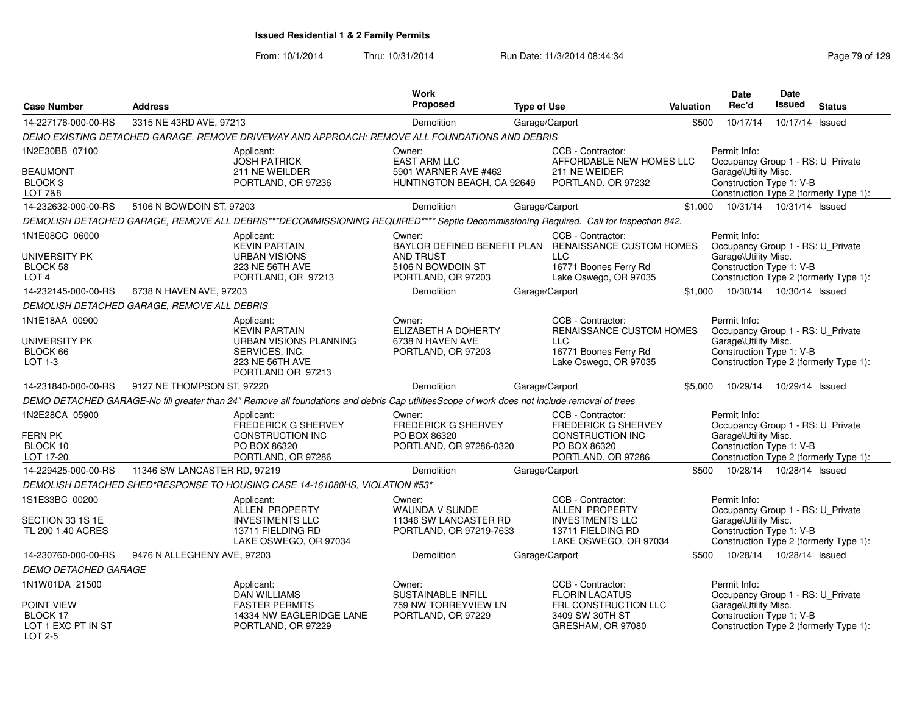| <b>Case Number</b>                                        | <b>Address</b>                              |                                                                                                                                              | <b>Work</b><br>Proposed                                                         | <b>Type of Use</b> |                                                                                                                                           | Valuation | Date<br>Rec'd                                                                                         | Date<br>Issued  | <b>Status</b>                          |
|-----------------------------------------------------------|---------------------------------------------|----------------------------------------------------------------------------------------------------------------------------------------------|---------------------------------------------------------------------------------|--------------------|-------------------------------------------------------------------------------------------------------------------------------------------|-----------|-------------------------------------------------------------------------------------------------------|-----------------|----------------------------------------|
| 14-227176-000-00-RS                                       | 3315 NE 43RD AVE, 97213                     |                                                                                                                                              | Demolition                                                                      |                    | Garage/Carport                                                                                                                            | \$500     | 10/17/14                                                                                              | 10/17/14 Issued |                                        |
|                                                           |                                             |                                                                                                                                              |                                                                                 |                    |                                                                                                                                           |           |                                                                                                       |                 |                                        |
|                                                           |                                             | DEMO EXISTING DETACHED GARAGE, REMOVE DRIVEWAY AND APPROACH; REMOVE ALL FOUNDATIONS AND DEBRIS                                               |                                                                                 |                    |                                                                                                                                           |           |                                                                                                       |                 |                                        |
| 1N2E30BB 07100                                            |                                             | Applicant:<br><b>JOSH PATRICK</b>                                                                                                            | Owner:<br><b>EAST ARM LLC</b>                                                   |                    | CCB - Contractor:<br>AFFORDABLE NEW HOMES LLC                                                                                             |           | Permit Info:<br>Occupancy Group 1 - RS: U_Private                                                     |                 |                                        |
| <b>BEAUMONT</b><br>BLOCK <sub>3</sub><br>LOT 7&8          |                                             | 211 NE WEILDER<br>PORTLAND, OR 97236                                                                                                         | 5901 WARNER AVE #462<br>HUNTINGTON BEACH, CA 92649                              |                    | 211 NE WEIDER<br>PORTLAND, OR 97232                                                                                                       |           | Garage\Utility Misc.<br>Construction Type 1: V-B                                                      |                 | Construction Type 2 (formerly Type 1): |
| 14-232632-000-00-RS                                       | 5106 N BOWDOIN ST, 97203                    |                                                                                                                                              | Demolition                                                                      | Garage/Carport     |                                                                                                                                           | \$1,000   | 10/31/14  10/31/14  Issued                                                                            |                 |                                        |
|                                                           |                                             | DEMOLISH DETACHED GARAGE, REMOVE ALL DEBRIS***DECOMMISSIONING REQUIRED**** Septic Decommissioning Required. Call for Inspection 842.         |                                                                                 |                    |                                                                                                                                           |           |                                                                                                       |                 |                                        |
| 1N1E08CC 06000<br>UNIVERSITY PK<br>BLOCK 58<br>LOT 4      |                                             | Applicant:<br><b>KEVIN PARTAIN</b><br><b>URBAN VISIONS</b><br>223 NE 56TH AVE<br>PORTLAND, OR 97213                                          | Owner:<br><b>AND TRUST</b><br>5106 N BOWDOIN ST<br>PORTLAND, OR 97203           |                    | CCB - Contractor:<br>BAYLOR DEFINED BENEFIT PLAN RENAISSANCE CUSTOM HOMES<br><b>LLC</b><br>16771 Boones Ferry Rd<br>Lake Oswego, OR 97035 |           | Permit Info:<br>Occupancy Group 1 - RS: U Private<br>Garage\Utility Misc.<br>Construction Type 1: V-B |                 | Construction Type 2 (formerly Type 1): |
| 14-232145-000-00-RS                                       | 6738 N HAVEN AVE, 97203                     |                                                                                                                                              | Demolition                                                                      |                    | Garage/Carport                                                                                                                            | \$1.000   | 10/30/14  10/30/14  Issued                                                                            |                 |                                        |
|                                                           | DEMOLISH DETACHED GARAGE, REMOVE ALL DEBRIS |                                                                                                                                              |                                                                                 |                    |                                                                                                                                           |           |                                                                                                       |                 |                                        |
| 1N1E18AA 00900                                            |                                             | Applicant:                                                                                                                                   | Owner:                                                                          |                    | CCB - Contractor:                                                                                                                         |           | Permit Info:                                                                                          |                 |                                        |
| UNIVERSITY PK<br>BLOCK 66<br>$LOT 1-3$                    |                                             | <b>KEVIN PARTAIN</b><br><b>URBAN VISIONS PLANNING</b><br>SERVICES, INC.<br>223 NE 56TH AVE<br>PORTLAND OR 97213                              | ELIZABETH A DOHERTY<br>6738 N HAVEN AVE<br>PORTLAND, OR 97203                   |                    | RENAISSANCE CUSTOM HOMES<br><b>LLC</b><br>16771 Boones Ferry Rd<br>Lake Oswego, OR 97035                                                  |           | Occupancy Group 1 - RS: U_Private<br>Garage\Utility Misc.<br>Construction Type 1: V-B                 |                 | Construction Type 2 (formerly Type 1): |
| 14-231840-000-00-RS                                       | 9127 NE THOMPSON ST, 97220                  |                                                                                                                                              | Demolition                                                                      | Garage/Carport     |                                                                                                                                           | \$5,000   | 10/29/14                                                                                              | 10/29/14 Issued |                                        |
|                                                           |                                             | DEMO DETACHED GARAGE-No fill greater than 24" Remove all foundations and debris Cap utilitiesScope of work does not include removal of trees |                                                                                 |                    |                                                                                                                                           |           |                                                                                                       |                 |                                        |
| 1N2E28CA 05900<br><b>FERN PK</b><br>BLOCK 10<br>LOT 17-20 |                                             | Applicant:<br><b>FREDERICK G SHERVEY</b><br>CONSTRUCTION INC<br>PO BOX 86320<br>PORTLAND, OR 97286                                           | Owner:<br><b>FREDERICK G SHERVEY</b><br>PO BOX 86320<br>PORTLAND, OR 97286-0320 |                    | CCB - Contractor:<br><b>FREDERICK G SHERVEY</b><br>CONSTRUCTION INC<br>PO BOX 86320<br>PORTLAND, OR 97286                                 |           | Permit Info:<br>Occupancy Group 1 - RS: U_Private<br>Garage\Utility Misc.<br>Construction Type 1: V-B |                 | Construction Type 2 (formerly Type 1): |
| 14-229425-000-00-RS                                       | 11346 SW LANCASTER RD, 97219                |                                                                                                                                              | Demolition                                                                      | Garage/Carport     |                                                                                                                                           | \$500     | 10/28/14                                                                                              | 10/28/14 Issued |                                        |
|                                                           |                                             | DEMOLISH DETACHED SHED*RESPONSE TO HOUSING CASE 14-161080HS, VIOLATION #53*                                                                  |                                                                                 |                    |                                                                                                                                           |           |                                                                                                       |                 |                                        |
| 1S1E33BC 00200                                            |                                             | Applicant:<br><b>ALLEN PROPERTY</b>                                                                                                          | Owner:<br><b>WAUNDA V SUNDE</b>                                                 |                    | CCB - Contractor:<br><b>ALLEN PROPERTY</b>                                                                                                |           | Permit Info:<br>Occupancy Group 1 - RS: U Private                                                     |                 |                                        |
| SECTION 33 1S 1E<br>TL 200 1.40 ACRES                     |                                             | <b>INVESTMENTS LLC</b><br>13711 FIELDING RD<br>LAKE OSWEGO, OR 97034                                                                         | 11346 SW LANCASTER RD<br>PORTLAND, OR 97219-7633                                |                    | <b>INVESTMENTS LLC</b><br>13711 FIELDING RD<br>LAKE OSWEGO, OR 97034                                                                      |           | Garage\Utility Misc.<br>Construction Type 1: V-B                                                      |                 | Construction Type 2 (formerly Type 1): |
| 14-230760-000-00-RS                                       | 9476 N ALLEGHENY AVE, 97203                 |                                                                                                                                              | Demolition                                                                      |                    | Garage/Carport                                                                                                                            | \$500     | 10/28/14                                                                                              | 10/28/14 Issued |                                        |
| <b>DEMO DETACHED GARAGE</b>                               |                                             |                                                                                                                                              |                                                                                 |                    |                                                                                                                                           |           |                                                                                                       |                 |                                        |
| 1N1W01DA 21500                                            |                                             | Applicant:<br><b>DAN WILLIAMS</b>                                                                                                            | Owner:<br><b>SUSTAINABLE INFILL</b>                                             |                    | CCB - Contractor:<br><b>FLORIN LACATUS</b>                                                                                                |           | Permit Info:<br>Occupancy Group 1 - RS: U Private                                                     |                 |                                        |
| POINT VIEW<br>BLOCK 17<br>LOT 1 EXC PT IN ST<br>LOT 2-5   |                                             | <b>FASTER PERMITS</b><br>14334 NW EAGLERIDGE LANE<br>PORTLAND, OR 97229                                                                      | 759 NW TORREYVIEW LN<br>PORTLAND, OR 97229                                      |                    | FRL CONSTRUCTION LLC<br>3409 SW 30TH ST<br>GRESHAM, OR 97080                                                                              |           | Garage\Utility Misc.<br>Construction Type 1: V-B                                                      |                 | Construction Type 2 (formerly Type 1): |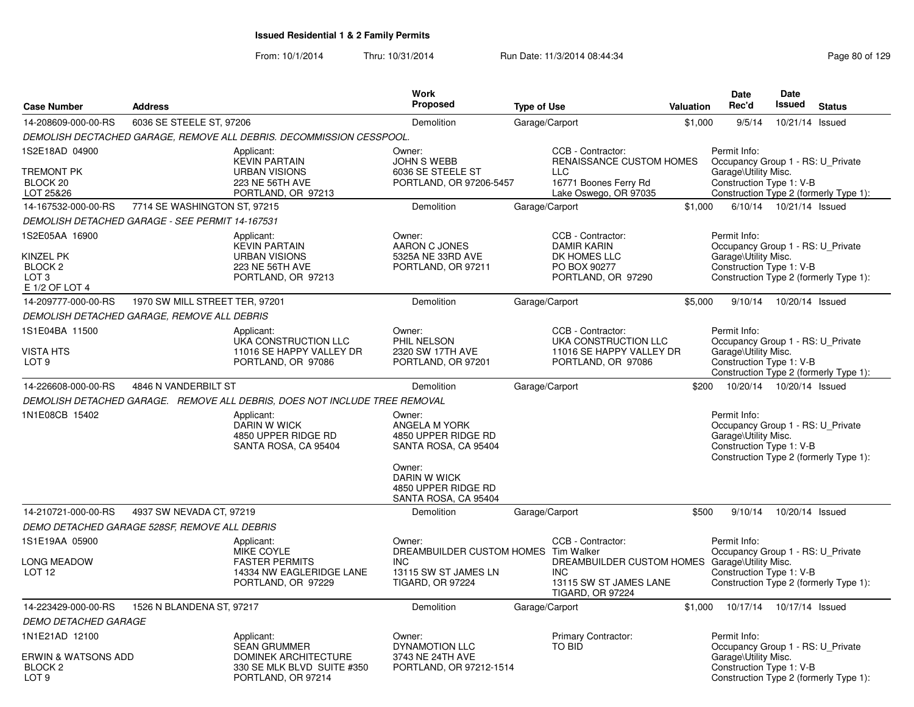|                                                                                                |                                |                                                                                                     | <b>Work</b>                                                                      |                                                                                                                   |                  | <b>Date</b>                                                                                           | <b>Date</b>                |                                        |
|------------------------------------------------------------------------------------------------|--------------------------------|-----------------------------------------------------------------------------------------------------|----------------------------------------------------------------------------------|-------------------------------------------------------------------------------------------------------------------|------------------|-------------------------------------------------------------------------------------------------------|----------------------------|----------------------------------------|
| <b>Case Number</b>                                                                             | <b>Address</b>                 |                                                                                                     | Proposed                                                                         | <b>Type of Use</b>                                                                                                | <b>Valuation</b> | Rec'd                                                                                                 | <b>Issued</b>              | <b>Status</b>                          |
| 14-208609-000-00-RS                                                                            | 6036 SE STEELE ST, 97206       |                                                                                                     | Demolition                                                                       | Garage/Carport                                                                                                    | \$1,000          | 9/5/14                                                                                                | 10/21/14 Issued            |                                        |
|                                                                                                |                                | DEMOLISH DECTACHED GARAGE, REMOVE ALL DEBRIS. DECOMMISSION CESSPOOL.                                |                                                                                  |                                                                                                                   |                  |                                                                                                       |                            |                                        |
| 1S2E18AD 04900<br>TREMONT PK<br>BLOCK <sub>20</sub><br>LOT 25&26                               |                                | Applicant:<br><b>KEVIN PARTAIN</b><br><b>URBAN VISIONS</b><br>223 NE 56TH AVE<br>PORTLAND, OR 97213 | Owner:<br><b>JOHN S WEBB</b><br>6036 SE STEELE ST<br>PORTLAND, OR 97206-5457     | CCB - Contractor:<br>RENAISSANCE CUSTOM HOMES<br><b>LLC</b><br>16771 Boones Ferry Rd<br>Lake Oswego, OR 97035     |                  | Permit Info:<br>Occupancy Group 1 - RS: U Private<br>Garage\Utility Misc.<br>Construction Type 1: V-B |                            | Construction Type 2 (formerly Type 1): |
| 14-167532-000-00-RS                                                                            | 7714 SE WASHINGTON ST, 97215   |                                                                                                     | Demolition                                                                       | Garage/Carport                                                                                                    | \$1,000          |                                                                                                       | 6/10/14  10/21/14  Issued  |                                        |
| <b>DEMOLISH DETACHED GARAGE - SEE PERMIT 14-167531</b>                                         |                                |                                                                                                     |                                                                                  |                                                                                                                   |                  |                                                                                                       |                            |                                        |
| 1S2E05AA 16900<br><b>KINZEL PK</b><br>BLOCK <sub>2</sub><br>LOT <sub>3</sub><br>E 1/2 OF LOT 4 |                                | Applicant:<br><b>KEVIN PARTAIN</b><br><b>URBAN VISIONS</b><br>223 NE 56TH AVE<br>PORTLAND, OR 97213 | Owner:<br>AARON C JONES<br>5325A NE 33RD AVE<br>PORTLAND, OR 97211               | CCB - Contractor:<br><b>DAMIR KARIN</b><br>DK HOMES LLC<br>PO BOX 90277<br>PORTLAND, OR 97290                     |                  | Permit Info:<br>Occupancy Group 1 - RS: U Private<br>Garage\Utility Misc.<br>Construction Type 1: V-B |                            | Construction Type 2 (formerly Type 1): |
| 14-209777-000-00-RS                                                                            | 1970 SW MILL STREET TER, 97201 |                                                                                                     | Demolition                                                                       | Garage/Carport                                                                                                    | \$5,000          | 9/10/14                                                                                               | 10/20/14 Issued            |                                        |
| DEMOLISH DETACHED GARAGE, REMOVE ALL DEBRIS                                                    |                                |                                                                                                     |                                                                                  |                                                                                                                   |                  |                                                                                                       |                            |                                        |
| 1S1E04BA 11500                                                                                 |                                | Applicant:<br>UKA CONSTRUCTION LLC                                                                  | Owner:<br>PHIL NELSON                                                            | CCB - Contractor:<br>UKA CONSTRUCTION LLC                                                                         |                  | Permit Info:<br>Occupancy Group 1 - RS: U Private                                                     |                            |                                        |
| <b>VISTA HTS</b><br>LOT <sub>9</sub>                                                           |                                | 11016 SE HAPPY VALLEY DR<br>PORTLAND, OR 97086                                                      | 2320 SW 17TH AVE<br>PORTLAND, OR 97201                                           | 11016 SE HAPPY VALLEY DR<br>PORTLAND, OR 97086                                                                    |                  | Garage\Utility Misc.<br>Construction Type 1: V-B                                                      |                            | Construction Type 2 (formerly Type 1): |
| 14-226608-000-00-RS                                                                            | 4846 N VANDERBILT ST           |                                                                                                     | Demolition                                                                       | Garage/Carport                                                                                                    | \$200            |                                                                                                       | 10/20/14  10/20/14  Issued |                                        |
|                                                                                                |                                | DEMOLISH DETACHED GARAGE. REMOVE ALL DEBRIS, DOES NOT INCLUDE TREE REMOVAL                          |                                                                                  |                                                                                                                   |                  |                                                                                                       |                            |                                        |
| 1N1E08CB 15402                                                                                 |                                | Applicant:<br><b>DARIN W WICK</b><br>4850 UPPER RIDGE RD<br>SANTA ROSA, CA 95404                    | Owner:<br>ANGELA M YORK<br>4850 UPPER RIDGE RD<br>SANTA ROSA, CA 95404<br>Owner: |                                                                                                                   |                  | Permit Info:<br>Occupancy Group 1 - RS: U_Private<br>Garage\Utility Misc.<br>Construction Type 1: V-B |                            | Construction Type 2 (formerly Type 1): |
|                                                                                                |                                |                                                                                                     | DARIN W WICK<br>4850 UPPER RIDGE RD<br>SANTA ROSA, CA 95404                      |                                                                                                                   |                  |                                                                                                       |                            |                                        |
| 14-210721-000-00-RS                                                                            | 4937 SW NEVADA CT, 97219       |                                                                                                     | Demolition                                                                       | Garage/Carport                                                                                                    | \$500            | 9/10/14                                                                                               | 10/20/14 Issued            |                                        |
| DEMO DETACHED GARAGE 528SF, REMOVE ALL DEBRIS                                                  |                                |                                                                                                     |                                                                                  |                                                                                                                   |                  |                                                                                                       |                            |                                        |
| 1S1E19AA 05900                                                                                 |                                | Applicant:<br>MIKE COYLE                                                                            | Owner:<br>DREAMBUILDER CUSTOM HOMES Tim Walker                                   | CCB - Contractor:                                                                                                 |                  | Permit Info:<br>Occupancy Group 1 - RS: U_Private                                                     |                            |                                        |
| <b>LONG MEADOW</b><br>LOT <sub>12</sub>                                                        |                                | <b>FASTER PERMITS</b><br>14334 NW EAGLERIDGE LANE<br>PORTLAND, OR 97229                             | <b>INC</b><br>13115 SW ST JAMES LN<br><b>TIGARD, OR 97224</b>                    | DREAMBUILDER CUSTOM HOMES Garage\Utility Misc.<br><b>INC</b><br>13115 SW ST JAMES LANE<br><b>TIGARD, OR 97224</b> |                  | Construction Type 1: V-B                                                                              |                            | Construction Type 2 (formerly Type 1): |
| 14-223429-000-00-RS                                                                            | 1526 N BLANDENA ST, 97217      |                                                                                                     | Demolition                                                                       | Garage/Carport                                                                                                    |                  | \$1,000  10/17/14  10/17/14  Issued                                                                   |                            |                                        |
| <b>DEMO DETACHED GARAGE</b>                                                                    |                                |                                                                                                     |                                                                                  |                                                                                                                   |                  |                                                                                                       |                            |                                        |
| 1N1E21AD 12100                                                                                 |                                | Applicant:<br><b>SEAN GRUMMER</b>                                                                   | Owner:<br><b>DYNAMOTION LLC</b>                                                  | Primary Contractor:<br>TO BID                                                                                     |                  | Permit Info:<br>Occupancy Group 1 - RS: U_Private                                                     |                            |                                        |
| <b>ERWIN &amp; WATSONS ADD</b><br>BLOCK <sub>2</sub><br>LOT <sub>9</sub>                       |                                | <b>DOMINEK ARCHITECTURE</b><br>330 SE MLK BLVD SUITE #350<br>PORTLAND, OR 97214                     | 3743 NE 24TH AVE<br>PORTLAND, OR 97212-1514                                      |                                                                                                                   |                  | Garage\Utility Misc.<br>Construction Type 1: V-B                                                      |                            | Construction Type 2 (formerly Type 1): |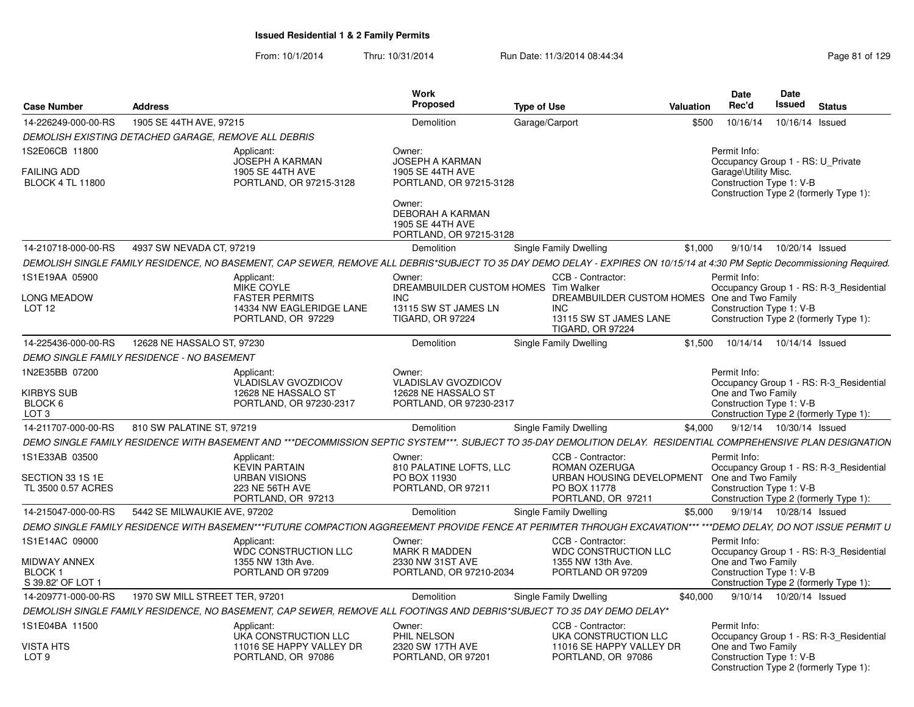| <b>Case Number</b>                                              | Address                                                                                                                                                                    | Work<br>Proposed                                                                 | <b>Type of Use</b>                                                                                              | <b>Valuation</b> | Date<br>Rec'd                                                                                                                                   | Date<br><b>Issued</b>     | <b>Status</b>   |  |
|-----------------------------------------------------------------|----------------------------------------------------------------------------------------------------------------------------------------------------------------------------|----------------------------------------------------------------------------------|-----------------------------------------------------------------------------------------------------------------|------------------|-------------------------------------------------------------------------------------------------------------------------------------------------|---------------------------|-----------------|--|
| 14-226249-000-00-RS                                             | 1905 SE 44TH AVE, 97215                                                                                                                                                    | Demolition                                                                       | Garage/Carport                                                                                                  | \$500            | 10/16/14                                                                                                                                        |                           | 10/16/14 Issued |  |
|                                                                 | DEMOLISH EXISTING DETACHED GARAGE. REMOVE ALL DEBRIS                                                                                                                       |                                                                                  |                                                                                                                 |                  |                                                                                                                                                 |                           |                 |  |
| 1S2E06CB 11800<br><b>FAILING ADD</b><br><b>BLOCK 4 TL 11800</b> | Applicant:<br><b>JOSEPH A KARMAN</b><br>1905 SE 44TH AVE<br>PORTLAND, OR 97215-3128                                                                                        | Owner:<br>JOSEPH A KARMAN<br>1905 SE 44TH AVE<br>PORTLAND, OR 97215-3128         |                                                                                                                 |                  | Permit Info:<br>Occupancy Group 1 - RS: U Private<br>Garage\Utility Misc.<br>Construction Type 1: V-B<br>Construction Type 2 (formerly Type 1): |                           |                 |  |
|                                                                 |                                                                                                                                                                            | Owner:<br><b>DEBORAH A KARMAN</b><br>1905 SE 44TH AVE<br>PORTLAND, OR 97215-3128 |                                                                                                                 |                  |                                                                                                                                                 |                           |                 |  |
| 14-210718-000-00-RS                                             | 4937 SW NEVADA CT, 97219                                                                                                                                                   | Demolition                                                                       | Single Family Dwelling                                                                                          | \$1,000          |                                                                                                                                                 | 9/10/14  10/20/14  Issued |                 |  |
|                                                                 | DEMOLISH SINGLE FAMILY RESIDENCE, NO BASEMENT, CAP SEWER, REMOVE ALL DEBRIS*SUBJECT TO 35 DAY DEMO DELAY - EXPIRES ON 10/15/14 at 4:30 PM Septic Decommissioning Required. |                                                                                  |                                                                                                                 |                  |                                                                                                                                                 |                           |                 |  |
| 1S1E19AA 05900                                                  | Applicant:<br>MIKE COYLE                                                                                                                                                   | Owner:<br>DREAMBUILDER CUSTOM HOMES Tim Walker                                   | CCB - Contractor:                                                                                               |                  | Permit Info:<br>Occupancy Group 1 - RS: R-3_Residential                                                                                         |                           |                 |  |
| <b>LONG MEADOW</b><br>LOT 12                                    | <b>FASTER PERMITS</b><br>14334 NW EAGLERIDGE LANE<br>PORTLAND, OR 97229                                                                                                    | INC.<br>13115 SW ST JAMES LN<br><b>TIGARD, OR 97224</b>                          | DREAMBUILDER CUSTOM HOMES One and Two Family<br><b>INC</b><br>13115 SW ST JAMES LANE<br><b>TIGARD, OR 97224</b> |                  | Construction Type 1: V-B<br>Construction Type 2 (formerly Type 1):                                                                              |                           |                 |  |
| 14-225436-000-00-RS                                             | 12628 NE HASSALO ST, 97230                                                                                                                                                 | Demolition                                                                       | Single Family Dwelling                                                                                          | \$1,500          | 10/14/14                                                                                                                                        | 10/14/14 Issued           |                 |  |
|                                                                 | <b>DEMO SINGLE FAMILY RESIDENCE - NO BASEMENT</b>                                                                                                                          |                                                                                  |                                                                                                                 |                  |                                                                                                                                                 |                           |                 |  |
| 1N2E35BB 07200                                                  | Applicant:<br><b>VLADISLAV GVOZDICOV</b>                                                                                                                                   | Owner:<br><b>VLADISLAV GVOZDICOV</b>                                             |                                                                                                                 |                  | Permit Info:<br>Occupancy Group 1 - RS: R-3_Residential                                                                                         |                           |                 |  |
| <b>KIRBYS SUB</b><br>BLOCK 6<br>LOT <sub>3</sub>                | 12628 NE HASSALO ST<br>PORTLAND, OR 97230-2317                                                                                                                             | 12628 NE HASSALO ST<br>PORTLAND, OR 97230-2317                                   |                                                                                                                 |                  | One and Two Family<br>Construction Type 1: V-B<br>Construction Type 2 (formerly Type 1):                                                        |                           |                 |  |
| 14-211707-000-00-RS                                             | 810 SW PALATINE ST. 97219                                                                                                                                                  | Demolition                                                                       | Single Family Dwelling                                                                                          | \$4.000          |                                                                                                                                                 | 9/12/14  10/30/14  Issued |                 |  |
|                                                                 | DEMO SINGLE FAMILY RESIDENCE WITH BASEMENT AND ***DECOMMISSION SEPTIC SYSTEM***. SUBJECT TO 35-DAY DEMOLITION DELAY. RESIDENTIAL COMPREHENSIVE PLAN DESIGNATION            |                                                                                  |                                                                                                                 |                  |                                                                                                                                                 |                           |                 |  |
| 1S1E33AB 03500                                                  | Applicant:<br><b>KEVIN PARTAIN</b>                                                                                                                                         | Owner:<br>810 PALATINE LOFTS, LLC                                                | CCB - Contractor:<br>ROMAN OZERUGA                                                                              |                  | Permit Info:<br>Occupancy Group 1 - RS: R-3 Residential                                                                                         |                           |                 |  |
| SECTION 33 1S 1E                                                | <b>URBAN VISIONS</b>                                                                                                                                                       | PO BOX 11930                                                                     | URBAN HOUSING DEVELOPMENT                                                                                       |                  | One and Two Family                                                                                                                              |                           |                 |  |
| TL 3500 0.57 ACRES                                              | 223 NE 56TH AVE<br>PORTLAND, OR 97213                                                                                                                                      | PORTLAND, OR 97211                                                               | PO BOX 11778<br>PORTLAND, OR 97211                                                                              |                  | Construction Type 1: V-B<br>Construction Type 2 (formerly Type 1):                                                                              |                           |                 |  |
| 14-215047-000-00-RS                                             | 5442 SE MILWAUKIE AVE, 97202                                                                                                                                               | Demolition                                                                       | Single Family Dwelling                                                                                          | \$5.000          |                                                                                                                                                 | 9/19/14  10/28/14  Issued |                 |  |
|                                                                 | DEMO SINGLE FAMILY RESIDENCE WITH BASEMEN***FUTURE COMPACTION AGGREEMENT PROVIDE FENCE AT PERIMTER THROUGH EXCAVATION*** ***DEMO DELAY, DO NOT ISSUE PERMIT U              |                                                                                  |                                                                                                                 |                  |                                                                                                                                                 |                           |                 |  |
| 1S1E14AC 09000                                                  | Applicant:<br>WDC CONSTRUCTION LLC                                                                                                                                         | Owner:<br><b>MARK R MADDEN</b>                                                   | CCB - Contractor:<br>WDC CONSTRUCTION LLC                                                                       |                  | Permit Info:<br>Occupancy Group 1 - RS: R-3_Residential                                                                                         |                           |                 |  |
| <b>MIDWAY ANNEX</b><br><b>BLOCK1</b><br>S 39.82' OF LOT 1       | 1355 NW 13th Ave.<br>PORTLAND OR 97209                                                                                                                                     | 2330 NW 31ST AVE<br>PORTLAND, OR 97210-2034                                      | 1355 NW 13th Ave.<br>PORTLAND OR 97209                                                                          |                  | One and Two Family<br>Construction Type 1: V-B<br>Construction Type 2 (formerly Type 1):                                                        |                           |                 |  |
| 14-209771-000-00-RS                                             | 1970 SW MILL STREET TER, 97201                                                                                                                                             | Demolition                                                                       | Single Family Dwelling                                                                                          | \$40,000         |                                                                                                                                                 | 9/10/14  10/20/14  Issued |                 |  |
|                                                                 | DEMOLISH SINGLE FAMILY RESIDENCE, NO BASEMENT, CAP SEWER, REMOVE ALL FOOTINGS AND DEBRIS*SUBJECT TO 35 DAY DEMO DELAY*                                                     |                                                                                  |                                                                                                                 |                  |                                                                                                                                                 |                           |                 |  |
| 1S1E04BA 11500                                                  | Applicant:<br>UKA CONSTRUCTION LLC                                                                                                                                         | Owner:<br>PHIL NELSON                                                            | CCB - Contractor:<br>UKA CONSTRUCTION LLC                                                                       |                  | Permit Info:<br>Occupancy Group 1 - RS: R-3 Residential                                                                                         |                           |                 |  |
| <b>VISTA HTS</b><br>LOT <sub>9</sub>                            | 11016 SE HAPPY VALLEY DR<br>PORTLAND, OR 97086                                                                                                                             | 2320 SW 17TH AVE<br>PORTLAND, OR 97201                                           | 11016 SE HAPPY VALLEY DR<br>PORTLAND, OR 97086                                                                  |                  | One and Two Family<br>Construction Type 1: V-B<br>Construction Type 2 (formerly Type 1):                                                        |                           |                 |  |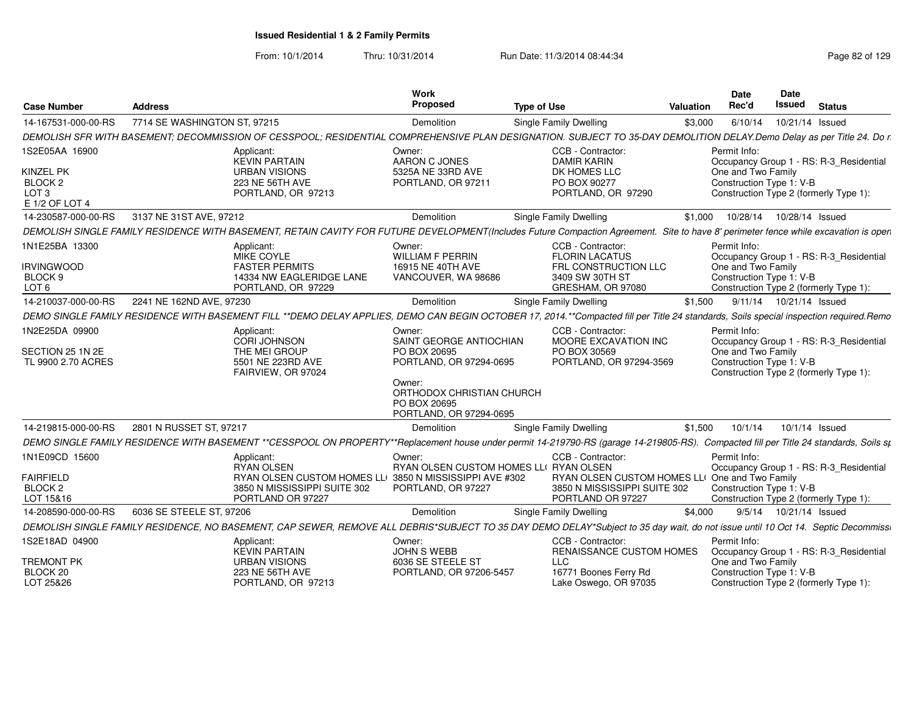From: 10/1/2014Thru: 10/31/2014 Run Date: 11/3/2014 08:44:34 Research 2010 Rage 82 of 129

| <b>Case Number</b>                                                                             | <b>Address</b>               |                                                                                                                                                                                       | Work<br>Proposed                                                                                                                                               | <b>Type of Use</b>                                                                                            | <b>Valuation</b> | <b>Date</b><br>Rec'd                                                                                                                                | <b>Date</b><br>Issued     | <b>Status</b> |  |
|------------------------------------------------------------------------------------------------|------------------------------|---------------------------------------------------------------------------------------------------------------------------------------------------------------------------------------|----------------------------------------------------------------------------------------------------------------------------------------------------------------|---------------------------------------------------------------------------------------------------------------|------------------|-----------------------------------------------------------------------------------------------------------------------------------------------------|---------------------------|---------------|--|
| 14-167531-000-00-RS                                                                            | 7714 SE WASHINGTON ST, 97215 |                                                                                                                                                                                       | Demolition                                                                                                                                                     | Single Family Dwelling                                                                                        | \$3,000          | 6/10/14                                                                                                                                             | 10/21/14 Issued           |               |  |
|                                                                                                |                              | DEMOLISH SFR WITH BASEMENT; DECOMMISSION OF CESSPOOL; RESIDENTIAL COMPREHENSIVE PLAN DESIGNATION. SUBJECT TO 35-DAY DEMOLITION DELAY. Demo Delay as per Title 24. Do r.               |                                                                                                                                                                |                                                                                                               |                  |                                                                                                                                                     |                           |               |  |
| 1S2E05AA 16900<br><b>KINZEL PK</b><br>BLOCK <sub>2</sub><br>LOT <sub>3</sub><br>E 1/2 OF LOT 4 |                              | Applicant<br><b>KEVIN PARTAIN</b><br><b>URBAN VISIONS</b><br>223 NE 56TH AVE<br>PORTLAND, OR 97213                                                                                    | Owner:<br>AARON C JONES<br>5325A NE 33RD AVE<br>PORTLAND, OR 97211                                                                                             | CCB - Contractor:<br><b>DAMIR KARIN</b><br>DK HOMES LLC<br>PO BOX 90277<br>PORTLAND, OR 97290                 |                  | Permit Info:<br>Occupancy Group 1 - RS: R-3_Residential<br>One and Two Family<br>Construction Type 1: V-B<br>Construction Type 2 (formerly Type 1): |                           |               |  |
| 14-230587-000-00-RS                                                                            | 3137 NE 31ST AVE, 97212      |                                                                                                                                                                                       | Demolition                                                                                                                                                     | Single Family Dwelling                                                                                        | \$1.000          | 10/28/14  10/28/14  Issued                                                                                                                          |                           |               |  |
|                                                                                                |                              | DEMOLISH SINGLE FAMILY RESIDENCE WITH BASEMENT, RETAIN CAVITY FOR FUTURE DEVELOPMENT(Includes Future Compaction Agreement. Site to have 8' perimeter fence while excavation is open   |                                                                                                                                                                |                                                                                                               |                  |                                                                                                                                                     |                           |               |  |
| 1N1E25BA 13300<br><b>IRVINGWOOD</b><br>BLOCK <sub>9</sub><br>LOT <sub>6</sub>                  |                              | Applicant:<br>MIKE COYLE<br><b>FASTER PERMITS</b><br>14334 NW EAGLERIDGE LANE<br>PORTLAND, OR 97229                                                                                   | Owner:<br><b>WILLIAM F PERRIN</b><br>16915 NE 40TH AVE<br>VANCOUVER, WA 98686                                                                                  | CCB - Contractor:<br><b>FLORIN LACATUS</b><br>FRL CONSTRUCTION LLC<br>3409 SW 30TH ST<br>GRESHAM, OR 97080    |                  | Permit Info:<br>Occupancy Group 1 - RS: R-3_Residential<br>One and Two Family<br>Construction Type 1: V-B<br>Construction Type 2 (formerly Type 1): |                           |               |  |
| 14-210037-000-00-RS                                                                            | 2241 NE 162ND AVE, 97230     |                                                                                                                                                                                       | Demolition                                                                                                                                                     | Single Family Dwelling                                                                                        | \$1,500          |                                                                                                                                                     | 9/11/14  10/21/14  Issued |               |  |
|                                                                                                |                              | DEMO SINGLE FAMILY RESIDENCE WITH BASEMENT FILL **DEMO DELAY APPLIES, DEMO CAN BEGIN OCTOBER 17, 2014.**Compacted fill per Title 24 standards, Soils special inspection required.Remo |                                                                                                                                                                |                                                                                                               |                  |                                                                                                                                                     |                           |               |  |
| 1N2E25DA 09900<br>SECTION 25 1N 2E<br>TL 9900 2.70 ACRES                                       |                              | Applicant:<br><b>CORI JOHNSON</b><br>THE MEI GROUP<br>5501 NE 223RD AVE<br>FAIRVIEW, OR 97024                                                                                         | Owner:<br>SAINT GEORGE ANTIOCHIAN<br>PO BOX 20695<br>PORTLAND, OR 97294-0695<br>Owner:<br>ORTHODOX CHRISTIAN CHURCH<br>PO BOX 20695<br>PORTLAND, OR 97294-0695 | CCB - Contractor:<br>MOORE EXCAVATION INC<br>PO BOX 30569<br>PORTLAND, OR 97294-3569                          |                  | Permit Info:<br>Occupancy Group 1 - RS: R-3 Residential<br>One and Two Family<br>Construction Type 1: V-B<br>Construction Type 2 (formerly Type 1): |                           |               |  |
| 14-219815-000-00-RS                                                                            | 2801 N RUSSET ST, 97217      |                                                                                                                                                                                       | Demolition                                                                                                                                                     | Single Family Dwelling                                                                                        | \$1,500          | 10/1/14                                                                                                                                             | 10/1/14 Issued            |               |  |
|                                                                                                |                              | DEMO SINGLE FAMILY RESIDENCE WITH BASEMENT **CESSPOOL ON PROPERTY**Replacement house under permit 14-219790-RS (garage 14-219805-RS). Compacted fill per Title 24 standards, Soils st |                                                                                                                                                                |                                                                                                               |                  |                                                                                                                                                     |                           |               |  |
| 1N1E09CD 15600<br><b>FAIRFIELD</b><br>BLOCK <sub>2</sub><br>LOT 15&16                          |                              | Applicant<br><b>RYAN OLSEN</b><br>RYAN OLSEN CUSTOM HOMES LLI 3850 N MISSISSIPPI AVE #302<br>3850 N MISSISSIPPI SUITE 302<br>PORTLAND OR 97227                                        | Owner:<br>RYAN OLSEN CUSTOM HOMES LLI RYAN OLSEN<br>PORTLAND, OR 97227                                                                                         | CCB - Contractor:<br>RYAN OLSEN CUSTOM HOMES LL<br>3850 N MISSISSIPPI SUITE 302<br>PORTLAND OR 97227          |                  | Permit Info:<br>Occupancy Group 1 - RS: R-3_Residential<br>One and Two Family<br>Construction Type 1: V-B<br>Construction Type 2 (formerly Type 1): |                           |               |  |
| 14-208590-000-00-RS                                                                            | 6036 SE STEELE ST, 97206     |                                                                                                                                                                                       | Demolition                                                                                                                                                     | Single Family Dwelling                                                                                        | \$4,000          |                                                                                                                                                     | 9/5/14  10/21/14  Issued  |               |  |
|                                                                                                |                              | DEMOLISH SINGLE FAMILY RESIDENCE, NO BASEMENT, CAP SEWER, REMOVE ALL DEBRIS*SUBJECT TO 35 DAY DEMO DELAY*Subject to 35 day wait, do not issue until 10 Oct 14. Septic Decommissi      |                                                                                                                                                                |                                                                                                               |                  |                                                                                                                                                     |                           |               |  |
| 1S2E18AD 04900<br><b>TREMONT PK</b><br>BLOCK 20<br>LOT 25&26                                   |                              | Applicant<br><b>KEVIN PARTAIN</b><br><b>URBAN VISIONS</b><br>223 NE 56TH AVE<br>PORTLAND, OR 97213                                                                                    | Owner:<br><b>JOHN S WEBB</b><br>6036 SE STEELE ST<br>PORTLAND, OR 97206-5457                                                                                   | CCB - Contractor:<br>RENAISSANCE CUSTOM HOMES<br><b>LLC</b><br>16771 Boones Ferry Rd<br>Lake Oswego, OR 97035 |                  | Permit Info:<br>Occupancy Group 1 - RS: R-3_Residential<br>One and Two Family<br>Construction Type 1: V-B<br>Construction Type 2 (formerly Type 1): |                           |               |  |
|                                                                                                |                              |                                                                                                                                                                                       |                                                                                                                                                                |                                                                                                               |                  |                                                                                                                                                     |                           |               |  |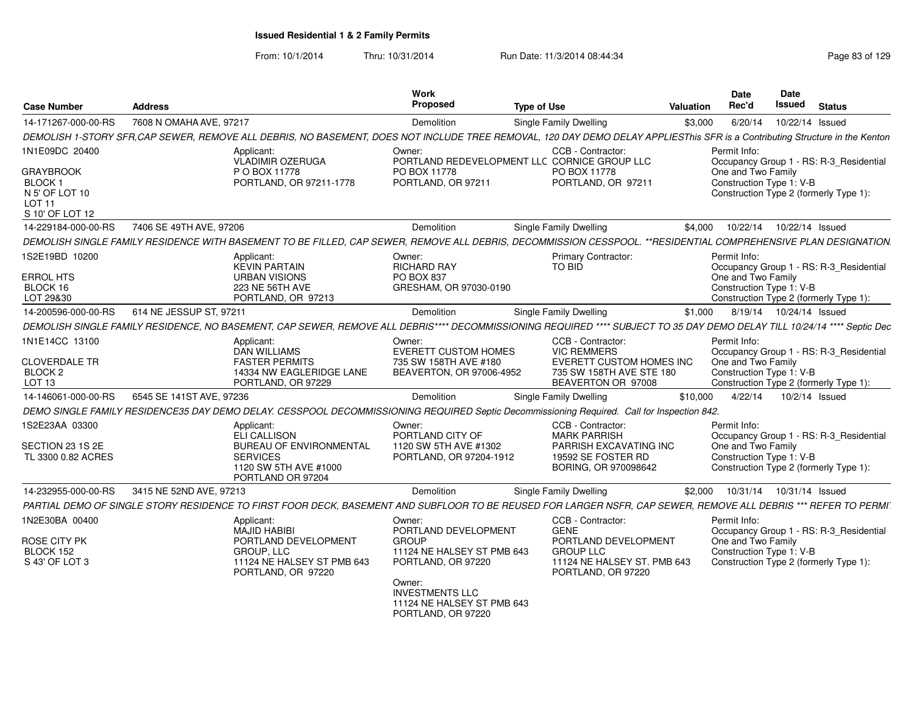| <b>Case Number</b>                                                                                  | <b>Address</b>                                                                                                                                                               | Work                                           | Proposed<br><b>Type of Use</b>                                                                   | Valuation                                                                                                        |              | <b>Date</b><br>Rec'd                           | Date<br>Issued  | <b>Status</b> |                                                                                   |
|-----------------------------------------------------------------------------------------------------|------------------------------------------------------------------------------------------------------------------------------------------------------------------------------|------------------------------------------------|--------------------------------------------------------------------------------------------------|------------------------------------------------------------------------------------------------------------------|--------------|------------------------------------------------|-----------------|---------------|-----------------------------------------------------------------------------------|
| 14-171267-000-00-RS                                                                                 | 7608 N OMAHA AVE, 97217                                                                                                                                                      |                                                | Demolition                                                                                       | Single Family Dwelling                                                                                           | \$3,000      | 6/20/14                                        | 10/22/14 Issued |               |                                                                                   |
|                                                                                                     | DEMOLISH 1-STORY SFR, CAP SEWER, REMOVE ALL DEBRIS, NO BASEMENT, DOES NOT INCLUDE TREE REMOVAL, 120 DAY DEMO DELAY APPLIESThis SFR is a Contributing Structure in the Kenton |                                                |                                                                                                  |                                                                                                                  |              |                                                |                 |               |                                                                                   |
| 1N1E09DC 20400<br><b>GRAYBROOK</b><br>BLOCK 1<br>N 5' OF LOT 10<br><b>LOT 11</b><br>S 10' OF LOT 12 | Applicant:<br>VLADIMIR OZERUGA<br>P O BOX 11778<br>PORTLAND, OR 97211-1778                                                                                                   | Owner:<br>PO BOX 11778                         | PORTLAND, OR 97211                                                                               | CCB - Contractor:<br>PORTLAND REDEVELOPMENT LLC CORNICE GROUP LLC<br>PO BOX 11778<br>PORTLAND, OR 97211          | Permit Info: | One and Two Family<br>Construction Type 1: V-B |                 |               | Occupancy Group 1 - RS: R-3_Residential<br>Construction Type 2 (formerly Type 1): |
| 14-229184-000-00-RS                                                                                 | 7406 SE 49TH AVE, 97206                                                                                                                                                      |                                                | Demolition                                                                                       | Single Family Dwelling                                                                                           | \$4.000      | 10/22/14  10/22/14  Issued                     |                 |               |                                                                                   |
|                                                                                                     | DEMOLISH SINGLE FAMILY RESIDENCE WITH BASEMENT TO BE FILLED, CAP SEWER, REMOVE ALL DEBRIS, DECOMMISSION CESSPOOL. **RESIDENTIAL COMPREHENSIVE PLAN DESIGNATION.              |                                                |                                                                                                  |                                                                                                                  |              |                                                |                 |               |                                                                                   |
| 1S2E19BD 10200<br><b>ERROL HTS</b><br>BLOCK 16<br>LOT 29&30                                         | Applicant:<br><b>KEVIN PARTAIN</b><br><b>URBAN VISIONS</b><br>223 NE 56TH AVE<br>PORTLAND, OR 97213                                                                          | Owner:<br><b>RICHARD RAY</b><br>PO BOX 837     | GRESHAM, OR 97030-0190                                                                           | <b>Primary Contractor:</b><br>TO BID                                                                             | Permit Info: | One and Two Family<br>Construction Type 1: V-B |                 |               | Occupancy Group 1 - RS: R-3_Residential<br>Construction Type 2 (formerly Type 1): |
| 14-200596-000-00-RS                                                                                 | 614 NE JESSUP ST, 97211                                                                                                                                                      |                                                | Demolition                                                                                       | Single Family Dwelling                                                                                           | \$1,000      | 8/19/14  10/24/14  Issued                      |                 |               |                                                                                   |
|                                                                                                     | DEMOLISH SINGLE FAMILY RESIDENCE, NO BASEMENT, CAP SEWER, REMOVE ALL DEBRIS**** DECOMMISSIONING REQUIRED **** SUBJECT TO 35 DAY DEMO DELAY TILL 10/24/14 **** Septic Dec     |                                                |                                                                                                  |                                                                                                                  |              |                                                |                 |               |                                                                                   |
| 1N1E14CC 13100<br><b>CLOVERDALE TR</b><br>BLOCK <sub>2</sub>                                        | Applicant:<br>DAN WILLIAMS<br><b>FASTER PERMITS</b>                                                                                                                          | Owner:<br>14334 NW EAGLERIDGE LANE             | EVERETT CUSTOM HOMES<br>735 SW 158TH AVE #180<br>BEAVERTON, OR 97006-4952                        | CCB - Contractor:<br><b>VIC REMMERS</b><br>EVERETT CUSTOM HOMES INC<br>735 SW 158TH AVE STE 180                  | Permit Info: | One and Two Family<br>Construction Type 1: V-B |                 |               | Occupancy Group 1 - RS: R-3_Residential                                           |
| LOT <sub>13</sub>                                                                                   | PORTLAND, OR 97229                                                                                                                                                           |                                                |                                                                                                  | BEAVERTON OR 97008                                                                                               |              |                                                |                 |               | Construction Type 2 (formerly Type 1):                                            |
| 14-146061-000-00-RS                                                                                 | 6545 SE 141ST AVE, 97236                                                                                                                                                     |                                                | Demolition                                                                                       | Single Family Dwelling<br>\$10.000                                                                               |              | 4/22/14  10/2/14  Issued                       |                 |               |                                                                                   |
|                                                                                                     | DEMO SINGLE FAMILY RESIDENCE35 DAY DEMO DELAY. CESSPOOL DECOMMISSIONING REQUIRED Septic Decommissioning Required. Call for Inspection 842.                                   |                                                |                                                                                                  |                                                                                                                  |              |                                                |                 |               |                                                                                   |
| 1S2E23AA 03300<br>SECTION 23 1S 2E<br>TL 3300 0.82 ACRES                                            | Applicant:<br>ELI CALLISON<br><b>SERVICES</b><br>1120 SW 5TH AVE #1000<br>PORTLAND OR 97204                                                                                  | Owner:<br><b>BUREAU OF ENVIRONMENTAL</b>       | PORTLAND CITY OF<br>1120 SW 5TH AVE #1302<br>PORTLAND, OR 97204-1912                             | CCB - Contractor:<br><b>MARK PARRISH</b><br>PARRISH EXCAVATING INC<br>19592 SE FOSTER RD<br>BORING, OR 970098642 | Permit Info: | One and Two Family<br>Construction Type 1: V-B |                 |               | Occupancy Group 1 - RS: R-3 Residential<br>Construction Type 2 (formerly Type 1): |
| 14-232955-000-00-RS                                                                                 | 3415 NE 52ND AVE, 97213                                                                                                                                                      |                                                | <b>Demolition</b>                                                                                | <b>Single Family Dwelling</b>                                                                                    | \$2.000      | 10/31/14  10/31/14  Issued                     |                 |               |                                                                                   |
|                                                                                                     | PARTIAL DEMO OF SINGLE STORY RESIDENCE TO FIRST FOOR DECK, BASEMENT AND SUBFLOOR TO BE REUSED FOR LARGER NSFR, CAP SEWER, REMOVE ALL DEBRIS *** REFER TO PERMI               |                                                |                                                                                                  |                                                                                                                  |              |                                                |                 |               |                                                                                   |
| 1N2E30BA 00400<br>ROSE CITY PK<br>BLOCK 152                                                         | Applicant:<br><b>MAJID HABIBI</b><br><b>GROUP, LLC</b>                                                                                                                       | Owner:<br>PORTLAND DEVELOPMENT<br><b>GROUP</b> | PORTLAND DEVELOPMENT<br>11124 NE HALSEY ST PMB 643                                               | CCB - Contractor:<br><b>GENE</b><br>PORTLAND DEVELOPMENT<br><b>GROUP LLC</b>                                     | Permit Info: | One and Two Family<br>Construction Type 1: V-B |                 |               | Occupancy Group 1 - RS: R-3_Residential                                           |
| S 43' OF LOT 3                                                                                      | PORTLAND, OR 97220                                                                                                                                                           | 11124 NE HALSEY ST PMB 643<br>Owner:           | PORTLAND, OR 97220<br><b>INVESTMENTS LLC</b><br>11124 NE HALSEY ST PMB 643<br>PORTLAND, OR 97220 | 11124 NE HALSEY ST. PMB 643<br>PORTLAND, OR 97220                                                                |              |                                                |                 |               | Construction Type 2 (formerly Type 1):                                            |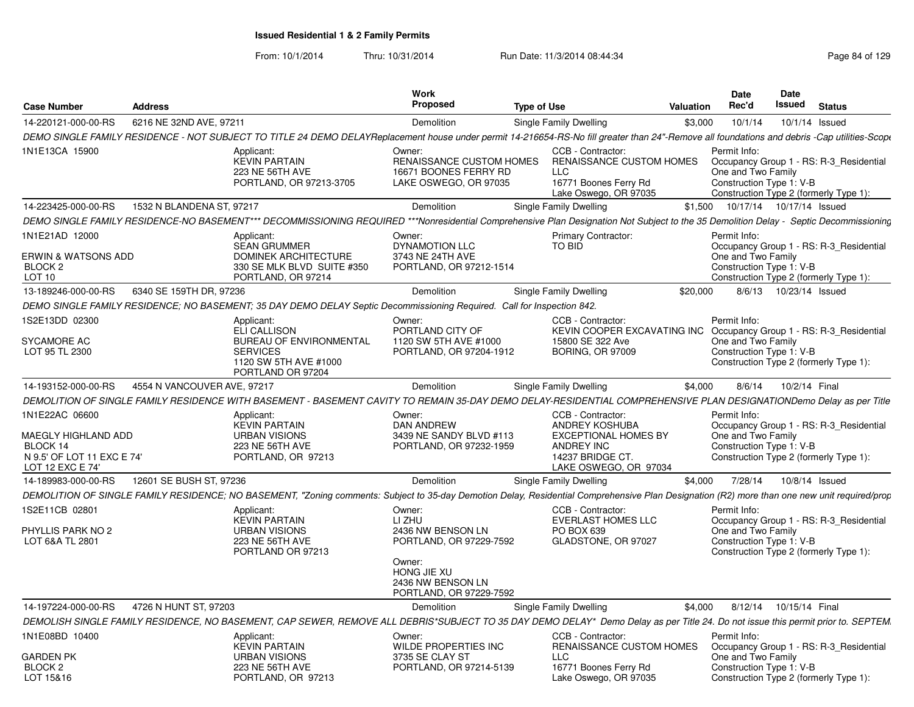|                                                        |                             |                                                                                                                               | Work                                                                                 |                                                                                                                                                                                              | Date                                                           | <b>Date</b> |                                                                                   |
|--------------------------------------------------------|-----------------------------|-------------------------------------------------------------------------------------------------------------------------------|--------------------------------------------------------------------------------------|----------------------------------------------------------------------------------------------------------------------------------------------------------------------------------------------|----------------------------------------------------------------|-------------|-----------------------------------------------------------------------------------|
| <b>Case Number</b>                                     | Address                     |                                                                                                                               | Proposed                                                                             | <b>Type of Use</b><br>Valuation                                                                                                                                                              | Rec'd                                                          | Issued      | <b>Status</b>                                                                     |
| 14-220121-000-00-RS                                    | 6216 NE 32ND AVE, 97211     |                                                                                                                               | Demolition                                                                           | Single Family Dwelling                                                                                                                                                                       | \$3,000<br>10/1/14                                             |             | 10/1/14 Issued                                                                    |
|                                                        |                             |                                                                                                                               |                                                                                      | DEMO SINGLE FAMILY RESIDENCE - NOT SUBJECT TO TITLE 24 DEMO DELAYReplacement house under permit 14-216654-RS-No fill greater than 24"-Remove all foundations and debris -Cap utilities-Scope |                                                                |             |                                                                                   |
| 1N1E13CA 15900                                         |                             | Applicant:<br><b>KEVIN PARTAIN</b><br>223 NE 56TH AVE<br>PORTLAND, OR 97213-3705                                              | Owner:<br>RENAISSANCE CUSTOM HOMES<br>16671 BOONES FERRY RD<br>LAKE OSWEGO, OR 97035 | CCB - Contractor:<br><b>RENAISSANCE CUSTOM HOMES</b><br>LLC<br>16771 Boones Ferry Rd<br>Lake Oswego, OR 97035                                                                                | Permit Info:<br>One and Two Family<br>Construction Type 1: V-B |             | Occupancy Group 1 - RS: R-3_Residential<br>Construction Type 2 (formerly Type 1): |
| 14-223425-000-00-RS                                    | 1532 N BLANDENA ST, 97217   |                                                                                                                               | Demolition                                                                           | <b>Single Family Dwelling</b>                                                                                                                                                                | \$1,500  10/17/14  10/17/14  Issued                            |             |                                                                                   |
|                                                        |                             |                                                                                                                               |                                                                                      | DEMO SINGLE FAMILY RESIDENCE-NO BASEMENT*** DECOMMISSIONING REQUIRED ***Nonresidential Comprehensive Plan Designation Not Subject to the 35 Demolition Delay - Septic Decommissioning        |                                                                |             |                                                                                   |
| 1N1E21AD 12000<br><b>ERWIN &amp; WATSONS ADD</b>       |                             | Applicant:<br><b>SEAN GRUMMER</b><br><b>DOMINEK ARCHITECTURE</b>                                                              | Owner:<br><b>DYNAMOTION LLC</b><br>3743 NE 24TH AVE                                  | <b>Primary Contractor:</b><br>TO BID                                                                                                                                                         | Permit Info:<br>One and Two Family                             |             | Occupancy Group 1 - RS: R-3_Residential                                           |
| BLOCK <sub>2</sub><br>LOT 10                           |                             | 330 SE MLK BLVD SUITE #350<br>PORTLAND, OR 97214                                                                              | PORTLAND, OR 97212-1514                                                              |                                                                                                                                                                                              | Construction Type 1: V-B                                       |             | Construction Type 2 (formerly Type 1):                                            |
| 13-189246-000-00-RS                                    | 6340 SE 159TH DR. 97236     |                                                                                                                               | Demolition                                                                           | Single Family Dwelling                                                                                                                                                                       | \$20,000 8/6/13 10/23/14 Issued                                |             |                                                                                   |
|                                                        |                             | DEMO SINGLE FAMILY RESIDENCE; NO BASEMENT; 35 DAY DEMO DELAY Septic Decommissioning Required. Call for Inspection 842.        |                                                                                      |                                                                                                                                                                                              |                                                                |             |                                                                                   |
| 1S2E13DD 02300<br>SYCAMORE AC<br>LOT 95 TL 2300        |                             | Applicant:<br>ELI CALLISON<br><b>BUREAU OF ENVIRONMENTAL</b><br><b>SERVICES</b><br>1120 SW 5TH AVE #1000<br>PORTLAND OR 97204 | Owner:<br>PORTLAND CITY OF<br>1120 SW 5TH AVE #1000<br>PORTLAND, OR 97204-1912       | CCB - Contractor:<br>KEVIN COOPER EXCAVATING INC<br>15800 SE 322 Ave<br><b>BORING, OR 97009</b>                                                                                              | Permit Info:<br>One and Two Family<br>Construction Type 1: V-B |             | Occupancy Group 1 - RS: R-3_Residential<br>Construction Type 2 (formerly Type 1): |
| 14-193152-000-00-RS                                    | 4554 N VANCOUVER AVE, 97217 |                                                                                                                               | Demolition                                                                           | Single Family Dwelling                                                                                                                                                                       | 8/6/14<br>\$4,000                                              |             | 10/2/14 Final                                                                     |
|                                                        |                             |                                                                                                                               |                                                                                      | DEMOLITION OF SINGLE FAMILY RESIDENCE WITH BASEMENT - BASEMENT CAVITY TO REMAIN 35-DAY DEMO DELAY-RESIDENTIAL COMPREHENSIVE PLAN DESIGNATIONDemo Delay as per Title                          |                                                                |             |                                                                                   |
| 1N1E22AC 06600<br>MAEGLY HIGHLAND ADD<br>BLOCK 14      |                             | Applicant:<br><b>KEVIN PARTAIN</b><br><b>URBAN VISIONS</b><br>223 NE 56TH AVE                                                 | Owner:<br><b>DAN ANDREW</b><br>3439 NE SANDY BLVD #113<br>PORTLAND, OR 97232-1959    | CCB - Contractor:<br><b>ANDREY KOSHUBA</b><br><b>EXCEPTIONAL HOMES BY</b><br>ANDREY INC                                                                                                      | Permit Info:<br>One and Two Family<br>Construction Type 1: V-B |             | Occupancy Group 1 - RS: R-3_Residential                                           |
| N 9.5' OF LOT 11 EXC E 74'<br>LOT 12 EXC E 74'         |                             | PORTLAND, OR 97213                                                                                                            |                                                                                      | 14237 BRIDGE CT.<br>LAKE OSWEGO, OR 97034                                                                                                                                                    |                                                                |             | Construction Type 2 (formerly Type 1):                                            |
| 14-189983-000-00-RS                                    | 12601 SE BUSH ST, 97236     |                                                                                                                               | Demolition                                                                           | Single Family Dwelling                                                                                                                                                                       | \$4.000 7/28/14 10/8/14 Issued                                 |             |                                                                                   |
|                                                        |                             |                                                                                                                               |                                                                                      | DEMOLITION OF SINGLE FAMILY RESIDENCE; NO BASEMENT, "Zoning comments: Subject to 35-day Demotion Delay, Residential Comprehensive Plan Designation (R2) more than one new unit required/prop |                                                                |             |                                                                                   |
| 1S2E11CB 02801<br>PHYLLIS PARK NO 2<br>LOT 6&A TL 2801 |                             | Applicant:<br><b>KEVIN PARTAIN</b><br><b>URBAN VISIONS</b><br>223 NE 56TH AVE<br>PORTLAND OR 97213                            | Owner:<br>LI ZHU<br>2436 NW BENSON LN<br>PORTLAND, OR 97229-7592<br>Owner:           | CCB - Contractor:<br>EVERLAST HOMES LLC<br>PO BOX 639<br>GLADSTONE, OR 97027                                                                                                                 | Permit Info:<br>One and Two Family<br>Construction Type 1: V-B |             | Occupancy Group 1 - RS: R-3_Residential<br>Construction Type 2 (formerly Type 1): |
|                                                        |                             |                                                                                                                               | HONG JIE XU<br>2436 NW BENSON LN<br>PORTLAND, OR 97229-7592                          |                                                                                                                                                                                              |                                                                |             |                                                                                   |
| 14-197224-000-00-RS 4726 N HUNT ST, 97203              |                             |                                                                                                                               | Demolition                                                                           | Single Family Dwelling                                                                                                                                                                       | \$4,000 8/12/14 10/15/14 Final                                 |             |                                                                                   |
|                                                        |                             |                                                                                                                               |                                                                                      | DEMOLISH SINGLE FAMILY RESIDENCE, NO BASEMENT, CAP SEWER, REMOVE ALL DEBRIS*SUBJECT TO 35 DAY DEMO DELAY* Demo Delay as per Title 24. Do not issue this permit prior to. SEPTEM              |                                                                |             |                                                                                   |
| 1N1E08BD 10400                                         |                             | Applicant:<br><b>KEVIN PARTAIN</b>                                                                                            | Owner:<br><b>WILDE PROPERTIES INC</b>                                                | CCB - Contractor:<br>RENAISSANCE CUSTOM HOMES                                                                                                                                                | Permit Info                                                    |             | Occupancy Group 1 - RS: R-3_Residential                                           |
| <b>GARDEN PK</b><br>BLOCK <sub>2</sub><br>LOT 15&16    |                             | <b>URBAN VISIONS</b><br>223 NE 56TH AVE<br>PORTLAND, OR 97213                                                                 | 3735 SE CLAY ST<br>PORTLAND, OR 97214-5139                                           | LLC<br>16771 Boones Ferry Rd<br>Lake Oswego, OR 97035                                                                                                                                        | One and Two Family<br>Construction Type 1: V-B                 |             | Construction Type 2 (formerly Type 1):                                            |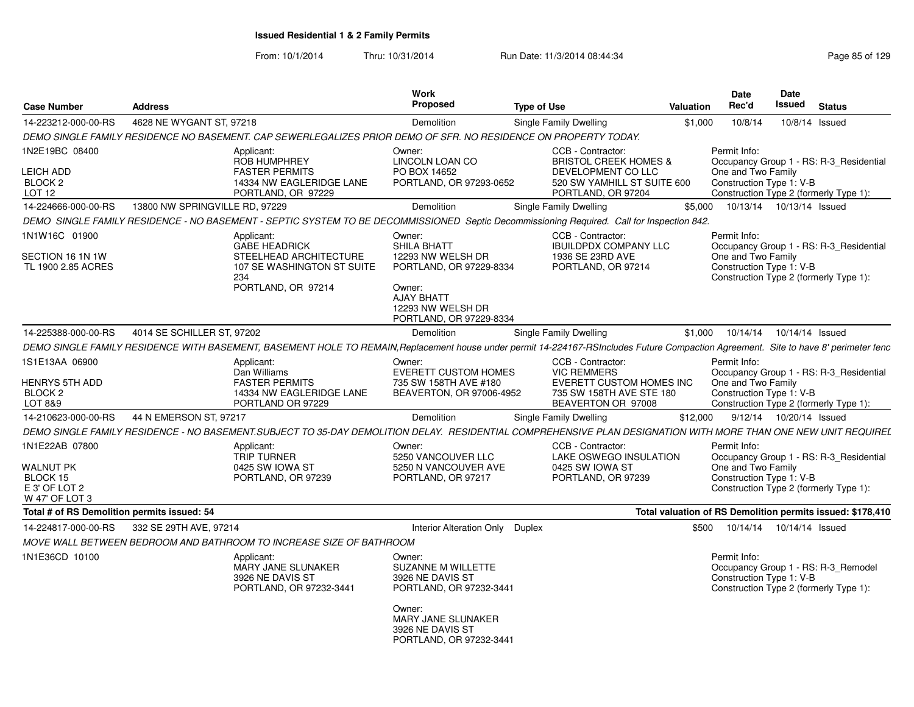| <b>Case Number</b>                                                         | <b>Address</b>                 |                                                                                                                                                                                      | Work<br><b>Proposed</b>                                                                                                                                                  | <b>Type of Use</b>                                                                                                               | Valuation | <b>Date</b><br>Rec'd                                           | <b>Date</b><br>Issued      | <b>Status</b>                                                                     |
|----------------------------------------------------------------------------|--------------------------------|--------------------------------------------------------------------------------------------------------------------------------------------------------------------------------------|--------------------------------------------------------------------------------------------------------------------------------------------------------------------------|----------------------------------------------------------------------------------------------------------------------------------|-----------|----------------------------------------------------------------|----------------------------|-----------------------------------------------------------------------------------|
| 14-223212-000-00-RS                                                        | 4628 NE WYGANT ST, 97218       |                                                                                                                                                                                      | Demolition                                                                                                                                                               | Single Family Dwelling                                                                                                           | \$1,000   | 10/8/14                                                        | 10/8/14 Issued             |                                                                                   |
|                                                                            |                                | DEMO SINGLE FAMILY RESIDENCE NO BASEMENT. CAP SEWERLEGALIZES PRIOR DEMO OF SFR. NO RESIDENCE ON PROPERTY TODAY.                                                                      |                                                                                                                                                                          |                                                                                                                                  |           |                                                                |                            |                                                                                   |
| 1N2E19BC 08400<br><b>LEICH ADD</b><br>BLOCK <sub>2</sub><br>LOT 12         |                                | Applicant:<br><b>ROB HUMPHREY</b><br><b>FASTER PERMITS</b><br>14334 NW EAGLERIDGE LANE<br>PORTLAND, OR 97229                                                                         | Owner:<br>LINCOLN LOAN CO<br>PO BOX 14652<br>PORTLAND, OR 97293-0652                                                                                                     | CCB - Contractor:<br><b>BRISTOL CREEK HOMES &amp;</b><br>DEVELOPMENT CO LLC<br>520 SW YAMHILL ST SUITE 600<br>PORTLAND, OR 97204 |           | Permit Info:<br>One and Two Family<br>Construction Type 1: V-B |                            | Occupancy Group 1 - RS: R-3 Residential<br>Construction Type 2 (formerly Type 1): |
| 14-224666-000-00-RS                                                        | 13800 NW SPRINGVILLE RD, 97229 |                                                                                                                                                                                      | Demolition                                                                                                                                                               | Single Family Dwelling                                                                                                           | \$5,000   |                                                                | 10/13/14  10/13/14  Issued |                                                                                   |
|                                                                            |                                | DEMO SINGLE FAMILY RESIDENCE - NO BASEMENT - SEPTIC SYSTEM TO BE DECOMMISSIONED Septic Decommissioning Required. Call for Inspection 842.                                            |                                                                                                                                                                          |                                                                                                                                  |           |                                                                |                            |                                                                                   |
| 1N1W16C 01900<br>SECTION 16 1N 1W<br>TL 1900 2.85 ACRES                    |                                | Applicant:<br><b>GABE HEADRICK</b><br>STEELHEAD ARCHITECTURE<br>107 SE WASHINGTON ST SUITE<br>234<br>PORTLAND, OR 97214                                                              | Owner:<br>SHILA BHATT<br>12293 NW WELSH DR<br>PORTLAND, OR 97229-8334<br>Owner:<br>AJAY BHATT<br>12293 NW WELSH DR<br>PORTLAND, OR 97229-8334                            | CCB - Contractor:<br><b>IBUILDPDX COMPANY LLC</b><br>1936 SE 23RD AVE<br>PORTLAND, OR 97214                                      |           | Permit Info:<br>One and Two Family<br>Construction Type 1: V-B |                            | Occupancy Group 1 - RS: R-3_Residential<br>Construction Type 2 (formerly Type 1): |
| 14-225388-000-00-RS                                                        | 4014 SE SCHILLER ST, 97202     |                                                                                                                                                                                      | <b>Demolition</b>                                                                                                                                                        | Single Family Dwelling                                                                                                           | \$1,000   | 10/14/14                                                       | 10/14/14 Issued            |                                                                                   |
|                                                                            |                                | DEMO SINGLE FAMILY RESIDENCE WITH BASEMENT, BASEMENT HOLE TO REMAIN, Replacement house under permit 14-224167-RSIncludes Future Compaction Agreement. Site to have 8' perimeter fenc |                                                                                                                                                                          |                                                                                                                                  |           |                                                                |                            |                                                                                   |
| 1S1E13AA 06900<br><b>HENRYS 5TH ADD</b><br>BLOCK <sub>2</sub><br>LOT 8&9   |                                | Applicant:<br>Dan Williams<br><b>FASTER PERMITS</b><br>14334 NW EAGLERIDGE LANE<br>PORTLAND OR 97229                                                                                 | Owner:<br><b>EVERETT CUSTOM HOMES</b><br>735 SW 158TH AVE #180<br>BEAVERTON, OR 97006-4952                                                                               | CCB - Contractor:<br><b>VIC REMMERS</b><br>EVERETT CUSTOM HOMES INC<br>735 SW 158TH AVE STE 180<br>BEAVERTON OR 97008            |           | Permit Info:<br>One and Two Family<br>Construction Type 1: V-B |                            | Occupancy Group 1 - RS: R-3 Residential<br>Construction Type 2 (formerly Type 1): |
| 14-210623-000-00-RS                                                        | 44 N EMERSON ST, 97217         |                                                                                                                                                                                      | Demolition                                                                                                                                                               | Single Family Dwelling                                                                                                           | \$12,000  |                                                                | 9/12/14  10/20/14  Issued  |                                                                                   |
|                                                                            |                                | DEMO SINGLE FAMILY RESIDENCE - NO BASEMENT.SUBJECT TO 35-DAY DEMOLITION DELAY. RESIDENTIAL COMPREHENSIVE PLAN DESIGNATION WITH MORE THAN ONE NEW UNIT REQUIREL                       |                                                                                                                                                                          |                                                                                                                                  |           |                                                                |                            |                                                                                   |
| 1N1E22AB 07800<br>WALNUT PK<br>BLOCK 15<br>E 3' OF LOT 2<br>W 47' OF LOT 3 |                                | Applicant:<br><b>TRIP TURNER</b><br>0425 SW IOWA ST<br>PORTLAND, OR 97239                                                                                                            | Owner:<br>5250 VANCOUVER LLC<br>5250 N VANCOUVER AVE<br>PORTLAND, OR 97217                                                                                               | CCB - Contractor:<br>LAKE OSWEGO INSULATION<br>0425 SW IOWA ST<br>PORTLAND, OR 97239                                             |           | Permit Info:<br>One and Two Family<br>Construction Type 1: V-B |                            | Occupancy Group 1 - RS: R-3 Residential<br>Construction Type 2 (formerly Type 1): |
| Total # of RS Demolition permits issued: 54                                |                                |                                                                                                                                                                                      |                                                                                                                                                                          |                                                                                                                                  |           |                                                                |                            | Total valuation of RS Demolition permits issued: \$178,410                        |
| 14-224817-000-00-RS                                                        | 332 SE 29TH AVE, 97214         |                                                                                                                                                                                      | Interior Alteration Only Duplex                                                                                                                                          |                                                                                                                                  | \$500     | 10/14/14                                                       | 10/14/14 Issued            |                                                                                   |
|                                                                            |                                | MOVE WALL BETWEEN BEDROOM AND BATHROOM TO INCREASE SIZE OF BATHROOM                                                                                                                  |                                                                                                                                                                          |                                                                                                                                  |           |                                                                |                            |                                                                                   |
| 1N1E36CD 10100                                                             |                                | Applicant:<br><b>MARY JANE SLUNAKER</b><br>3926 NE DAVIS ST<br>PORTLAND, OR 97232-3441                                                                                               | Owner:<br><b>SUZANNE M WILLETTE</b><br>3926 NE DAVIS ST<br>PORTLAND, OR 97232-3441<br>Owner:<br><b>MARY JANE SLUNAKER</b><br>3926 NE DAVIS ST<br>PORTLAND, OR 97232-3441 |                                                                                                                                  |           | Permit Info:<br>Construction Type 1: V-B                       |                            | Occupancy Group 1 - RS: R-3 Remodel<br>Construction Type 2 (formerly Type 1):     |
|                                                                            |                                |                                                                                                                                                                                      |                                                                                                                                                                          |                                                                                                                                  |           |                                                                |                            |                                                                                   |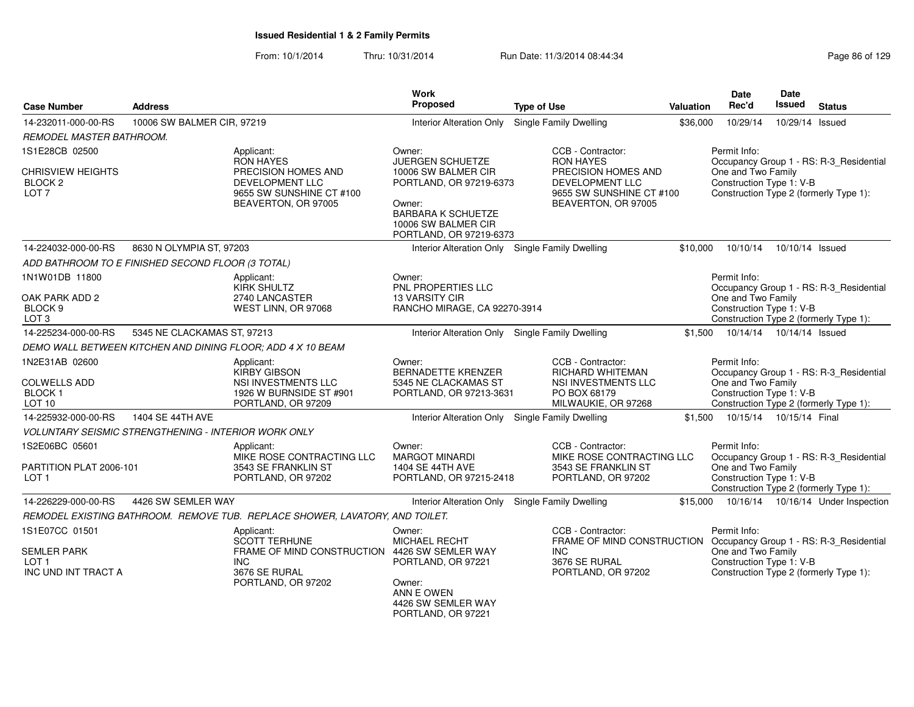From: 10/1/2014Thru: 10/31/2014 Run Date: 11/3/2014 08:44:34 Research 29

| <b>Case Number</b>                                                              | <b>Address</b>                                              |                                                                                                           | <b>Work</b><br><b>Proposed</b>                                                                                                          | <b>Type of Use</b>                                                                                               | Valuation | <b>Date</b><br>Rec'd                                           | Date<br>Issued             | <b>Status</b>                                                                     |
|---------------------------------------------------------------------------------|-------------------------------------------------------------|-----------------------------------------------------------------------------------------------------------|-----------------------------------------------------------------------------------------------------------------------------------------|------------------------------------------------------------------------------------------------------------------|-----------|----------------------------------------------------------------|----------------------------|-----------------------------------------------------------------------------------|
| 14-232011-000-00-RS                                                             | 10006 SW BALMER CIR, 97219                                  |                                                                                                           | <b>Interior Alteration Only</b>                                                                                                         | Single Family Dwelling                                                                                           | \$36,000  | 10/29/14                                                       | 10/29/14 Issued            |                                                                                   |
| REMODEL MASTER BATHROOM.                                                        |                                                             |                                                                                                           |                                                                                                                                         |                                                                                                                  |           |                                                                |                            |                                                                                   |
| 1S1E28CB 02500                                                                  |                                                             | Applicant:<br>RON HAYES                                                                                   | Owner:<br>JUERGEN SCHUETZE                                                                                                              | CCB - Contractor:<br><b>RON HAYES</b>                                                                            |           | Permit Info:                                                   |                            | Occupancy Group 1 - RS: R-3_Residential                                           |
| <b>CHRISVIEW HEIGHTS</b><br><b>BLOCK 2</b><br>LOT <sub>7</sub>                  |                                                             | PRECISION HOMES AND<br>DEVELOPMENT LLC<br>9655 SW SUNSHINE CT #100<br>BEAVERTON, OR 97005                 | 10006 SW BALMER CIR<br>PORTLAND, OR 97219-6373<br>Owner:<br><b>BARBARA K SCHUETZE</b><br>10006 SW BALMER CIR<br>PORTLAND, OR 97219-6373 | PRECISION HOMES AND<br>DEVELOPMENT LLC<br>9655 SW SUNSHINE CT #100<br>BEAVERTON, OR 97005                        |           | One and Two Family<br>Construction Type 1: V-B                 |                            | Construction Type 2 (formerly Type 1):                                            |
| 14-224032-000-00-RS                                                             | 8630 N OLYMPIA ST, 97203                                    |                                                                                                           | Interior Alteration Only Single Family Dwelling                                                                                         |                                                                                                                  | \$10,000  | 10/10/14                                                       | 10/10/14 Issued            |                                                                                   |
|                                                                                 | ADD BATHROOM TO E FINISHED SECOND FLOOR (3 TOTAL)           |                                                                                                           |                                                                                                                                         |                                                                                                                  |           |                                                                |                            |                                                                                   |
| 1N1W01DB 11800                                                                  |                                                             | Applicant:<br><b>KIRK SHULTZ</b>                                                                          | Owner:<br>PNL PROPERTIES LLC                                                                                                            |                                                                                                                  |           | Permit Info:                                                   |                            | Occupancy Group 1 - RS: R-3 Residential                                           |
| OAK PARK ADD 2<br>BLOCK <sub>9</sub><br>LOT <sub>3</sub>                        |                                                             | 2740 LANCASTER<br>WEST LINN, OR 97068                                                                     | <b>13 VARSITY CIR</b><br>RANCHO MIRAGE, CA 92270-3914                                                                                   |                                                                                                                  |           | One and Two Family<br>Construction Type 1: V-B                 |                            | Construction Type 2 (formerly Type 1):                                            |
| 14-225234-000-00-RS                                                             | 5345 NE CLACKAMAS ST, 97213                                 |                                                                                                           | Interior Alteration Only Single Family Dwelling                                                                                         |                                                                                                                  | \$1.500   |                                                                | 10/14/14  10/14/14  Issued |                                                                                   |
|                                                                                 |                                                             | DEMO WALL BETWEEN KITCHEN AND DINING FLOOR; ADD 4 X 10 BEAM                                               |                                                                                                                                         |                                                                                                                  |           |                                                                |                            |                                                                                   |
| 1N2E31AB 02600<br><b>COLWELLS ADD</b><br><b>BLOCK1</b><br>LOT <sub>10</sub>     |                                                             | Applicant:<br><b>KIRBY GIBSON</b><br>NSI INVESTMENTS LLC<br>1926 W BURNSIDE ST #901<br>PORTLAND, OR 97209 | Owner:<br><b>BERNADETTE KRENZER</b><br>5345 NE CLACKAMAS ST<br>PORTLAND, OR 97213-3631                                                  | CCB - Contractor:<br>RICHARD WHITEMAN<br>NSI INVESTMENTS LLC<br>PO BOX 68179<br>MILWAUKIE, OR 97268              |           | Permit Info:<br>One and Two Family<br>Construction Type 1: V-B |                            | Occupancy Group 1 - RS: R-3 Residential<br>Construction Type 2 (formerly Type 1): |
| 14-225932-000-00-RS                                                             | 1404 SE 44TH AVE                                            |                                                                                                           | Interior Alteration Only Single Family Dwelling                                                                                         |                                                                                                                  | \$1.500   |                                                                | 10/15/14  10/15/14  Final  |                                                                                   |
|                                                                                 | <b>VOLUNTARY SEISMIC STRENGTHENING - INTERIOR WORK ONLY</b> |                                                                                                           |                                                                                                                                         |                                                                                                                  |           |                                                                |                            |                                                                                   |
| 1S2E06BC 05601<br>PARTITION PLAT 2006-101<br>LOT 1                              |                                                             | Applicant:<br>MIKE ROSE CONTRACTING LLC<br>3543 SE FRANKLIN ST<br>PORTLAND, OR 97202                      | Owner:<br><b>MARGOT MINARDI</b><br>1404 SE 44TH AVE<br>PORTLAND, OR 97215-2418                                                          | CCB - Contractor:<br>MIKE ROSE CONTRACTING LLC<br>3543 SE FRANKLIN ST<br>PORTLAND, OR 97202                      |           | Permit Info:<br>One and Two Family<br>Construction Type 1: V-B |                            | Occupancy Group 1 - RS: R-3_Residential<br>Construction Type 2 (formerly Type 1): |
| 14-226229-000-00-RS                                                             | 4426 SW SEMLER WAY                                          |                                                                                                           | Interior Alteration Only Single Family Dwelling                                                                                         |                                                                                                                  | \$15,000  |                                                                |                            | 10/16/14  10/16/14  Under Inspection                                              |
|                                                                                 |                                                             | REMODEL EXISTING BATHROOM. REMOVE TUB. REPLACE SHOWER, LAVATORY, AND TOILET.                              |                                                                                                                                         |                                                                                                                  |           |                                                                |                            |                                                                                   |
| 1S1E07CC 01501<br><b>SEMLER PARK</b><br>LOT <sub>1</sub><br>INC UND INT TRACT A |                                                             | Applicant:<br>SCOTT TERHUNE<br>FRAME OF MIND CONSTRUCTION 4426 SW SEMLER WAY<br>INC.<br>3676 SE RURAL     | Owner:<br><b>MICHAEL RECHT</b><br>PORTLAND, OR 97221                                                                                    | CCB - Contractor:<br>FRAME OF MIND CONSTRUCTION Occupancy Group 1 - RS: R-3_Residential<br>INC.<br>3676 SE RURAL |           | Permit Info:<br>One and Two Family<br>Construction Type 1: V-B |                            | Construction Type 2 (formerly Type 1):                                            |
|                                                                                 |                                                             | PORTLAND, OR 97202                                                                                        | Owner:<br>ANN E OWEN<br>4426 SW SEMLER WAY                                                                                              | PORTLAND, OR 97202                                                                                               |           |                                                                |                            |                                                                                   |

PORTLAND, OR 97221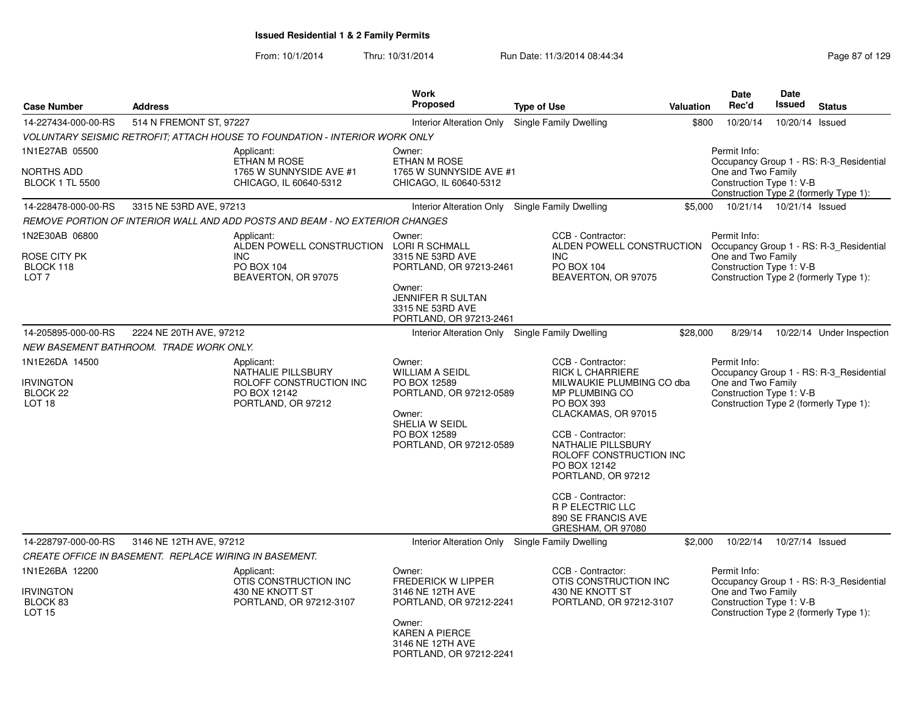From: 10/1/2014

|                                                                     |                         |                                                                                                           | <b>Work</b>                                                                                                                                                          |                                                                                                                                                                                                                                                                                                                                         |           | Date                                                                                                     | Date            |                                         |
|---------------------------------------------------------------------|-------------------------|-----------------------------------------------------------------------------------------------------------|----------------------------------------------------------------------------------------------------------------------------------------------------------------------|-----------------------------------------------------------------------------------------------------------------------------------------------------------------------------------------------------------------------------------------------------------------------------------------------------------------------------------------|-----------|----------------------------------------------------------------------------------------------------------|-----------------|-----------------------------------------|
| <b>Case Number</b>                                                  | <b>Address</b>          |                                                                                                           | <b>Proposed</b>                                                                                                                                                      | <b>Type of Use</b>                                                                                                                                                                                                                                                                                                                      | Valuation | Rec'd                                                                                                    | Issued          | <b>Status</b>                           |
| 14-227434-000-00-RS                                                 | 514 N FREMONT ST, 97227 |                                                                                                           | Interior Alteration Only                                                                                                                                             | Single Family Dwelling                                                                                                                                                                                                                                                                                                                  | \$800     | 10/20/14                                                                                                 | 10/20/14 Issued |                                         |
|                                                                     |                         | <b>VOLUNTARY SEISMIC RETROFIT; ATTACH HOUSE TO FOUNDATION - INTERIOR WORK ONLY</b>                        |                                                                                                                                                                      |                                                                                                                                                                                                                                                                                                                                         |           |                                                                                                          |                 |                                         |
| 1N1E27AB 05500<br><b>NORTHS ADD</b><br><b>BLOCK 1 TL 5500</b>       |                         | Applicant:<br>ETHAN M ROSE<br>1765 W SUNNYSIDE AVE #1<br>CHICAGO, IL 60640-5312                           | Owner:<br>ETHAN M ROSE<br>1765 W SUNNYSIDE AVE #1<br>CHICAGO, IL 60640-5312                                                                                          |                                                                                                                                                                                                                                                                                                                                         |           | Permit Info:<br>One and Two Family<br>Construction Type 1: V-B<br>Construction Type 2 (formerly Type 1): |                 | Occupancy Group 1 - RS: R-3 Residential |
| 14-228478-000-00-RS                                                 | 3315 NE 53RD AVE, 97213 |                                                                                                           | Interior Alteration Only Single Family Dwelling                                                                                                                      |                                                                                                                                                                                                                                                                                                                                         | \$5.000   | 10/21/14  10/21/14  Issued                                                                               |                 |                                         |
|                                                                     |                         | REMOVE PORTION OF INTERIOR WALL AND ADD POSTS AND BEAM - NO EXTERIOR CHANGES                              |                                                                                                                                                                      |                                                                                                                                                                                                                                                                                                                                         |           |                                                                                                          |                 |                                         |
| 1N2E30AB 06800<br>ROSE CITY PK<br>BLOCK 118<br>LOT <sub>7</sub>     |                         | Applicant:<br>ALDEN POWELL CONSTRUCTION LORI R SCHMALL<br><b>INC</b><br>PO BOX 104<br>BEAVERTON, OR 97075 | Owner:<br>3315 NE 53RD AVE<br>PORTLAND, OR 97213-2461<br>Owner:<br><b>JENNIFER R SULTAN</b><br>3315 NE 53RD AVE<br>PORTLAND, OR 97213-2461                           | CCB - Contractor:<br>ALDEN POWELL CONSTRUCTION<br><b>INC</b><br>PO BOX 104<br>BEAVERTON, OR 97075                                                                                                                                                                                                                                       |           | Permit Info:<br>One and Two Family<br>Construction Type 1: V-B<br>Construction Type 2 (formerly Type 1): |                 | Occupancy Group 1 - RS: R-3_Residential |
| 14-205895-000-00-RS                                                 | 2224 NE 20TH AVE, 97212 |                                                                                                           | Interior Alteration Only Single Family Dwelling                                                                                                                      |                                                                                                                                                                                                                                                                                                                                         | \$28,000  | 8/29/14                                                                                                  |                 | 10/22/14 Under Inspection               |
| NEW BASEMENT BATHROOM. TRADE WORK ONLY.                             |                         |                                                                                                           |                                                                                                                                                                      |                                                                                                                                                                                                                                                                                                                                         |           |                                                                                                          |                 |                                         |
| 1N1E26DA 14500<br><b>IRVINGTON</b><br>BLOCK 22<br>LOT <sub>18</sub> |                         | Applicant:<br>NATHALIE PILLSBURY<br>ROLOFF CONSTRUCTION INC<br>PO BOX 12142<br>PORTLAND, OR 97212         | Owner:<br><b>WILLIAM A SEIDL</b><br>PO BOX 12589<br>PORTLAND, OR 97212-0589<br>Owner:<br>SHELIA W SEIDL<br>PO BOX 12589<br>PORTLAND, OR 97212-0589                   | CCB - Contractor:<br><b>RICK L CHARRIERE</b><br>MILWAUKIE PLUMBING CO dba<br>MP PLUMBING CO<br><b>PO BOX 393</b><br>CLACKAMAS, OR 97015<br>CCB - Contractor:<br>NATHALIE PILLSBURY<br>ROLOFF CONSTRUCTION INC<br>PO BOX 12142<br>PORTLAND, OR 97212<br>CCB - Contractor:<br>R P ELECTRIC LLC<br>890 SE FRANCIS AVE<br>GRESHAM, OR 97080 |           | Permit Info:<br>One and Two Family<br>Construction Type 1: V-B<br>Construction Type 2 (formerly Type 1): |                 | Occupancy Group 1 - RS: R-3 Residential |
| 14-228797-000-00-RS                                                 | 3146 NE 12TH AVE, 97212 |                                                                                                           | Interior Alteration Only Single Family Dwelling                                                                                                                      |                                                                                                                                                                                                                                                                                                                                         | \$2,000   | 10/22/14                                                                                                 | 10/27/14 Issued |                                         |
| CREATE OFFICE IN BASEMENT. REPLACE WIRING IN BASEMENT.              |                         |                                                                                                           |                                                                                                                                                                      |                                                                                                                                                                                                                                                                                                                                         |           |                                                                                                          |                 |                                         |
| 1N1E26BA 12200<br><b>IRVINGTON</b><br>BLOCK 83<br><b>LOT 15</b>     |                         | Applicant:<br>OTIS CONSTRUCTION INC<br>430 NE KNOTT ST<br>PORTLAND, OR 97212-3107                         | Owner:<br><b>FREDERICK W LIPPER</b><br>3146 NE 12TH AVE<br>PORTLAND, OR 97212-2241<br>Owner:<br><b>KAREN A PIERCE</b><br>3146 NE 12TH AVE<br>PORTLAND, OR 97212-2241 | CCB - Contractor:<br>OTIS CONSTRUCTION INC<br>430 NE KNOTT ST<br>PORTLAND, OR 97212-3107                                                                                                                                                                                                                                                |           | Permit Info:<br>One and Two Family<br>Construction Type 1: V-B<br>Construction Type 2 (formerly Type 1): |                 | Occupancy Group 1 - RS: R-3 Residential |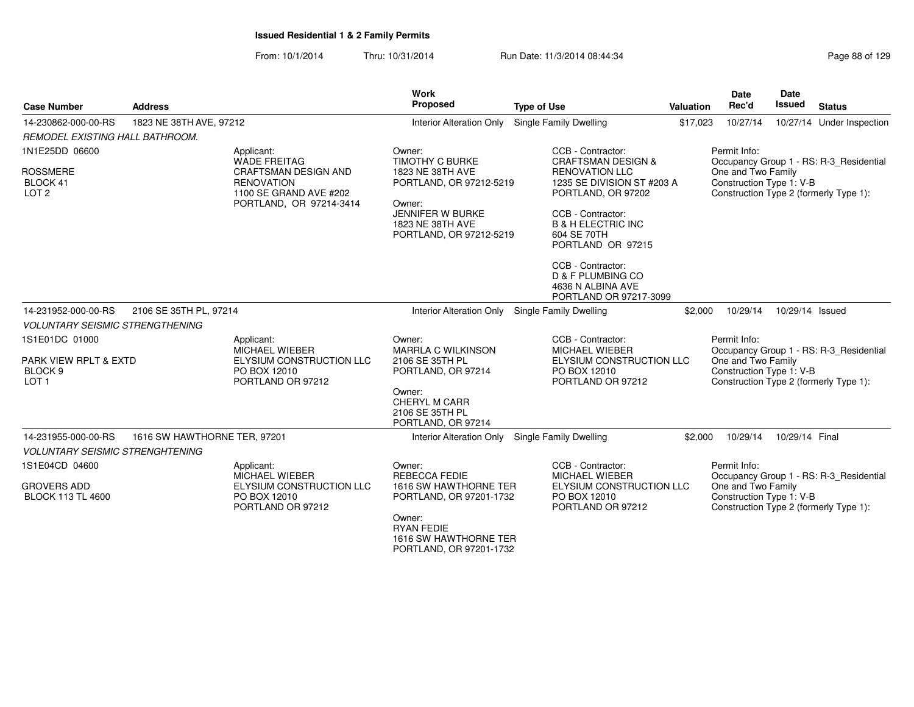From: 10/1/2014Thru: 10/31/2014 Run Date: 11/3/2014 08:44:34

| Page 88 of 129 |  |
|----------------|--|
|----------------|--|

|                                                                                   |                                                                                                                                            | <b>Work</b><br>Proposed                                                                                                                                               |                                                                                                                                                                                                                                                                                                                    |           | <b>Date</b>                                                    | <b>Date</b><br><b>Issued</b> |                                                                                   |
|-----------------------------------------------------------------------------------|--------------------------------------------------------------------------------------------------------------------------------------------|-----------------------------------------------------------------------------------------------------------------------------------------------------------------------|--------------------------------------------------------------------------------------------------------------------------------------------------------------------------------------------------------------------------------------------------------------------------------------------------------------------|-----------|----------------------------------------------------------------|------------------------------|-----------------------------------------------------------------------------------|
| <b>Case Number</b>                                                                | <b>Address</b>                                                                                                                             |                                                                                                                                                                       | <b>Type of Use</b>                                                                                                                                                                                                                                                                                                 | Valuation | Rec'd                                                          |                              | <b>Status</b>                                                                     |
| 14-230862-000-00-RS                                                               | 1823 NE 38TH AVE, 97212                                                                                                                    | Interior Alteration Only Single Family Dwelling                                                                                                                       |                                                                                                                                                                                                                                                                                                                    | \$17,023  | 10/27/14                                                       |                              | 10/27/14 Under Inspection                                                         |
| REMODEL EXISTING HALL BATHROOM.                                                   |                                                                                                                                            |                                                                                                                                                                       |                                                                                                                                                                                                                                                                                                                    |           |                                                                |                              |                                                                                   |
| 1N1E25DD 06600<br><b>ROSSMERE</b><br>BLOCK 41<br>LOT <sub>2</sub>                 | Applicant:<br><b>WADE FREITAG</b><br><b>CRAFTSMAN DESIGN AND</b><br><b>RENOVATION</b><br>1100 SE GRAND AVE #202<br>PORTLAND, OR 97214-3414 | Owner:<br><b>TIMOTHY C BURKE</b><br>1823 NE 38TH AVE<br>PORTLAND, OR 97212-5219<br>Owner:<br>JENNIFER W BURKE<br>1823 NE 38TH AVE<br>PORTLAND, OR 97212-5219          | CCB - Contractor:<br><b>CRAFTSMAN DESIGN &amp;</b><br><b>RENOVATION LLC</b><br>1235 SE DIVISION ST #203 A<br>PORTLAND, OR 97202<br>CCB - Contractor:<br><b>B &amp; H ELECTRIC INC</b><br>604 SE 70TH<br>PORTLAND OR 97215<br>CCB - Contractor:<br>D & F PLUMBING CO<br>4636 N ALBINA AVE<br>PORTLAND OR 97217-3099 |           | Permit Info:<br>One and Two Family<br>Construction Type 1: V-B |                              | Occupancy Group 1 - RS: R-3_Residential<br>Construction Type 2 (formerly Type 1): |
| 14-231952-000-00-RS                                                               | 2106 SE 35TH PL, 97214                                                                                                                     | Interior Alteration Only Single Family Dwelling                                                                                                                       |                                                                                                                                                                                                                                                                                                                    | \$2,000   | 10/29/14                                                       | 10/29/14 Issued              |                                                                                   |
| <b>VOLUNTARY SEISMIC STRENGTHENING</b>                                            |                                                                                                                                            |                                                                                                                                                                       |                                                                                                                                                                                                                                                                                                                    |           |                                                                |                              |                                                                                   |
| 1S1E01DC 01000<br>PARK VIEW RPLT & EXTD<br>BLOCK <sub>9</sub><br>LOT <sub>1</sub> | Applicant:<br>MICHAEL WIEBER<br>ELYSIUM CONSTRUCTION LLC<br>PO BOX 12010<br>PORTLAND OR 97212                                              | Owner:<br>MARRLA C WILKINSON<br>2106 SE 35TH PL<br>PORTLAND, OR 97214<br>Owner:<br><b>CHERYL M CARR</b><br>2106 SE 35TH PL<br>PORTLAND, OR 97214                      | CCB - Contractor:<br>MICHAEL WIEBER<br>ELYSIUM CONSTRUCTION LLC<br>PO BOX 12010<br>PORTLAND OR 97212                                                                                                                                                                                                               |           | Permit Info:<br>One and Two Family<br>Construction Type 1: V-B |                              | Occupancy Group 1 - RS: R-3 Residential<br>Construction Type 2 (formerly Type 1): |
| 14-231955-000-00-RS                                                               | 1616 SW HAWTHORNE TER, 97201                                                                                                               | Interior Alteration Only Single Family Dwelling                                                                                                                       |                                                                                                                                                                                                                                                                                                                    | \$2,000   | 10/29/14                                                       | 10/29/14 Final               |                                                                                   |
| <b>VOLUNTARY SEISMIC STRENGHTENING</b>                                            |                                                                                                                                            |                                                                                                                                                                       |                                                                                                                                                                                                                                                                                                                    |           |                                                                |                              |                                                                                   |
| 1S1E04CD 04600<br><b>GROVERS ADD</b><br><b>BLOCK 113 TL 4600</b>                  | Applicant:<br>MICHAEL WIEBER<br>ELYSIUM CONSTRUCTION LLC<br>PO BOX 12010<br>PORTLAND OR 97212                                              | Owner:<br><b>REBECCA FEDIE</b><br>1616 SW HAWTHORNE TER<br>PORTLAND, OR 97201-1732<br>Owner:<br><b>RYAN FEDIE</b><br>1616 SW HAWTHORNE TER<br>PORTLAND, OR 97201-1732 | CCB - Contractor:<br><b>MICHAEL WIEBER</b><br>ELYSIUM CONSTRUCTION LLC<br>PO BOX 12010<br>PORTLAND OR 97212                                                                                                                                                                                                        |           | Permit Info:<br>One and Two Family<br>Construction Type 1: V-B |                              | Occupancy Group 1 - RS: R-3_Residential<br>Construction Type 2 (formerly Type 1): |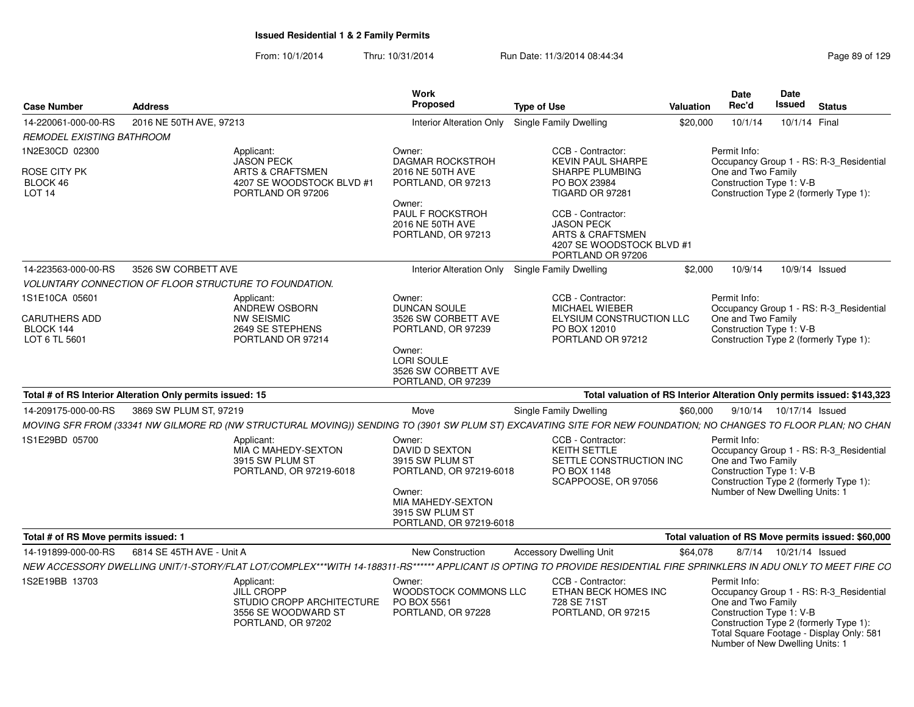| <b>Case Number</b>                                 | <b>Address</b>                                                                                                                                                       | <b>Work</b><br>Proposed                                                                                                                                    | <b>Type of Use</b>                                                                                                      | <b>Valuation</b> | <b>Date</b><br>Rec'd                                           | Date<br>Issued<br><b>Status</b>                                                                                                                                  |
|----------------------------------------------------|----------------------------------------------------------------------------------------------------------------------------------------------------------------------|------------------------------------------------------------------------------------------------------------------------------------------------------------|-------------------------------------------------------------------------------------------------------------------------|------------------|----------------------------------------------------------------|------------------------------------------------------------------------------------------------------------------------------------------------------------------|
| 14-220061-000-00-RS                                | 2016 NE 50TH AVE, 97213                                                                                                                                              | <b>Interior Alteration Only</b>                                                                                                                            | Single Family Dwelling                                                                                                  | \$20,000         | 10/1/14                                                        | 10/1/14 Final                                                                                                                                                    |
| REMODEL EXISTING BATHROOM                          |                                                                                                                                                                      |                                                                                                                                                            |                                                                                                                         |                  |                                                                |                                                                                                                                                                  |
| 1N2E30CD 02300                                     | Applicant:<br><b>JASON PECK</b>                                                                                                                                      | Owner:<br><b>DAGMAR ROCKSTROH</b>                                                                                                                          | CCB - Contractor:<br><b>KEVIN PAUL SHARPE</b>                                                                           |                  | Permit Info:                                                   | Occupancy Group 1 - RS: R-3_Residential                                                                                                                          |
| ROSE CITY PK<br>BLOCK 46<br>LOT <sub>14</sub>      | <b>ARTS &amp; CRAFTSMEN</b><br>4207 SE WOODSTOCK BLVD #1<br>PORTLAND OR 97206                                                                                        | 2016 NE 50TH AVE<br>PORTLAND, OR 97213<br>Owner:                                                                                                           | SHARPE PLUMBING<br>PO BOX 23984<br>TIGARD OR 97281                                                                      |                  | One and Two Family<br>Construction Type 1: V-B                 | Construction Type 2 (formerly Type 1):                                                                                                                           |
|                                                    |                                                                                                                                                                      | PAUL F ROCKSTROH<br>2016 NE 50TH AVE<br>PORTLAND, OR 97213                                                                                                 | CCB - Contractor:<br><b>JASON PECK</b><br><b>ARTS &amp; CRAFTSMEN</b><br>4207 SE WOODSTOCK BLVD #1<br>PORTLAND OR 97206 |                  |                                                                |                                                                                                                                                                  |
| 14-223563-000-00-RS                                | 3526 SW CORBETT AVE                                                                                                                                                  | <b>Interior Alteration Only</b>                                                                                                                            | Single Family Dwelling                                                                                                  | \$2,000          | 10/9/14                                                        | 10/9/14 Issued                                                                                                                                                   |
|                                                    | <b>VOLUNTARY CONNECTION OF FLOOR STRUCTURE TO FOUNDATION.</b>                                                                                                        |                                                                                                                                                            |                                                                                                                         |                  |                                                                |                                                                                                                                                                  |
| 1S1E10CA 05601                                     | Applicant:<br>ANDREW OSBORN                                                                                                                                          | Owner:<br><b>DUNCAN SOULE</b>                                                                                                                              | CCB - Contractor:<br>MICHAEL WIEBER                                                                                     |                  | Permit Info:                                                   | Occupancy Group 1 - RS: R-3 Residential                                                                                                                          |
| <b>CARUTHERS ADD</b><br>BLOCK 144<br>LOT 6 TL 5601 | <b>NW SEISMIC</b><br>2649 SE STEPHENS<br>PORTLAND OR 97214                                                                                                           | 3526 SW CORBETT AVE<br>PORTLAND, OR 97239                                                                                                                  | ELYSIUM CONSTRUCTION LLC<br>PO BOX 12010<br>PORTLAND OR 97212                                                           |                  | One and Two Family<br>Construction Type 1: V-B                 | Construction Type 2 (formerly Type 1):                                                                                                                           |
|                                                    |                                                                                                                                                                      | Owner:<br>LORI SOULE<br>3526 SW CORBETT AVE<br>PORTLAND, OR 97239                                                                                          |                                                                                                                         |                  |                                                                |                                                                                                                                                                  |
|                                                    | Total # of RS Interior Alteration Only permits issued: 15                                                                                                            |                                                                                                                                                            |                                                                                                                         |                  |                                                                | Total valuation of RS Interior Alteration Only permits issued: \$143,323                                                                                         |
| 14-209175-000-00-RS                                | 3869 SW PLUM ST, 97219                                                                                                                                               | Move                                                                                                                                                       | <b>Single Family Dwelling</b>                                                                                           | \$60,000         |                                                                | 9/10/14  10/17/14  Issued                                                                                                                                        |
|                                                    | MOVING SFR FROM (33341 NW GILMORE RD (NW STRUCTURAL MOVING)) SENDING TO (3901 SW PLUM ST) EXCAVATING SITE FOR NEW FOUNDATION; NO CHANGES TO FLOOR PLAN; NO CHAN      |                                                                                                                                                            |                                                                                                                         |                  |                                                                |                                                                                                                                                                  |
| 1S1E29BD 05700                                     | Applicant:<br>MIA C MAHEDY-SEXTON<br>3915 SW PLUM ST<br>PORTLAND, OR 97219-6018                                                                                      | Owner:<br><b>DAVID D SEXTON</b><br>3915 SW PLUM ST<br>PORTLAND, OR 97219-6018<br>Owner:<br>MIA MAHEDY-SEXTON<br>3915 SW PLUM ST<br>PORTLAND, OR 97219-6018 | CCB - Contractor:<br><b>KEITH SETTLE</b><br>SETTLE CONSTRUCTION INC<br>PO BOX 1148<br>SCAPPOOSE, OR 97056               |                  | Permit Info:<br>One and Two Family<br>Construction Type 1: V-B | Occupancy Group 1 - RS: R-3 Residential<br>Construction Type 2 (formerly Type 1):<br>Number of New Dwelling Units: 1                                             |
| Total # of RS Move permits issued: 1               |                                                                                                                                                                      |                                                                                                                                                            |                                                                                                                         |                  |                                                                | Total valuation of RS Move permits issued: \$60,000                                                                                                              |
| 14-191899-000-00-RS                                | 6814 SE 45TH AVE - Unit A                                                                                                                                            | New Construction                                                                                                                                           | <b>Accessory Dwelling Unit</b>                                                                                          | \$64,078         |                                                                | 8/7/14  10/21/14  Issued                                                                                                                                         |
|                                                    | NEW ACCESSORY DWELLING UNIT/1-STORY/FLAT LOT/COMPLEX***WITH 14-188311-RS***** APPLICANT IS OPTING TO PROVIDE RESIDENTIAL FIRE SPRINKLERS IN ADU ONLY TO MEET FIRE CO |                                                                                                                                                            |                                                                                                                         |                  |                                                                |                                                                                                                                                                  |
| 1S2E19BB 13703                                     | Applicant:<br><b>JILL CROPP</b><br>STUDIO CROPP ARCHITECTURE<br>3556 SE WOODWARD ST<br>PORTLAND, OR 97202                                                            | Owner:<br>WOODSTOCK COMMONS LLC<br>PO BOX 5561<br>PORTLAND, OR 97228                                                                                       | CCB - Contractor:<br>ETHAN BECK HOMES INC<br>728 SE 71ST<br>PORTLAND, OR 97215                                          |                  | Permit Info:<br>One and Two Family<br>Construction Type 1: V-B | Occupancy Group 1 - RS: R-3_Residential<br>Construction Type 2 (formerly Type 1):<br>Total Square Footage - Display Only: 581<br>Number of New Dwelling Units: 1 |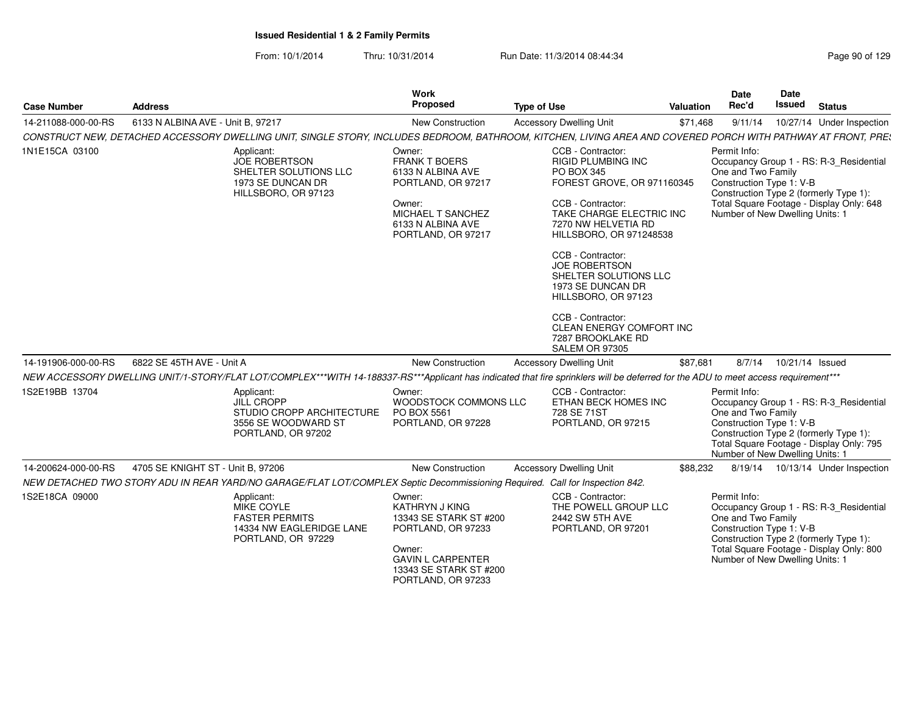| <b>Case Number</b>  | <b>Address</b>                                                                                                                                                                     | <b>Work</b><br>Proposed                                                                                                                                               | <b>Type of Use</b>                                                                                                                                                                                                                                                                                                                                                                                             | Valuation | <b>Date</b><br>Rec'd                                                                              | <b>Date</b><br>Issued | <b>Status</b>                                                                                                                 |
|---------------------|------------------------------------------------------------------------------------------------------------------------------------------------------------------------------------|-----------------------------------------------------------------------------------------------------------------------------------------------------------------------|----------------------------------------------------------------------------------------------------------------------------------------------------------------------------------------------------------------------------------------------------------------------------------------------------------------------------------------------------------------------------------------------------------------|-----------|---------------------------------------------------------------------------------------------------|-----------------------|-------------------------------------------------------------------------------------------------------------------------------|
| 14-211088-000-00-RS | 6133 N ALBINA AVE - Unit B, 97217                                                                                                                                                  | New Construction                                                                                                                                                      | <b>Accessory Dwelling Unit</b>                                                                                                                                                                                                                                                                                                                                                                                 | \$71,468  | 9/11/14                                                                                           |                       | 10/27/14 Under Inspection                                                                                                     |
|                     | CONSTRUCT NEW, DETACHED ACCESSORY DWELLING UNIT, SINGLE STORY, INCLUDES BEDROOM, BATHROOM, KITCHEN, LIVING AREA AND COVERED PORCH WITH PATHWAY AT FRONT, PRE:                      |                                                                                                                                                                       |                                                                                                                                                                                                                                                                                                                                                                                                                |           |                                                                                                   |                       |                                                                                                                               |
| 1N1E15CA 03100      | Applicant:<br><b>JOE ROBERTSON</b><br>SHELTER SOLUTIONS LLC<br>1973 SE DUNCAN DR<br>HILLSBORO, OR 97123                                                                            | Owner:<br><b>FRANK T BOERS</b><br>6133 N ALBINA AVE<br>PORTLAND, OR 97217<br>Owner:<br>MICHAEL T SANCHEZ<br>6133 N ALBINA AVE<br>PORTLAND, OR 97217                   | CCB - Contractor:<br><b>RIGID PLUMBING INC</b><br>PO BOX 345<br>FOREST GROVE, OR 971160345<br>CCB - Contractor:<br>TAKE CHARGE ELECTRIC INC<br>7270 NW HELVETIA RD<br>HILLSBORO, OR 971248538<br>CCB - Contractor:<br><b>JOE ROBERTSON</b><br>SHELTER SOLUTIONS LLC<br>1973 SE DUNCAN DR<br>HILLSBORO, OR 97123<br>CCB - Contractor:<br>CLEAN ENERGY COMFORT INC<br>7287 BROOKLAKE RD<br><b>SALEM OR 97305</b> |           | Permit Info:<br>One and Two Family<br>Construction Type 1: V-B<br>Number of New Dwelling Units: 1 |                       | Occupancy Group 1 - RS: R-3_Residential<br>Construction Type 2 (formerly Type 1):<br>Total Square Footage - Display Only: 648 |
| 14-191906-000-00-RS | 6822 SE 45TH AVE - Unit A                                                                                                                                                          | New Construction                                                                                                                                                      | <b>Accessory Dwelling Unit</b>                                                                                                                                                                                                                                                                                                                                                                                 | \$87,681  | 8/7/14                                                                                            | 10/21/14 Issued       |                                                                                                                               |
|                     | NEW ACCESSORY DWELLING UNIT/1-STORY/FLAT LOT/COMPLEX***WITH 14-188337-RS***Applicant has indicated that fire sprinklers will be deferred for the ADU to meet access requirement*** |                                                                                                                                                                       |                                                                                                                                                                                                                                                                                                                                                                                                                |           |                                                                                                   |                       |                                                                                                                               |
| 1S2E19BB 13704      | Applicant:<br><b>JILL CROPP</b><br>STUDIO CROPP ARCHITECTURE<br>3556 SE WOODWARD ST<br>PORTLAND, OR 97202                                                                          | Owner:<br>WOODSTOCK COMMONS LLC<br>PO BOX 5561<br>PORTLAND, OR 97228                                                                                                  | CCB - Contractor:<br>ETHAN BECK HOMES INC<br>728 SE 71ST<br>PORTLAND, OR 97215                                                                                                                                                                                                                                                                                                                                 |           | Permit Info:<br>One and Two Family<br>Construction Type 1: V-B<br>Number of New Dwelling Units: 1 |                       | Occupancy Group 1 - RS: R-3 Residential<br>Construction Type 2 (formerly Type 1):<br>Total Square Footage - Display Only: 795 |
| 14-200624-000-00-RS | 4705 SE KNIGHT ST - Unit B, 97206                                                                                                                                                  | New Construction                                                                                                                                                      | <b>Accessory Dwelling Unit</b>                                                                                                                                                                                                                                                                                                                                                                                 | \$88,232  |                                                                                                   |                       | 8/19/14  10/13/14  Under Inspection                                                                                           |
|                     | NEW DETACHED TWO STORY ADU IN REAR YARD/NO GARAGE/FLAT LOT/COMPLEX Septic Decommissioning Required. Call for Inspection 842.                                                       |                                                                                                                                                                       |                                                                                                                                                                                                                                                                                                                                                                                                                |           |                                                                                                   |                       |                                                                                                                               |
| 1S2E18CA 09000      | Applicant:<br>MIKE COYLE<br><b>FASTER PERMITS</b><br>14334 NW EAGLERIDGE LANE<br>PORTLAND, OR 97229                                                                                | Owner:<br><b>KATHRYN J KING</b><br>13343 SE STARK ST #200<br>PORTLAND, OR 97233<br>Owner:<br><b>GAVIN L CARPENTER</b><br>13343 SE STARK ST #200<br>PORTLAND, OR 97233 | CCB - Contractor:<br>THE POWELL GROUP LLC<br>2442 SW 5TH AVE<br>PORTLAND, OR 97201                                                                                                                                                                                                                                                                                                                             |           | Permit Info:<br>One and Two Family<br>Construction Type 1: V-B<br>Number of New Dwelling Units: 1 |                       | Occupancy Group 1 - RS: R-3_Residential<br>Construction Type 2 (formerly Type 1):<br>Total Square Footage - Display Only: 800 |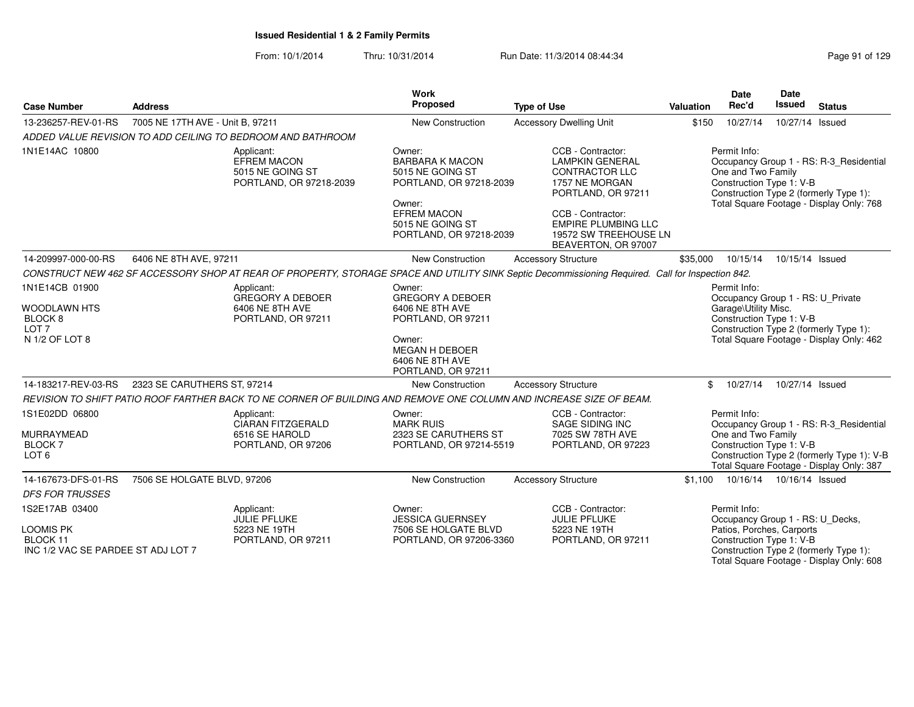From: 10/1/2014Thru: 10/31/2014 Run Date: 11/3/2014 08:44:34 Research 2010 129

|                                                                                                   |                                                                                                                                                   | Work<br>Proposed                                                                                                                                               |                                                                                                                                                                                                                 |           | <b>Date</b><br>Rec'd                                                  | <b>Date</b><br>Issued |                                                                                                                                   |
|---------------------------------------------------------------------------------------------------|---------------------------------------------------------------------------------------------------------------------------------------------------|----------------------------------------------------------------------------------------------------------------------------------------------------------------|-----------------------------------------------------------------------------------------------------------------------------------------------------------------------------------------------------------------|-----------|-----------------------------------------------------------------------|-----------------------|-----------------------------------------------------------------------------------------------------------------------------------|
| <b>Case Number</b>                                                                                | <b>Address</b>                                                                                                                                    |                                                                                                                                                                | <b>Type of Use</b>                                                                                                                                                                                              | Valuation |                                                                       |                       | <b>Status</b>                                                                                                                     |
| 13-236257-REV-01-RS                                                                               | 7005 NE 17TH AVE - Unit B, 97211                                                                                                                  | New Construction                                                                                                                                               | <b>Accessory Dwelling Unit</b>                                                                                                                                                                                  | \$150     | 10/27/14                                                              | 10/27/14 Issued       |                                                                                                                                   |
|                                                                                                   | ADDED VALUE REVISION TO ADD CEILING TO BEDROOM AND BATHROOM                                                                                       |                                                                                                                                                                |                                                                                                                                                                                                                 |           |                                                                       |                       |                                                                                                                                   |
| 1N1E14AC 10800                                                                                    | Applicant:<br><b>EFREM MACON</b><br>5015 NE GOING ST<br>PORTLAND, OR 97218-2039                                                                   | Owner:<br><b>BARBARA K MACON</b><br>5015 NE GOING ST<br>PORTLAND, OR 97218-2039<br>Owner:<br><b>EFREM MACON</b><br>5015 NE GOING ST<br>PORTLAND, OR 97218-2039 | CCB - Contractor:<br><b>LAMPKIN GENERAL</b><br><b>CONTRACTOR LLC</b><br>1757 NE MORGAN<br>PORTLAND, OR 97211<br>CCB - Contractor:<br><b>EMPIRE PLUMBING LLC</b><br>19572 SW TREEHOUSE LN<br>BEAVERTON, OR 97007 |           | Permit Info:<br>One and Two Family<br>Construction Type 1: V-B        |                       | Occupancy Group 1 - RS: R-3_Residential<br>Construction Type 2 (formerly Type 1):<br>Total Square Footage - Display Only: 768     |
| 14-209997-000-00-RS                                                                               | 6406 NE 8TH AVE, 97211                                                                                                                            | New Construction                                                                                                                                               | <b>Accessory Structure</b>                                                                                                                                                                                      | \$35,000  | 10/15/14                                                              | 10/15/14 Issued       |                                                                                                                                   |
|                                                                                                   | CONSTRUCT NEW 462 SF ACCESSORY SHOP AT REAR OF PROPERTY, STORAGE SPACE AND UTILITY SINK Septic Decommissioning Required. Call for Inspection 842. |                                                                                                                                                                |                                                                                                                                                                                                                 |           |                                                                       |                       |                                                                                                                                   |
| 1N1E14CB 01900<br><b>WOODLAWN HTS</b><br>BLOCK <sub>8</sub><br>LOT <sub>7</sub><br>N 1/2 OF LOT 8 | Applicant:<br><b>GREGORY A DEBOER</b><br>6406 NE 8TH AVE<br>PORTLAND, OR 97211                                                                    | Owner:<br><b>GREGORY A DEBOER</b><br>6406 NE 8TH AVE<br>PORTLAND, OR 97211<br>Owner:<br><b>MEGAN H DEBOER</b><br>6406 NE 8TH AVE<br>PORTLAND, OR 97211         |                                                                                                                                                                                                                 |           | Permit Info:<br>Garage\Utility Misc.<br>Construction Type 1: V-B      |                       | Occupancy Group 1 - RS: U_Private<br>Construction Type 2 (formerly Type 1):<br>Total Square Footage - Display Only: 462           |
| 14-183217-REV-03-RS                                                                               | 2323 SE CARUTHERS ST, 97214                                                                                                                       | <b>New Construction</b>                                                                                                                                        | <b>Accessory Structure</b>                                                                                                                                                                                      | \$        | 10/27/14                                                              | 10/27/14 Issued       |                                                                                                                                   |
|                                                                                                   | REVISION TO SHIFT PATIO ROOF FARTHER BACK TO NE CORNER OF BUILDING AND REMOVE ONE COLUMN AND INCREASE SIZE OF BEAM.                               |                                                                                                                                                                |                                                                                                                                                                                                                 |           |                                                                       |                       |                                                                                                                                   |
| 1S1E02DD 06800<br>MURRAYMEAD<br><b>BLOCK7</b><br>LOT <sub>6</sub>                                 | Applicant:<br><b>CIARAN FITZGERALD</b><br>6516 SE HAROLD<br>PORTLAND, OR 97206                                                                    | Owner:<br><b>MARK RUIS</b><br>2323 SE CARUTHERS ST<br>PORTLAND, OR 97214-5519                                                                                  | CCB - Contractor:<br>SAGE SIDING INC<br>7025 SW 78TH AVE<br>PORTLAND, OR 97223                                                                                                                                  |           | Permit Info:<br>One and Two Family<br>Construction Type 1: V-B        |                       | Occupancy Group 1 - RS: R-3_Residential<br>Construction Type 2 (formerly Type 1): V-B<br>Total Square Footage - Display Only: 387 |
| 14-167673-DFS-01-RS                                                                               | 7506 SE HOLGATE BLVD, 97206                                                                                                                       | New Construction                                                                                                                                               | <b>Accessory Structure</b>                                                                                                                                                                                      | \$1.100   | 10/16/14  10/16/14  Issued                                            |                       |                                                                                                                                   |
| <b>DFS FOR TRUSSES</b>                                                                            |                                                                                                                                                   |                                                                                                                                                                |                                                                                                                                                                                                                 |           |                                                                       |                       |                                                                                                                                   |
| 1S2E17AB 03400<br><b>LOOMIS PK</b><br>BLOCK 11<br>INC 1/2 VAC SE PARDEE ST ADJ LOT 7              | Applicant:<br><b>JULIE PFLUKE</b><br>5223 NE 19TH<br>PORTLAND, OR 97211                                                                           | Owner:<br><b>JESSICA GUERNSEY</b><br>7506 SE HOLGATE BLVD<br>PORTLAND, OR 97206-3360                                                                           | CCB - Contractor:<br><b>JULIE PFLUKE</b><br>5223 NE 19TH<br>PORTLAND, OR 97211                                                                                                                                  |           | Permit Info:<br>Patios, Porches, Carports<br>Construction Type 1: V-B |                       | Occupancy Group 1 - RS: U_Decks,<br>Construction Type 2 (formerly Type 1):<br>Total Square Footage - Display Only: 608            |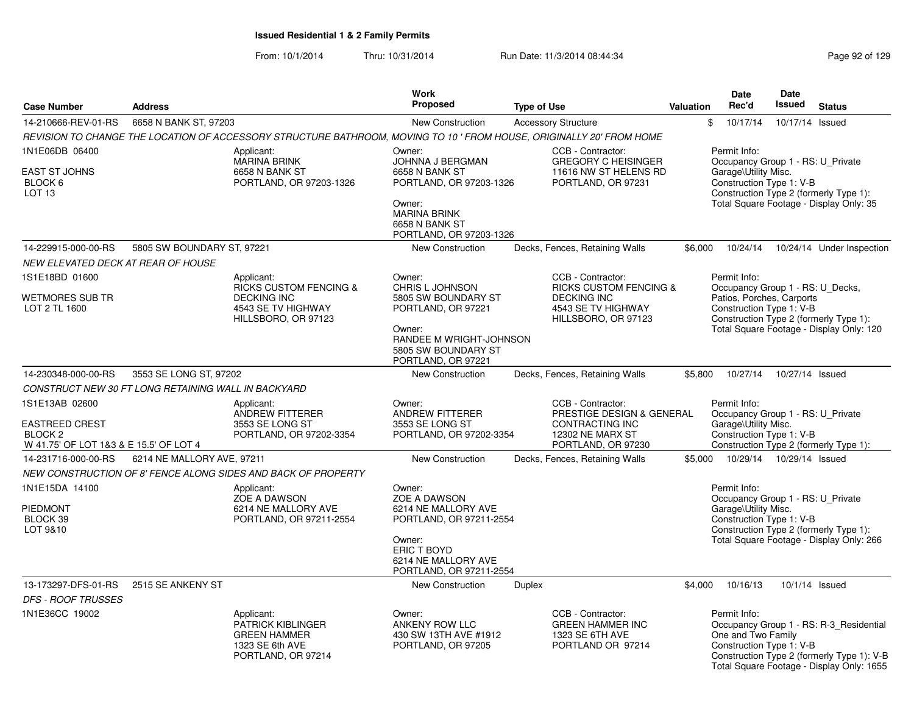|                                                                                                         |                                                     |                                                                                                                     | <b>Work</b>                                                                                                                                              |                                                                                                                           |                  | <b>Date</b>                                                                                               | Date                       |                                                                                                                                    |
|---------------------------------------------------------------------------------------------------------|-----------------------------------------------------|---------------------------------------------------------------------------------------------------------------------|----------------------------------------------------------------------------------------------------------------------------------------------------------|---------------------------------------------------------------------------------------------------------------------------|------------------|-----------------------------------------------------------------------------------------------------------|----------------------------|------------------------------------------------------------------------------------------------------------------------------------|
| <b>Case Number</b>                                                                                      | <b>Address</b>                                      |                                                                                                                     | <b>Proposed</b>                                                                                                                                          | <b>Type of Use</b>                                                                                                        | <b>Valuation</b> | Rec'd                                                                                                     | <b>Issued</b>              | <b>Status</b>                                                                                                                      |
| 14-210666-REV-01-RS                                                                                     | 6658 N BANK ST, 97203                               |                                                                                                                     | New Construction                                                                                                                                         | <b>Accessory Structure</b>                                                                                                |                  | \$<br>10/17/14                                                                                            | 10/17/14 Issued            |                                                                                                                                    |
|                                                                                                         |                                                     | REVISION TO CHANGE THE LOCATION OF ACCESSORY STRUCTURE BATHROOM, MOVING TO 10' FROM HOUSE, ORIGINALLY 20' FROM HOME |                                                                                                                                                          |                                                                                                                           |                  |                                                                                                           |                            |                                                                                                                                    |
| 1N1E06DB 06400<br><b>EAST ST JOHNS</b><br>BLOCK 6<br>LOT <sub>13</sub>                                  |                                                     | Applicant:<br><b>MARINA BRINK</b><br>6658 N BANK ST<br>PORTLAND, OR 97203-1326                                      | Owner:<br>JOHNNA J BERGMAN<br>6658 N BANK ST<br>PORTLAND, OR 97203-1326<br>Owner:<br><b>MARINA BRINK</b><br>6658 N BANK ST<br>PORTLAND, OR 97203-1326    | CCB - Contractor:<br><b>GREGORY C HEISINGER</b><br>11616 NW ST HELENS RD<br>PORTLAND, OR 97231                            |                  | Permit Info:<br>Occupancy Group 1 - RS: U Private<br>Garage\Utility Misc.<br>Construction Type 1: V-B     |                            | Construction Type 2 (formerly Type 1):<br>Total Square Footage - Display Only: 35                                                  |
| 14-229915-000-00-RS                                                                                     | 5805 SW BOUNDARY ST, 97221                          |                                                                                                                     | New Construction                                                                                                                                         | Decks, Fences, Retaining Walls                                                                                            | \$6.000          | 10/24/14                                                                                                  |                            | 10/24/14 Under Inspection                                                                                                          |
| NEW ELEVATED DECK AT REAR OF HOUSE                                                                      |                                                     |                                                                                                                     |                                                                                                                                                          |                                                                                                                           |                  |                                                                                                           |                            |                                                                                                                                    |
| 1S1E18BD 01600<br>WETMORES SUB TR<br>LOT 2 TL 1600                                                      |                                                     | Applicant:<br><b>RICKS CUSTOM FENCING &amp;</b><br><b>DECKING INC</b><br>4543 SE TV HIGHWAY<br>HILLSBORO, OR 97123  | Owner:<br>CHRIS L JOHNSON<br>5805 SW BOUNDARY ST<br>PORTLAND, OR 97221<br>Owner:<br>RANDEE M WRIGHT-JOHNSON<br>5805 SW BOUNDARY ST<br>PORTLAND, OR 97221 | CCB - Contractor:<br><b>RICKS CUSTOM FENCING &amp;</b><br><b>DECKING INC</b><br>4543 SE TV HIGHWAY<br>HILLSBORO, OR 97123 |                  | Permit Info:<br>Occupancy Group 1 - RS: U_Decks,<br>Patios, Porches, Carports<br>Construction Type 1: V-B |                            | Construction Type 2 (formerly Type 1):<br>Total Square Footage - Display Only: 120                                                 |
| 14-230348-000-00-RS                                                                                     | 3553 SE LONG ST, 97202                              |                                                                                                                     | New Construction                                                                                                                                         | Decks, Fences, Retaining Walls                                                                                            | \$5,800          | 10/27/14                                                                                                  | 10/27/14 Issued            |                                                                                                                                    |
|                                                                                                         | CONSTRUCT NEW 30 FT LONG RETAINING WALL IN BACKYARD |                                                                                                                     |                                                                                                                                                          |                                                                                                                           |                  |                                                                                                           |                            |                                                                                                                                    |
| 1S1E13AB 02600<br><b>EASTREED CREST</b><br>BLOCK <sub>2</sub><br>W 41.75' OF LOT 1&3 & E 15.5' OF LOT 4 |                                                     | Applicant:<br>ANDREW FITTERER<br>3553 SE LONG ST<br>PORTLAND, OR 97202-3354                                         | Owner:<br><b>ANDREW FITTERER</b><br>3553 SE LONG ST<br>PORTLAND, OR 97202-3354                                                                           | CCB - Contractor:<br>PRESTIGE DESIGN & GENERAL<br>CONTRACTING INC<br>12302 NE MARX ST<br>PORTLAND, OR 97230               |                  | Permit Info:<br>Occupancy Group 1 - RS: U Private<br>Garage\Utility Misc.<br>Construction Type 1: V-B     |                            | Construction Type 2 (formerly Type 1):                                                                                             |
| 14-231716-000-00-RS                                                                                     | 6214 NE MALLORY AVE, 97211                          |                                                                                                                     | <b>New Construction</b>                                                                                                                                  | Decks, Fences, Retaining Walls                                                                                            | \$5.000          |                                                                                                           | 10/29/14  10/29/14  Issued |                                                                                                                                    |
|                                                                                                         |                                                     | NEW CONSTRUCTION OF 8' FENCE ALONG SIDES AND BACK OF PROPERTY                                                       |                                                                                                                                                          |                                                                                                                           |                  |                                                                                                           |                            |                                                                                                                                    |
| 1N1E15DA 14100<br><b>PIEDMONT</b><br>BLOCK 39<br>LOT 9&10                                               |                                                     | Applicant:<br>ZOE A DAWSON<br>6214 NE MALLORY AVE<br>PORTLAND, OR 97211-2554                                        | Owner:<br>ZOE A DAWSON<br>6214 NE MALLORY AVE<br>PORTLAND, OR 97211-2554<br>Owner:<br>ERIC T BOYD<br>6214 NE MALLORY AVE<br>PORTLAND, OR 97211-2554      |                                                                                                                           |                  | Permit Info:<br>Occupancy Group 1 - RS: U Private<br>Garage\Utility Misc.<br>Construction Type 1: V-B     |                            | Construction Type 2 (formerly Type 1):<br>Total Square Footage - Display Only: 266                                                 |
| 13-173297-DFS-01-RS                                                                                     | 2515 SE ANKENY ST                                   |                                                                                                                     | New Construction                                                                                                                                         | Duplex                                                                                                                    | \$4.000          | 10/16/13                                                                                                  |                            | 10/1/14 Issued                                                                                                                     |
| <b>DFS - ROOF TRUSSES</b>                                                                               |                                                     |                                                                                                                     |                                                                                                                                                          |                                                                                                                           |                  |                                                                                                           |                            |                                                                                                                                    |
| 1N1E36CC 19002                                                                                          |                                                     | Applicant:<br><b>PATRICK KIBLINGER</b><br><b>GREEN HAMMER</b><br>1323 SE 6th AVE<br>PORTLAND, OR 97214              | Owner:<br><b>ANKENY ROW LLC</b><br>430 SW 13TH AVE #1912<br>PORTLAND, OR 97205                                                                           | CCB - Contractor:<br><b>GREEN HAMMER INC</b><br>1323 SE 6TH AVE<br>PORTLAND OR 97214                                      |                  | Permit Info:<br>One and Two Family<br>Construction Type 1: V-B                                            |                            | Occupancy Group 1 - RS: R-3_Residential<br>Construction Type 2 (formerly Type 1): V-B<br>Total Square Footage - Display Only: 1655 |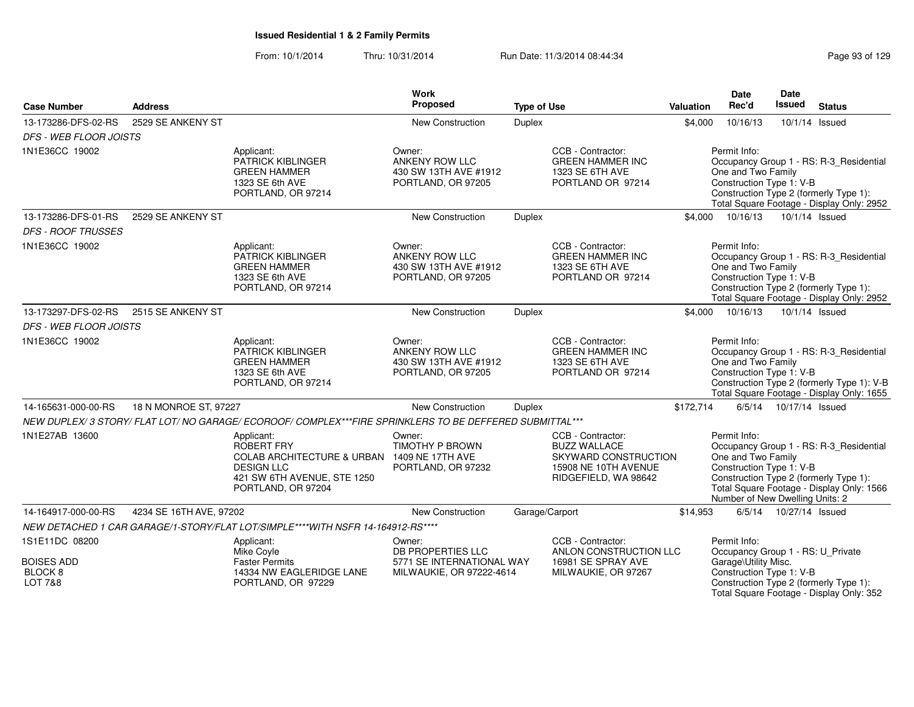From: 10/1/2014Thru: 10/31/2014 Run Date: 11/3/2014 08:44:34 Research 2010 Rage 93 of 129

| <b>Case Number</b>            | <b>Address</b>          |                                                                                                                                                   | Work<br>Proposed                                                               | <b>Type of Use</b> |                                                                                                                  | Valuation | Date<br>Rec'd                                                                                     | Date<br><b>Issued</b>    | <b>Status</b>                                                                                                                      |
|-------------------------------|-------------------------|---------------------------------------------------------------------------------------------------------------------------------------------------|--------------------------------------------------------------------------------|--------------------|------------------------------------------------------------------------------------------------------------------|-----------|---------------------------------------------------------------------------------------------------|--------------------------|------------------------------------------------------------------------------------------------------------------------------------|
| 13-173286-DFS-02-RS           | 2529 SE ANKENY ST       |                                                                                                                                                   | New Construction                                                               | <b>Duplex</b>      |                                                                                                                  | \$4,000   | 10/16/13                                                                                          | 10/1/14 Issued           |                                                                                                                                    |
| <b>DFS - WEB FLOOR JOISTS</b> |                         |                                                                                                                                                   |                                                                                |                    |                                                                                                                  |           |                                                                                                   |                          |                                                                                                                                    |
| 1N1E36CC 19002                |                         | Applicant:<br>PATRICK KIBLINGER<br><b>GREEN HAMMER</b><br>1323 SE 6th AVE<br>PORTLAND, OR 97214                                                   | Owner:<br>ANKENY ROW LLC<br>430 SW 13TH AVE #1912<br>PORTLAND, OR 97205        |                    | CCB - Contractor:<br><b>GREEN HAMMER INC</b><br>1323 SE 6TH AVE<br>PORTLAND OR 97214                             |           | Permit Info:<br>One and Two Family<br>Construction Type 1: V-B                                    |                          | Occupancy Group 1 - RS: R-3_Residential<br>Construction Type 2 (formerly Type 1):<br>Total Square Footage - Display Only: 2952     |
| 13-173286-DFS-01-RS           | 2529 SE ANKENY ST       |                                                                                                                                                   | New Construction                                                               | Duplex             |                                                                                                                  | \$4,000   | 10/16/13                                                                                          | 10/1/14 Issued           |                                                                                                                                    |
| <b>DFS - ROOF TRUSSES</b>     |                         |                                                                                                                                                   |                                                                                |                    |                                                                                                                  |           |                                                                                                   |                          |                                                                                                                                    |
| 1N1E36CC 19002                |                         | Applicant:<br>PATRICK KIBLINGER<br><b>GREEN HAMMER</b><br>1323 SE 6th AVE<br>PORTLAND, OR 97214                                                   | Owner:<br><b>ANKENY ROW LLC</b><br>430 SW 13TH AVE #1912<br>PORTLAND, OR 97205 |                    | CCB - Contractor:<br><b>GREEN HAMMER INC</b><br>1323 SE 6TH AVE<br>PORTLAND OR 97214                             |           | Permit Info:<br>One and Two Family<br>Construction Type 1: V-B                                    |                          | Occupancy Group 1 - RS: R-3 Residential<br>Construction Type 2 (formerly Type 1):<br>Total Square Footage - Display Only: 2952     |
| 13-173297-DFS-02-RS           | 2515 SE ANKENY ST       |                                                                                                                                                   | <b>New Construction</b>                                                        | Duplex             |                                                                                                                  | \$4,000   | 10/16/13                                                                                          | 10/1/14 Issued           |                                                                                                                                    |
| <b>DFS - WEB FLOOR JOISTS</b> |                         |                                                                                                                                                   |                                                                                |                    |                                                                                                                  |           |                                                                                                   |                          |                                                                                                                                    |
| 1N1E36CC 19002                |                         | Applicant:<br>PATRICK KIBLINGER<br><b>GREEN HAMMER</b><br>1323 SE 6th AVE<br>PORTLAND, OR 97214                                                   | Owner:<br>ANKENY ROW LLC<br>430 SW 13TH AVE #1912<br>PORTLAND, OR 97205        |                    | CCB - Contractor:<br><b>GREEN HAMMER INC</b><br>1323 SE 6TH AVE<br>PORTLAND OR 97214                             |           | Permit Info:<br>One and Two Family<br>Construction Type 1: V-B                                    |                          | Occupancy Group 1 - RS: R-3_Residential<br>Construction Type 2 (formerly Type 1): V-B<br>Total Square Footage - Display Only: 1655 |
| 14-165631-000-00-RS           | 18 N MONROE ST, 97227   |                                                                                                                                                   | New Construction                                                               | <b>Duplex</b>      |                                                                                                                  | \$172,714 |                                                                                                   | 6/5/14  10/17/14  Issued |                                                                                                                                    |
|                               |                         | NEW DUPLEX/3 STORY/ FLAT LOT/NO GARAGE/ECOROOF/ COMPLEX***FIRE SPRINKLERS TO BE DEFFERED SUBMITTAL***                                             |                                                                                |                    |                                                                                                                  |           |                                                                                                   |                          |                                                                                                                                    |
| 1N1E27AB 13600                |                         | Applicant:<br>ROBERT FRY<br>COLAB ARCHITECTURE & URBAN 1409 NE 17TH AVE<br><b>DESIGN LLC</b><br>421 SW 6TH AVENUE, STE 1250<br>PORTLAND, OR 97204 | Owner:<br><b>TIMOTHY P BROWN</b><br>PORTLAND, OR 97232                         |                    | CCB - Contractor:<br><b>BUZZ WALLACE</b><br>SKYWARD CONSTRUCTION<br>15908 NE 10TH AVENUE<br>RIDGEFIELD, WA 98642 |           | Permit Info:<br>One and Two Family<br>Construction Type 1: V-B<br>Number of New Dwelling Units: 2 |                          | Occupancy Group 1 - RS: R-3_Residential<br>Construction Type 2 (formerly Type 1):<br>Total Square Footage - Display Only: 1566     |
| 14-164917-000-00-RS           | 4234 SE 16TH AVE, 97202 |                                                                                                                                                   | <b>New Construction</b>                                                        | Garage/Carport     |                                                                                                                  | \$14,953  |                                                                                                   | 6/5/14  10/27/14  Issued |                                                                                                                                    |
|                               |                         | NEW DETACHED 1 CAR GARAGE/1-STORY/FLAT LOT/SIMPLE****WITH NSFR 14-164912-RS****                                                                   |                                                                                |                    |                                                                                                                  |           |                                                                                                   |                          |                                                                                                                                    |
| 1S1E11DC 08200                |                         | Applicant:<br>Mike Coyle                                                                                                                          | Owner:<br>DB PROPERTIES LLC                                                    |                    | CCB - Contractor:<br>ANLON CONSTRUCTION LLC                                                                      |           | Permit Info:<br>Occupancy Group 1 - RS: U_Private                                                 |                          |                                                                                                                                    |
| <b>BOISES ADD</b><br>BLOCK 8  |                         | <b>Faster Permits</b><br>14334 NW EAGLERIDGE LANE                                                                                                 | 5771 SE INTERNATIONAL WAY                                                      |                    | 16981 SE SPRAY AVE                                                                                               |           | Garage\Utility Misc.<br>Construction Type 1: V-B                                                  |                          |                                                                                                                                    |
| LOT 7&8                       |                         | PORTLAND, OR 97229                                                                                                                                | MILWAUKIE, OR 97222-4614                                                       |                    | MILWAUKIE, OR 97267                                                                                              |           |                                                                                                   |                          | Construction Type 2 (formerly Type 1):<br>Total Square Footage - Display Only: 352                                                 |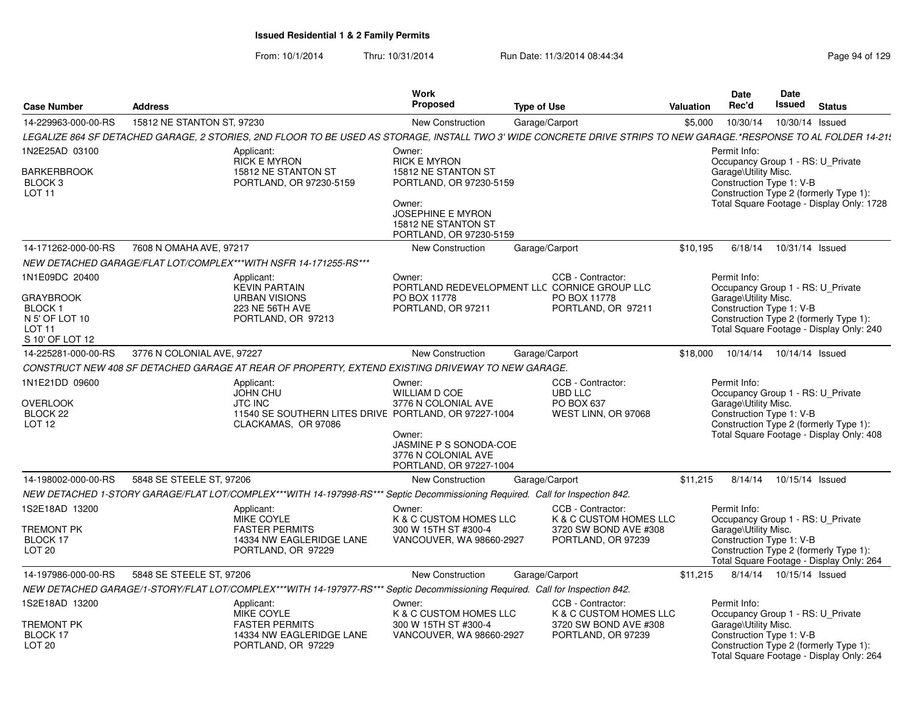| <b>Case Number</b>                                                                                      | <b>Address</b>                                                                                                                                                     |                                                                           | Work<br><b>Proposed</b>                                                                                                                      | <b>Type of Use</b>                                                       |                                                 | Valuation | <b>Date</b><br>Rec'd                                                                                  | <b>Date</b><br><b>Issued</b> | <b>Status</b>                                                                       |
|---------------------------------------------------------------------------------------------------------|--------------------------------------------------------------------------------------------------------------------------------------------------------------------|---------------------------------------------------------------------------|----------------------------------------------------------------------------------------------------------------------------------------------|--------------------------------------------------------------------------|-------------------------------------------------|-----------|-------------------------------------------------------------------------------------------------------|------------------------------|-------------------------------------------------------------------------------------|
| 14-229963-000-00-RS                                                                                     | 15812 NE STANTON ST, 97230                                                                                                                                         |                                                                           | New Construction                                                                                                                             | Garage/Carport                                                           |                                                 | \$5,000   | 10/30/14                                                                                              | 10/30/14 Issued              |                                                                                     |
|                                                                                                         | LEGALIZE 864 SF DETACHED GARAGE, 2 STORIES, 2ND FLOOR TO BE USED AS STORAGE, INSTALL TWO 3' WIDE CONCRETE DRIVE STRIPS TO NEW GARAGE.*RESPONSE TO AL FOLDER 14-21\ |                                                                           |                                                                                                                                              |                                                                          |                                                 |           |                                                                                                       |                              |                                                                                     |
| 1N2E25AD 03100<br><b>BARKERBROOK</b><br>BLOCK <sub>3</sub><br>LOT <sub>11</sub>                         | Applicant:<br><b>RICK E MYRON</b><br>15812 NE STANTON ST                                                                                                           | Owner:<br>PORTLAND, OR 97230-5159<br>Owner:                               | <b>RICK E MYRON</b><br>15812 NE STANTON ST<br>PORTLAND, OR 97230-5159<br>JOSEPHINE E MYRON<br>15812 NE STANTON ST<br>PORTLAND, OR 97230-5159 |                                                                          |                                                 |           | Permit Info:<br>Occupancy Group 1 - RS: U_Private<br>Garage\Utility Misc.<br>Construction Type 1: V-B |                              | Construction Type 2 (formerly Type 1):<br>Total Square Footage - Display Only: 1728 |
| 14-171262-000-00-RS                                                                                     | 7608 N OMAHA AVE, 97217                                                                                                                                            |                                                                           | New Construction                                                                                                                             | Garage/Carport                                                           |                                                 | \$10,195  | 6/18/14                                                                                               | 10/31/14 Issued              |                                                                                     |
|                                                                                                         | NEW DETACHED GARAGE/FLAT LOT/COMPLEX***WITH NSFR 14-171255-RS***                                                                                                   |                                                                           |                                                                                                                                              |                                                                          |                                                 |           |                                                                                                       |                              |                                                                                     |
| 1N1E09DC 20400<br><b>GRAYBROOK</b><br>BLOCK 1<br>N 5' OF LOT 10<br>LOT <sub>11</sub><br>S 10' OF LOT 12 | Applicant:<br><b>KEVIN PARTAIN</b><br><b>URBAN VISIONS</b><br>223 NE 56TH AVE<br>PORTLAND, OR 97213                                                                | Owner:                                                                    | PORTLAND REDEVELOPMENT LLC CORNICE GROUP LLC<br>PO BOX 11778<br>PORTLAND, OR 97211                                                           | CCB - Contractor:<br>PO BOX 11778<br>PORTLAND, OR 97211                  |                                                 |           | Permit Info:<br>Occupancy Group 1 - RS: U_Private<br>Garage\Utility Misc.<br>Construction Type 1: V-B |                              | Construction Type 2 (formerly Type 1):<br>Total Square Footage - Display Only: 240  |
| 14-225281-000-00-RS                                                                                     | 3776 N COLONIAL AVE, 97227                                                                                                                                         |                                                                           | New Construction                                                                                                                             | Garage/Carport                                                           |                                                 | \$18,000  | 10/14/14                                                                                              | 10/14/14 Issued              |                                                                                     |
|                                                                                                         | CONSTRUCT NEW 408 SF DETACHED GARAGE AT REAR OF PROPERTY, EXTEND EXISTING DRIVEWAY TO NEW GARAGE.                                                                  |                                                                           |                                                                                                                                              |                                                                          |                                                 |           |                                                                                                       |                              |                                                                                     |
| 1N1E21DD 09600<br><b>OVERLOOK</b><br>BLOCK 22<br>LOT <sub>12</sub>                                      | Applicant:<br><b>JOHN CHU</b><br><b>JTC INC</b><br>CLACKAMAS, OR 97086                                                                                             | Owner:<br>11540 SE SOUTHERN LITES DRIVE PORTLAND, OR 97227-1004<br>Owner: | <b>WILLIAM D COE</b><br>3776 N COLONIAL AVE<br>JASMINE P S SONODA-COE<br>3776 N COLONIAL AVE<br>PORTLAND, OR 97227-1004                      | CCB - Contractor:<br><b>UBD LLC</b><br>PO BOX 637<br>WEST LINN, OR 97068 |                                                 |           | Permit Info:<br>Occupancy Group 1 - RS: U Private<br>Garage\Utility Misc.<br>Construction Type 1: V-B |                              | Construction Type 2 (formerly Type 1):<br>Total Square Footage - Display Only: 408  |
| 14-198002-000-00-RS                                                                                     | 5848 SE STEELE ST, 97206                                                                                                                                           |                                                                           | New Construction                                                                                                                             | Garage/Carport                                                           |                                                 | \$11,215  | 8/14/14                                                                                               | 10/15/14 Issued              |                                                                                     |
|                                                                                                         | NEW DETACHED 1-STORY GARAGE/FLAT LOT/COMPLEX***WITH 14-197998-RS*** Septic Decommissioning Required. Call for Inspection 842.                                      |                                                                           |                                                                                                                                              |                                                                          |                                                 |           |                                                                                                       |                              |                                                                                     |
| 1S2E18AD 13200<br><b>TREMONT PK</b><br>BLOCK 17<br>LOT <sub>20</sub>                                    | Applicant:<br><b>MIKE COYLE</b><br><b>FASTER PERMITS</b><br>PORTLAND, OR 97229                                                                                     | Owner:<br>14334 NW EAGLERIDGE LANE                                        | K & C CUSTOM HOMES LLC<br>300 W 15TH ST #300-4<br>VANCOUVER, WA 98660-2927                                                                   | CCB - Contractor:<br>PORTLAND, OR 97239                                  | K & C CUSTOM HOMES LLC<br>3720 SW BOND AVE #308 |           | Permit Info:<br>Occupancy Group 1 - RS: U_Private<br>Garage\Utility Misc.<br>Construction Type 1: V-B |                              | Construction Type 2 (formerly Type 1):<br>Total Square Footage - Display Only: 264  |
| 14-197986-000-00-RS                                                                                     | 5848 SE STEELE ST, 97206                                                                                                                                           |                                                                           | <b>New Construction</b>                                                                                                                      | Garage/Carport                                                           |                                                 | \$11,215  |                                                                                                       | 8/14/14  10/15/14  Issued    |                                                                                     |
|                                                                                                         | NEW DETACHED GARAGE/1-STORY/FLAT LOT/COMPLEX***WITH 14-197977-RS*** Septic Decommissioning Required. Call for Inspection 842.                                      |                                                                           |                                                                                                                                              |                                                                          |                                                 |           |                                                                                                       |                              |                                                                                     |
| 1S2E18AD 13200<br><b>TREMONT PK</b><br>BLOCK 17<br>LOT <sub>20</sub>                                    | Applicant:<br>MIKE COYLE<br><b>FASTER PERMITS</b><br>PORTLAND, OR 97229                                                                                            | Owner:<br>14334 NW EAGLERIDGE LANE                                        | K & C CUSTOM HOMES LLC<br>300 W 15TH ST #300-4<br>VANCOUVER, WA 98660-2927                                                                   | CCB - Contractor:<br>PORTLAND, OR 97239                                  | K & C CUSTOM HOMES LLC<br>3720 SW BOND AVE #308 |           | Permit Info:<br>Occupancy Group 1 - RS: U Private<br>Garage\Utility Misc.<br>Construction Type 1: V-B |                              | Construction Type 2 (formerly Type 1):<br>Total Square Footage - Display Only: 264  |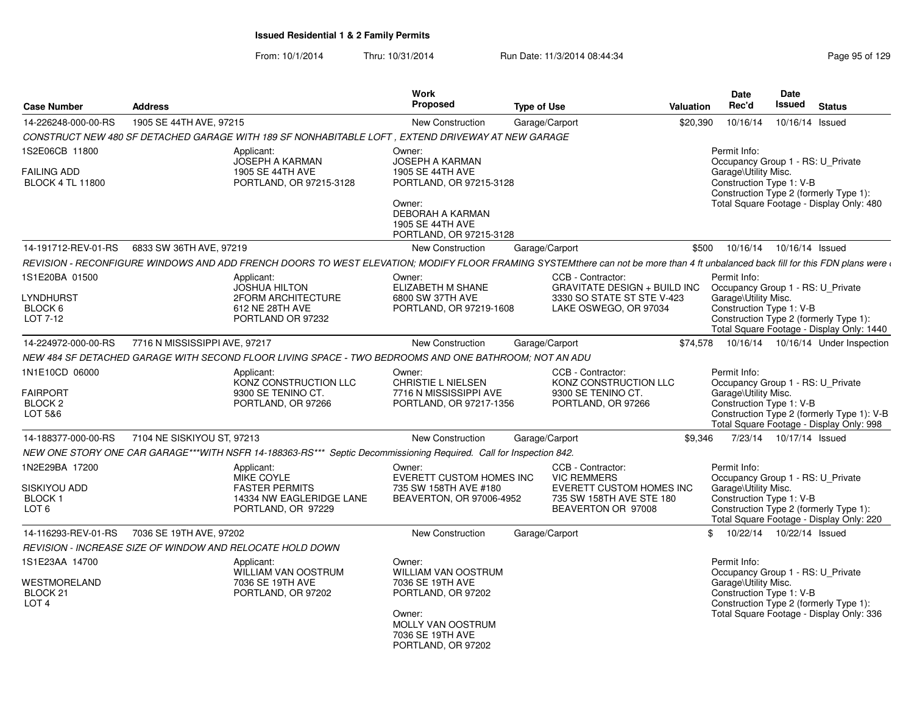From: 10/1/2014Thru: 10/31/2014 Run Date: 11/3/2014 08:44:34 Research 2010 Rage 95 of 129

| <b>Case Number</b>                                                 | <b>Address</b>                                                                                                                                                                                                                | Work<br><b>Proposed</b>                                                                                                                                             | <b>Type of Use</b>                                                                                                    | Valuation | Date<br>Rec'd                                                                                         | Date<br><b>Issued</b>     | <b>Status</b>                                                                          |
|--------------------------------------------------------------------|-------------------------------------------------------------------------------------------------------------------------------------------------------------------------------------------------------------------------------|---------------------------------------------------------------------------------------------------------------------------------------------------------------------|-----------------------------------------------------------------------------------------------------------------------|-----------|-------------------------------------------------------------------------------------------------------|---------------------------|----------------------------------------------------------------------------------------|
| 14-226248-000-00-RS                                                | 1905 SE 44TH AVE, 97215                                                                                                                                                                                                       | <b>New Construction</b>                                                                                                                                             | Garage/Carport                                                                                                        | \$20,390  | 10/16/14                                                                                              | 10/16/14                  | Issued                                                                                 |
|                                                                    | CONSTRUCT NEW 480 SF DETACHED GARAGE WITH 189 SF NONHABITABLE LOFT, EXTEND DRIVEWAY AT NEW GARAGE                                                                                                                             |                                                                                                                                                                     |                                                                                                                       |           |                                                                                                       |                           |                                                                                        |
| 1S2E06CB 11800<br><b>FAILING ADD</b><br><b>BLOCK 4 TL 11800</b>    | Applicant:<br><b>JOSEPH A KARMAN</b><br>1905 SE 44TH AVE<br>PORTLAND, OR 97215-3128                                                                                                                                           | Owner:<br><b>JOSEPH A KARMAN</b><br>1905 SE 44TH AVE<br>PORTLAND, OR 97215-3128<br>Owner:<br>DEBORAH A KARMAN<br><b>1905 SE 44TH AVE</b><br>PORTLAND, OR 97215-3128 |                                                                                                                       |           | Permit Info:<br>Occupancy Group 1 - RS: U_Private<br>Garage\Utility Misc.<br>Construction Type 1: V-B |                           | Construction Type 2 (formerly Type 1):<br>Total Square Footage - Display Only: 480     |
| 14-191712-REV-01-RS                                                | 6833 SW 36TH AVE, 97219                                                                                                                                                                                                       | <b>New Construction</b>                                                                                                                                             | Garage/Carport                                                                                                        | \$500     | 10/16/14                                                                                              | 10/16/14 Issued           |                                                                                        |
|                                                                    | REVISION - RECONFIGURE WINDOWS AND ADD FRENCH DOORS TO WEST ELEVATION; MODIFY FLOOR FRAMING SYSTEMthere can not be more than 4 ft unbalanced back fill for this FDN plans were and the State of the State of the State of the |                                                                                                                                                                     |                                                                                                                       |           |                                                                                                       |                           |                                                                                        |
| 1S1E20BA 01500<br>LYNDHURST<br>BLOCK 6<br>LOT 7-12                 | Applicant:<br><b>JOSHUA HILTON</b><br>2FORM ARCHITECTURE<br>612 NE 28TH AVE<br>PORTLAND OR 97232                                                                                                                              | Owner:<br>ELIZABETH M SHANE<br>6800 SW 37TH AVE<br>PORTLAND, OR 97219-1608                                                                                          | CCB - Contractor:<br><b>GRAVITATE DESIGN + BUILD INC</b><br>3330 SO STATE ST STE V-423<br>LAKE OSWEGO, OR 97034       |           | Permit Info:<br>Occupancy Group 1 - RS: U_Private<br>Garage\Utility Misc.<br>Construction Type 1: V-B |                           | Construction Type 2 (formerly Type 1):<br>Total Square Footage - Display Only: 1440    |
| 14-224972-000-00-RS                                                | 7716 N MISSISSIPPI AVE, 97217                                                                                                                                                                                                 | New Construction                                                                                                                                                    | Garage/Carport                                                                                                        | \$74,578  |                                                                                                       |                           | 10/16/14  10/16/14  Under Inspection                                                   |
|                                                                    | NEW 484 SF DETACHED GARAGE WITH SECOND FLOOR LIVING SPACE - TWO BEDROOMS AND ONE BATHROOM; NOT AN ADU                                                                                                                         |                                                                                                                                                                     |                                                                                                                       |           |                                                                                                       |                           |                                                                                        |
| 1N1E10CD 06000<br><b>FAIRPORT</b><br>BLOCK <sub>2</sub><br>LOT 5&6 | Applicant:<br>KONZ CONSTRUCTION LLC<br>9300 SE TENINO CT.<br>PORTLAND, OR 97266                                                                                                                                               | Owner:<br><b>CHRISTIE L NIELSEN</b><br>7716 N MISSISSIPPI AVE<br>PORTLAND, OR 97217-1356                                                                            | CCB - Contractor:<br>KONZ CONSTRUCTION LLC<br>9300 SE TENINO CT.<br>PORTLAND, OR 97266                                |           | Permit Info:<br>Occupancy Group 1 - RS: U_Private<br>Garage\Utility Misc.<br>Construction Type 1: V-B |                           | Construction Type 2 (formerly Type 1): V-B<br>Total Square Footage - Display Only: 998 |
| 14-188377-000-00-RS                                                | 7104 NE SISKIYOU ST, 97213                                                                                                                                                                                                    | New Construction                                                                                                                                                    | Garage/Carport                                                                                                        | \$9,346   |                                                                                                       | 7/23/14  10/17/14  Issued |                                                                                        |
|                                                                    | NEW ONE STORY ONE CAR GARAGE***WITH NSFR 14-188363-RS*** Septic Decommissioning Required. Call for Inspection 842.                                                                                                            |                                                                                                                                                                     |                                                                                                                       |           |                                                                                                       |                           |                                                                                        |
| 1N2E29BA 17200<br>SISKIYOU ADD<br>BLOCK 1<br>LOT <sub>6</sub>      | Applicant:<br>MIKE COYLE<br><b>FASTER PERMITS</b><br>14334 NW EAGLERIDGE LANE<br>PORTLAND, OR 97229                                                                                                                           | Owner:<br>EVERETT CUSTOM HOMES INC<br>735 SW 158TH AVE #180<br>BEAVERTON, OR 97006-4952                                                                             | CCB - Contractor:<br><b>VIC REMMERS</b><br>EVERETT CUSTOM HOMES INC<br>735 SW 158TH AVE STE 180<br>BEAVERTON OR 97008 |           | Permit Info:<br>Occupancy Group 1 - RS: U_Private<br>Garage\Utility Misc.<br>Construction Type 1: V-B |                           | Construction Type 2 (formerly Type 1):<br>Total Square Footage - Display Only: 220     |
| 14-116293-REV-01-RS                                                | 7036 SE 19TH AVE, 97202                                                                                                                                                                                                       | <b>New Construction</b>                                                                                                                                             | Garage/Carport                                                                                                        | \$        | 10/22/14  10/22/14  Issued                                                                            |                           |                                                                                        |
|                                                                    | REVISION - INCREASE SIZE OF WINDOW AND RELOCATE HOLD DOWN                                                                                                                                                                     |                                                                                                                                                                     |                                                                                                                       |           |                                                                                                       |                           |                                                                                        |
| 1S1E23AA 14700<br>WESTMORELAND<br>BLOCK 21<br>LOT <sub>4</sub>     | Applicant:<br><b>WILLIAM VAN OOSTRUM</b><br>7036 SE 19TH AVE<br>PORTLAND, OR 97202                                                                                                                                            | Owner:<br><b>WILLIAM VAN OOSTRUM</b><br>7036 SE 19TH AVE<br>PORTLAND, OR 97202<br>Owner:<br>MOLLY VAN OOSTRUM<br>7036 SE 19TH AVE<br>PORTLAND, OR 97202             |                                                                                                                       |           | Permit Info:<br>Occupancy Group 1 - RS: U_Private<br>Garage\Utility Misc.<br>Construction Type 1: V-B |                           | Construction Type 2 (formerly Type 1):<br>Total Square Footage - Display Only: 336     |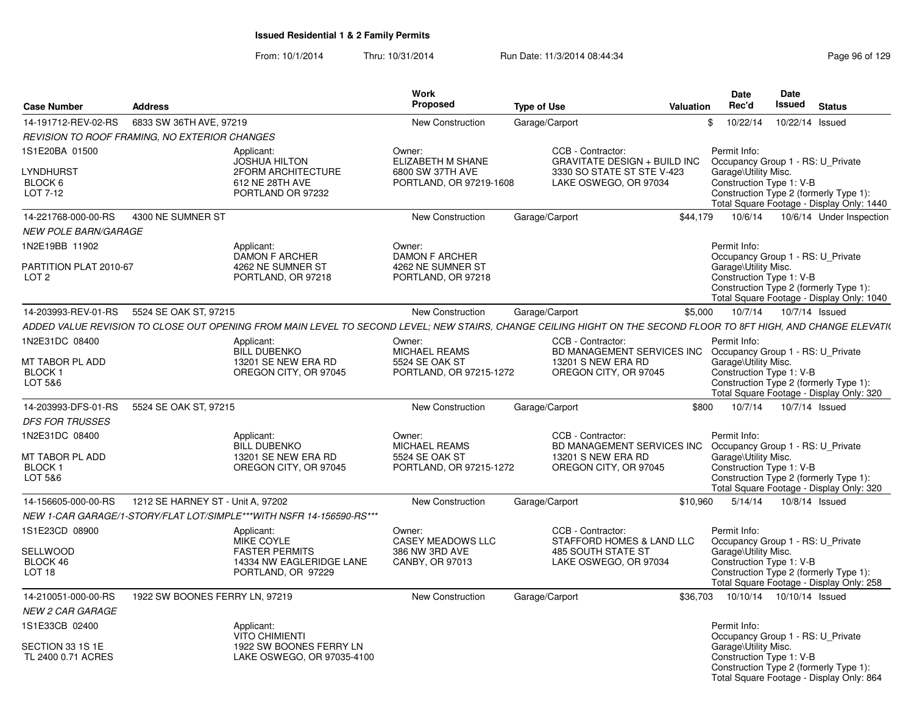| <b>Case Number</b>                                 | <b>Address</b>                                |                                                                                                                                                                  | Work<br>Proposed                            | <b>Type of Use</b> |                                                          | <b>Valuation</b> | <b>Date</b><br>Rec'd                              | Date<br><b>Issued</b>      | <b>Status</b>                                                                       |
|----------------------------------------------------|-----------------------------------------------|------------------------------------------------------------------------------------------------------------------------------------------------------------------|---------------------------------------------|--------------------|----------------------------------------------------------|------------------|---------------------------------------------------|----------------------------|-------------------------------------------------------------------------------------|
| 14-191712-REV-02-RS                                | 6833 SW 36TH AVE, 97219                       |                                                                                                                                                                  | <b>New Construction</b>                     |                    | Garage/Carport                                           |                  | \$<br>10/22/14                                    | 10/22/14 Issued            |                                                                                     |
|                                                    | REVISION TO ROOF FRAMING, NO EXTERIOR CHANGES |                                                                                                                                                                  |                                             |                    |                                                          |                  |                                                   |                            |                                                                                     |
| 1S1E20BA 01500                                     |                                               | Applicant:<br><b>JOSHUA HILTON</b>                                                                                                                               | Owner:<br>ELIZABETH M SHANE                 |                    | CCB - Contractor:<br><b>GRAVITATE DESIGN + BUILD INC</b> |                  | Permit Info:<br>Occupancy Group 1 - RS: U_Private |                            |                                                                                     |
| LYNDHURST<br>BLOCK 6<br>LOT 7-12                   |                                               | 2FORM ARCHITECTURE<br>612 NE 28TH AVE<br>PORTLAND OR 97232                                                                                                       | 6800 SW 37TH AVE<br>PORTLAND, OR 97219-1608 |                    | 3330 SO STATE ST STE V-423<br>LAKE OSWEGO, OR 97034      |                  | Garage\Utility Misc.<br>Construction Type 1: V-B  |                            | Construction Type 2 (formerly Type 1):<br>Total Square Footage - Display Only: 1440 |
| 14-221768-000-00-RS<br><b>NEW POLE BARN/GARAGE</b> | 4300 NE SUMNER ST                             |                                                                                                                                                                  | <b>New Construction</b>                     |                    | Garage/Carport                                           | \$44.179         | 10/6/14                                           |                            | 10/6/14 Under Inspection                                                            |
| 1N2E19BB 11902                                     |                                               | Applicant:<br><b>DAMON F ARCHER</b>                                                                                                                              | Owner:<br><b>DAMON F ARCHER</b>             |                    |                                                          |                  | Permit Info:<br>Occupancy Group 1 - RS: U Private |                            |                                                                                     |
| PARTITION PLAT 2010-67<br>LOT <sub>2</sub>         |                                               | 4262 NE SUMNER ST<br>PORTLAND, OR 97218                                                                                                                          | 4262 NE SUMNER ST<br>PORTLAND, OR 97218     |                    |                                                          |                  | Garage\Utility Misc.<br>Construction Type 1: V-B  |                            | Construction Type 2 (formerly Type 1):<br>Total Square Footage - Display Only: 1040 |
| 14-203993-REV-01-RS                                | 5524 SE OAK ST, 97215                         |                                                                                                                                                                  | New Construction                            |                    | Garage/Carport                                           | \$5,000          | 10/7/14                                           |                            | 10/7/14 Issued                                                                      |
|                                                    |                                               | ADDED VALUE REVISION TO CLOSE OUT OPENING FROM MAIN LEVEL TO SECOND LEVEL: NEW STAIRS, CHANGE CEILING HIGHT ON THE SECOND FLOOR TO 8FT HIGH, AND CHANGE ELEVATI( |                                             |                    |                                                          |                  |                                                   |                            |                                                                                     |
| 1N2E31DC 08400                                     |                                               | Applicant:<br>BILL DUBENKO                                                                                                                                       | Owner:<br><b>MICHAEL REAMS</b>              |                    | CCB - Contractor:<br>BD MANAGEMENT SERVICES INC          |                  | Permit Info:<br>Occupancy Group 1 - RS: U_Private |                            |                                                                                     |
| MT TABOR PL ADD<br><b>BLOCK1</b><br>LOT 5&6        |                                               | 13201 SE NEW ERA RD<br>OREGON CITY, OR 97045                                                                                                                     | 5524 SE OAK ST<br>PORTLAND, OR 97215-1272   |                    | 13201 S NEW ERA RD<br>OREGON CITY, OR 97045              |                  | Garage\Utility Misc.<br>Construction Type 1: V-B  |                            | Construction Type 2 (formerly Type 1):<br>Total Square Footage - Display Only: 320  |
| 14-203993-DFS-01-RS                                | 5524 SE OAK ST, 97215                         |                                                                                                                                                                  | <b>New Construction</b>                     |                    | Garage/Carport                                           | \$800            | 10/7/14                                           |                            | 10/7/14 Issued                                                                      |
| <b>DFS FOR TRUSSES</b>                             |                                               |                                                                                                                                                                  |                                             |                    |                                                          |                  |                                                   |                            |                                                                                     |
| 1N2E31DC 08400                                     |                                               | Applicant:<br><b>BILL DUBENKO</b>                                                                                                                                | Owner:<br><b>MICHAEL REAMS</b>              |                    | CCB - Contractor:<br>BD MANAGEMENT SERVICES INC          |                  | Permit Info:<br>Occupancy Group 1 - RS: U_Private |                            |                                                                                     |
| MT TABOR PL ADD<br><b>BLOCK1</b><br>LOT 5&6        |                                               | 13201 SE NEW ERA RD<br>OREGON CITY, OR 97045                                                                                                                     | 5524 SE OAK ST<br>PORTLAND, OR 97215-1272   |                    | 13201 S NEW ERA RD<br>OREGON CITY, OR 97045              |                  | Garage\Utility Misc.<br>Construction Type 1: V-B  |                            | Construction Type 2 (formerly Type 1):<br>Total Square Footage - Display Only: 320  |
| 14-156605-000-00-RS                                | 1212 SE HARNEY ST - Unit A, 97202             |                                                                                                                                                                  | New Construction                            |                    | Garage/Carport                                           | \$10,960         | 5/14/14                                           |                            | 10/8/14 Issued                                                                      |
|                                                    |                                               | NEW 1-CAR GARAGE/1-STORY/FLAT LOT/SIMPLE***WITH NSFR 14-156590-RS***                                                                                             |                                             |                    |                                                          |                  |                                                   |                            |                                                                                     |
| 1S1E23CD 08900                                     |                                               | Applicant:<br><b>MIKE COYLE</b>                                                                                                                                  | Owner:<br><b>CASEY MEADOWS LLC</b>          |                    | CCB - Contractor:<br>STAFFORD HOMES & LAND LLC           |                  | Permit Info:<br>Occupancy Group 1 - RS: U Private |                            |                                                                                     |
| <b>SELLWOOD</b><br>BLOCK 46<br>LOT <sub>18</sub>   |                                               | <b>FASTER PERMITS</b><br>14334 NW EAGLERIDGE LANE<br>PORTLAND, OR 97229                                                                                          | 386 NW 3RD AVE<br>CANBY, OR 97013           |                    | <b>485 SOUTH STATE ST</b><br>LAKE OSWEGO, OR 97034       |                  | Garage\Utility Misc.<br>Construction Type 1: V-B  |                            | Construction Type 2 (formerly Type 1):<br>Total Square Footage - Display Only: 258  |
| 14-210051-000-00-RS                                | 1922 SW BOONES FERRY LN, 97219                |                                                                                                                                                                  | <b>New Construction</b>                     |                    | Garage/Carport                                           | \$36,703         |                                                   | 10/10/14  10/10/14  Issued |                                                                                     |
| <b>NEW 2 CAR GARAGE</b>                            |                                               |                                                                                                                                                                  |                                             |                    |                                                          |                  |                                                   |                            |                                                                                     |
| 1S1E33CB 02400                                     |                                               | Applicant:<br><b>VITO CHIMIENTI</b>                                                                                                                              |                                             |                    |                                                          |                  | Permit Info:<br>Occupancy Group 1 - RS: U_Private |                            |                                                                                     |
| SECTION 33 1S 1E<br>TL 2400 0.71 ACRES             |                                               | 1922 SW BOONES FERRY LN<br>LAKE OSWEGO, OR 97035-4100                                                                                                            |                                             |                    |                                                          |                  | Garage\Utility Misc.<br>Construction Type 1: V-B  |                            | Construction Type 2 (formerly Type 1):<br>Total Square Footage - Display Only: 864  |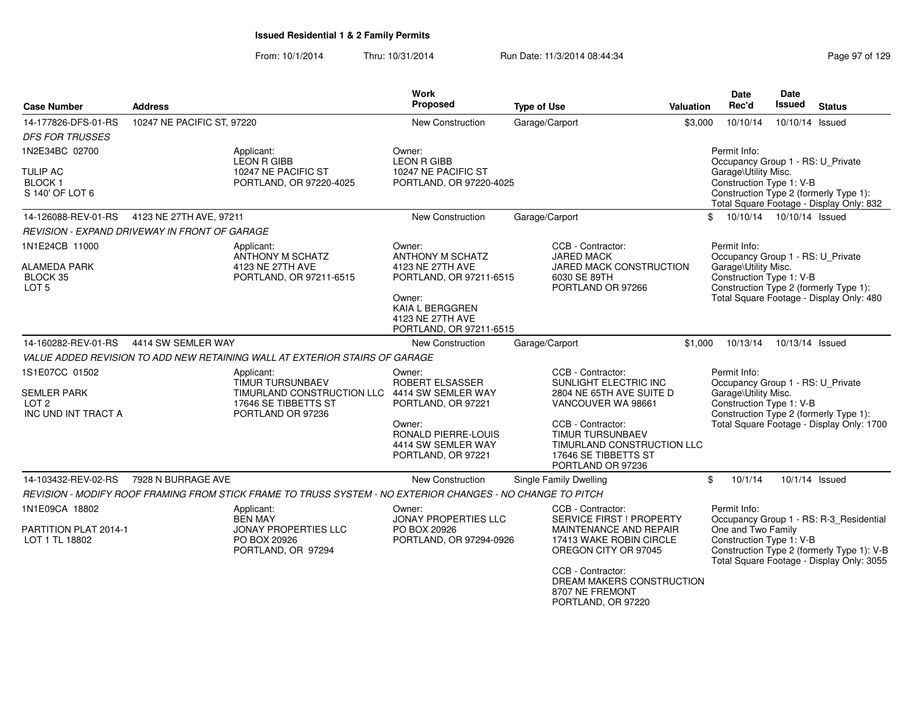| <b>Case Number</b>                                                              | <b>Address</b>                                       |                                                                                                                                     | <b>Work</b><br>Proposed                                                                             | <b>Type of Use</b>                                                                                                      | <b>Valuation</b> | <b>Date</b><br>Rec'd                                                                                  | <b>Date</b><br><b>Issued</b> | <b>Status</b>                                                                           |
|---------------------------------------------------------------------------------|------------------------------------------------------|-------------------------------------------------------------------------------------------------------------------------------------|-----------------------------------------------------------------------------------------------------|-------------------------------------------------------------------------------------------------------------------------|------------------|-------------------------------------------------------------------------------------------------------|------------------------------|-----------------------------------------------------------------------------------------|
| 14-177826-DFS-01-RS<br><b>DFS FOR TRUSSES</b>                                   | 10247 NE PACIFIC ST, 97220                           |                                                                                                                                     | New Construction                                                                                    | Garage/Carport                                                                                                          | \$3,000          | 10/10/14                                                                                              | 10/10/14 Issued              |                                                                                         |
| 1N2E34BC 02700                                                                  |                                                      | Applicant:<br><b>LEON R GIBB</b>                                                                                                    | Owner:<br><b>LEON R GIBB</b>                                                                        |                                                                                                                         |                  | Permit Info:<br>Occupancy Group 1 - RS: U_Private                                                     |                              |                                                                                         |
| <b>TULIP AC</b><br><b>BLOCK1</b><br>S 140' OF LOT 6                             |                                                      | 10247 NE PACIFIC ST<br>PORTLAND, OR 97220-4025                                                                                      | 10247 NE PACIFIC ST<br>PORTLAND, OR 97220-4025                                                      |                                                                                                                         |                  | Garage\Utility Misc.<br>Construction Type 1: V-B                                                      |                              | Construction Type 2 (formerly Type 1):<br>Total Square Footage - Display Only: 832      |
| 14-126088-REV-01-RS                                                             | 4123 NE 27TH AVE, 97211                              |                                                                                                                                     | New Construction                                                                                    | Garage/Carport                                                                                                          |                  | \$<br>10/10/14  10/10/14  Issued                                                                      |                              |                                                                                         |
|                                                                                 | <b>REVISION - EXPAND DRIVEWAY IN FRONT OF GARAGE</b> |                                                                                                                                     |                                                                                                     |                                                                                                                         |                  |                                                                                                       |                              |                                                                                         |
| 1N1E24CB 11000<br><b>ALAMEDA PARK</b>                                           |                                                      | Applicant:<br>ANTHONY M SCHATZ<br>4123 NE 27TH AVE                                                                                  | Owner:<br>ANTHONY M SCHATZ<br>4123 NE 27TH AVE                                                      | CCB - Contractor:<br><b>JARED MACK</b><br><b>JARED MACK CONSTRUCTION</b>                                                |                  | Permit Info:<br>Occupancy Group 1 - RS: U_Private<br>Garage\Utility Misc.                             |                              |                                                                                         |
| BLOCK 35<br>LOT <sub>5</sub>                                                    |                                                      | PORTLAND, OR 97211-6515                                                                                                             | PORTLAND, OR 97211-6515<br>Owner:<br>KAIA L BERGGREN<br>4123 NE 27TH AVE<br>PORTLAND, OR 97211-6515 | 6030 SE 89TH<br>PORTLAND OR 97266                                                                                       |                  | Construction Type 1: V-B                                                                              |                              | Construction Type 2 (formerly Type 1):<br>Total Square Footage - Display Only: 480      |
| 14-160282-REV-01-RS                                                             | 4414 SW SEMLER WAY                                   |                                                                                                                                     | <b>New Construction</b>                                                                             | Garage/Carport                                                                                                          | \$1,000          | 10/13/14                                                                                              | 10/13/14 Issued              |                                                                                         |
|                                                                                 |                                                      | VALUE ADDED REVISION TO ADD NEW RETAINING WALL AT EXTERIOR STAIRS OF GARAGE                                                         |                                                                                                     |                                                                                                                         |                  |                                                                                                       |                              |                                                                                         |
| 1S1E07CC 01502<br><b>SEMLER PARK</b><br>LOT <sub>2</sub><br>INC UND INT TRACT A |                                                      | Applicant:<br><b>TIMUR TURSUNBAEV</b><br>TIMURLAND CONSTRUCTION LLC 4414 SW SEMLER WAY<br>17646 SE TIBBETTS ST<br>PORTLAND OR 97236 | Owner:<br>ROBERT ELSASSER<br>PORTLAND, OR 97221                                                     | CCB - Contractor:<br>SUNLIGHT ELECTRIC INC<br>2804 NE 65TH AVE SUITE D<br>VANCOUVER WA 98661                            |                  | Permit Info:<br>Occupancy Group 1 - RS: U_Private<br>Garage\Utility Misc.<br>Construction Type 1: V-B |                              | Construction Type 2 (formerly Type 1):                                                  |
|                                                                                 |                                                      |                                                                                                                                     | Owner:<br><b>RONALD PIERRE-LOUIS</b><br>4414 SW SEMLER WAY<br>PORTLAND, OR 97221                    | CCB - Contractor:<br><b>TIMUR TURSUNBAEV</b><br>TIMURLAND CONSTRUCTION LLC<br>17646 SE TIBBETTS ST<br>PORTLAND OR 97236 |                  |                                                                                                       |                              | Total Square Footage - Display Only: 1700                                               |
| 14-103432-REV-02-RS                                                             | 7928 N BURRAGE AVE                                   |                                                                                                                                     | <b>New Construction</b>                                                                             | Single Family Dwelling                                                                                                  |                  | \$<br>10/1/14                                                                                         |                              | 10/1/14 Issued                                                                          |
|                                                                                 |                                                      | REVISION - MODIFY ROOF FRAMING FROM STICK FRAME TO TRUSS SYSTEM - NO EXTERIOR CHANGES - NO CHANGE TO PITCH                          |                                                                                                     |                                                                                                                         |                  |                                                                                                       |                              |                                                                                         |
| 1N1E09CA 18802                                                                  |                                                      | Applicant:<br><b>BEN MAY</b>                                                                                                        | Owner:<br><b>JONAY PROPERTIES LLC</b>                                                               | CCB - Contractor:<br><b>SERVICE FIRST ! PROPERTY</b>                                                                    |                  | Permit Info:                                                                                          |                              | Occupancy Group 1 - RS: R-3_Residential                                                 |
| PARTITION PLAT 2014-1<br>LOT 1 TL 18802                                         |                                                      | JONAY PROPERTIES LLC<br>PO BOX 20926<br>PORTLAND, OR 97294                                                                          | PO BOX 20926<br>PORTLAND, OR 97294-0926                                                             | MAINTENANCE AND REPAIR<br>17413 WAKE ROBIN CIRCLE<br>OREGON CITY OR 97045                                               |                  | One and Two Family<br>Construction Type 1: V-B                                                        |                              | Construction Type 2 (formerly Type 1): V-B<br>Total Square Footage - Display Only: 3055 |
|                                                                                 |                                                      |                                                                                                                                     |                                                                                                     | CCB - Contractor:<br>DREAM MAKERS CONSTRUCTION<br>8707 NE FREMONT<br>PORTLAND, OR 97220                                 |                  |                                                                                                       |                              |                                                                                         |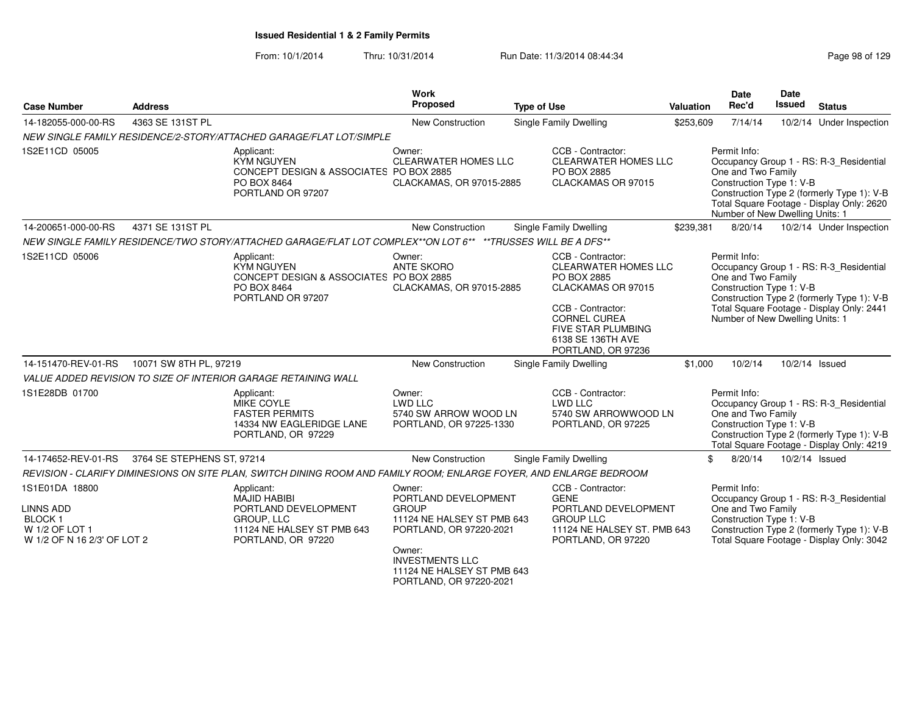| <b>Case Number</b>                                                                                   | <b>Address</b>             |                                                                                                                                    | Work<br>Proposed                                                                                                                                                                                     | <b>Type of Use</b>                                                                                                                                                                                        | Valuation | Date<br>Rec'd                                                                                     | <b>Date</b><br>Issued | <b>Status</b>                                                                                                                      |
|------------------------------------------------------------------------------------------------------|----------------------------|------------------------------------------------------------------------------------------------------------------------------------|------------------------------------------------------------------------------------------------------------------------------------------------------------------------------------------------------|-----------------------------------------------------------------------------------------------------------------------------------------------------------------------------------------------------------|-----------|---------------------------------------------------------------------------------------------------|-----------------------|------------------------------------------------------------------------------------------------------------------------------------|
| 14-182055-000-00-RS                                                                                  | 4363 SE 131ST PL           |                                                                                                                                    | New Construction                                                                                                                                                                                     | Single Family Dwelling                                                                                                                                                                                    | \$253,609 | 7/14/14                                                                                           |                       | 10/2/14 Under Inspection                                                                                                           |
|                                                                                                      |                            | NEW SINGLE FAMILY RESIDENCE/2-STORY/ATTACHED GARAGE/FLAT LOT/SIMPLE                                                                |                                                                                                                                                                                                      |                                                                                                                                                                                                           |           |                                                                                                   |                       |                                                                                                                                    |
| 1S2E11CD 05005                                                                                       |                            | Applicant:<br><b>KYM NGUYEN</b><br>CONCEPT DESIGN & ASSOCIATES PO BOX 2885<br>PO BOX 8464<br>PORTLAND OR 97207                     | Owner:<br>CLEARWATER HOMES LLC<br>CLACKAMAS, OR 97015-2885                                                                                                                                           | CCB - Contractor:<br><b>CLEARWATER HOMES LLC</b><br>PO BOX 2885<br>CLACKAMAS OR 97015                                                                                                                     |           | Permit Info:<br>One and Two Family<br>Construction Type 1: V-B<br>Number of New Dwelling Units: 1 |                       | Occupancy Group 1 - RS: R-3_Residential<br>Construction Type 2 (formerly Type 1): V-B<br>Total Square Footage - Display Only: 2620 |
| 14-200651-000-00-RS                                                                                  | 4371 SE 131ST PL           |                                                                                                                                    | <b>New Construction</b>                                                                                                                                                                              | <b>Single Family Dwelling</b>                                                                                                                                                                             | \$239,381 | 8/20/14                                                                                           |                       | 10/2/14 Under Inspection                                                                                                           |
|                                                                                                      |                            | NEW SINGLE FAMILY RESIDENCE/TWO STORY/ATTACHED GARAGE/FLAT LOT COMPLEX**ON LOT 6** **TRUSSES WILL BE A DFS**                       |                                                                                                                                                                                                      |                                                                                                                                                                                                           |           |                                                                                                   |                       |                                                                                                                                    |
| 1S2E11CD 05006                                                                                       |                            | Applicant:<br><b>KYM NGUYEN</b><br>CONCEPT DESIGN & ASSOCIATES PO BOX 2885<br>PO BOX 8464<br>PORTLAND OR 97207                     | Owner:<br><b>ANTE SKORO</b><br>CLACKAMAS, OR 97015-2885                                                                                                                                              | CCB - Contractor:<br><b>CLEARWATER HOMES LLC</b><br>PO BOX 2885<br>CLACKAMAS OR 97015<br>CCB - Contractor:<br><b>CORNEL CUREA</b><br><b>FIVE STAR PLUMBING</b><br>6138 SE 136TH AVE<br>PORTLAND, OR 97236 |           | Permit Info:<br>One and Two Family<br>Construction Type 1: V-B<br>Number of New Dwelling Units: 1 |                       | Occupancy Group 1 - RS: R-3 Residential<br>Construction Type 2 (formerly Type 1): V-B<br>Total Square Footage - Display Only: 2441 |
| 14-151470-REV-01-RS                                                                                  | 10071 SW 8TH PL, 97219     |                                                                                                                                    | <b>New Construction</b>                                                                                                                                                                              | Single Family Dwelling                                                                                                                                                                                    | \$1,000   | 10/2/14                                                                                           |                       | 10/2/14 Issued                                                                                                                     |
|                                                                                                      |                            | VALUE ADDED REVISION TO SIZE OF INTERIOR GARAGE RETAINING WALL                                                                     |                                                                                                                                                                                                      |                                                                                                                                                                                                           |           |                                                                                                   |                       |                                                                                                                                    |
| 1S1E28DB 01700                                                                                       |                            | Applicant:<br>MIKE COYLE<br><b>FASTER PERMITS</b><br>14334 NW EAGLERIDGE LANE<br>PORTLAND, OR 97229                                | Owner:<br><b>LWD LLC</b><br>5740 SW ARROW WOOD LN<br>PORTLAND, OR 97225-1330                                                                                                                         | CCB - Contractor:<br>LWD LLC<br>5740 SW ARROWWOOD LN<br>PORTLAND, OR 97225                                                                                                                                |           | Permit Info:<br>One and Two Family<br>Construction Type 1: V-B                                    |                       | Occupancy Group 1 - RS: R-3 Residential<br>Construction Type 2 (formerly Type 1): V-B<br>Total Square Footage - Display Only: 4219 |
| 14-174652-REV-01-RS                                                                                  | 3764 SE STEPHENS ST, 97214 |                                                                                                                                    | <b>New Construction</b>                                                                                                                                                                              | <b>Single Family Dwelling</b>                                                                                                                                                                             | \$        | 8/20/14                                                                                           | 10/2/14 Issued        |                                                                                                                                    |
|                                                                                                      |                            | REVISION - CLARIFY DIMINESIONS ON SITE PLAN, SWITCH DINING ROOM AND FAMILY ROOM; ENLARGE FOYER, AND ENLARGE BEDROOM                |                                                                                                                                                                                                      |                                                                                                                                                                                                           |           |                                                                                                   |                       |                                                                                                                                    |
| 1S1E01DA 18800<br><b>LINNS ADD</b><br><b>BLOCK1</b><br>W 1/2 OF LOT 1<br>W 1/2 OF N 16 2/3' OF LOT 2 |                            | Applicant:<br><b>MAJID HABIBI</b><br>PORTLAND DEVELOPMENT<br><b>GROUP, LLC</b><br>11124 NE HALSEY ST PMB 643<br>PORTLAND, OR 97220 | Owner:<br>PORTLAND DEVELOPMENT<br><b>GROUP</b><br>11124 NE HALSEY ST PMB 643<br>PORTLAND, OR 97220-2021<br>Owner:<br><b>INVESTMENTS LLC</b><br>11124 NE HALSEY ST PMB 643<br>PORTLAND, OR 97220-2021 | CCB - Contractor:<br><b>GENE</b><br>PORTLAND DEVELOPMENT<br><b>GROUP LLC</b><br>11124 NE HALSEY ST. PMB 643<br>PORTLAND, OR 97220                                                                         |           | Permit Info:<br>One and Two Family<br>Construction Type 1: V-B                                    |                       | Occupancy Group 1 - RS: R-3_Residential<br>Construction Type 2 (formerly Type 1): V-B<br>Total Square Footage - Display Only: 3042 |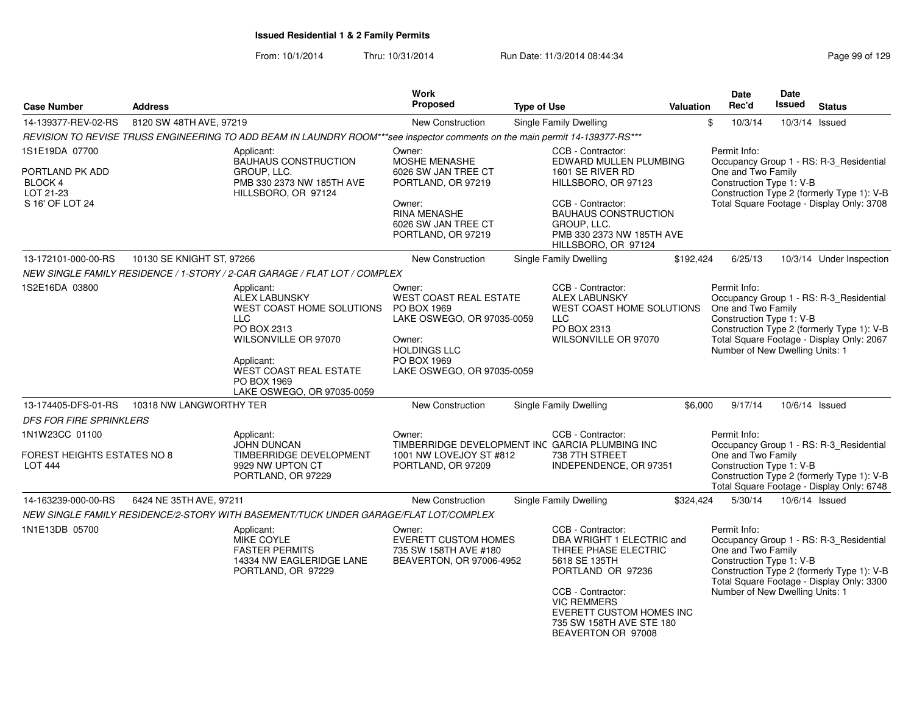|                                                                              |                           |                                                                                                                                                                                                           | <b>Work</b>                                                                                                                                                        |                                                                                                                                                                                                                                       |                  | Date                                                                                              | Date          |                                                                                                                                    |
|------------------------------------------------------------------------------|---------------------------|-----------------------------------------------------------------------------------------------------------------------------------------------------------------------------------------------------------|--------------------------------------------------------------------------------------------------------------------------------------------------------------------|---------------------------------------------------------------------------------------------------------------------------------------------------------------------------------------------------------------------------------------|------------------|---------------------------------------------------------------------------------------------------|---------------|------------------------------------------------------------------------------------------------------------------------------------|
| <b>Case Number</b>                                                           | <b>Address</b>            |                                                                                                                                                                                                           | <b>Proposed</b>                                                                                                                                                    | <b>Type of Use</b>                                                                                                                                                                                                                    | <b>Valuation</b> | Rec'd                                                                                             | <b>Issued</b> | <b>Status</b>                                                                                                                      |
| 14-139377-REV-02-RS                                                          | 8120 SW 48TH AVE, 97219   |                                                                                                                                                                                                           | <b>New Construction</b>                                                                                                                                            | Single Family Dwelling                                                                                                                                                                                                                |                  | \$<br>10/3/14                                                                                     |               | 10/3/14 Issued                                                                                                                     |
|                                                                              |                           | REVISION TO REVISE TRUSS ENGINEERING TO ADD BEAM IN LAUNDRY ROOM***see inspector comments on the main permit 14-139377-RS***                                                                              |                                                                                                                                                                    |                                                                                                                                                                                                                                       |                  |                                                                                                   |               |                                                                                                                                    |
| 1S1E19DA 07700<br>PORTLAND PK ADD<br>BLOCK 4<br>LOT 21-23<br>S 16' OF LOT 24 |                           | Applicant:<br><b>BAUHAUS CONSTRUCTION</b><br>GROUP, LLC.<br>PMB 330 2373 NW 185TH AVE<br>HILLSBORO, OR 97124                                                                                              | Owner:<br>MOSHE MENASHE<br>6026 SW JAN TREE CT<br>PORTLAND, OR 97219<br>Owner:<br><b>RINA MENASHE</b><br>6026 SW JAN TREE CT<br>PORTLAND, OR 97219                 | CCB - Contractor:<br>EDWARD MULLEN PLUMBING<br>1601 SE RIVER RD<br>HILLSBORO, OR 97123<br>CCB - Contractor:<br><b>BAUHAUS CONSTRUCTION</b><br>GROUP, LLC.<br>PMB 330 2373 NW 185TH AVE<br>HILLSBORO, OR 97124                         |                  | Permit Info:<br>One and Two Family<br>Construction Type 1: V-B                                    |               | Occupancy Group 1 - RS: R-3_Residential<br>Construction Type 2 (formerly Type 1): V-B<br>Total Square Footage - Display Only: 3708 |
| 13-172101-000-00-RS                                                          | 10130 SE KNIGHT ST, 97266 |                                                                                                                                                                                                           | New Construction                                                                                                                                                   | <b>Single Family Dwelling</b>                                                                                                                                                                                                         | \$192,424        | 6/25/13                                                                                           |               | 10/3/14 Under Inspection                                                                                                           |
|                                                                              |                           | NEW SINGLE FAMILY RESIDENCE / 1-STORY / 2-CAR GARAGE / FLAT LOT / COMPLEX                                                                                                                                 |                                                                                                                                                                    |                                                                                                                                                                                                                                       |                  |                                                                                                   |               |                                                                                                                                    |
| 1S2E16DA 03800                                                               |                           | Applicant:<br><b>ALEX LABUNSKY</b><br>WEST COAST HOME SOLUTIONS<br><b>LLC</b><br>PO BOX 2313<br>WILSONVILLE OR 97070<br>Applicant:<br>WEST COAST REAL ESTATE<br>PO BOX 1969<br>LAKE OSWEGO, OR 97035-0059 | Owner:<br><b>WEST COAST REAL ESTATE</b><br>PO BOX 1969<br>LAKE OSWEGO, OR 97035-0059<br>Owner:<br><b>HOLDINGS LLC</b><br>PO BOX 1969<br>LAKE OSWEGO, OR 97035-0059 | CCB - Contractor:<br><b>ALEX LABUNSKY</b><br>WEST COAST HOME SOLUTIONS<br><b>LLC</b><br>PO BOX 2313<br>WILSONVILLE OR 97070                                                                                                           |                  | Permit Info:<br>One and Two Family<br>Construction Type 1: V-B<br>Number of New Dwelling Units: 1 |               | Occupancy Group 1 - RS: R-3_Residential<br>Construction Type 2 (formerly Type 1): V-B<br>Total Square Footage - Display Only: 2067 |
| 13-174405-DFS-01-RS                                                          | 10318 NW LANGWORTHY TER   |                                                                                                                                                                                                           | New Construction                                                                                                                                                   | Single Family Dwelling                                                                                                                                                                                                                | \$6,000          | 9/17/14                                                                                           |               | 10/6/14 Issued                                                                                                                     |
| <b>DFS FOR FIRE SPRINKLERS</b>                                               |                           |                                                                                                                                                                                                           |                                                                                                                                                                    |                                                                                                                                                                                                                                       |                  |                                                                                                   |               |                                                                                                                                    |
| 1N1W23CC 01100<br>FOREST HEIGHTS ESTATES NO 8<br><b>LOT 444</b>              |                           | Applicant:<br>JOHN DUNCAN<br>TIMBERRIDGE DEVELOPMENT<br>9929 NW UPTON CT<br>PORTLAND, OR 97229                                                                                                            | Owner:<br>1001 NW LOVEJOY ST #812<br>PORTLAND, OR 97209                                                                                                            | CCB - Contractor:<br>TIMBERRIDGE DEVELOPMENT INC GARCIA PLUMBING INC<br>738 7TH STREET<br>INDEPENDENCE, OR 97351                                                                                                                      |                  | Permit Info:<br>One and Two Family<br>Construction Type 1: V-B                                    |               | Occupancy Group 1 - RS: R-3_Residential<br>Construction Type 2 (formerly Type 1): V-B<br>Total Square Footage - Display Only: 6748 |
| 14-163239-000-00-RS                                                          | 6424 NE 35TH AVE, 97211   |                                                                                                                                                                                                           | <b>New Construction</b>                                                                                                                                            | Single Family Dwelling                                                                                                                                                                                                                | \$324,424        | 5/30/14                                                                                           |               | 10/6/14 Issued                                                                                                                     |
|                                                                              |                           | NEW SINGLE FAMILY RESIDENCE/2-STORY WITH BASEMENT/TUCK UNDER GARAGE/FLAT LOT/COMPLEX                                                                                                                      |                                                                                                                                                                    |                                                                                                                                                                                                                                       |                  |                                                                                                   |               |                                                                                                                                    |
| 1N1E13DB 05700                                                               |                           | Applicant:<br>MIKE COYLE<br><b>FASTER PERMITS</b><br>14334 NW EAGLERIDGE LANE<br>PORTLAND, OR 97229                                                                                                       | Owner:<br><b>EVERETT CUSTOM HOMES</b><br>735 SW 158TH AVE #180<br>BEAVERTON, OR 97006-4952                                                                         | CCB - Contractor:<br>DBA WRIGHT 1 ELECTRIC and<br>THREE PHASE ELECTRIC<br>5618 SE 135TH<br>PORTLAND OR 97236<br>CCB - Contractor:<br><b>VIC REMMERS</b><br>EVERETT CUSTOM HOMES INC<br>735 SW 158TH AVE STE 180<br>BEAVERTON OR 97008 |                  | Permit Info:<br>One and Two Family<br>Construction Type 1: V-B<br>Number of New Dwelling Units: 1 |               | Occupancy Group 1 - RS: R-3_Residential<br>Construction Type 2 (formerly Type 1): V-B<br>Total Square Footage - Display Only: 3300 |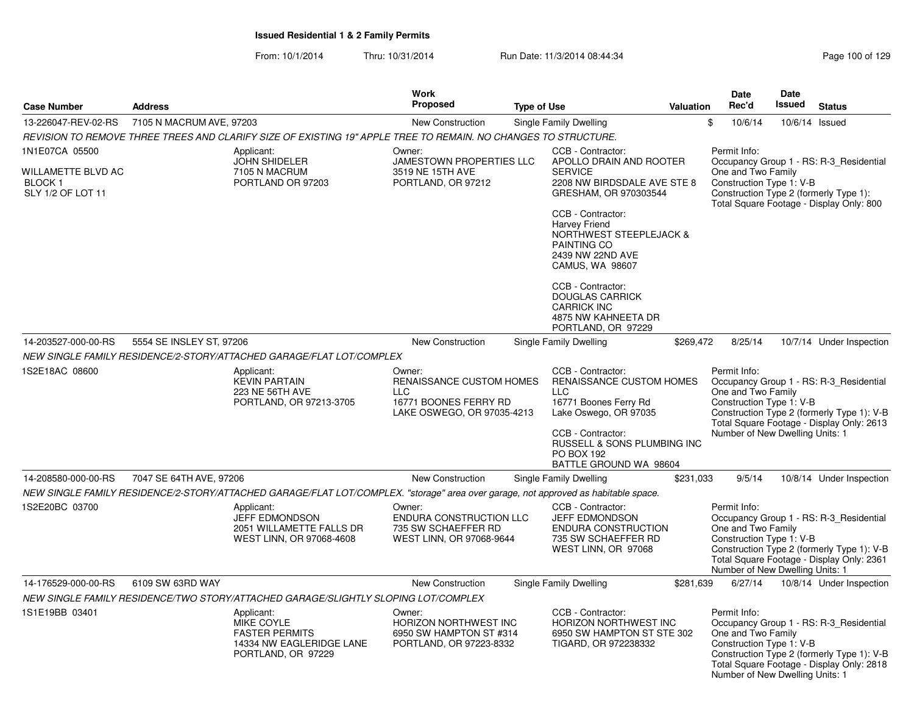|                                                                      |                          |                                                                                                                                    | Work                                                                                                    |                    |                                                                                                                                                                     |           | <b>Date</b>                                                                                       | Date          |                                                                                                                                    |
|----------------------------------------------------------------------|--------------------------|------------------------------------------------------------------------------------------------------------------------------------|---------------------------------------------------------------------------------------------------------|--------------------|---------------------------------------------------------------------------------------------------------------------------------------------------------------------|-----------|---------------------------------------------------------------------------------------------------|---------------|------------------------------------------------------------------------------------------------------------------------------------|
| <b>Case Number</b>                                                   | <b>Address</b>           |                                                                                                                                    | <b>Proposed</b>                                                                                         | <b>Type of Use</b> |                                                                                                                                                                     | Valuation | Rec'd                                                                                             | <b>Issued</b> | <b>Status</b>                                                                                                                      |
| 13-226047-REV-02-RS                                                  | 7105 N MACRUM AVE, 97203 |                                                                                                                                    | New Construction                                                                                        |                    | <b>Single Family Dwelling</b>                                                                                                                                       |           | \$<br>10/6/14                                                                                     |               | 10/6/14 Issued                                                                                                                     |
|                                                                      |                          | REVISION TO REMOVE THREE TREES AND CLARIFY SIZE OF EXISTING 19" APPLE TREE TO REMAIN. NO CHANGES TO STRUCTURE.                     |                                                                                                         |                    |                                                                                                                                                                     |           |                                                                                                   |               |                                                                                                                                    |
| 1N1E07CA 05500<br>WILLAMETTE BLVD AC<br>BLOCK 1<br>SLY 1/2 OF LOT 11 |                          | Applicant:<br><b>JOHN SHIDELER</b><br>7105 N MACRUM<br>PORTLAND OR 97203                                                           | Owner:<br>JAMESTOWN PROPERTIES LLC<br>3519 NE 15TH AVE<br>PORTLAND, OR 97212                            |                    | CCB - Contractor:<br>APOLLO DRAIN AND ROOTER<br><b>SERVICE</b><br>2208 NW BIRDSDALE AVE STE 8<br>GRESHAM, OR 970303544<br>CCB - Contractor:<br><b>Harvey Friend</b> |           | Permit Info:<br>One and Two Family<br>Construction Type 1: V-B                                    |               | Occupancy Group 1 - RS: R-3_Residential<br>Construction Type 2 (formerly Type 1):<br>Total Square Footage - Display Only: 800      |
|                                                                      |                          |                                                                                                                                    |                                                                                                         |                    | NORTHWEST STEEPLEJACK &<br>PAINTING CO<br>2439 NW 22ND AVE<br>CAMUS, WA 98607                                                                                       |           |                                                                                                   |               |                                                                                                                                    |
|                                                                      |                          |                                                                                                                                    |                                                                                                         |                    | CCB - Contractor:<br><b>DOUGLAS CARRICK</b><br><b>CARRICK INC</b><br>4875 NW KAHNEETA DR<br>PORTLAND, OR 97229                                                      |           |                                                                                                   |               |                                                                                                                                    |
| 14-203527-000-00-RS                                                  | 5554 SE INSLEY ST, 97206 |                                                                                                                                    | <b>New Construction</b>                                                                                 |                    | Single Family Dwelling                                                                                                                                              | \$269,472 | 8/25/14                                                                                           |               | 10/7/14 Under Inspection                                                                                                           |
|                                                                      |                          | NEW SINGLE FAMILY RESIDENCE/2-STORY/ATTACHED GARAGE/FLAT LOT/COMPLEX                                                               |                                                                                                         |                    |                                                                                                                                                                     |           |                                                                                                   |               |                                                                                                                                    |
| 1S2E18AC 08600                                                       |                          | Applicant:<br><b>KEVIN PARTAIN</b><br>223 NE 56TH AVE<br>PORTLAND, OR 97213-3705                                                   | Owner:<br>RENAISSANCE CUSTOM HOMES<br><b>LLC</b><br>16771 BOONES FERRY RD<br>LAKE OSWEGO, OR 97035-4213 |                    | CCB - Contractor:<br>RENAISSANCE CUSTOM HOMES<br><b>LLC</b><br>16771 Boones Ferry Rd<br>Lake Oswego, OR 97035<br>CCB - Contractor:<br>RUSSELL & SONS PLUMBING INC   |           | Permit Info:<br>One and Two Family<br>Construction Type 1: V-B<br>Number of New Dwelling Units: 1 |               | Occupancy Group 1 - RS: R-3_Residential<br>Construction Type 2 (formerly Type 1): V-B<br>Total Square Footage - Display Only: 2613 |
|                                                                      |                          |                                                                                                                                    |                                                                                                         |                    | <b>PO BOX 192</b><br>BATTLE GROUND WA 98604                                                                                                                         |           |                                                                                                   |               |                                                                                                                                    |
| 14-208580-000-00-RS                                                  | 7047 SE 64TH AVE, 97206  |                                                                                                                                    | <b>New Construction</b>                                                                                 |                    | <b>Single Family Dwelling</b>                                                                                                                                       | \$231,033 | 9/5/14                                                                                            |               | 10/8/14 Under Inspection                                                                                                           |
|                                                                      |                          | NEW SINGLE FAMILY RESIDENCE/2-STORY/ATTACHED GARAGE/FLAT LOT/COMPLEX. "storage" area over garage, not approved as habitable space. |                                                                                                         |                    |                                                                                                                                                                     |           |                                                                                                   |               |                                                                                                                                    |
| 1S2E20BC 03700                                                       |                          | Applicant:<br><b>JEFF EDMONDSON</b><br>2051 WILLAMETTE FALLS DR<br>WEST LINN, OR 97068-4608                                        | Owner:<br>ENDURA CONSTRUCTION LLC<br>735 SW SCHAEFFER RD<br>WEST LINN, OR 97068-9644                    |                    | CCB - Contractor:<br><b>JEFF EDMONDSON</b><br>ENDURA CONSTRUCTION<br>735 SW SCHAEFFER RD<br>WEST LINN, OR 97068                                                     |           | Permit Info:<br>One and Two Family<br>Construction Type 1: V-B<br>Number of New Dwelling Units: 1 |               | Occupancy Group 1 - RS: R-3_Residential<br>Construction Type 2 (formerly Type 1): V-B<br>Total Square Footage - Display Only: 2361 |
| 14-176529-000-00-RS                                                  | 6109 SW 63RD WAY         |                                                                                                                                    | <b>New Construction</b>                                                                                 |                    | Single Family Dwelling                                                                                                                                              | \$281,639 | 6/27/14                                                                                           |               | 10/8/14 Under Inspection                                                                                                           |
|                                                                      |                          | NEW SINGLE FAMILY RESIDENCE/TWO STORY/ATTACHED GARAGE/SLIGHTLY SLOPING LOT/COMPLEX                                                 |                                                                                                         |                    |                                                                                                                                                                     |           |                                                                                                   |               |                                                                                                                                    |
| 1S1E19BB 03401                                                       |                          | Applicant:<br>MIKE COYLE<br><b>FASTER PERMITS</b><br>14334 NW EAGLERIDGE LANE<br>PORTLAND, OR 97229                                | Owner:<br>HORIZON NORTHWEST INC<br>6950 SW HAMPTON ST #314<br>PORTLAND, OR 97223-8332                   |                    | CCB - Contractor:<br><b>HORIZON NORTHWEST INC</b><br>6950 SW HAMPTON ST STE 302<br>TIGARD, OR 972238332                                                             |           | Permit Info:<br>One and Two Family<br>Construction Type 1: V-B<br>Number of New Dwelling Units: 1 |               | Occupancy Group 1 - RS: R-3 Residential<br>Construction Type 2 (formerly Type 1): V-B<br>Total Square Footage - Display Only: 2818 |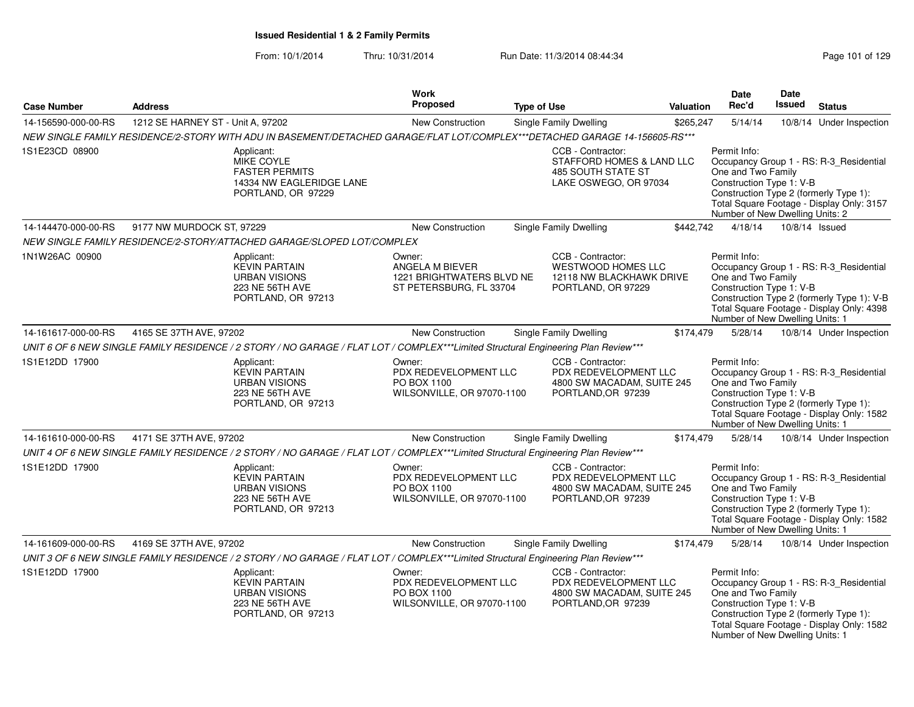| <b>Case Number</b>  | <b>Address</b>                    |                                                                                                                                    | <b>Work</b><br><b>Proposed</b>                                                    | <b>Type of Use</b> |                                                                                                  | Valuation | Date<br>Rec'd                                                                                     | Date<br>Issued | <b>Status</b>                                                                                                                      |
|---------------------|-----------------------------------|------------------------------------------------------------------------------------------------------------------------------------|-----------------------------------------------------------------------------------|--------------------|--------------------------------------------------------------------------------------------------|-----------|---------------------------------------------------------------------------------------------------|----------------|------------------------------------------------------------------------------------------------------------------------------------|
| 14-156590-000-00-RS | 1212 SE HARNEY ST - Unit A, 97202 |                                                                                                                                    | New Construction                                                                  |                    | Single Family Dwelling                                                                           | \$265,247 | 5/14/14                                                                                           |                | 10/8/14 Under Inspection                                                                                                           |
|                     |                                   | NEW SINGLE FAMILY RESIDENCE/2-STORY WITH ADU IN BASEMENT/DETACHED GARAGE/FLAT LOT/COMPLEX***DETACHED GARAGE 14-156605-RS***        |                                                                                   |                    |                                                                                                  |           |                                                                                                   |                |                                                                                                                                    |
| 1S1E23CD 08900      |                                   | Applicant:<br>MIKE COYLE<br><b>FASTER PERMITS</b><br>14334 NW EAGLERIDGE LANE<br>PORTLAND, OR 97229                                |                                                                                   |                    | CCB - Contractor:<br>STAFFORD HOMES & LAND LLC<br>485 SOUTH STATE ST<br>LAKE OSWEGO, OR 97034    |           | Permit Info:<br>One and Two Family<br>Construction Type 1: V-B<br>Number of New Dwelling Units: 2 |                | Occupancy Group 1 - RS: R-3_Residential<br>Construction Type 2 (formerly Type 1):<br>Total Square Footage - Display Only: 3157     |
| 14-144470-000-00-RS | 9177 NW MURDOCK ST, 97229         |                                                                                                                                    | New Construction                                                                  |                    | Single Family Dwelling                                                                           | \$442,742 | 4/18/14                                                                                           |                | 10/8/14 Issued                                                                                                                     |
|                     |                                   | NEW SINGLE FAMILY RESIDENCE/2-STORY/ATTACHED GARAGE/SLOPED LOT/COMPLEX                                                             |                                                                                   |                    |                                                                                                  |           |                                                                                                   |                |                                                                                                                                    |
| 1N1W26AC 00900      |                                   | Applicant:<br><b>KEVIN PARTAIN</b><br><b>URBAN VISIONS</b><br>223 NE 56TH AVE<br>PORTLAND, OR 97213                                | Owner:<br>ANGELA M BIEVER<br>1221 BRIGHTWATERS BLVD NE<br>ST PETERSBURG, FL 33704 |                    | CCB - Contractor:<br><b>WESTWOOD HOMES LLC</b><br>12118 NW BLACKHAWK DRIVE<br>PORTLAND, OR 97229 |           | Permit Info:<br>One and Two Family<br>Construction Type 1: V-B<br>Number of New Dwelling Units: 1 |                | Occupancy Group 1 - RS: R-3_Residential<br>Construction Type 2 (formerly Type 1): V-B<br>Total Square Footage - Display Only: 4398 |
| 14-161617-000-00-RS | 4165 SE 37TH AVE, 97202           |                                                                                                                                    | <b>New Construction</b>                                                           |                    | Single Family Dwelling                                                                           | \$174,479 | 5/28/14                                                                                           |                | 10/8/14 Under Inspection                                                                                                           |
|                     |                                   | UNIT 6 OF 6 NEW SINGLE FAMILY RESIDENCE / 2 STORY / NO GARAGE / FLAT LOT / COMPLEX***Limited Structural Engineering Plan Review*** |                                                                                   |                    |                                                                                                  |           |                                                                                                   |                |                                                                                                                                    |
| 1S1E12DD 17900      |                                   | Applicant:<br><b>KEVIN PARTAIN</b><br><b>URBAN VISIONS</b><br>223 NE 56TH AVE<br>PORTLAND, OR 97213                                | Owner:<br>PDX REDEVELOPMENT LLC<br>PO BOX 1100<br>WILSONVILLE, OR 97070-1100      |                    | CCB - Contractor:<br>PDX REDEVELOPMENT LLC<br>4800 SW MACADAM, SUITE 245<br>PORTLAND, OR 97239   |           | Permit Info:<br>One and Two Family<br>Construction Type 1: V-B<br>Number of New Dwelling Units: 1 |                | Occupancy Group 1 - RS: R-3 Residential<br>Construction Type 2 (formerly Type 1):<br>Total Square Footage - Display Only: 1582     |
| 14-161610-000-00-RS | 4171 SE 37TH AVE, 97202           |                                                                                                                                    | New Construction                                                                  |                    | Single Family Dwelling                                                                           | \$174,479 | 5/28/14                                                                                           |                | 10/8/14 Under Inspection                                                                                                           |
|                     |                                   | UNIT 4 OF 6 NEW SINGLE FAMILY RESIDENCE / 2 STORY / NO GARAGE / FLAT LOT / COMPLEX***Limited Structural Engineering Plan Review*** |                                                                                   |                    |                                                                                                  |           |                                                                                                   |                |                                                                                                                                    |
| 1S1E12DD 17900      |                                   | Applicant:<br><b>KEVIN PARTAIN</b><br><b>URBAN VISIONS</b><br>223 NE 56TH AVE<br>PORTLAND, OR 97213                                | Owner:<br>PDX REDEVELOPMENT LLC<br>PO BOX 1100<br>WILSONVILLE, OR 97070-1100      |                    | CCB - Contractor:<br>PDX REDEVELOPMENT LLC<br>4800 SW MACADAM, SUITE 245<br>PORTLAND, OR 97239   |           | Permit Info:<br>One and Two Family<br>Construction Type 1: V-B<br>Number of New Dwelling Units: 1 |                | Occupancy Group 1 - RS: R-3_Residential<br>Construction Type 2 (formerly Type 1):<br>Total Square Footage - Display Only: 1582     |
| 14-161609-000-00-RS | 4169 SE 37TH AVE, 97202           |                                                                                                                                    | <b>New Construction</b>                                                           |                    | <b>Single Family Dwelling</b>                                                                    | \$174,479 | 5/28/14                                                                                           |                | 10/8/14 Under Inspection                                                                                                           |
|                     |                                   | UNIT 3 OF 6 NEW SINGLE FAMILY RESIDENCE / 2 STORY / NO GARAGE / FLAT LOT / COMPLEX***Limited Structural Engineering Plan Review*** |                                                                                   |                    |                                                                                                  |           |                                                                                                   |                |                                                                                                                                    |
| 1S1E12DD 17900      |                                   | Applicant:<br><b>KEVIN PARTAIN</b><br><b>URBAN VISIONS</b><br>223 NE 56TH AVE<br>PORTLAND, OR 97213                                | Owner:<br>PDX REDEVELOPMENT LLC<br>PO BOX 1100<br>WILSONVILLE, OR 97070-1100      |                    | CCB - Contractor:<br>PDX REDEVELOPMENT LLC<br>4800 SW MACADAM, SUITE 245<br>PORTLAND, OR 97239   |           | Permit Info:<br>One and Two Family<br>Construction Type 1: V-B<br>Number of New Dwelling Units: 1 |                | Occupancy Group 1 - RS: R-3_Residential<br>Construction Type 2 (formerly Type 1):<br>Total Square Footage - Display Only: 1582     |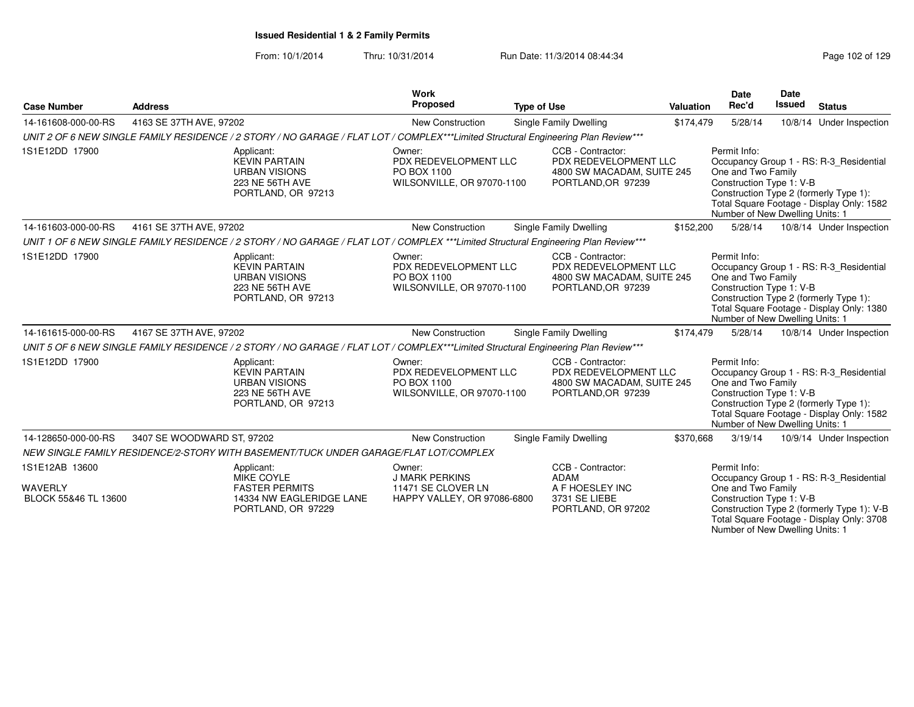| <b>Case Number</b>                                       | <b>Address</b>             |                                                                                                                                     | <b>Work</b><br><b>Proposed</b>                                                       | <b>Type of Use</b>                                                                             | <b>Valuation</b> | <b>Date</b><br>Rec'd                                                                              | <b>Date</b><br><b>Issued</b> | <b>Status</b>                                                                                                                      |
|----------------------------------------------------------|----------------------------|-------------------------------------------------------------------------------------------------------------------------------------|--------------------------------------------------------------------------------------|------------------------------------------------------------------------------------------------|------------------|---------------------------------------------------------------------------------------------------|------------------------------|------------------------------------------------------------------------------------------------------------------------------------|
| 14-161608-000-00-RS                                      | 4163 SE 37TH AVE, 97202    |                                                                                                                                     | New Construction                                                                     | Single Family Dwelling                                                                         | \$174,479        | 5/28/14                                                                                           |                              | 10/8/14 Under Inspection                                                                                                           |
|                                                          |                            | UNIT 2 OF 6 NEW SINGLE FAMILY RESIDENCE / 2 STORY / NO GARAGE / FLAT LOT / COMPLEX***Limited Structural Engineering Plan Review***  |                                                                                      |                                                                                                |                  |                                                                                                   |                              |                                                                                                                                    |
| 1S1E12DD 17900                                           |                            | Applicant:<br><b>KEVIN PARTAIN</b><br><b>URBAN VISIONS</b><br>223 NE 56TH AVE<br>PORTLAND, OR 97213                                 | Owner:<br>PDX REDEVELOPMENT LLC<br>PO BOX 1100<br>WILSONVILLE, OR 97070-1100         | CCB - Contractor:<br>PDX REDEVELOPMENT LLC<br>4800 SW MACADAM, SUITE 245<br>PORTLAND, OR 97239 |                  | Permit Info:<br>One and Two Family<br>Construction Type 1: V-B<br>Number of New Dwelling Units: 1 |                              | Occupancy Group 1 - RS: R-3 Residential<br>Construction Type 2 (formerly Type 1):<br>Total Square Footage - Display Only: 1582     |
| 14-161603-000-00-RS                                      | 4161 SE 37TH AVE, 97202    |                                                                                                                                     | <b>New Construction</b>                                                              | Single Family Dwelling                                                                         | \$152,200        | 5/28/14                                                                                           |                              | 10/8/14 Under Inspection                                                                                                           |
|                                                          |                            | UNIT 1 OF 6 NEW SINGLE FAMILY RESIDENCE / 2 STORY / NO GARAGE / FLAT LOT / COMPLEX ***Limited Structural Engineering Plan Review*** |                                                                                      |                                                                                                |                  |                                                                                                   |                              |                                                                                                                                    |
| 1S1E12DD 17900                                           |                            | Applicant:<br><b>KEVIN PARTAIN</b><br><b>URBAN VISIONS</b><br>223 NE 56TH AVE<br>PORTLAND, OR 97213                                 | Owner:<br>PDX REDEVELOPMENT LLC<br>PO BOX 1100<br>WILSONVILLE, OR 97070-1100         | CCB - Contractor:<br>PDX REDEVELOPMENT LLC<br>4800 SW MACADAM, SUITE 245<br>PORTLAND, OR 97239 |                  | Permit Info:<br>One and Two Family<br>Construction Type 1: V-B<br>Number of New Dwelling Units: 1 |                              | Occupancy Group 1 - RS: R-3_Residential<br>Construction Type 2 (formerly Type 1):<br>Total Square Footage - Display Only: 1380     |
| 14-161615-000-00-RS                                      | 4167 SE 37TH AVE, 97202    |                                                                                                                                     | New Construction                                                                     | <b>Single Family Dwelling</b>                                                                  | \$174,479        | 5/28/14                                                                                           |                              | 10/8/14 Under Inspection                                                                                                           |
|                                                          |                            | UNIT 5 OF 6 NEW SINGLE FAMILY RESIDENCE / 2 STORY / NO GARAGE / FLAT LOT / COMPLEX***Limited Structural Engineering Plan Review***  |                                                                                      |                                                                                                |                  |                                                                                                   |                              |                                                                                                                                    |
| 1S1E12DD 17900                                           |                            | Applicant:<br><b>KEVIN PARTAIN</b><br><b>URBAN VISIONS</b><br>223 NE 56TH AVE<br>PORTLAND, OR 97213                                 | Owner:<br>PDX REDEVELOPMENT LLC<br>PO BOX 1100<br>WILSONVILLE, OR 97070-1100         | CCB - Contractor:<br>PDX REDEVELOPMENT LLC<br>4800 SW MACADAM, SUITE 245<br>PORTLAND, OR 97239 |                  | Permit Info:<br>One and Two Family<br>Construction Type 1: V-B<br>Number of New Dwelling Units: 1 |                              | Occupancy Group 1 - RS: R-3_Residential<br>Construction Type 2 (formerly Type 1):<br>Total Square Footage - Display Only: 1582     |
| 14-128650-000-00-RS                                      | 3407 SE WOODWARD ST, 97202 |                                                                                                                                     | New Construction                                                                     | Single Family Dwelling                                                                         | \$370,668        | 3/19/14                                                                                           |                              | 10/9/14 Under Inspection                                                                                                           |
|                                                          |                            | NEW SINGLE FAMILY RESIDENCE/2-STORY WITH BASEMENT/TUCK UNDER GARAGE/FLAT LOT/COMPLEX                                                |                                                                                      |                                                                                                |                  |                                                                                                   |                              |                                                                                                                                    |
| 1S1E12AB 13600<br><b>WAVERLY</b><br>BLOCK 55&46 TL 13600 |                            | Applicant:<br><b>MIKE COYLE</b><br><b>FASTER PERMITS</b><br>14334 NW EAGLERIDGE LANE<br>PORTLAND, OR 97229                          | Owner:<br><b>J MARK PERKINS</b><br>11471 SE CLOVER LN<br>HAPPY VALLEY, OR 97086-6800 | CCB - Contractor:<br><b>ADAM</b><br>A F HOESLEY INC<br>3731 SE LIEBE<br>PORTLAND, OR 97202     |                  | Permit Info:<br>One and Two Family<br>Construction Type 1: V-B<br>Number of New Dwelling Units: 1 |                              | Occupancy Group 1 - RS: R-3_Residential<br>Construction Type 2 (formerly Type 1): V-B<br>Total Square Footage - Display Only: 3708 |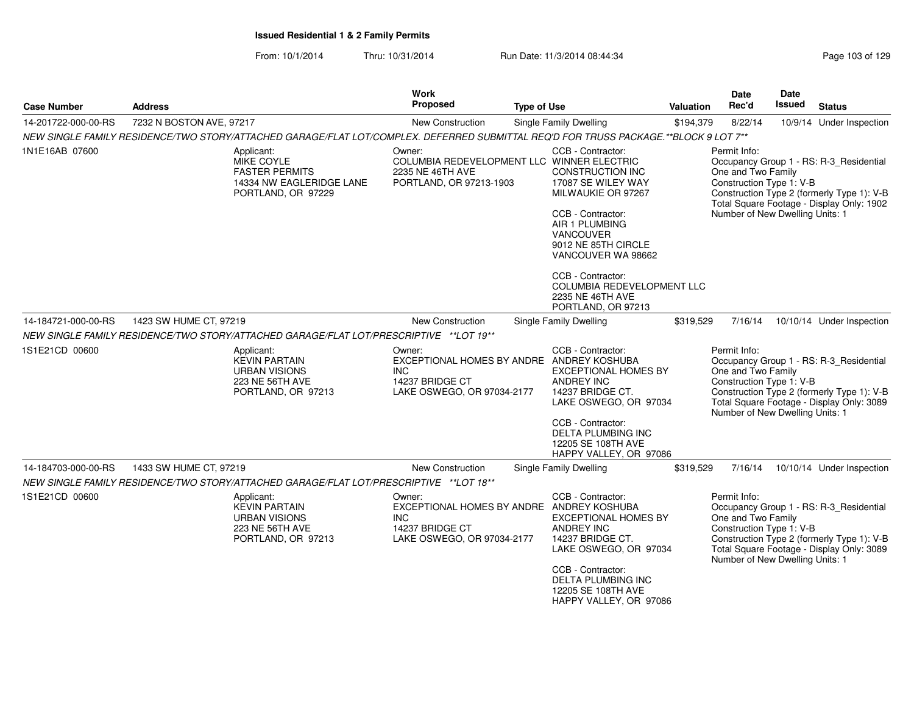| <b>Case Number</b>  | <b>Address</b>                                                                                                                       | Work<br><b>Proposed</b>                                               | <b>Type of Use</b>                                                                                                                                                                                                                                         | Valuation | <b>Date</b><br>Rec'd                                                                              | Date<br><b>Issued</b> | <b>Status</b>                                                                                                                      |
|---------------------|--------------------------------------------------------------------------------------------------------------------------------------|-----------------------------------------------------------------------|------------------------------------------------------------------------------------------------------------------------------------------------------------------------------------------------------------------------------------------------------------|-----------|---------------------------------------------------------------------------------------------------|-----------------------|------------------------------------------------------------------------------------------------------------------------------------|
| 14-201722-000-00-RS | 7232 N BOSTON AVE, 97217                                                                                                             | New Construction                                                      | Single Family Dwelling                                                                                                                                                                                                                                     | \$194,379 | 8/22/14                                                                                           |                       | 10/9/14 Under Inspection                                                                                                           |
|                     | NEW SINGLE FAMILY RESIDENCE/TWO STORY/ATTACHED GARAGE/FLAT LOT/COMPLEX. DEFERRED SUBMITTAL REQ'D FOR TRUSS PACKAGE.**BLOCK 9 LOT 7** |                                                                       |                                                                                                                                                                                                                                                            |           |                                                                                                   |                       |                                                                                                                                    |
| 1N1E16AB 07600      | Applicant:<br>MIKE COYLE<br><b>FASTER PERMITS</b><br>14334 NW EAGLERIDGE LANE<br>PORTLAND, OR 97229                                  | Owner:<br>2235 NE 46TH AVE<br>PORTLAND, OR 97213-1903                 | CCB - Contractor:<br>COLUMBIA REDEVELOPMENT LLC WINNER ELECTRIC<br>CONSTRUCTION INC<br>17087 SE WILEY WAY<br>MILWAUKIE OR 97267<br>CCB - Contractor:<br>AIR 1 PLUMBING<br><b>VANCOUVER</b><br>9012 NE 85TH CIRCLE<br>VANCOUVER WA 98662                    |           | Permit Info:<br>One and Two Family<br>Construction Type 1: V-B<br>Number of New Dwelling Units: 1 |                       | Occupancy Group 1 - RS: R-3_Residential<br>Construction Type 2 (formerly Type 1): V-B<br>Total Square Footage - Display Only: 1902 |
|                     |                                                                                                                                      |                                                                       | CCB - Contractor:<br>COLUMBIA REDEVELOPMENT LLC<br>2235 NE 46TH AVE<br>PORTLAND, OR 97213                                                                                                                                                                  |           |                                                                                                   |                       |                                                                                                                                    |
| 14-184721-000-00-RS | 1423 SW HUME CT, 97219                                                                                                               | <b>New Construction</b>                                               | Single Family Dwelling                                                                                                                                                                                                                                     | \$319,529 | 7/16/14                                                                                           |                       | 10/10/14 Under Inspection                                                                                                          |
|                     | NEW SINGLE FAMILY RESIDENCE/TWO STORY/ATTACHED GARAGE/FLAT LOT/PRESCRIPTIVE **LOT 19**                                               |                                                                       |                                                                                                                                                                                                                                                            |           |                                                                                                   |                       |                                                                                                                                    |
| 1S1E21CD 00600      | Applicant:<br><b>KEVIN PARTAIN</b><br><b>URBAN VISIONS</b><br>223 NE 56TH AVE<br>PORTLAND, OR 97213                                  | Owner:<br><b>INC</b><br>14237 BRIDGE CT<br>LAKE OSWEGO, OR 97034-2177 | CCB - Contractor:<br>EXCEPTIONAL HOMES BY ANDRE ANDREY KOSHUBA<br><b>EXCEPTIONAL HOMES BY</b><br><b>ANDREY INC</b><br>14237 BRIDGE CT.<br>LAKE OSWEGO, OR 97034                                                                                            |           | Permit Info:<br>One and Two Family<br>Construction Type 1: V-B<br>Number of New Dwelling Units: 1 |                       | Occupancy Group 1 - RS: R-3_Residential<br>Construction Type 2 (formerly Type 1): V-B<br>Total Square Footage - Display Only: 3089 |
|                     |                                                                                                                                      |                                                                       | CCB - Contractor:<br>DELTA PLUMBING INC<br>12205 SE 108TH AVE<br>HAPPY VALLEY, OR 97086                                                                                                                                                                    |           |                                                                                                   |                       |                                                                                                                                    |
| 14-184703-000-00-RS | 1433 SW HUME CT, 97219                                                                                                               | <b>New Construction</b>                                               | Single Family Dwelling                                                                                                                                                                                                                                     | \$319,529 | 7/16/14                                                                                           |                       | 10/10/14 Under Inspection                                                                                                          |
|                     | NEW SINGLE FAMILY RESIDENCE/TWO STORY/ATTACHED GARAGE/FLAT LOT/PRESCRIPTIVE ** LOT 18**                                              |                                                                       |                                                                                                                                                                                                                                                            |           |                                                                                                   |                       |                                                                                                                                    |
| 1S1E21CD 00600      | Applicant:<br><b>KEVIN PARTAIN</b><br><b>URBAN VISIONS</b><br>223 NE 56TH AVE<br>PORTLAND, OR 97213                                  | Owner:<br>INC.<br>14237 BRIDGE CT<br>LAKE OSWEGO, OR 97034-2177       | CCB - Contractor:<br>EXCEPTIONAL HOMES BY ANDRE ANDREY KOSHUBA<br><b>EXCEPTIONAL HOMES BY</b><br>ANDREY INC<br>14237 BRIDGE CT.<br>LAKE OSWEGO, OR 97034<br>CCB - Contractor:<br><b>DELTA PLUMBING INC</b><br>12205 SE 108TH AVE<br>HAPPY VALLEY, OR 97086 |           | Permit Info:<br>One and Two Family<br>Construction Type 1: V-B<br>Number of New Dwelling Units: 1 |                       | Occupancy Group 1 - RS: R-3_Residential<br>Construction Type 2 (formerly Type 1): V-B<br>Total Square Footage - Display Only: 3089 |
|                     |                                                                                                                                      |                                                                       |                                                                                                                                                                                                                                                            |           |                                                                                                   |                       |                                                                                                                                    |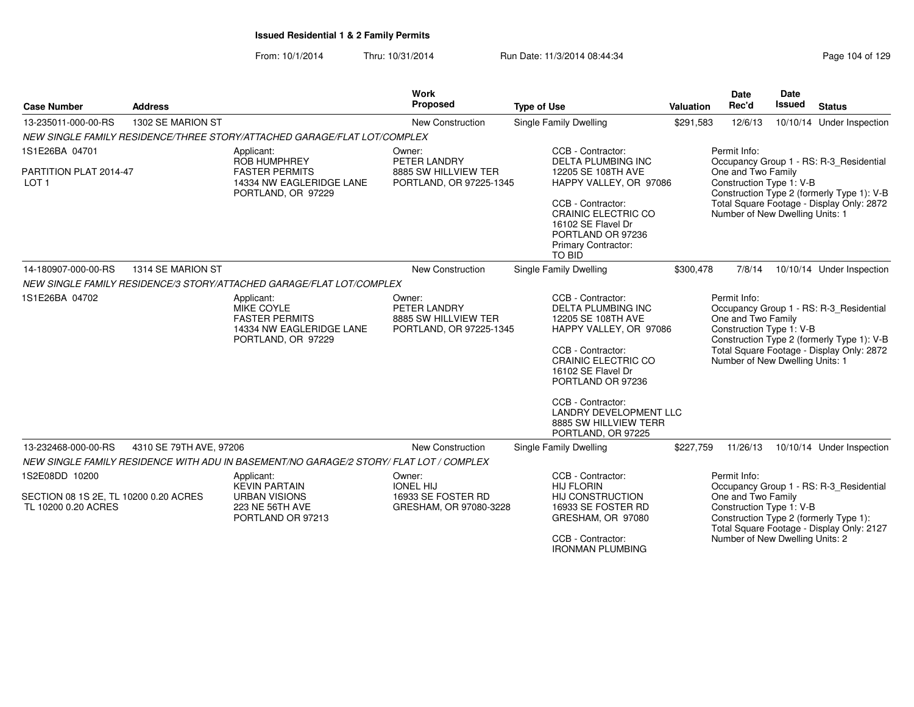| <b>Case Number</b>                                                             | <b>Address</b>          |                                                                                                              | Work<br><b>Proposed</b>                                                    | <b>Type of Use</b>                                                                                                                                                                                                                                                                         | Valuation | <b>Date</b><br>Rec'd                                                                              | Date<br><b>Issued</b> | <b>Status</b>                                                                                                                      |
|--------------------------------------------------------------------------------|-------------------------|--------------------------------------------------------------------------------------------------------------|----------------------------------------------------------------------------|--------------------------------------------------------------------------------------------------------------------------------------------------------------------------------------------------------------------------------------------------------------------------------------------|-----------|---------------------------------------------------------------------------------------------------|-----------------------|------------------------------------------------------------------------------------------------------------------------------------|
| 13-235011-000-00-RS                                                            | 1302 SE MARION ST       |                                                                                                              | New Construction                                                           | <b>Single Family Dwelling</b>                                                                                                                                                                                                                                                              | \$291,583 | 12/6/13                                                                                           |                       | 10/10/14 Under Inspection                                                                                                          |
|                                                                                |                         | NEW SINGLE FAMILY RESIDENCE/THREE STORY/ATTACHED GARAGE/FLAT LOT/COMPLEX                                     |                                                                            |                                                                                                                                                                                                                                                                                            |           |                                                                                                   |                       |                                                                                                                                    |
| 1S1E26BA 04701<br>PARTITION PLAT 2014-47<br>LOT <sub>1</sub>                   |                         | Applicant:<br><b>ROB HUMPHREY</b><br><b>FASTER PERMITS</b><br>14334 NW EAGLERIDGE LANE<br>PORTLAND, OR 97229 | Owner:<br>PETER LANDRY<br>8885 SW HILLVIEW TER<br>PORTLAND, OR 97225-1345  | CCB - Contractor:<br><b>DELTA PLUMBING INC</b><br>12205 SE 108TH AVE<br>HAPPY VALLEY, OR 97086<br>CCB - Contractor:<br>CRAINIC ELECTRIC CO<br>16102 SE Flavel Dr<br>PORTLAND OR 97236<br><b>Primary Contractor:</b><br><b>TO BID</b>                                                       |           | Permit Info:<br>One and Two Family<br>Construction Type 1: V-B<br>Number of New Dwelling Units: 1 |                       | Occupancy Group 1 - RS: R-3 Residential<br>Construction Type 2 (formerly Type 1): V-B<br>Total Square Footage - Display Only: 2872 |
| 14-180907-000-00-RS                                                            | 1314 SE MARION ST       |                                                                                                              | New Construction                                                           | <b>Single Family Dwelling</b>                                                                                                                                                                                                                                                              | \$300,478 | 7/8/14                                                                                            |                       | 10/10/14 Under Inspection                                                                                                          |
|                                                                                |                         | NEW SINGLE FAMILY RESIDENCE/3 STORY/ATTACHED GARAGE/FLAT LOT/COMPLEX                                         |                                                                            |                                                                                                                                                                                                                                                                                            |           |                                                                                                   |                       |                                                                                                                                    |
| 1S1E26BA 04702                                                                 |                         | Applicant:<br><b>MIKE COYLE</b><br><b>FASTER PERMITS</b><br>14334 NW EAGLERIDGE LANE<br>PORTLAND, OR 97229   | Owner:<br>PETER LANDRY<br>8885 SW HILLVIEW TER<br>PORTLAND, OR 97225-1345  | CCB - Contractor:<br><b>DELTA PLUMBING INC</b><br>12205 SE 108TH AVE<br>HAPPY VALLEY, OR 97086<br>CCB - Contractor:<br>CRAINIC ELECTRIC CO<br>16102 SE Flavel Dr<br>PORTLAND OR 97236<br>CCB - Contractor:<br><b>LANDRY DEVELOPMENT LLC</b><br>8885 SW HILLVIEW TERR<br>PORTLAND, OR 97225 |           | Permit Info:<br>One and Two Family<br>Construction Type 1: V-B<br>Number of New Dwelling Units: 1 |                       | Occupancy Group 1 - RS: R-3_Residential<br>Construction Type 2 (formerly Type 1): V-B<br>Total Square Footage - Display Only: 2872 |
| 13-232468-000-00-RS                                                            | 4310 SE 79TH AVE, 97206 |                                                                                                              | New Construction                                                           | Single Family Dwelling                                                                                                                                                                                                                                                                     | \$227,759 | 11/26/13                                                                                          |                       | 10/10/14 Under Inspection                                                                                                          |
|                                                                                |                         | NEW SINGLE FAMILY RESIDENCE WITH ADU IN BASEMENT/NO GARAGE/2 STORY/ FLAT LOT / COMPLEX                       |                                                                            |                                                                                                                                                                                                                                                                                            |           |                                                                                                   |                       |                                                                                                                                    |
| 1S2E08DD 10200<br>SECTION 08 1S 2E. TL 10200 0.20 ACRES<br>TL 10200 0.20 ACRES |                         | Applicant:<br><b>KEVIN PARTAIN</b><br><b>URBAN VISIONS</b><br>223 NE 56TH AVE<br>PORTLAND OR 97213           | Owner:<br><b>IONEL HIJ</b><br>16933 SE FOSTER RD<br>GRESHAM, OR 97080-3228 | CCB - Contractor:<br><b>HIJ FLORIN</b><br><b>HIJ CONSTRUCTION</b><br>16933 SE FOSTER RD<br>GRESHAM, OR 97080<br>CCB - Contractor:<br><b>IRONMAN PLUMBING</b>                                                                                                                               |           | Permit Info:<br>One and Two Family<br>Construction Type 1: V-B<br>Number of New Dwelling Units: 2 |                       | Occupancy Group 1 - RS: R-3_Residential<br>Construction Type 2 (formerly Type 1):<br>Total Square Footage - Display Only: 2127     |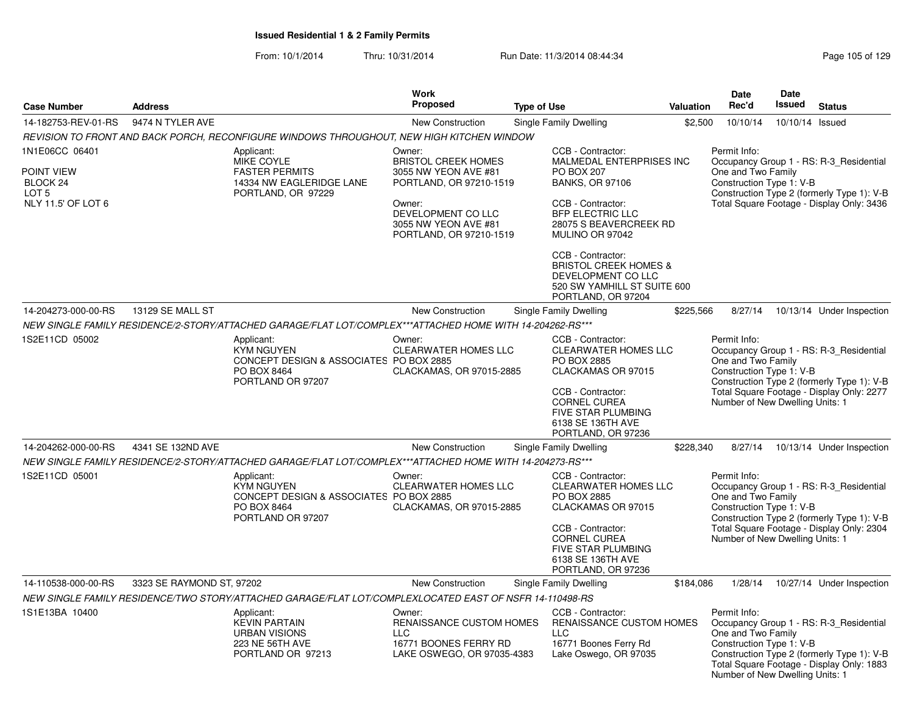|                                                                                    |                           |                                                                                                                | <b>Work</b>                                                                                                                                                                |                                                                                                                                                                                                           |           | <b>Date</b>                                                                                       | <b>Date</b>     |                                                                                                                                    |
|------------------------------------------------------------------------------------|---------------------------|----------------------------------------------------------------------------------------------------------------|----------------------------------------------------------------------------------------------------------------------------------------------------------------------------|-----------------------------------------------------------------------------------------------------------------------------------------------------------------------------------------------------------|-----------|---------------------------------------------------------------------------------------------------|-----------------|------------------------------------------------------------------------------------------------------------------------------------|
| <b>Case Number</b>                                                                 | <b>Address</b>            |                                                                                                                | <b>Proposed</b>                                                                                                                                                            | <b>Type of Use</b>                                                                                                                                                                                        | Valuation | Rec'd                                                                                             | <b>Issued</b>   | <b>Status</b>                                                                                                                      |
| 14-182753-REV-01-RS                                                                | 9474 N TYLER AVE          |                                                                                                                | <b>New Construction</b>                                                                                                                                                    | Single Family Dwelling                                                                                                                                                                                    | \$2,500   | 10/10/14                                                                                          | 10/10/14 Issued |                                                                                                                                    |
|                                                                                    |                           | REVISION TO FRONT AND BACK PORCH, RECONFIGURE WINDOWS THROUGHOUT, NEW HIGH KITCHEN WINDOW                      |                                                                                                                                                                            |                                                                                                                                                                                                           |           |                                                                                                   |                 |                                                                                                                                    |
| 1N1E06CC 06401<br>POINT VIEW<br>BLOCK 24<br>LOT <sub>5</sub><br>NLY 11.5' OF LOT 6 |                           | Applicant:<br><b>MIKE COYLE</b><br><b>FASTER PERMITS</b><br>14334 NW EAGLERIDGE LANE<br>PORTLAND, OR 97229     | Owner:<br><b>BRISTOL CREEK HOMES</b><br>3055 NW YEON AVE #81<br>PORTLAND, OR 97210-1519<br>Owner:<br>DEVELOPMENT CO LLC<br>3055 NW YEON AVE #81<br>PORTLAND, OR 97210-1519 | CCB - Contractor:<br>MALMEDAL ENTERPRISES INC<br><b>PO BOX 207</b><br><b>BANKS, OR 97106</b><br>CCB - Contractor:<br><b>BFP ELECTRIC LLC</b><br>28075 S BEAVERCREEK RD<br>MULINO OR 97042                 |           | Permit Info:<br>One and Two Family<br>Construction Type 1: V-B                                    |                 | Occupancy Group 1 - RS: R-3_Residential<br>Construction Type 2 (formerly Type 1): V-B<br>Total Square Footage - Display Only: 3436 |
|                                                                                    |                           |                                                                                                                |                                                                                                                                                                            | CCB - Contractor:<br><b>BRISTOL CREEK HOMES &amp;</b><br>DEVELOPMENT CO LLC<br>520 SW YAMHILL ST SUITE 600<br>PORTLAND, OR 97204                                                                          |           |                                                                                                   |                 |                                                                                                                                    |
| 14-204273-000-00-RS                                                                | 13129 SE MALL ST          |                                                                                                                | New Construction                                                                                                                                                           | Single Family Dwelling                                                                                                                                                                                    | \$225,566 | 8/27/14                                                                                           |                 | 10/13/14 Under Inspection                                                                                                          |
|                                                                                    |                           | NEW SINGLE FAMILY RESIDENCE/2-STORY/ATTACHED GARAGE/FLAT LOT/COMPLEX***ATTACHED HOME WITH 14-204262-RS***      |                                                                                                                                                                            |                                                                                                                                                                                                           |           |                                                                                                   |                 |                                                                                                                                    |
| 1S2E11CD 05002                                                                     |                           | Applicant:<br><b>KYM NGUYEN</b><br>CONCEPT DESIGN & ASSOCIATES PO BOX 2885<br>PO BOX 8464<br>PORTLAND OR 97207 | Owner:<br><b>CLEARWATER HOMES LLC</b><br>CLACKAMAS, OR 97015-2885                                                                                                          | CCB - Contractor:<br><b>CLEARWATER HOMES LLC</b><br>PO BOX 2885<br>CLACKAMAS OR 97015<br>CCB - Contractor:<br><b>CORNEL CUREA</b>                                                                         |           | Permit Info:<br>One and Two Family<br>Construction Type 1: V-B<br>Number of New Dwelling Units: 1 |                 | Occupancy Group 1 - RS: R-3_Residential<br>Construction Type 2 (formerly Type 1): V-B<br>Total Square Footage - Display Only: 2277 |
|                                                                                    |                           |                                                                                                                |                                                                                                                                                                            | <b>FIVE STAR PLUMBING</b><br>6138 SE 136TH AVE<br>PORTLAND, OR 97236                                                                                                                                      |           |                                                                                                   |                 |                                                                                                                                    |
| 14-204262-000-00-RS                                                                | 4341 SE 132ND AVE         |                                                                                                                | <b>New Construction</b>                                                                                                                                                    | Single Family Dwelling                                                                                                                                                                                    | \$228,340 | 8/27/14                                                                                           |                 | 10/13/14 Under Inspection                                                                                                          |
|                                                                                    |                           | NEW SINGLE FAMILY RESIDENCE/2-STORY/ATTACHED GARAGE/FLAT LOT/COMPLEX***ATTACHED HOME WITH 14-204273-RS***      |                                                                                                                                                                            |                                                                                                                                                                                                           |           |                                                                                                   |                 |                                                                                                                                    |
| 1S2E11CD 05001                                                                     |                           | Applicant:<br><b>KYM NGUYEN</b><br>CONCEPT DESIGN & ASSOCIATES PO BOX 2885<br>PO BOX 8464<br>PORTLAND OR 97207 | Owner:<br><b>CLEARWATER HOMES LLC</b><br>CLACKAMAS, OR 97015-2885                                                                                                          | CCB - Contractor:<br><b>CLEARWATER HOMES LLC</b><br>PO BOX 2885<br>CLACKAMAS OR 97015<br>CCB - Contractor:<br><b>CORNEL CUREA</b><br><b>FIVE STAR PLUMBING</b><br>6138 SE 136TH AVE<br>PORTLAND, OR 97236 |           | Permit Info:<br>One and Two Family<br>Construction Type 1: V-B<br>Number of New Dwelling Units: 1 |                 | Occupancy Group 1 - RS: R-3 Residential<br>Construction Type 2 (formerly Type 1): V-B<br>Total Square Footage - Display Only: 2304 |
| 14-110538-000-00-RS                                                                | 3323 SE RAYMOND ST, 97202 |                                                                                                                | <b>New Construction</b>                                                                                                                                                    | Single Family Dwelling                                                                                                                                                                                    | \$184,086 | 1/28/14                                                                                           |                 | 10/27/14 Under Inspection                                                                                                          |
|                                                                                    |                           | NEW SINGLE FAMILY RESIDENCE/TWO STORY/ATTACHED GARAGE/FLAT LOT/COMPLEXLOCATED EAST OF NSFR 14-110498-RS        |                                                                                                                                                                            |                                                                                                                                                                                                           |           |                                                                                                   |                 |                                                                                                                                    |
| 1S1E13BA 10400                                                                     |                           | Applicant:<br><b>KEVIN PARTAIN</b><br><b>URBAN VISIONS</b><br>223 NE 56TH AVE<br>PORTLAND OR 97213             | Owner:<br>RENAISSANCE CUSTOM HOMES<br><b>LLC</b><br>16771 BOONES FERRY RD<br>LAKE OSWEGO, OR 97035-4383                                                                    | CCB - Contractor:<br>RENAISSANCE CUSTOM HOMES<br><b>LLC</b><br>16771 Boones Ferry Rd<br>Lake Oswego, OR 97035                                                                                             |           | Permit Info:<br>One and Two Family<br>Construction Type 1: V-B<br>Number of New Dwelling Units: 1 |                 | Occupancy Group 1 - RS: R-3_Residential<br>Construction Type 2 (formerly Type 1): V-B<br>Total Square Footage - Display Only: 1883 |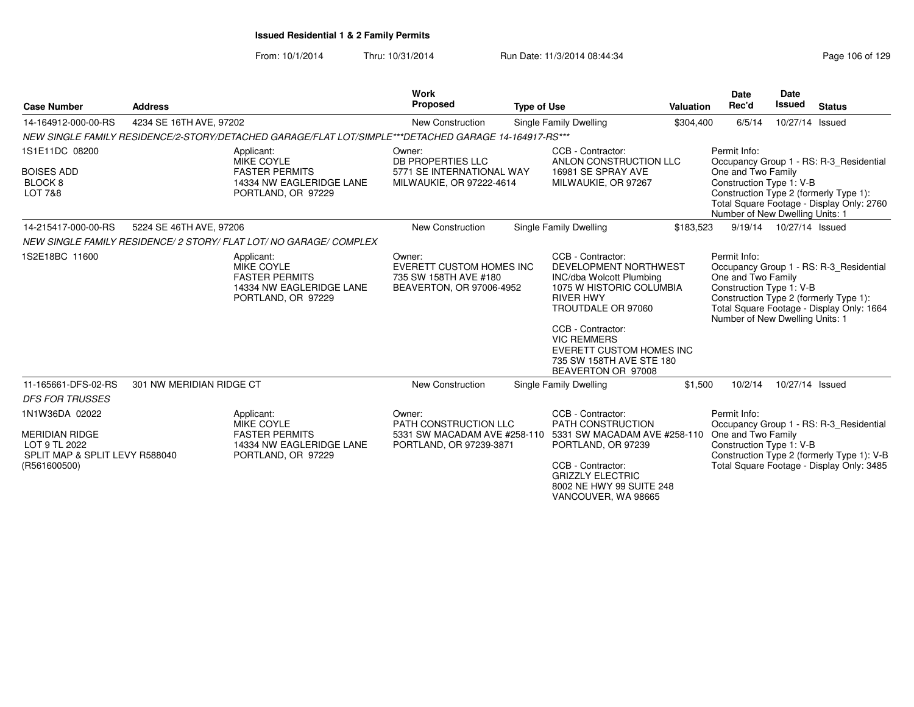| <b>Case Number</b>                                                                       | <b>Address</b>           |                                                                                                            | Work<br><b>Proposed</b>                                                                        | <b>Type of Use</b> |                                                                                                                                                                                                                                                                                     | <b>Valuation</b> | <b>Date</b><br>Rec'd                                                                              | <b>Date</b><br><b>Issued</b> | <b>Status</b>                                                                                                                  |
|------------------------------------------------------------------------------------------|--------------------------|------------------------------------------------------------------------------------------------------------|------------------------------------------------------------------------------------------------|--------------------|-------------------------------------------------------------------------------------------------------------------------------------------------------------------------------------------------------------------------------------------------------------------------------------|------------------|---------------------------------------------------------------------------------------------------|------------------------------|--------------------------------------------------------------------------------------------------------------------------------|
| 14-164912-000-00-RS                                                                      | 4234 SE 16TH AVE, 97202  |                                                                                                            | New Construction                                                                               |                    | Single Family Dwelling                                                                                                                                                                                                                                                              | \$304,400        | 6/5/14                                                                                            | 10/27/14 Issued              |                                                                                                                                |
|                                                                                          |                          | NEW SINGLE FAMILY RESIDENCE/2-STORY/DETACHED GARAGE/FLAT LOT/SIMPLE***DETACHED GARAGE 14-164917-RS***      |                                                                                                |                    |                                                                                                                                                                                                                                                                                     |                  |                                                                                                   |                              |                                                                                                                                |
| 1S1E11DC 08200<br><b>BOISES ADD</b><br>BLOCK 8<br>LOT 7&8                                |                          | Applicant:<br><b>MIKE COYLE</b><br><b>FASTER PERMITS</b><br>14334 NW EAGLERIDGE LANE<br>PORTLAND, OR 97229 | Owner:<br>DB PROPERTIES LLC<br>5771 SE INTERNATIONAL WAY<br>MILWAUKIE, OR 97222-4614           |                    | CCB - Contractor:<br>ANLON CONSTRUCTION LLC<br>16981 SE SPRAY AVE<br>MILWAUKIE, OR 97267                                                                                                                                                                                            |                  | Permit Info:<br>One and Two Family<br>Construction Type 1: V-B<br>Number of New Dwelling Units: 1 |                              | Occupancy Group 1 - RS: R-3 Residential<br>Construction Type 2 (formerly Type 1):<br>Total Square Footage - Display Only: 2760 |
| 14-215417-000-00-RS                                                                      | 5224 SE 46TH AVE, 97206  |                                                                                                            | New Construction                                                                               |                    | Single Family Dwelling                                                                                                                                                                                                                                                              | \$183,523        |                                                                                                   | 9/19/14  10/27/14  Issued    |                                                                                                                                |
|                                                                                          |                          | NEW SINGLE FAMILY RESIDENCE/ 2 STORY/ FLAT LOT/ NO GARAGE/ COMPLEX                                         |                                                                                                |                    |                                                                                                                                                                                                                                                                                     |                  |                                                                                                   |                              |                                                                                                                                |
| 1S2E18BC 11600                                                                           |                          | Applicant:<br><b>MIKE COYLE</b><br><b>FASTER PERMITS</b><br>14334 NW EAGLERIDGE LANE<br>PORTLAND, OR 97229 | Owner:<br><b>EVERETT CUSTOM HOMES INC</b><br>735 SW 158TH AVE #180<br>BEAVERTON, OR 97006-4952 |                    | CCB - Contractor:<br>DEVELOPMENT NORTHWEST<br><b>INC/dba Wolcott Plumbing</b><br>1075 W HISTORIC COLUMBIA<br><b>RIVER HWY</b><br>TROUTDALE OR 97060<br>CCB - Contractor:<br><b>VIC REMMERS</b><br><b>EVERETT CUSTOM HOMES INC</b><br>735 SW 158TH AVE STE 180<br>BEAVERTON OR 97008 |                  | Permit Info:<br>One and Two Family<br>Construction Type 1: V-B<br>Number of New Dwelling Units: 1 |                              | Occupancy Group 1 - RS: R-3 Residential<br>Construction Type 2 (formerly Type 1):<br>Total Square Footage - Display Only: 1664 |
| 11-165661-DFS-02-RS<br><b>DFS FOR TRUSSES</b>                                            | 301 NW MERIDIAN RIDGE CT |                                                                                                            | New Construction                                                                               |                    | Single Family Dwelling                                                                                                                                                                                                                                                              | \$1,500          | 10/2/14                                                                                           | 10/27/14 Issued              |                                                                                                                                |
| 1N1W36DA 02022                                                                           |                          | Applicant:<br><b>MIKE COYLE</b>                                                                            | Owner:<br>PATH CONSTRUCTION LLC                                                                |                    | CCB - Contractor:<br>PATH CONSTRUCTION                                                                                                                                                                                                                                              |                  | Permit Info:                                                                                      |                              | Occupancy Group 1 - RS: R-3 Residential                                                                                        |
| <b>MERIDIAN RIDGE</b><br>LOT 9 TL 2022<br>SPLIT MAP & SPLIT LEVY R588040<br>(R561600500) |                          | <b>FASTER PERMITS</b><br>14334 NW EAGLERIDGE LANE<br>PORTLAND, OR 97229                                    | 5331 SW MACADAM AVE #258-110<br>PORTLAND, OR 97239-3871                                        |                    | 5331 SW MACADAM AVE #258-110 One and Two Family<br>PORTLAND, OR 97239<br>CCB - Contractor:<br><b>GRIZZLY ELECTRIC</b><br>8002 NE HWY 99 SUITE 248<br>VANCOUVER, WA 98665                                                                                                            |                  | Construction Type 1: V-B                                                                          |                              | Construction Type 2 (formerly Type 1): V-B<br>Total Square Footage - Display Only: 3485                                        |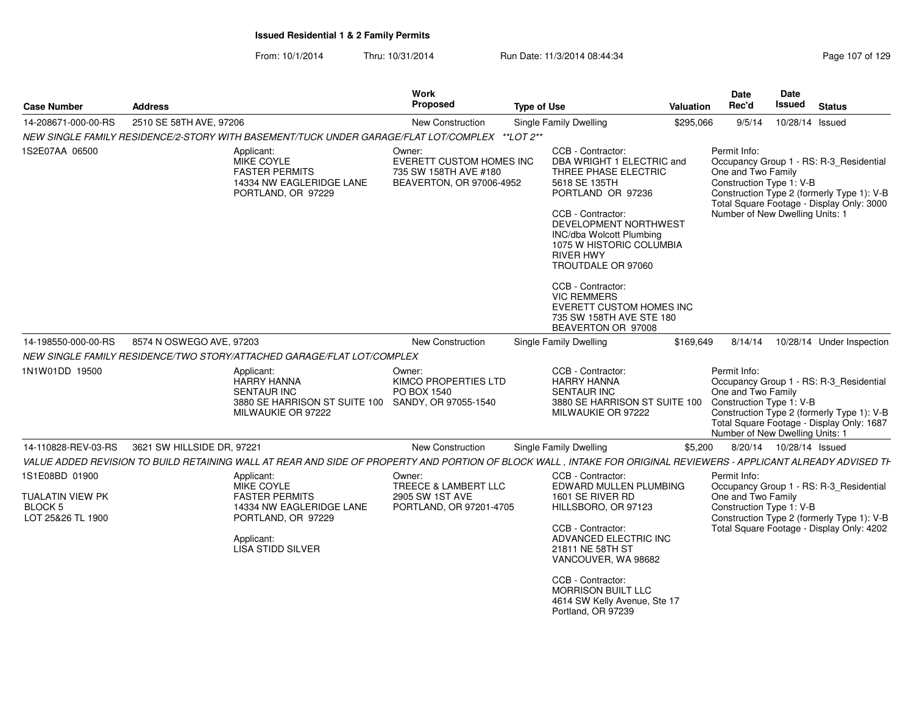| <b>Case Number</b>                                                 | <b>Address</b>             |                                                                                                                                                                   | Work<br>Proposed                                                                        | <b>Type of Use</b> |                                                                                                                                                                                                                                                                                                                                                                                              | Valuation | Date<br>Rec'd                                                                                     | Date<br>Issued            | <b>Status</b>                                                                                                                      |
|--------------------------------------------------------------------|----------------------------|-------------------------------------------------------------------------------------------------------------------------------------------------------------------|-----------------------------------------------------------------------------------------|--------------------|----------------------------------------------------------------------------------------------------------------------------------------------------------------------------------------------------------------------------------------------------------------------------------------------------------------------------------------------------------------------------------------------|-----------|---------------------------------------------------------------------------------------------------|---------------------------|------------------------------------------------------------------------------------------------------------------------------------|
| 14-208671-000-00-RS                                                | 2510 SE 58TH AVE, 97206    |                                                                                                                                                                   | New Construction                                                                        |                    | <b>Single Family Dwelling</b>                                                                                                                                                                                                                                                                                                                                                                | \$295,066 | 9/5/14                                                                                            | 10/28/14 Issued           |                                                                                                                                    |
|                                                                    |                            | NEW SINGLE FAMILY RESIDENCE/2-STORY WITH BASEMENT/TUCK UNDER GARAGE/FLAT LOT/COMPLEX **LOT 2**                                                                    |                                                                                         |                    |                                                                                                                                                                                                                                                                                                                                                                                              |           |                                                                                                   |                           |                                                                                                                                    |
| 1S2E07AA 06500                                                     |                            | Applicant:<br>MIKE COYLE<br><b>FASTER PERMITS</b><br>14334 NW EAGLERIDGE LANE<br>PORTLAND, OR 97229                                                               | Owner:<br>EVERETT CUSTOM HOMES INC<br>735 SW 158TH AVE #180<br>BEAVERTON, OR 97006-4952 |                    | CCB - Contractor:<br>DBA WRIGHT 1 ELECTRIC and<br>THREE PHASE ELECTRIC<br>5618 SE 135TH<br>PORTLAND OR 97236<br>CCB - Contractor:<br>DEVELOPMENT NORTHWEST<br><b>INC/dba Wolcott Plumbing</b><br>1075 W HISTORIC COLUMBIA<br><b>RIVER HWY</b><br>TROUTDALE OR 97060<br>CCB - Contractor:<br><b>VIC REMMERS</b><br>EVERETT CUSTOM HOMES INC<br>735 SW 158TH AVE STE 180<br>BEAVERTON OR 97008 |           | Permit Info:<br>One and Two Family<br>Construction Type 1: V-B<br>Number of New Dwelling Units: 1 |                           | Occupancy Group 1 - RS: R-3_Residential<br>Construction Type 2 (formerly Type 1): V-B<br>Total Square Footage - Display Only: 3000 |
| 14-198550-000-00-RS                                                | 8574 N OSWEGO AVE, 97203   | NEW SINGLE FAMILY RESIDENCE/TWO STORY/ATTACHED GARAGE/FLAT LOT/COMPLEX                                                                                            | <b>New Construction</b>                                                                 |                    | <b>Single Family Dwelling</b>                                                                                                                                                                                                                                                                                                                                                                | \$169,649 |                                                                                                   |                           | 8/14/14  10/28/14  Under Inspection                                                                                                |
| 1N1W01DD 19500                                                     |                            | Applicant:<br><b>HARRY HANNA</b><br><b>SENTAUR INC</b><br>3880 SE HARRISON ST SUITE 100 SANDY, OR 97055-1540<br>MILWAUKIE OR 97222                                | Owner:<br>KIMCO PROPERTIES LTD<br>PO BOX 1540                                           |                    | CCB - Contractor:<br><b>HARRY HANNA</b><br><b>SENTAUR INC</b><br>3880 SE HARRISON ST SUITE 100<br>MILWAUKIE OR 97222                                                                                                                                                                                                                                                                         |           | Permit Info:<br>One and Two Family<br>Construction Type 1: V-B<br>Number of New Dwelling Units: 1 |                           | Occupancy Group 1 - RS: R-3 Residential<br>Construction Type 2 (formerly Type 1): V-B<br>Total Square Footage - Display Only: 1687 |
| 14-110828-REV-03-RS                                                | 3621 SW HILLSIDE DR, 97221 |                                                                                                                                                                   | New Construction                                                                        |                    | Single Family Dwelling                                                                                                                                                                                                                                                                                                                                                                       | \$5,200   |                                                                                                   | 8/20/14  10/28/14  Issued |                                                                                                                                    |
|                                                                    |                            | VALUE ADDED REVISION TO BUILD RETAINING WALL AT REAR AND SIDE OF PROPERTY AND PORTION OF BLOCK WALL, INTAKE FOR ORIGINAL REVIEWERS - APPLICANT ALREADY ADVISED TH |                                                                                         |                    |                                                                                                                                                                                                                                                                                                                                                                                              |           |                                                                                                   |                           |                                                                                                                                    |
| 1S1E08BD 01900<br>TUALATIN VIEW PK<br>BLOCK 5<br>LOT 25&26 TL 1900 |                            | Applicant:<br>MIKE COYLE<br><b>FASTER PERMITS</b><br>14334 NW EAGLERIDGE LANE<br>PORTLAND, OR 97229<br>Applicant:<br><b>LISA STIDD SILVER</b>                     | Owner:<br>TREECE & LAMBERT LLC<br>2905 SW 1ST AVE<br>PORTLAND, OR 97201-4705            |                    | CCB - Contractor:<br>EDWARD MULLEN PLUMBING<br>1601 SE RIVER RD<br>HILLSBORO, OR 97123<br>CCB - Contractor:<br>ADVANCED ELECTRIC INC<br>21811 NE 58TH ST<br>VANCOUVER, WA 98682<br>CCB - Contractor:                                                                                                                                                                                         |           | Permit Info:<br>One and Two Family<br>Construction Type 1: V-B                                    |                           | Occupancy Group 1 - RS: R-3_Residential<br>Construction Type 2 (formerly Type 1): V-B<br>Total Square Footage - Display Only: 4202 |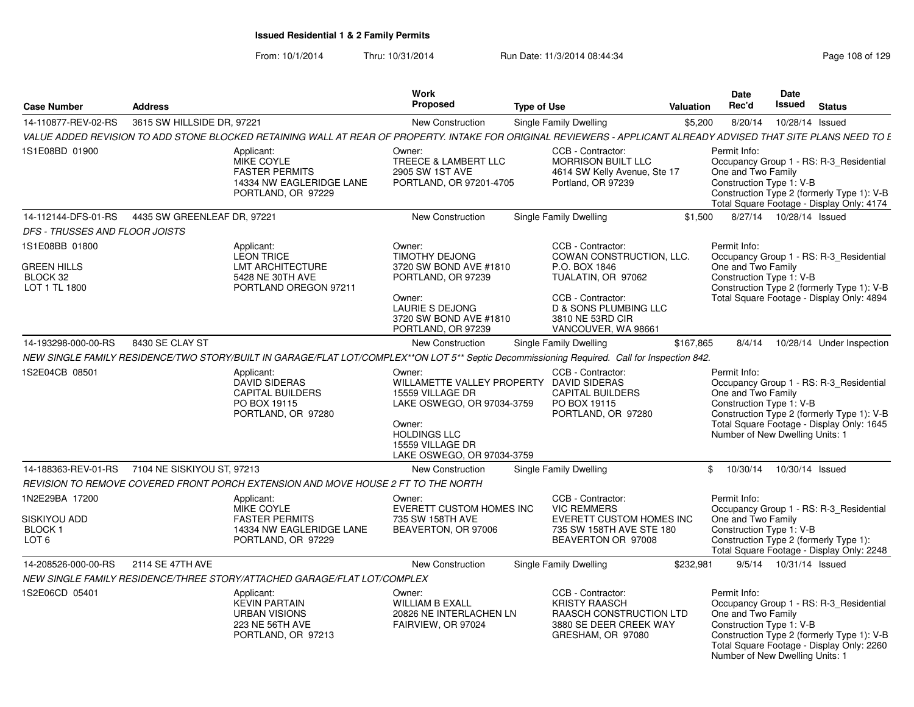|                                                                     | <b>Address</b>                                                                                                                                                                                  | <b>Work</b><br><b>Proposed</b>                                                                                                                                                          |                                                                                                                                                                                          | Date<br>Rec'd    |                                                                                   | <b>Date</b><br>Issued | <b>Status</b>                                                                                                                      |
|---------------------------------------------------------------------|-------------------------------------------------------------------------------------------------------------------------------------------------------------------------------------------------|-----------------------------------------------------------------------------------------------------------------------------------------------------------------------------------------|------------------------------------------------------------------------------------------------------------------------------------------------------------------------------------------|------------------|-----------------------------------------------------------------------------------|-----------------------|------------------------------------------------------------------------------------------------------------------------------------|
| <b>Case Number</b>                                                  |                                                                                                                                                                                                 |                                                                                                                                                                                         | <b>Type of Use</b>                                                                                                                                                                       | <b>Valuation</b> |                                                                                   |                       |                                                                                                                                    |
| 14-110877-REV-02-RS                                                 | 3615 SW HILLSIDE DR, 97221<br>VALUE ADDED REVISION TO ADD STONE BLOCKED RETAINING WALL AT REAR OF PROPERTY. INTAKE FOR ORIGINAL REVIEWERS - APPLICANT ALREADY ADVISED THAT SITE PLANS NEED TO E | New Construction                                                                                                                                                                        | Single Family Dwelling                                                                                                                                                                   | \$5,200          | 8/20/14                                                                           | 10/28/14 Issued       |                                                                                                                                    |
| 1S1E08BD 01900                                                      | Applicant:<br>MIKE COYLE<br><b>FASTER PERMITS</b><br>14334 NW EAGLERIDGE LANE<br>PORTLAND, OR 97229                                                                                             | Owner:<br>TREECE & LAMBERT LLC<br>2905 SW 1ST AVE<br>PORTLAND, OR 97201-4705                                                                                                            | CCB - Contractor:<br><b>MORRISON BUILT LLC</b><br>4614 SW Kelly Avenue, Ste 17<br>Portland, OR 97239                                                                                     | Permit Info:     | One and Two Family<br>Construction Type 1: V-B                                    |                       | Occupancy Group 1 - RS: R-3_Residential<br>Construction Type 2 (formerly Type 1): V-B<br>Total Square Footage - Display Only: 4174 |
| 14-112144-DFS-01-RS                                                 | 4435 SW GREENLEAF DR. 97221                                                                                                                                                                     | <b>New Construction</b>                                                                                                                                                                 | Single Family Dwelling                                                                                                                                                                   | \$1,500          | 8/27/14  10/28/14  Issued                                                         |                       |                                                                                                                                    |
| <b>DFS - TRUSSES AND FLOOR JOISTS</b>                               |                                                                                                                                                                                                 |                                                                                                                                                                                         |                                                                                                                                                                                          |                  |                                                                                   |                       |                                                                                                                                    |
| 1S1E08BB 01800<br><b>GREEN HILLS</b><br>BLOCK 32<br>LOT 1 TL 1800   | Applicant:<br>LEON TRICE<br><b>LMT ARCHITECTURE</b><br>5428 NE 30TH AVE<br>PORTLAND OREGON 97211                                                                                                | Owner:<br><b>TIMOTHY DEJONG</b><br>3720 SW BOND AVE #1810<br>PORTLAND, OR 97239<br>Owner:<br><b>LAURIE S DEJONG</b><br>3720 SW BOND AVE #1810<br>PORTLAND, OR 97239                     | CCB - Contractor:<br>COWAN CONSTRUCTION, LLC.<br>P.O. BOX 1846<br>TUALATIN, OR 97062<br>CCB - Contractor:<br><b>D &amp; SONS PLUMBING LLC</b><br>3810 NE 53RD CIR<br>VANCOUVER, WA 98661 | Permit Info:     | One and Two Family<br>Construction Type 1: V-B                                    |                       | Occupancy Group 1 - RS: R-3 Residential<br>Construction Type 2 (formerly Type 1): V-B<br>Total Square Footage - Display Only: 4894 |
| 14-193298-000-00-RS                                                 | 8430 SE CLAY ST                                                                                                                                                                                 | <b>New Construction</b>                                                                                                                                                                 | <b>Single Family Dwelling</b>                                                                                                                                                            | \$167.865        |                                                                                   |                       | 8/4/14  10/28/14  Under Inspection                                                                                                 |
|                                                                     | NEW SINGLE FAMILY RESIDENCE/TWO STORY/BUILT IN GARAGE/FLAT LOT/COMPLEX**ON LOT 5** Septic Decommissioning Required. Call for Inspection 842.                                                    |                                                                                                                                                                                         |                                                                                                                                                                                          |                  |                                                                                   |                       |                                                                                                                                    |
| 1S2E04CB 08501                                                      | Applicant:<br><b>DAVID SIDERAS</b><br><b>CAPITAL BUILDERS</b><br>PO BOX 19115<br>PORTLAND, OR 97280                                                                                             | Owner:<br>WILLAMETTE VALLEY PROPERTY DAVID SIDERAS<br>15559 VILLAGE DR<br>LAKE OSWEGO, OR 97034-3759<br>Owner:<br><b>HOLDINGS LLC</b><br>15559 VILLAGE DR<br>LAKE OSWEGO, OR 97034-3759 | CCB - Contractor:<br><b>CAPITAL BUILDERS</b><br>PO BOX 19115<br>PORTLAND, OR 97280                                                                                                       | Permit Info:     | One and Two Family<br>Construction Type 1: V-B<br>Number of New Dwelling Units: 1 |                       | Occupancy Group 1 - RS: R-3 Residential<br>Construction Type 2 (formerly Type 1): V-B<br>Total Square Footage - Display Only: 1645 |
|                                                                     | 14-188363-REV-01-RS 7104 NE SISKIYOU ST, 97213                                                                                                                                                  | New Construction                                                                                                                                                                        | Single Family Dwelling                                                                                                                                                                   | $^{\circ}$       | 10/30/14  10/30/14  Issued                                                        |                       |                                                                                                                                    |
|                                                                     | REVISION TO REMOVE COVERED FRONT PORCH EXTENSION AND MOVE HOUSE 2 FT TO THE NORTH                                                                                                               |                                                                                                                                                                                         |                                                                                                                                                                                          |                  |                                                                                   |                       |                                                                                                                                    |
| 1N2E29BA 17200<br>SISKIYOU ADD<br><b>BLOCK1</b><br>LOT <sub>6</sub> | Applicant:<br>MIKE COYLE<br><b>FASTER PERMITS</b><br>14334 NW EAGLERIDGE LANE<br>PORTLAND, OR 97229                                                                                             | Owner:<br><b>EVERETT CUSTOM HOMES INC</b><br>735 SW 158TH AVE<br>BEAVERTON, OR 97006                                                                                                    | CCB - Contractor:<br><b>VIC REMMERS</b><br><b>EVERETT CUSTOM HOMES INC</b><br>735 SW 158TH AVE STE 180<br>BEAVERTON OR 97008                                                             | Permit Info:     | One and Two Family<br>Construction Type 1: V-B                                    |                       | Occupancy Group 1 - RS: R-3 Residential<br>Construction Type 2 (formerly Type 1):<br>Total Square Footage - Display Only: 2248     |
| 14-208526-000-00-RS                                                 | 2114 SE 47TH AVE                                                                                                                                                                                | New Construction                                                                                                                                                                        | Single Family Dwelling                                                                                                                                                                   | \$232,981        | 9/5/14  10/31/14  Issued                                                          |                       |                                                                                                                                    |
|                                                                     | NEW SINGLE FAMILY RESIDENCE/THREE STORY/ATTACHED GARAGE/FLAT LOT/COMPLEX                                                                                                                        |                                                                                                                                                                                         |                                                                                                                                                                                          |                  |                                                                                   |                       |                                                                                                                                    |
| 1S2E06CD 05401                                                      | Applicant:<br><b>KEVIN PARTAIN</b><br><b>URBAN VISIONS</b><br>223 NE 56TH AVE<br>PORTLAND, OR 97213                                                                                             | Owner:<br><b>WILLIAM B EXALL</b><br>20826 NE INTERLACHEN LN<br>FAIRVIEW, OR 97024                                                                                                       | CCB - Contractor:<br><b>KRISTY RAASCH</b><br><b>RAASCH CONSTRUCTION LTD</b><br>3880 SE DEER CREEK WAY<br>GRESHAM, OR 97080                                                               | Permit Info:     | One and Two Family<br>Construction Type 1: V-B<br>Number of New Dwelling Units: 1 |                       | Occupancy Group 1 - RS: R-3_Residential<br>Construction Type 2 (formerly Type 1): V-B<br>Total Square Footage - Display Only: 2260 |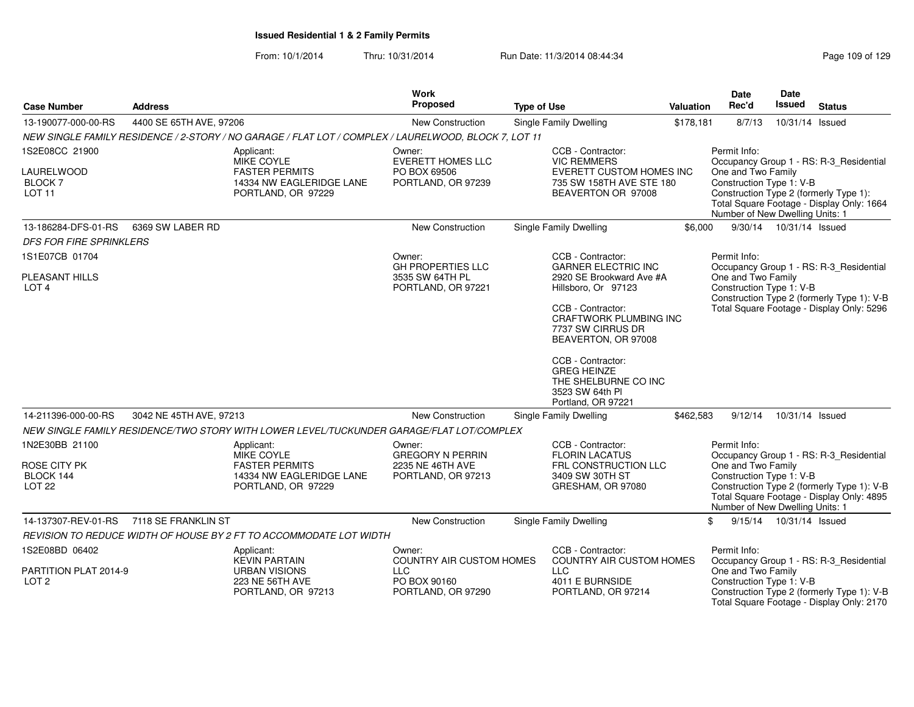| <b>Case Number</b>                                | <b>Address</b>          |                                                                                                      | Work<br><b>Proposed</b>                                           | <b>Type of Use</b>                                                                                       | <b>Valuation</b> | <b>Date</b><br>Rec'd                                                              | Date<br>Issued            | <b>Status</b>                                                                           |
|---------------------------------------------------|-------------------------|------------------------------------------------------------------------------------------------------|-------------------------------------------------------------------|----------------------------------------------------------------------------------------------------------|------------------|-----------------------------------------------------------------------------------|---------------------------|-----------------------------------------------------------------------------------------|
| 13-190077-000-00-RS                               | 4400 SE 65TH AVE, 97206 |                                                                                                      | New Construction                                                  | Single Family Dwelling                                                                                   | \$178,181        | 8/7/13                                                                            | 10/31/14 Issued           |                                                                                         |
|                                                   |                         | NEW SINGLE FAMILY RESIDENCE / 2-STORY / NO GARAGE / FLAT LOT / COMPLEX / LAURELWOOD, BLOCK 7, LOT 11 |                                                                   |                                                                                                          |                  |                                                                                   |                           |                                                                                         |
| 1S2E08CC 21900                                    |                         | Applicant:<br>MIKE COYLE                                                                             | Owner:<br><b>EVERETT HOMES LLC</b>                                | CCB - Contractor:<br><b>VIC REMMERS</b>                                                                  |                  | Permit Info:                                                                      |                           | Occupancy Group 1 - RS: R-3_Residential                                                 |
| LAURELWOOD<br><b>BLOCK 7</b><br>LOT <sub>11</sub> |                         | <b>FASTER PERMITS</b><br>14334 NW EAGLERIDGE LANE<br>PORTLAND, OR 97229                              | PO BOX 69506<br>PORTLAND, OR 97239                                | EVERETT CUSTOM HOMES INC<br>735 SW 158TH AVE STE 180<br>BEAVERTON OR 97008                               |                  | One and Two Family<br>Construction Type 1: V-B<br>Number of New Dwelling Units: 1 |                           | Construction Type 2 (formerly Type 1):<br>Total Square Footage - Display Only: 1664     |
| 13-186284-DFS-01-RS                               | 6369 SW LABER RD        |                                                                                                      | New Construction                                                  | Single Family Dwelling                                                                                   | \$6,000          |                                                                                   | 9/30/14  10/31/14  Issued |                                                                                         |
| <b>DFS FOR FIRE SPRINKLERS</b>                    |                         |                                                                                                      |                                                                   |                                                                                                          |                  |                                                                                   |                           |                                                                                         |
| 1S1E07CB 01704                                    |                         |                                                                                                      | Owner:                                                            | CCB - Contractor:                                                                                        |                  | Permit Info:                                                                      |                           |                                                                                         |
| <b>PLEASANT HILLS</b><br>LOT <sub>4</sub>         |                         |                                                                                                      | <b>GH PROPERTIES LLC</b><br>3535 SW 64TH PL<br>PORTLAND, OR 97221 | <b>GARNER ELECTRIC INC</b><br>2920 SE Brookward Ave #A<br>Hillsboro, Or 97123                            |                  | One and Two Family<br>Construction Type 1: V-B                                    |                           | Occupancy Group 1 - RS: R-3 Residential<br>Construction Type 2 (formerly Type 1): V-B   |
|                                                   |                         |                                                                                                      |                                                                   | CCB - Contractor:<br><b>CRAFTWORK PLUMBING INC</b><br>7737 SW CIRRUS DR<br>BEAVERTON, OR 97008           |                  |                                                                                   |                           | Total Square Footage - Display Only: 5296                                               |
|                                                   |                         |                                                                                                      |                                                                   | CCB - Contractor:<br><b>GREG HEINZE</b><br>THE SHELBURNE CO INC<br>3523 SW 64th PI<br>Portland, OR 97221 |                  |                                                                                   |                           |                                                                                         |
| 14-211396-000-00-RS                               | 3042 NE 45TH AVE, 97213 |                                                                                                      | New Construction                                                  | Single Family Dwelling                                                                                   | \$462,583        | 9/12/14                                                                           | 10/31/14 Issued           |                                                                                         |
|                                                   |                         | NEW SINGLE FAMILY RESIDENCE/TWO STORY WITH LOWER LEVEL/TUCKUNDER GARAGE/FLAT LOT/COMPLEX             |                                                                   |                                                                                                          |                  |                                                                                   |                           |                                                                                         |
| 1N2E30BB 21100<br>ROSE CITY PK                    |                         | Applicant:<br><b>MIKE COYLE</b><br><b>FASTER PERMITS</b>                                             | Owner:<br><b>GREGORY N PERRIN</b><br>2235 NE 46TH AVE             | CCB - Contractor:<br><b>FLORIN LACATUS</b><br>FRL CONSTRUCTION LLC                                       |                  | Permit Info:<br>One and Two Family                                                |                           | Occupancy Group 1 - RS: R-3 Residential                                                 |
| BLOCK 144<br>LOT <sub>22</sub>                    |                         | 14334 NW EAGLERIDGE LANE<br>PORTLAND, OR 97229                                                       | PORTLAND, OR 97213                                                | 3409 SW 30TH ST<br>GRESHAM, OR 97080                                                                     |                  | Construction Type 1: V-B<br>Number of New Dwelling Units: 1                       |                           | Construction Type 2 (formerly Type 1): V-B<br>Total Square Footage - Display Only: 4895 |
| 14-137307-REV-01-RS                               | 7118 SE FRANKLIN ST     |                                                                                                      | New Construction                                                  | Single Family Dwelling                                                                                   |                  | 9/15/14<br>\$                                                                     | 10/31/14 Issued           |                                                                                         |
|                                                   |                         | REVISION TO REDUCE WIDTH OF HOUSE BY 2 FT TO ACCOMMODATE LOT WIDTH                                   |                                                                   |                                                                                                          |                  |                                                                                   |                           |                                                                                         |
| 1S2E08BD 06402                                    |                         | Applicant:<br><b>KEVIN PARTAIN</b>                                                                   | Owner:<br><b>COUNTRY AIR CUSTOM HOMES</b>                         | CCB - Contractor:<br><b>COUNTRY AIR CUSTOM HOMES</b>                                                     |                  | Permit Info:                                                                      |                           | Occupancy Group 1 - RS: R-3_Residential                                                 |
| PARTITION PLAT 2014-9<br>LOT <sub>2</sub>         |                         | URBAN VISIONS<br>223 NE 56TH AVE<br>PORTLAND, OR 97213                                               | <b>LLC</b><br>PO BOX 90160<br>PORTLAND, OR 97290                  | <b>LLC</b><br>4011 E BURNSIDE<br>PORTLAND, OR 97214                                                      |                  | One and Two Family<br>Construction Type 1: V-B                                    |                           | Construction Type 2 (formerly Type 1): V-B<br>Total Square Footage - Display Only: 2170 |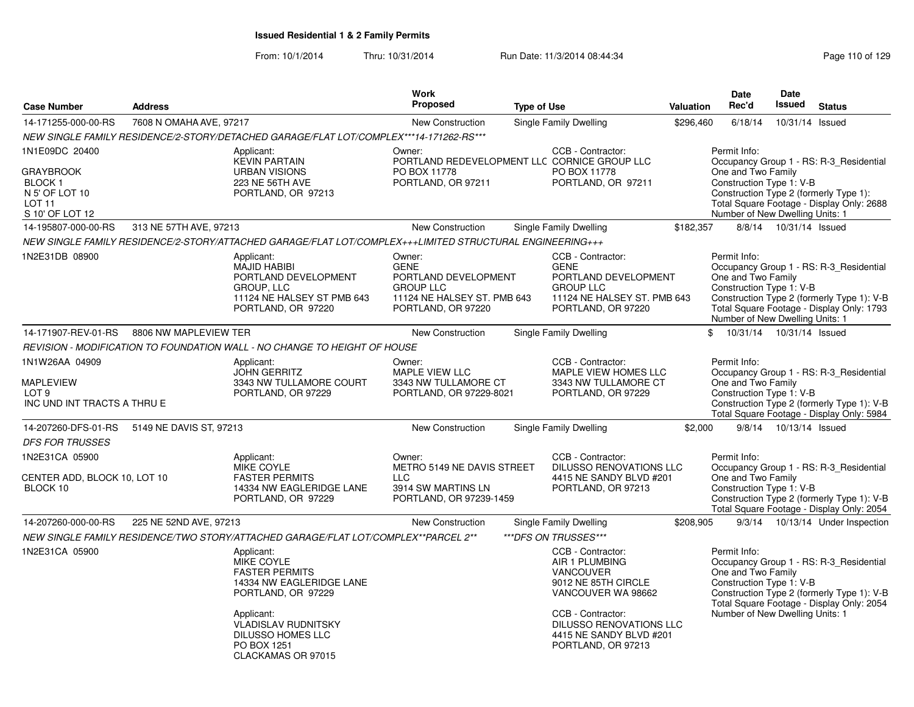| <b>Case Number</b>                                                                                            | <b>Address</b>          |                                                                                                                             | <b>Work</b><br>Proposed                                                                                                | <b>Type of Use</b> |                                                                                                                                   | <b>Valuation</b> | Date<br>Rec'd                                                                                     | <b>Date</b><br><b>Issued</b> | <b>Status</b>                                                                                                                      |
|---------------------------------------------------------------------------------------------------------------|-------------------------|-----------------------------------------------------------------------------------------------------------------------------|------------------------------------------------------------------------------------------------------------------------|--------------------|-----------------------------------------------------------------------------------------------------------------------------------|------------------|---------------------------------------------------------------------------------------------------|------------------------------|------------------------------------------------------------------------------------------------------------------------------------|
| 14-171255-000-00-RS                                                                                           | 7608 N OMAHA AVE, 97217 |                                                                                                                             | <b>New Construction</b>                                                                                                |                    | Single Family Dwelling                                                                                                            | \$296,460        | 6/18/14                                                                                           | 10/31/14 Issued              |                                                                                                                                    |
|                                                                                                               |                         | NEW SINGLE FAMILY RESIDENCE/2-STORY/DETACHED GARAGE/FLAT LOT/COMPLEX***14-171262-RS***                                      |                                                                                                                        |                    |                                                                                                                                   |                  |                                                                                                   |                              |                                                                                                                                    |
| 1N1E09DC 20400<br><b>GRAYBROOK</b><br><b>BLOCK1</b><br>N 5' OF LOT 10<br>LOT <sub>11</sub><br>S 10' OF LOT 12 |                         | Applicant:<br><b>KEVIN PARTAIN</b><br><b>URBAN VISIONS</b><br>223 NE 56TH AVE<br>PORTLAND, OR 97213                         | Owner:<br>PORTLAND REDEVELOPMENT LLC CORNICE GROUP LLC<br>PO BOX 11778<br>PORTLAND, OR 97211                           |                    | CCB - Contractor:<br>PO BOX 11778<br>PORTLAND, OR 97211                                                                           |                  | Permit Info:<br>One and Two Family<br>Construction Type 1: V-B<br>Number of New Dwelling Units: 1 |                              | Occupancy Group 1 - RS: R-3_Residential<br>Construction Type 2 (formerly Type 1):<br>Total Square Footage - Display Only: 2688     |
| 14-195807-000-00-RS                                                                                           | 313 NE 57TH AVE, 97213  |                                                                                                                             | New Construction                                                                                                       |                    | Single Family Dwelling                                                                                                            | \$182,357        |                                                                                                   | 8/8/14  10/31/14  Issued     |                                                                                                                                    |
|                                                                                                               |                         | NEW SINGLE FAMILY RESIDENCE/2-STORY/ATTACHED GARAGE/FLAT LOT/COMPLEX+++LIMITED STRUCTURAL ENGINEERING+++                    |                                                                                                                        |                    |                                                                                                                                   |                  |                                                                                                   |                              |                                                                                                                                    |
| 1N2E31DB 08900                                                                                                |                         | Applicant:<br><b>MAJID HABIBI</b><br>PORTLAND DEVELOPMENT<br>GROUP, LLC<br>11124 NE HALSEY ST PMB 643<br>PORTLAND, OR 97220 | Owner:<br><b>GENE</b><br>PORTLAND DEVELOPMENT<br><b>GROUP LLC</b><br>11124 NE HALSEY ST. PMB 643<br>PORTLAND, OR 97220 |                    | CCB - Contractor:<br><b>GENE</b><br>PORTLAND DEVELOPMENT<br><b>GROUP LLC</b><br>11124 NE HALSEY ST. PMB 643<br>PORTLAND, OR 97220 |                  | Permit Info:<br>One and Two Family<br>Construction Type 1: V-B<br>Number of New Dwelling Units: 1 |                              | Occupancy Group 1 - RS: R-3 Residential<br>Construction Type 2 (formerly Type 1): V-B<br>Total Square Footage - Display Only: 1793 |
| 14-171907-REV-01-RS                                                                                           | 8806 NW MAPLEVIEW TER   |                                                                                                                             | <b>New Construction</b>                                                                                                |                    | Single Family Dwelling                                                                                                            |                  | $\mathbb{S}$<br>10/31/14  10/31/14  Issued                                                        |                              |                                                                                                                                    |
|                                                                                                               |                         | REVISION - MODIFICATION TO FOUNDATION WALL - NO CHANGE TO HEIGHT OF HOUSE                                                   |                                                                                                                        |                    |                                                                                                                                   |                  |                                                                                                   |                              |                                                                                                                                    |
| 1N1W26AA 04909<br><b>MAPLEVIEW</b><br>LOT <sub>9</sub><br>INC UND INT TRACTS A THRU E                         |                         | Applicant:<br>JOHN GERRITZ<br>3343 NW TULLAMORE COURT<br>PORTLAND, OR 97229                                                 | Owner:<br><b>MAPLE VIEW LLC</b><br>3343 NW TULLAMORE CT<br>PORTLAND, OR 97229-8021                                     |                    | CCB - Contractor:<br>MAPLE VIEW HOMES LLC<br>3343 NW TULLAMORE CT<br>PORTLAND, OR 97229                                           |                  | Permit Info:<br>One and Two Family<br>Construction Type 1: V-B                                    |                              | Occupancy Group 1 - RS: R-3_Residential<br>Construction Type 2 (formerly Type 1): V-B<br>Total Square Footage - Display Only: 5984 |
| 14-207260-DFS-01-RS                                                                                           | 5149 NE DAVIS ST, 97213 |                                                                                                                             | New Construction                                                                                                       |                    | Single Family Dwelling                                                                                                            | \$2,000          | 9/8/14                                                                                            | 10/13/14 Issued              |                                                                                                                                    |
| <b>DFS FOR TRUSSES</b><br>1N2E31CA 05900                                                                      |                         | Applicant:                                                                                                                  | Owner:                                                                                                                 |                    | CCB - Contractor:                                                                                                                 |                  | Permit Info:                                                                                      |                              |                                                                                                                                    |
| CENTER ADD, BLOCK 10, LOT 10<br>BLOCK 10                                                                      |                         | <b>MIKE COYLE</b><br><b>FASTER PERMITS</b><br>14334 NW EAGLERIDGE LANE<br>PORTLAND, OR 97229                                | METRO 5149 NE DAVIS STREET<br><b>LLC</b><br>3914 SW MARTINS LN<br>PORTLAND, OR 97239-1459                              |                    | <b>DILUSSO RENOVATIONS LLC</b><br>4415 NE SANDY BLVD #201<br>PORTLAND, OR 97213                                                   |                  | One and Two Family<br>Construction Type 1: V-B                                                    |                              | Occupancy Group 1 - RS: R-3_Residential<br>Construction Type 2 (formerly Type 1): V-B<br>Total Square Footage - Display Only: 2054 |
| 14-207260-000-00-RS                                                                                           | 225 NE 52ND AVE, 97213  |                                                                                                                             | New Construction                                                                                                       |                    | Single Family Dwelling                                                                                                            | \$208,905        |                                                                                                   |                              | 9/3/14  10/13/14  Under Inspection                                                                                                 |
|                                                                                                               |                         | NEW SINGLE FAMILY RESIDENCE/TWO STORY/ATTACHED GARAGE/FLAT LOT/COMPLEX**PARCEL 2**                                          |                                                                                                                        |                    | ***DFS ON TRUSSES***                                                                                                              |                  |                                                                                                   |                              |                                                                                                                                    |
| 1N2E31CA 05900                                                                                                |                         | Applicant:<br><b>MIKE COYLE</b><br><b>FASTER PERMITS</b><br>14334 NW EAGLERIDGE LANE<br>PORTLAND, OR 97229                  |                                                                                                                        |                    | CCB - Contractor:<br>AIR 1 PLUMBING<br><b>VANCOUVER</b><br>9012 NE 85TH CIRCLE<br>VANCOUVER WA 98662                              |                  | Permit Info:<br>One and Two Family<br>Construction Type 1: V-B                                    |                              | Occupancy Group 1 - RS: R-3_Residential<br>Construction Type 2 (formerly Type 1): V-B<br>Total Square Footage - Display Only: 2054 |
|                                                                                                               |                         | Applicant:<br><b>VLADISLAV RUDNITSKY</b><br>DILUSSO HOMES LLC<br>PO BOX 1251<br>CLACKAMAS OR 97015                          |                                                                                                                        |                    | CCB - Contractor:<br><b>DILUSSO RENOVATIONS LLC</b><br>4415 NE SANDY BLVD #201<br>PORTLAND, OR 97213                              |                  | Number of New Dwelling Units: 1                                                                   |                              |                                                                                                                                    |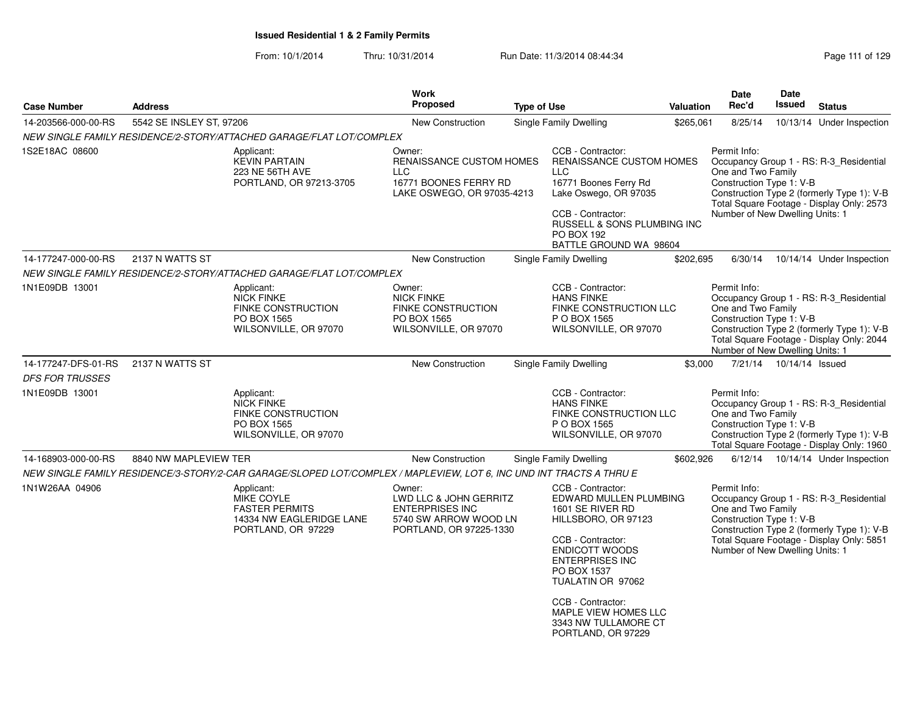| <b>Case Number</b>     | <b>Address</b>           |                                                                                                                     | <b>Work</b><br>Proposed                                                                                        | <b>Type of Use</b> |                                                                                                                                                                                                                                                                                               | <b>Valuation</b> | <b>Date</b><br>Rec'd                                                                              | <b>Date</b><br>Issued     | <b>Status</b>                                                                                                                      |
|------------------------|--------------------------|---------------------------------------------------------------------------------------------------------------------|----------------------------------------------------------------------------------------------------------------|--------------------|-----------------------------------------------------------------------------------------------------------------------------------------------------------------------------------------------------------------------------------------------------------------------------------------------|------------------|---------------------------------------------------------------------------------------------------|---------------------------|------------------------------------------------------------------------------------------------------------------------------------|
| 14-203566-000-00-RS    | 5542 SE INSLEY ST, 97206 |                                                                                                                     | <b>New Construction</b>                                                                                        |                    | Single Family Dwelling                                                                                                                                                                                                                                                                        | \$265,061        | 8/25/14                                                                                           |                           | 10/13/14 Under Inspection                                                                                                          |
|                        |                          | NEW SINGLE FAMILY RESIDENCE/2-STORY/ATTACHED GARAGE/FLAT LOT/COMPLEX                                                |                                                                                                                |                    |                                                                                                                                                                                                                                                                                               |                  |                                                                                                   |                           |                                                                                                                                    |
| 1S2E18AC 08600         |                          | Applicant:<br><b>KEVIN PARTAIN</b><br>223 NE 56TH AVE<br>PORTLAND, OR 97213-3705                                    | Owner:<br>RENAISSANCE CUSTOM HOMES<br><b>LLC</b><br>16771 BOONES FERRY RD<br>LAKE OSWEGO, OR 97035-4213        |                    | CCB - Contractor:<br>RENAISSANCE CUSTOM HOMES<br><b>LLC</b><br>16771 Boones Ferry Rd<br>Lake Oswego, OR 97035<br>CCB - Contractor:<br>RUSSELL & SONS PLUMBING INC<br>PO BOX 192<br>BATTLE GROUND WA 98604                                                                                     |                  | Permit Info:<br>One and Two Family<br>Construction Type 1: V-B<br>Number of New Dwelling Units: 1 |                           | Occupancy Group 1 - RS: R-3_Residential<br>Construction Type 2 (formerly Type 1): V-B<br>Total Square Footage - Display Only: 2573 |
| 14-177247-000-00-RS    | 2137 N WATTS ST          |                                                                                                                     | New Construction                                                                                               |                    | Single Family Dwelling                                                                                                                                                                                                                                                                        | \$202,695        | 6/30/14                                                                                           |                           | 10/14/14 Under Inspection                                                                                                          |
|                        |                          | NEW SINGLE FAMILY RESIDENCE/2-STORY/ATTACHED GARAGE/FLAT LOT/COMPLEX                                                |                                                                                                                |                    |                                                                                                                                                                                                                                                                                               |                  |                                                                                                   |                           |                                                                                                                                    |
| 1N1E09DB 13001         |                          | Applicant:<br><b>NICK FINKE</b><br><b>FINKE CONSTRUCTION</b><br>PO BOX 1565<br>WILSONVILLE, OR 97070                | Owner:<br><b>NICK FINKE</b><br><b>FINKE CONSTRUCTION</b><br>PO BOX 1565<br>WILSONVILLE, OR 97070               |                    | CCB - Contractor:<br><b>HANS FINKE</b><br>FINKE CONSTRUCTION LLC<br>P O BOX 1565<br>WILSONVILLE, OR 97070                                                                                                                                                                                     |                  | Permit Info:<br>One and Two Family<br>Construction Type 1: V-B<br>Number of New Dwelling Units: 1 |                           | Occupancy Group 1 - RS: R-3 Residential<br>Construction Type 2 (formerly Type 1): V-B<br>Total Square Footage - Display Only: 2044 |
| 14-177247-DFS-01-RS    | 2137 N WATTS ST          |                                                                                                                     | <b>New Construction</b>                                                                                        |                    | Single Family Dwelling                                                                                                                                                                                                                                                                        | \$3,000          |                                                                                                   | 7/21/14  10/14/14  Issued |                                                                                                                                    |
| <i>DFS FOR TRUSSES</i> |                          |                                                                                                                     |                                                                                                                |                    |                                                                                                                                                                                                                                                                                               |                  |                                                                                                   |                           |                                                                                                                                    |
| 1N1E09DB 13001         |                          | Applicant:<br><b>NICK FINKE</b><br><b>FINKE CONSTRUCTION</b><br>PO BOX 1565<br>WILSONVILLE, OR 97070                |                                                                                                                |                    | CCB - Contractor:<br><b>HANS FINKE</b><br>FINKE CONSTRUCTION LLC<br>P O BOX 1565<br>WILSONVILLE, OR 97070                                                                                                                                                                                     |                  | Permit Info:<br>One and Two Family<br>Construction Type 1: V-B                                    |                           | Occupancy Group 1 - RS: R-3_Residential<br>Construction Type 2 (formerly Type 1): V-B<br>Total Square Footage - Display Only: 1960 |
| 14-168903-000-00-RS    | 8840 NW MAPLEVIEW TER    |                                                                                                                     | <b>New Construction</b>                                                                                        |                    | Single Family Dwelling                                                                                                                                                                                                                                                                        | \$602,926        |                                                                                                   |                           | 6/12/14  10/14/14  Under Inspection                                                                                                |
|                        |                          | NEW SINGLE FAMILY RESIDENCE/3-STORY/2-CAR GARAGE/SLOPED LOT/COMPLEX / MAPLEVIEW, LOT 6, INC UND INT TRACTS A THRU E |                                                                                                                |                    |                                                                                                                                                                                                                                                                                               |                  |                                                                                                   |                           |                                                                                                                                    |
| 1N1W26AA 04906         |                          | Applicant:<br><b>MIKE COYLE</b><br><b>FASTER PERMITS</b><br>14334 NW EAGLERIDGE LANE<br>PORTLAND, OR 97229          | Owner:<br>LWD LLC & JOHN GERRITZ<br><b>ENTERPRISES INC</b><br>5740 SW ARROW WOOD LN<br>PORTLAND, OR 97225-1330 |                    | CCB - Contractor:<br>EDWARD MULLEN PLUMBING<br>1601 SE RIVER RD<br>HILLSBORO, OR 97123<br>CCB - Contractor:<br><b>ENDICOTT WOODS</b><br><b>ENTERPRISES INC</b><br>PO BOX 1537<br>TUALATIN OR 97062<br>CCB - Contractor:<br>MAPLE VIEW HOMES LLC<br>3343 NW TULLAMORE CT<br>PORTLAND, OR 97229 |                  | Permit Info:<br>One and Two Family<br>Construction Type 1: V-B<br>Number of New Dwelling Units: 1 |                           | Occupancy Group 1 - RS: R-3_Residential<br>Construction Type 2 (formerly Type 1): V-B<br>Total Square Footage - Display Only: 5851 |
|                        |                          |                                                                                                                     |                                                                                                                |                    |                                                                                                                                                                                                                                                                                               |                  |                                                                                                   |                           |                                                                                                                                    |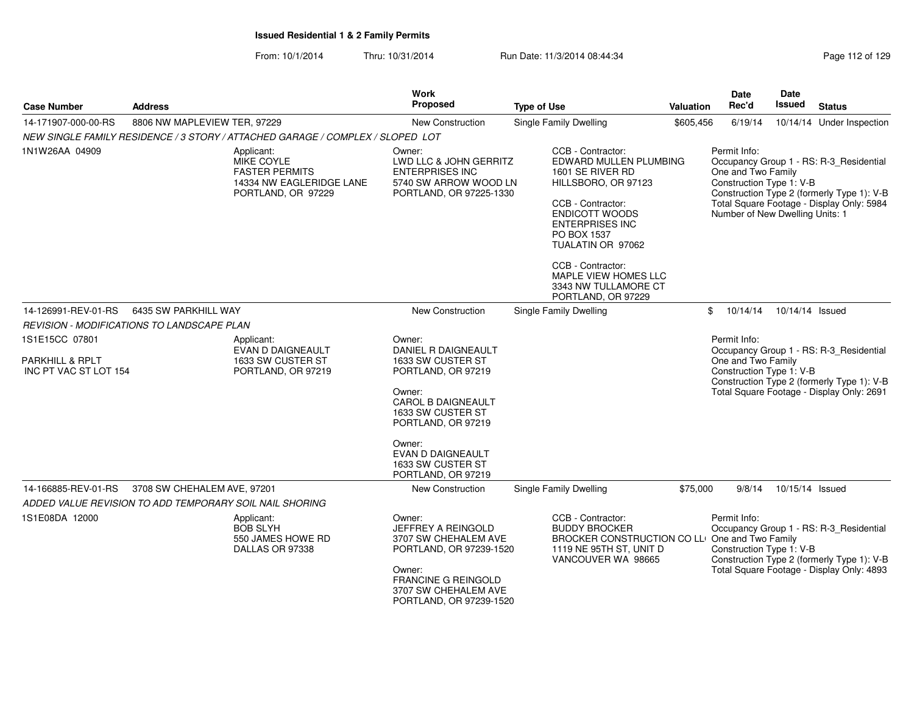| <b>Case Number</b>                                                    | <b>Address</b>                                                                 | <b>Work</b><br>Proposed                                                       |                                                                               | <b>Type of Use</b>                                                                                                                                                                                                                                                                                   | Valuation | Date<br>Rec'd                                                                                     | <b>Date</b><br><b>Issued</b> | <b>Status</b>                                                                                                                      |
|-----------------------------------------------------------------------|--------------------------------------------------------------------------------|-------------------------------------------------------------------------------|-------------------------------------------------------------------------------|------------------------------------------------------------------------------------------------------------------------------------------------------------------------------------------------------------------------------------------------------------------------------------------------------|-----------|---------------------------------------------------------------------------------------------------|------------------------------|------------------------------------------------------------------------------------------------------------------------------------|
| 14-171907-000-00-RS                                                   | 8806 NW MAPLEVIEW TER, 97229                                                   |                                                                               | <b>New Construction</b>                                                       | <b>Single Family Dwelling</b>                                                                                                                                                                                                                                                                        | \$605,456 | 6/19/14                                                                                           |                              | 10/14/14 Under Inspection                                                                                                          |
|                                                                       | NEW SINGLE FAMILY RESIDENCE / 3 STORY / ATTACHED GARAGE / COMPLEX / SLOPED LOT |                                                                               |                                                                               |                                                                                                                                                                                                                                                                                                      |           |                                                                                                   |                              |                                                                                                                                    |
| 1N1W26AA 04909                                                        | Applicant:<br>MIKE COYLE<br><b>FASTER PERMITS</b><br>PORTLAND, OR 97229        | Owner:<br><b>ENTERPRISES INC</b><br>14334 NW EAGLERIDGE LANE                  | LWD LLC & JOHN GERRITZ<br>5740 SW ARROW WOOD LN<br>PORTLAND, OR 97225-1330    | CCB - Contractor:<br>EDWARD MULLEN PLUMBING<br>1601 SE RIVER RD<br>HILLSBORO, OR 97123<br>CCB - Contractor:<br><b>ENDICOTT WOODS</b><br><b>ENTERPRISES INC</b><br>PO BOX 1537<br>TUALATIN OR 97062<br>CCB - Contractor:<br><b>MAPLE VIEW HOMES LLC</b><br>3343 NW TULLAMORE CT<br>PORTLAND, OR 97229 |           | Permit Info:<br>One and Two Family<br>Construction Type 1: V-B<br>Number of New Dwelling Units: 1 |                              | Occupancy Group 1 - RS: R-3_Residential<br>Construction Type 2 (formerly Type 1): V-B<br>Total Square Footage - Display Only: 5984 |
| 14-126991-REV-01-RS                                                   | 6435 SW PARKHILL WAY                                                           |                                                                               | New Construction                                                              | Single Family Dwelling                                                                                                                                                                                                                                                                               | \$        | 10/14/14                                                                                          | 10/14/14 Issued              |                                                                                                                                    |
|                                                                       | REVISION - MODIFICATIONS TO LANDSCAPE PLAN                                     |                                                                               |                                                                               |                                                                                                                                                                                                                                                                                                      |           |                                                                                                   |                              |                                                                                                                                    |
| 1S1E15CC 07801<br><b>PARKHILL &amp; RPLT</b><br>INC PT VAC ST LOT 154 | Applicant:<br><b>EVAN D DAIGNEAULT</b><br>1633 SW CUSTER ST                    | Owner:<br>1633 SW CUSTER ST                                                   | DANIEL R DAIGNEAULT                                                           |                                                                                                                                                                                                                                                                                                      |           | Permit Info:<br>One and Two Family                                                                |                              | Occupancy Group 1 - RS: R-3_Residential                                                                                            |
|                                                                       | PORTLAND, OR 97219                                                             | PORTLAND, OR 97219<br>Owner:<br>1633 SW CUSTER ST<br>PORTLAND, OR 97219       | <b>CAROL B DAIGNEAULT</b>                                                     |                                                                                                                                                                                                                                                                                                      |           | Construction Type 1: V-B                                                                          |                              | Construction Type 2 (formerly Type 1): V-B<br>Total Square Footage - Display Only: 2691                                            |
|                                                                       |                                                                                | Owner:<br><b>EVAN D DAIGNEAULT</b><br>1633 SW CUSTER ST<br>PORTLAND, OR 97219 |                                                                               |                                                                                                                                                                                                                                                                                                      |           |                                                                                                   |                              |                                                                                                                                    |
| 14-166885-REV-01-RS                                                   | 3708 SW CHEHALEM AVE, 97201                                                    |                                                                               | <b>New Construction</b>                                                       | Single Family Dwelling                                                                                                                                                                                                                                                                               | \$75,000  | 9/8/14                                                                                            | 10/15/14 Issued              |                                                                                                                                    |
|                                                                       | ADDED VALUE REVISION TO ADD TEMPORARY SOIL NAIL SHORING                        |                                                                               |                                                                               |                                                                                                                                                                                                                                                                                                      |           |                                                                                                   |                              |                                                                                                                                    |
| 1S1E08DA 12000                                                        | Applicant:<br><b>BOB SLYH</b><br>550 JAMES HOWE RD<br>DALLAS OR 97338          | Owner:                                                                        | JEFFREY A REINGOLD<br>3707 SW CHEHALEM AVE<br>PORTLAND, OR 97239-1520         | CCB - Contractor:<br><b>BUDDY BROCKER</b><br>BROCKER CONSTRUCTION CO LLI One and Two Family<br>1119 NE 95TH ST, UNIT D<br>VANCOUVER WA 98665                                                                                                                                                         |           | Permit Info:<br>Construction Type 1: V-B                                                          |                              | Occupancy Group 1 - RS: R-3_Residential<br>Construction Type 2 (formerly Type 1): V-B                                              |
|                                                                       |                                                                                | Owner:                                                                        | <b>FRANCINE G REINGOLD</b><br>3707 SW CHEHALEM AVE<br>PORTLAND, OR 97239-1520 |                                                                                                                                                                                                                                                                                                      |           |                                                                                                   |                              | Total Square Footage - Display Only: 4893                                                                                          |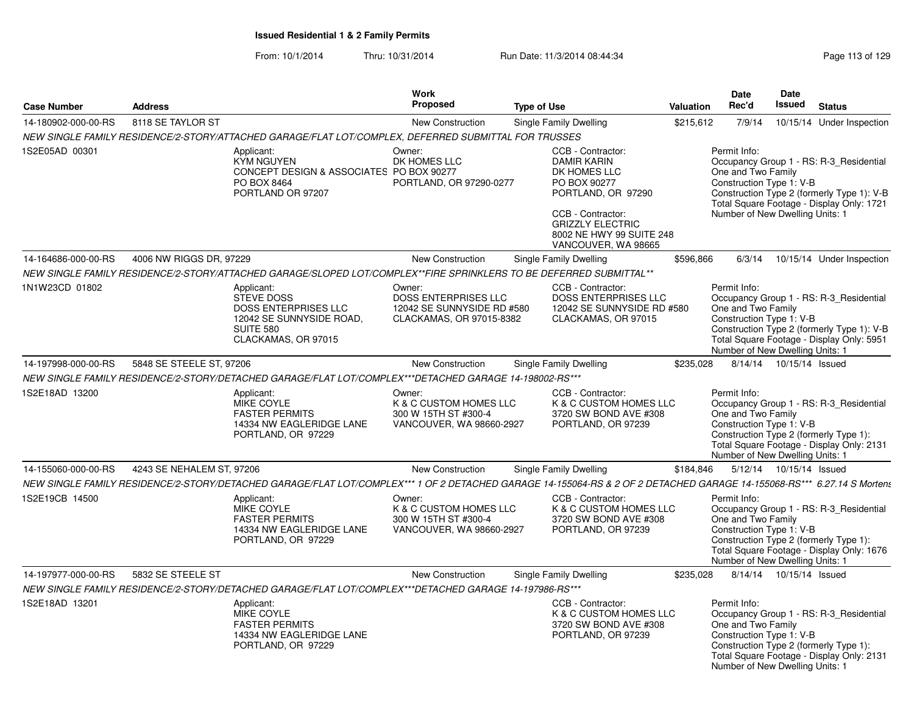| <b>Case Number</b>  | <b>Address</b>            |                                                                                                                                                                       | <b>Work</b><br>Proposed                                                                  | <b>Type of Use</b>                                                                                                                                                                               | Valuation | Date<br>Rec'd                                                                                     | Date<br>Issued            | <b>Status</b>                                                                                                                      |
|---------------------|---------------------------|-----------------------------------------------------------------------------------------------------------------------------------------------------------------------|------------------------------------------------------------------------------------------|--------------------------------------------------------------------------------------------------------------------------------------------------------------------------------------------------|-----------|---------------------------------------------------------------------------------------------------|---------------------------|------------------------------------------------------------------------------------------------------------------------------------|
| 14-180902-000-00-RS | 8118 SE TAYLOR ST         |                                                                                                                                                                       | New Construction                                                                         | Single Family Dwelling                                                                                                                                                                           | \$215,612 | 7/9/14                                                                                            |                           | 10/15/14 Under Inspection                                                                                                          |
|                     |                           | NEW SINGLE FAMILY RESIDENCE/2-STORY/ATTACHED GARAGE/FLAT LOT/COMPLEX, DEFERRED SUBMITTAL FOR TRUSSES                                                                  |                                                                                          |                                                                                                                                                                                                  |           |                                                                                                   |                           |                                                                                                                                    |
| 1S2E05AD 00301      |                           | Applicant:<br><b>KYM NGUYEN</b><br>CONCEPT DESIGN & ASSOCIATES PO BOX 90277<br>PO BOX 8464<br>PORTLAND OR 97207                                                       | Owner:<br>DK HOMES LLC<br>PORTLAND, OR 97290-0277                                        | CCB - Contractor:<br><b>DAMIR KARIN</b><br>DK HOMES LLC<br>PO BOX 90277<br>PORTLAND, OR 97290<br>CCB - Contractor:<br><b>GRIZZLY ELECTRIC</b><br>8002 NE HWY 99 SUITE 248<br>VANCOUVER, WA 98665 |           | Permit Info:<br>One and Two Family<br>Construction Type 1: V-B<br>Number of New Dwelling Units: 1 |                           | Occupancy Group 1 - RS: R-3_Residential<br>Construction Type 2 (formerly Type 1): V-B<br>Total Square Footage - Display Only: 1721 |
| 14-164686-000-00-RS | 4006 NW RIGGS DR, 97229   |                                                                                                                                                                       | New Construction                                                                         | Single Family Dwelling                                                                                                                                                                           | \$596,866 | 6/3/14                                                                                            |                           | 10/15/14 Under Inspection                                                                                                          |
|                     |                           | NEW SINGLE FAMILY RESIDENCE/2-STORY/ATTACHED GARAGE/SLOPED LOT/COMPLEX**FIRE SPRINKLERS TO BE DEFERRED SUBMITTAL**                                                    |                                                                                          |                                                                                                                                                                                                  |           |                                                                                                   |                           |                                                                                                                                    |
| 1N1W23CD 01802      |                           | Applicant:<br><b>STEVE DOSS</b><br><b>DOSS ENTERPRISES LLC</b><br>12042 SE SUNNYSIDE ROAD.<br><b>SUITE 580</b><br>CLACKAMAS, OR 97015                                 | Owner:<br>DOSS ENTERPRISES LLC<br>12042 SE SUNNYSIDE RD #580<br>CLACKAMAS, OR 97015-8382 | CCB - Contractor:<br><b>DOSS ENTERPRISES LLC</b><br>12042 SE SUNNYSIDE RD #580<br>CLACKAMAS, OR 97015                                                                                            |           | Permit Info:<br>One and Two Family<br>Construction Type 1: V-B<br>Number of New Dwelling Units: 1 |                           | Occupancy Group 1 - RS: R-3_Residential<br>Construction Type 2 (formerly Type 1): V-B<br>Total Square Footage - Display Only: 5951 |
| 14-197998-000-00-RS | 5848 SE STEELE ST, 97206  |                                                                                                                                                                       | <b>New Construction</b>                                                                  | Single Family Dwelling                                                                                                                                                                           | \$235,028 |                                                                                                   | 8/14/14  10/15/14  Issued |                                                                                                                                    |
|                     |                           | NEW SINGLE FAMILY RESIDENCE/2-STORY/DETACHED GARAGE/FLAT LOT/COMPLEX***DETACHED GARAGE 14-198002-RS***                                                                |                                                                                          |                                                                                                                                                                                                  |           |                                                                                                   |                           |                                                                                                                                    |
| 1S2E18AD 13200      |                           | Applicant:<br><b>MIKE COYLE</b><br><b>FASTER PERMITS</b><br>14334 NW EAGLERIDGE LANE<br>PORTLAND, OR 97229                                                            | Owner:<br>K & C CUSTOM HOMES LLC<br>300 W 15TH ST #300-4<br>VANCOUVER, WA 98660-2927     | CCB - Contractor:<br>K & C CUSTOM HOMES LLC<br>3720 SW BOND AVE #308<br>PORTLAND, OR 97239                                                                                                       |           | Permit Info:<br>One and Two Family<br>Construction Type 1: V-B<br>Number of New Dwelling Units: 1 |                           | Occupancy Group 1 - RS: R-3_Residential<br>Construction Type 2 (formerly Type 1):<br>Total Square Footage - Display Only: 2131     |
| 14-155060-000-00-RS | 4243 SE NEHALEM ST, 97206 |                                                                                                                                                                       | <b>New Construction</b>                                                                  | Single Family Dwelling                                                                                                                                                                           | \$184,846 |                                                                                                   | 5/12/14  10/15/14  Issued |                                                                                                                                    |
|                     |                           | NEW SINGLE FAMILY RESIDENCE/2-STORY/DETACHED GARAGE/FLAT LOT/COMPLEX***1 OF 2 DETACHED GARAGE 14-155064-RS & 2 OF 2 DETACHED GARAGE 14-155068-RS*** 6.27.14 S Mortens |                                                                                          |                                                                                                                                                                                                  |           |                                                                                                   |                           |                                                                                                                                    |
| 1S2E19CB 14500      |                           | Applicant:<br>MIKE COYLE<br><b>FASTER PERMITS</b><br>14334 NW EAGLERIDGE LANE<br>PORTLAND, OR 97229                                                                   | Owner:<br>K & C CUSTOM HOMES LLC<br>300 W 15TH ST #300-4<br>VANCOUVER, WA 98660-2927     | CCB - Contractor:<br>K & C CUSTOM HOMES LLC<br>3720 SW BOND AVE #308<br>PORTLAND, OR 97239                                                                                                       |           | Permit Info:<br>One and Two Family<br>Construction Type 1: V-B<br>Number of New Dwelling Units: 1 |                           | Occupancy Group 1 - RS: R-3_Residential<br>Construction Type 2 (formerly Type 1):<br>Total Square Footage - Display Only: 1676     |
| 14-197977-000-00-RS | 5832 SE STEELE ST         |                                                                                                                                                                       | <b>New Construction</b>                                                                  | Single Family Dwelling                                                                                                                                                                           | \$235.028 |                                                                                                   | 8/14/14  10/15/14  Issued |                                                                                                                                    |
|                     |                           | NEW SINGLE FAMILY RESIDENCE/2-STORY/DETACHED GARAGE/FLAT LOT/COMPLEX***DETACHED GARAGE 14-197986-RS***                                                                |                                                                                          |                                                                                                                                                                                                  |           |                                                                                                   |                           |                                                                                                                                    |
| 1S2E18AD 13201      |                           | Applicant:<br>MIKE COYLE<br><b>FASTER PERMITS</b><br>14334 NW EAGLERIDGE LANE<br>PORTLAND, OR 97229                                                                   |                                                                                          | CCB - Contractor:<br>K & C CUSTOM HOMES LLC<br>3720 SW BOND AVE #308<br>PORTLAND, OR 97239                                                                                                       |           | Permit Info:<br>One and Two Family<br>Construction Type 1: V-B<br>Number of New Dwelling Units: 1 |                           | Occupancy Group 1 - RS: R-3 Residential<br>Construction Type 2 (formerly Type 1):<br>Total Square Footage - Display Only: 2131     |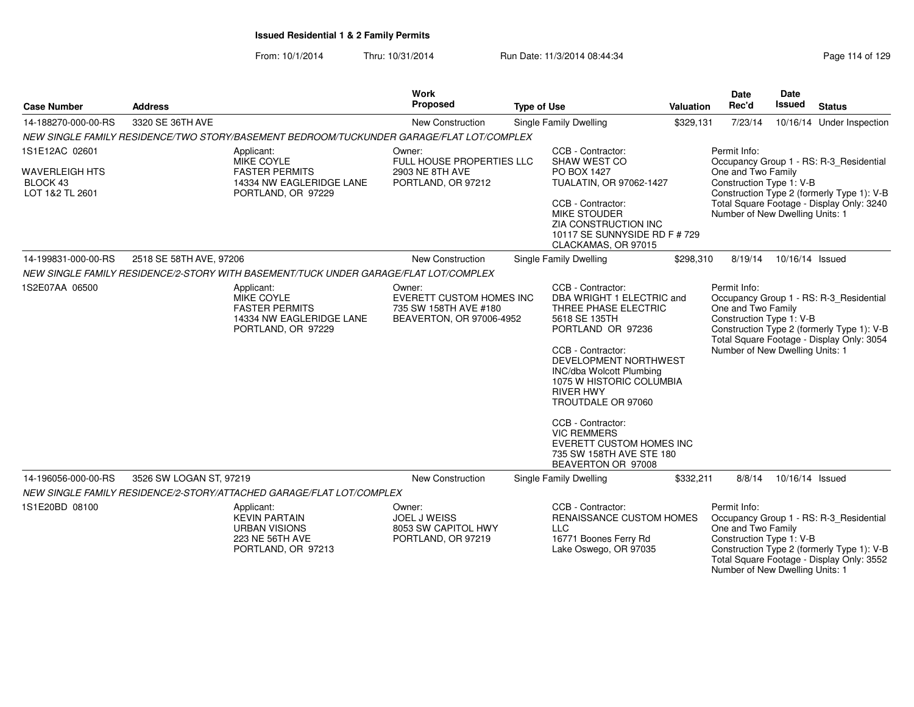| <b>Case Number</b>                                                     | <b>Address</b>          |                                                                                                            | <b>Work</b><br>Proposed                                                                        | <b>Type of Use</b> |                                                                                                                                                                                                                                                                                                                                                                                              | <b>Valuation</b> | Date<br>Rec'd                                                                                     | Date<br><b>Issued</b> | <b>Status</b>                                                                                                                      |
|------------------------------------------------------------------------|-------------------------|------------------------------------------------------------------------------------------------------------|------------------------------------------------------------------------------------------------|--------------------|----------------------------------------------------------------------------------------------------------------------------------------------------------------------------------------------------------------------------------------------------------------------------------------------------------------------------------------------------------------------------------------------|------------------|---------------------------------------------------------------------------------------------------|-----------------------|------------------------------------------------------------------------------------------------------------------------------------|
| 14-188270-000-00-RS                                                    | 3320 SE 36TH AVE        |                                                                                                            | New Construction                                                                               |                    | Single Family Dwelling                                                                                                                                                                                                                                                                                                                                                                       | \$329,131        | 7/23/14                                                                                           |                       | 10/16/14 Under Inspection                                                                                                          |
|                                                                        |                         | NEW SINGLE FAMILY RESIDENCE/TWO STORY/BASEMENT BEDROOM/TUCKUNDER GARAGE/FLAT LOT/COMPLEX                   |                                                                                                |                    |                                                                                                                                                                                                                                                                                                                                                                                              |                  |                                                                                                   |                       |                                                                                                                                    |
| 1S1E12AC 02601<br><b>WAVERLEIGH HTS</b><br>BLOCK 43<br>LOT 1&2 TL 2601 |                         | Applicant:<br><b>MIKE COYLE</b><br><b>FASTER PERMITS</b><br>14334 NW EAGLERIDGE LANE<br>PORTLAND, OR 97229 | Owner:<br><b>FULL HOUSE PROPERTIES LLC</b><br>2903 NE 8TH AVE<br>PORTLAND, OR 97212            |                    | CCB - Contractor:<br>SHAW WEST CO<br>PO BOX 1427<br>TUALATIN, OR 97062-1427<br>CCB - Contractor:<br><b>MIKE STOUDER</b><br>ZIA CONSTRUCTION INC<br>10117 SE SUNNYSIDE RD F # 729<br>CLACKAMAS, OR 97015                                                                                                                                                                                      |                  | Permit Info:<br>One and Two Family<br>Construction Type 1: V-B<br>Number of New Dwelling Units: 1 |                       | Occupancy Group 1 - RS: R-3 Residential<br>Construction Type 2 (formerly Type 1): V-B<br>Total Square Footage - Display Only: 3240 |
| 14-199831-000-00-RS                                                    | 2518 SE 58TH AVE, 97206 |                                                                                                            | New Construction                                                                               |                    | Single Family Dwelling                                                                                                                                                                                                                                                                                                                                                                       | \$298,310        | 8/19/14                                                                                           | 10/16/14 Issued       |                                                                                                                                    |
|                                                                        |                         | NEW SINGLE FAMILY RESIDENCE/2-STORY WITH BASEMENT/TUCK UNDER GARAGE/FLAT LOT/COMPLEX                       |                                                                                                |                    |                                                                                                                                                                                                                                                                                                                                                                                              |                  |                                                                                                   |                       |                                                                                                                                    |
| 1S2E07AA 06500                                                         |                         | Applicant:<br><b>MIKE COYLE</b><br><b>FASTER PERMITS</b><br>14334 NW EAGLERIDGE LANE<br>PORTLAND, OR 97229 | Owner:<br><b>EVERETT CUSTOM HOMES INC</b><br>735 SW 158TH AVE #180<br>BEAVERTON, OR 97006-4952 |                    | CCB - Contractor:<br>DBA WRIGHT 1 ELECTRIC and<br>THREE PHASE ELECTRIC<br>5618 SE 135TH<br>PORTLAND OR 97236<br>CCB - Contractor:<br>DEVELOPMENT NORTHWEST<br><b>INC/dba Wolcott Plumbing</b><br>1075 W HISTORIC COLUMBIA<br><b>RIVER HWY</b><br>TROUTDALE OR 97060<br>CCB - Contractor:<br><b>VIC REMMERS</b><br>EVERETT CUSTOM HOMES INC<br>735 SW 158TH AVE STE 180<br>BEAVERTON OR 97008 |                  | Permit Info:<br>One and Two Family<br>Construction Type 1: V-B<br>Number of New Dwelling Units: 1 |                       | Occupancy Group 1 - RS: R-3 Residential<br>Construction Type 2 (formerly Type 1): V-B<br>Total Square Footage - Display Only: 3054 |
| 14-196056-000-00-RS                                                    | 3526 SW LOGAN ST, 97219 |                                                                                                            | <b>New Construction</b>                                                                        |                    | Single Family Dwelling                                                                                                                                                                                                                                                                                                                                                                       | \$332,211        | 8/8/14                                                                                            | 10/16/14 Issued       |                                                                                                                                    |
|                                                                        |                         | NEW SINGLE FAMILY RESIDENCE/2-STORY/ATTACHED GARAGE/FLAT LOT/COMPLEX                                       |                                                                                                |                    |                                                                                                                                                                                                                                                                                                                                                                                              |                  |                                                                                                   |                       |                                                                                                                                    |
| 1S1E20BD 08100                                                         |                         | Applicant:<br><b>KEVIN PARTAIN</b><br><b>URBAN VISIONS</b><br>223 NE 56TH AVE<br>PORTLAND, OR 97213        | Owner:<br><b>JOEL J WEISS</b><br>8053 SW CAPITOL HWY<br>PORTLAND, OR 97219                     |                    | CCB - Contractor:<br>RENAISSANCE CUSTOM HOMES<br><b>LLC</b><br>16771 Boones Ferry Rd<br>Lake Oswego, OR 97035                                                                                                                                                                                                                                                                                |                  | Permit Info:<br>One and Two Family<br>Construction Type 1: V-B<br>Number of New Dwelling Units: 1 |                       | Occupancy Group 1 - RS: R-3_Residential<br>Construction Type 2 (formerly Type 1): V-B<br>Total Square Footage - Display Only: 3552 |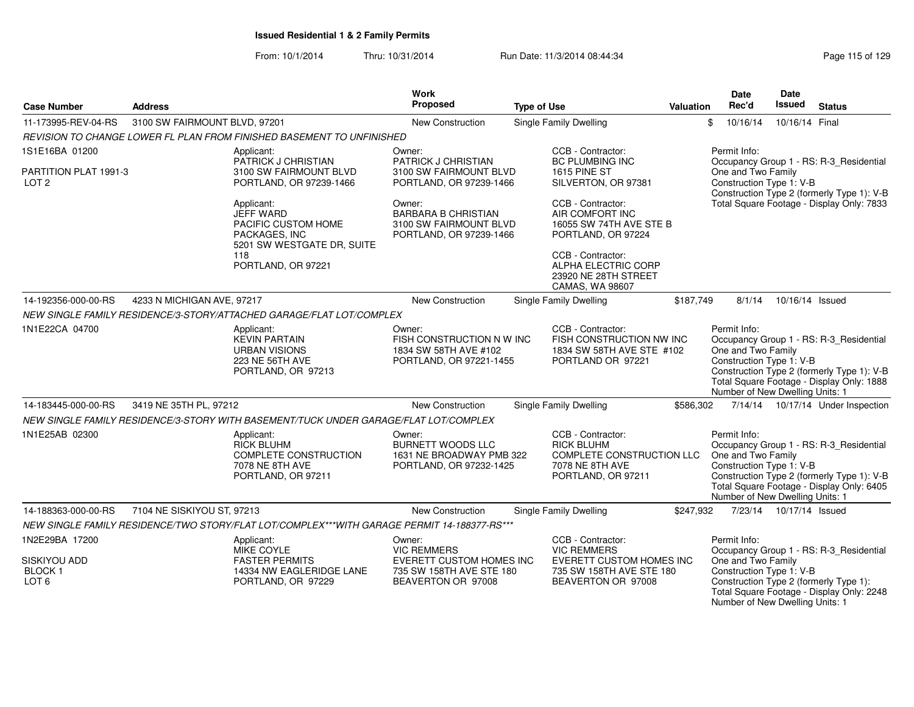| <b>Case Number</b>                                | <b>Address</b>                |                                                                                                          | <b>Work</b><br>Proposed                                                                   | <b>Type of Use</b>                                                                                                  | <b>Valuation</b> | Date<br>Rec'd                                                                                     | Date<br><b>Issued</b>     | <b>Status</b>                                                                                                                      |
|---------------------------------------------------|-------------------------------|----------------------------------------------------------------------------------------------------------|-------------------------------------------------------------------------------------------|---------------------------------------------------------------------------------------------------------------------|------------------|---------------------------------------------------------------------------------------------------|---------------------------|------------------------------------------------------------------------------------------------------------------------------------|
| 11-173995-REV-04-RS                               | 3100 SW FAIRMOUNT BLVD, 97201 |                                                                                                          | <b>New Construction</b>                                                                   | <b>Single Family Dwelling</b>                                                                                       |                  | \$<br>10/16/14                                                                                    | 10/16/14 Final            |                                                                                                                                    |
|                                                   |                               | REVISION TO CHANGE LOWER FL PLAN FROM FINISHED BASEMENT TO UNFINISHED                                    |                                                                                           |                                                                                                                     |                  |                                                                                                   |                           |                                                                                                                                    |
| 1S1E16BA 01200                                    |                               | Applicant:                                                                                               | Owner:                                                                                    | CCB - Contractor:                                                                                                   |                  | Permit Info:                                                                                      |                           |                                                                                                                                    |
| PARTITION PLAT 1991-3<br>LOT <sub>2</sub>         |                               | PATRICK J CHRISTIAN<br>3100 SW FAIRMOUNT BLVD<br>PORTLAND, OR 97239-1466                                 | PATRICK J CHRISTIAN<br>3100 SW FAIRMOUNT BLVD<br>PORTLAND, OR 97239-1466                  | <b>BC PLUMBING INC</b><br><b>1615 PINE ST</b><br>SILVERTON, OR 97381                                                |                  | One and Two Family<br>Construction Type 1: V-B                                                    |                           | Occupancy Group 1 - RS: R-3_Residential<br>Construction Type 2 (formerly Type 1): V-B                                              |
|                                                   |                               | Applicant:<br><b>JEFF WARD</b><br>PACIFIC CUSTOM HOME<br>PACKAGES, INC<br>5201 SW WESTGATE DR, SUITE     | Owner:<br><b>BARBARA B CHRISTIAN</b><br>3100 SW FAIRMOUNT BLVD<br>PORTLAND, OR 97239-1466 | CCB - Contractor:<br>AIR COMFORT INC<br>16055 SW 74TH AVE STE B<br>PORTLAND, OR 97224                               |                  |                                                                                                   |                           | Total Square Footage - Display Only: 7833                                                                                          |
|                                                   |                               | 118<br>PORTLAND, OR 97221                                                                                |                                                                                           | CCB - Contractor:<br>ALPHA ELECTRIC CORP<br>23920 NE 28TH STREET<br>CAMAS, WA 98607                                 |                  |                                                                                                   |                           |                                                                                                                                    |
| 14-192356-000-00-RS                               | 4233 N MICHIGAN AVE, 97217    |                                                                                                          | New Construction                                                                          | <b>Single Family Dwelling</b>                                                                                       | \$187,749        | 8/1/14                                                                                            | 10/16/14 Issued           |                                                                                                                                    |
|                                                   |                               | NEW SINGLE FAMILY RESIDENCE/3-STORY/ATTACHED GARAGE/FLAT LOT/COMPLEX                                     |                                                                                           |                                                                                                                     |                  |                                                                                                   |                           |                                                                                                                                    |
| 1N1E22CA 04700                                    |                               | Applicant:<br><b>KEVIN PARTAIN</b><br><b>URBAN VISIONS</b><br>223 NE 56TH AVE<br>PORTLAND, OR 97213      | Owner:<br>FISH CONSTRUCTION N W INC<br>1834 SW 58TH AVE #102<br>PORTLAND, OR 97221-1455   | CCB - Contractor:<br>FISH CONSTRUCTION NW INC<br>1834 SW 58TH AVE STE #102<br>PORTLAND OR 97221                     |                  | Permit Info:<br>One and Two Family<br>Construction Type 1: V-B<br>Number of New Dwelling Units: 1 |                           | Occupancy Group 1 - RS: R-3_Residential<br>Construction Type 2 (formerly Type 1): V-B<br>Total Square Footage - Display Only: 1888 |
| 14-183445-000-00-RS                               | 3419 NE 35TH PL, 97212        |                                                                                                          | New Construction                                                                          | <b>Single Family Dwelling</b>                                                                                       | \$586,302        |                                                                                                   |                           | 7/14/14  10/17/14  Under Inspection                                                                                                |
|                                                   |                               | NEW SINGLE FAMILY RESIDENCE/3-STORY WITH BASEMENT/TUCK UNDER GARAGE/FLAT LOT/COMPLEX                     |                                                                                           |                                                                                                                     |                  |                                                                                                   |                           |                                                                                                                                    |
| 1N1E25AB 02300                                    |                               | Applicant:<br><b>RICK BLUHM</b><br><b>COMPLETE CONSTRUCTION</b><br>7078 NE 8TH AVE<br>PORTLAND, OR 97211 | Owner:<br><b>BURNETT WOODS LLC</b><br>1631 NE BROADWAY PMB 322<br>PORTLAND, OR 97232-1425 | CCB - Contractor:<br><b>RICK BLUHM</b><br><b>COMPLETE CONSTRUCTION LLC</b><br>7078 NE 8TH AVE<br>PORTLAND, OR 97211 |                  | Permit Info:<br>One and Two Family<br>Construction Type 1: V-B<br>Number of New Dwelling Units: 1 |                           | Occupancy Group 1 - RS: R-3 Residential<br>Construction Type 2 (formerly Type 1): V-B<br>Total Square Footage - Display Only: 6405 |
| 14-188363-000-00-RS                               | 7104 NE SISKIYOU ST, 97213    |                                                                                                          | New Construction                                                                          | Single Family Dwelling                                                                                              | \$247,932        |                                                                                                   | 7/23/14  10/17/14  Issued |                                                                                                                                    |
|                                                   |                               | NEW SINGLE FAMILY RESIDENCE/TWO STORY/FLAT LOT/COMPLEX***WITH GARAGE PERMIT 14-188377-RS***              |                                                                                           |                                                                                                                     |                  |                                                                                                   |                           |                                                                                                                                    |
| 1N2E29BA 17200                                    |                               | Applicant:<br><b>MIKE COYLE</b>                                                                          | Owner:<br><b>VIC REMMERS</b>                                                              | CCB - Contractor:<br><b>VIC REMMERS</b>                                                                             |                  | Permit Info:                                                                                      |                           | Occupancy Group 1 - RS: R-3_Residential                                                                                            |
| SISKIYOU ADD<br><b>BLOCK1</b><br>LOT <sub>6</sub> |                               | <b>FASTER PERMITS</b><br>14334 NW EAGLERIDGE LANE<br>PORTLAND, OR 97229                                  | EVERETT CUSTOM HOMES INC<br>735 SW 158TH AVE STE 180<br>BEAVERTON OR 97008                | EVERETT CUSTOM HOMES INC<br>735 SW 158TH AVE STE 180<br>BEAVERTON OR 97008                                          |                  | One and Two Family<br>Construction Type 1: V-B<br>Number of New Dwelling Units: 1                 |                           | Construction Type 2 (formerly Type 1):<br>Total Square Footage - Display Only: 2248                                                |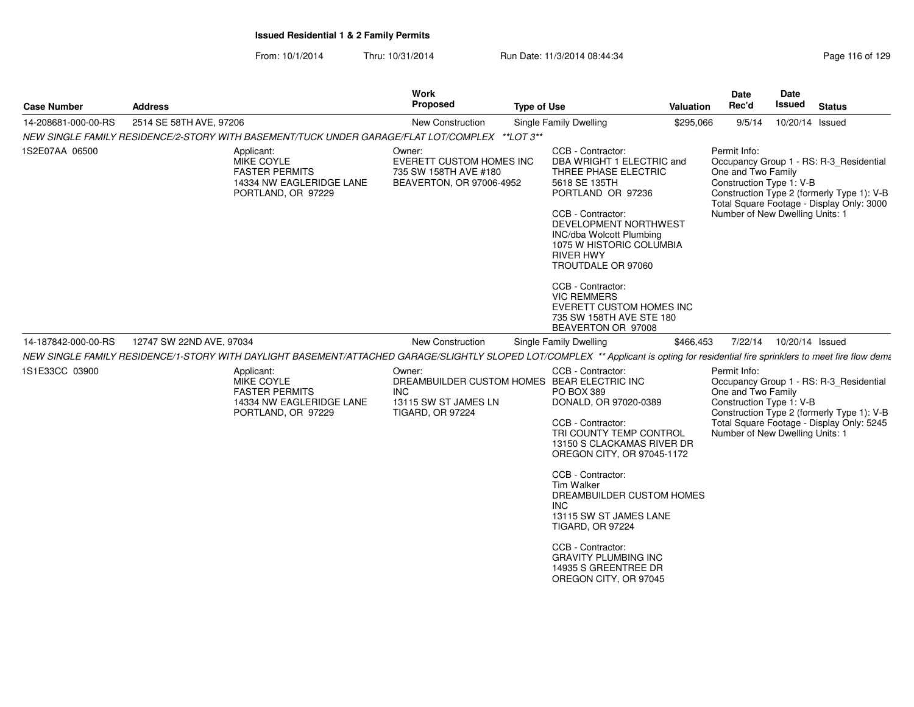| 2514 SE 58TH AVE, 97206<br>14-208681-000-00-RS<br>New Construction<br>Single Family Dwelling<br>\$295,066<br>9/5/14<br>10/20/14 Issued<br>NEW SINGLE FAMILY RESIDENCE/2-STORY WITH BASEMENT/TUCK UNDER GARAGE/FLAT LOT/COMPLEX **LOT 3**<br>1S2E07AA 06500<br>CCB - Contractor:<br>Permit Info:<br>Applicant:<br>Owner:<br><b>MIKE COYLE</b><br>EVERETT CUSTOM HOMES INC<br>DBA WRIGHT 1 ELECTRIC and<br>Occupancy Group 1 - RS: R-3 Residential<br>One and Two Family<br><b>FASTER PERMITS</b><br>735 SW 158TH AVE #180<br>THREE PHASE ELECTRIC<br>Construction Type 1: V-B<br>BEAVERTON, OR 97006-4952<br>5618 SE 135TH<br>14334 NW EAGLERIDGE LANE<br>Construction Type 2 (formerly Type 1): V-B<br>PORTLAND OR 97236<br>PORTLAND, OR 97229<br>Total Square Footage - Display Only: 3000<br>CCB - Contractor:<br>Number of New Dwelling Units: 1<br>DEVELOPMENT NORTHWEST<br>INC/dba Wolcott Plumbing<br>1075 W HISTORIC COLUMBIA<br><b>RIVER HWY</b><br>TROUTDALE OR 97060<br>CCB - Contractor:<br><b>VIC REMMERS</b><br>EVERETT CUSTOM HOMES INC<br>735 SW 158TH AVE STE 180<br>BEAVERTON OR 97008<br>12747 SW 22ND AVE, 97034<br>7/22/14  10/20/14  Issued<br>14-187842-000-00-RS<br>New Construction<br>Single Family Dwelling<br>\$466,453<br>1S1E33CC 03900<br>CCB - Contractor:<br>Permit Info:<br>Applicant:<br>Owner:<br>DREAMBUILDER CUSTOM HOMES BEAR ELECTRIC INC<br>Occupancy Group 1 - RS: R-3_Residential<br>MIKE COYLE<br>One and Two Family<br><b>FASTER PERMITS</b><br><b>INC</b><br><b>PO BOX 389</b><br>Construction Type 1: V-B<br>14334 NW EAGLERIDGE LANE<br>13115 SW ST JAMES LN<br>DONALD, OR 97020-0389<br>Construction Type 2 (formerly Type 1): V-B<br>PORTLAND, OR 97229<br><b>TIGARD, OR 97224</b><br>CCB - Contractor:<br>Total Square Footage - Display Only: 5245<br>Number of New Dwelling Units: 1<br>TRI COUNTY TEMP CONTROL<br>13150 S CLACKAMAS RIVER DR<br>OREGON CITY, OR 97045-1172<br>CCB - Contractor:<br><b>Tim Walker</b><br>DREAMBUILDER CUSTOM HOMES<br><b>INC</b><br>13115 SW ST JAMES LANE<br><b>TIGARD, OR 97224</b><br>CCB - Contractor:<br><b>GRAVITY PLUMBING INC</b><br>14935 S GREENTREE DR<br>OREGON CITY, OR 97045 | <b>Case Number</b> | <b>Address</b> | <b>Work</b><br>Proposed | <b>Type of Use</b> | <b>Valuation</b> | <b>Date</b><br>Rec'd | <b>Date</b><br>Issued | <b>Status</b> |
|--------------------------------------------------------------------------------------------------------------------------------------------------------------------------------------------------------------------------------------------------------------------------------------------------------------------------------------------------------------------------------------------------------------------------------------------------------------------------------------------------------------------------------------------------------------------------------------------------------------------------------------------------------------------------------------------------------------------------------------------------------------------------------------------------------------------------------------------------------------------------------------------------------------------------------------------------------------------------------------------------------------------------------------------------------------------------------------------------------------------------------------------------------------------------------------------------------------------------------------------------------------------------------------------------------------------------------------------------------------------------------------------------------------------------------------------------------------------------------------------------------------------------------------------------------------------------------------------------------------------------------------------------------------------------------------------------------------------------------------------------------------------------------------------------------------------------------------------------------------------------------------------------------------------------------------------------------------------------------------------------------------------------------------------------------------------------------------------------------------------------------------------------------------------------------|--------------------|----------------|-------------------------|--------------------|------------------|----------------------|-----------------------|---------------|
| NEW SINGLE FAMILY RESIDENCE/1-STORY WITH DAYLIGHT BASEMENT/ATTACHED GARAGE/SLIGHTLY SLOPED LOT/COMPLEX ** Applicant is opting for residential fire sprinklers to meet fire flow dema                                                                                                                                                                                                                                                                                                                                                                                                                                                                                                                                                                                                                                                                                                                                                                                                                                                                                                                                                                                                                                                                                                                                                                                                                                                                                                                                                                                                                                                                                                                                                                                                                                                                                                                                                                                                                                                                                                                                                                                           |                    |                |                         |                    |                  |                      |                       |               |
|                                                                                                                                                                                                                                                                                                                                                                                                                                                                                                                                                                                                                                                                                                                                                                                                                                                                                                                                                                                                                                                                                                                                                                                                                                                                                                                                                                                                                                                                                                                                                                                                                                                                                                                                                                                                                                                                                                                                                                                                                                                                                                                                                                                |                    |                |                         |                    |                  |                      |                       |               |
|                                                                                                                                                                                                                                                                                                                                                                                                                                                                                                                                                                                                                                                                                                                                                                                                                                                                                                                                                                                                                                                                                                                                                                                                                                                                                                                                                                                                                                                                                                                                                                                                                                                                                                                                                                                                                                                                                                                                                                                                                                                                                                                                                                                |                    |                |                         |                    |                  |                      |                       |               |
|                                                                                                                                                                                                                                                                                                                                                                                                                                                                                                                                                                                                                                                                                                                                                                                                                                                                                                                                                                                                                                                                                                                                                                                                                                                                                                                                                                                                                                                                                                                                                                                                                                                                                                                                                                                                                                                                                                                                                                                                                                                                                                                                                                                |                    |                |                         |                    |                  |                      |                       |               |
|                                                                                                                                                                                                                                                                                                                                                                                                                                                                                                                                                                                                                                                                                                                                                                                                                                                                                                                                                                                                                                                                                                                                                                                                                                                                                                                                                                                                                                                                                                                                                                                                                                                                                                                                                                                                                                                                                                                                                                                                                                                                                                                                                                                |                    |                |                         |                    |                  |                      |                       |               |
|                                                                                                                                                                                                                                                                                                                                                                                                                                                                                                                                                                                                                                                                                                                                                                                                                                                                                                                                                                                                                                                                                                                                                                                                                                                                                                                                                                                                                                                                                                                                                                                                                                                                                                                                                                                                                                                                                                                                                                                                                                                                                                                                                                                |                    |                |                         |                    |                  |                      |                       |               |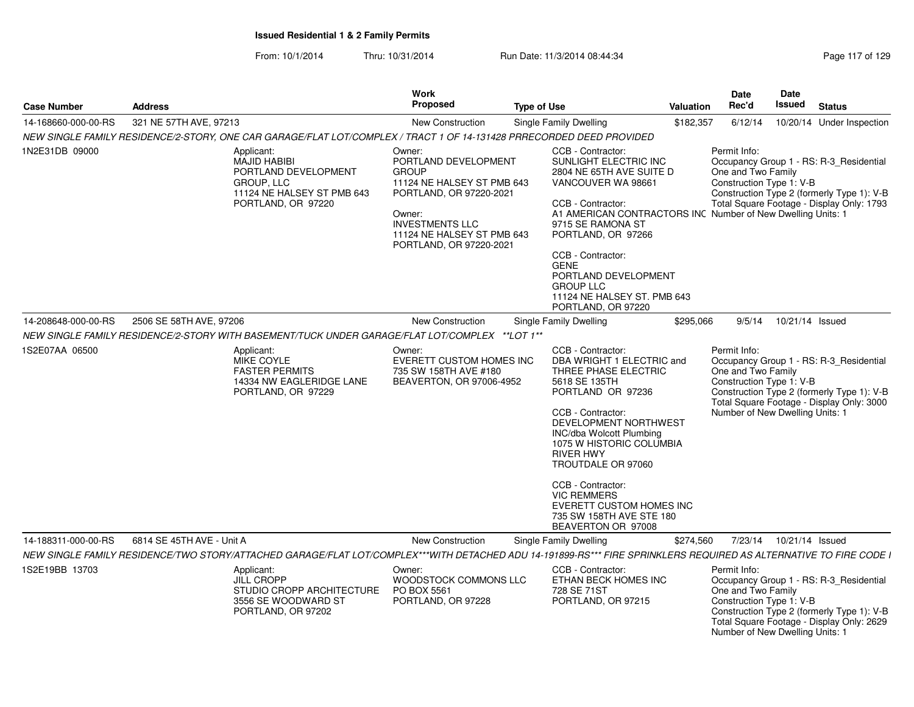| <b>Case Number</b>  | <b>Address</b>                                                                                                                                                    |                                  | <b>Work</b><br><b>Proposed</b>                                                                                                                                   | <b>Type of Use</b> |                                                                                                                                                                                                                                                                                                                                                                                       | <b>Valuation</b> | <b>Date</b><br>Rec'd                                                                              | <b>Date</b><br>Issued | <b>Status</b>                                                                                                                      |
|---------------------|-------------------------------------------------------------------------------------------------------------------------------------------------------------------|----------------------------------|------------------------------------------------------------------------------------------------------------------------------------------------------------------|--------------------|---------------------------------------------------------------------------------------------------------------------------------------------------------------------------------------------------------------------------------------------------------------------------------------------------------------------------------------------------------------------------------------|------------------|---------------------------------------------------------------------------------------------------|-----------------------|------------------------------------------------------------------------------------------------------------------------------------|
| 14-168660-000-00-RS | 321 NE 57TH AVE, 97213                                                                                                                                            |                                  | New Construction                                                                                                                                                 |                    | Single Family Dwelling                                                                                                                                                                                                                                                                                                                                                                | \$182,357        | 6/12/14                                                                                           |                       | 10/20/14 Under Inspection                                                                                                          |
|                     | NEW SINGLE FAMILY RESIDENCE/2-STORY. ONE CAR GARAGE/FLAT LOT/COMPLEX / TRACT 1 OF 14-131428 PRRECORDED DEED PROVIDED                                              |                                  |                                                                                                                                                                  |                    |                                                                                                                                                                                                                                                                                                                                                                                       |                  |                                                                                                   |                       |                                                                                                                                    |
| 1N2E31DB 09000      | Applicant:<br><b>MAJID HABIBI</b><br>PORTLAND DEVELOPMENT<br><b>GROUP, LLC</b><br>11124 NE HALSEY ST PMB 643<br>PORTLAND, OR 97220                                | Owner:<br><b>GROUP</b><br>Owner: | PORTLAND DEVELOPMENT<br>11124 NE HALSEY ST PMB 643<br>PORTLAND, OR 97220-2021<br><b>INVESTMENTS LLC</b><br>11124 NE HALSEY ST PMB 643<br>PORTLAND, OR 97220-2021 |                    | CCB - Contractor:<br>SUNLIGHT ELECTRIC INC<br>2804 NE 65TH AVE SUITE D<br>VANCOUVER WA 98661<br>CCB - Contractor:<br>A1 AMERICAN CONTRACTORS INC Number of New Dwelling Units: 1<br>9715 SE RAMONA ST<br>PORTLAND, OR 97266<br>CCB - Contractor:<br><b>GENE</b><br>PORTLAND DEVELOPMENT<br><b>GROUP LLC</b><br>11124 NE HALSEY ST. PMB 643<br>PORTLAND, OR 97220                      |                  | Permit Info:<br>One and Two Family<br>Construction Type 1: V-B                                    |                       | Occupancy Group 1 - RS: R-3_Residential<br>Construction Type 2 (formerly Type 1): V-B<br>Total Square Footage - Display Only: 1793 |
| 14-208648-000-00-RS | 2506 SE 58TH AVE, 97206                                                                                                                                           |                                  | <b>New Construction</b>                                                                                                                                          |                    | Single Family Dwelling                                                                                                                                                                                                                                                                                                                                                                | \$295,066        | 9/5/14                                                                                            | 10/21/14 Issued       |                                                                                                                                    |
|                     | NEW SINGLE FAMILY RESIDENCE/2-STORY WITH BASEMENT/TUCK UNDER GARAGE/FLAT LOT/COMPLEX **LOT 1**                                                                    |                                  |                                                                                                                                                                  |                    |                                                                                                                                                                                                                                                                                                                                                                                       |                  |                                                                                                   |                       |                                                                                                                                    |
| 1S2E07AA 06500      | Applicant:<br><b>MIKE COYLE</b><br><b>FASTER PERMITS</b><br>14334 NW EAGLERIDGE LANE<br>PORTLAND, OR 97229                                                        | Owner:                           | <b>EVERETT CUSTOM HOMES INC</b><br>735 SW 158TH AVE #180<br>BEAVERTON, OR 97006-4952                                                                             |                    | CCB - Contractor:<br>DBA WRIGHT 1 ELECTRIC and<br>THREE PHASE ELECTRIC<br>5618 SE 135TH<br>PORTLAND OR 97236<br>CCB - Contractor:<br>DEVELOPMENT NORTHWEST<br>INC/dba Wolcott Plumbing<br>1075 W HISTORIC COLUMBIA<br><b>RIVER HWY</b><br>TROUTDALE OR 97060<br>CCB - Contractor:<br><b>VIC REMMERS</b><br>EVERETT CUSTOM HOMES INC<br>735 SW 158TH AVE STE 180<br>BEAVERTON OR 97008 |                  | Permit Info:<br>One and Two Family<br>Construction Type 1: V-B<br>Number of New Dwelling Units: 1 |                       | Occupancy Group 1 - RS: R-3_Residential<br>Construction Type 2 (formerly Type 1): V-B<br>Total Square Footage - Display Only: 3000 |
| 14-188311-000-00-RS | 6814 SE 45TH AVE - Unit A                                                                                                                                         |                                  | <b>New Construction</b>                                                                                                                                          |                    | Single Family Dwelling                                                                                                                                                                                                                                                                                                                                                                | \$274,560        | 7/23/14                                                                                           | 10/21/14 Issued       |                                                                                                                                    |
|                     | NEW SINGLE FAMILY RESIDENCE/TWO STORY/ATTACHED GARAGE/FLAT LOT/COMPLEX***WITH DETACHED ADU 14-191899-RS*** FIRE SPRINKLERS REQUIRED AS ALTERNATIVE TO FIRE CODE I |                                  |                                                                                                                                                                  |                    |                                                                                                                                                                                                                                                                                                                                                                                       |                  |                                                                                                   |                       |                                                                                                                                    |
| 1S2E19BB 13703      | Applicant:<br><b>JILL CROPP</b><br>STUDIO CROPP ARCHITECTURE<br>3556 SE WOODWARD ST<br>PORTLAND, OR 97202                                                         | Owner:                           | WOODSTOCK COMMONS LLC<br>PO BOX 5561<br>PORTLAND, OR 97228                                                                                                       |                    | CCB - Contractor:<br>ETHAN BECK HOMES INC<br>728 SE 71ST<br>PORTLAND, OR 97215                                                                                                                                                                                                                                                                                                        |                  | Permit Info:<br>One and Two Family<br>Construction Type 1: V-B<br>Number of New Dwelling Units: 1 |                       | Occupancy Group 1 - RS: R-3 Residential<br>Construction Type 2 (formerly Type 1): V-B<br>Total Square Footage - Display Only: 2629 |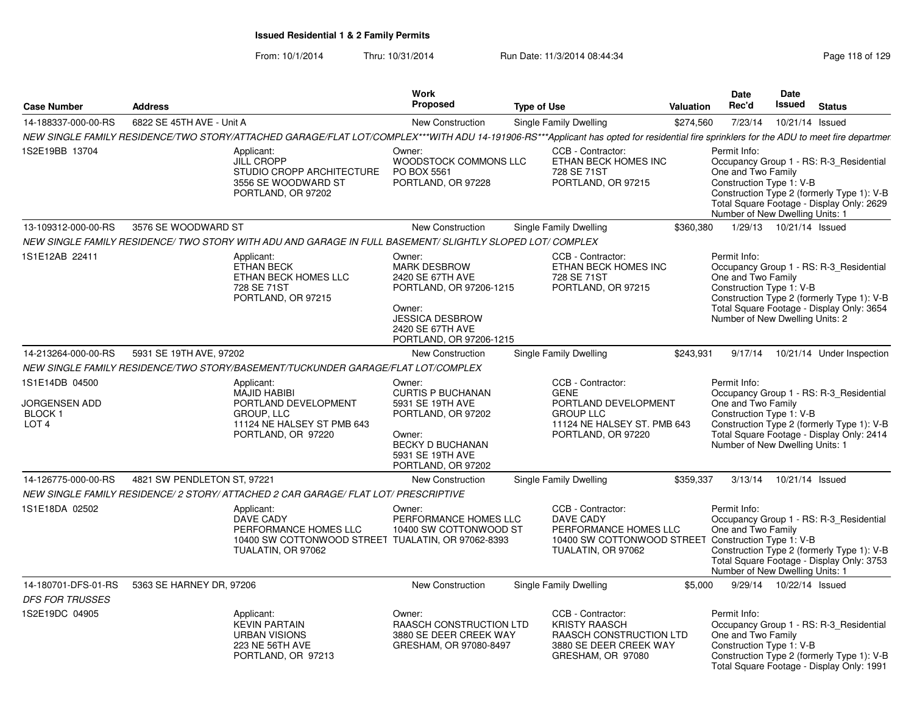| <b>Case Number</b>                                                   | <b>Address</b>              |                                                                                                                                                                                         | Work<br>Proposed<br><b>Type of Use</b>                                                                                                                          |  |                                                                                                                                      | Valuation | <b>Date</b><br>Rec'd                                                                              | <b>Date</b><br>Issued     | <b>Status</b>                                                                                                                      |
|----------------------------------------------------------------------|-----------------------------|-----------------------------------------------------------------------------------------------------------------------------------------------------------------------------------------|-----------------------------------------------------------------------------------------------------------------------------------------------------------------|--|--------------------------------------------------------------------------------------------------------------------------------------|-----------|---------------------------------------------------------------------------------------------------|---------------------------|------------------------------------------------------------------------------------------------------------------------------------|
| 14-188337-000-00-RS                                                  | 6822 SE 45TH AVE - Unit A   |                                                                                                                                                                                         | <b>New Construction</b>                                                                                                                                         |  | Single Family Dwelling                                                                                                               | \$274,560 | 7/23/14                                                                                           | 10/21/14 Issued           |                                                                                                                                    |
|                                                                      |                             | NEW SINGLE FAMILY RESIDENCE/TWO STORY/ATTACHED GARAGE/FLAT LOT/COMPLEX***WITH ADU 14-191906-RS***Applicant has opted for residential fire sprinklers for the ADU to meet fire departmer |                                                                                                                                                                 |  |                                                                                                                                      |           |                                                                                                   |                           |                                                                                                                                    |
| 1S2E19BB 13704                                                       |                             | Applicant:<br><b>JILL CROPP</b><br>STUDIO CROPP ARCHITECTURE<br>3556 SE WOODWARD ST<br>PORTLAND, OR 97202                                                                               | Owner:<br>WOODSTOCK COMMONS LLC<br>PO BOX 5561<br>PORTLAND, OR 97228                                                                                            |  | CCB - Contractor:<br>ETHAN BECK HOMES INC<br>728 SE 71ST<br>PORTLAND, OR 97215                                                       |           | Permit Info:<br>One and Two Family<br>Construction Type 1: V-B<br>Number of New Dwelling Units: 1 |                           | Occupancy Group 1 - RS: R-3_Residential<br>Construction Type 2 (formerly Type 1): V-B<br>Total Square Footage - Display Only: 2629 |
| 13-109312-000-00-RS                                                  | 3576 SE WOODWARD ST         |                                                                                                                                                                                         | New Construction                                                                                                                                                |  | Single Family Dwelling                                                                                                               | \$360,380 |                                                                                                   | 1/29/13  10/21/14  Issued |                                                                                                                                    |
|                                                                      |                             | NEW SINGLE FAMILY RESIDENCE/ TWO STORY WITH ADU AND GARAGE IN FULL BASEMENT/ SLIGHTLY SLOPED LOT/ COMPLEX                                                                               |                                                                                                                                                                 |  |                                                                                                                                      |           |                                                                                                   |                           |                                                                                                                                    |
| 1S1E12AB 22411                                                       |                             | Applicant:<br><b>ETHAN BECK</b><br>ETHAN BECK HOMES LLC<br>728 SE 71ST<br>PORTLAND, OR 97215                                                                                            | Owner:<br><b>MARK DESBROW</b><br>2420 SE 67TH AVE<br>PORTLAND, OR 97206-1215<br>Owner:<br><b>JESSICA DESBROW</b><br>2420 SE 67TH AVE<br>PORTLAND, OR 97206-1215 |  | CCB - Contractor:<br>ETHAN BECK HOMES INC<br>728 SE 71ST<br>PORTLAND, OR 97215                                                       |           | Permit Info:<br>One and Two Family<br>Construction Type 1: V-B<br>Number of New Dwelling Units: 2 |                           | Occupancy Group 1 - RS: R-3_Residential<br>Construction Type 2 (formerly Type 1): V-B<br>Total Square Footage - Display Only: 3654 |
| 14-213264-000-00-RS                                                  | 5931 SE 19TH AVE, 97202     |                                                                                                                                                                                         | New Construction                                                                                                                                                |  | Single Family Dwelling                                                                                                               | \$243,931 | 9/17/14                                                                                           |                           | 10/21/14 Under Inspection                                                                                                          |
|                                                                      |                             | NEW SINGLE FAMILY RESIDENCE/TWO STORY/BASEMENT/TUCKUNDER GARAGE/FLAT LOT/COMPLEX                                                                                                        |                                                                                                                                                                 |  |                                                                                                                                      |           |                                                                                                   |                           |                                                                                                                                    |
| 1S1E14DB 04500<br>JORGENSEN ADD<br><b>BLOCK1</b><br>LOT <sub>4</sub> |                             | Applicant:<br><b>MAJID HABIBI</b><br>PORTLAND DEVELOPMENT<br>GROUP, LLC<br>11124 NE HALSEY ST PMB 643<br>PORTLAND, OR 97220                                                             | Owner:<br><b>CURTIS P BUCHANAN</b><br>5931 SE 19TH AVE<br>PORTLAND, OR 97202<br>Owner:<br><b>BECKY D BUCHANAN</b><br>5931 SE 19TH AVE<br>PORTLAND, OR 97202     |  | CCB - Contractor:<br><b>GENE</b><br>PORTLAND DEVELOPMENT<br><b>GROUP LLC</b><br>11124 NE HALSEY ST. PMB 643<br>PORTLAND, OR 97220    |           | Permit Info:<br>One and Two Family<br>Construction Type 1: V-B<br>Number of New Dwelling Units: 1 |                           | Occupancy Group 1 - RS: R-3_Residential<br>Construction Type 2 (formerly Type 1): V-B<br>Total Square Footage - Display Only: 2414 |
| 14-126775-000-00-RS                                                  | 4821 SW PENDLETON ST, 97221 |                                                                                                                                                                                         | New Construction                                                                                                                                                |  | Single Family Dwelling                                                                                                               | \$359,337 | 3/13/14                                                                                           | 10/21/14 Issued           |                                                                                                                                    |
|                                                                      |                             | NEW SINGLE FAMILY RESIDENCE/ 2 STORY/ ATTACHED 2 CAR GARAGE/ FLAT LOT/ PRESCRIPTIVE                                                                                                     |                                                                                                                                                                 |  |                                                                                                                                      |           |                                                                                                   |                           |                                                                                                                                    |
| 1S1E18DA 02502                                                       |                             | Applicant:<br><b>DAVE CADY</b><br>PERFORMANCE HOMES LLC<br>10400 SW COTTONWOOD STREET TUALATIN, OR 97062-8393<br>TUALATIN, OR 97062                                                     | Owner:<br>PERFORMANCE HOMES LLC<br>10400 SW COTTONWOOD ST                                                                                                       |  | CCB - Contractor:<br>DAVE CADY<br>PERFORMANCE HOMES LLC<br>10400 SW COTTONWOOD STREET Construction Type 1: V-B<br>TUALATIN, OR 97062 |           | Permit Info:<br>One and Two Family<br>Number of New Dwelling Units: 1                             |                           | Occupancy Group 1 - RS: R-3_Residential<br>Construction Type 2 (formerly Type 1): V-B<br>Total Square Footage - Display Only: 3753 |
| 14-180701-DFS-01-RS                                                  | 5363 SE HARNEY DR, 97206    |                                                                                                                                                                                         | <b>New Construction</b>                                                                                                                                         |  | Single Family Dwelling                                                                                                               | \$5,000   |                                                                                                   | 9/29/14  10/22/14  Issued |                                                                                                                                    |
| <b>DFS FOR TRUSSES</b>                                               |                             |                                                                                                                                                                                         |                                                                                                                                                                 |  |                                                                                                                                      |           |                                                                                                   |                           |                                                                                                                                    |
| 1S2E19DC 04905                                                       |                             | Applicant:<br><b>KEVIN PARTAIN</b><br><b>URBAN VISIONS</b><br>223 NE 56TH AVE<br>PORTLAND, OR 97213                                                                                     | Owner:<br>RAASCH CONSTRUCTION LTD<br>3880 SE DEER CREEK WAY<br>GRESHAM, OR 97080-8497                                                                           |  | CCB - Contractor:<br><b>KRISTY RAASCH</b><br>RAASCH CONSTRUCTION LTD<br>3880 SE DEER CREEK WAY<br>GRESHAM, OR 97080                  |           | Permit Info:<br>One and Two Family<br>Construction Type 1: V-B                                    |                           | Occupancy Group 1 - RS: R-3_Residential<br>Construction Type 2 (formerly Type 1): V-B<br>Total Square Footage - Display Only: 1991 |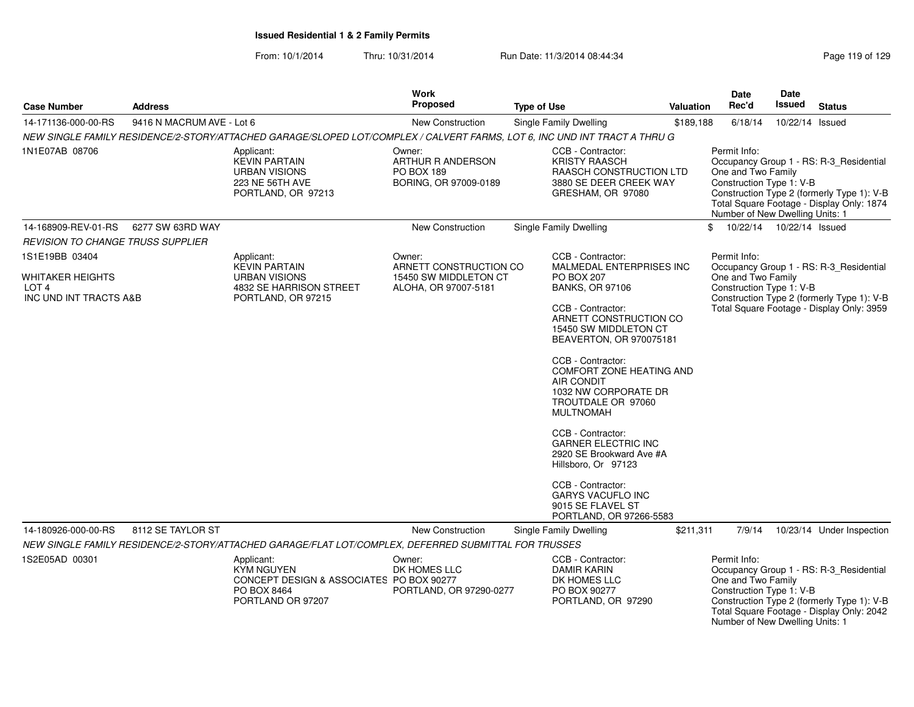From: 10/1/2014

| <b>Case Number</b>                                                                      | <b>Address</b>            |                                                                                                                           | Work<br><b>Proposed</b>                                                           | <b>Type of Use</b> |                                                                                                                                             | Valuation | <b>Date</b><br>Rec'd                                                                              | <b>Date</b><br>Issued | <b>Status</b>                                                                                                                      |
|-----------------------------------------------------------------------------------------|---------------------------|---------------------------------------------------------------------------------------------------------------------------|-----------------------------------------------------------------------------------|--------------------|---------------------------------------------------------------------------------------------------------------------------------------------|-----------|---------------------------------------------------------------------------------------------------|-----------------------|------------------------------------------------------------------------------------------------------------------------------------|
| 14-171136-000-00-RS                                                                     | 9416 N MACRUM AVE - Lot 6 |                                                                                                                           | New Construction                                                                  |                    | Single Family Dwelling                                                                                                                      | \$189,188 | 6/18/14                                                                                           | 10/22/14 Issued       |                                                                                                                                    |
|                                                                                         |                           | NEW SINGLE FAMILY RESIDENCE/2-STORY/ATTACHED GARAGE/SLOPED LOT/COMPLEX / CALVERT FARMS, LOT 6, INC UND INT TRACT A THRU G |                                                                                   |                    |                                                                                                                                             |           |                                                                                                   |                       |                                                                                                                                    |
| 1N1E07AB 08706                                                                          |                           | Applicant:<br><b>KEVIN PARTAIN</b><br><b>URBAN VISIONS</b><br>223 NE 56TH AVE<br>PORTLAND, OR 97213                       | Owner:<br>ARTHUR R ANDERSON<br>PO BOX 189<br>BORING, OR 97009-0189                |                    | CCB - Contractor:<br><b>KRISTY RAASCH</b><br>RAASCH CONSTRUCTION LTD<br>3880 SE DEER CREEK WAY<br>GRESHAM, OR 97080                         |           | Permit Info:<br>One and Two Family<br>Construction Type 1: V-B<br>Number of New Dwelling Units: 1 |                       | Occupancy Group 1 - RS: R-3_Residential<br>Construction Type 2 (formerly Type 1): V-B<br>Total Square Footage - Display Only: 1874 |
| 14-168909-REV-01-RS                                                                     | 6277 SW 63RD WAY          |                                                                                                                           | New Construction                                                                  |                    | Single Family Dwelling                                                                                                                      |           | \$<br>10/22/14  10/22/14  Issued                                                                  |                       |                                                                                                                                    |
| REVISION TO CHANGE TRUSS SUPPLIER                                                       |                           |                                                                                                                           |                                                                                   |                    |                                                                                                                                             |           |                                                                                                   |                       |                                                                                                                                    |
| 1S1E19BB 03404<br><b>WHITAKER HEIGHTS</b><br>LOT <sub>4</sub><br>INC UND INT TRACTS A&B |                           | Applicant:<br><b>KEVIN PARTAIN</b><br><b>URBAN VISIONS</b><br>4832 SE HARRISON STREET<br>PORTLAND, OR 97215               | Owner:<br>ARNETT CONSTRUCTION CO<br>15450 SW MIDDLETON CT<br>ALOHA, OR 97007-5181 |                    | CCB - Contractor:<br>MALMEDAL ENTERPRISES INC<br><b>PO BOX 207</b><br><b>BANKS, OR 97106</b><br>CCB - Contractor:                           |           | Permit Info:<br>One and Two Family<br>Construction Type 1: V-B                                    |                       | Occupancy Group 1 - RS: R-3_Residential<br>Construction Type 2 (formerly Type 1): V-B<br>Total Square Footage - Display Only: 3959 |
|                                                                                         |                           |                                                                                                                           |                                                                                   |                    | ARNETT CONSTRUCTION CO<br>15450 SW MIDDLETON CT<br>BEAVERTON, OR 970075181                                                                  |           |                                                                                                   |                       |                                                                                                                                    |
|                                                                                         |                           |                                                                                                                           |                                                                                   |                    | CCB - Contractor:<br><b>COMFORT ZONE HEATING AND</b><br><b>AIR CONDIT</b><br>1032 NW CORPORATE DR<br>TROUTDALE OR 97060<br><b>MULTNOMAH</b> |           |                                                                                                   |                       |                                                                                                                                    |
|                                                                                         |                           |                                                                                                                           |                                                                                   |                    | CCB - Contractor:<br><b>GARNER ELECTRIC INC</b><br>2920 SE Brookward Ave #A<br>Hillsboro, Or 97123                                          |           |                                                                                                   |                       |                                                                                                                                    |
|                                                                                         |                           |                                                                                                                           |                                                                                   |                    | CCB - Contractor:<br><b>GARYS VACUFLO INC</b><br>9015 SE FLAVEL ST<br>PORTLAND, OR 97266-5583                                               |           |                                                                                                   |                       |                                                                                                                                    |
| 14-180926-000-00-RS                                                                     | 8112 SE TAYLOR ST         |                                                                                                                           | New Construction                                                                  |                    | Single Family Dwelling                                                                                                                      | \$211,311 | 7/9/14                                                                                            |                       | 10/23/14 Under Inspection                                                                                                          |
|                                                                                         |                           | NEW SINGLE FAMILY RESIDENCE/2-STORY/ATTACHED GARAGE/FLAT LOT/COMPLEX, DEFERRED SUBMITTAL FOR TRUSSES                      |                                                                                   |                    |                                                                                                                                             |           |                                                                                                   |                       |                                                                                                                                    |
| 1S2E05AD 00301                                                                          |                           | Applicant:<br><b>KYM NGUYEN</b><br>CONCEPT DESIGN & ASSOCIATES PO BOX 90277<br>PO BOX 8464<br>PORTLAND OR 97207           | Owner:<br>DK HOMES LLC<br>PORTLAND, OR 97290-0277                                 |                    | CCB - Contractor:<br><b>DAMIR KARIN</b><br>DK HOMES LLC<br>PO BOX 90277<br>PORTLAND, OR 97290                                               |           | Permit Info:<br>One and Two Family<br>Construction Type 1: V-B<br>Number of New Dwelling Units: 1 |                       | Occupancy Group 1 - RS: R-3_Residential<br>Construction Type 2 (formerly Type 1): V-B<br>Total Square Footage - Display Only: 2042 |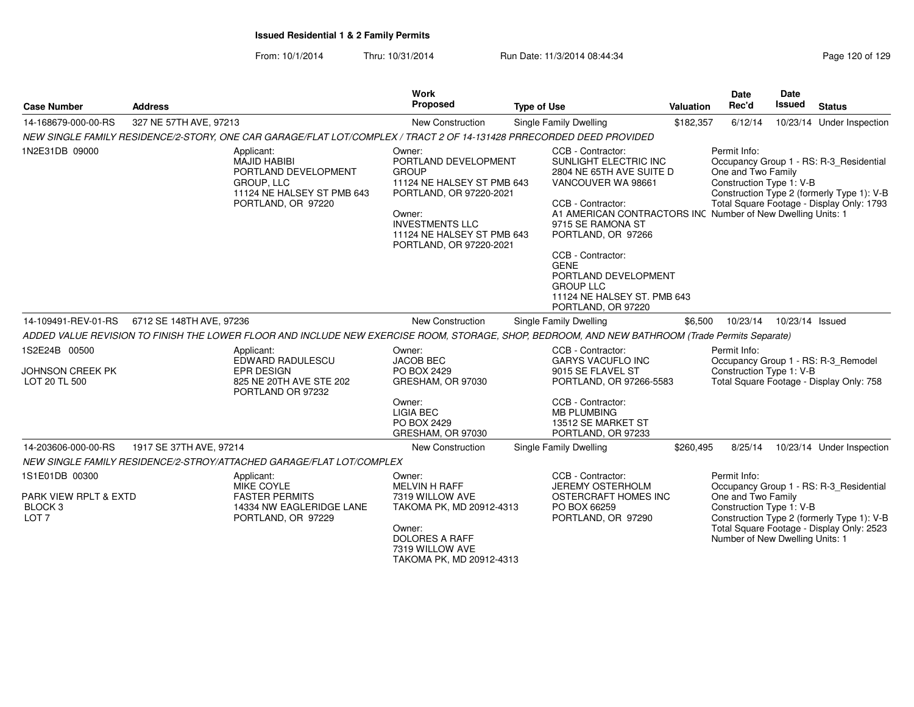| <b>Case Number</b>                                                                | <b>Address</b>                                                                                                                                  | <b>Work</b><br>Proposed                                                                                                                                                                              | <b>Type of Use</b>                                                                                                                                                                                                                                                                                                                                               | <b>Valuation</b> | Date<br>Rec'd                                                                                     | Date<br>Issued  | <b>Status</b>                                                                                                                      |
|-----------------------------------------------------------------------------------|-------------------------------------------------------------------------------------------------------------------------------------------------|------------------------------------------------------------------------------------------------------------------------------------------------------------------------------------------------------|------------------------------------------------------------------------------------------------------------------------------------------------------------------------------------------------------------------------------------------------------------------------------------------------------------------------------------------------------------------|------------------|---------------------------------------------------------------------------------------------------|-----------------|------------------------------------------------------------------------------------------------------------------------------------|
| 14-168679-000-00-RS                                                               | 327 NE 57TH AVE, 97213                                                                                                                          | <b>New Construction</b>                                                                                                                                                                              | Single Family Dwelling                                                                                                                                                                                                                                                                                                                                           | \$182,357        | 6/12/14                                                                                           |                 | 10/23/14 Under Inspection                                                                                                          |
|                                                                                   | NEW SINGLE FAMILY RESIDENCE/2-STORY, ONE CAR GARAGE/FLAT LOT/COMPLEX / TRACT 2 OF 14-131428 PRRECORDED DEED PROVIDED                            |                                                                                                                                                                                                      |                                                                                                                                                                                                                                                                                                                                                                  |                  |                                                                                                   |                 |                                                                                                                                    |
| 1N2E31DB 09000                                                                    | Applicant:<br><b>MAJID HABIBI</b><br>PORTLAND DEVELOPMENT<br>GROUP, LLC<br>11124 NE HALSEY ST PMB 643<br>PORTLAND, OR 97220                     | Owner:<br>PORTLAND DEVELOPMENT<br><b>GROUP</b><br>11124 NE HALSEY ST PMB 643<br>PORTLAND, OR 97220-2021<br>Owner:<br><b>INVESTMENTS LLC</b><br>11124 NE HALSEY ST PMB 643<br>PORTLAND, OR 97220-2021 | CCB - Contractor:<br>SUNLIGHT ELECTRIC INC<br>2804 NE 65TH AVE SUITE D<br>VANCOUVER WA 98661<br>CCB - Contractor:<br>A1 AMERICAN CONTRACTORS INC Number of New Dwelling Units: 1<br>9715 SE RAMONA ST<br>PORTLAND, OR 97266<br>CCB - Contractor:<br><b>GENE</b><br>PORTLAND DEVELOPMENT<br><b>GROUP LLC</b><br>11124 NE HALSEY ST. PMB 643<br>PORTLAND, OR 97220 |                  | Permit Info:<br>One and Two Family<br>Construction Type 1: V-B                                    |                 | Occupancy Group 1 - RS: R-3_Residential<br>Construction Type 2 (formerly Type 1): V-B<br>Total Square Footage - Display Only: 1793 |
| 14-109491-REV-01-RS                                                               | 6712 SE 148TH AVE, 97236                                                                                                                        | New Construction                                                                                                                                                                                     | Single Family Dwelling                                                                                                                                                                                                                                                                                                                                           | \$6,500          | 10/23/14                                                                                          | 10/23/14 Issued |                                                                                                                                    |
|                                                                                   | ADDED VALUE REVISION TO FINISH THE LOWER FLOOR AND INCLUDE NEW EXERCISE ROOM, STORAGE, SHOP, BEDROOM, AND NEW BATHROOM (Trade Permits Separate) |                                                                                                                                                                                                      |                                                                                                                                                                                                                                                                                                                                                                  |                  |                                                                                                   |                 |                                                                                                                                    |
| 1S2E24B 00500<br><b>JOHNSON CREEK PK</b><br>LOT 20 TL 500                         | Applicant:<br>EDWARD RADULESCU<br><b>EPR DESIGN</b><br>825 NE 20TH AVE STE 202<br>PORTLAND OR 97232                                             | Owner:<br><b>JACOB BEC</b><br>PO BOX 2429<br>GRESHAM, OR 97030                                                                                                                                       | CCB - Contractor:<br><b>GARYS VACUFLO INC</b><br>9015 SE FLAVEL ST<br>PORTLAND, OR 97266-5583                                                                                                                                                                                                                                                                    |                  | Permit Info:<br>Construction Type 1: V-B                                                          |                 | Occupancy Group 1 - RS: R-3 Remodel<br>Total Square Footage - Display Only: 758                                                    |
|                                                                                   |                                                                                                                                                 | Owner:<br>LIGIA BEC<br>PO BOX 2429<br>GRESHAM, OR 97030                                                                                                                                              | CCB - Contractor:<br><b>MB PLUMBING</b><br>13512 SE MARKET ST<br>PORTLAND, OR 97233                                                                                                                                                                                                                                                                              |                  |                                                                                                   |                 |                                                                                                                                    |
| 14-203606-000-00-RS                                                               | 1917 SE 37TH AVE, 97214                                                                                                                         | New Construction                                                                                                                                                                                     | Single Family Dwelling                                                                                                                                                                                                                                                                                                                                           | \$260,495        | 8/25/14                                                                                           |                 | 10/23/14 Under Inspection                                                                                                          |
|                                                                                   | NEW SINGLE FAMILY RESIDENCE/2-STROY/ATTACHED GARAGE/FLAT LOT/COMPLEX                                                                            |                                                                                                                                                                                                      |                                                                                                                                                                                                                                                                                                                                                                  |                  |                                                                                                   |                 |                                                                                                                                    |
| 1S1E01DB 00300<br>PARK VIEW RPLT & EXTD<br>BLOCK <sub>3</sub><br>LOT <sub>7</sub> | Applicant:<br><b>MIKE COYLE</b><br><b>FASTER PERMITS</b><br>14334 NW EAGLERIDGE LANE<br>PORTLAND, OR 97229                                      | Owner:<br><b>MELVIN H RAFF</b><br>7319 WILLOW AVE<br>TAKOMA PK, MD 20912-4313<br>Owner:<br><b>DOLORES A RAFF</b><br>7319 WILLOW AVE<br>TAKOMA PK, MD 20912-4313                                      | CCB - Contractor:<br><b>JEREMY OSTERHOLM</b><br>OSTERCRAFT HOMES INC<br>PO BOX 66259<br>PORTLAND, OR 97290                                                                                                                                                                                                                                                       |                  | Permit Info:<br>One and Two Family<br>Construction Type 1: V-B<br>Number of New Dwelling Units: 1 |                 | Occupancy Group 1 - RS: R-3 Residential<br>Construction Type 2 (formerly Type 1): V-B<br>Total Square Footage - Display Only: 2523 |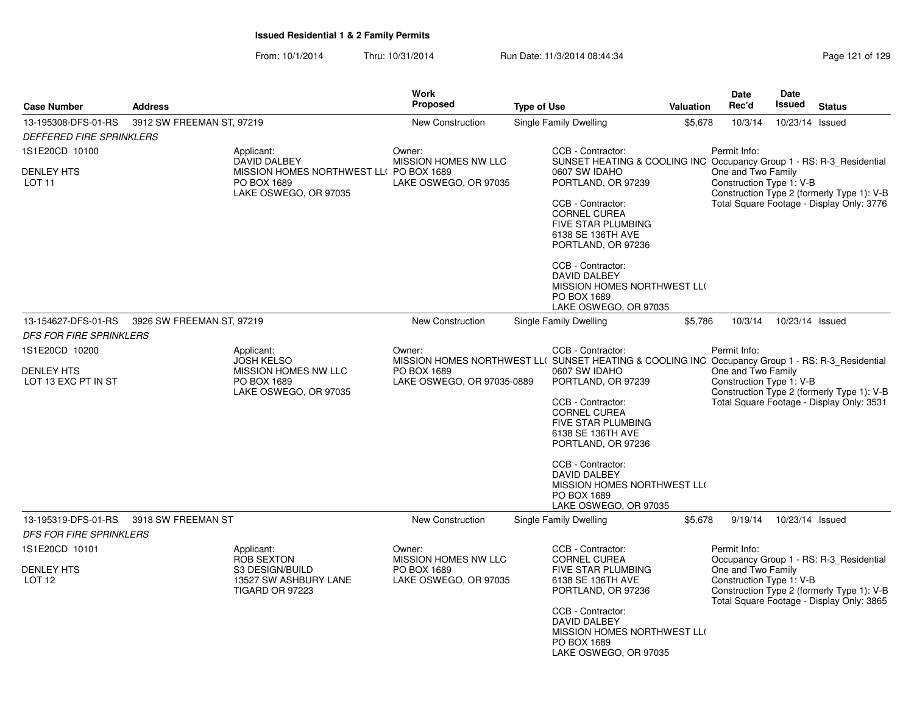| <b>Case Number</b>                                                                         |                           |                                                                                                                                                                                                                                    | Work<br>Proposed                                                       |                    |                                                                                                                                                                                                                                                                                                                                 | Valuation | <b>Date</b><br>Rec'd                                           | Date<br>Issued  | <b>Status</b>                                                                                                                      |
|--------------------------------------------------------------------------------------------|---------------------------|------------------------------------------------------------------------------------------------------------------------------------------------------------------------------------------------------------------------------------|------------------------------------------------------------------------|--------------------|---------------------------------------------------------------------------------------------------------------------------------------------------------------------------------------------------------------------------------------------------------------------------------------------------------------------------------|-----------|----------------------------------------------------------------|-----------------|------------------------------------------------------------------------------------------------------------------------------------|
|                                                                                            | <b>Address</b>            |                                                                                                                                                                                                                                    |                                                                        | <b>Type of Use</b> |                                                                                                                                                                                                                                                                                                                                 |           |                                                                |                 |                                                                                                                                    |
| 13-195308-DFS-01-RS                                                                        | 3912 SW FREEMAN ST, 97219 |                                                                                                                                                                                                                                    | New Construction                                                       |                    | Single Family Dwelling                                                                                                                                                                                                                                                                                                          | \$5,678   | 10/3/14                                                        | 10/23/14 Issued |                                                                                                                                    |
| <b>DEFFERED FIRE SPRINKLERS</b>                                                            |                           |                                                                                                                                                                                                                                    |                                                                        |                    |                                                                                                                                                                                                                                                                                                                                 |           |                                                                |                 |                                                                                                                                    |
| 1S1E20CD 10100<br><b>DENLEY HTS</b><br>LOT <sub>11</sub>                                   |                           | Applicant:<br><b>DAVID DALBEY</b><br>MISSION HOMES NORTHWEST LL( PO BOX 1689<br>PO BOX 1689<br>LAKE OSWEGO, OR 97035                                                                                                               | Owner:<br>MISSION HOMES NW LLC<br>LAKE OSWEGO, OR 97035                |                    | CCB - Contractor:<br>SUNSET HEATING & COOLING INC Occupancy Group 1 - RS: R-3_Residential<br>0607 SW IDAHO<br>PORTLAND, OR 97239<br>CCB - Contractor:<br><b>CORNEL CUREA</b><br><b>FIVE STAR PLUMBING</b><br>6138 SE 136TH AVE<br>PORTLAND, OR 97236<br>CCB - Contractor:<br><b>DAVID DALBEY</b><br>MISSION HOMES NORTHWEST LLO |           | Permit Info:<br>One and Two Family<br>Construction Type 1: V-B |                 | Construction Type 2 (formerly Type 1): V-B<br>Total Square Footage - Display Only: 3776                                            |
|                                                                                            |                           |                                                                                                                                                                                                                                    |                                                                        |                    | PO BOX 1689<br>LAKE OSWEGO, OR 97035                                                                                                                                                                                                                                                                                            |           |                                                                |                 |                                                                                                                                    |
| 13-154627-DFS-01-RS                                                                        | 3926 SW FREEMAN ST, 97219 |                                                                                                                                                                                                                                    | <b>New Construction</b>                                                |                    | Single Family Dwelling                                                                                                                                                                                                                                                                                                          | \$5,786   | 10/3/14                                                        | 10/23/14 Issued |                                                                                                                                    |
| <b>DFS FOR FIRE SPRINKLERS</b>                                                             |                           |                                                                                                                                                                                                                                    |                                                                        |                    |                                                                                                                                                                                                                                                                                                                                 |           |                                                                |                 |                                                                                                                                    |
| 1S1E20CD 10200                                                                             |                           | Applicant:                                                                                                                                                                                                                         | Owner:                                                                 |                    | CCB - Contractor:                                                                                                                                                                                                                                                                                                               |           | Permit Info:                                                   |                 |                                                                                                                                    |
| <b>DENLEY HTS</b><br>LOT 13 EXC PT IN ST                                                   |                           | <b>JOSH KELSO</b><br>MISSION HOMES NORTHWEST LL( SUNSET HEATING & COOLING INC Occupancy Group 1 - RS: R-3_Residential<br>MISSION HOMES NW LLC<br>PO BOX 1689<br>PO BOX 1689<br>LAKE OSWEGO, OR 97035-0889<br>LAKE OSWEGO, OR 97035 |                                                                        |                    | 0607 SW IDAHO<br>PORTLAND, OR 97239<br>CCB - Contractor:<br><b>CORNEL CUREA</b><br><b>FIVE STAR PLUMBING</b><br>6138 SE 136TH AVE<br>PORTLAND, OR 97236<br>CCB - Contractor:<br><b>DAVID DALBEY</b><br>MISSION HOMES NORTHWEST LLO<br>PO BOX 1689                                                                               |           | One and Two Family<br>Construction Type 1: V-B                 |                 | Construction Type 2 (formerly Type 1): V-B<br>Total Square Footage - Display Only: 3531                                            |
| 13-195319-DFS-01-RS                                                                        | 3918 SW FREEMAN ST        |                                                                                                                                                                                                                                    | New Construction                                                       |                    | LAKE OSWEGO, OR 97035<br>Single Family Dwelling                                                                                                                                                                                                                                                                                 | \$5,678   | 9/19/14                                                        | 10/23/14 Issued |                                                                                                                                    |
| <b>DFS FOR FIRE SPRINKLERS</b><br>1S1E20CD 10101<br><b>DENLEY HTS</b><br>LOT <sub>12</sub> |                           | Applicant:<br><b>ROB SEXTON</b><br>S3 DESIGN/BUILD<br>13527 SW ASHBURY LANE<br><b>TIGARD OR 97223</b>                                                                                                                              | Owner:<br>MISSION HOMES NW LLC<br>PO BOX 1689<br>LAKE OSWEGO, OR 97035 |                    | CCB - Contractor:<br><b>CORNEL CUREA</b><br>FIVE STAR PLUMBING<br>6138 SE 136TH AVE<br>PORTLAND, OR 97236<br>CCB - Contractor:<br>DAVID DALBEY<br>MISSION HOMES NORTHWEST LLO<br>PO BOX 1689<br>LAKE OSWEGO, OR 97035                                                                                                           |           | Permit Info:<br>One and Two Family<br>Construction Type 1: V-B |                 | Occupancy Group 1 - RS: R-3_Residential<br>Construction Type 2 (formerly Type 1): V-B<br>Total Square Footage - Display Only: 3865 |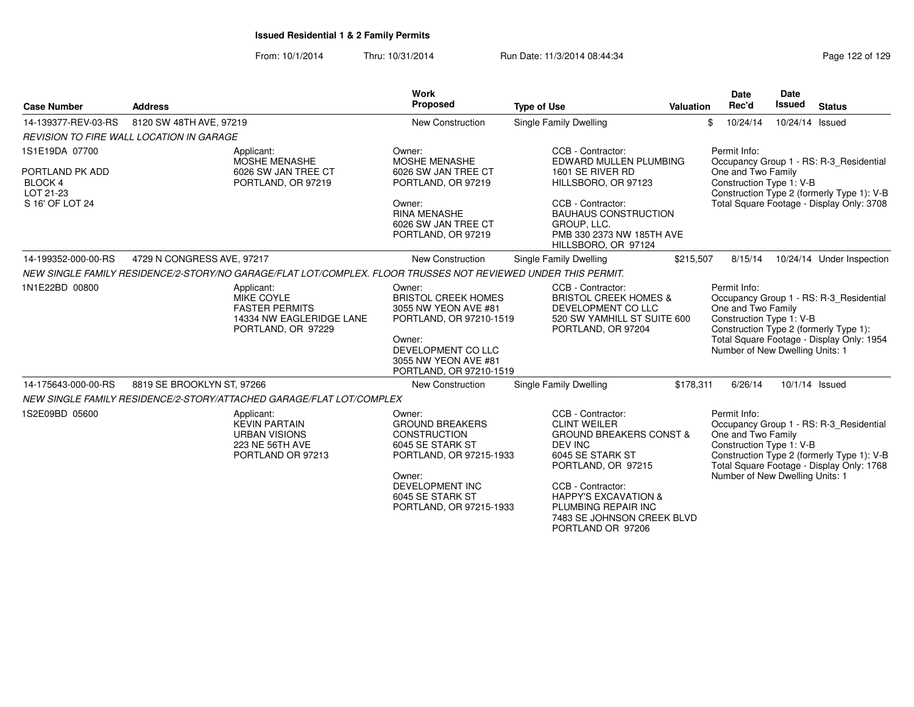From: 10/1/2014Thru: 10/31/2014 Run Date: 11/3/2014 08:44:34 Research 20 and 29 Page 122 of 129

| <b>Case Number</b>                      | <b>Address</b>                                                                                                | Work<br>Proposed                                                                                                                                                                   | <b>Type of Use</b>                                                                                                                                                                                                                                                    | Valuation                                                                                                                                                                                                                                                                                              | <b>Date</b><br>Rec'd                                                                              | Date<br><b>Issued</b> | <b>Status</b>                                                                                                                      |  |
|-----------------------------------------|---------------------------------------------------------------------------------------------------------------|------------------------------------------------------------------------------------------------------------------------------------------------------------------------------------|-----------------------------------------------------------------------------------------------------------------------------------------------------------------------------------------------------------------------------------------------------------------------|--------------------------------------------------------------------------------------------------------------------------------------------------------------------------------------------------------------------------------------------------------------------------------------------------------|---------------------------------------------------------------------------------------------------|-----------------------|------------------------------------------------------------------------------------------------------------------------------------|--|
| 14-139377-REV-03-RS                     | 8120 SW 48TH AVE, 97219                                                                                       | New Construction                                                                                                                                                                   | Single Family Dwelling                                                                                                                                                                                                                                                | \$                                                                                                                                                                                                                                                                                                     | 10/24/14                                                                                          |                       | 10/24/14 Issued                                                                                                                    |  |
|                                         | <b>REVISION TO FIRE WALL LOCATION IN GARAGE</b>                                                               |                                                                                                                                                                                    |                                                                                                                                                                                                                                                                       |                                                                                                                                                                                                                                                                                                        |                                                                                                   |                       |                                                                                                                                    |  |
| 1S1E19DA 07700                          | Applicant:<br><b>MOSHE MENASHE</b>                                                                            | Owner:<br><b>MOSHE MENASHE</b>                                                                                                                                                     | CCB - Contractor:<br>EDWARD MULLEN PLUMBING                                                                                                                                                                                                                           |                                                                                                                                                                                                                                                                                                        | Permit Info:                                                                                      |                       | Occupancy Group 1 - RS: R-3_Residential                                                                                            |  |
| PORTLAND PK ADD<br>BLOCK 4<br>LOT 21-23 | 6026 SW JAN TREE CT<br>PORTLAND, OR 97219                                                                     | 6026 SW JAN TREE CT<br>PORTLAND, OR 97219                                                                                                                                          | 1601 SE RIVER RD<br>HILLSBORO, OR 97123                                                                                                                                                                                                                               |                                                                                                                                                                                                                                                                                                        | One and Two Family<br>Construction Type 1: V-B<br>Construction Type 2 (formerly Type 1): V-B      |                       |                                                                                                                                    |  |
| S 16' OF LOT 24                         |                                                                                                               | Owner:<br><b>RINA MENASHE</b><br>6026 SW JAN TREE CT<br>PORTLAND, OR 97219                                                                                                         | CCB - Contractor:<br><b>BAUHAUS CONSTRUCTION</b><br>GROUP. LLC.<br>PMB 330 2373 NW 185TH AVE<br>HILLSBORO, OR 97124                                                                                                                                                   | Total Square Footage - Display Only: 3708                                                                                                                                                                                                                                                              |                                                                                                   |                       |                                                                                                                                    |  |
| 14-199352-000-00-RS                     | 4729 N CONGRESS AVE, 97217                                                                                    | <b>New Construction</b>                                                                                                                                                            | Single Family Dwelling                                                                                                                                                                                                                                                | \$215,507                                                                                                                                                                                                                                                                                              | 8/15/14                                                                                           |                       | 10/24/14 Under Inspection                                                                                                          |  |
|                                         | NEW SINGLE FAMILY RESIDENCE/2-STORY/NO GARAGE/FLAT LOT/COMPLEX. FLOOR TRUSSES NOT REVIEWED UNDER THIS PERMIT. |                                                                                                                                                                                    |                                                                                                                                                                                                                                                                       |                                                                                                                                                                                                                                                                                                        |                                                                                                   |                       |                                                                                                                                    |  |
| 1N1E22BD 00800                          | Applicant:<br><b>MIKE COYLE</b><br><b>FASTER PERMITS</b><br>14334 NW EAGLERIDGE LANE<br>PORTLAND, OR 97229    | Owner:<br><b>BRISTOL CREEK HOMES</b><br>3055 NW YEON AVE #81<br>PORTLAND, OR 97210-1519<br>Owner:<br>DEVELOPMENT CO LLC                                                            | CCB - Contractor:<br>DEVELOPMENT CO LLC<br>PORTLAND, OR 97204                                                                                                                                                                                                         | Permit Info:<br><b>BRISTOL CREEK HOMES &amp;</b><br>Occupancy Group 1 - RS: R-3 Residential<br>One and Two Family<br>520 SW YAMHILL ST SUITE 600<br>Construction Type 1: V-B<br>Construction Type 2 (formerly Type 1):<br>Total Square Footage - Display Only: 1954<br>Number of New Dwelling Units: 1 |                                                                                                   |                       |                                                                                                                                    |  |
|                                         |                                                                                                               | 3055 NW YEON AVE #81<br>PORTLAND, OR 97210-1519                                                                                                                                    |                                                                                                                                                                                                                                                                       |                                                                                                                                                                                                                                                                                                        |                                                                                                   |                       |                                                                                                                                    |  |
| 14-175643-000-00-RS                     | 8819 SE BROOKLYN ST, 97266                                                                                    | <b>New Construction</b>                                                                                                                                                            | <b>Single Family Dwelling</b>                                                                                                                                                                                                                                         | \$178,311                                                                                                                                                                                                                                                                                              | 6/26/14                                                                                           |                       | 10/1/14 Issued                                                                                                                     |  |
|                                         | NEW SINGLE FAMILY RESIDENCE/2-STORY/ATTACHED GARAGE/FLAT LOT/COMPLEX                                          |                                                                                                                                                                                    |                                                                                                                                                                                                                                                                       |                                                                                                                                                                                                                                                                                                        |                                                                                                   |                       |                                                                                                                                    |  |
| 1S2E09BD 05600                          | Applicant:<br><b>KEVIN PARTAIN</b><br><b>URBAN VISIONS</b><br>223 NE 56TH AVE<br>PORTLAND OR 97213            | Owner:<br><b>GROUND BREAKERS</b><br><b>CONSTRUCTION</b><br>6045 SE STARK ST<br>PORTLAND, OR 97215-1933<br>Owner:<br>DEVELOPMENT INC<br>6045 SE STARK ST<br>PORTLAND, OR 97215-1933 | CCB - Contractor:<br><b>CLINT WEILER</b><br><b>GROUND BREAKERS CONST &amp;</b><br>DEV INC<br>6045 SE STARK ST<br>PORTLAND, OR 97215<br>CCB - Contractor:<br><b>HAPPY'S EXCAVATION &amp;</b><br>PLUMBING REPAIR INC<br>7483 SE JOHNSON CREEK BLVD<br>PORTLAND OR 97206 |                                                                                                                                                                                                                                                                                                        | Permit Info:<br>One and Two Family<br>Construction Type 1: V-B<br>Number of New Dwelling Units: 1 |                       | Occupancy Group 1 - RS: R-3_Residential<br>Construction Type 2 (formerly Type 1): V-B<br>Total Square Footage - Display Only: 1768 |  |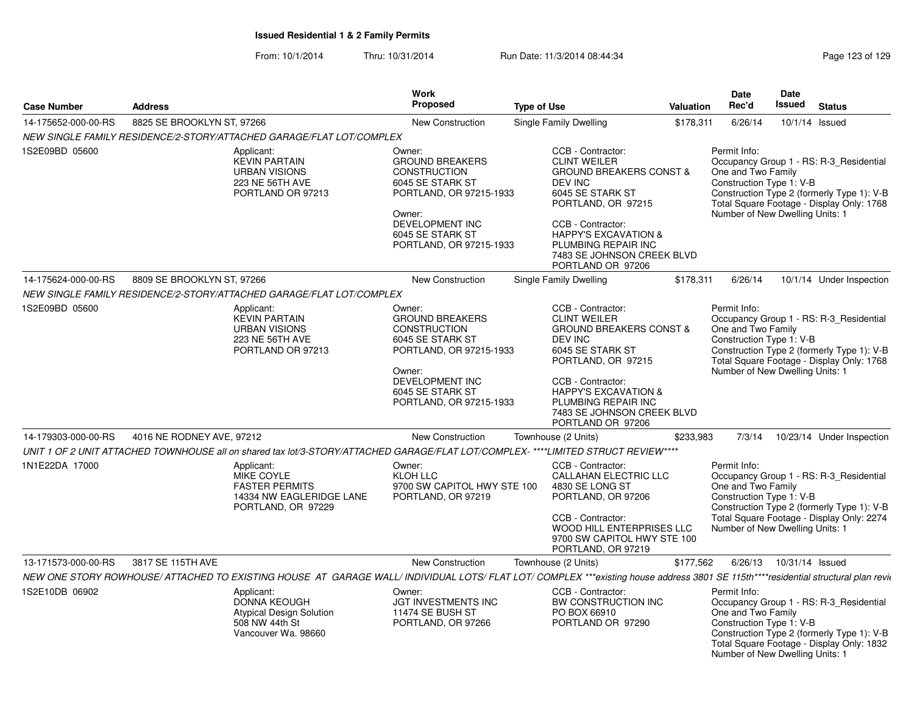| <b>Case Number</b>  | <b>Address</b>                                                                                                                                                                    | Work<br><b>Proposed</b>                                                                                                                                                                   | <b>Type of Use</b>                                                                                                                                                                                                                                                           | Valuation | <b>Date</b><br>Rec'd                                                                              | Date<br><b>Issued</b>     | <b>Status</b>                                                                                                                      |
|---------------------|-----------------------------------------------------------------------------------------------------------------------------------------------------------------------------------|-------------------------------------------------------------------------------------------------------------------------------------------------------------------------------------------|------------------------------------------------------------------------------------------------------------------------------------------------------------------------------------------------------------------------------------------------------------------------------|-----------|---------------------------------------------------------------------------------------------------|---------------------------|------------------------------------------------------------------------------------------------------------------------------------|
| 14-175652-000-00-RS | 8825 SE BROOKLYN ST, 97266                                                                                                                                                        | New Construction                                                                                                                                                                          | Single Family Dwelling                                                                                                                                                                                                                                                       | \$178,311 | 6/26/14                                                                                           |                           | 10/1/14 Issued                                                                                                                     |
|                     | NEW SINGLE FAMILY RESIDENCE/2-STORY/ATTACHED GARAGE/FLAT LOT/COMPLEX                                                                                                              |                                                                                                                                                                                           |                                                                                                                                                                                                                                                                              |           |                                                                                                   |                           |                                                                                                                                    |
| 1S2E09BD 05600      | Applicant:<br><b>KEVIN PARTAIN</b><br><b>URBAN VISIONS</b><br>223 NE 56TH AVE<br>PORTLAND OR 97213                                                                                | Owner:<br><b>GROUND BREAKERS</b><br><b>CONSTRUCTION</b><br>6045 SE STARK ST<br>PORTLAND, OR 97215-1933<br>Owner:<br><b>DEVELOPMENT INC</b><br>6045 SE STARK ST<br>PORTLAND, OR 97215-1933 | CCB - Contractor:<br><b>CLINT WEILER</b><br><b>GROUND BREAKERS CONST &amp;</b><br>DEV INC<br>6045 SE STARK ST<br>PORTLAND, OR 97215<br>CCB - Contractor:<br><b>HAPPY'S EXCAVATION &amp;</b><br>PLUMBING REPAIR INC<br>7483 SE JOHNSON CREEK BLVD<br>PORTLAND OR 97206        |           | Permit Info:<br>One and Two Family<br>Construction Type 1: V-B<br>Number of New Dwelling Units: 1 |                           | Occupancy Group 1 - RS: R-3_Residential<br>Construction Type 2 (formerly Type 1): V-B<br>Total Square Footage - Display Only: 1768 |
| 14-175624-000-00-RS | 8809 SE BROOKLYN ST, 97266                                                                                                                                                        | New Construction                                                                                                                                                                          | Single Family Dwelling                                                                                                                                                                                                                                                       | \$178,311 | 6/26/14                                                                                           |                           | 10/1/14 Under Inspection                                                                                                           |
|                     | NEW SINGLE FAMILY RESIDENCE/2-STORY/ATTACHED GARAGE/FLAT LOT/COMPLEX                                                                                                              |                                                                                                                                                                                           |                                                                                                                                                                                                                                                                              |           |                                                                                                   |                           |                                                                                                                                    |
| 1S2E09BD 05600      | Applicant:<br><b>KEVIN PARTAIN</b><br><b>URBAN VISIONS</b><br>223 NE 56TH AVE<br>PORTLAND OR 97213                                                                                | Owner:<br><b>GROUND BREAKERS</b><br><b>CONSTRUCTION</b><br>6045 SE STARK ST<br>PORTLAND, OR 97215-1933<br>Owner:<br><b>DEVELOPMENT INC</b><br>6045 SE STARK ST<br>PORTLAND, OR 97215-1933 | CCB - Contractor:<br><b>CLINT WEILER</b><br><b>GROUND BREAKERS CONST &amp;</b><br><b>DEV INC</b><br>6045 SE STARK ST<br>PORTLAND, OR 97215<br>CCB - Contractor:<br><b>HAPPY'S EXCAVATION &amp;</b><br>PLUMBING REPAIR INC<br>7483 SE JOHNSON CREEK BLVD<br>PORTLAND OR 97206 |           | Permit Info:<br>One and Two Family<br>Construction Type 1: V-B<br>Number of New Dwelling Units: 1 |                           | Occupancy Group 1 - RS: R-3_Residential<br>Construction Type 2 (formerly Type 1): V-B<br>Total Square Footage - Display Only: 1768 |
| 14-179303-000-00-RS | 4016 NE RODNEY AVE, 97212                                                                                                                                                         | New Construction                                                                                                                                                                          | Townhouse (2 Units)                                                                                                                                                                                                                                                          | \$233,983 | 7/3/14                                                                                            |                           | 10/23/14 Under Inspection                                                                                                          |
|                     | UNIT 1 OF 2 UNIT ATTACHED TOWNHOUSE all on shared tax lot/3-STORY/ATTACHED GARAGE/FLAT LOT/COMPLEX-****LIMITED STRUCT REVIEW****                                                  |                                                                                                                                                                                           |                                                                                                                                                                                                                                                                              |           |                                                                                                   |                           |                                                                                                                                    |
| 1N1E22DA 17000      | Applicant:<br><b>MIKE COYLE</b><br><b>FASTER PERMITS</b><br>14334 NW EAGLERIDGE LANE<br>PORTLAND, OR 97229                                                                        | Owner:<br><b>KLOH LLC</b><br>9700 SW CAPITOL HWY STE 100<br>PORTLAND, OR 97219                                                                                                            | CCB - Contractor:<br><b>CALLAHAN ELECTRIC LLC</b><br>4830 SE LONG ST<br>PORTLAND, OR 97206<br>CCB - Contractor:<br>WOOD HILL ENTERPRISES LLC<br>9700 SW CAPITOL HWY STE 100<br>PORTLAND, OR 97219                                                                            |           | Permit Info:<br>One and Two Family<br>Construction Type 1: V-B<br>Number of New Dwelling Units: 1 |                           | Occupancy Group 1 - RS: R-3_Residential<br>Construction Type 2 (formerly Type 1): V-B<br>Total Square Footage - Display Only: 2274 |
| 13-171573-000-00-RS | 3817 SE 115TH AVE                                                                                                                                                                 | <b>New Construction</b>                                                                                                                                                                   | Townhouse (2 Units)                                                                                                                                                                                                                                                          | \$177,562 |                                                                                                   | 6/26/13  10/31/14  Issued |                                                                                                                                    |
|                     | NEW ONE STORY ROWHOUSE/ATTACHED TO EXISTING HOUSE AT GARAGE WALL/ INDIVIDUAL LOTS/ FLAT LOT/ COMPLEX ***existing house address 3801 SE 115th****residential structural plan revit |                                                                                                                                                                                           |                                                                                                                                                                                                                                                                              |           |                                                                                                   |                           |                                                                                                                                    |
| 1S2E10DB 06902      | Applicant:<br><b>DONNA KEOUGH</b><br><b>Atypical Design Solution</b><br>508 NW 44th St<br>Vancouver Wa. 98660                                                                     | Owner:<br><b>JGT INVESTMENTS INC</b><br>11474 SE BUSH ST<br>PORTLAND, OR 97266                                                                                                            | CCB - Contractor:<br>BW CONSTRUCTION INC<br>PO BOX 66910<br>PORTLAND OR 97290                                                                                                                                                                                                |           | Permit Info:<br>One and Two Family<br>Construction Type 1: V-B<br>Number of New Dwelling Units: 1 |                           | Occupancy Group 1 - RS: R-3 Residential<br>Construction Type 2 (formerly Type 1): V-B<br>Total Square Footage - Display Only: 1832 |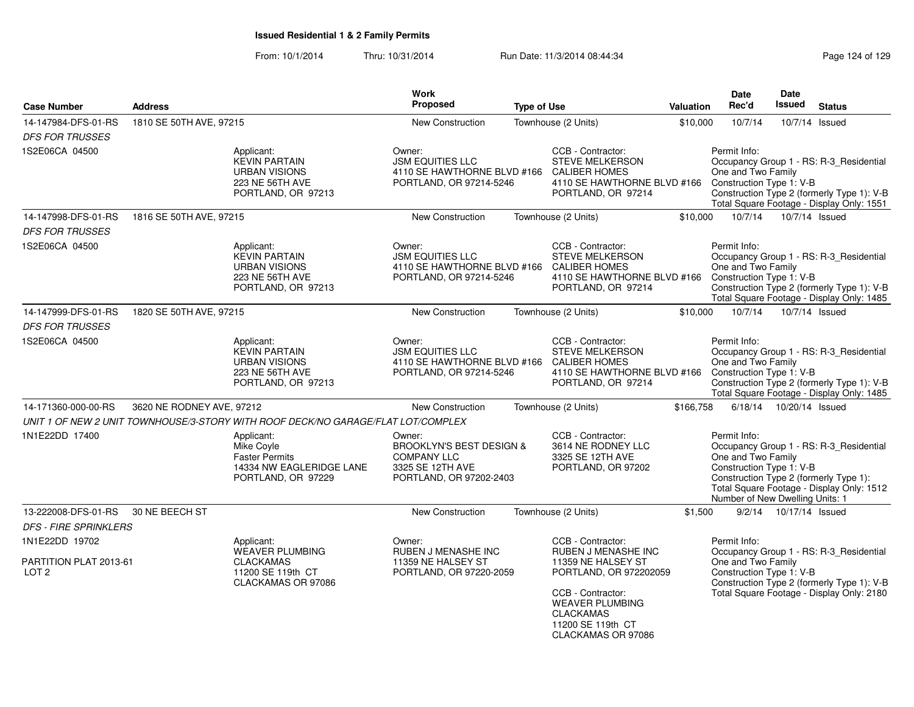| <b>Case Number</b>                                           | <b>Address</b>                                                                                      |                                                                                                     | <b>Work</b><br>Proposed                                                                                            | <b>Type of Use</b> |                                                                                                                          | Valuation | Date<br>Rec'd                                                                                                                                                                                        | Date<br><b>Issued</b>     | <b>Status</b>                                                                                                                      |
|--------------------------------------------------------------|-----------------------------------------------------------------------------------------------------|-----------------------------------------------------------------------------------------------------|--------------------------------------------------------------------------------------------------------------------|--------------------|--------------------------------------------------------------------------------------------------------------------------|-----------|------------------------------------------------------------------------------------------------------------------------------------------------------------------------------------------------------|---------------------------|------------------------------------------------------------------------------------------------------------------------------------|
| 14-147984-DFS-01-RS                                          | 1810 SE 50TH AVE, 97215                                                                             |                                                                                                     | New Construction                                                                                                   |                    | Townhouse (2 Units)                                                                                                      | \$10,000  | 10/7/14                                                                                                                                                                                              |                           | 10/7/14 Issued                                                                                                                     |
| <b>DFS FOR TRUSSES</b>                                       |                                                                                                     |                                                                                                     |                                                                                                                    |                    |                                                                                                                          |           |                                                                                                                                                                                                      |                           |                                                                                                                                    |
| 1S2E06CA 04500                                               |                                                                                                     | Applicant:<br><b>KEVIN PARTAIN</b><br><b>URBAN VISIONS</b><br>223 NE 56TH AVE<br>PORTLAND, OR 97213 | Owner:<br><b>JSM EQUITIES LLC</b><br>4110 SE HAWTHORNE BLVD #166<br>PORTLAND, OR 97214-5246                        |                    | CCB - Contractor:<br><b>STEVE MELKERSON</b><br><b>CALIBER HOMES</b><br>4110 SE HAWTHORNE BLVD #166<br>PORTLAND, OR 97214 |           | Permit Info:<br>One and Two Family<br>Construction Type 1: V-B                                                                                                                                       |                           | Occupancy Group 1 - RS: R-3_Residential<br>Construction Type 2 (formerly Type 1): V-B<br>Total Square Footage - Display Only: 1551 |
| 14-147998-DFS-01-RS                                          | 1816 SE 50TH AVE, 97215                                                                             |                                                                                                     | <b>New Construction</b>                                                                                            |                    | Townhouse (2 Units)                                                                                                      | \$10,000  | 10/7/14                                                                                                                                                                                              |                           | 10/7/14 Issued                                                                                                                     |
| <b>DFS FOR TRUSSES</b>                                       |                                                                                                     |                                                                                                     |                                                                                                                    |                    |                                                                                                                          |           |                                                                                                                                                                                                      |                           |                                                                                                                                    |
| 1S2E06CA 04500                                               |                                                                                                     | Applicant:<br><b>KEVIN PARTAIN</b><br><b>URBAN VISIONS</b><br>223 NE 56TH AVE<br>PORTLAND, OR 97213 | Owner:<br><b>JSM EQUITIES LLC</b><br>4110 SE HAWTHORNE BLVD #166 CALIBER HOMES<br>PORTLAND, OR 97214-5246          |                    | CCB - Contractor:<br><b>STEVE MELKERSON</b><br>4110 SE HAWTHORNE BLVD #166<br>PORTLAND, OR 97214                         |           | Permit Info:<br>One and Two Family<br>Construction Type 1: V-B                                                                                                                                       |                           | Occupancy Group 1 - RS: R-3_Residential<br>Construction Type 2 (formerly Type 1): V-B<br>Total Square Footage - Display Only: 1485 |
| 14-147999-DFS-01-RS                                          | 1820 SE 50TH AVE, 97215                                                                             |                                                                                                     | <b>New Construction</b>                                                                                            |                    | Townhouse (2 Units)                                                                                                      | \$10,000  | 10/7/14                                                                                                                                                                                              |                           | 10/7/14 Issued                                                                                                                     |
| <b>DFS FOR TRUSSES</b>                                       |                                                                                                     |                                                                                                     |                                                                                                                    |                    |                                                                                                                          |           |                                                                                                                                                                                                      |                           |                                                                                                                                    |
| 1S2E06CA 04500                                               |                                                                                                     | Applicant:<br><b>KEVIN PARTAIN</b><br><b>URBAN VISIONS</b><br>223 NE 56TH AVE<br>PORTLAND, OR 97213 | Owner:<br><b>JSM EQUITIES LLC</b><br>4110 SE HAWTHORNE BLVD #166<br>PORTLAND, OR 97214-5246                        |                    | CCB - Contractor:<br><b>STEVE MELKERSON</b><br><b>CALIBER HOMES</b><br>4110 SE HAWTHORNE BLVD #166<br>PORTLAND, OR 97214 |           | Permit Info:<br>One and Two Family<br>Construction Type 1: V-B                                                                                                                                       |                           | Occupancy Group 1 - RS: R-3_Residential<br>Construction Type 2 (formerly Type 1): V-B<br>Total Square Footage - Display Only: 1485 |
| 14-171360-000-00-RS                                          | 3620 NE RODNEY AVE, 97212                                                                           |                                                                                                     | New Construction                                                                                                   |                    | Townhouse (2 Units)                                                                                                      | \$166,758 |                                                                                                                                                                                                      | 6/18/14  10/20/14  Issued |                                                                                                                                    |
|                                                              |                                                                                                     | UNIT 1 OF NEW 2 UNIT TOWNHOUSE/3-STORY WITH ROOF DECK/NO GARAGE/FLAT LOT/COMPLEX                    |                                                                                                                    |                    |                                                                                                                          |           |                                                                                                                                                                                                      |                           |                                                                                                                                    |
| 1N1E22DD 17400                                               |                                                                                                     | Applicant:<br>Mike Coyle<br><b>Faster Permits</b><br>14334 NW EAGLERIDGE LANE<br>PORTLAND, OR 97229 | Owner:<br><b>BROOKLYN'S BEST DESIGN &amp;</b><br><b>COMPANY LLC</b><br>3325 SE 12TH AVE<br>PORTLAND, OR 97202-2403 |                    | CCB - Contractor:<br>3614 NE RODNEY LLC<br>3325 SE 12TH AVE<br>PORTLAND, OR 97202                                        |           | Permit Info:<br>One and Two Family<br>Construction Type 1: V-B<br>Number of New Dwelling Units: 1                                                                                                    |                           | Occupancy Group 1 - RS: R-3_Residential<br>Construction Type 2 (formerly Type 1):<br>Total Square Footage - Display Only: 1512     |
| 13-222008-DFS-01-RS                                          | 30 NE BEECH ST                                                                                      |                                                                                                     | <b>New Construction</b>                                                                                            |                    | Townhouse (2 Units)                                                                                                      | \$1,500   |                                                                                                                                                                                                      | 9/2/14  10/17/14  Issued  |                                                                                                                                    |
| <b>DFS - FIRE SPRINKLERS</b>                                 |                                                                                                     |                                                                                                     |                                                                                                                    |                    |                                                                                                                          |           |                                                                                                                                                                                                      |                           |                                                                                                                                    |
| 1N1E22DD 19702<br>PARTITION PLAT 2013-61<br>LOT <sub>2</sub> | Applicant:<br><b>WEAVER PLUMBING</b><br><b>CLACKAMAS</b><br>11200 SE 119th CT<br>CLACKAMAS OR 97086 |                                                                                                     | Owner:<br><b>RUBEN J MENASHE INC</b><br>11359 NE HALSEY ST<br>PORTLAND, OR 97220-2059                              |                    | CCB - Contractor:<br><b>RUBEN J MENASHE INC</b><br>11359 NE HALSEY ST<br>PORTLAND, OR 972202059<br>CCB - Contractor:     |           | Permit Info:<br>Occupancy Group 1 - RS: R-3_Residential<br>One and Two Family<br>Construction Type 1: V-B<br>Construction Type 2 (formerly Type 1): V-B<br>Total Square Footage - Display Only: 2180 |                           |                                                                                                                                    |
|                                                              |                                                                                                     |                                                                                                     |                                                                                                                    |                    | <b>WEAVER PLUMBING</b><br><b>CLACKAMAS</b><br>11200 SE 119th CT<br>CLACKAMAS OR 97086                                    |           |                                                                                                                                                                                                      |                           |                                                                                                                                    |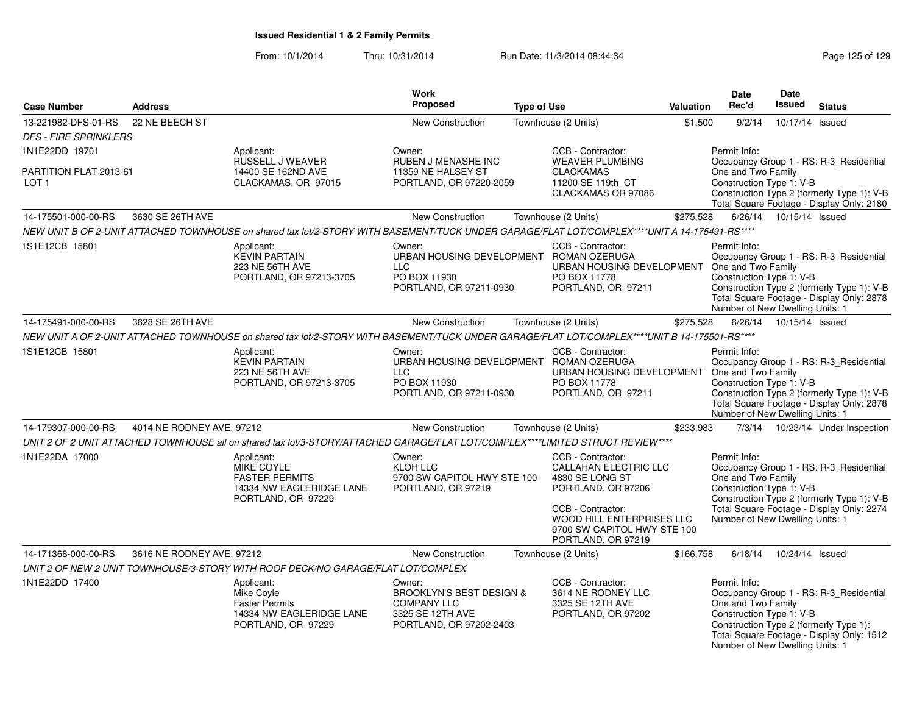| <b>Case Number</b>                                           | <b>Address</b>            |                                                                                                                                               | <b>Work</b><br><b>Proposed</b>                                                                                     | <b>Type of Use</b> |                                                                                                                                                                                                   | Valuation | <b>Date</b><br>Rec'd                                                                              | <b>Date</b><br>Issued     | <b>Status</b>                                                                                                                      |
|--------------------------------------------------------------|---------------------------|-----------------------------------------------------------------------------------------------------------------------------------------------|--------------------------------------------------------------------------------------------------------------------|--------------------|---------------------------------------------------------------------------------------------------------------------------------------------------------------------------------------------------|-----------|---------------------------------------------------------------------------------------------------|---------------------------|------------------------------------------------------------------------------------------------------------------------------------|
| 13-221982-DFS-01-RS<br><b>DFS - FIRE SPRINKLERS</b>          | 22 NE BEECH ST            |                                                                                                                                               | <b>New Construction</b>                                                                                            |                    | Townhouse (2 Units)                                                                                                                                                                               | \$1,500   | 9/2/14                                                                                            | 10/17/14 Issued           |                                                                                                                                    |
| 1N1E22DD 19701<br>PARTITION PLAT 2013-61<br>LOT <sub>1</sub> |                           | Applicant:<br>RUSSELL J WEAVER<br>14400 SE 162ND AVE<br>CLACKAMAS, OR 97015                                                                   | Owner:<br><b>RUBEN J MENASHE INC</b><br>11359 NE HALSEY ST<br>PORTLAND, OR 97220-2059                              |                    | CCB - Contractor:<br><b>WEAVER PLUMBING</b><br><b>CLACKAMAS</b><br>11200 SE 119th CT                                                                                                              |           | Permit Info:<br>One and Two Family<br>Construction Type 1: V-B                                    |                           | Occupancy Group 1 - RS: R-3_Residential<br>Construction Type 2 (formerly Type 1): V-B                                              |
|                                                              |                           |                                                                                                                                               |                                                                                                                    |                    | CLACKAMAS OR 97086                                                                                                                                                                                |           |                                                                                                   |                           | Total Square Footage - Display Only: 2180                                                                                          |
| 14-175501-000-00-RS                                          | 3630 SE 26TH AVE          |                                                                                                                                               | <b>New Construction</b>                                                                                            |                    | Townhouse (2 Units)                                                                                                                                                                               | \$275,528 |                                                                                                   | 6/26/14  10/15/14  Issued |                                                                                                                                    |
|                                                              |                           | NEW UNIT B OF 2-UNIT ATTACHED TOWNHOUSE on shared tax lot/2-STORY WITH BASEMENT/TUCK UNDER GARAGE/FLAT LOT/COMPLEX****UNIT A 14-175491-RS**** |                                                                                                                    |                    |                                                                                                                                                                                                   |           |                                                                                                   |                           |                                                                                                                                    |
| 1S1E12CB 15801                                               |                           | Applicant:<br><b>KEVIN PARTAIN</b><br>223 NE 56TH AVE<br>PORTLAND, OR 97213-3705                                                              | Owner:<br>URBAN HOUSING DEVELOPMENT ROMAN OZERUGA<br><b>LLC</b><br>PO BOX 11930<br>PORTLAND, OR 97211-0930         |                    | CCB - Contractor:<br>URBAN HOUSING DEVELOPMENT One and Two Family<br>PO BOX 11778<br>PORTLAND, OR 97211                                                                                           |           | Permit Info:<br>Construction Type 1: V-B<br>Number of New Dwelling Units: 1                       |                           | Occupancy Group 1 - RS: R-3_Residential<br>Construction Type 2 (formerly Type 1): V-B<br>Total Square Footage - Display Only: 2878 |
| 14-175491-000-00-RS                                          | 3628 SE 26TH AVE          |                                                                                                                                               | New Construction                                                                                                   |                    | Townhouse (2 Units)                                                                                                                                                                               | \$275,528 | 6/26/14                                                                                           | 10/15/14 Issued           |                                                                                                                                    |
|                                                              |                           | NEW UNIT A OF 2-UNIT ATTACHED TOWNHOUSE on shared tax lot/2-STORY WITH BASEMENT/TUCK UNDER GARAGE/FLAT LOT/COMPLEX****UNIT B 14-175501-RS**** |                                                                                                                    |                    |                                                                                                                                                                                                   |           |                                                                                                   |                           |                                                                                                                                    |
| 1S1E12CB 15801                                               |                           | Applicant:<br><b>KEVIN PARTAIN</b><br>223 NE 56TH AVE<br>PORTLAND, OR 97213-3705                                                              | Owner:<br>URBAN HOUSING DEVELOPMENT ROMAN OZERUGA<br><b>LLC</b><br>PO BOX 11930<br>PORTLAND, OR 97211-0930         |                    | CCB - Contractor:<br>URBAN HOUSING DEVELOPMENT<br>PO BOX 11778<br>PORTLAND, OR 97211                                                                                                              |           | Permit Info:<br>One and Two Family<br>Construction Type 1: V-B<br>Number of New Dwelling Units: 1 |                           | Occupancy Group 1 - RS: R-3_Residential<br>Construction Type 2 (formerly Type 1): V-B<br>Total Square Footage - Display Only: 2878 |
| 14-179307-000-00-RS                                          | 4014 NE RODNEY AVE, 97212 |                                                                                                                                               | New Construction                                                                                                   |                    | Townhouse (2 Units)                                                                                                                                                                               | \$233,983 |                                                                                                   |                           | 7/3/14  10/23/14  Under Inspection                                                                                                 |
|                                                              |                           | UNIT 2 OF 2 UNIT ATTACHED TOWNHOUSE all on shared tax lot/3-STORY/ATTACHED GARAGE/FLAT LOT/COMPLEX****LIMITED STRUCT REVIEW****               |                                                                                                                    |                    |                                                                                                                                                                                                   |           |                                                                                                   |                           |                                                                                                                                    |
| 1N1E22DA 17000                                               |                           | Applicant:<br><b>MIKE COYLE</b><br><b>FASTER PERMITS</b><br>14334 NW EAGLERIDGE LANE<br>PORTLAND, OR 97229                                    | Owner:<br>KLOH LLC<br>9700 SW CAPITOL HWY STE 100<br>PORTLAND, OR 97219                                            |                    | CCB - Contractor:<br><b>CALLAHAN ELECTRIC LLC</b><br>4830 SE LONG ST<br>PORTLAND, OR 97206<br>CCB - Contractor:<br>WOOD HILL ENTERPRISES LLC<br>9700 SW CAPITOL HWY STE 100<br>PORTLAND, OR 97219 |           | Permit Info:<br>One and Two Family<br>Construction Type 1: V-B<br>Number of New Dwelling Units: 1 |                           | Occupancy Group 1 - RS: R-3 Residential<br>Construction Type 2 (formerly Type 1): V-B<br>Total Square Footage - Display Only: 2274 |
| 14-171368-000-00-RS                                          | 3616 NE RODNEY AVE, 97212 |                                                                                                                                               | New Construction                                                                                                   |                    | Townhouse (2 Units)                                                                                                                                                                               | \$166,758 | 6/18/14                                                                                           | 10/24/14 Issued           |                                                                                                                                    |
|                                                              |                           | UNIT 2 OF NEW 2 UNIT TOWNHOUSE/3-STORY WITH ROOF DECK/NO GARAGE/FLAT LOT/COMPLEX                                                              |                                                                                                                    |                    |                                                                                                                                                                                                   |           |                                                                                                   |                           |                                                                                                                                    |
| 1N1E22DD 17400                                               |                           | Applicant:<br>Mike Coyle<br><b>Faster Permits</b><br>14334 NW EAGLERIDGE LANE<br>PORTLAND, OR 97229                                           | Owner:<br><b>BROOKLYN'S BEST DESIGN &amp;</b><br><b>COMPANY LLC</b><br>3325 SE 12TH AVE<br>PORTLAND, OR 97202-2403 |                    | CCB - Contractor:<br>3614 NE RODNEY LLC<br>3325 SE 12TH AVE<br>PORTLAND, OR 97202                                                                                                                 |           | Permit Info:<br>One and Two Family<br>Construction Type 1: V-B<br>Number of New Dwelling Units: 1 |                           | Occupancy Group 1 - RS: R-3 Residential<br>Construction Type 2 (formerly Type 1):<br>Total Square Footage - Display Only: 1512     |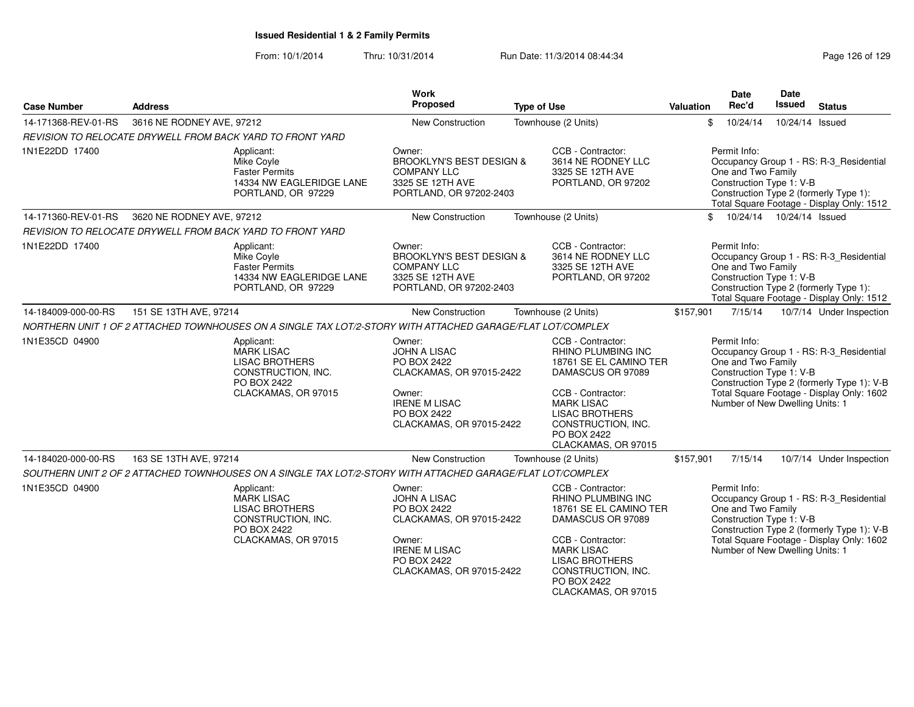| <b>Address</b> |                                                                                                                      | Work<br>Proposed                                                                                                                                                                                                                     |                                                                                                                                                                                                                                                  |                                                                                                                                                                                                                                                                                                                                            | Date<br>Rec'd                                                 | <b>Date</b><br><b>Issued</b>                                                 | <b>Status</b>                                                                                                                                                                                                                                                                                                                                                                                                                                                                                                                                                                                                                                                                                                                                                                                                                                                               |
|----------------|----------------------------------------------------------------------------------------------------------------------|--------------------------------------------------------------------------------------------------------------------------------------------------------------------------------------------------------------------------------------|--------------------------------------------------------------------------------------------------------------------------------------------------------------------------------------------------------------------------------------------------|--------------------------------------------------------------------------------------------------------------------------------------------------------------------------------------------------------------------------------------------------------------------------------------------------------------------------------------------|---------------------------------------------------------------|------------------------------------------------------------------------------|-----------------------------------------------------------------------------------------------------------------------------------------------------------------------------------------------------------------------------------------------------------------------------------------------------------------------------------------------------------------------------------------------------------------------------------------------------------------------------------------------------------------------------------------------------------------------------------------------------------------------------------------------------------------------------------------------------------------------------------------------------------------------------------------------------------------------------------------------------------------------------|
|                |                                                                                                                      | New Construction                                                                                                                                                                                                                     |                                                                                                                                                                                                                                                  | \$                                                                                                                                                                                                                                                                                                                                         | 10/24/14                                                      |                                                                              |                                                                                                                                                                                                                                                                                                                                                                                                                                                                                                                                                                                                                                                                                                                                                                                                                                                                             |
|                |                                                                                                                      |                                                                                                                                                                                                                                      |                                                                                                                                                                                                                                                  |                                                                                                                                                                                                                                                                                                                                            |                                                               |                                                                              |                                                                                                                                                                                                                                                                                                                                                                                                                                                                                                                                                                                                                                                                                                                                                                                                                                                                             |
|                | Applicant:<br>Mike Coyle<br><b>Faster Permits</b><br>14334 NW EAGLERIDGE LANE<br>PORTLAND, OR 97229                  | Owner:<br><b>COMPANY LLC</b><br>3325 SE 12TH AVE                                                                                                                                                                                     | CCB - Contractor:<br>3614 NE RODNEY LLC<br>3325 SE 12TH AVE<br>PORTLAND, OR 97202                                                                                                                                                                |                                                                                                                                                                                                                                                                                                                                            |                                                               |                                                                              |                                                                                                                                                                                                                                                                                                                                                                                                                                                                                                                                                                                                                                                                                                                                                                                                                                                                             |
|                |                                                                                                                      | New Construction                                                                                                                                                                                                                     |                                                                                                                                                                                                                                                  |                                                                                                                                                                                                                                                                                                                                            |                                                               |                                                                              |                                                                                                                                                                                                                                                                                                                                                                                                                                                                                                                                                                                                                                                                                                                                                                                                                                                                             |
|                |                                                                                                                      |                                                                                                                                                                                                                                      |                                                                                                                                                                                                                                                  |                                                                                                                                                                                                                                                                                                                                            |                                                               |                                                                              |                                                                                                                                                                                                                                                                                                                                                                                                                                                                                                                                                                                                                                                                                                                                                                                                                                                                             |
|                | Applicant:<br>Mike Covle<br><b>Faster Permits</b><br>14334 NW EAGLERIDGE LANE<br>PORTLAND, OR 97229                  | Owner:<br><b>COMPANY LLC</b><br>3325 SE 12TH AVE                                                                                                                                                                                     | CCB - Contractor:<br>3614 NE RODNEY LLC<br>3325 SE 12TH AVE<br>PORTLAND, OR 97202                                                                                                                                                                |                                                                                                                                                                                                                                                                                                                                            |                                                               |                                                                              |                                                                                                                                                                                                                                                                                                                                                                                                                                                                                                                                                                                                                                                                                                                                                                                                                                                                             |
|                |                                                                                                                      | New Construction                                                                                                                                                                                                                     |                                                                                                                                                                                                                                                  | \$157,901                                                                                                                                                                                                                                                                                                                                  | 7/15/14                                                       |                                                                              | 10/7/14 Under Inspection                                                                                                                                                                                                                                                                                                                                                                                                                                                                                                                                                                                                                                                                                                                                                                                                                                                    |
|                |                                                                                                                      |                                                                                                                                                                                                                                      |                                                                                                                                                                                                                                                  |                                                                                                                                                                                                                                                                                                                                            |                                                               |                                                                              |                                                                                                                                                                                                                                                                                                                                                                                                                                                                                                                                                                                                                                                                                                                                                                                                                                                                             |
|                | Applicant:<br><b>MARK LISAC</b><br><b>LISAC BROTHERS</b><br>CONSTRUCTION, INC.<br>PO BOX 2422<br>CLACKAMAS, OR 97015 | Owner:<br><b>JOHN A LISAC</b><br>PO BOX 2422<br>Owner:<br><b>IRENE M LISAC</b><br>PO BOX 2422                                                                                                                                        | CCB - Contractor:<br><b>RHINO PLUMBING INC</b><br>DAMASCUS OR 97089<br>CCB - Contractor:<br><b>MARK LISAC</b><br><b>LISAC BROTHERS</b><br>CONSTRUCTION, INC.<br>PO BOX 2422<br>CLACKAMAS, OR 97015                                               |                                                                                                                                                                                                                                                                                                                                            |                                                               |                                                                              |                                                                                                                                                                                                                                                                                                                                                                                                                                                                                                                                                                                                                                                                                                                                                                                                                                                                             |
|                |                                                                                                                      | New Construction                                                                                                                                                                                                                     |                                                                                                                                                                                                                                                  | \$157,901                                                                                                                                                                                                                                                                                                                                  | 7/15/14                                                       |                                                                              | 10/7/14 Under Inspection                                                                                                                                                                                                                                                                                                                                                                                                                                                                                                                                                                                                                                                                                                                                                                                                                                                    |
|                |                                                                                                                      |                                                                                                                                                                                                                                      |                                                                                                                                                                                                                                                  |                                                                                                                                                                                                                                                                                                                                            |                                                               |                                                                              |                                                                                                                                                                                                                                                                                                                                                                                                                                                                                                                                                                                                                                                                                                                                                                                                                                                                             |
|                | Applicant:<br><b>MARK LISAC</b><br><b>LISAC BROTHERS</b><br>CONSTRUCTION, INC.<br>PO BOX 2422<br>CLACKAMAS, OR 97015 | Owner:<br><b>JOHN A LISAC</b><br>PO BOX 2422<br>Owner:<br><b>IRENE M LISAC</b><br><b>PO BOX 2422</b>                                                                                                                                 | CCB - Contractor:<br><b>RHINO PLUMBING INC</b><br>DAMASCUS OR 97089<br>CCB - Contractor:<br><b>MARK LISAC</b><br><b>LISAC BROTHERS</b><br>CONSTRUCTION, INC.<br>PO BOX 2422                                                                      |                                                                                                                                                                                                                                                                                                                                            |                                                               |                                                                              |                                                                                                                                                                                                                                                                                                                                                                                                                                                                                                                                                                                                                                                                                                                                                                                                                                                                             |
|                |                                                                                                                      | 3616 NE RODNEY AVE, 97212<br>REVISION TO RELOCATE DRYWELL FROM BACK YARD TO FRONT YARD<br>3620 NE RODNEY AVE, 97212<br>REVISION TO RELOCATE DRYWELL FROM BACK YARD TO FRONT YARD<br>151 SE 13TH AVE, 97214<br>163 SE 13TH AVE, 97214 | <b>BROOKLYN'S BEST DESIGN &amp;</b><br>PORTLAND, OR 97202-2403<br><b>BROOKLYN'S BEST DESIGN &amp;</b><br>PORTLAND, OR 97202-2403<br>CLACKAMAS, OR 97015-2422<br>CLACKAMAS, OR 97015-2422<br>CLACKAMAS, OR 97015-2422<br>CLACKAMAS, OR 97015-2422 | <b>Type of Use</b><br>Townhouse (2 Units)<br>Townhouse (2 Units)<br>Townhouse (2 Units)<br>NORTHERN UNIT 1 OF 2 ATTACHED TOWNHOUSES ON A SINGLE TAX LOT/2-STORY WITH ATTACHED GARAGE/FLAT LOT/COMPLEX<br>Townhouse (2 Units)<br>SOUTHERN UNIT 2 OF 2 ATTACHED TOWNHOUSES ON A SINGLE TAX LOT/2-STORY WITH ATTACHED GARAGE/FLAT LOT/COMPLEX | Valuation<br>18761 SE EL CAMINO TER<br>18761 SE EL CAMINO TER | Permit Info:<br>$\mathbb{S}$<br>Permit Info:<br>Permit Info:<br>Permit Info: | 10/24/14 Issued<br>Occupancy Group 1 - RS: R-3_Residential<br>One and Two Family<br>Construction Type 1: V-B<br>Construction Type 2 (formerly Type 1):<br>Total Square Footage - Display Only: 1512<br>10/24/14  10/24/14  Issued<br>Occupancy Group 1 - RS: R-3_Residential<br>One and Two Family<br>Construction Type 1: V-B<br>Construction Type 2 (formerly Type 1):<br>Total Square Footage - Display Only: 1512<br>Occupancy Group 1 - RS: R-3_Residential<br>One and Two Family<br>Construction Type 1: V-B<br>Construction Type 2 (formerly Type 1): V-B<br>Total Square Footage - Display Only: 1602<br>Number of New Dwelling Units: 1<br>Occupancy Group 1 - RS: R-3_Residential<br>One and Two Family<br>Construction Type 1: V-B<br>Construction Type 2 (formerly Type 1): V-B<br>Total Square Footage - Display Only: 1602<br>Number of New Dwelling Units: 1 |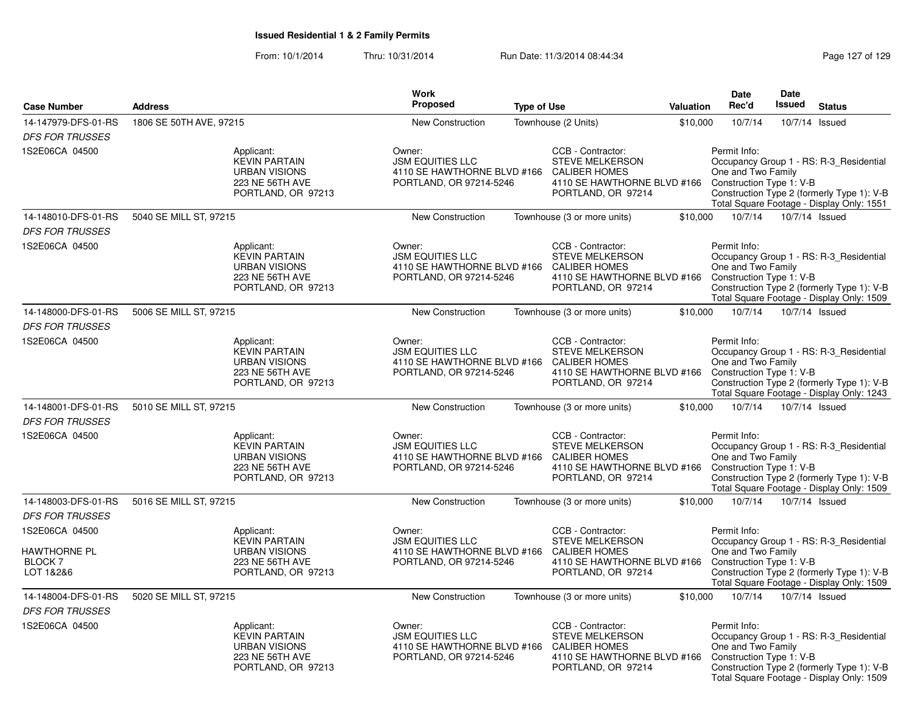|                                                    |                                                                                                     | <b>Work</b>                                                                       |                                                                                                                                               |           | Date                                                           | Date           |                                                                                                                                    |
|----------------------------------------------------|-----------------------------------------------------------------------------------------------------|-----------------------------------------------------------------------------------|-----------------------------------------------------------------------------------------------------------------------------------------------|-----------|----------------------------------------------------------------|----------------|------------------------------------------------------------------------------------------------------------------------------------|
| <b>Case Number</b>                                 | <b>Address</b>                                                                                      | <b>Proposed</b>                                                                   | <b>Type of Use</b>                                                                                                                            | Valuation | Rec'd                                                          | <b>Issued</b>  | <b>Status</b>                                                                                                                      |
| 14-147979-DFS-01-RS                                | 1806 SE 50TH AVE, 97215                                                                             | <b>New Construction</b>                                                           | Townhouse (2 Units)                                                                                                                           | \$10,000  | 10/7/14                                                        | 10/7/14 Issued |                                                                                                                                    |
| <b>DFS FOR TRUSSES</b>                             |                                                                                                     |                                                                                   |                                                                                                                                               |           |                                                                |                |                                                                                                                                    |
| 1S2E06CA 04500                                     | Applicant:<br><b>KEVIN PARTAIN</b><br><b>URBAN VISIONS</b><br>223 NE 56TH AVE<br>PORTLAND, OR 97213 | Owner:<br><b>JSM EQUITIES LLC</b><br>PORTLAND, OR 97214-5246                      | CCB - Contractor:<br><b>STEVE MELKERSON</b><br>4110 SE HAWTHORNE BLVD #166 CALIBER HOMES<br>4110 SE HAWTHORNE BLVD #166<br>PORTLAND, OR 97214 |           | Permit Info:<br>One and Two Family<br>Construction Type 1: V-B |                | Occupancy Group 1 - RS: R-3_Residential<br>Construction Type 2 (formerly Type 1): V-B<br>Total Square Footage - Display Only: 1551 |
| 14-148010-DFS-01-RS                                | 5040 SE MILL ST, 97215                                                                              | New Construction                                                                  | Townhouse (3 or more units)                                                                                                                   | \$10,000  | 10/7/14                                                        | 10/7/14 Issued |                                                                                                                                    |
| <b>DFS FOR TRUSSES</b>                             |                                                                                                     |                                                                                   |                                                                                                                                               |           |                                                                |                |                                                                                                                                    |
| 1S2E06CA 04500                                     | Applicant:<br><b>KEVIN PARTAIN</b><br><b>URBAN VISIONS</b><br>223 NE 56TH AVE<br>PORTLAND, OR 97213 | Owner:<br><b>JSM EQUITIES LLC</b><br>PORTLAND, OR 97214-5246                      | CCB - Contractor:<br><b>STEVE MELKERSON</b><br>4110 SE HAWTHORNE BLVD #166 CALIBER HOMES<br>4110 SE HAWTHORNE BLVD #166<br>PORTLAND, OR 97214 |           | Permit Info:<br>One and Two Family<br>Construction Type 1: V-B |                | Occupancy Group 1 - RS: R-3 Residential<br>Construction Type 2 (formerly Type 1): V-B<br>Total Square Footage - Display Only: 1509 |
| 14-148000-DFS-01-RS                                | 5006 SE MILL ST, 97215                                                                              | <b>New Construction</b>                                                           | Townhouse (3 or more units)                                                                                                                   | \$10,000  | 10/7/14                                                        | 10/7/14 Issued |                                                                                                                                    |
| <b>DFS FOR TRUSSES</b>                             |                                                                                                     |                                                                                   |                                                                                                                                               |           |                                                                |                |                                                                                                                                    |
| 1S2E06CA 04500                                     | Applicant:<br><b>KEVIN PARTAIN</b><br><b>URBAN VISIONS</b><br>223 NE 56TH AVE<br>PORTLAND, OR 97213 | Owner:<br><b>JSM EQUITIES LLC</b><br>PORTLAND, OR 97214-5246                      | CCB - Contractor:<br><b>STEVE MELKERSON</b><br>4110 SE HAWTHORNE BLVD #166 CALIBER HOMES<br>4110 SE HAWTHORNE BLVD #166<br>PORTLAND, OR 97214 |           | Permit Info:<br>One and Two Family<br>Construction Type 1: V-B |                | Occupancy Group 1 - RS: R-3 Residential<br>Construction Type 2 (formerly Type 1): V-B<br>Total Square Footage - Display Only: 1243 |
| 14-148001-DFS-01-RS                                | 5010 SE MILL ST, 97215                                                                              | <b>New Construction</b>                                                           | Townhouse (3 or more units)                                                                                                                   | \$10,000  | 10/7/14                                                        | 10/7/14 Issued |                                                                                                                                    |
| <b>DFS FOR TRUSSES</b>                             |                                                                                                     |                                                                                   |                                                                                                                                               |           |                                                                |                |                                                                                                                                    |
| 1S2E06CA 04500                                     | Applicant:<br><b>KEVIN PARTAIN</b><br><b>URBAN VISIONS</b><br>223 NE 56TH AVE<br>PORTLAND, OR 97213 | Owner:<br><b>JSM EQUITIES LLC</b><br>PORTLAND, OR 97214-5246                      | CCB - Contractor:<br>STEVE MELKERSON<br>4110 SE HAWTHORNE BLVD #166 CALIBER HOMES<br>4110 SE HAWTHORNE BLVD #166<br>PORTLAND, OR 97214        |           | Permit Info:<br>One and Two Family<br>Construction Type 1: V-B |                | Occupancy Group 1 - RS: R-3_Residential<br>Construction Type 2 (formerly Type 1): V-B<br>Total Square Footage - Display Only: 1509 |
| 14-148003-DFS-01-RS                                | 5016 SE MILL ST, 97215                                                                              | New Construction                                                                  | Townhouse (3 or more units)                                                                                                                   | \$10,000  | 10/7/14                                                        | 10/7/14 Issued |                                                                                                                                    |
| <b>DFS FOR TRUSSES</b>                             |                                                                                                     |                                                                                   |                                                                                                                                               |           |                                                                |                |                                                                                                                                    |
| 1S2E06CA 04500                                     | Applicant:                                                                                          | Owner:                                                                            | CCB - Contractor:                                                                                                                             |           | Permit Info:                                                   |                |                                                                                                                                    |
| <b>HAWTHORNE PL</b><br><b>BLOCK 7</b><br>LOT 1&2&6 | <b>KEVIN PARTAIN</b><br><b>URBAN VISIONS</b><br>223 NE 56TH AVE<br>PORTLAND, OR 97213               | <b>JSM EQUITIES LLC</b><br>4110 SE HAWTHORNE BLVD #166<br>PORTLAND, OR 97214-5246 | <b>STEVE MELKERSON</b><br><b>CALIBER HOMES</b><br>4110 SE HAWTHORNE BLVD #166<br>PORTLAND, OR 97214                                           |           | One and Two Family<br>Construction Type 1: V-B                 |                | Occupancy Group 1 - RS: R-3_Residential<br>Construction Type 2 (formerly Type 1): V-B<br>Total Square Footage - Display Only: 1509 |
| 14-148004-DFS-01-RS                                | 5020 SE MILL ST, 97215                                                                              | <b>New Construction</b>                                                           | Townhouse (3 or more units)                                                                                                                   | \$10,000  | 10/7/14                                                        | 10/7/14 Issued |                                                                                                                                    |
| <b>DFS FOR TRUSSES</b>                             |                                                                                                     |                                                                                   |                                                                                                                                               |           |                                                                |                |                                                                                                                                    |
| 1S2E06CA 04500                                     | Applicant:<br><b>KEVIN PARTAIN</b><br><b>URBAN VISIONS</b><br>223 NE 56TH AVE<br>PORTLAND, OR 97213 | Owner:<br><b>JSM EQUITIES LLC</b><br>PORTLAND, OR 97214-5246                      | CCB - Contractor:<br><b>STEVE MELKERSON</b><br>4110 SE HAWTHORNE BLVD #166 CALIBER HOMES<br>4110 SE HAWTHORNE BLVD #166<br>PORTLAND, OR 97214 |           | Permit Info:<br>One and Two Family<br>Construction Type 1: V-B |                | Occupancy Group 1 - RS: R-3_Residential<br>Construction Type 2 (formerly Type 1): V-B<br>Total Square Footage - Display Only: 1509 |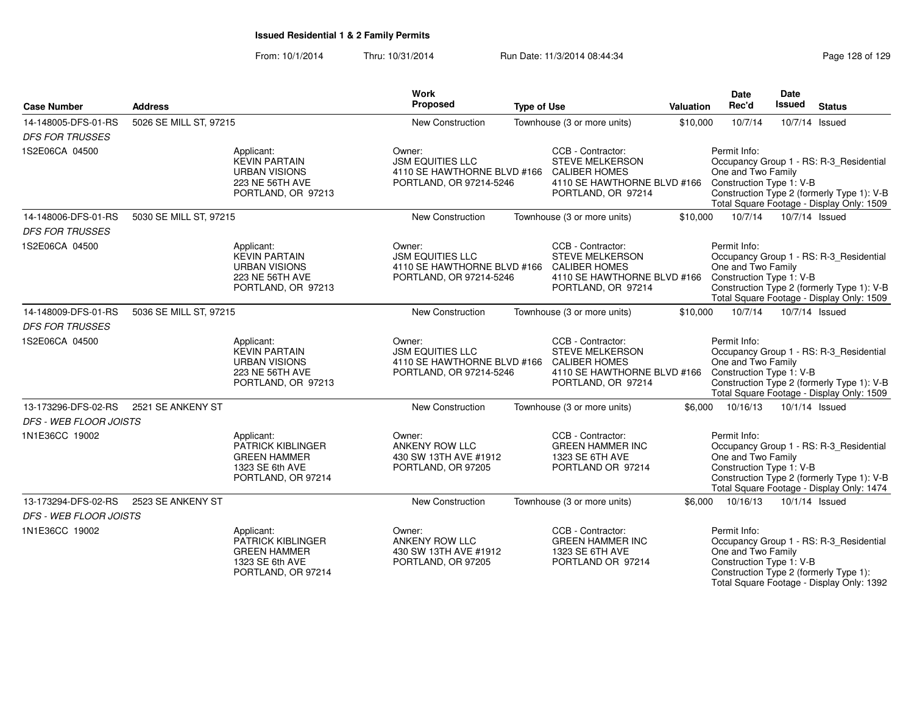From: 10/1/2014Thru: 10/31/2014 Run Date: 11/3/2014 08:44:34 Research 29 Rage 128 of 129

| <b>Case Number</b>            | <b>Address</b>         |                                                                                                            | <b>Work</b><br>Proposed                                                                                   | <b>Type of Use</b> |                                                                                                                          | Valuation | Date<br>Rec'd                                                  | <b>Date</b><br><b>Issued</b> | <b>Status</b>                                                                                                                      |
|-------------------------------|------------------------|------------------------------------------------------------------------------------------------------------|-----------------------------------------------------------------------------------------------------------|--------------------|--------------------------------------------------------------------------------------------------------------------------|-----------|----------------------------------------------------------------|------------------------------|------------------------------------------------------------------------------------------------------------------------------------|
| 14-148005-DFS-01-RS           | 5026 SE MILL ST, 97215 |                                                                                                            | New Construction                                                                                          |                    | Townhouse (3 or more units)                                                                                              | \$10,000  | 10/7/14                                                        |                              | 10/7/14 Issued                                                                                                                     |
| <b>DFS FOR TRUSSES</b>        |                        |                                                                                                            |                                                                                                           |                    |                                                                                                                          |           |                                                                |                              |                                                                                                                                    |
| 1S2E06CA 04500                |                        | Applicant:<br><b>KEVIN PARTAIN</b><br><b>URBAN VISIONS</b><br><b>223 NE 56TH AVE</b><br>PORTLAND, OR 97213 | Owner:<br><b>JSM EQUITIES LLC</b><br>4110 SE HAWTHORNE BLVD #166 CALIBER HOMES<br>PORTLAND, OR 97214-5246 |                    | CCB - Contractor:<br><b>STEVE MELKERSON</b><br>4110 SE HAWTHORNE BLVD #166<br>PORTLAND, OR 97214                         |           | Permit Info:<br>One and Two Family<br>Construction Type 1: V-B |                              | Occupancy Group 1 - RS: R-3_Residential<br>Construction Type 2 (formerly Type 1): V-B<br>Total Square Footage - Display Only: 1509 |
| 14-148006-DFS-01-RS           | 5030 SE MILL ST, 97215 |                                                                                                            | New Construction                                                                                          |                    | Townhouse (3 or more units)                                                                                              | \$10,000  | 10/7/14                                                        |                              | 10/7/14 Issued                                                                                                                     |
| <b>DFS FOR TRUSSES</b>        |                        |                                                                                                            |                                                                                                           |                    |                                                                                                                          |           |                                                                |                              |                                                                                                                                    |
| 1S2E06CA 04500                |                        | Applicant:<br><b>KEVIN PARTAIN</b><br><b>URBAN VISIONS</b><br><b>223 NE 56TH AVE</b><br>PORTLAND, OR 97213 | Owner:<br><b>JSM EQUITIES LLC</b><br>4110 SE HAWTHORNE BLVD #166 CALIBER HOMES<br>PORTLAND, OR 97214-5246 |                    | CCB - Contractor:<br><b>STEVE MELKERSON</b><br>4110 SE HAWTHORNE BLVD #166<br>PORTLAND, OR 97214                         |           | Permit Info:<br>One and Two Family<br>Construction Type 1: V-B |                              | Occupancy Group 1 - RS: R-3_Residential<br>Construction Type 2 (formerly Type 1): V-B<br>Total Square Footage - Display Only: 1509 |
| 14-148009-DFS-01-RS           | 5036 SE MILL ST, 97215 |                                                                                                            | New Construction                                                                                          |                    | Townhouse (3 or more units)                                                                                              | \$10,000  | 10/7/14                                                        |                              | 10/7/14 Issued                                                                                                                     |
| <b>DFS FOR TRUSSES</b>        |                        |                                                                                                            |                                                                                                           |                    |                                                                                                                          |           |                                                                |                              |                                                                                                                                    |
| 1S2E06CA 04500                |                        | Applicant:<br><b>KEVIN PARTAIN</b><br><b>URBAN VISIONS</b><br>223 NE 56TH AVE<br>PORTLAND, OR 97213        | Owner:<br><b>JSM EQUITIES LLC</b><br>4110 SE HAWTHORNE BLVD #166<br>PORTLAND, OR 97214-5246               |                    | CCB - Contractor:<br><b>STEVE MELKERSON</b><br><b>CALIBER HOMES</b><br>4110 SE HAWTHORNE BLVD #166<br>PORTLAND, OR 97214 |           | Permit Info:<br>One and Two Family<br>Construction Type 1: V-B |                              | Occupancy Group 1 - RS: R-3 Residential<br>Construction Type 2 (formerly Type 1): V-B<br>Total Square Footage - Display Only: 1509 |
| 13-173296-DFS-02-RS           | 2521 SE ANKENY ST      |                                                                                                            | <b>New Construction</b>                                                                                   |                    | Townhouse (3 or more units)                                                                                              | \$6.000   | 10/16/13                                                       |                              | 10/1/14 Issued                                                                                                                     |
| <b>DFS - WEB FLOOR JOISTS</b> |                        |                                                                                                            |                                                                                                           |                    |                                                                                                                          |           |                                                                |                              |                                                                                                                                    |
| 1N1E36CC 19002                |                        | Applicant:<br><b>PATRICK KIBLINGER</b><br><b>GREEN HAMMER</b><br>1323 SE 6th AVE<br>PORTLAND, OR 97214     | Owner:<br>ANKENY ROW LLC<br>430 SW 13TH AVE #1912<br>PORTLAND, OR 97205                                   |                    | CCB - Contractor:<br><b>GREEN HAMMER INC</b><br>1323 SE 6TH AVE<br>PORTLAND OR 97214                                     |           | Permit Info:<br>One and Two Family<br>Construction Type 1: V-B |                              | Occupancy Group 1 - RS: R-3_Residential<br>Construction Type 2 (formerly Type 1): V-B<br>Total Square Footage - Display Only: 1474 |
| 13-173294-DFS-02-RS           | 2523 SE ANKENY ST      |                                                                                                            | New Construction                                                                                          |                    | Townhouse (3 or more units)                                                                                              | \$6,000   | 10/16/13                                                       |                              | 10/1/14 Issued                                                                                                                     |
| DFS - WEB FLOOR JOISTS        |                        |                                                                                                            |                                                                                                           |                    |                                                                                                                          |           |                                                                |                              |                                                                                                                                    |
| 1N1E36CC 19002                |                        | Applicant:<br><b>PATRICK KIBLINGER</b><br><b>GREEN HAMMER</b><br>1323 SE 6th AVE<br>PORTLAND, OR 97214     | Owner:<br>ANKENY ROW LLC<br>430 SW 13TH AVE #1912<br>PORTLAND, OR 97205                                   |                    | CCB - Contractor:<br><b>GREEN HAMMER INC</b><br>1323 SE 6TH AVE<br>PORTLAND OR 97214                                     |           | Permit Info:<br>One and Two Family<br>Construction Type 1: V-B |                              | Occupancy Group 1 - RS: R-3_Residential<br>Construction Type 2 (formerly Type 1):<br>Total Square Footage - Display Only: 1392     |